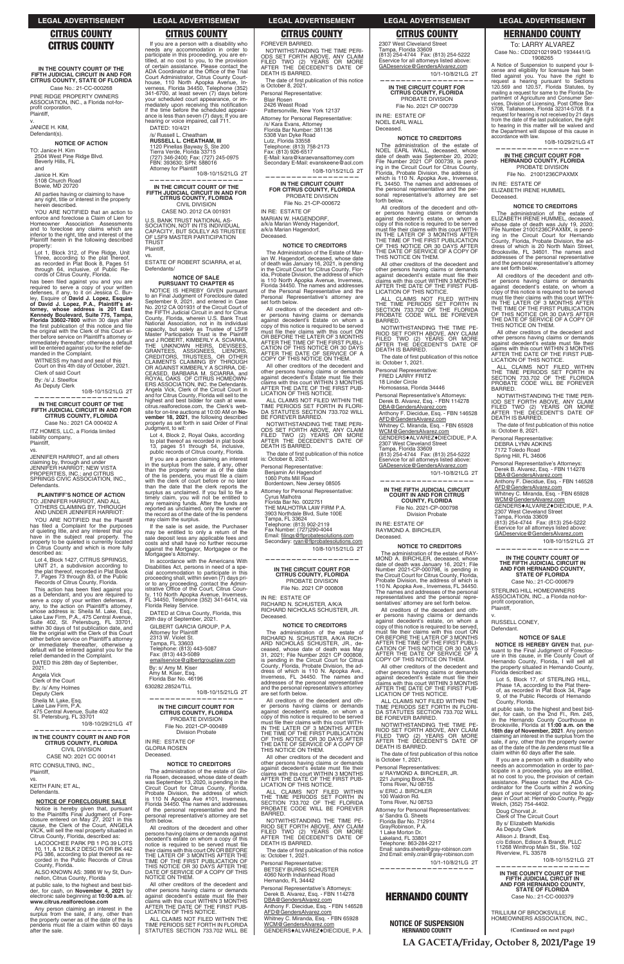**IN THE COUNTY COURT OF THE FIFTH JUDICIAL CIRCUIT IN AND FOR CITRUS COUNTY, STATE OF FLORIDA**

Case No.: 21-CC-000268 PINE RIDGE PROPERTY OWNERS ASSOCIATION, INC., a Florida not-forprofit corporation, Plaintiff,

v.

Janice H. Kim<br>5108 Church Road

JANICE H. KIM,

Defendant(s).

#### **NOTICE OF ACTION**

TO: Janice H. Kim<br>2504 West Pine Ridge Blvd.<br>Beverly Hills, FL

and

YOU ARE NOTIFIED that an action to enforce and foreclose a Claim of Lien for Homeowner Association Assessments<br>and to foreclose any claims which are inferior to the right, title and interest of the Plaintiff herein in the following described property:

Lot 1, Block 312, of Pine Ridge, Unit Three, according to the plat thereof,<br>as recorded in Plat Book 8, Pages 51<br>through 64, inclusive, of Public Records of Citrus County, Florida.

Bowie, MD 20720

has been filed against you and you are<br>required to serve a copy of your written<br>defenses, if any, to it on Jessica C. Bur-<br>ley, Esquire of David J. Lopez, Esquire<br>of David J. Lopez, P.A., Plaintiff's at-<br>torney, whose addr the original with the Clerk of this Court ei-<br>ther before service on Plaintiff's attorney or<br>immediately thereafter; otherwise a default will be entered against you for the relief demanded in the Complaint.

All parties having or claiming to have any right, title or interest in the property<br>herein described.

WITNESS my hand and seal of this<br>Court on this 4th day of October, 2021. Clerk of said Court By: /s/ J. Steelfox As Deputy Clerk

ITZ HOMES, LLC, a Florida limited liability company, Plaintiff,

 10/8-10/15/21LG 2T **——————————————————**

**IN THE CIRCUIT COURT OF THE FIFTH JUDICIAL CIRCUIT IN AND FOR CITRUS COUNTY, FLORIDA** Case No.: 2021 CA 000402 A

KEITH FAIN; ET AL, Defendants.

vs.

JENNIFER HARRlOT, and all others claiming by, through and under<br>JENNIFER HARRIOT; NEW VISTA<br>PROPERTIES, INC.; and CITRUS SPRINGS CIVIC ASSOCIATION, INC., Defendants.

LACOOCHEE PARK PB 1 PG 39 LOTS 10, 11, & 12 BLK 2 DESC IN OR BK 442 PG 386, according to plat thereof as re-<br>corded in the Public Records of Citrus County, Florida.

ALSO KNOWN AS: 3986 W Ivy St, Dun-<br>nellon, Citrus County, Florida

**PLAINTIFF'S NOTICE OF ACTION** TO: JENNIFER HARRIOT, AND ALL OTHERS CLAIMING BY, THROUGH AND UNDER JENNIFER HARRIOT:

YOU ARE NOTIFIED that the Plaintiff has filed a Complaint for the purposes<br>of quieting litle, and any interest that you<br>have in the subject real property. The<br>property to be quieted is currently located<br>in Citrus County and which is more fully Citrus County and which is more fully described as:

Lot 4, Block 1427, CITRUS SPRINGS, UNIT 21, a subdivision according to<br>the plat thereof, recorded in Plat Book 7, Pages 73 through 83, of the Public<br>Records of Citrus County, Florida.

This action has been filed against you as a Defendant, and you are required to serve a copy of your written defenses, if any, to the action on Plaintiff's attorney, whose address is: Sheila M. Lake, Esq.,<br>Lake Law Firm, P.A., 475 Central Avenue,<br>Suite 402, St. Petersburg, FL 33701,<br>within 30 days of 1st publication date, and<br>file the original with the Clerk of this Court<br>either before or immediately thereafter, otherwise a<br>default will be entered against you for the relief demanded in the Complaint.

DATED this 28th day of September, 2021. Angela Vick<br>Clerk of the Court By: /s/ Amy Holmes

Deputy Clerk Sheila M. Lake, Esq.

If you are a person with a disability who<br>needs any accommodation in order to participate in this proceeding, you are en-<br>titled, at no cost to you, to the provision<br>of certain assistance. Please contact the<br>ADA Coordinator at the Office of the Trial Court Administrator, Citrus County Court-<br>house, 110 North Apopka Avenue, In-<br>verness, Florida 34450, Telephone (352) 341-6700, at least seven (7) days before<br>your scheduled court appearance, or immediately upon receiving this notification<br>if the time before the scheduled appear-<br>ance is less than seven (7) days; If you are hearing or voice impaired, call 711.

at public sale, to the highest and best bid-<br>der, for cash, on **November 4, 2021** by electronic sale beginning at 10:00 a.m. at: **www.citru s.realforeclos e.com**

Any person claiming an interest in the<br>surplus from the sale, if any, other than the property owner as of the date of the lis pendens mus<br>after the sale. must file a claim within 60 days

10/8-10/29/21LG 4T **——————————————————**

**IN THE COUNTY COURT IN AND FOR CITRUS COUNTY, FLORIDA** CIVIL DIVISION CASE NO: 2021 CC 000141

RTC CONSULTING, INC., Plaintiff,

vs.

#### **NOTICE OF FORECLOSURE SALE**

Notice is hereby given that, pursuant<br>to the Plaintiffs Final Judgment of Fore-<br>closure entered on May 27, 2021 in this cause, the Clerk of the Court, ANGELA VICK, will sell the real property situated in<br>Citrus County, Florida, described as: **CITRUS COUNTY, FLORIDA** PROBATE DIVISION File No. 2021-CP-000489 Division Probate

#### IN RE: ESTATE OF GLORIA ROSEN Deceased

All creditors of the decedent and other persons having claims or demands against decedent's estate on whom a copy of this notice is required to be served must file their claims with this court ON OR BEFORE<br>THE LATER OF 3 MONTHS AFTER THE<br>TIME OF THE FIRST PUBLICATION OF THIS NOTICE OR 30 DAYS AFTER THE<br>DATE OF SERVICE OF A COPY OF THIS NOTICE ON THEM.

All other creditors of the decedent and other persons having claims or demands against decedent's estate must file their<br>claims with this court WITHIN 3 MONTHS AFTER THE DATE OF THE FIRST PUB-LICATION OF THIS NOTICE.

ALL CLAIMS NOT FILED WITHIN THE TIME PERIODS SET FORTH IN FLORIDA STATUTES SECTION 733.702 WILL BE

DATED: 10/4/21

/s/ Russell L. Cheatham<br>**RUSSELL L. CHEATHAM, III** 

1120 Pinellas Bayway S, Ste 200<br>Tierra Verde, Florida 33715 (727) 346-2400; Fax: (727) 245-0975<br>FBN: 393630; SPN: 588016

> IN RE: ESTATE OF MARIAN W. HAGENDORF, a/k/a Marian Wendy Hagendorf, a/k/a Marian Hagendorf, Deceased.

**NOTICE TO CREDITORS** The Administration of the Estate of Marian W. Hagendorf, deceased, whose date of death was January 16, 2021, is pending<br>in the Circuit Court for Citrus County, Flor-<br>ida, Probate Division, the address of which Probate Division, the address of which is 110 North Apopka Avenue, Inverness,<br>Florida 34450. The names and addresses of the Personal Representative and the Personal Representative's attorney are<br>set forth below.

Attorney for Plaintiff 10/8-10/15/21LG 2T **——————————————————**

**IN THE CIRCUIT COURT OF THE FIFTH JUDICIAL CIRCUIT IN AND FOR CITRUS COUNTY, FLORIDA**

CIVIL DIVISION CASE NO. 2012 CA 001931

U.S. BANK TRUST NATIONAL AS-SOCIATION, NOT IN ITS INDIVIDUAL<br>CAPACITY, BUT SOLELY AS TRUSTEE<br>OF LSF9 MASTER PARTICIPATION TRUST Plaintiff,

> All creditors of the decedent and All creditors of the decedent and oth-<br>er persons having claims or demands<br>against decedent's Estate on whom a copy of this notice is required to be served must file their claims with this court ON<br>OR BEFORE THE LATER OF 3 MONTHS<br>AFTER THE TIME OF THE FIRST PUBLI-<br>CATION OF THIS NOTICE OR 30 DAYS AFTER THE DATE OF SERVICE OF A COPY OF THIS NOTICE ON THEM.

vs. ESTATE OF ROBERT SCIARRA, et aI, Defendants/

## **NOTICE OF SALE PURSUANT TO CHAPTER 45**

NOTICE IS HEREBY GIVEN pursuant to an Final Judgment of Foreclosure dated<br>September 9, 2021, and entered in Case<br>No. 2012 CA 001931 of the Circuit Court of the FIFTH Judicial Circuit in and for Citrus County, Florida, wherein U.S. Bank Trust<br>National Association, not in its individual National Association, not in its individual<br>capacity, but solely as Trustee of LSF9<br>Master Participation Trust is the Plaintiff<br>and J ROBERT, KIMBERLY A. SCIARRA,<br>THE UNKNOWN HEIRS, DEVISEES,<br>GREDITORS, ASSIGNEES, OIE NOTH highest and best bidder for cash at www.<br>citrus.realforeclose.com, the Clerk's website for on-line auctions at 10:00 AM on No**vember 18, 2021**, the following described<br>property as set forth in said Order of Final Judgment, to wit:

Lot 4, Block 2, Royal Oaks, according<br>to plat thereof as recorded in plat book<br>13, pages 51 through 54, inclusive,

public records of Citrus county, Florida. If you are a person claiming an interest<br>in the surplus from the sale, if any, other<br>than the property owner as of the date of the lis pendens, you must file a claim<br>with the clerk of court before or no later<br>than the date that the clerk reports the<br>surplus as unclaimed. If you fail to file a<br>timely claim, you will not be entitled to<br>any remain reported as unclaimed, only the owner the record as of the date of the lis pendens

All other creditors of the decedent and other persons having claims or demands<br>against decedent's Estate must file their<br>claims with this court WITHIN 3 MONTHS<br>AFTER THE DATE OF THE FIRST PUB-LICATION OF THIS NOTICE.

ALL CLAIMS NOT FILED WITHIN THE TIME PERIODS SET FORTH IN FLORI-<br>DA STATUTES SECTION 733.702 WILL BE FOREVER BARRED.

may claim the surplus. If the sale is set aside, the Purchaser may be entitled to only a return of the<br>sale deposit less any applicable fees and<br>costs and shall have no further recourse against the Mortgagor, Mortgagee or the<br>Mortgagee's Attorney.

In accordance with the Americans With Disabilities Act, persons in need of a special accommodation to participate in this<br>proceeding shall, within seven (7) days pri-<br>or to any proceeding, contact the Administrative Office of the Court, Citrus County, 110 North Apopka Avenue, Inverness,<br>FL 34450, Telephone (352) 341-6414, via Florida Relay Service.

DATED at Citrus County, Florida, this<br>29th day of September, 2021.

NOTWITHSTANDING THE TIME PERI-<br>ODS SET FORTH ABOVE, ANY CLAIM<br>FILED TWO (2) YEARS OR MORE<br>AFTER THE DECEDENT'S DATE OF DEATH IS BARRED.

The date of first publication of this notice is: October 8, 2021.

RICHARD N. SCHUSTER, A/K/A RICHARD NICHOLAS SCHUSTER, JR. Deceased.

All other creditors of the decedent and other persons having claims or demands against decedent's estate must file their<br>claims with this court WITHIN 3 MONTHS AFTER THE DATE OF THE FIRST PUB-LICATION OF THIS NOTICE.

Personal Representative: BETSEY BURNS SCHUSTER 4060 North Indianhead Road Hernando, FL 34442

Personal Representative's Attorneys: Derek B. Alvarez, Esq. - FBN 114278 DBA@GendersAlvarez.com

Anthony F. Diecidue, Esq. - FBN 146528<br><u>AFD@GendersAlvarez.com</u>

Whitney C. Miranda, Esq. - FBN 65928 WCM@GendersAlvarez.com GENDERS $*$ ALVAREZ $*$ DIECIDUE, P.A. ALL CLAIMS NOT FILED WITHIN THE<br>TIME PERIODS SET FORTH IN FLORI-<br>DA STATUTES SECTION 733.702 WILL BE FOREVER BARRED.

2307 West Cleveland Street<br>Tampa, Florida 33609 (813) 254-4744 Fax: (813) 254-5222 Eservice for all attorneys listed above:<br>GADeservice@GendersAlvarez.com 10/1-10/8/21LG 2T

**—————————————————— IN THE CIRCUIT COURT FOR CITRUS COUNTY, FLORIDA** PROBATE DIVISION

File No. 2021 CP 000739 IN RE: ESTATE OF NOEL EARL WALL

Deceased.

All creditors of the decedent and other persons having claims or demands<br>against decedent's estate, on whom a For copy of this notice is required to be served<br>must file their claims with this court WITH-<br>IN THE LATER OF 3 MONTHS AFTER THE TIME OF THE FIRST PUBLICATION<br>OF THIS NOTICE OR 30 DAYS AFTER<br>THE DATE OF SERVICE OF A COPY OF THIS NOTICE ON THEM.

All other creditors of the decedent and other persons having claims or demands against decedent's estate must file their claims with this court WITHIN 3 MONTHS<br>AFTER THE DATE OF THE FIRST PUB-<br>LICATION OF THIS NOTICE.

Eservice for all attorneys listed above:<br>GADeservice@GendersAlvarez.com 10/1-10/8/21LG 2T

**—————————————————— IN THE FIFTH JUDICIAL CIRCUIT COURT IN AND FOR CITRUS COUNTY, FLORIDA** File No. 2021-CP-000798 Division Probate

GILBERT GARCIA GROUP, P.A. Attorney for Plaintiff<br>2313 W. Violet St. Tampa, FL 33603 Telephone: (813) 443-5087<br>Fax: (813) 443-5089 emailservice@gilbertgrouplaw.com By: s/ Amy M. Kiser<br>Amy M. Kiser, Esq. Florida Bar No. 46196 630282.28524/TLL 10/8-10/15/21LG 2T

**NOTICE TO CREDITORS** The administration of the estate of RAY-<br>MOND A. BIRCHLER, deceased, whose date of death was January 16, 2021; File<br>Number 2021-CP-000798, is pending in the Circuit Court for Citrus County, Florida, Probate Division, the address of which is<br>110 N. Apopka Ave., Inverness, FL 34450.<br>The names and addresses of the personal representatives and the personal repre-<br>sentatives' attorney are set forth below. All creditors of the decedent and other persons having claims or demands<br>against decedent's estate, on whom a<br>copy of this notice is required to be served, must file their claims with this court ON OR BEFORE THE LATER OF 3 MONTHS<br>AFTER THE TIME OF THE FIRST PUBLI-<br>CATION OF THIS NOTICE OR 30 DAYS AFTER THE DATE OF SERVICE OF A<br>COPY OF THIS NOTICE ON THEM. All other creditors of the decedent and other persons having claims or demands<br>against decedent's estate must file their<br>claims with this court WITHIN 3 MONTHS<br>AFTER THE DATE OF THE FIRST PUB-

**—————————————————— IN THE CIRCUIT COURT FOR** 

FOREVER BARRED. NOTWITHSTANDING THE TIME PERI-ODS SET FORTH ABOVE, ANY CLAIM<br>FILED TWO (2) YEARS OR MORE<br>AFTER THE DECEDENT'S DATE OF<br>DEATH IS BARRED.

The date of first publication of this notice is October 8, 2021.

### **NOTICE TO CREDITORS**

The administration of the estate of Gloria Rosen, deceased, whose date of death<br>was September 13, 2020, is pending in the<br>Circuit Court for Citrus County, Florida, Probate Division, the address of which<br>is 110 N Apopka Ave #101, Inverness,<br>Florida 34450. The names and addresses of the personal representative and the personal representative's attorney are set<br>forth below.

Attorney for Personal Representatives: s/ Sandra G. Sheets Florida Bar No. 712914 GrayRobinson, P.A. 1 Lake Morton Dr. Lakeland, FL 33801 Telephone: 863-284-2217 Email: sandra.sheets@gray-robinson.com 2nd Email: emily.crain@gray-robinson.com

To: LARRY ALVAREZ Case No.: CD202102199/D 1934441/G 1908265 A Notice of Suspension to suspend your license and eligibility for licensure has been<br>filed against you. You have the right to request a hearing pursuant to Sections<br>120.569 and 120.57, Florida Statutes, by<br>mailing a request for same to the Florida Department of Agriculture and Consumer Ser-.<br>vices, Division of Licensing, Post Office Box<br>5708, Tallahassee, Florida 32314-5708. If a request for hearing is not received by 21 days from the date of the last publication, the right<br>to hearing in this matter will be waived and the Department will dispose of this cause in

**—————————————————— IN THE CIRCUIT COURT FOR HERNANDO COUNTY, FLORIDA** PROBATE DIVISION File No. 21001236CPAXMX

Personal Representative:

Blair Rosen 2426 Weast Road

Pattersonville, New York 12137

Attorney for Personal Representative:

/s/ Kara Evans, Attorney<br>Florida Bar Number: 381136

5308 Van Dyke Road Lutz, Florida 33558<br>Telephone: (813) 758-2173

Fax: (813) 926-6517

E-Mail: kara@karaevansattorney.com<br>Secondary E-Mail: evanskeene@aol.com

NOTWITHSTANDING THE TIME PER- IOD SET FORTH ABOVE, ANY CLAIM<br>FILED TWO (2) YEARS OR MORE<br>AFTER THE DECEDENT'S DATE OF

The date of first publication of this notice

10/8-10/15/21LG 2T **——————————————————**

**IN THE CIRCUIT COURT FOR CITRUS COUNTY, FLORIDA** PROBATE DIVISION File No. 21-CP-000672

> profit corporation, Plaintiff, v.

**NOTICE OF SALE NOTICE IS HEREBY GIVEN** that, pursuant to the Final Judgment of Foreclos-<br>ure in this cause, in the County Court of<br>Hernando County, Florida, I will sell all the property situated in Hernando County,<br>Florida described as: Lot 5, Block 17, of STERLING HILL, Phase 1A, according to the Plat there-<br>of, as recorded in Plat Book 34, Page 9, of the Public Records of Hernando<br>County, Florida.

Doug Chorvat Jr. Clerk of The Circuit Court

By s/ Elizabeth Markidis As Deputy Clerk

Allison J. Brandt, Esq. c/o Edison, Edison & Brandt, PLLC 11268 Winthrop Main St., Ste. 102<br>Riverview, FL 33578

## **CITRUS COUNTY CITRUS COUNTY CITRUS COUNTY CITRUS COUNTY CITRUS COUNTY HERNANDO COUNTY**

Personal Representative:

Benjamin Ari Hagendorf 1060 Potts Mill Road

Bordentown, New Jersey 08505

Attorney for Personal Representative:

Cyrus Malhotra Florida Bar No. 0022751 THE MALHOTRA LAW FIRM P.A. 3903 Northdale Blvd, Suite 100E Tampa, FL 33624 Telephone: (813) 902-2119 Fax Number: (727)290-4044 Email: ſNKPIU"ƀRTQDCVGUQNWVKQPUEQO 5GEQPFCT[-T[CP"ƀRTQDCVGUQNWVKQPUEQO

10/8-10/15/21LG 2T

**——————————————————**

## **IN THE CIRCUIT COURT FOR CITRUS COUNTY, FLORIDA** PROBATE DIVISION File No. 2021 CP 000808

IN RE: ESTATE OF

#### **NOTICE TO CREDITORS**

The administration of the estate of<br>RICHARD N. SCHUSTER, A/K/A RICH-<br>ARD NICHOLAS SCHUSTER, JR., deceased, whose date of death was May<br>31, 2021; File Number 2021 CP 000808,<br>is pending in the Circuit Court for Citrus County, Florida, Probate Division, the ad-<br>dress of which is 110 N. Apopka Ave.,<br>Inverness, FL 34450. The names and addresses of the personal representative and the personal representative's attorney are set forth below.

All creditors of the decedent and All creditors of the decedent and other persons having claims or demands<br>against decedent's estate, on whom a copy of this notice is required to be served must file their claims with this court WITH-<br>IN THE LATER OF 3 MONTHS AFTER<br>THE TIME OF THE FIRST PUBLICATION OF THIS NOTICE OR 30 DAYS AFTER<br>THE DATE OF SERVICE OF A COPY OF<br>THIS NOTICE ON THEM.

ALL CLAIMS NOT FILED WITHIN THE TIME PERIODS SET FORTH IN SECTION 733.702 OF THE FLORIDA<br>PROBATE CODE WILL BE FOREVER BARRED.

NOTWITHSTANDING THE TIME PE-RIOD SET FORTH ABOVE, ANY CLAIM<br>FILED TWO (2) YEARS OR MORE<br>AFTER THE DECEDENT'S DATE OF DEATH IS BARRED.

The date of first publication of this notice<br>is: October 1, 2021.

#### **NOTICE TO CREDITORS**

The administration of the estate of NOEL EARL WALL, deceased, whose<br>date of death was September 20, 2020;<br>File Number 2021 CP 000739, is pending in the Circuit Court for Citrus County,<br>Florida, Probate Division, the address of which is 110 N. Apopka Ave., Inverness,<br>FL 34450. The names and addresses of the personal representative and the personal representative's attorney are set forth below.

ALL CLAIMS NOT FILED WITHIN THE TIME PERIODS SET FORTH IN<br>SECTION 733.702 OF THE FLORIDA<br>PROBATE CODE WILL BE FOREVER BARRED.

NOTWITHSTANDING THE TIME PE-<br>RIOD SET FORTH ABOVE, ANY CLAIM<br>FILED TWO (2) YEARS OR MORE<br>AFTER THE DECEDENT'S DATE OF<br>DEATH IS BARRED.

The date of first publication of this notice<br>is: October 1, 2021.

Personal Representative: FRED LARRY FRITZ

18 Linder Circle<br>Homosassa, Florida 34446

Personal Representative's Attorneys: Derek B. Alvarez, Esq. - FBN 114278<br><u>DBA@GendersAlvarez.com</u> Anthony F. Diecidue, Esq. - FBN 146528 <u>AFD@GendersAlvarez.com</u>

Whitney C. Miranda, Esq. - FBN 65928<br><u>WCM@GendersAlvarez.com</u> GENDERS $*$ ALVAREZ $*$ DIECIDUE, P.A.

2307 West Cleveland Street<br>Tampa, Florida 33609 (813) 254-4744 Fax: (813) 254-5222

IN RE: ESTATE OF RAYMOND A. BIRCHLER,

Deceased.

Lake Law Firm, P.A.<br>475 Central Avenue, Suite 402 St. Petersburg, FL 33701

LICATION OF THIS NOTICE.

NOTWITHSTANDING THE TIME PE-<br>RIOD SET FORTH ABOVE, ANY CLAIM<br>FILED TWO (2) YEARS OR MORE<br>AFTER THE DECEDENT'S DATE OF<br>DEATH IS BARRED.

The date of first publication of this notice is October 1, 2021.

Personal Representatives: s/ RAYMOND A. BIRCHLER, JR. 221 Jumping Brook Rd. Toms River, NJ 08755 s/ ERIC J. BIRCHLER 100 Waldron Rd. Toms River, NJ 08753

#### 10/1-10/8/21LG 2T **——————————————————**

## **HERNANDO COUNTY**

### **NOTICE OF SUSPENSION HERNANDO COUNTY**

at public sale, to the highest and best at public sale, to the highest and best bid-<br>der, for cash, on the 2nd Fl., Rm. 245, in the Hernando County Courthouse in<br>Brooksville, Florida at 11:00 a.m. on the **16th day of November, 2021**. Any person claiming an interest in the surplus from the<br>sale, if any, other than the property owner as of the date of the *lis pendens* must file a claim within 60 days after the sale.

If you are a person with a disability who needs an accommodation in order to needs an accommodation in order to par-<br>ticipate in a proceeding, you are entitled,<br>at no cost to you, the provision of certain<br>assistance. Please contact the ADA Co-<br>ordinator for the Courts within 2 working for the Courts within 2 working days of your receipt of your notice to ap-<br>pear in Court at: Hernando County, Peggy Welch, (352) 754-4402.

10/8-10/29/21LG 4T

accordance with law.

IN RE: ESTATE OF ELIZABETH IRENE HUMMEL

are set forth below.

**NOTICE TO CREDITORS**

The administration of the estate of<br>ELIZABETH IRENE HUMMEL, deceased,<br>whose date of death was July 19, 2020;<br>File Number 21001236CPAXMX, is pend-

ing in the Circuit Court for Hernando<br>County, Florida, Probate Division, the address of which is 20 North Main Street,<br>Brooksville, FL 34601. The names and<br>addresses of the personal representative and the personal representative's attorney

All creditors of the decedent and oth-<br>er persons having claims or demands<br>against decedent's estate, on whom a

copy of this notice is required to be served<br>must file their claims with this court WITH-<br>IN THE LATER OF 3 MONTHS AFTER<br>THE TIME OF THE FIRST PUBLICATION<br>OF THIS NOTICE OR 30 DAYS AFTER

THE DATE OF SERVICE OF A COPY OF

All other creditors of the decedent and<br>other persons having claims or demands against decedent's estate must file their claims with this court WITHIN 3 MONTHS<br>AFTER THE DATE OF THE FIRST PUB-<br>LICATION OF THIS NOTICE.

ALL CLAIMS NOT FILED WITHIN<br>THE TIME PERIODS SET FORTH IN<br>SECTION 733.702 OF THE FLORIDA<br>PROBATE CODE WILL BE FOREVER

THIS NOTICE ON THEM.

BARRED.

DEATH IS BARRED.

is: October 8, 2021. Personal Representative: DEBRA LYNN ADKINS 7172 Toledo Road Spring Hill, FL 34606

Deceased.

10/8-10/15/21LG 2T

Personal Representative's Attorneys: Derek B. Alvarez, Esq. - FBN 114278<br><u>DBA@GendersAlvarez.com</u> Anthony F. Diecidue, Esq. - FBN 146528<br><u>AFD@GendersAlvarez.com</u> Whitney C. Miranda, Esq. - FBN 65928 WCM@GendersAlvarez.com GENDERS $*$ ALVAREZ $*$ DIECIDUE, P.A.

2307 West Cleveland Street Tampa, Florida 33609<br>(813) 254-4744 Fax: (813) 254-5222 Eservice for all attorneys listed above: GADeservice@GendersAlvarez.com

**—————————————————— IN THE COUNTY COURT OF THE FIFTH JUDICIAL CIRCUIT IN AND FOR HERNANDO COUNTY, STATE OF FLORIDA** Case No.: 21-CC-000679 STERLING HILL HOMEOWNERS ASSOCIATION, INC., a Florida not-for-

RUSSELL CONEY, Defendant.

> 10/8-10/15/21LG 2T **——————————————————**

**IN THE COUNTY COURT OF THE FIFTH JUDICIAL CIRCUIT IN AND FOR HERNANDO COUNTY, STATE OF FLORIDA**

Case No.: 21-CC-000379

TRILLIUM OF BROOKSVILLE<br>HOMEOWNERS ASSOCIATION, INC.,

**(Continued on next page)**

### **LEGAL ADVERTISEMENT LEGAL ADVERTISEMENT LEGAL ADVERTISEMENT LEGAL ADVERTISEMENT LEGAL ADVERTISEMENT**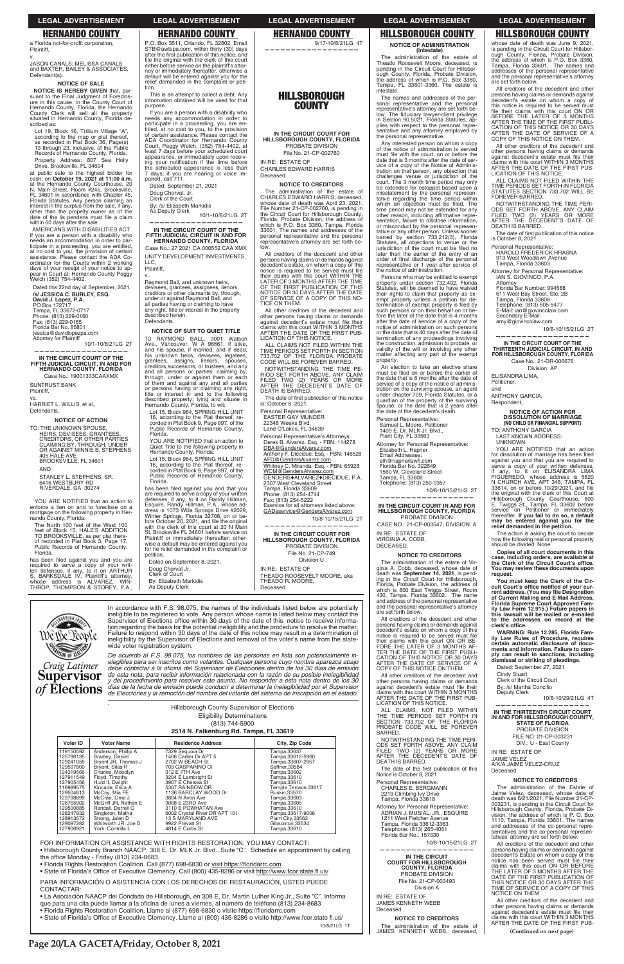## **HERNANDO COUNTY**

a Florida not-for-profit corporation Plaintiff,

JASON CANALS; MELISSA CANALS<br>and BAXTER, BAILEY & ASSOCIATES, Defendant(s).

#### **NOTICE OF SALE**

NOTICE IS HEREBY GIVEN that, pur-**NOTICE IS HENEBY GIVEN that, pur-**<br>suant to the Final Judgment of Foreclos-<br>ure in this cause, in the County Court of Hernando County, Florida, the Hernando<br>County Clerk will sell all the property<br>situated in Hernando County, Florida described as:

Lot 19, Block 16, Trillium Village "A",<br>according to the map or plat thereof,<br>as recorded in Plat Book 36, Page(s) 13 through 23, inclusive, of the Public<br>Records of Hernando County, Florida. Property Address: 807 Sea Holly<br>Drive, Brooksville, FL 34604

at public sale to the highest bidder for cash, on October 19, 2021 at 11:00 a.m. at the Hernando County Courthouse, 20<br>N. Main Street, Room #245, Brooksville, FL 34601 in accordance with Chapter 45,<br>Forida Statutes. Any person claiming an interest in the surplus from the sale, if any, where than the propelty owner as of the<br>date of the lis pendens must file a claim<br>within 60 days after the sale.

AMERICANS WITH DISABILITIES ACT If you are a person with a disability who<br>needs an accommodation in order to participate in a proceeding, you are entitled, at no cost to you, the provision of certain<br>assistance. Please contact the ADA Co-<br>ordinator for the Courts within 2 working days of your receipt of your notice to appear in Court at: Hernando County Peggy<br>Welch (352) 754-4402.

Dated this 22nd day of September, 2021. /s/ JESSICA C. BURLEY, ESQ. David J. Lopez, P.A.<br>PO Box 172717 Tampa, FL 33672-0717<br>Phone: (813) 229-0160<br>Fax: (813) 229-0165 Florida Bar No. 85801 jessica@davidlopezpa.com<br>Attorney for Plaintiff 10/1-10/8/21LG 2T

IN THE CIRCUIT COURT OF THE TH JUDICIAL CIRCUIT, IN AND FOR<br>TH JUDICIAL CIRCUIT, IN AND FOR<br>HERNANDO COUNTY, FLORIDA **FIFTH** 

Case No.: 19001333CAAXMX

**SUNTRUST BANK** Plaintiff,

HARRIET L. WILLIS, et al., Defendants.

**NOTICE OF ACTION** 

TO: THE UNKNOWN SPOUSE, HEIRS, DEVISEES, GRANTEES,<br>CREDITORS, OR OTHER PARTIES<br>CLAIMING BY, THROUGH, UNDER, OR AGAINST MINNIE B. STEPHENS 405 HALE AVE<br>BROOKSVILLE, FL 34601 **AND** 

STANLEY L. STEPHENS, SR.<br>6416 WESTBURY RD RIVERDALE, GA 30274

YOU ARE NOTIFIED that an action to enforce a lien on and to foreclose on a<br>mortgage on the following property in Hernando County, Florida:

The North 100 feet of the West 100 feet of Block 15, HALE'S ADDITION<br>TO BROOKSVILLE, as per plat there-<br>of recorded in Plat Book 3, Page 17, Public Records of Hernando County Florida

rionua.<br>
has been filed against you and you are<br>
required to serve a copy of your writ-<br>
ten defenses, if any, to it on ARTHUR<br>
S. BARKSDALE IV, Plaintiff's attorney,<br>
whose address is ALVAREZ, WINwhose address is ALVAREZ, WIN-<br>THROP, THOMPSON & STOREY, P.A.,

### **LEGAL ADVERTISEMENT**

## **HERNANDO COUNTY**

P.O. Box 3511, Orlando, FL 32802, Email STB@awtspa.com, within thirty (30) days<br>after the first publication of this notice, and file the original with the clerk of this court either before service on the plaintiff's attorney or immediately thereafter; otherwise a default will be entered against you for the<br>relief demanded in the complaint or petition.

This is an attempt to collect a debt. Any information obtained will be used for that purpose.

If you are a person with a disability who ri you are a personnodation in order to<br>participate in a proceeding, you are en-<br>titled, at no cost to you, to the provision<br>of certain assistance. Please contact the ADA Coordinator for Hernando County Court, Peggy Welch, (352) 754-4402, at<br>least 7 days before your scheduled court appearance, or immediately upon receiving your notification if the time before the scheduled appearance is less than 7 days; if you are hearing or voice im-<br>paired, call 711.

Dated: September 21, 2021

Doug Chorvat, Jr.

Clerk of the Court

By: /s/ Elizabeth Markidis As Deputy Clerk

10/1-10/8/21LG 2T

#### IN THE CIRCUIT COURT OF THE FIFTH JUDICIAL CIRCUIT IN AND FOR HERNANDO COUNTY, FLORIDA

Case No.: 27 2021 CA 000552 CAA XMX **UNITY DEVELOPMENT INVESTMENTS** LLC, Plaintiff.

Raymond Ball, and unknown heirs. devisees, grantees, assignees, lienors,<br>creditors or other claimants by, through, under or against Raymond Ball, and<br>all parties having or claiming to have<br>any right, title or interest in the property described herein, Defendants.

#### NOTICE OF SUIT TO QUIET TITLE

TO: RAYMOND BALL, 3001 Watson<br>Ave., Vancouver, W A 98661, if alive,<br>and his spouse, if married, and if dead, his unknown heirs, devisees, legatees,<br>grantees, assigns, lienors, spouses, creditors, successors, or trustees, and any and all persons or parties, claiming by,<br>through, under or against them or each of them and against any and all parties or persons having or claiming any right,<br>title or interest in and to the following described property, lying and situate in<br>Hernando County, Florida, to wit:

Lot 15, Block 984, SPRING HILL UNIT Eq. is the Plat thereof, re-<br>corded in Plat Book 9, Page 997, of the<br>Public Records of Hernando County, Florida

YOU ARE NOTIFIED that an action to Quiet Title to the following property in Hernando County, Florida

Lot 15, Block 984, SPRING HILL UNIT 16, according to the Plat thereof, re-<br>corded in Plat Book 9, Page 997, of the<br>Public Records of Hernando County, Florida.

has been filed against you and that you has been filed against you and that you<br>are required to serve a copy of your written<br>defenses, if any, to it on Randy Hillman,<br>Esquire, Randy Hillman, P.A., whose ad-<br>dress is 1073 Willa Springs Drive #2029,<br>Winter Springs with the clerk of this court at 20 N Main<br>St, Brooksville FL 34601 before service on Plaintiff or immediately thereafter; otherwise a default may be entered against you for he relief demanded in the complaint or petition

Dated on September 8, 2021. Doug Chorvat Jr.<br>Clerk of Court By: Elizabeth Markidis

As Deputy Clerk

# **ROROUGH** Wê Be Leonle Craig Latimer **Supervisor**

In accordance with F.S. 98.075, the names of the individuals listed below are potentially in eligible to be registered to vote. Any person whose name is listed below may contact the<br>Supervisor of Elections office within 30 days of the date of this notice to receive informa-<br>tion regarding the basis for the pote Failure to respond within 30 days of the date of this notice may result in a determination of<br>ineligibility by the Supervisor of Elections and removal of the voter's name from the statewide voter registration system.

De acuerdo al F.S. 98.075, los nombres de las personas en lista son potencialmente in-<br>elegibles para ser inscritos como votantes. Cualquier persona cuyo nombre aparezca abajo debe contactar a la oficina del Supervisor de Elecciones dentro de los 30 días de emisión de esta nota, para recibir información relacionada con la razón de su posible inelegibilidad<br>y del procedimiento para resolver este asunto. No responder a esta nota dentro de los 30 of Elections días de la fecha de emision puede conquert a determinar la mercylementa per el estado. días de la fecha de emisión puede conducir a determinar la inelegibilidad por el Supervisor

Hillsborough County Supervisor of Elections

### **LEGAL ADVERTISEMENT**

**HERNANDO COUNTY** 

9/17-10/8/21LG 4T

## **HILLSBOROUGH COUNTY**

IN THE CIRCUIT COURT FOR HILLSBOROUGH COUNTY, FLORIDA PROBATE DIVISION File No. 21-CP-002760

IN RE- ESTATE OF CHARLES EDWARD HARRIS

Deceased

### **NOTICE TO CREDITORS**

The administration of the estate of CHARLES EDWARD HARRIS, deceased, CHANCES EDWARD HARRIS, deceased,<br>whose date of death was April 23, 2021;<br>File Number 21-CP-002760, is pending in the Circuit Court for Hillsborough County,<br>Florida, Probate Division, the address of which is P.O. Box 3360, Tampa, Florida 33601. The names and addresses of the<br>personal representative and the personal representative's attorney are set forth below

All creditors of the decedent and other All creditors of the decedent and other<br>persons having claims or demands against<br>decedent's estate, on whom a copy of this source is required to be served must file<br>their claims with this court WITHIN THE<br>LATER OF 3 MONTHS AFTER THE TIME OF THE FIRST PUBLICATION OF THIS<br>NOTICE OR 30 DAYS AFTER THE DATE<br>OF SERVICE OF A COPY OF THIS NO-TICE ON THEM

All other creditors of the decedent and other persons having claims or demands<br>against decedent's estate must file their Glaims with this court WITHIN 3 MONTHS<br>AFTER THE DATE OF THE FIRST PUB-<br>LICATION OF THIS NOTICE.

ALL CLAIMS NOT FILED WITHIN THE TIME PERIODS SET FORTH IN SECTION<br>733.702 OF THE FLORIDA PROBATE<br>CODE WILL BE FOREVER BARRED.

NOTWITHSTANDING THE TIME PE-NOT SET FORTH ABOVE, ANY CLAIM<br>FILED TWO (2) YEARS OR MORE<br>AFTER THE DECEDENT'S DATE OF DEATH IS BARRED.

The date of first publication of this notice<br>is: October 8, 2021.

Personal Representative: EASTER GAY MUNDER 22348 Weeks Blvd. Land O'Lakes, FL 34639 Personal Representative's Attorneys Derek B. Alvarez, Esq. - FBN: 114278 DBA@GendersAlvarez.com Anthony F. Diecidue, Esq. - FBN: 146528 AFD@GendersAlvarez.com<br>Whitney C. Miranda, Esq. - FBN: 65928

WCM@GendersAlvarez.com<br>GENDERS+ALVAREZ+DIECIDUE, P.A.

2307 West Cleveland Street<br>Tampa, Florida 33609<br>Phone: (813) 254-4744 Fax: (813) 254-5222

rvice for all attorneys listed above: GADeservice@GendersAlvarez.com

10/8-10/15/21LG 2T

IN THE CIRCUIT COURT FOR HILLSBOROUGH COUNTY, FLORIDA<br>PROBATE DIVISION File No. 21-CP-749

Division U

IN RE: ESTATE OF THEADO ROOSEVELT MOORE, aka THEADO R. MOORE, Deceased

**HILLSBOROUGH COUNTY** 

**LEGAL ADVERTISEMENT** 

**NOTICE OF ADMINISTRATION** (intestate)

The administration of the estate of The dammistration of the estate of<br>Theado Roosevelt Moore, deceased, is<br>pending in the Circuit Court for Hillsborough County, Florida, Probate Division<br>the address of which is P.O. Box 3360 Tampa, FL 33601-3360. The estate is intestate.

The names and addresses of the personal representative and the personal<br>representative's attorney are set forth be-.<br>onal lepresentative 3 attentivy and sociological<br>low. The fiduciary lawyer-client privilege<br>in Section 90.5021, Florida Statutes, applies with respect to the personal representative and any attorney employed by the personal representative.

Any interested person on whom a copy of the notice of administration is served must file with the court, on or before the date that is 3 months after the date of service of a copy of the Notice of Adminisfration on that person, any objection that<br>challenges venue or jurisdiction of the<br>court. The 3 month time period may only be extended for estoppel based upon a<br>misstatement by the personal representative regarding the time period within<br>which an objection must be filed. The time period may not be extended for any other reason, including affirmative repre-<br>sentation, failure to disclose information, or misconduct by the personal represenor misconauct by the personal represen-<br>tative or any other person. Unless sooner<br>bared by section 733.212(3), Florida<br>Statutes, all objections to venue or the<br>jurisdiction of the court must be filed no later than the earlier of the entry of an order of final discharge of the personal representative or 1 year after service of<br>the notice of administration.

Persons who may be entitled to exempt property under section 732.402, Florida<br>Statutes, will be deemed to have waived their rights to claim that property as ex-<br>empt property unless a petition for determination of exempt property is filed by<br>termination of exempt property is filed by<br>such persons or on their behalf on or before the later of the date that is 4 months after the date of service of a copy of the notice of administration on such persons or the date that is 40 days after the date of termination of any proceedings involving<br>the construction, admission to probate, or validity of the will or involving any other matter affecting any part of the exempt property.

An election to take an elective share must be filed on or before the earlier of<br>the date that is 6 months after the date of service of a copy of the notice of administration on the surviving spouse, an agent under chapter 709, Florida Statutes, or a guardian of the property of the surviving<br>spouse; or the date that is 2 years after the date of the decedent's death.

Personal Representative: Samuel L. Moore, Petitioner<br>1409 E. Dr. MLK Jr. Blvd., Plant City, FL 33563

Attorney for Personal Representative: Elizabeth L. Hapner Email Addresses elh@hapnerlawfl.com<br>Florida Bar No. 322849 1560 W. Cleveland Street

Tampa, FL 33606 Telephone: (813) 250-0357

10/8-10/15/21LG 2T

#### IN THE CIRCUIT COURT IN AND FOR **HILLSBOROUGH COUNTY, FLORIDA** PROBATE DIVISION

CASE NO.: 21-CP-003547; DIVISION: A IN RE: ESTATE OF VIRGINIA A. COBB.

DECEASED.

### **NOTICE TO CREDITORS**

The administration of the estate of Virginia A. Cobb, deceased, whose date of death was September 14, 2021, is pending in the Circuit Court for Hillsborough Florida. Probate Division, the address of which is 800 East Twiggs Street, Room<br>430, Tampa, Florida 33602. The name and address of the personal representative and the personal representative's attorney are set forth below.

All creditors of the decedent and other Presons having claims or demands against<br>decedent's estate on whom a copy of this<br>notice is required to be served must file Figure is required to be served must<br>their claims with this court ON OR BE-<br>FORE THE LATER OF THE FIRST PUBLI-<br>CATION OF THIS NOTICE OR 30 DAYS<br>AFTER THE DATE OF SERVICE OF A COPY OF THIS NOTICE ON THEM.

All other creditors of the decedent and other persons having claims or demands<br>against decedent's estate must file their<br>claims with this court WITHIN 3 MONTHS<br>AFTER THE DATE OF THE FIRST PUB-LICATION OF THIS NOTICE.<br>LICATION OF THIS NOTICE.<br>ALL CLAIMS, NOT FILED WITHIN

**LEGAL ADVERTISEMENT HILLSBOROUGH COUNTY** 

whose date of death was June 9, 2021,<br>is pending in the Circuit Court for Hillsboris perioring in the Gricult Court for Hillsborough County, Florida, Probate Division, the address of which is P.O. Box 3360, Tampa, Florida 33601. The names and addresses of the personal representative and the personal representative's attorney are set forth below.

All creditors of the decedent and other persons having claims or demands against decedent's estate on whom a copy of<br>this notice is required to be served must this notice is required to be served must<br>file their claims with this court ON OR<br>BEFORE THE LATER OF 3 MONTHS<br>AFTER THE TIME OF THE FIRST PUBLI-<br>CATION OF THIS NOTICE OR 30 DAYS<br>AFTER THE DATE OF SERVICE OF A<br>COPY OF THIS

All other creditors of the decedent and An other creations of the decedent and<br>other persons having claims or demands<br>against decedent's estate must file their<br>claims with this court WITHIN 3 MONTHS<br>AFTER THE DATE OF THE FIRST PUB-<br>LICATION OF THIS NOTICE.

ALL CLAIMS NOT FILED WITHIN THE<br>TIME PERIODS SET FORTH IN FLORIDA<br>STATUTES SECTION 733.702 WILL BE FOREVER BARRED.

NOTWITHSTANDING THE TIME PERI-NOT THE DECEDENT AND CLAIM<br>FILED TWO (2) YEARS OR MORE<br>AFTER THE DECEDENT'S DATE OF DEATH IS BARRED.

The date of first publication of this notice is October 8, 2021.

Personal Representative:

HAROLD FREDERICK HRASNA<br>913 West Woodlawn Avenue Tampa, Florida 33603

Attorney for Personal Representative: IAN S. GIOVINCO, P.A.

Attorney<br>Florida Bar Number: 994588 611 West Bay Street, Ste. 2B<br>Tampa, Florida 33606<br>Telephone: (813) 505-5477 E-Mail: ian@giovincolaw.com<br>Secondary E-Mail: amy@giovincolaw.com

10/8-10/15/21LG 2T

IN THE CIRCUIT COURT OF THE<br>THIRTEENTH JUDICIAL CIRCUIT, IN AND FOR HILLSBOROUGH COUNTY, FLORIDA Case No.: 21-DR-006676 Division: AP

**NOTICE OF ACTION FOR<br>DISSOLUTION OF MARRIAGE<br>(NO CHILD OR FINANCIAL SUPPORT)** 

YOU ARE NOTIFIED that an action

for dissolution of marriage has been filed

against you and that you are required to

serve a copy of your written defenses,<br>if any, to it on ELISANDRA LIMA<br>FIGUEREDO, whose address is 5820<br>N CHURCH AVE, APT 346, TAMPA, FL<br>33614, on or before 10/29/2021, and file

33614, on or better to very expect the original with the clerk of this Court at Hillsborough County Courthouse, 800 E. Twiggs St., Tampa, FL 33602 before series where the prediction of the prediction of the prediction of t

may be entered against you for the<br>relief demanded in the petition.

how the following real or personal property

should be divided: None

clerk's office.

**Cindy Stuart** 

The action is asking the court to decide

Copies of all court documents in this

case, including orders, are available at<br>the Clerk of the Circuit Court's office.

You may review these documents upon<br>request.

Formation and the neutrino of the control of your current address. (You may file Designation<br>of Current Mailing and E-Mail Address,<br>Florida Supreme Court Approved Family Law Form 12.915.) Future papers in<br>this lawsuit will

this lawsuit will be mailed or e-mailed

to the addresses on record at the

WARNING: Rule 12.285, Florida Family Law Rules of Procedure, requires<br>certain automatic disclosure of docu-

ments and information. Failure to com-<br>ply can result in sanctions, including

dismissal or striking of pleadings.

Dated: September 27, 2021

Clerk of the Circuit Court

By: /s/ Martha Concilio Deputy Clerk

You must keep the Clerk of the Cir-

ELISANDRA LIMA. Petitioner,

**ANTHONY GARCIA,** 

TO: ANTHONY GARCIA

LAST KNOWN ADDRESS:<br>UNKNOWN

Respondent,

and

**Eligibility Determinations** 

(813) 744-5900

2514 N. Falkenburg Rd. Tampa, FL 33619

| Voter ID  | <b>Voter Name</b>    | <b>Residence Address</b>      | City, Zip Code       |
|-----------|----------------------|-------------------------------|----------------------|
| 119150592 | Anderson, Phillip A  | 7329 Seguoia Dr               | Tampa,33637          |
| 125796135 | Bradley, Daniel      | 1406 Cartier Dr APT 5         | Tampa, 33612-5960    |
| 129241056 | Bryant JR, Thomas J  | 2702 W BEACH St               | Tampa.33607-2957     |
| 129507800 | Brvant, Silas R      | 703 GASPARINO Ct              | Seffner.33584        |
| 124319566 | Charles, Moodlyn     | 312 E 7TH Ave                 | Tampa,33602          |
| 127911549 | Flovd. Timothy       | 3204 E Lambright St           | Tampa.33610          |
| 127905456 | Hurd II, Dwight      | 3907 E Chelsea St             | Tampa, 33610         |
| 116989575 | Kincade, Erica A     | 5307 RAINBOW DR               | Temple Terrace.33617 |
| 129504613 | McCov. Mia FE        | 1136 BARCLAY WOOD Dr          | <b>Ruskin.33570</b>  |
| 123798899 | McCrae, Oma J        | 3804 N Avon Ave               | Tampa,33603          |
| 126765902 | McGriff JR. Nathan E | 3008 E 23RD Ave               | Tampa, 33605         |
| 129500885 | Randall, Darrell O   | 3110 E POWHATAN Ave           | Tampa, 33610         |
| 128247932 | Singleton, Matha     | 6002 Crystal River DR APT 101 | Tampa.33617-9006     |
| 128913572 | Strong, Jalen D      | 13 S MARYLAND AVE             | Plant City, 33563    |
| 129097282 | Whitworth JR. Joe D  | 9922 Prevatt St               | Gibsonton.33534      |
| 127906921 | York. Contrilla L    | 4814 E Curtis St              | Tampa,33610          |

FOR INFORMATION OR ASSISTANCE WITH RIGHTS RESTORATION, YOU MAY CONTACT:

. Hillsborough County Branch NAACP, 308 E. Dr. MLK Jr. Blvd., Suite "C". Schedule an appointment by calling the office Monday - Friday (813) 234-8683.

- · Florida Rights Restoration Coalition. Call (877) 698-6830 or visit https://floridarrc.com
- State of Florida's Office of Executive Clemency. Call (800) 435-8286 or visit http://www.fcor.state.fl.us/

PARA INFORMACIÓN O ASISTENCIA CON LOS DERECHOS DE RESTAURACIÓN, USTED PUEDE CONTACTAR:

• La Asociación NAACP del Condado de Hillsborough, en 308 E, Dr. Martin Luther King Jr., Suite "C". Informa que para una cita puede llamar a la oficina de lunes a viernes, al número de teléfono (813) 234-8683

- Florida Rights Restoration Coalition, Llame al (877) 698-6830 o visite https://floridarrc.com
- State of Florida's Office of Executive Clemency. Llame al (800) 435-8286 o visite http://www.fcor.state fl.us/

10/8/21LG 1T

ALL CLAIMS, NOT FILED WITHING<br>SECTION 733.702 OF THE FLORIDA<br>PROBATE CODE WILL BE FOREVER **BARRED** 

DOWNTHSTANDING THE TIME PERI-<br>ODS SET FORTH ABOVE, ANY CLAIM<br>FILED TWO (2) YEARS OR MORE<br>AFTER THE DECEDENT'S DATE OF<br>DEATH IS BARRED.

The date of the first publication of this Notice is October 8, 2021

Personal Representative: CHARLES E. BERGMANN 2219 Climbing Ivy Drive<br>Tampa, Florida 33618 rive

Attorney for Personal Representative:<br>ADRIAN J. MUSIAL, JR., ESQUIRE 1211 West Fletcher Avenue Tampa, Florida 33612-3363 Telephone: (813) 265-4051 Florida Bar No.: 157330

10/8-10/15/21LG 2T

IN THE CIRCUIT **COURT FOR HILLSBOROUGH COUNTY, FLORIDA** PROBATE DIVISION File No. 21-CP-003493 Division A

IN RE: ESTATE OF JAMES KENNETH WEBB Deceased.

**NOTICE TO CREDITORS** The administration of the estate of<br>JAMES KENNETH WEBB, deceased,

IN THE THIRTEENTH CIRCUIT COURT IN AND FOR HILLSBOROUGH COUNTY,<br>STATE OF FLORIDA PROBATE DIVISION FILE NO: 21-CP-003231 DIV : U - Fast County

10/8-10/29/21LG 4T

IN RE: ESTATE OF JAIME VELEZ A/K/A JAIME VELEZ-CRUZ Deceased.

#### **NOTICE TO CREDITORS**

The administration of the Estate of Jaime Velez, deceased, whose date of<br>death was 6/21/2021, File Number 21-CPof 003231, is pending in the Circuit Court for<br>Hillsborough County, Florida, Probate Division, the address of which is P. O. Box 1110, Tampa, Florida 33601. The names<br>and addresses of the co-personal representatives and the co-personal representatives' attorney are set forth below.

All creditors of the decedent and other persons having claims or demands against<br>decedent's Estate on whom a copy of this notice has been served must file their Figure 188 been served into the the control of the LATER OF THE LATER OF THE FIRST PUBLICATION OF<br>THE LATER OF SMONTHS AFTER THE<br>DATE OF THE FIRST PUBLICATION OF<br>TIME OF SERVICE OF A COPY OF THIS<br>TIME OF SERVICE OF A COPY NOTICE ON THEM.

All other creditors of the decedent and other persons having claims or demands<br>against decedent's estate must file their other claims with this court WITHIN 3 MONTHS AFTER THE DATE OF THE FIRST PUB-

(Continued on next page)

Page 20/LA GACETA/Friday, October 8, 2021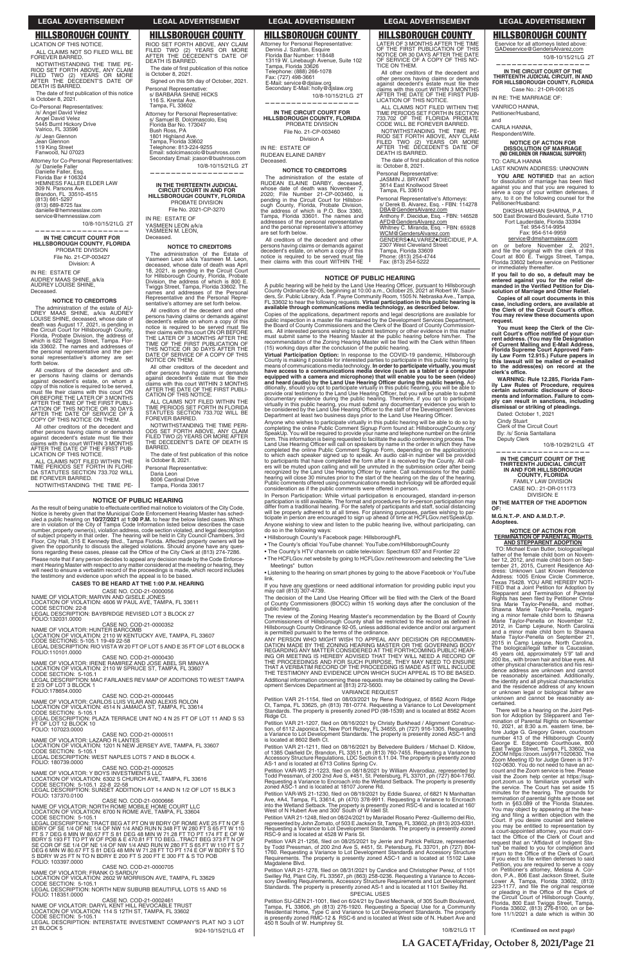### **NOTICE OF PUBLIC HEARING**

A public hearing will be held by the Land Use Hearing Officer, pursuant to Hillsborough<br>County Ordinance 92-05, beginning at 10:00 a.m., October 25, 2021 at Robert W. Saun-<br>ders, Sr. Public Library, Ada T. Payne Community

Copies of the applications, department reports and legal descriptions are available for<br>public inspection in a master file maintained by the Development Services Department, the Board of County Commissioners and the Clerk of the Board of County Commissioners.<br>The Board of County Commissioners and the Clerk of the Board of County Commissioners.<br>All interested persons wishing to submit testimony

Virtual Participation Option: In response to the COVID-19 pandemic, Virtual Participation Option: In response to the COVID-19 pandemic, Hillsborough<br>County is making it possible for interested parties to participate in this public hearing by<br>means of communications media technology. In ord

Anyone who wishes to participate virtually in this public hearing will be able to do so by completing the online Public Comment Signup Form found at: Hillsbrorough.Courty.org/<br>SpeakUp. You will be required to provide your ers will be muted upon calling and will be unmuted in the submission order after being<br>recognized by the Land Use Hearing Officer by name. Call submissions for the public<br>hearing will close 30 minutes prior to the start of

In Person Participation: While virtual participation is encouraged, standard in-person<br>participation is still available. The format and procedures for in-person participation may<br>differ from a traditional hearing. For the Anyone wishing to view and listen to the public hearing live, without participating, can do so in the following ways:

- · Hillsborough County's Facebook page: HillsboroughFL
- The County's official YouTube channel: YouTube.com/HillsboroughCounty
- The County's HTV channels on cable television: Spectrum 637 and Frontier 22 The HCFLGov.net website by going to HCFLGov.net/newsroom and selecting the "Live"

Meetings" button • Listening to the hearing on smart phones by going to the above Facebook or YouTube

link. If you have any questions or need additional information for providing public input you<br>may call (813) 307-4739.

The decision of the Land Use Hearing Officer will be filed with the Clerk of the Board<br>of County Commissioners (BOCC) within 15 working days after the conclusion of the public hearing.

The review of the Zoning Hearing Master's recommendation by the Board of County<br>Commissioners of Hillsborough County shall be restricted to the record as defined in<br>Hillsborough County Ordinance 92-05, unless additional ev is permitted pursuant to the terms of the ordinance.

ANY PERSON WHO MIGHT WISH TO APPEAL ANY DECISION OR RECOMMEN-<br>DATION MADE BY THE ZONING HEARING MASTER OR THE GOVERNING BODY<br>REGARDING ANY MATTER CONSIDERED AT THE FORTHCOMING PUBLIC HEAR-ING OR MEETING IS HEREBY ADVISED THAT THEY WILL NEED A RECORD OF<br>THE PROCEEDINGS AND FOR SUCH PURPOSE, THEY MAY NEED TO ENSURE<br>THAT A VERBATIM RECORD OF THE PROCEEDING IS MADE AS IT WILL INCLUDE THE TESTIMONY AND EVIDENCE UPON WHICH SUCH APPEAL IS TO BE BASED. Additional information concerning these requests may be obtained by calling the Devel-<br>opment Services Department at (813) 272-5600.

### VARIANCE REQUEST

Petition VAR 21-1154, filed on 08/03/2021 by Rene Rodriguez, of 8562 Acorn Ridge Ct, Tampa, FL 33625, ph (813) 781-0774. Requesting a Variance to Lot Development<br>Standards. The property is presently zoned PD (98-1539) and is located at 8562 Acorn Ridge Ct. Petition VAR 21-1207, filed on 08/16/2021 by Christy Burkhead / Alignment Construc-<br>tion, of 6112 Japonica Ct, New Port Richey, FL 34655, ph (727) 916-1305. Requesting<br>a Variance to Lot Development Standards. The property Petition VAR 21-1211, filed on 08/16/2021 by Belvedere Builders / Michael D. Kildow,<br>of 1385 Oakfield Dr, Brandon, FL 33511, ph (813) 760-7455. Requesting a Variance to<br>Accessory Structure Regulations, LDC Section 6.11.04. Petition VAR-WS 21-1223, filed on 08/18/2021 by William Alvarodiaz, represented by<br>Todd Pressman, of 200 2nd Ave S, #451, St. Petersburg, FL 33701, ph (727) 804-1760.<br>Requesting a Variance to Encroach into the Wetland Setb Petition VAR-WS 21-1230, filed on 08/19/2021 by Eddie Suarez, of 6821 N Manhattan<br>Ave, #A4, Tampa, FL 33614, ph (470) 378-9911. Requesting a Variance to Encroach<br>into the Wetland Setback. The property is presently zoned RS Petition VAR 21-1248, filed on 08/24/2021 by Mariadel Rosario Perez - Guillermo del Rio, represented by John Zomato, of 503 E Jackson St, Tampa, FL 33602, ph (813) 203-6331.<br>Requesting a Variance to Lot Development Standards. The property is presently zoned<br>RSC-9 and is located at 4528 W Paris St. Petition VAR 21-1256, filed on 08/25/2021 by Jerrie and Patrick Pellizze, represented<br>by Todd Pressman, of 200 2nd Ave S, #451, St. Petersburg, FL 33701, ph (727) 804-<br>1760. Requesting a Variance to Lot Development Standar Magdalene Blvd. Petition VAR 21-1278, filed on 08/31/2021 by Candice and Christopher Perez, of 1101 Swilley Rd, Plant City, FL 33567, ph (863) 258-0236. Requesting a Variance to Accessory Dwelling Requirements, Accessory Structure Requirements and Lot Development<br>Standards. The property is presently zoned AS-1 and is loc

LATER OF 3 MONTHS AFTER THE TIME OF THE FIRST PUBLICATION OF THIS<br>NOTICE OR 30 DAYS AFTER THE DATE<br>OF SERVICE OF A COPY OF THIS NO-

All other creditors of the decedent and other persons having claims or demands<br>against decedent's estate must file their claims with this court WITHIN 3 MONTHS<br>AFTER THE DATE OF THE FIRST PUB-<br>LICATION OF THIS NOTICE. ALL CLAIMS NOT FILED WITHIN THE TIME PERIODS SET FORTH IN SECTION<br>733.702 OF THE FLORIDA PROBATE<br>CODE WILL BE FOREVER BARRED. NOTWITHSTANDING THE TIME PE-RIOD SET FORTH ABOVE, ANY CLAIM<br>FILED TWO (2) YEARS OR MORE<br>AFTER THE DECEDENT'S DATE OF

The date of first publication of this notice<br>is: October 8, 2021.

Personal Representative's Attorneys: s/ Derek B. Alvarez, Esq. - FBN: 114278

Anthony F. Diecidue, Esq. - FBN: 146528

Personal Representative: s/ BARBARA SHINE HICKS 116 S. Krental Ave. Tampa, FL 33602

Attorney for Personal Representative:<br>Dennis J. Szafran, Esquire<br>Florida Bar Number: 118448 13119 W. Linebaugh Avenue, Suite 102<br>Tampa, Florida 33626<br>Telephone: (888) 266-1078<br>Fax: (727) 498-3661 E-Mail: service@djslaw.org<br>Secondary E-Mail: holly@djslaw.org

Attorney for Personal Representative: s/ Samuel B. Dolcimascolo, Esq<br>Florida Bar No. 173047

Email: sdolcimascolo@bushross.com<br>Secondary Email: jcason@bushross.com

Bush Ross, PA 1801 Highland Ave.<br>Tampa, Florida 33602 Telephone: 813-224-9255

**—————————————————— IN THE THIRTEENTH JUDICIAL CIRCUIT COURT IN AND FOR HILLSBOROUGH COUNTY, FLORIDA** PROBATE DIVISION File No. 2021-CP-3270

IN RE: ESTATE OF YASMEEN LEON a/k/a YASMEEN M. LEON, Deceased.

**NOTICE TO CREDITORS** The administration of the Estate of Yasmeen Leon a/k/a Yasmeen M. Leon,<br>deceased, whose date of death was April

18, 2021, is pending in the Circuit Court<br>for Hillsborough County, Florida, Probate<br>Division, the address of which is 800 E.<br>Twiggs Street, Tampa, Florida 33602. The<br>names and addresses of the Personal<br>Representative and t

All creditors of the decedent and other<br>persons having claims or demands against<br>decedent's estate on whom a copy of this<br>notice is required to be served must file<br>their claims with this court ON OR BEFORE<br>TIME LATER OF 3

THIS NOTICE OR 30 DAYS AFTER THE<br>DATE OF SERVICE OF A COPY OF THIS<br>NOTICE ON THEM. All other creditors of the decedent and other persons having claims or demands<br>against decedent's estate must file their<br>claims with this court WITHIN 3 MONTHS AFTER THE DATE OF THE FIRST PUBLI-CATION OF THIS NOTICE. ALL CLAIMS NOT FILED WITHIN THE TIME PERIODS SET FORTH IN FLORIDA STATUTES SECTION 733.702 WILL BE<br>FOREVER BARRED.

NOTWITHSTANDING THE TIME PERI-<br>ODS SET FORTH ABOVE, ANY CLAIM<br>FILED TWO (2) YEARS OR MORE AFTER<br>THE DECEDENT'S DATE OF DEATH IS

The date of first publication of this notice

sentative's attorney are set forth below. All creditors of the decedent and

LICATION OF THIS NOTICE. ALL CLAIMS NOT SO FILED WILL BE FOREVER BARRED.

Co-Personal Representatives: /s/ Angel David Velez<br>Angel David Velez<br>5445 Burnt Hickory Drive Valrico, FL 33596 /s/ Jean Glennon Jean Glennon 119 King Street<br>Fanwood, NJ 07023

Attorney for Co-Personal Representatives: /s/ Danielle Faller Danielle Faller, Esq.<br>Florida Bar # 106324<br>HEMNESS FALLER ELDER LAW 309 N. Parsons Ave.<br>Brandon, FL 33510-4515<br>(813) 661-5297 (813) 689-8725 fax danielle@hemnesslaw.com service@hemnesslaw.com

**—————————————————— IN THE CIRCUIT COURT FOR HILLSBOROUGH COUNTY, FLORIDA** PROBATE DIVISION

File No. 21-CP-003427 Division: A

IN RE: ESTATE OF AUDREY MAAS SHINE, a/k/a AUDREY LOUISE SHINE, Deceased.

#### **NOTICE OF PUBLIC HEARING**

ALL CLAIMS NOT FILED WITHIN THE TIME PERIODS SET FORTH IN FLORI-<br>DA STATUTES SECTION 733.702 WILL<br>BE FOREVER BARRED. IN RE: ESTATE OF RUDEAN ELAINE DARBY Deceased

> Personal Representative: JASMIN J. BRYANT 3614 East Knollwood Street Tampa, FL 33610

#### **CASES TO BE HEARD AT THE 1:00 P.M. HEARING**

CASE NO. COD-21-0000056

NAME OF VIOLATOR: MARVIN AND GISELE JONES LOCATION OF VIOLATION: 4606 W PAUL AVE, TAMPA, FL 33611<br>CODE SECTION: 22-8 LEGAL DESCRIPTION: BAYBRIDGE REVISED LOT 3 BLOCK 27

FOLIO:132031.0000 CASE NO. COD-21-0000352 Whitney C. Miranda, Esq. - FBN: 65928 <u>WCM@GendersAlvarez.com</u><br>GENDERS♦ALVAREZ♦DIECIDUE, P.A.

DBA@GendersAlvarez.com

NAME OF VIOLATOR: HUNTER BARCOMB<br>LOCATION OF VIOLATION: 2110 W KENTUCKY AVE, TAMPA, FL 33607<br>CODE SECTIONS: 5-105.1 19-49 22-58 LEGAL DESCRIPTION: RIO VISTA W 20 FT OF LOT 5 AND E 35 FT OF LOT 6 BLOCK 8 AFD@GendersAlvarez.com

FOLIO:110101.0000

2307 West Cleveland Street<br>Tampa, Florida 33609<br>Phone: (813) 254-4744 Fax: (813) 254-5222

CASE NO. COD-21-0000430<br>LOCATION OF VIOLATION: 2110 W SPRUCE ST, TAMPA, FL 33607<br>CODE SECTION: 5-105.1<br>LEGAL DESCRIPTION: MAC FARLANES REV MAP OF ADDITIONS TO WEST TAMPA<br>LEGAL DESCRIPTION: MAC FARLANES REV MAP OF ADDITIONS E 2/3 OF LOT 3 BLC<br>FOLIO:178654.0000 2/3 OF LOT 3 BLOCK 1

CASE NO. COD-21-0000445 NAME OF VIOLATOR: CARLOS LUIS VILAR AND ALEXIS ROLON<br>LOCATION OF VIOLATION: 4514 N JAMAICA ST, TAMPA, FL 33614

RIOD SET FORTH ABOVE, ANY CLAIM FILED TWO (2) YEARS OR MORE<br>AFTER THE DECEDENT'S DATE OF

The date of first publication of this notice

Signed on this 5th day of October, 2021.

Eservice for all attorneys listed above:<br>GADeservice@GendersAlvarez.com 10/8-10/15/21LG 2T

Petitioner/Husband, and

LAST KNOWN ADDRESS: UNKNOWN YOU ARE NOTIFIED that an action for dissolution of marriage has been filed<br>against you and that you are required to serve a copy of your written defenses, if<br>any, to it on the following counsel for the<br>Petitioner/Husband:

DIKSHA MEHAN SHARNA, P.A. 500 East Broward Boulevard, Suite 1710<br>Fort Lauderdale, Florida 33394<br>Tel: 954-514-9954

Fax: 954-514-9959<br><u>service@dmsharmalaw.com</u>

on or before November 2, 2021,<br>and file the original with the clerk of this<br>Court at 800 E. Twiggs Street, Tampa,<br>Florida 33602 before service on Petitioner or immediately thereafter.

If you fail to do so, a default may be<br>entered against you for the relief de-<br>manded in the Verified Petition for Dis-<br>solution of Marriage and Other Relief.

Dated: October 1, 2021 Cindy Stuart Clerk of the Circuit Court By: /s/ Sonia Santallana

Deputy Clerk

**—————————————————— IN THE CIRCUIT COURT OF THE THIRTEENTH JUDICIAL CIRCUIT IN AND FOR HILLSBOROUGH COUNTY, FLORIDA** FAMILY LAW DIVISION CASE NO.: 21-DR-011173 DIVISION: E

6 **(Continued on next page)**

DEATH IS BARRED.

is October 8, 2021.

10/8-10/15/21LG 2T

BARRED.

is October 8, 2021. Personal Representative: Daria Leon 8006 Cardinal Drive Tampa, Florida 33617

As the result of being unable to effectuate certified mail notice to violators of the City Code,<br>Notice is hereby given that the Municipal Code Enforcement Hearing Master has sched-<br>uled a public hearing on **10/27/2021** at number, property owner(s), violation address, code section violated, and legal description<br>of subject property in that order. The hearing will be held in City Council Chambers, 3rd<br>Floor, City Hall, 315 E Kennedy Blvd., Ta

Please note that if any person decides to appeal any decision made by the Code Enforce-<br>ment Hearing Master with respect to any matter considered at the meeting or hearing, they<br>will need to ensure a verbatim record of the

NOTWITHSTANDING THE TIME PE-RIOD SET FORTH ABOVE, ANY CLAIM<br>FILED TWO (2) YEARS OR MORE<br>AFTER THE DECEDENT'S DATE OF DEATH IS BARRED.

The date of first publication of this notice<br>is October 8, 2021.

10/8-10/15/21LG 2T

#### **NOTICE TO CREDITORS**

The administration of the estate of AU-<br>DREY MAAS SHINE, a/k/a AUDREY<br>LOUISE SHINE, deceased, whose date of death was August 17, 2021, is pending in<br>the Circuit Court for Hillsborough County,<br>Florida, Probate Division, the address of which is 622 Twiggs Street, Tampa. Flor-<br>ida 33602. The names and addresses of<br>the personal representative and the personal representative's attorney are set forth below.

All creditors of the decedent and oth-<br>er persons having claims or demands<br>against decedent's estate, on whom a copy of this notice is required to be served,<br>must file their claims with this court ON<br>OR BEFORE THE LATER OF 3 MONTHS<br>AFTER THE TIME OF THE FIRST PUBLI-<br>CATION OF THIS NOTICE OR 30 DAYS<br>AFTER THE DATE OF SERVICE OF TAL<br>C

All other creditors of the decedent and<br>other persons having claims or demands against decedent's estate must file their claims with this court WITHIN 3 MONTHS<br>AFTER THE DATE OF THE FIRST PUB-<br>LICATION OF THIS NOTICE.

NOTWITHSTANDING THE TIME PE-

 10/8-10/15/21LG 2T **—————————————————— IN THE CIRCUIT COURT FOR** 

**HILLSBOROUGH COUNTY, FLORIDA** PROBATE DIVISION File No. 21-CP-003460 Division A

### **NOTICE TO CREDITORS**

The administration of the estate of RUDEAN ELAINE DARBY, deceased,<br>whose date of death was November 7,<br>2020; File Number 21-CP-003460, is pending in the Circuit Court for Hillsbor-<br>ough County, Florida, Probate Division,<br>the address of which is P.O. Box 3360, Tampa, Florida 33601. The names and<br>addresses of the personal representative<br>and the personal representative's attorney are set forth below.

All creditors of the decedent and other<br>persons having claims or demands against<br>decedent's estate, on whom a copy of this notice is required to be served must file<br>their claims with this court WITHIN THE TICE ON THEM.

DEATH IS BARRED.

**——————————————————**

**IN THE CIRCUIT COURT OF THE THIRTEENTH JUDICIAL CIRCUIT, IN AND FOR HILLSBOROUGH COUNTY, FLORIDA**

Case No.: 21-DR-006125 IN RE: THE MARRIAGE OF:

VANRICO HANNA,

CARLA HANNA, Respondent/Wife.

# **NOTICE OF ACTION FOR DISSOLUTION OF MARRIAGE (NO CHILDREN OR FINANCIAL SUPPORT)**

TO: CARLA HANNA

**Copies of all court documents in this**   $\overline{\phantom{a}}$  case, including orders, are available at<br>the Clerk of the Circuit Court's office. **You may review these documents upon request.**

You must keep the Clerk of the Circuit Court's office notified of your cur-<br>rent address. (You may file Designation<br>of Current Mailing and E-Mail Address,<br>Florida Supreme Court Approved Fam-<br>ily Law Form 12.915.) Future pa **this lawsuit will be mailed or e-mailed to the address(es) on record at the**  clerk's office.

**WARNING: Rule 12.285, Florida Fam-ily Law Rules of Procedure, requires certain automatic disclosure of documents and information. Failure to com-ply can result in sanctions, including dismissal or striking of pleadings.**

10/8-10/29/21LG 4T

**IN THE MATTER OF THE ADOPTION OF:** 

**M.G.N.T.-P. AND A.M.D.T.-P. Adoptees.**

## **NOTICE OF ACTION FOR TERMINATION OF PARENTAL RIGHTS AND STEPPARENT ADOPTION**

TO: Michael Evan Butler, biological/legal<br>father of the female child born on Novem-<br>ber 12, 2012, and male child born on Sep-<br>tember 21, 2015, Current Residence Adtember 21, 2015, Current Residence Ad-<br>dress: Unknown Last Known Residence<br>Address: 1005 Enlow Circle Commerce,<br>Texas 75428. YOU ARE HEREBY NOTI-<br>FIED that a Joint Pettition for Adoption by<br>Stepparent and Termination of Pa Marie Taylor-Penella on September 21,<br>2015 in Camp Lejeune, North Carolina.<br>The biological/legal father is Caucasian,<br>45 years old, approximately 5'9" tall and<br>200 lbs., with brown hair and blue eyes. All other physical characteristics and his other physical characteristics and his resi-<br>dence address are unknown and cannot<br>be reasonably ascertained. Additionally,<br>the identity and all physical characteristics<br>and the residence address of any known<br>or unknown leg unknown and cannot be reasonably as-<br>certained.

There will be a hearing on the Joint Petition for Adoption by Stepparent and Terminiation of Parental Rights on November<br>10, 2021, at 8:30 a.m. eastern time, before Judge G. Gregory Green, courtroom<br>10, 2021, at 8:30 a.m. George E. Edgecomb Courthouse, 800<br>East Twiggs Street, Tampa, FL 33602, via<br>ZOOM https://zoom.us/j/9171020630. The Zoom Meeting ID for Judge Green is 917-<br>102-0630. You do not need to have an ac-<br>count and the Zoom service is free. Please visit the Zoom help center at https://sup-<br>port.zoom.us to familiarize yourself with<br>the service. The Court has set aside 15 minutes for the hearing. The grounds for<br>termination of parental rights are those set<br>forth in §63.089 of the Florida Statutes. You may object by appearing at the hear-<br>ing and filing a written objection with the<br>Court. If you desire counsel and believe you may be entitled to representation by<br>a court-appointed attorney, you must con-<br>tact the Office of the Clerk of Court and request that an "Affidavit of Indigent Sta-<br>tus" be mailed to you for completion and<br>return to the Office of the Clerk of Court. If you elect to file written defenses to said<br>Petition, you are required to serve a copy<br>on Petitioner's attorney, Melissa A. Coron Petitioner's attorney, Melissa A. Cor-<br>don, P.A., 806 East Jackson Street, Suite<br>Lower A, Tampa, Florida 33602, (813)<br>223-1177, and file the original response or pleading in the Office of the Clerk of<br>the Circuit Court of Hillsborough County,<br>Florida, 800 East Twiggs Street, Tampa, Florida 33602, (813) 276-8100, on or be-<br>fore 11/1/2021 a date which is within 30

CODE SECTION: 5-105.1<br>LEGAL DESCRIPTION: PLAZA TERRACE UNIT NO 4 N 25 FT OF LOT 11 AND S 53<br>FT OF LOT 12 BLOCK 10

FOLIO: 107023.0000<br>CASE NO. COD-21-0000511<br>NAME OF VIOLATOR: LAZARO R LANTES LOCATION OF VIOLATION: 1201 N NEW JERSEY AVE, TAMPA, FL 33607<br>CODE SECTION: 5-105.1<br>LEGAL DESCRIPTION: WEST NAPLES LOTS 7 AND 8 BLOCK 4.

FOLIO: 180739.0000

CASE NO. COD-21-0000525<br>NAME OF VIOLATOR: Y BOYS INVESTMENTS LLC

LOCATION OF VIOLATION: 6302 S CHURCH AVE, TAMPA, FL 33616<br>CODE SECTION: 5-105.1 22-8 22-58<br>LEGAL DESCRIPTION: SUNSET ADDITION LOT 14 AND N 1/2 OF LOT 15 BLK 3

FOLIO: 137370.0100<br>
NAME OF VIOLATOR: NORTH ROME MOBILE HOME COURT LLC<br>
LOCATION OF VIOLATION: 6700 N ROME AVE, TAMPA, FL 33604<br>
CODE SECTION: 5-105.1<br>
LEGAL DESCRIPTION: TRACT BEG AT PT ON W BDRY OF ROME AVE 25 FT N OF S<br>

FOLIO: 103397.0000<br>NAME OF VIOLATOR: FRANK O SARDUY<br>LOCATION OF VIOLATION: 2602 W MORRISON AVE, TAMPA, FL 33629<br>CODE SECTION: 5-105.1<br>LEGAL DESCRIPTION: NORTH NEW SUBURB BEAUTIFUL LOTS 15 AND 16

FOLIO: 118351.0000

CASE NO. COD-21-0002461<br>NAME OF VIOLATOR: DARYL KENT HILL REVOCABLE TRUST LOCATION OF VIOLATION: 114 S 12TH ST, TAMPA, FL 33602<br>CODE SECTION: 5-105.1<br>LEGAL DESCRIPTION: INTERSTATE INVESTMENT COMPANY'S PLAT NO 3 LOT

21 BLOCK 9/24-10/15/21LG 4T

#### SPECIAL USES

Petition SU-GEN 21-1001, filed on 6/24/21 by David Mechanik, of 305 South Boulevard, Tampa, FL 33606, ph (813) 276-1920. Requesting a Special Use for a Community Residential Home, Type C and Variance to Lot Development Standards. The property is presently zoned RMC-12 & RSC-6 and is located at West side of 450 ft South of W. Humphrey St.

10/8/21LG 1T

### **LEGAL ADVERTISEMENT LEGAL ADVERTISEMENT LEGAL ADVERTISEMENT LEGAL ADVERTISEMENT LEGAL ADVERTISEMENT**

**LA GACETA/Friday, October 8, 2021/Page 21**

## **HILLSBOROUGH COUNTY HILLSBOROUGH COUNTY HILLSBOROUGH COUNTY HILLSBOROUGH COUNTY HILLSBOROUGH COUNTY**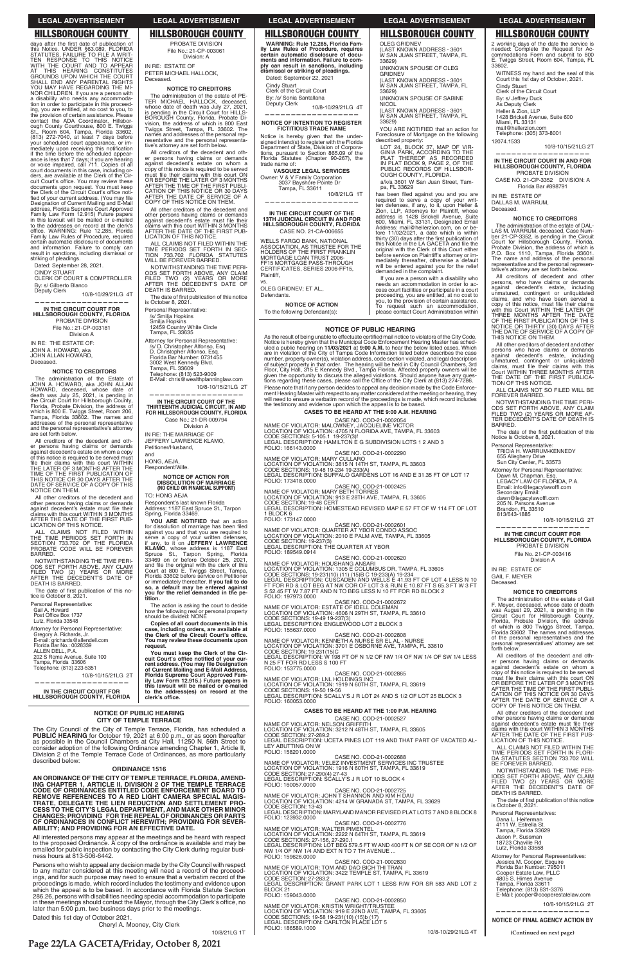## **HILLSBOROUGH COUNTY**

days after the first date of publication of days and the first date of publication<br>this Notice. UNDER §63.089, FLORIDA<br>STATUTES, FAILURE TO FILE A WRIT-<br>TEN RESPONSE TO THIS NOTICE VITH THE COURT AND TO APPEAR<br>AT THIS HEARING CONSTITUTES<br>GROUNDS UPON WHICH THE COURT GHOUNDS UPON WHICH THE COURT<br>SHALL END ANY PARENTAL RIGHTS<br>YOU MAY HAVE REGARDING THE MINOR CHILDREN. If you are a person with<br>a disability who needs any accommoda-<br>tion in order to participate in this proceeding, you are entitled, at no cost to you to Ing, you are entitied, at no cost to you, to<br>the provision of certain assistance. Please<br>contact the ADA Coordinator, Hillsbor-<br>ough County Courthouse, 800 E. Twiggs<br>St., Room 604, Tampa, Florida 33602,<br>(813) 272-7040, at vour scheduled court appearance, or imyou somewhere count appearance is less that 7 days; if you are hearing<br>if the time before the scheduled appearance is less that 7 days; if you are hearing or voice impaired, call 711. Copies of all<br>court documents in this case, including orders, are available at the Clerk of the Cirdiate available of the Ultimate of the Ultimate Court's office. You may review these<br>documents upon request. You must keep<br>the Clerk of the Circuit Court's office notithe Glenk of the Gircuit Court's office hou-<br>fied of your current address. (You may file<br>Designation of Current Mailing and E-Mail address. Florida Supreme Court Approved Family Law Form 12.915) Future papers<br>in this lawsuit will be mailed or e-mailed to the addresses on record at the clerk's office. WARNING: Rule 12.285, Florida<br>Family Law Rules of Procedure, required certain automatic disclosure of documents and information. Failure to comply can<br>result in sanctions, including dismissal or striking of pleadings.

Dated: September 28, 2021.

**CINDY STUART** 

CLERK OF COURT & COMPTROLLER By: s/ Gilberto Blanco

Deputy Clerk 10/8-10/29/21LG 4T

IN THE CIRCUIT COURT FOR<br>HILLSBOROUGH COUNTY, FLORIDA PROBATE DIVISION File No.: 21-CP-003181 Division A

IN RE: THE ESTATE OF: JOHN A. HOWARD, aka JOHN ALLAN HOWARD Deceased.

#### **NOTICE TO CREDITORS**

The administration of the Estate of<br>JOHN A. HOWARD, aka JOHN ALLAN<br>HOWARD, deceased, whose date of<br>death was July 25, 2021, is pending in the Circuit Court for Hillsborough County,<br>Florida, Probate Division, the address of which is 800 E. Twiggs Street, Room 206,<br>Tampa, Florida 33602. The names and<br>addresses of the personal representative and the personal representative's attorney are set forth below.

All creditors of the decedent and other persons having claims or demands against decedent's estate on whom a copy against account is predicted to be served must<br>file their claims with this court WITHIN<br>THE LATER OF 3 MONTHS AFTER THE TIME OF THE FIRST PUBLICATION OF<br>THIS NOTICE OR 30 DAYS AFTER THE<br>DATE OF SERVICE OF A COPY OF THIS NOTICE ON THEM.

All other creditors of the decedent and<br>other persons having claims or demands against decedent's estate must file their Glaims with this court WITHIN 3 MONTHS<br>AFTER THE DATE OF THE FIRST PUB-<br>LICATION OF THIS NOTICE.

ALL CLAIMS NOT FILED WITHIN<br>THE TIME PERIODS SET FORTH IN<br>SECTION 733.702 OF THE FLORIDA<br>PROBATE CODE WILL BE FOREVER BARRED.

NOTWITHSTANDING THE TIME PERI-NOTIFIED TWO (2) YEARS OR MORE<br>FILED TWO (2) YEARS OR MORE<br>AFTER THE DECEDENT'S DATE OF DEATH IS BARRED.

The date of first publication of this notice is October 8, 2021. Personal Representative: Gail A. Howard Digital A. Froward<br>Post Office Box 1737 Lutz, Florida 33548

Attorney for Personal Representative: Gregory A. Richards, Jr.<br>E-mail: grichards@allendell.com<br>Florida Bar No.: 0028339

ALLEN DELL, P.A.<br>202 S Rome Avenue, Suite 100 Tampa, Florida 33606 Telephone: (813) 223-5351

10/8-10/15/21LG 2T

IN THE CIRCUIT COURT FOR HILLSBOROUGH COUNTY, FLORIDA

### **LEGAL ADVERTISEMENT**

**HILLSBOROUGH COUNTY** 

PROBATE DIVISION

File No : 21-CP-003061

Division: A

**NOTICE TO CREDITORS** 

The administration of the estate of PE-<br>TER MICHAEL HALLOCK, deceased,

whose date of death was July 27, 2021,<br>is pending in the Circuit Court for HILLS-<br>BOROUGH County, Florida, Probate Di-

vision, the address of which is 800 East Twiggs Street, Tampa, FL 33602. The<br>names and addresses of the personal rep-

resentative and the personal representa-

All creditors of the decedent and other<br>persons having claims or demands<br>against decedent's estate on whom a

explorate the state of the served<br>must file their claims with this court ON<br>OR BEFORE THE LATER OF 3 MONTHS

OF BETOIRE THE TIME OF THE FIRST PUBLI-<br>CATION OF THIS NOTICE OR 30 DAYS<br>AFTER THE DATE OF SERVICE OF A<br>COPY OF THIS NOTICE ON THEM.

All other creditors of the decedent and<br>other persons having claims or demands

against decedent's estate must file their diams with this court WITHIN 3 MONTHS<br>AFTER THE DATE OF THE FIRST PUB-<br>LICATION OF THIS NOTICE.

ALL CLAIMS NOT FILED WITHIN THE

TIME PERIODS SET FORTH IN SECTION 733.702 FLORIDA STATUTES<br>WILL BE FOREVER BARRED.

NOTWITHSTANDING THE TIME PERI-

ODS SET FORTH ABOVE, ANY CLAIM<br>FILED TWO (2) YEARS OR MORE<br>AFTER THE DECEDENT'S DATE OF

The date of first publication of this notice<br>is October 8, 2021.

**DEATH IS BARRED.** 

Personal Representative:

Tampa, FL 33635

/s/ Smilja Hopkins<br>Smilja Hopkins<br>12459 Country White Circle

Attorney for Personal Representative:

E-Mail: chris@wealthplanninglaw.com

IN THE CIRCUIT COURT OF THE

THIRTEENTH JUDICIAL CIRCUIT, IN AND<br>FOR HILLSBOROUGH COUNTY, FLORIDA

Case No.: 21-DR-009794

Division A

**NOTICE OF ACTION FOR<br>DISSOLUTION OF MARRIAGE<br>(NO CHILD OR FINANCIAL SUPPORT)** 

Respondent's last known Florida<br>Address: 1187 East Spruce St., Tarpon<br>Spring, Florida 33469.

YOU ARE NOTIFIED that an action for dissolution of marriage has been filed<br>against you and that you are required to

serve a copy of your written defenses,<br>if any, to it on **JEFFERY LAWRENCE**<br>KLAMO, whose address is 1187 East

**NET CONSECTED STATES SET TO THE STATE STATES SPACE STATES SPACE STATE COUNT OF STATE COUNT ASSECT COUNT OF SPACE SPACE SPACE SPACE SPACE SPACE SPACE SPACE SPACE SPACE SPACE SPACE SPACE SPACE SPACE SPACE SPACE SPACE SPACE** 

so, a default may be entered against<br>you for the relief demanded in the pe-

The action is asking the court to decide

Copies of all court documents in this

case, including orders, are available at<br>the Clerk of the Circuit Court's office.

You may review these documents upon

You must keep the Clerk of the Cir-

how the following real or personal property<br>should be divided: NONE

10/8-10/15/21LG 2T

/s/ D. Christopher Alfonso, Esq.<br>D. Christopher Alfonso, Esq.

Florida Bar Number: 0731455

3002 West Kennedy Blvd. 3002 west Kennedy Bivd.<br>Tampa, FL 33609<br>Telephone: (813) 523-9009

IN RE: THE MARRIAGE OF

Petitioner/Husband,

Respondent/Wife.

TO: HONG AF.IA

HONG, AEJA

and

you fo<br>tition.

request.

JEFFERY LAWRENCE KLAMO.

tive's attorney are set forth below

IN RE: ESTATE OF

Deceased

PETER MICHAEL HALLOCK,

# **LEGAL ADVERTISEMENT**

**HILLSBOROUGH COUNTY** WARNING: Rule 12.285. Florida Family Law Rules of Procedure, requires<br>certain automatic disclosure of documents and information. Failure to comply can result in sanctions, including<br>dismissal or striking of pleadings. Dated: September 22, 2021

Cindy Stuart<br>Clerk of the Circuit Court

By: /s/ Sonia Santallana Deputy Clerk

10/8-10/29/21LG 4T

#### NOTICE OF INTENTION TO REGISTER **FICTITIOUS TRADE NAME**

Notice is hereby given that the under-<br>signed intend(s) to register with the Florida<br>Department of State, Division of Corpora-Department of State, Division of Copporations, pursuant to Section 865.09 of the<br>Florida Statutes (Chapter 90-267), the trade name of VASQUEZ LEGAL SERVICES

Owner: V & V Family Corporation<br>3037 Bayshore Pointe Dr Tampa, FL 33611 10/8/21LG 1T

IN THE CIRCUIT COURT OF THE 13TH JUDICIAL CIRCUIT IN AND FOR<br>HILLSBOROUGH COUNTY, FLORIDA CASE NO. 21-CA-006655

**WELLS FARGO BANK, NATIONAL** ASSOCIATION. AS TRUSTEE FOR THE HOLDERS OF THE FIRST FRANKLIN<br>MORTGAGE LOAN TRUST 2006-<br>FF15 MORTGAGE PASS-THROUGH CERTIFICATES, SERIES 2006-FF15, Plaintiff.

VS. OLEG GRIDNEV; ET AL., Defendants.

**NOTICE OF ACTION** To the following Defendant(s):

### **LEGAL ADVERTISEMENT**

## **HILLSBOROUGH COUNTY OLEG GRIDNEV** (LAST KNOWN ADDRESS - 3601<br>W SAN JUAN STREET, TAMPA, FL

33629) UNKNOWN SPOUSE OF OLEG

GRIDNEV (LAST KNOWN ADDRESS - 3601 W SAN JUAN STREET, TAMPA. FL  $33629$ 

UNKNOWN SPOUSE OF SABINE **NICOL** 

(LAST KNOWN ADDRESS - 3601<br>W SAN JUAN STREET, TAMPA, FL 33629)

YOU ARE NOTIFIED that an action for Foreclosure of Mortgage on the following described property:

LOT 24, BLOCK 37, MAP OF VIR-GINIA PARK, ACCORDING TO THE<br>PLAT THEREOF AS RECORDED<br>IN PLAT BOOK 9, PAGE 2, OF THE PUBLIC RECORDS OF HILLSBOR OUGH COUNTY, FLORIDA.

a/k/a 3601 W San Juan Street, Tam pa, FL 33629

has been filed against you and you are required to serve a copy of your writ-<br>ten defenses, if any, to it, upon Heller & Zion, LLP, Attorneys for Plaintiff, whose<br>address is 1428 Brickell Avenue, Suite<br>600, Miami, FL 33131, Designated Email<br>Address: mail@hellerzion.com, on or before 11/02/2021, a date which is within<br>thirty (30) days after the first publication of this Notice in the LA GACETA and file the original with the Clerk of this Court either<br>before service on Plaintiff's attorney or immediately thereafter, otherwise a default will be entered against you for the relief<br>demanded in the complaint.

If you are a person with a disability who needs an accommodation in order to access court facilities or participate in a court<br>proceeding, you are entitled, at no cost to you, to the provision of certain assistance.<br>To request such an according request To request such an accommodation,<br>please contact Court Administration within

#### **NOTICE OF PUBLIC HEARING**

As the result of being unable to effectuate certified mail notice to violators of the City Code,<br>Notice is hereby given that the Municipal Code Enforcement Hearing Master has sched-<br>uled a public hearing on 11/03/2021 at 9 are in violation of the City of Tampa Code Information listed below describes the case<br>number, property owner(s), violation address, code section violated, and legal description<br>of subject property in that order. The heari Floor, City Hall, 315 E Kennedy Blvd., Tampa Florida. Affected property owners will be<br>given the opportunity to discuss the alleged violations. Should anyone have any ques-<br>tions regarding these cases, please call the Offi Please note that if any person decides to appeal any decision made by the Code Enforcerease note that in any person technology and any decision made by the course of the meeting of hearing. They will need to ensure a verbatim record of the proceedings is made, which record includes will need to ensure a ver

## **CASES TO BE HEARD AT THE 9:00 A.M. HEARING**

CASE NO. COD-21-0002054<br>
LOCATION OF VIOLATION: ATOS NETCHE VICTOR<br>
CODE SECTIONS: 5-105.1 19-237(3)f<br>
CODE SECTIONS: 5-105.1 19-237(3)f<br>
LEGAL DESCRIPTION: HAMILTON E G SUBDIVISION LOTS 1 2 AND 3 FOLIO: 166143.0000

CASE NO. COD-21-0002290<br>NAME OF VIOLATOR: MARY CULLARO

LOCATION OF VIOLATION: 3815 N 14TH ST, TAMPA, FL 33603<br>CODE SECTIONS: 19-48 19-234 19-233(A)<br>LEGAL DESCRIPTION: BUFFALO GARDENS LOT 16 AND E 31.35 FT OF LOT 17 FOLIO: 173418.0000

CASE NO. COD-21-0002425<br>NAME OF VIOLATOR: MARY BETH TORRES

LOCATION OF VIOLATION: 913 E 28TH AVE, TAMPA, FL 33605<br>CODE SECTION: 19-48 CERT<br>LEGAL DESCRIPTION: HOMESTEAD REVISED MAP E 57 FT OF W 114 FT OF LOT

1 BLOCK 6 FOLIO: 173147.0000

CASE NO. COD-21-0002601 NAME OF VIOLATOR: QUARTER AT YBOR CONDO ASSOC<br>LOCATION OF VIOLATION: 2010 E PALM AVE, TAMPA, FL 33605<br>CODE SECTION: 19-237(3)<br>CODE SECTION: 19-237(3) LEGAL DESCRIPTION: THE QUARTER AT YBOR FOLIO: 189549.0914

### CASE NO. COD-21-0002620

NAME OF VIOLATOR: HOUSHANG ANSARI<br>LOCATION OF VIOLATION: 1305 E COLUMBUS DR, TAMPA, FL 33605<br>CODE SECTIONS: 19-231(10) (11) (15)B C 19-233(A) 19-234<br>LEGAL DESCRIPTION: CUSCADEN AND WELLS E 41.93 FT OF LOT 4 LESS N 10<br>FT FO FOLIO: 197973.0000

CASE NO. COD-21-0002672<br>NAME OF VIOLATOR: ESTATE OF IDELL COLEMAN LOCATION OF VIOLATION: 4606 N 29TH ST, TAMPA, FL 33610<br>CODE SECTIONS: 19-49 19-237(3)<br>LEGAL DESCRIPTION: ENGLEWOOD LOT 2 BLOCK 3 FOLIO: 155637.0000

CASE NO. COD-21-0002808<br>NAME OF VIOLATOR: KENNETH A NURSE SR EL AL - NURSE LOCATION OF VIOLATION: 3701 E OSBORNE AVE, TAMPA, FL 33610<br>CODE SECTION: 19-231(15)C<br>LEGAL DESCRIPTION: W 198 FT OF N 1/2 OF NW 1/4 OF NW 1/4 OF SW 1/4 LESS N 25 FT FOR RD LESS S 100 FT

CASE NO. COD-21-0002865 NAME OF VIOLATOR: LNL HOLDINGS INC LOCATION OF VIOLATION: 1919 N 60TH ST, TAMPA, FL 33619<br>CODE SECTIONS: 19-50 19-56 LEGAL DESCRIPTION: SCALLY'S J R LOT 24 AND S 1/2 OF LOT 25 BLOCK 3 FOLIO: 160053.0000

# **HILLSBOROUGH COUNTY**

2 working days of the date the service is 2 working uays of the date the service is<br>commodations Form and submit to 800<br>E. Twiggs Street, Room 604, Tampa, FL 33602.

**LEGAL ADVERTISEMENT** 

WITNESS my hand and the seal of this Court this 1st day of October, 2021. Cindy Stuart Clerk of the Circuit Court By: s/ Jeffrey Duck<br>As Deputy Clerk Heller & Zion, LLP 1428 Brickell Avenue, Suite 600 Miami, FL 33131<br>mail@hellerzion.com

Telephone: (305) 373-8001 12074.1533

10/8-10/15/21LG 2T

IN THE CIRCUIT COURT IN AND FOR HILLSBOROUGH COUNTY, FLORIDA PROBATE DIVISION

CASE NO. 21-CP-3352 DIVISION: A Florida Bar #898791

IN RE: ESTATE OF DALLAS M. WARRUM, Deceased.

### **NOTICE TO CREDITORS**

The administration of the estate of DAL-LAS M. WARRUM, deceased, Case Num-Leo m. Virtuition, deceased, osses tuning<br>the 21-CP-3352, is pending in the Circuit<br>Court for Hillsborough County, Florida,<br>Probate Division, the address of which is<br>The name and address of the personal representative and the personal representative's attorney are set forth below.

All creditors of decedent and other persons, who have claims or demands explorer and of example and a contract to example and a contract to the contract of the contract of contract calms, and who have been served a copy of this notice, must file their claims<br>with this Court WITHIN THE LATER OF<br>THREE MONTHS AFTER THE DATE THE FIRST PUBLICATION OF THE<br>NOTICE OR THIRTY (30) DAYS AFTER<br>THE DATE OF SERVICE OF A COPY OF THIS NOTICE ON THEM.

All other creditors of decedent and other persons who have claims or demands processor different section in the state, including<br>unmattered, contingent or unliquidated<br>claims, must file their claims with this<br>Court WITHIN THREE MONTHS AFTER COUL WITHIN THREE MONTHS AFTER<br>THE DATE OF THE FIRST PUBLICA-<br>TION OF THIS NOTICE.

ALL CLAIMS NOT SO FILED WILL BE<br>FOREVER BARRED.

NOTWITHSTANDING THE TIME PERI-NOT THE TRIP ABOVE, ANY CLAIM<br>FILED TWO (2) YEARS OR MORE AFTER DECEDENT'S DATE OF DEATH IS BARRED.

The date of the first publication of this<br>Notice is October 8, 2021.

Personal Representative: TRICIA H. WARRUM-KENNEDY

655 Allegheny Drive<br>Sun City Center, FL 33573 Attorney for Personal Representative:

Dawn M. Chapman, Esg. LEGACY LAW OF FLORIDA, P.A. Email: info@legacylawoffl.com Secondary Email:

dawn@legacylawoffl.com<br>205 N. Parsons Avenue<br>Brandon, FL 33510

813/643-1885 10/8-10/15/21LG 2T

IN THE CIRCUIT COURT FOR HILLSBOROUGH COUNTY, FLORIDA PROBATE DIVISION

File No. 21-CP-003416 Division A

IN RE: ESTATE OF **GAIL F. MEYER** Deceased.

#### **NOTICE TO CREDITORS**

The administration of the estate of Gail The administration of the estate of Gall<br>F. Meyer, deceased, whose date of death<br>was August 29, 2021, is pending in the<br>Circuit Court for Hillsborough County,<br>Florida, Probate Division, the address of which is 800 Twiggs Street, Tampa,<br>Florida 33602. The names and addresses<br>of the personal representatives and the personal representatives' attorney are set forth below.

All creditors of the decedent and other<br>er persons having claims or demands<br>against decedent's estate on whom a<br>copy of this notice is required to be served<br>must file their claims with this court ON<br>ORBEFORE THE LATER OF 3 AFTER THE TIME OF THE FIRST PUBLI-AFTER THE TIME OF THE FIRST PUBLICATION OF THIS NOTICE OR 30 DAYS<br>AFTER THE DATE OF SERVICE OF A<br>COPY OF THIS NOTICE ON THEM. All other creditors of the decedent and<br>other persons having claims or demands against decedent's estate must file their Expansive contractors existe must me their<br>claims with this court WITHIN 3 MONTHS<br>AFTER THE DATE OF THE FIRST PUB-<br>LICATION OF THIS NOTICE. ALL CLAIMS NOT FILED WITHIN THE TIME PERIODS SET FORTH IN FLORID<br>DA STATUTES SECTION 733.702 WILL<br>BE FOREVER BARRED. NOTWITHSTANDING THE TIME PER-NOUS SET FORTH ABOVE, ANY CLAIM<br>FILED TWO (2) YEARS OR MORE<br>AFTER THE DECEDENT'S DATE OF DEATH IS BARRED. The date of first publication of this notice<br>is October 8, 2021. Personal Representatives: Dana L. Heiferman<br>4111 W. Estrella St.<br>Tampa, Florida 33629 Jason P. Sussman 18723 Chaville Rd<br>Lutz, Florida 33558 Attorney for Personal Representatives: Jessica M. Cooper, Esquire<br>Florida Bar Number: 795011 Cooper Estate Law PLLC 4805 S. Himes Avenue<br>Tampa, Florida 33611 Telephone: (813) 831-3376 E-Mail: jcooper@cooperestatelaw.com 10/8-10/15/21LG 2T **NOTICE OF FINAL AGENCY ACTION BY** (Continued on next page)

Form must keep the Currel of your current address. (You may file Designation<br>of Current Mailing and E-Mail Address,<br>Florida Supreme Court Approved Family Law Form 12.915.) Future papers in FOLIO: 153775.0000 this lawsuit will be mailed or e-mailed to the address(es) on record at the<br>clerk's office.

### **NOTICE OF PUBLIC HEARING CITY OF TEMPLE TERRACE**

The City Council of the City of Temple Terrace, Florida, has scheduled a **PUBLIC HEARING** for October 19, 2021 at 6:00 p.m., or as soon thereafter as possible in the Council Chambers at City Hall, 11250 N. 56th Street to consider adoption of the following Ordinance amending Chapter 1, Article II,<br>Division 2 of the Temple Terrace Code of Ordinances, as more particularly described below:

### **ORDINANCE 1516**

AN ORDINANCE OF THE CITY OF TEMPLE TERRACE. FLORIDA, AMEND-**ENDING CHAPTER 1, ARTICLE II, DIVISION 2 OF THE TEMPLE TERRACE<br>CODE OF ORDINANCES ENTITLED CODE ENFORCEMENT BOARD TO<br>REMOVE REFERENCES TO A RED LIGHT CAMERA SPECIAL MAGIS-**TRATE, DELEGATE THE LIEN REDUCTION AND SETTLEMENT PROCESS TO THE CITY'S LEGAL DEPARTMENT, AND MAKE OTHER MINOR CHANGES; PROVIDING FOR THE REPEAL OF ORDINANCES OR PARTS OF ORDINANCES IN CONFLICT HEREWITH; PROVIDING FOR SEVER-<br>ABILITY; AND PROVIDING FOR AN EFFECTIVE DATE.

All interested persons may appear at the meetings and be heard with respect to the proposed Ordinance. A copy of the ordinance is available and may be emailed for public inspection by contacting the City Clerk during regular business hours at 813-506-6442.

Persons who wish to appeal any decision made by the City Council with respect<br>to any matter considered at this meeting will need a record of the proceed-<br>ings, and for such purpose may need to ensure that a verbatim record which the appeal is to be based. In accordance with Florida Statute Section<br>286.26, persons with disabilities needing special accommodation to participate<br>in these meetings should contact the Mayor, through the City Clerk' later than 5:00 p.m. two business days prior to the meetings.

Dated this 1st day of October 2021.

Cheryl A. Mooney, City Clerk

CASES TO BE HEARD AT THE 1:00 P.M. HEARING

CASE NO. COD-21-0002527 UASE NU. COU-21-0002527<br>LOCATION OF VIOLATION: 3212 N 48TH ST, TAMPA, FL 33605<br>CODE SECTION: 27-289.2<br>LECAL DECON: 27-289.2 LEGAL DESCRIPTION: UCETA PINES LOT 119 AND THAT PART OF VACATED AL-LEY ABUTTING ON W<br>FOLIO: 158201.0000 CASE NO. COD-21-0002688<br>NAME OF VIOLATOR: VELEZ INVESTMENT SERVICES INC TRUSTEE<br>LOCATION OF VIOLATION: 1916 N 60TH ST, TAMPA, FL 33619 CODE SECTION: 27-290(4) 27-43<br>LEGAL DESCRIPTION: SCALLY'S J R LOT 10 BLOCK 4<br>FOLIO: 160057.0000 CASE NO. COD-21-0002725<br>NAME OF VIOLATOR: JOHN T SHANNON AND KIM H DAU<br>LOCATION OF VIOLATION: 4214 W GRANADA ST, TAMPA, FL 33629 CODE SECTION: 13-43<br>LEGAL DESCRIPTION: MARYLAND MANOR REVISED PLAT LOTS 7 AND 8 BLOCK 8<br>FOLIO: 123932.0000 FOLIO: 123932.0000<br>
NAME OF VIOLATOR: WALTER PIMENTEL<br>
LOCATION OF VIOLATOR: 2222 N 64TH ST, TAMPA, FL 33619<br>
CODE SECTIONS: 27-156, 27-290.1<br>
LEGAL DESCRIPTION: LOT BEG 579.5 FT W AND 400 FT N OF SE COR OF N 1/2 OF<br>
NW 1/ FOLIO: 159626.0000 CASE NO. COD-21-0002830<br>NAME OF VIOLATOR: TOM AND DAO BICH THI TRAN LOCATION OF VIOLATION: 3422 TEMPLE ST, TAMPA, FL 33619<br>CODE SECTION: 27-283.2<br>LEGAL DESCRIPTION: GRANT PARK LOT 1 LESS R/W FOR SR 583 AND LOT 2 BLOCK<sub>21</sub> FOLIO: 159043.0000 CASE NO. COD-21-0002850 NAME OF VIOLATOR: KRISTIN WRIGHT/TRUSTEE<br>LOCATION OF VIOLATION: 919 E 22ND AVE, TAMPA, FL 33605<br>CODE SECTIONS: 19-58 19-231(10) (15)b (17) LEGAL DESCRIPTION: CARLTON PLACE LOT 5 FOLIO: 186589.1000 10/8-10/29/21LG 4T

10/8/21LG 1T

Page 22/LA GACETA/Friday, October 8, 2021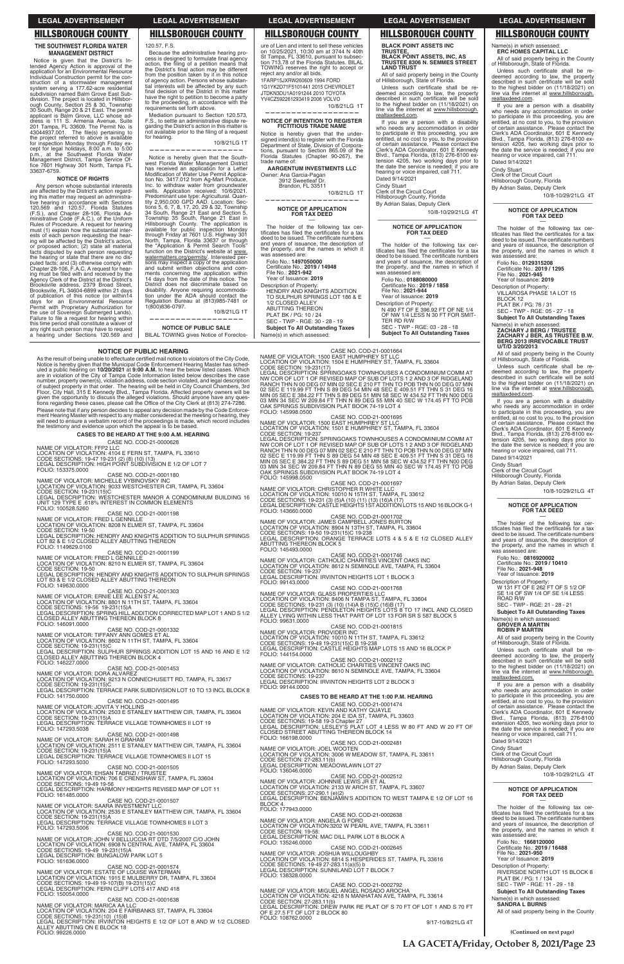### **NOTICE OF PUBLIC HEARING**

As the result of being unable to effectuate certified mail notice to violators of the City Code,<br>Notice is hereby given that the Municipal Code Enforcement Hearing Master has sched-Notice is hereby given that the Municipal Code Enforcement Hearing Master has sched-<br>uled a public hearing on **10/20/2021** at **9:00 A.M.** to hear the below listed cases. Which<br>are in violation of the City of Tampa Code Inf of subject property in that order. The hearing will be held in City Council Chambers, 3rd<br>Floor, City Hall, 315 E Kennedy Blvd., Tampa Florida. Affected property owners will be<br>given the opportunity to discuss the alleged given the opportunity to discuss the alleged violations. Should anyone have any ques-<br>tions regarding these cases, please call the Office of the City Clerk at (813) 274-7286. Please note that if any person decides to appeal any decision made by the Code Enforce-<br>ment Hearing Master with respect to any matter considered at the meeting or hearing, they<br>will need to ensure a verbatim record of the the testimony and evidence upon which the appeal is to be based.

### **CASES TO BE HEARD AT THE 9:00 A.M. HEARING** CASE NO. COD-21-0000628

NAME OF VIOLATOR: FFP2 LLC<br>LOCATION OF VIOLATION: 4104 E FERN ST, TAMPA, FL 33610<br>CODE SECTIONS: 19-47 19-231 (2) (8) (10) (13)<br>LEGAL DESCRIPTION: HIGH POINT SUBDIVISION E 1/2 OF LOT 7 FOLIO: 153375.0000

CASE NO. COD-21-0001180

NAME OF VIOLATOR: MICHELLE VYBINOVSKY INC

LOCATION OF VIOLATION: 9033 WESTCHESTER CIR, TAMPA, FL 33604<br>CODE SECTION: 19-231(15)C<br>LEGAL DESCRIPTION: WESTCHESTER MANOR A CONDOMINIUM BUILDING 16<br>UNIT 129 TYPE E .618% INTEREST IN COMMON ELEMENTS<br>FOLIO: 100528.5260

CASE NO. COD-21-0001198<br>LOCATION OF VIOLATION: 8208 NELLE<br>CODE SECTION: 19-50<br>LEGAL DESCRIPTION: HENDRY AND KNIGHTS ADDITION TO SULPHUR SPRINGS<br>LOT 82 & E 1/2 CLOSED ALLEY ABUTTING THEREON

## FOLIO: 1149629.0100

CASE NO. COD-21-0001199<br>NAME OF VIOLATOR: FRED L GENNILLE LOCATION OF VIOLATION: 8210 N ELMER ST, TAMPA, FL 33604<br>CODE SECTION: 19-50<br>LEGAL DESCRIPTION: HENDRY AND KNIGHTS ADDITION TO SULPHUR SPRINGS

LOT 83 & E 1/2 CLOSED ALLEY ABUTTING THEREON FOLIO: 149630.0000 CASE NO. COD-21-0001303

NAME OF VIOLATOR: ERNIE LEE ALLEN ST AL<br>LOCATION OF VIOLATION: 8801 N 11TH ST, TAMPA, FL 33604<br>CODE SECTIONS: 19-56 19-231(15)A

LEGAL DESCRIPTION: SPRING HILL ADDITION CORRECTED MAP LOT 1 AND S 1/2<br>CLOSED ALLEY ABUTTING THEREON BLOCK 8<br>FOLIO: 146091.0000

CASE NO. COD-21-0001332<br>NAME OF VIOLATOR: TIFFANY ANN GOMES ET AL<br>LOCATION OF VIOLATION: 8602 N 11TH ST, TAMPA, FL 33604 CODE SECTION: 19-231(15)C<br>LEGAL DESCRIPTION: SULPHUR SPRINGS ADDITION LOT 15 AND 16 AND E 1/2<br>CLOSED ALLEY ABUTTING THEREON BLOCK 4

FOLIO: 146227.0000

# CASE NO. COD-21-0001453<br>NAME OF VIOLATOR: DORA ALVAREZ

LOCATION OF VIOLATION: 9213 N CONNECHUSETT RD, TAMPA, FL 33617<br>CODE SECTION: 19-231(15)C<br>LEGAL DESCRIPTION: TERRACE PARK SUBDIVISION LOT 10 TO 13 INCL BLOCK 8 FOLIO: 141750.0000

CASE NO. COD-21-0001495<br>JOVITA Y HOLLINS NAME OF VIOLATOR:

Mediation pursuant to Section 120.573,<br>F.S., to settle an administrative dispute regarding the District's action in this matter is not available prior to the filing of a request for hearing. 10/8/21LG 1T

**NOTICE OF PUBLIC SALE** BILAL TOWING gives Notice of Foreclos-

ure of Lien and intent to sell these vehicles on 10/25/2021, 10:30 am at 3744 N 40th<br>St Tampa, FL 33610, pursuant to subsec-<br>tion 713.78 of the Florida Statutes. BILAL TOWING reserves the right to accept or<br>reject any and/or all bids. 1FARP15JXRW260609 1994 FORD 1G1YK2D71F5101441 2015 CHEVROLET JTDKN3DU1A0191244 2010 TOYOTA YV4CZ592261293419 2006 VOLVO 10/8/21LG 1T

**AARGENTUM INVESTMENTS LLC**  Owner: Ana Garcia-Pagan<br>.3912 Sweetleaf Dr Brandon, FL 33511

–– The holder of the following tax cer-<br>tificates has filed the certificates for a tax<br>deed to be issued. The certificate numbers<br>and years of issuance, the description of the property, and the names in which it<br>was assessed are: Folio No.: **1497050000**<br>Certificate No.: **2019 / 14948**<br>File No.: **2021-942** 

Year of Issuance: 2019

Description of Property: HENDRY AND KNIGHTS ADDITION

## **CASES TO BE HEARD AT THE 1:00 P.M. HEARING**

CASE NO. COD-21-0001474

If you are a person with a disability who needs any accommodation in order<br>to participate in this proceeding, you are entitled, at no cost to you, to the provision<br>of certain assistance. Please contact the<br>Clerk's ADA Coordinator, 601 E Kennedy Blvd., Tampa Florida, (813) 276-8100 ex-<br>tension 4205, two working days prior to<br>the date the service is needed; if you are hearing or voice impaired, call 711. Dated 9/14/2021

Cindy Stuart<br>Clerk of the Circuit Court<br>Hillsborough County, Florida

By Adrian Salas, Deputy Clerk 10/8-10/29/21LG 4T Dated 9/14/2021 Cindy Stuart<br>Clerk of the Circuit Court Hillsborough County, Florida By Adrian Salas, Deputy Clerk

All of said property being in the County<br>of Hillsborough, State of Florida. Unless such certificate shall be redeemed according to law, the property<br>described in such certificate will be sold<br>to the highest bidder on (11/18/2021) on line via the internet at www.hillsborough.

If you are a person with a disability<br>who needs any accommodation in order<br>to participate in this proceeding, you are<br>entitled, at no cost to you, to the provision<br>of certain assistance. Please contact the<br>Clerk's ADA Coor

—————————————————— **NOTICE OF APPLICATION FOR TAX DEED** –– The holder of the following tax certificates has filed the certificates for a tax deed to be issued. The certificate numbers and years of issuance, the description of<br>the property, and the names in which it<br>was assessed are:

Folio No.: **0129315208** Certificate No.: **2019 / 1295**<br>File No.: **2021-945** Year of Issuance: 2019 Description of Property:

PLAT BK / PG: 76 / 31 SEC - TWP - RGE: 05 - 27 - 18 **Subject To All Outstanding Taxes**

Name(s) in which assessed:

**(Continued on next page)**

#### **THE SOUTHWEST FLORIDA WATER MANAGEMENT DISTRICT**

Notice is given that the District's Intended Agency Action is approval of the application for an Environmental Resource Individual Construction permit for the con-<br>struction of a stormwater management<br>system serving a 177.62-acre residential<br>subdivision named Balm Grove East Sub-<br>division. The project is located in Hillsborough County, Section 25 & 30, Township<br>30 South, Range 20 & 21 East. The permit<br>applicant is Balm Grove, LLC whose address is 111 S. Armenia Avenue, Suite<br>201 Tampa, FL 33609. The Permit No. is<br>43044937.001. The file(s) pe for inspection Monday through Friday ex-<br>cept for legal holidays, 8:00 a.m. to 5:00 p.m., at the Southwest Florida Water<br>Management District, Tampa Service Of-<br>fice 7601 Highway 301 North, Tampa FL 33637-6759.

> Dated 9/14/2021 Cindy Stuart<br>Clerk of the Circuit Court Hillsborough County, Florida By Adrian Salas, Deputy Clerk

W 131 FT OF E 262 FT OF S 1/2 OF<br>SE 1/4 OF SW 1/4 OF SE 1/4 LESS<br>ROAD R/W SEC - TWP - RGE: 21 - 28 - 21 **Subject To All Outstanding Taxes**

All of said property being in the County<br>of Hillsborough, State of Florida.

Unless such certificate shall be re-<br>deemed according to law, the property<br>described in such certificate will be sold<br>to the highest bidder on (11/18/2021) on line via the internet at www.hillsborough.

If you are a person with a disability who needs any accommodation in order<br>to participate in this proceeding, you are

Folio No.: **0816920002**<br>Certificate No.: **2019 / 10410**<br>File No.: **2021-948**<br>Year of Issuance: **2019** 

Description of Property:

Name(s) in which assessed:<br>**GROVER A MARTIN ROBIN P MARTIN**

realtaxdeed.com.

#### **NOTICE OF RIGHTS**

Any person whose substantial interests<br>are affected by the District's action regarding this matter may request an administra-<br>tive hearing in accordance with Sections<br>120.569 and 120.57, Florida Statutes<br>(F.S.), and Chapter 28-106, Florida Administrative Code (F.A.C.), of the Uniform<br>Rules of Procedure. must (1) explain how the substantial interests of each person requesting the hear-<br>ing will be affected by the District's action, or proposed action; (2) state all material facts disputed by each person requesting<br>facts disputed by each person requesting<br>the hearing or state that there are no disputed facts; and (3) otherwise comply with<br>Chapter 28-106, F.A.C. A request for hear-<br>ing must be filed with and received by the Agency Clerk of the District at the District's Brooksville address, 2379 Broad Street,<br>Brooksville, FL 34604-6899 within 21 days of publication of this notice (or within14<br>days for an Environmental Resource<br>Permit with Proprietary Authorization for<br>the use of Sovereign Submerged Lands). Failure to file a request for hearing within<br>this time period shall constitute a waiver of any right such person may have to request a hearing under Sections 120.569 and

> The holder of the following tax cer-<br>tificates has filed the certificates for a tax<br>deed to be issued. The certificate numbers and years of issuance, the description of<br>the property, and the names in which it was assessed are:

Folio No.: **1668120000**  Certificate No.: **2019 / 16488**<br>File No.: **2021-950**<br>Year of Issuance: **2019** 

Description of Property: RIVERSIDE NORTH LOT 15 BLOCK 8 PLAT BK / PG: 1 / 134 SEC - TWP - RGE: 11 - 29 - 18

120.57, F.S.

Because the administrative hearing process is designed to formulate final agency<br>action, the filing of a petition means that the District's final action may be different<br>from the position taken by it in this notice<br>of agency action. Persons whose substantial interests will be affected by any such<br>final decision of the District in this matter<br>have the right to petition to become a party to the proceeding, in accordance with the<br>requirements set forth above.

**——————————————————**

Notice is hereby given that the South-<br>west Florida Water Management District has received an application for a Letter<br>Modification of Water Use Permit Applica-<br>tion No. 3417.012 from Ag-Mart Produce,<br>Inc. to withdraw water from groundwater<br>wells. Application received: 10/6/2021.<br>Predominant use typ tions 5, 6, 7, 8, 17, 20, 29 & 32, Township<br>34 South, Range 21 East and Section 5,<br>Township 35 South, Range 21 East in<br>Hillsborough County. The application is<br>available for public inspection Monday<br>through Friday at 7601 U function on the District's website at <u>www.</u><br>watermatters.org/permits/. Interested per-<br>sons may inspect a copy of the application<br>and submit written objections and com-<br>ments concerning the application within<br>14 days from District does not discriminate based on disability. Anyone requiring accommodation under the ADA should contact the<br>Regulation Bureau at (813)985-7481 or 1(800)836-0797.

 10/8/21LG 1T **——————————————————**

**—————————————————— NOTICE OF INTENTION TO REGISTER FICTITIOUS TRADE NAME**

Notice is hereby given that the under-<br>signed intend(s) to register with the Florida<br>Department of State, Division of Corpora-Department of State, Division of Corpora-<br>tions, pursuant to Section 865.09 of the<br>Florida Statutes (Chapter 90-267), the trade name of:

10/8/21LG 1T **——————————————————**

**NOTICE OF APPLICATION FOR TAX DEED**

TO SULPHUR SPRINGS LOT 186 & E 1/2 CLOSED ALLEY ABUTTING THEREON PLAT BK / PG: 10 / 24

SEC - TWP - RGE: 30 - 28 - 19 SEC - TWP - RGE: 30 - 28 - 19<br>**Subject To All Outstanding Taxes** 

Name(s) in which assessed:

CASE NO. COD-21-0001664<br>LOCATION OF VIOLATION: 1504 E HUMPHREY ST. ILC<br>LOCATION OF VIOLATION: 1504 E HUMPHREY ST. TAMPA, FL 33604<br>CODE SECTION: 19-231(17)<br>NW COR OF LOT 1 OF REVISED MAP OF SUB OF LOTS 1 2 AND 3 OF RIDGELAN

FOLIO: 145998.0500

FOLIO: 143660.0000

NAME OF VIOLATOR: JAMES CAMPBELL JONES BURTON<br>LOCATION OF VIOLATION: 8904 N 13TH ST, TAMPA, FL 33604<br>CODE SECTIONS: 19-50 19-231(15)C 19-238<br>LEGAL DESCRIPTION: ORANGE TERRACE LOTS 4 & 5 & E 1/2 CLOSED ALLEY<br>ABUTTING THEREO

FOLIO: 145493.0000

CASE NO. COD-21-0001746<br>NAME OF VIOLATOR: CATHOLIC CHARITIES VINCENT OAKS INC<br>LOCATION OF VIOLATION: 8612 N SEMINOLE AVE, TAMPA, FL 33604<br>CODE SECTION: 19-237<br>LEGAL DESCRIPTION: IRVINTON HEIGHTS LOT 1 BLOCK 3

FOLIO: 99143.0000 CASE NO. COD-21-0001768

NAME OF VIOLATOR: GLASS PROPERTIES LLC<br>LOCATION OF VIOLATION: 8406 N TAMPA ST, TAMPA, FL 33604<br>CODE SECTIONS: 19-231 (3) (10) (14)A B (15)C (16)B (17)<br>LEGAL DESCRIPTION: PENDLETON HEIGHTS LOTS 8 TO 17 INCL AND CLOSED<br>ALLEY FOLIO: 99631.0000

## CASE NO. COD-21-0001815

NAME OF VIOLATOR: PROVIDER INC<br>LOCATION OF VIOLATION: 10010 N 11TH ST, TAMPA, FL 33612<br>CODE SECTIONS: 19-49 19-231(15)C B 19-238<br>LEGAL DESCRIPTION: CASTLE HEIGHTS MAP LOTS 15 AND 16 BLOCK P FOLIO: 144154.0000

CASE NO. COD-21-0002112<br>NAME OF VIOLATOR: CATHOLIC CHARITIES VINCENT OAKS INC<br>LOCATION OF VIOLATION: 8610 N SEMINOLE AVE, TAMPA, FL 33604<br>CODE SECTIONS: 19-237<br>LEGAL DESCRIPTION: IRVINTON HEIGHTS LOT 2 BLOCK 3 FOLIO: 99144.0000

**BLACK POINT ASSETS INC TRUSTEE,** 

**BLACK POINT ASSETS, INC, AS TRUSTEE 8306 N. SEMMES STREET LAND TRUST**

Name(s) in which assessed:<br>**ERC HOMES CAPITAL LLC** 

realtaxdeed.com.

### ——————————————————

**NOTICE OF APPLICATION FOR TAX DEED**

–– The holder of the following tax cer-<br>tificates has filed the certificates for a tax<br>deed to be issued. The certificate numbers and years of issuance, the description of<br>the property, and the names in which it<br>was assessed are: Folio No.: **0188080000**

Certificate No.: **2019 / 1858**<br>File No.: **2021-944** Year of Issuance: 2019

Description of Property: N 490 FT OF E 396.92 FT OF NE 1/4<br>OF NW 1/4 LESS N 30 FT FOR SMIT-TER RD R/W SEC - TWP - RGE: 03 - 28 - 18

**Subject To All Outstanding Taxes**

CASE NO. COD-21-0001695<br>NAME OF VIOLATOR: 1500 EAST HUMPHREY ST LLC<br>LOCATION OF VIOLATION: 1501 E HUMPHREY ST, TAMPA, FL 33604

CODE SECTION: 19-237<br>LEGAL DESCRIPTION: SPRINGOAKS TOWNHOUSES A CONDOMINIUM COMM AT<br>LEGAL DESCRIPTION: SPRINGOAKS TOWNHOUSES A CONDOMINIUM COMM AT<br>RANCH THN N 00 DEG 07 MIN 02 SEC E 210 FT THN TO POB THN N 00 DEG 07 MIN<br>02

CASE NO. COD-21-0001697<br>LOCATION OF VIOLATION: CHRISTOPHER R WHITE LLC<br>CODE SECTIONS: 19-231 (3) (5)4 (10) 15TH ST, TAMPA, FL 33612<br>CODE SECTIONS: 19-231 (3) (5)A (10) (11) (13) (16)A (17)<br>LEGAL DESCRIPTION: CASTLE HEIGHTS

CASE NO. COD-21-0001702

LOCATION OF VIOLATION: 2503 E STANLEY MATTHEW CIR, TAMPA, FL 33604<br>CODE SECTION: 19-231(15)A<br>LEGAL DESCRIPTION: TERRACE VILLAGE TOWNHOMES II LOT 19 FOLIO: 147293.5038 CASE NO. COD-21-0001498<br>NAME OF VIOLATOR: SARAH H GRAHAM LOCATION OF VIOLATION: 2511 E STANLEY MATTHEW CIR, TAMPA, FL 33604<br>CODE SECTION: 19-231(15)A<br>LEGAL DESCRIPTION: TERRACE VILLAGE TOWNHOMES II LOT 15 FOLIO: 147293.5030 CASE NO. COD-21-0001505<br>NAME OF VIOLATOR: EHSAN TABRIZI / TRUSTEE LOCATION OF VIOLATION: 706 E CRENSHAW ST, TAMPA, FL 33604<br>CODE SECTIONS: 19-49 19-56<br>LEGAL DESCRIPTION: HARMONY HEIGHTS REVISED MAP OF LOT 11 FOLIO: 161485.0000 CASE NO. COD-21-0001507<br>NAME OF VIOLATOR: SAARA INVESTMENT LLC LOCATION OF VIOLATION: 2535 E STANLEY MATTHEW CIR, TAMPA, FL 33604<br>CODE SECTION: 19-231(15)A<br>LEGAL DESCRIPTION: TERRACE VILLAGE TOWNHOMES II LOT 3 FOLIO: 147293.5006 CASE NO. COD-21-0001530<br>NAME OF VIOLATOR: JOHN V BELLUCCIA RT DTD 7/5/2007 C/O JOHN LOCATION OF VIOLATION: 6908 N CENTRAL AVE, TAMPA, FL 33604<br>CODE SECTIONS: 19-49 19-231(15)A<br>LEGAL DESCRIPTION: BUNGALOW PARK LOT 5 FOLIO: 161636.0000 CASE NO. COD-21-0001574<br>NAME OF VIOLATOR: ESTATE OF LOUISE WATERMAN<br>LOCATION OF VIOLATION: 1915 E MULBERRY DR, TAMPA, FL 33604<br>CODE SECTIONS: 19-49 19-107(B) 19-231(15)C<br>LEGAL DESCRIPTION: FERN CLIFF LOTS 417 AND 418 FOLIO: 150054.0000 CASE NO. COD-21-0001638<br>NAME OF VIOLATOR: MARICA AA LLC<br>LOCATION OF VIOLATION: 204 E FAIRBANKS ST, TAMPA, FL 33604<br>CODE SECTIONS: 19-231(10) (15)B<br>LEGAL DESCRIPTION: IRVINTON HEIGHTS E 1/2 OF LOT 8 AND W 1/2 CLOSED ALLEY ABUTTING ON E BLOCK 18<br>FOLIO: 99226.0000

NAME OF VIOLATOR: KEVIN AND KATHY QUAYLE<br>LOCATION OF VIOLATION: 204 E IDA ST, TAMPA, FL 33603<br>CODE SECTIONS: 19-58 19-3 Chapter 27<br>LEGAL DESCRIPTION: LESLEY'S PLAT LOT 4 LESS W 80 FT AND W 20 FT OF %.15'&-564''6-#\$766+0)-6\*'4'10-\$.1%-- (1.N1-- %#5'-01-%1&- 0#/'-1(-8+1.#614-,1'.-9116'0- .1%#6+10-1(-8+1.#6+10--9-/'#&19-56-6#/2#-(.- %1&'-5'%6+10- D------- .')#.-&'5%4+26+10-/'#&19.#90-.16- (1.N1- %#5'-01-%1&- NAME OF VIOLATOR: JOHNNIE LEWIS JR ET AL<br>LOCATION OF VIOLATION: 2133 W ARCH ST, TAMPA, FL 33607<br>CODE SECTIONS: 27-290.1 (e)(2)<br>LEGAL DESCRIPTION: BENJAMIN'S ADDITION TO WEST TAMPA E 1/2 OF LOT 16 BLOCK 4.<br>FOLIO: 177943.0000 CASE NO. COD-21-0002638 NAME OF VIOLATOR: ANGELA G FORD<br>LOCATION OF VIOLATION:3202 W PEARL AVE, TAMPA, FL 33611<br>CODE SECTION: 19-58:<br>LEGAL DESCRIPTION: MAC DILL PARK LOT 8 BLOCK A FOLIO: 135246.0000 CASE NO. COD-21-0002645<br>NAME OF VIOLATOR: JOSHUA WILLOUGHBY<br>LOCATION OF VIOLATION: 6814 S HESPERIDES ST, TAMPA, FL 33616<br>CODE SECTIONS: 19-49 27-283.11(a)(5) b<br>LEGAL DESCRIPTION: SUNNILAND LOT 7 BLOCK 7 FOLIO: 138328.0000 CASE NO. COD-21-0002792<br>NAME OF VIOLATOR: MIGUEL ANGEL ROSADO AROCHA<br>LOCATION OF VIOLATION: 4218 N MANHATAN AVE, TAMPA, FL 33614 CODE SECTION: 27-283.11(b)<br>LEGAL DESCRIPTION: DREW PARK RE PLAT OF S 70 FT OF LOT 1 AND S 70 FT OF E 27.5 FT OF LOT 2 BLOCK 80 FOLIO: 108762.0000 108762.0000<br>9/17-10/8/21LG 4T

entitled, at no cost to you, to the provision<br>of certain assistance. Please contact the Clerk's ADA Coordinator, 601 E Kennedy Blvd., Tampa Florida, (813) 276-8100<br>extension 4205, two working days prior to<br>the date the service is needed; if you are hearing or voice impaired, call 711. Dated 9/14/2021 Cindy Stuart<br>Clerk of the Circuit Court Hillsborough County, Florida By Adrian Salas, Deputy Clerk

10/8-10/29/21LG 4T

hearing or voice impaired, call 711.

All of said property being in the County<br>of Hillsborough, State of Florida.

Unless such certificate shall be re-<br>deemed according to law, the property<br>described in such certificate will be sold<br>to the highest bidder on (11/18/2021) on line via the internet at www.hillsborough. realtaxdeed.com.

BLOCK 12

VILLAROSA PHASE 1A LOT 15

**ZACHARY J BERG / TRUSTEE ZACHARY J BER, AS TRUSTEE B.W. BERG 2013 IRREVOCABLE TRUST** 

All of said property being in the County<br>of Hillsborough, State of Florida.

Unless such certificate shall be re-<br>deemed according to law, the property<br>described in such certificate will be sold<br>to the highest bidder on (11/18/2021) on line via the internet at www.hillsborough.

If you are a person with a disability

who needs any accommodation in order<br>to participate in this proceeding, you are<br>entitled, at no cost to you, to the provision<br>of certain assistance. Please contact the<br>Clerk's ADA Coordinator, 601 E Kennedy

Blvd., Tampa Florida, (813) 276-8100 ex-<br>tension 4205, two working days prior to<br>the date the service is needed; if you are hearing or voice impaired, call 711.

**U/T/D 3/20/2013**

realtaxdeed.com.

10/8-10/29/21LG 4T

————————————————— **NOTICE OF APPLICATION FOR TAX DEED** ––

The holder of the following tax cer-<br>tificates has filed the certificates for a tax<br>deed to be issued. The certificate numbers and years of issuance, the description of the property, and the names in which it was assessed are:

10/8-10/29/21LG 4T

### —————————————————— **NOTICE OF APPLICATION FOR TAX DEED** ––

**Subject To All Outstanding Taxes**

Name(s) in which assessed: **SANDRA L BURNS** All of said property being in the County

**LA GACETA/Friday, October 8, 2021/Page 23**

## **LEGAL ADVERTISEMENT LEGAL ADVERTISEMENT LEGAL ADVERTISEMENT LEGAL ADVERTISEMENT LEGAL ADVERTISEMENT**

## **HILLSBOROUGH COUNTY HILLSBOROUGH COUNTY HILLSBOROUGH COUNTY HILLSBOROUGH COUNTY HILLSBOROUGH COUNTY**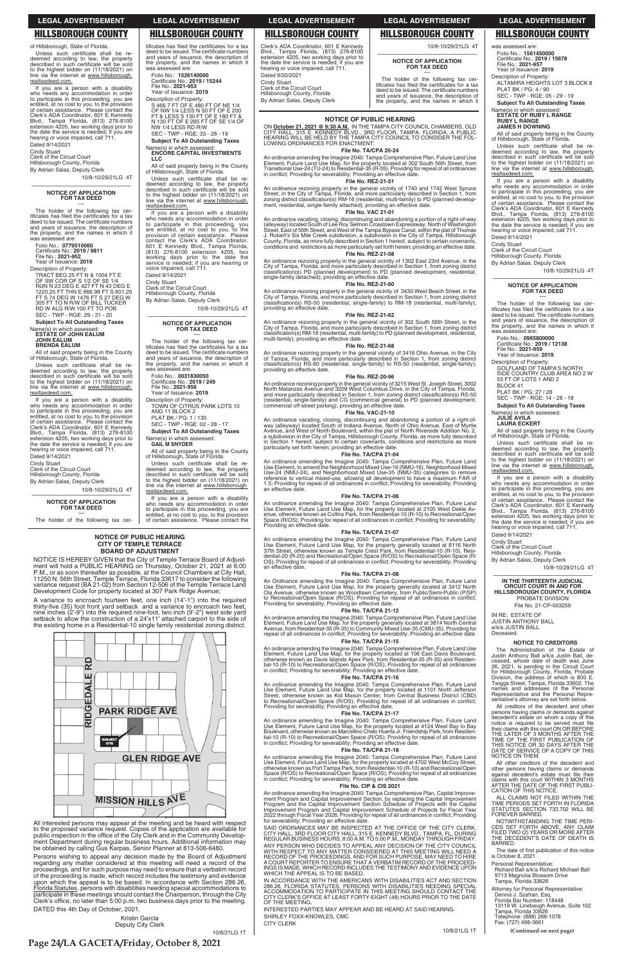#### **NOTICE OF PUBLIC HEARING**

ON <u>October 21, 2021 @ 9:30 A.M.</u> IN THE TAMPA CITY COUNCIL CHAMBERS, OLD<br>CITY HALL, 315 E. KENNEDY BLVD., 3RD FLOOR, TAMPA, FLORIDA, A PUBLIC<br>HEARING WILL BE HELD BY THE TAMPA CITY COUNCIL TO CONSIDER THE FOL-<br>LOWING ORDI

### **File No. TA/CPA 20-24**

An ordinance amending the Imagine 2040: Tampa Comprehensive Plan, Future Land Use<br>Element, Future Land Use Map, for the property located at 302 South 56th Street, from<br>Transitional Use-24 (TU-24) to Residential-35 (R-35); in conflict; Providing for severability; Providing an effective date. **File No. REZ-21-51**

An ordinance rezoning property in the general vicinity of 1740 and 1742 West Spruce<br>Street, in the City of Tampa, Florida, and more particularly described in Section 1, from<br>zoning district classification(s) RM-16 (residen

An ordinance vacating, closing, discontinuing and abandoning a portion of a right-of-way<br>(alleyway) located South of Lee Roy Selmon Crosstown Expressway, North of Washington<br>Street, East of 56th Street, and West of the Tam conditions and restrictions as more particularly set forth herein; providing an effective date. **File No. REZ-21-58**

An ordinance rezoning property in the general vicinity of 1302 East 23rd Avenue, in the<br>City of Tampa, Florida, and more particularly described in Section 1, from zoning district<br>classification(s) PD (planned development) single-family detached); providing an effective date.

An ordinance rezoning property in the general vicinity of 3430 West Beach Street, in the City of Tampa, Florida, and more particularly described in Section 1, from zoning district<br>classification(s) RS-50 (residential, single-family) to RM-18 (residential, multi-family);<br>providing an effective date.

#### **File No. VAC 21-01**

An ordinance rezoning property in the general vicinity of 302 South 56th Street, in the<br>City of Tampa, Florida, and more particularly described in Section 1, from zoning district<br>classification(s) RM-16 (residential, multi multi-family); providing an effective date.

### **File No. REZ-21-60**

An ordinance vacating, closing, discontinuing and abandoning a portion of a right-of-<br>way (alleyway) located South of Indiana Avenue, North of Ohio Avenue, East of Myrtle<br>Avenue, and West of North Boulevard, within the pla particularly set forth herein; providing an effective date.

An ordinance amending the Imagine 2040: Tampa Comprehensive Plan, Future Land<br>Use Element, to amend the Neighborhood Mixed Use-16 (NMU-16), Neighborhood Mixed<br>Use-24 (NMU-24), and Neighborhood Mixed Use-35 (NMU-35) categor reference to vertical mixed-use, allowing all development to have a maximum FAR of<br>1.5; Providing for repeal of all ordinances in conflict; Providing for severability; Providing an effective date.

### **File No. REZ-21-62**

An ordinance amending the Imagine 2040: Tampa Comprehensive Plan, Future Land<br>Use Element, Future Land Use Map, for the property located at 2105 West Dekle Av-<br>Sele Conterwise known as Collins Park, from Residential-10 (R-Providing an effective date.

#### **File No. REZ-21-68**

An ordinance rezoning property in the general vicinity of 3416 Ohio Avenue, in the City<br>of Tampa, Florida, and more particularly described in Section 1, from zoning district<br>classification(s) RS-60 (residential, single-fam

An ordinance amending the Imagine 2040: Tampa Comprehensive Plan, Future Land<br>Use Element, Future Land Use Map, for the property generally located at 8116 North<br>37th Street, otherwise known as Temple Crest Park, from Resid OS); Providing for repeal of all ordinances in conflict; Providing for severability; Providing an effective date.

#### **File No. REZ-20-96**

An ordinance rezoning property in the general vicinity of 3215 West St. Joseph Street, 3002<br>North Matanzas Avenue and 3209 West Columbus Drive, in the City of Tampa, Florida,<br>and more particularly described in Section 1, f

#### **File No. VAC-21-10**

### **File No. TA/CPA 21-04**

#### **File No. TA/CPA 21-06**

ANY PERSON WHO DECIDES TO APPEAL ANY DECISION OF THE CITY COUNCIL<br>WITH RESPECT TO ANY MATTER CONSIDERED AT THIS MEETING WILL NEED A<br>RECORD OF THE PROCEEDINGS, AND FOR SUCH PURPOSE, MAY NEED TO HIRE<br>A COURT REPORTER TO ENSU WHICH THE APPEAL IS TO BE BASED.

NOTICE IS HEREBY GIVEN that the City of Temple Terrace Board of Adjustment will hold a PUBLIC HEARING on Thursday, October 21, 2021 at 6:00 P.M., or as soon thereafter as possible, at the Council Chambers at City Hall, 11250 N. 56th Street, Temple Terrace, Florida 33617 to consider the following variance request (BA 21-02) from Section 12-506 of the Temple Terrace Land Development Code for property located at 307 Park Ridge Avenue;

#### **File No. TA/CPA 21-07**

#### **File No. TA/CPA 21-08**

An Ordinance amending the Imagine 2040: Tampa Comprehensive Plan, Future Land<br>Use Element, Future Land Use Map, for the property generally located at 3412 North<br>Ola Avenue, otherwise known as Woodlawn Cemetery, from Public

Persons wishing to appeal any decision made by the Board of Adjustment regarding any matter considered at this meeting will need a record of the proceedings, and for such purpose may need to ensure that a verbatim record of the proceeding is made, which record includes the testimony and evidence upon which the appeal is to be based. In accordance with Section 286.26, Florida Statutes, persons with disabilities needing special accommodations to<br>participate in these meetings should contact the Chairperson, through the City Clerk's office, no later than 5:00 p.m. two business days prior to the meeting.

#### **File No. TA/CPA 21-12**

was assessed are: Folio No.: 1**561450000**<br>Certificate No.: **2019 / 15678**<br>File No.: **2021-957** 

An ordinance amending the Imagine 2040: Tampa Comprehensive Plan, Future Land Use<br>Element, Future Land Use Map, for the property generally located at 3814 North Central<br>Avenue, from Residential-35 (R-35) to Community Mixed repeal of all ordinances in conflict; Providing for severability; Providing an effective date.

Description of Property: ALTAMIRA HEIGHTS LOT 3 BLOCK 8 PLAT BK / PG: 4 / 90 SEC - TWP - RGE: 05 - 29 - 19

#### **File No. TA/CPA 21-15**

An ordinance amending the Imagine 2040: Tampa Comprehensive Plan, Future Land Use<br>Element, Future Land Use Map, for the property located at 106 East Davis Boulevard,<br>otherwise known as Davis Islands Apex Park, from Residen

Folio No.: **0965800000**  Certificate No.: **2019 / 12138**<br>File No.: **2021-959**<br>Year of Issuance: **2019** 

#### **File No. TA/CPA 21-16**

An ordinance amending the Imagine 2040: Tampa Comprehensive Plan, Future Land<br>Use Element, Future Land Use Map, for the property located at 1101 North Jefferson<br>Street, otherwise known as Kid Mason Center, from Central Bus

sentative's attorney are set forth below.

Description of Property: GOLFLAND OF TAMPA'S NORTH<br>SIDE COUNTRY CLUB AREA NO 2 W 55 FT OF LOTS 1 AND 2

BLOCK 41 PLAT BK / PG: 27 / 28

#### **File No. TA/CPA 21-17**

An ordinance amending the Imagine 2040: Tampa Comprehensive Plan, Future Land<br>Use Element, Future Land Use Map, for the property located at 4124 West Bay to Bay<br>Boulevard, otherwise known as Marcellino Chelo Huerta Jr. Fri

If you are a person with a disability who needs any accommodation in order<br>to participate in this proceeding, you are<br>entitled, at no cost to you, to the provision of certain assistance. Please contact the<br>Clerk's ADA Coordinator, 601 E Kennedy<br>Blvd., Tampa Florida, (813) 276-8100 extension 4205, two working days prior to<br>the date the service is needed; if you are<br>hearing or voice impaired, call 711. Dated 9/14/2021

Cindy Stuart Clerk of the Circuit Court

Hillsborough County, Florida

By Adrian Salas, Deputy Clerk

#### **File No. TA/CPA 21-18**

An ordinance amending the Imagine 2040: Tampa Comprehensive Plan, Future Land<br>Use Element, Future Land Use Map, for the property located at 4702 West McCoy Street,<br>otherwise known as Port Tampa Park, from Residential-10 (R

All creditors of the decedent and other persons having claims or demands against decedent's estate on whom a copy of this notice is required to be served must file<br>their claims with this court ON OR BEFORE<br>THE LATER OF 3 MONTHS AFTER THE<br>TIME OF THE FIRST PUBLICATION OF<br>THIS NOTICE OR 30 DAYS AFTER THE DATE OF SERVICE OF A COPY OF THIS NOTICE ON THEM.

All other creditors of the decedent and other persons having claims or demands<br>against decedent's estate must file their<br>claims with this court WITHIN 3 MONTHS<br>AFTER THE DATE OF THE FIRST PUBLI-<br>CATION OF THIS NOTICE.

ALL CLAIMS NOT FILED WITHIN THE TIME PERIODS SET FORTH IN FLORIDA<br>STATUTES SECTION 733.702 WILL BE<br>FOREVER BARRED.

#### **File No. CIP & CIS 2021**

An ordinance amending the Imagine 2040: Tampa Comprehensive Plan, Capital Improvement Program and Capital Improvement Section, by replacing the Capital Improvement Section, Schedule of Projects with the Capital Improvement

SAID ORDINANCES MAY BE INSPECTED AT THE OFFICE OF THE CITY CLERK,<br>CITY HALL, 3RD FLOOR CITY HALL, 315 E. KENNEDY BLVD., TAMPA, FL, DURING<br>REGULAR BUSINESS HOURS, 8:00 A.M. TO 5:00 P.M., MONDAY THROUGH FRIDAY.

NOTWITHSTANDING THE TIME PERI-ODS SET FORTH ABOVE, ANY CLAIM<br>FILED TWO (2) YEARS OR MORE AFTER<br>THE DECEDENT'S DATE OF DEATH IS BARRED.

The date of first publication of this notice is October 8, 2021.

Personal Representative:<br>Richard Ball a/k/a Richard Michael Ball 9713 Magnolia Blossom Drive<br>Tampa, Florida 33626

Attorney for Personal Representative: Dennis J. Szafran, Esq.<br>Florida Bar Number: 118448 13119 W. Linebaugh Avenue, Suite 102<br>Tampa, Florida 33626<br>Telephone: (888) 266-1078<br>Fax: (727) 498-3661

If you are a person with a disability who needs any accommodation in order<br>to participate in this proceeding, you are<br>entitled, at no cost to you, to the provision of certain assistance. Please contact the<br>Clerk's ADA Coordinator, 601 E Kennedy<br>Blvd., Tampa Florida, (813) 276-8100 extension 4205, two working days prior to<br>the date the service is needed; if you are<br>hearing or voice impaired, call 711. Dated 9/14/2021

–– The holder of the following tax The holder of the following tax certificates has filed the certificates for a tax deed to be issued. The certificate numbers and years of issuance, the description of the property, and the names in which it<br>was assessed are:

> IN ACCORDANCE WITH THE AMERICANS WITH DISABILITIES ACT AND SECTION 286.26, FLORIDA STATUTES, PERSONS WITH DISABILITIES NEEDING SPECIAL<br>ACCOMMODATION TO PARTICIPATE IN THIS MEETING SHOULD CONTACT THE<br>CITY CLERK'S OFFICE AT LEAST FORTY-EIGHT (48) HOURS PRIOR TO THE DATE OF THE MEETING.

INTERESTED PARTIES MAY APPEAR AND BE HEARD AT SAID HEARING. SHIRLEY FOXX-KNOWLES, CMC CITY CLERK

If you are a person with a disability who needs any accommodation in order<br>to participate in this proceeding, you are<br>entitled, at no cost to you, to the provision of certain assistance. Please contact the<br>Clerk's ADA Coordinator, 601 E Kennedy<br>Blvd., Tampa Florida, (813) 276-8100 extension 4205, two working days prior to<br>the date the service is needed; if you are<br>hearing or voice impaired, call 711. Dated 9/14/2021

#### **NOTICE OF PUBLIC HEARING CITY OF TEMPLE TERRACE BOARD OF ADJUSTMENT**

NW 1/4 LESS RD R/W SEC - TWP - RGE: 33 - 28 - 19 **Subject To All Outstanding Taxes** Name(s) in which assessed:<br>**ENCORE CAPITAL INVESTMENTS**<br>LLC All of said property being in the County

of Hillsborough, State of Florida.

realtaxdeed.com.

A variance to encroach fourteen feet, one inch (14'-1") into the required thirty-five (35) foot front yard setback and a variance to encroach two feet,<br>nine inches (2'-9") into the required nine-foot, two inch (9'-2") west side yard setback to allow the construction of a  $24'x11'$  attached carport to the side of the existing home in a Residential-10 single family residential zoning district.



tificates has filed the certificates for a tax<br>deed to be issued. The certificate numbers<br>and years of issuance, the description of the property, and the names in which it<br>was assessed are:

S 466.7 FT OF E 480 FT OF NE 1/4<br>OF NW 1/4 LESS N 50 FT OF E 200<br>FT & LESS S 130 FT OF E 180 FT &<br>N 130 FT OF E 265 FT OF SE 1/4 OF

Unless such certificate shall be re-<br>deemed according to law, the property<br>described in such certificate will be sold to the highest bidder on (11/18/2021) on<br>line via the internet at www.hillsborough.

If you are a person with a disability who needs any accommodation in order<br>to participate in this proceeding, you<br>are entitled, at no cost to you, to the

provision of certain assistance. Please<br>contact the Clerk's ADA Coordinator,<br>601 E Kennedy Blvd., Tampa Florida,

(813) 276-8100 extension 4205, two<br>working days prior to the date the<br>service is needed; if you are hearing or

voice impaired, call 711. Dated 9/14/2021

Cindy Stuart<br>Clerk of the Circuit Court<br>Hillsborough County, Florida By Adrian Salas, Deputy Clerk

Folio No.: **0031830050**  Certificate No.: **2019 / 249**<br>File No.: **2021-956**<br>Year of Issuance: **2019** Description of Property:

All interested persons may appear at the meeting and be heard with respect to the proposed variance request. Copies of the application are available for public inspection in the office of the City Clerk and in the Community Development Department during regular business hours. Additional information may be obtained by calling Gus Karpas, Senior Planner at 813-506-6480.

PLAT BK / PG: 1 / 130 SEC - TWP - RGE: 02 - 28 - 17 **Subject To All Outstanding Taxes**

Name(s) in which assessed:<br>**GAIL M SNYDER** 

realtaxdeed.com.

Clerk's ADA Coordinator, 601 E Kennedy<br>Blvd., Tampa Florida, (813) 276-8100<br>extension 4205, two working days prior to the date the service is needed; if you are<br>hearing or voice impaired, call 711. Dated 9/20/2021 Cindy Stuart<br>Clerk of the Circuit Court Hillsborough County, Florida

By Adrian Salas, Deputy Clerk

DATED this 4th Day of October, 2021.

Kristin Garcia Deputy City Clerk

10/8/21LG 1T

**Page 24/LA GACETA/Friday, October 8, 2021**

10/8/21LG 1T

**(Continued on next page)**

**Subject To All Outstanding Taxes**

Name(s) in which assessed:<br>**ESTATE OF RUBY L RANGE<br>RUBY L RANGE** 

## **JAMES H DOWNING**

All of said property being in the County<br>of Hillsborough, State of Florida. Unless such certificate shall be redeemed according to law, the property described in such certificate will be sold<br>to the highest bidder on (11/18/2021) on<br>line via the internet at www.hillsborough.

realtaxdeed.com.

If you are a person with a disability<br>who needs any accommodation in order<br>to participate in this proceeding, you are entitled, at no cost to you, to the provision<br>of certain assistance. Please contact the<br>Clerk's ADA Coordinator, 601 E Kennedy Blvd., Tampa Florida, (813) 276-8100<br>extension 4205, two working days prior to<br>the date the service is needed; if you are hearing or voice impaired, call 711.

Dated 9/14/2021

Cindy Stuart<br>Clerk of the Circuit Court<br>Hillsborough County, Florida By Adrian Salas, Deputy Clerk

10/8-10/29/21LG 4T

## —————————————————— **NOTICE OF APPLICATION FOR TAX DEED** ––

The holder of the following tax cer-<br>tificates has filed the certificates for a tax<br>deed to be issued. The certificate numbers and years of issuance, the description of<br>the property, and the names in which it<br>was assessed are:

SEC - TWP - RGE: 14 - 28 - 18

## **Subject To All Outstanding Taxes**

# Name(s) in which assessed:<br>**JULIE AVILA<br>LAURA ECKERT**

All of said property being in the County of Hillsborough, State of Florida.

Unless such certificate shall be re-<br>deemed according to law, the property<br>described in such certificate will be sold to the highest bidder on (11/18/2021) on<br>line via the internet at www.hillsborough. realtaxdeed.com.

10/8-10/29/21LG 4T

## —————————————————— **IN THE THIRTEENTH JUDICIAL CIRCUIT COURT IN AND FOR HILLSBOROUGH COUNTY, FLORIDA**

PROBATE DIVISION File No. 21-CP-003259

IN RE: ESTATE OF

JUSTIN ANTHONY BALL<br>a/k/a JUSTIN BALL Deceased.

The

**NOTICE TO CREDITORS**

for Hillsborough County, Florida, Probate<br>Division, the address of which is 800 E.<br>Twiggs Street, Tampa, Florida 33602. The names and addresses of the Personal<br>Representative and the Personal Repre-

Administration of the Estate of Justin Anthony Ball a/k/a Justin Ball, de-<br>ceased, whose date of death was June<br>26, 2021, is pending in the Circuit Court

Cindy Stuart

Clerk of the Circuit Court<br>Hillsborough County, Florida By Adrian Salas, Deputy Clerk

10/8-10/29/21LG 4T

#### —————————————————— **NOTICE OF APPLICATION**

**FOR TAX DEED**

Folio No.: **0779510060**<br>Certificate No.: **2019 / 9811** File No.: **2021-952**<br>Year of Issuance: **2019** 

Description of Property: TRACT BEG 25 FT N & 1004 FT E<br>OF SW COR OF S 1/2 OF SE 1/4<br>RUN N 23 DEG E 427 FT N 43 DEG E 1220.25 FT THN E 666.98 FT S 601.25<br>FT S 74 DEG W 1476 FT S 27 DEG W<br>305 FT TO N R/W OF BILL TUCKER RD W ALG R/W 100 FT TO POB SEC - TWP - RGE: 29 - 31 - 20

**Subject To All Outstanding Taxes** Name(s) in which assessed: **ESTATE OF JOHN EALUM**

**JOHN EALUM BRENDA EALUM**

All of said property being in the County of Hillsborough, State of Florida.

Unless such certificate shall be re-<br>deemed according to law, the property<br>described in such certificate will be sold to the highest bidder on (11/18/2021) on<br>line via the internet at www.hillsborough. realtaxdeed.com.

Cindy Stuart

Clerk of the Circuit Court<br>Hillsborough County, Florida

By Adrian Salas, Deputy Clerk 10/8-10/29/21LG 4T

**NOTICE OF APPLICATION FOR TAX DEED** ––

The holder of the following tax cer-

10/8-10/29/21LG 4T

Folio No.: 1**526140000**<br>Certificate No.: **2019 / 15244** File No.: **2021-953**<br>Year of Issuance: **2019** Description of Property:

—————————————————— **NOTICE OF APPLICATION FOR TAX DEED** ––

The holder of the following tax cer-<br>tificates has filed the certificates for a tax<br>deed to be issued. The certificate numbers

and years of issuance, the description of<br>the property, and the names in which it<br>was assessed are:

TOWN OF CITRUS PARK LOTS 10 AND 11 BLOCK 2

All of said property being in the County<br>of Hillsborough, State of Florida. Unless such certificate shall be redeemed according to law, the property<br>described in such certificate will be sold<br>to the highest bidder on (11/18/2021) on line via the internet at www.hillsborough.

If you are a person with a disability who needs any accommodation in order to participate in this proceeding, you are<br>entitled, at no cost to you, to the provision<br>of certain assistance. Please contact the 10/8-10/29/21LG 4T

—————————————————— **NOTICE OF APPLICATION FOR TAX DEED** ––

The holder of the following tax cer-<br>tificates has filed the certificates for a tax<br>deed to be issued. The certificate numbers and years of issuance, the description of<br>the property, and the names in which it Year of Issuance: 2019

### **LEGAL ADVERTISEMENT LEGAL ADVERTISEMENT LEGAL ADVERTISEMENT LEGAL ADVERTISEMENT LEGAL ADVERTISEMENT**

of Hillsborough, State of Florida. Unless such certificate shall be re-<br>deemed according to law, the property<br>described in such certificate will be sold to the highest bidder on (11/18/2021) on<br>line via the internet at <u>www.hillsborough.</u> realtaxdeed.com.

## **HILLSBOROUGH COUNTY HILLSBOROUGH COUNTY HILLSBOROUGH COUNTY HILLSBOROUGH COUNTY HILLSBOROUGH COUNTY**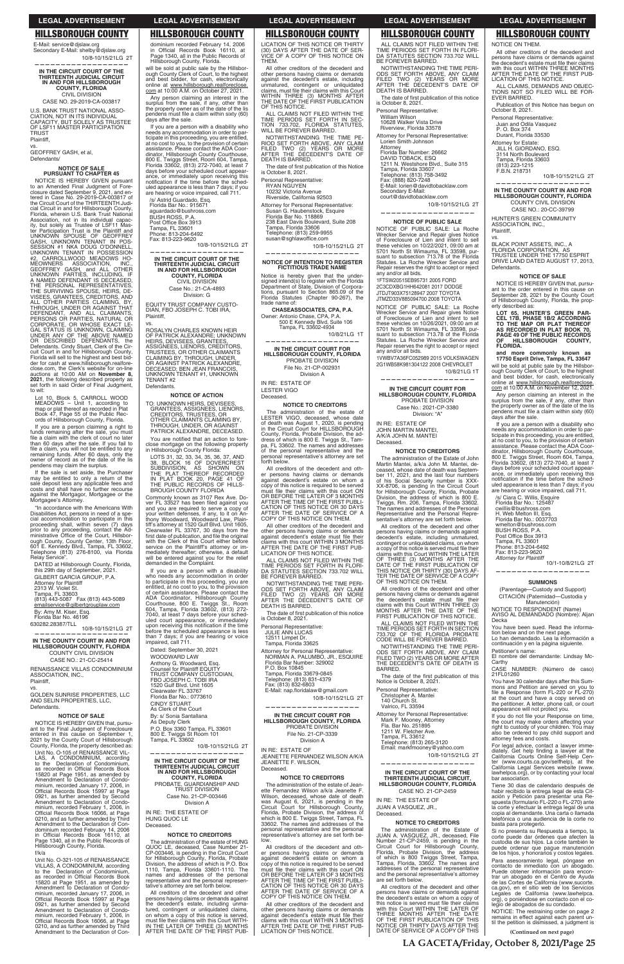## **HILLSBOROUGH COUNTY**

E-Mail: service@djslaw.org Secondary E-Mail: shelby@djslaw.org 10/8-10/15/21LG 2T

IN THE CIRCUIT COURT OF THE THIRTEENTH JUDICIAL CIRCUIT<br>IN AND FOR HILLSBOROUGH **COUNTY, FLORIDA** CIVIL DIVISION CASE NO. 29-2019-CA-003817

U.S. BANK TRUST NATIONAL ASSO-CIATION, NOT IN ITS INDIVIDUAL<br>CAPACITY. BUT SOLELY AS TRUSTEE OF LSF11 MASTER PARTICIPATION **TRUST** 

Plaintiff.

GEOFFREY GASH, et al, Defendants/

#### **NOTICE OF SALE PURSUANT TO CHAPTER 45**

NOTICE IS HEREBY GIVEN pursuant<br>o an Amended Final Judgment of Foreto an Amended Final Judgment closure dated September 9, 2021, and entered in Case No. 29-2019-CA-003817 the Circuit Court of the THIRTEENTH Judi cial Circuit in and for Hillsborough County. Florida, wherein U.S. Bank Trust National<br>Association, not in its individual capacity, but solely as Trustee of LSF11 Mas-For Participation Trust is the Plaintiff and<br>UNKNOWN SPOUSE OF GEOFFREY<br>GASH, UNKNOWN TENANT IN POS-SESSION #1 NKA DOUG O'DONNELL,<br>UNKNOWN TENANT IN POSSESSION<br>#2, CARROLLWOOD MEADOWS HO-WEOWNERS ASSOCIATION, INC.<br>GEOFFREY GASH, and ALL OTHER<br>UNKNOWN PARTIES, INCLUDING, IF<br>A NAMED DEFENDANT IS DECEASED,<br>THE PERSONAL REPRESENTATIVES,<br>THE SURVIVING SPOUSE, HEIRS, DE-<br>VICEES GEANTEES COENTODS AND VISEES, GRANTEES, CREDITORS, AND<br>ALL OTHER PARTIES CLAIMING, BY, THROUGH, UNDER OR AGAINST THAT THROUGH, UNDER OR AGAINST THAT<br>DEFENDANT, AND ALL CLAIMANTS,<br>PERSONS OR PARTIES, NATURAL OR<br>CORPORATE, OR WHOSE EXACT LE-<br>GAL STATUS IS UNKNOWN, CLAIMING<br>UNDER ANTOS IS UNKNOWN, CLAIMING<br>OR DESCRIBED DEFENDANTS, the<br>Defend Florida will sell to the highest and best bid-<br>der for cash at www.hillsborough.realfore-<br>close.com, the Clerk's website for on-line auctions at 10:00 AM on November 8, 2021, the following described property as<br>set forth in said Order of Final Judgment, to wit:

Lot 10, Block 5, CARROLL WOOD<br>MEADOWS - Unit 1, according to<br>map or plat thereof as recorded in Plat Book 47, Page 55 of the Public Records of Hillsborough County, Florida.

If you are a person claiming a right to<br>funds remaining after the sale, you must file a claim with the clerk of court no later the a ciatin with the cierk of court no later<br>than 60 days after the sale. If you fail to<br>file a claim, you will not be entitled to any<br>remaining funds. After 60 days, only the<br>owner of record as of the date of the lis<br>pen

If the sale is set aside, the Purchaser may be entitled to only a return of the<br>sale deposit less any applicable fees and<br>costs and shall have no further recourse against the Mortgagor, Mortgagee or the Mortgagee's Attorney.

"In accordance with the Americans With Disabilities Act, persons in need of a special accommodation to participate in this<br>proceeding shall, within seven (7) days prior to any proceeding, contact the Administrative Office of the Court, Hillsborough County, County Center, 13th Floor, 601 E. Kennedy Blvd., Tampa, FL 33602,<br>Telephone (813) 276-8100, via Florida Relay Service".

DATED at Hillsborough County, Florida this 29th day of September, 2021. GILBERT GARCIA GROUP, P.A. Attorney for Plaintiff<br>2313 W. Violet St. Tampa, FL 33603 (813) 443-5087 Fax (813) 443-5089 emailservice@gilbertgrouplaw.com By: Amy M. Kiser, Esq.

Florida Bar No. 46196 630282.28387/TLL

10/8-10/15/21LG 2T IN THE COUNTY COURT IN AND FOR

HILLSBOROUGH COUNTY, FLORIDA COUNTY CIVIL DIVISION CASE NO.: 21-CC-25414

RENAISSANCE VILLAS CONDOMINIUM ASSOCIATION, INC. Plaintiff.

GOLDEN SUNRISE PROPERTIES, LLC<br>AND SELIN PROPERTIES, LLC, Defendants.

### **LEGAL ADVERTISEMENT**

#### **HILLSBOROUGH COUNTY HILLSBOROUGH COUNTY**

OF THIS NOTICE.

**DEATH IS BARRED.** 

RYAN NGUYEN

Personal Representative:

10232 Victoria Avenue<br>Riverside, California 92503

Florida Bar No. 118869

Tampa, Florida 33606

trade name of:

IN RE: ESTATE OF

**LESTER VIGO** 

Deceased.

forth below.

Telephone: (813) 259-9955<br>susan@sghlawoffice.com

Attorney for Personal Representative:

238 East Davis Boulevard, Suite 208

**NOTICE OF INTENTION TO REGISTER** 

**FICTITIOUS TRADE NAME** 

Notice is hereby given that the under-<br>signed intend(s) to register with the Florida

Department of State, Division of Corporations, pursuant to Section 865.09 of the<br>Florida Statutes (Chapter 90-267), the

CHASEASSOCIATES, CPA, P.A.

IN THE CIRCUIT COURT FOR

HILLSBOROUGH COUNTY, FLORIDA

PROBATE DIVISION

File No. 21-CP-002931

Division A

**NOTICE TO CREDITORS** 

The administration of the estate of

The Solution of the case of the same of<br>of death was August 1, 2020, is pending<br>in the Circuit Court for HILLSBOROUGH

County, Florida, Probate Division, the address of which is 800 E. Twiggs St., Tam-

pa. FL 33602. The names and addresses pa, FL 33002. The names and addresses<br>of the personal representative and the<br>personal representative's attorney are set

All creditors of the decedent and oth-

er persons having claims or demands<br>against decedent's estate on whom a

expose to this notice is required to be served<br>must file their claims with this court ON<br>OR BEFORE THE LATER OF 3 MONTHS<br>AFTER THE TIME OF THE FIRST PUBLI-

CATION OF THIS NOTICE OR 30 DAYS<br>AFTER THE DATE OF SERVICE OF A<br>COPY OF THIS NOTICE ON THEM.

All other creditors of the decedent and

other persons having claims or demands

against decedent's estate must file their<br>claims with this court WITHIN 3 MONTHS

AFTER THE DATE OF THE FIRST PUBLICATION OF THIS NOTICE.

ALL CLAIMS NOT FILED WITHIN THE<br>TIME PERIODS SET FORTH IN FLORI-

DA STATUTES SECTION 733.702 WILL<br>BE FOREVER BARRED.

NOTWITHSTANDING THE TIME PERI

ODS SET FORTH ABOVE, ANY CLAIM

PILED TWO (2) YEARS OR MORE<br>AFTER THE DECEDENT'S DATE OF<br>DEATH IS BARRED.

is October 8, 2021.

Personal Representative:

Tampa, Florida 33625

Attorney for Personal Representative diorney for Personal Representative:<br>NORMAN A. PALUMBO, JR., ESQUIRE<br>Florida Bar Number: 329002

P.O. Box 10845<br>Tampa, Florida 33679-0845<br>Telephone: (813) 831-4379

 $(813) 832 - 6803$ 

JULIE ANN LUCAS 12511 Limpet Dr

The date of first publication of this notice

500 E Kennedy Blvd, Suite 106 Tampa, FL 33602-4934

Owner: Antonio Chase, CPA, P.A.

10/8-10/15/21LG 2T

10/8/21LG 1T

Susan G. Haubenstock, Esquire

dominium recorded February 14, 2006<br>in Official Records Book 16110, at<br>Page 1340, all in the Public Records of<br>Hillsborough County, Florida. LICATION OF THIS NOTICE OR THIRTY (30) DAYS AFTER THE DATE OF SERVICE OF A COPY OF THIS NOTICE ON **THEM** 

will be sold at public sale by the Hillsborough County Clerk of Court, to the highest and best bidder, for cash, electronically<br>online at www.hillsborough.realforeclose. com at 10:00 A.M. on October 27, 2021.

Any person claiming an interest in the<br>surplus from the sale, if any, other than<br>the property owner as of the date of the lis pendens must file a claim within sixty (60) days after the sale.

If you are a person with a disability who needs any accommodation in order to participate in this proceeding, you are entitled,<br>at no cost to you, to the provision of certain<br>assistance. Please contact the ADA Coordinator, Hillsborough County Courthouse,<br>800 E. Twiggs Street, Room 604, Tampa,<br>Florida 33602, (813) 272-7040, at least 7 days before your scheduled court appearance, or immediately upon receiving this<br>notification if the time before the scheduled appearance is less than 7 days; if you are hearing or voice impaired, call 711

/s/ Astrid Guardado, Esq.<br>Florida Bar No.: 915671 aquardado@bushross.com **BUSH ROSS, P.A** Post Office Box 3913<br>Tampa, FL 33601<br>Phone: 813-204-6492 Fax: 813-223-9620

10/8-10/15/21LG 2T

IN THE CIRCUIT COURT OF THE THIRTEENTH JUDICIAL CIRCUIT<br>THIRTEENTH JUDICIAL CIRCUIT<br>IN AND FOR HILLSBOROUGH **COUNTY, FLORIDA CIVIL DIVISION** 

Case No.: 21-CA-4893 Division: G

EQUITY TRUST COMPANY CUSTO-DIAN, FBO JOSEPH C. TOBI IRA, Plaintiff

ROSALYN CHARLES KNOWN HEIR<br>OF PATRICK ALEXANDRE; UNKNOWN<br>HEIRS, DEVISEES, GRANTEES, ASSIGNEES, LIENORS, CREDITORS,<br>TRUSTEES, OR OTHER CLAIMANTS<br>CLAIMING BY, THROUGH, UNDER, OR AGAINST PATRICK ALEXANDRE,<br>DECEASED; BEN JEAN FRANCOIS,<br>UNKNOWN TENANT #1, UNKNOWN **TENANT#2** Defendants.

NOTICE OF ACTION TO: UNKNOWN HEIRS, DEVISEES,<br>GRANTEES, ASSIGNEES, LIENORS,<br>CREDITORS, TRUSTEES, OR

**CALLITONS, THOSTEES, OR<br>CTHER CLAIMANTS CLAIMING BY,<br>THROUGH, UNDER, OR AGAINST<br>PATRICK ALEXANDRE, DECEASED.** 

You are notified that an action to foreclose mortgage on the following property<br>in Hillsborough County Florida:

LOTS 31, 32, 33, 34, 35, 36, 37, AND IN PLAT BOOK 20, PAGE 41 OF<br>THE PUBLIC RECORDS OF HILLS-<br>BROUGH COUNTY FLORIDA

Commonly known as 3107 Rex Ave. Dover FL 33527 has been filed against you<br>and you are required to serve a copy of and you are required to serve a copy of<br>your written defenses, if any, to it on An-<br>thony Woodward, Woodward Law, Plain-<br>tiff's attorney at 1520 Gulf Blvd. Unit 1605,<br>Clearwater FL 33767, 30 days from the<br>first date of pub mediately thereafter; otherwise, a default will be entered against you for the relief demanded in the Complaint.

If you are a person with a disability who needs any accommodation in order<br>to participate in this proceeding, you are to participate in this proceeding, you are<br>entitled, at no cost to you, to the provision<br>of certain assistance. Please contact the<br>ADA Coordinator, Hillsborough County<br>Courthouse, 800 E. Twiggs St., Room<br>604, Tampa, Florid before the scheduled appearance is less than 7 days; if you are hearing or voice inan *r* dayo, ir you<br>impaired, call 711.

Dated: September 30, 2021 WOODWARD LAW Anthony G. Woodward, Esq.<br>Counsel for Plaintiff EQUITY<br>TRUST COMPANY CUSTODIAN, FBO JOSEPH C. TOBI IRA<br>1520 Gulf Blvd. Unit 1605 Clearwater FL 33767

Florida Bar No.: 0773610

**CINDY STUART** 

**LEGAL ADVERTISEMENT** 

All other creditors of the decedent and

other persons having claims or demands<br>against the decedent's estate, including<br>unmatured, contingent or unliquidated

claims, must file their claims with this Court

WITHIN THREE (3) MONTHS AFTER<br>THE DATE OF THE FIRST PUBLICATION

ALL CLAIMS NOT FILED WITHIN THE

TIME PERIODS SET FORTH IN SECTION 733.702, FLORIDA STATUTES,

NOTWITHSTANDING THE TIME PE-

RIOD SET FORTH ABOVE, ANY CLAIM<br>FILED TWO (2) YEARS OR MORE<br>AFTER THE DECEDENT'S DATE OF

The date of first publication of this Notice<br>is October 8, 2021.

WILL BE FOREVER BARRED.

## **LEGAL ADVERTISEMENT**

## **HILLSBOROUGH COUNTY**

ALL CLAIMS NOT FILED WITHIN THE TIME PERIODS SET FORTH IN FLORI-<br>DA STATUTES SECTION 733.702 WILL BE FOREVER BARRED.

NOTWITHSTANDING THE TIME PERI-ODS SET FORTH ABOVE, ANY CLAIM<br>FILED TWO (2) YEARS OR MORE<br>AFTER THE DECEDENT'S DATE OF<br>DEATH IS BARRED.

The date of first publication of this notice is October 8, 2021

Personal Representative: William Wilson

10628 Walker Vista Drive<br>Riverview, Florida 33578

Attorney for Personal Representative: Lorien Smith Johnson

Attorney<br>Florida Bar Number: 26662<br>DAVID TOBACK, ESQ 1211 N. Westshore Blvd., Suite 315 Tampa, Florida 33607<br>Telephone: (813) 758-3492 Fax: (888) 820-7248 E-Mail: lorien@davidtobacklaw.com<br>Secondary E-Mail: court@davidtobacklaw.com

10/8-10/15/21LG 2T

#### **NOTICE OF PUBLIC SALE**

NOTICE OF PUBLIC SALE: La Roche Wrecker Service and Repair gives Notice<br>of Foreclosure of Lien and intent to sell<br>these vehicles on 10/22/2021, 09:00 am at 5701 North St Wimauma, FL 33598, pursuant to subsection 713.78 of the Florida<br>Statutes. La Roche Wrecker Service and Repair reserves the right to accept or reject and/or all bids.

1FTSW20515FB95731 2005 FORD 2C3CDXBG1HH642081 2017 DODGE JTDJT903X75128947 2007 TOYOTA JTMZD33V885094700 2008 TOYOTA

NOTICE OF PUBLIC SALE: La Roche Wrecker Service and Repair gives Notice<br>of Foreclosure of Lien and intent to sell<br>these vehicles on 10/26/2021, 09:00 am at 5701 North St Wimauma, FL 33598, pursuant to subsection 713.78 of the Florida<br>Statutes. La Roche Wrecker Service and Repair reserves the right to accept or reject any and/or all hids

1VWBV7A36FC052989 2015 VOLKSWAGEN 2G1WB58K981304122 2008 CHEVROLET 10/8/21LG 1T

#### IN THE CIRCUIT COURT FOR HILLSBOROUGH COUNTY, FLORIDA PROBATE DIVISION Case No.: 2021-CP-3380

Division: "A"

IN RE: ESTATE OF **JOHN MARTIN MANTEI,** A/K/A JOHN M. MANTEI Deceased.

## **NOTICE TO CREDITORS**

The administration of the Estate of John<br>Martin Mantei, a/k/a John M. Mantei, debecaused, whose date of death was September 11, 2021, and the last four numbers<br>of his Social Security number is XXXof the Social Security number is ANX-8706, is pending in the Circuit Court<br>for Hillsborough County, Florida, Probate<br>Division, the address of which is 800 E. Division, the address of which is 600 L.<br>Twiggs, Rm. 206, Tampa, Florida 33602.<br>The names and addresses of the Personal Representative and the Personal Representative's attorney are set forth below.

All creditors of the decedent and other persons having claims or demands against decedent's estate, including unmatured,<br>contingent or unliquidated claims, on whom a copy of this notice is served must file their<br>claims with this Court WITHIN THE LATER OF THREE (3) MONTHS AFTER THE<br>DATE OF THE FIRST PUBLICATION OF<br>THIS NOTICE OR THIRTY (30) DAYS AF-TER THE DATE OF SERVICE OF A COPY<br>OF THIS NOTICE ON THEM.

All creditors of the decedent and other persons having claims or demands against pherson naving cialing to decident's estate must file their<br>claims with this Court WITHIN THREE (3)<br>MONTHS AFTER THE DATE OF THE FIRST PUBLICATION OF THIS NOTICE.

ALL CLAIMS NOT FILED WITHIN THE<br>TIME PERIODS SET FORTH IN SECTION<br>733.702 OF THE FLORIDA PROBATE CODE WILL BE FOREVER BARRED.

**NOTWITHSTANDING THE TIME PERI-<br>ODS SET FORTH ABOVE, ANY CLAIM<br>FILED TWO (2) YEARS OR MORE AFTER<br>THE DECEDENT'S DATE OF DEATH IS<br>BARRED.** 

The date of the first publication of this<br>Notice is October 8, 2021.

Personal Representative:

Christopher A. Mantei

140 Church St.<br>Valrico, FL 33594

All other creditors of the decedent and persons have claims or demands against<br>the decedent's estate must file their claims<br>with this court WITHIN THREE MONTHS

**LEGAL ADVERTISEMENT** 

**HILLSBOROUGH COUNTY** 

AFTER THE DATE OF THE FIRST PUB-**LICATION OF THIS NOTICE** 

ALL CLAIMS, DEMANDS AND OBJECTIONS NOT SO FILED WILL BE FOR-EVER BARRED.

Publication of this Notice has begun on October 8, 2021.

Personal Representative: Juan and Odila Vasquez

P. O. Box 374<br>Durant, Florida 33530

NOTICE ON THEM.

Attorney for Estate: JILL H. GIORDANO, ESQ. 3114 North Boulevard Tampa, Florida 33603<br>(813) 223-1215

F.B.N. 218731 10/8-10/15/21LG 2T

IN THE COUNTY COURT IN AND FOR<br>HILLSBOROUGH COUNTY, FLORIDA COUNTY CIVIL DIVISION

CASE NO : 20-CC-39799

HUNTER'S GREEN COMMUNITY ASSOCIATION, INC., Plaintiff.

 $VS$ 

BLACK POINT ASSETS, INC., A **ELORIDA CORPORATION, AS<br>TRUSTEE UNDER THE 17750 ESPRIT<br>DRIVE LAND DATED AUGUST 17, 2013,** Defendants.

#### **NOTICE OF SALE**

NOTICE IS HEREBY GIVEN that, pursuant to the order entered in this cause on September 28, 2021 by the County Court<br>of Hillsborough County, Florida, the property described as:

LOT 65, HUNTER'S GREEN PAR-**CEL 17B, PHASE 1B/2 ACCORDING<br>TO THE MAP OR PLAT THEREOF<br>AS RECORDED IN PLAT BOOK 70,** PAGE 49 OF THE PUBLIC RECORDS<br>OF HILLSBOROUGH COUNTY, FLORIDA.

and more commonly known as 17750 Esprit Drive, Tampa, FL 33647 will be sold at public sale by the Hillsborough County Clerk of Court, to the highest

and best bidder, for cash, electronically online at <u>www.hillsborough.realforeclose.</u><br>com at 10:00 A.M. on November 12, 2021. Any person claiming an interest in the surplus from the sale, if any, other than<br>the property owner as of the date of the lis<br>pendens must file a claim within sixty (60) days after the sale.

If you are a person with a disability who needs any accommodation in order to participate in this proceeding, you are entitled, at no cost to you, to the provision of certain<br>assistance. Please contact the ADA Coorassistance. Piease contact the ADA Coordinator, Hillsborough County Courthouse,<br>800 E. Twiggs Street, Room 604, Tampa, Florida 33602, (813) 272-7040, at least 7<br>days before your scheduled court appear-<br>ance, or immediately are hearing or voice impaired, call 711

/s/ Ciara C. Willis, Esquire Florida Bar No.: 125487 cwillis@bushross.com<br>H. Web Melton III, Esg. Florida Bar No.: 0037703 wmelton@bushross.com BUSH ROSS, P.A. Post Office Box 3913<br>Tampa, FL 33601<br>Phone: 813-204-6492 Fax: 813-223-9620 **Attorney for Plaintiff** 

10/1-10/8/21LG 2T

#### **SUMMONS**

(Parentage-Custody and Support) CITACIÓN (Paternidad-Custodia y Manutención)

NOTICE TO RESPONDENT (Name)<br>AVISO AL DEMANDADO (Nombre): Aljan Decka

You have been sued. Read the information below and on the next page.<br>Lo han demandado. Lea la información a

continuación y en la página siguiente. Petitioner's name: El nombre del demandante: Lindsay Mc-

Carthy CASE NUMBER: (Número de caso)

21FL01260 You have 30 calendar days after this Summons and Petition are served on you to<br>file a Response (form FL-220 or FL-270) at the court and have a copy served on the petitioner. A letter, phone call, or court

Fax: (813) 832-6803<br>E-Mail: nap.floridalaw@gmail.com 10/8-10/15/21LG 2T

**NOTICE OF SALE** 

NOTICE IS HEREBY GIVEN that, pursuant to the Final Judgment of Foreclosure entered in this cause on September 1,<br>2021 by the County Court of Hillsborough County, Florida, the property described as:

Unit No. O-105 of RENAISSANCE VIL-LAS, A CONDOMINIUM, according<br>to the Declaration of Condominium,<br>as recorded in Official Records Book 15820 at Page 1951, as amended by<br>Amendment to Declaration of Condominium recorded January 17 2006 in Official Records Book 15997 at Page<br>0921, as further amended by Second<br>Amendment to Declaration of Condo-Ameriament to Deciaration of Condo-<br>minium, recorded February 1, 2006, in<br>Official Records Book 16066, at Page 0210 and as further amended by Third Same American to the Declaration of Con-<br>dominium recorded February 14, 2006<br>in Official Records Book 16110, at Page 1340, all in the Public Records of Hillsborough County, Florida.

#### $f/k/a$

VS.

Unit No. O-321-105 of RENAISSANCE<br>VILLAS, A CONDOMINIUM, according to the Declaration of Condominium,<br>as recorded in Official Records Book 15820 at Page 1951, as amended by Formation of Declaration of Condo-<br>minium, recorded January 17, 2006, in<br>Official Records Book 15997 at Page Since the course of the amended by Second<br>Amendment to Declaration of Condo-<br>minium, recorded February 1, 2006, in Official Records Book 16066, at Page<br>0210, and as further amended by Third<br>Amendment to the Declaration of Con-

As Clerk of the Court By: s/ Sonia Santallana As Deputy Clerk P.O. Box 3360 Tampa, FL 33601 800 E. Twiggs St Room 101<br>Tampa, FL 33602 10/8-10/15/21LG 2T IN THE CIRCUIT COURT OF THE **THIRTEENTH JUDICIAL CIRCUIT** 

IN AND FOR HILLSBOROUGH<br>COUNTY, FLORIDA PROBATE, GUARDIANSHIP AND<br>TRUST DIVISION Case No. 21-CP-003446

Division A

#### IN RE: THE ESTATE OF HUNG QUOC LE Deceased.

### **NOTICE TO CREDITORS**

The administration of the estate of HUNG QUOC LE, deceased, Case Number 21-<br>CP-003446, is pending in the Circuit Court for Hillsborough County, Florida, Probate<br>Division, the address of which is P.O. Box<br>1110, Tampa, Florida 33601-1110. The ranges and addresses of the personal<br>representative and the personal represen-<br>tative's attorney are set forth below.

All creditors of the decedent and other persons having claims or demands against<br>the decedent's estate, including unma-<br>tured, contingent or unliquidated claims, on whom a copy of this notice is served,<br>must file their claims with this Court WITH-<br>IN THE LATER OF THREE (3) MONTHS<br>AFTER THE DATE OF THE FIRST PUB- IN THE CIRCUIT COURT FOR<br>HILLSBOROUGH COUNTY, FLORIDA PROBATE DIVISION File No. 21-CP-3339 Division A

IN RE: ESTATE OF JEANETTE FERNANDEZ WILSON A/K/A JEANETTE F. WILSON Deceased

### **NOTICE TO CREDITORS**

The administration of the estate of Jeanette Fernandez Wilson a/k/a Jeanette F.<br>Wilson, deceased, whose date of death was August 6, 2021, is pending in the<br>Circuit Court for Hillsborough County,<br>Florida, Probate Division, the address of which is 800 E. Twiggs Street, Tampa, FL<br>33602. The names and addresses of the<br>personal representative and the personal representative's attorney are set forth be-

All creditors of the decedent and other persons having claims or demands against decedent's estate on whom a explorate discovery of this notice is required to be served<br>must file their claims with this court ON<br>OR BEFORE THE LATER OF 3 MONTHS STEER THE TIME OF THE FIRST PUBLICATION OF THIS NOTICE OR 30 DAYS<br>AFTER THE TIME OF THE FIRST PUBLI-<br>AFTER THE DATE OF SERVICE OF A

All other creditors of the decedent and other persons having claims or against decedent's estate must file their diams with this court WITHIN 3 MONTHS<br>AFTER THE DATE OF THE FIRST PUB-<br>LICATION OF THIS NOTICE. Attorney for Personal Representative: Mark F. Mooney, Attorney<br>Fla. Bar No. 251895<br>1211 W. Fletcher Ave. Tampa, FL 33612<br>Telephone: (813) 265-3120 Email: markfmooney@yahoo.com 10/8-10/15/21LG 2T

IN THE CIRCUIT COURT OF THE<br>THIRTEENTH JUDICIAL CIRCUIT, HILLSBOROUGH COUNTY, FLORIDA CASE NO. 21-CP-2459

IN RE: THE ESTATE OF JUAN A VASOUFZ JR Deceased.

#### **NOTICE TO CREDITORS**

The administration of the Estate of<br>JUAN A. VASQUEZ, JR., deceased, File<br>Number 21-CP-2459, is pending in the<br>Circuit Court for Hillsborough County,<br>Florida, Probate Division, the address<br>of which is 800 Twiggs Street, Tam addresses of the personal representative<br>and the personal representative are set forth below.

All creditors of the decedent and other persons have claims or demands against<br>the decedent's estate on whom a copy of this notice is served must file their claims with this Court WITHIN THE LATER OF<br>THREE MONTHS AFTER THE DATE<br>OF THE FIRST PUBLICATION OF THIS<br>NOTICE OR THIRTY DAYS AFTER THE DATE OF SERVICE OF A COPY OF THIS appearance will not protect you.

If you do not file your Response on time,<br>the court may make orders affecting your right to custody of your children. You may also be ordered to pay child support and attorney fees and costs.

For legal advice, contact a lawver immediately. Get help finding a lawyer at the<br>California Courts Online Self-Help Center (www.courts.ca.gov/selfhelp), at the<br>California Legal Services website (www.<br>lawhelpca.org), or by contacting your local bar association.

Tiene 30 dias de calendario después de Final de esta Citativa de la entrega legal de esta Citatión y Petición para presentar una Respuesta (formulario FL-220 o FL-270) ante la corte y efectuar la entrega legal de una<br>copia al demandante. Una carta o llamada telefónica o una audiencia de la corte no basta para protegerlo.

Si no presenta su Respuesta a tiempo, la corte puede dar órdenes que afecten la<br>custodia de sus hijos. La corte también le puede ordenar que pague manutención<br>de los hijos, y honorarios y costos legales.

Para asesoramiento legal, póngase en contacto de inmediato con un abogado. Suede obtener información para encon-<br>trar un abogado en el Centro de Ayuda<br>de las Cortes de California (www.sucorte. ca.gov), en el sitio web de los Servicios<br>Legales de California (www.lawhelpca. org), o poniéndose en contacto con el colegio de abogados de su condado.

NOTICE: The restraining order on page 2<br>remains in effect against each parent until the petition is dismissed, a judgment is

(Continued on next page)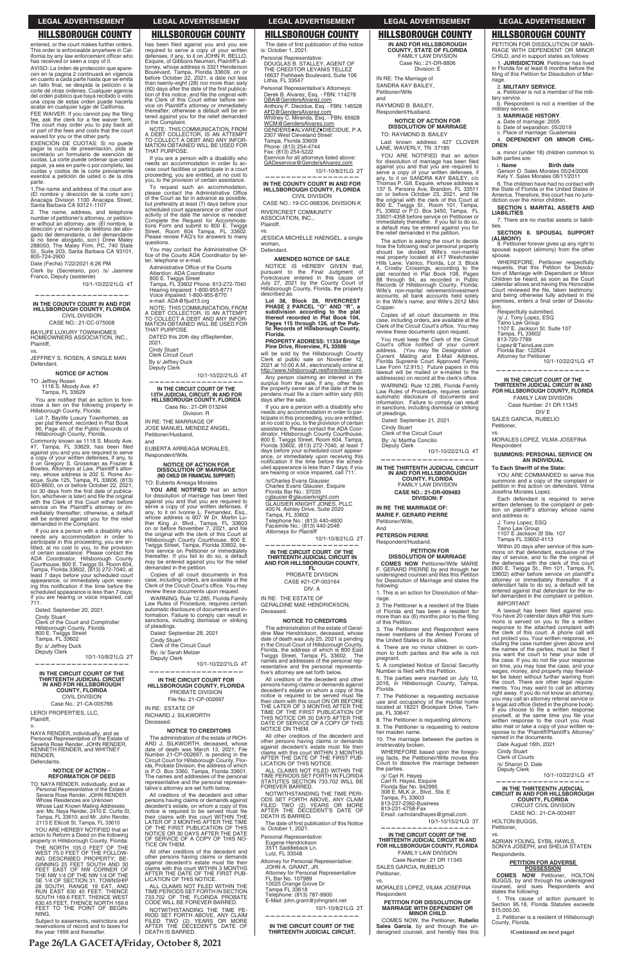## **HILLSBOROUGH COUNTY**

entered, or the court makes further orders This order is enforceable anywhere in Cal-<br>ifornia by any law enforcement officer who<br>has received or seen a copy of it.

AVISO: La órden de protección que apare cen en la pagina 2 continuará en vigencia en cuanto a cada parte hasta que se emita<br>un fallo final, se despida la petición o la corte dé otras órdenes. Cualquier agencia del orden público que haya recibido o visto<br>una copia de estas orden puede hacerla acatar en cualquier lugar de California.

FEE WAIVER: If you cannot pay the filing<br>fee, ask the clerk for a fee waiver form.<br>The court may order you to pay back all or part of the fees and costs that the court waived for you or the other party.

EXENCIÓN DE CUOTAS: Si no puede pagar la cuota de presentación, pida al secretario un formulario de exención de cuotas. La corte puede ordenar que usted<br>pague, ya sea en parte o por completo, las cuotas y costos de la corte previamente exentos a petición de usted o de la otra parte.

.<br>1. The name and address of the court are: The number of dirección de la corte son:)<br>Anacapa Division 1100 Anacapa Street,<br>Santa Barbara CA 93121-1107

2. The name, address, and telephone En time di petitioner's attorney, or petition-<br>er without an attorney, are: (El nombre, la<br>dirección y el número de teléfono del abogado del demandante, o del demandante<br>si no tiene checcado con la prima del demandante si no tiene abogado, son:) Drew Maley<br>288050, The Maley Firm, PC, 740 State St., Suite 203, Santa Barbara CA 93101, 805-724-2900

Date (Fecha) 7/22/2021 6:26 PM

Clerk by (Secretario, por) /s/ Jasmine<br>Franco, Deputy (asistente)

10/1-10/22/21LG 4T

IN THE COUNTY COURT IN AND FOR HILLSBOROUGH COUNTY, FLORIDA **CIVIL DIVISION** 

CASE NO.: 21-CC-075008

BAYLIFE LUXURY TOWNHOMES<br>HOMEOWNERS ASSOCIATION, INC., Plaintiff.

VS.

JEFFREY S. ROSEN, A SINGLE MAN Defendant.

#### **NOTICE OF ACTION**

TO: Jeffrey Rosen<br>1118 S. Moody Ave. #7 Tampa, FL 33629

You are notified that an action to foreclose a lien on the following property in Hillsborough County, Florida:

Lot 7, Baylife Luxury Townhomes, as<br>per plat thereof, recorded in Plat Book<br>90, Page 40, of the Public Records of Hillsborough County, Florida.

Commonly known as 1118 S. Moody Ave.<br>#7, Tampa, FL 33629, has been filed<br>against you and you are required to serve a copy of your written defenses, if any, to<br>it on Gregory S. Grossman as Frazier &<br>Bowles, Attorneys at Law, Plaintiff's attorney, whose address is 202 S. Rome Avenue, Suite 125, Tampa, FL 33606, (813)<br>603-8600, on or before October 22, 2021, (or 30 days from the first date of publica tion, whichever is later) and file the original<br>with the Clerk of this Court either before service on the Plaintiff's attorney or im-<br>mediately thereafter; otherwise, a default will be entered against you for the relief<br>demanded in the Complaint.

If you are a person with a disability who<br>If you are a person with a disability who<br>needs any accommodation in order to<br>participate in this proceeding, you are en-<br>titled, at no cost to you, to the provision<br>of certain ass Fample, i follow solone, to the least 7 days before your scheduled court<br>appearance, or immediately upon receiving this notification if the time before the<br>scheduled appearance is less than 7 days;<br>if you are hearing or vo

Dated: September 20, 2021. Cindy Stuart Clerk of the Court and Comptroller Hillsborough Count and Complete<br>Book E. Twiggs Street<br>Tampa, FL 33602 By: s/ Jeffrey Duck Deputy Clerk

10/1-10/8/21LG 2T

IN THE CIRCUIT COURT OF THE<br>THIRTEENTH JUDICIAL CIRCUIT IN AND FOR HILLSBOROUGH<br>COUNTY, FLORIDA CIVIL DIVISION Case No.: 21-CA-005766

## **LEGAL ADVERTISEMENT**

## **HILLSBOROUGH COUNTY**

has been filed against you and you are required to serve a copy of your written<br>defenses, if any, to it on JOHN R. BELLO,<br>Esquire, of Gibbons Neuman, Plaintiff's at-<br>torney, whose address is 3321 Henderson Boulevard, Tampa, Florida 33609, on or<br>before October 22, 2021, a date not less than twenty-eight (28) nor more than sixty  $(60)$  days after the date of the first publica-<br>tion of this notice, and file the original with the Clerk of this Court either before service on Plaintiff's attorney or immediately<br>thereafter; otherwise a default will be entered against you for the relief demanded in the Complaint.

MOTE: THIS COMMUNICATION, FROM<br>A DEBT COLLECTOR, IS AN ATTEMPT<br>TO COLLECT A DEBT AND ANY INFORMATION OBTAINED WILL BE USED FOR<br>MATION OBTAINED WILL BE USED FOR THAT PURPOSE.

If you are a person with a disability who needs an accommodation in order to access court facilities or participate in a court<br>proceeding, you are entitled, at no cost to you, to the provision of certain assistance.

To request such an accommodation, lease contact the Administrative Office<br>of the Court as far in advance as possible, but preferably at least (7) days before your scheduled court appearance or other court<br>activity of the date the service is needed: Complete the Request for Accommodabions Form and submit to 800 E. Twiggs<br>Street, Room 604 Tampa, FL 33602.<br>Please review FAQ's for answers to many questions.

You may contact the Administrative Of-<br>fice of the Courts ADA Coordinator by letter, telephone or e-mail.

Administrative Office of the Courts

Attention: ADA Coordinator<br>800 E. Twiggs Street<br>Tampa, FL 33602 Phone: 813-272-7040 Hearing Impaired: 1-800-955-8771<br>Voice impaired: 1-800-955-8770

e-mail: ADA@fljud13.org NOTE: THIS COMMUNICATION, FROM A DEBT COLLECTOR, IS AN ATTEMPT<br>TO COLLECT A DEBT AND ANY INFORMATION OBTAINED WILL BE USED FOR

THAT PURPOSE. DATED this 20th day ofSeptember,

 $2021$ Cindy Stuart

Clerk Circuit Court

#### By s/ Jeffrey Duck Deputy Clerk

10/1-10/22/21LG 4T

IN THE CIRCUIT COURT OF THE 13TH JUDICIAL CIRCUIT, IN AND FOR<br>HILLSBOROUGH COUNTY, FLORIDA Case No.: 21-DR 013244

Division: R

IN RF: THE MARRIAGE OF JOSE MANUEL MENDEZ ANGEL, Petitioner/Husband.

EUBERTA ARREAGA MORALES, Respondent/Wife.

## **NOTICE OF ACTION FOR<br>DISSOLUTION OF MARRIAGE<br>(NO CHILD OR FINANCIAL SUPPORT)** TO: Euberta Arreaga Morales

YOU ARE NOTIFIED that an action For dissolution of mariage has been filed<br>for dissolution of mariage has been filed<br>against you and that you are required to<br>serve a copy of your written defenses, if<br>any, to it on Ivonne L. Fernandez, Esq.,<br>whose address ther King Jr. Blvd., Tampa, FL 33603<br>on or before November 7, 2021, and file<br>the original with the clerk of this Court at Hillsborough County Courthouse, 800 E. Twiggs Street, Tampa, Florida 33602, be-<br>fore service on Petitioner or immediately<br>thereafter. If you fail to do so, a default mereaner. If you ran to do so, a detail<br>may be entered against you for the relief<br>demanded in the petition.

Copies of all court documents in this case, including orders, are available at the<br>Clerk of the Circuit Court's office. You may<br>review these documents upon request.

WARNING: Rule 12.285, Florida Family Law Rules of Procedure, requires certain<br>automatic disclosure of documents and information. Failure to comply can result in<br>sanctions, including dismissal or striking of pleadings.

Dated: September 28, 2021 Cindy Stuart<br>Clerk of the Circuit Court

By: /s/ Sarah Melzer

Deputy Clerk 10/1-10/22/21LG 4T

IN THE CIRCUIT COURT FOR

HILLSBOROUGH COUNTY, FLORIDA PROBATE DIVISION File No. 21-CP-002697

### **LEGAL ADVERTISEMENT**

## **HILLSBOROUGH COUNTY**

The date of first publication of this notice is: October 1, 2021.

Personal Representative:<br>DOUGLAS B. STALLEY, AGENT OF<br>THE CREDITOR LEYANIS TELLEZ 16637 Fishhawk Boulevard, Suite 106<br>Lithia, FL 33547

Personal Representative's Attorneys: Derek B. Alvarez, Esq. - FBN: 114278 DBA@GendersAlvarez.com

Anthony F. Diecidue, Esq. - FBN: 146528 AFD@GendersAlvarez.com

Whitney C. Miranda, Esq. - FBN: 65928

WCM@GendersAlvarez.com<br>GENDERS+ALVAREZ+DIECIDUE, P.A.

2307 West Cleveland Street

Tampa, Florida 33609<br>Phone: (813) 254-4744

Fridric. (610) 204-47<br>Fax: (813) 254-5222<br>Eservice for all attorneys listed above: GADeservice @ GendersAlvarez.com

10/1-10/8/21LG 2T

IN THE COUNTY COURT IN AND FOR **HILLSBOROUGH COUNTY, FLORIDA CIVIL DIVISION** 

CASE NO.: 19-CC-068336, DIVISION K RIVERCREST COMMUNITY ASSOCIATION, INC., Plaintiff,

JESSICA MICHELLE HAENGEL, a single woman. Defendant

AMENDED NOTICE OF SALE NOTICE IS HEREBY GIVEN that,<br>pursuant to the Final Judgment of<br>Foreclosure entered in this cause on July 27, 2021 by the County Court of<br>Hillsborough County, Florida, the property described as:

Let 38, Block 28, RIVERCREST<br>DHASE 2 PARCEL "O" AND "R", a<br>subdivision according to the plat<br>thereof recorded in Plat Book 104, Pages 115 through 126, of the Pub-<br>lic Records of Hillsborough County, Florida.

PROPERTY ADDRESS: 11334 Bridge Pine Drive, Riverview, FL 33569

will be sold by the Hillsborough County Clerk at public sale on November 12,<br>2021 at 10:00 A.M., electronically online at http://www.hillsborough.realforeclose.com.

Any person claiming an interest in the<br>surplus from the sale, if any, other than<br>the property owner as of the date of the lis pendens must file a claim within sixty (60) days after the sale.

If you are a person with a disability who needs any accommodation in order to parrecess any accommodation in outer to particle,<br>ticipate in this proceeding, you are entitled,<br>at no cost to you, to the provision of certain<br>assistance. Please contact the ADA Coordinator, Hillsborough Counter Courthouse,<br>800 E. Twiggs Street, Room 604, Tampa,<br>Florida 33602, (813) 272-7040, at least 7 days before your scheduled court appear-<br>ance, or immediately upon receiving this<br>notification if the time before the scheduled appearance is less than 7 days; if you<br>are hearing or voice impaired, call 711.

/s/Charles Evans Glausier Charles Evans Glausier, Esquire<br>Florida Bar No.: 37035 cglausier@glausierknight.com **GLAUSIER KNIGHT JONES, PLLC** 400 N. Ashley Drive, Suite 2020<br>Tampa, FL 33602 Tampa, PL 33002<br>Telephone No.: (813) 440-4600<br>Facsimile No.: (813) 440-2046<br>Attorneys for Plaintiff

10/1-10/8/21LG 2T

IN THE CIRCUIT COURT OF THE THIRTEENTH JUDICIAL CIRCUIT IN<br>THIRTEENTH JUDICIAL CIRCUIT IN<br>AND FOR HILLSBOROUGH COUNTY,

**FL** PROBATE DIVISION CASE #21-CP-003164

DIV: A

IN RE: THE ESTATE OF GERALDINE MAE HENDRICKSON, Deceased.

#### **NOTICE TO CREDITORS**

The administration of the estate of Geraldine Mae Hendrickson, deceased, whose<br>date of death was July 25, 2021 is pending in the Circuit Court of Hillsborough County,<br>Florida, the address of which is 800 East The Twiggs Street, Tampa FL 33602. names and addresses of the personal representative and the personal representative's attorney are set forth below.

All creditors of the decedent and other persons having claims or demands against decedent's estate on whom a copy of this notice is required to be served must file Final their claim with this court ON OR BEFORE<br>THE LATER OF 3 MONTHS AFTER THE<br>TIME OF THE FIRST PUBLICATION OF THIS NOTICE OR 30 DAYS AFTER THE<br>DATE OF SERVICE OF A COPY OF THIS<br>NOTICE ON THEM. All other creditors of the decedent and An other persons having claims or demands<br>against decedent's estate must file their<br>claims with this court WITHIN 3 MONTHS AFTER THE DATE OF THE FIRST PUBLICATION OF THIS NOTICE. ALL CLAIMS NOT FILED WITHIN THE<br>TIME PERIODS SET FORTH IN FLORIDA STATUTES SECTION 733.702 WILL BE<br>FOREVER BARRED. FORD NOTWITHSTANDING THE TIME PERI-<br>ODS SET FORTH ABOVE, ANY CLAIM<br>FILED TWO (2) YEARS OR MORE<br>AFTER THE DECEDENT'S DATE OF<br>DEATH IS BARRED.

#### **LEGAL ADVERTISEMENT**

**LEGAL ADVERTISEMENT** 

RIAGE WITH DEPENDENT OR MINOR

in Florida for at least 6 months before the

filing of this Petition for Dissolution of Mar-

a. Petitioner is not a member of the mili-

Respondent is not a member of the

4. DEPENDENT OR MINOR CHIL-

**Birth date** 

a. minor (under 18) children common to<br>both parties are:

Gerson O. Sales Morales 05/24/2006

6. The children have had no contact with

SECTION I. MARITAL ASSETS AND

7. There are no marital assets or liabili-

SECTION II. SPOUSAL SUPPORT

8. Petitioner forever gives up any right to

WHEREFORE, Petitioner respectfully

spousal support (alimony) from the other

requests, that this Petition for Dissolu-

tion of Marriage with Dependent or Minor

Children be heard, as soon as the Court

calendar allows and having this Honorable<br>Court reviewed the file, taken testimony,<br>and being otherwise fully advised in the

premises, enters a final order of Dissolu-

IN THE CIRCUIT COURT OF THE THIRTEENTH JUDICIAL CIRCUIT IN AND<br>FOR HILLSBOROUGH COUNTY, FLORIDA

FAMILY LAW DIVISION

Case Number: 21 DR 11345

DIV E

MORALES LOPEZ, VILMA JOSEFINA

**SUMMONS: PERSONAL SERVICE ON** 

AN INDIVIDUAL

YOU ARE COMMANDED to serve this

summons and a copy of the complaint or<br>petition in this action on defendant, Vilma<br>Josefina Morales Lopez.

Each defendant is required to serve

written defenses to the complaint or peti-

whiteh detenses to the complaint of peu-<br>tion on plaintiff's attorney whose name<br>and address is:

Within 20 days after service of this sum-

mons on that defendant, exclusive of the<br>day of service, and to file the original of

the defenses with the clerk of this court (800 E. Twiggs St., Rm 101, Tampa, FL<br>33602) either before service on plaintiff's

attorney or immediately thereafter. If a defendant fails to do so, a default will be<br>entered against that defendant for the re-

lief demanded in the complaint or petition.

You have 20 calendar days after this sum-

mons is served on you to file a written<br>response to the attached complaint with

the clerk of this court. A phone call will<br>not protect you. Your written response, in-

cluding the case number given above and

the names of the parties, must be filed if<br>you want the court to hear your side of<br>the case. If you do not file your response

on time, you may lose the case, and your

wages, money, and property may thereaf-<br>ter be taken without further warning from

the court. There are other legal require-

ments. You may want to call an attorney

right away. If you do not know an attorney,<br>you may call an attorney referral service or

a legal aid office (listed in the phone book).

A lawsuit has been filed against you.

10/1-10/22/21LG 4T

Respectfully submitted,<br>
/s/ J. Tony Lopez, ESQ<br>
Taino Law Group

o10-720-7709<br>Lopez@TainoLaw.com

Florida Bar: 122624

Attorney for Petitioner

SALES GARCIA, RUBELIO

To Each Sheriff of the State:

J. Tony Lopez, ESQ

**IMPORTANT** 

Taino Law Group<br>1107 E Jackson Sf Sfe. 107<br>Tampa FL 33602-4113

Petitioner,

Respondent

VS.

813-720-7789

ramo Law Group<br>1107 E. Jackson St. Suite 107<br>Tampa, FL 33602

the State of Florida or the United States of

America. Therefore, this court has no juris-

Kely Y. Sales Morales 08/11/2011

diction over the minor children.

2. MILITARY SERVICE.

3. MARRIAGE HISTORY.

a. Date of marriage: 2005<br>b. Date of separation: 05/2019

c. Place of marriage: Guatemala

riage

**DREN** 

i. Name

**LIABILITIES** 

(ALIMONY)

spouse.

ties.

tary service.

military service.

1. **ILIBISIDICTION** Petitioner has lived

CHILD, and in support states as follows:

**HILLSBOROUGH COUNTY** PETITION FOR DISSOLUTION OF MAR-

**HILLSBOROUGH COUNTY** IN AND FOR HILLSBOROUGH **COUNTY, STATE OF FLORIDA**<br>FAMILY LAW DIVISION Case No.: 21-DR-8806 Division: E

IN RE: The Marriage of SANDRA KAY BAILEY,

Petitioner/Wife and **RAYMOND B RAILEY** 

Respondent/Husband.

#### **NOTICE OF ACTION FOR DISSOLUTION OF MARRIAGE** TO: RAYMOND B. BAILEY

Last known address: 427 CLOVER<br>LANE, WAVERLY, TN 37185

YOU ARE NOTIFIED that an action for dissolution of marriage has been filed of against you and that you are required to<br>serve a copy of your written defenses, if<br>any, to it on SANDRA KAY BAILEY, c/o Thomas P. Gill, Esquire, whose address is<br>137 S. Parsons Ave, Brandon, FL 33511 on or before October 23, 2021, and file the original with the clerk of this Court at<br>800 E. Twiggs St., Room 101, Tampa, FL 33602 or P.O. Box 3450, Tampa, FL 33601-4358 before service on Petitioner or<br>immediately thereafter. If you fail to do so, a default may be entered against you for the relief demanded in the petition

The action is asking the court to decide the action is assumed to present to decide<br>the divided: Wife's non-marital<br>real property located at 417 Westchester<br>Hills Lane, Valrico, Florida, Lot 3, Block<br>4, Crosby Crossings, according to the<br>plat recorded in Plat Boo Base through 94, as recorded in Public<br>Records of Hillsborough County, Florida;<br>Wife's non-marital retirement/investment accounts; all bank accounts held solely in the Wife's name; and Wife's 2012 Mini Copper.

Copies of all court documents in this case, including orders, are available at the<br>Clerk of the Circuit Court's office. You may review these documents upon request.

You must keep the Clerk of the Circuit You must keep the Clerk of the Circuit<br>Court's office notified of your current<br>address. (You may file Designation of<br>Current Mailing and E-Mail Address,<br>Florida Supreme Court Approved Family Law Form 12.915.) Future papers in this<br>lawsuit will be mailed or e-mailed to the<br>address(es) on record at the clerk's office.

WARNING: Rule 12.285, Florida Family Law Rules of Procedure, requires certain<br>automatic disclosure of documents and information. Failure to comply can result<br>in sanctions, including dismissal or striking of pleadings.

IN THE THIRTENTH JUDICIAL CIRCUIT

IN AND FOR HILLSBOROUGH<br>COUNTY, FLORIDA

**FAMILY LAW DIVISION** 

CASE NO.: 21-DR-009483

**DIVISION: F** 

**PETITION FOR** 

**COMES NOW** Petitioner/Wife MARIE<br>GERARD PIERRE by and through her

undersigned counsel and files this Petition

for Dissolution of Marriage and states the

1. This is an action for Dissolution of Mar-

2. The Petitioner is a resident of the State

of Florida and has been a resident for<br>more than six (6) months prior to the filing

3. The Petitioner and Respondent were

of the United States or its allies.

4. There are no minor children in com

mon to both parties and the wife is not

5. A completed Notice of Social Security<br>Number is filed with this Petition.

6. The parties were married on July 10,

2016, in Hillsborough County, Tampa,

**DISSOLUTION OF MARRIAGE** 

10/1-10/22/21LG 4T

Dated: September 21, 2021.

Cindy Stuart Clerk of the Circuit Court

By: /s/ Martha Concilio Deputy Clerk

IN RE THE MARRIAGE OF:

**MARIE F. GERARD PIERRE** 

Petitioner/Wife.

PETERSON PIERRE

Respondent/Husband.

And

E

following:

of this Petition.

pregnant.

Florida

riage.

LEROI PROPERTIES, LLC, Plaintiff.

NAYA RENDER, individually, and as Personal Representative of the Estate of<br>Severia Rose Render, JOHN RENDER, KENNETH RENDER, and WHITNEY RENDER. Defendants.

## **NOTICE OF ACTION -<br>REFORMATION OF DEED**

TO: NAYA RENDER, individually, and as Personal Representative of the Estate of<br>Severia Rose Render, JOHN RENDER. Several Tode Residences are Unknown<br>Whose Residences are Unknown<br>Whose Last Known Mailing Addresses<br>are: Ms. Naya Render, 2410 E. Curtis St, are. Ms. Naya Herider, 2410 E. Curits St.<br>Tampa, FL 33610; and Mr. John Render,<br>2113 E Ellicott St, Tampa, FL 33610

YOU ARE HEREBY NOTIFIED that an action to Beform a Deed on the following property in Hillsborough County, Florida:

THE NORTH 105.0 FEET OF THE<br>WEST 75.0 FEET OF THE FOLLOW-<br>ING DESCRIBED PROPERTY; BE-GINNING 25 FEET SOUTH AND 30<br>FEET EAST OF NW CORNER OF<br>THE NW 1/4 OF THE NW 1/4 OF THE SE 1/4 OF SECTION 31, TOWNSHIP<br>28 SOUTH, RANGE 19 EAT, AND<br>RUN\_EAST 630\_45 FEET; THENCE SOUTH 169.6 FEET, THENCE WEST<br>630.45 FEET, THENCE NORTH 169.6<br>FEET TO THE POINT OF BEGIN-NING.

Subject to easements, restrictions and reservations of record and to taxes for<br>the year 1999 and thereafter.

**ESTATE OF** RICHARD J. SILKWORTH Deceased.

#### **NOTICE TO CREDITORS**

The administration of the estate of RICH-The authority of the state of HCO-<br>ARD J. SILKWORTH, deceased, whose<br>date of death was March 13, 2021; File<br>Number 21-CP-002697, is pending in the<br>Circuit Court for Hillsborough County, Florida, Probate Division, the address of which<br>is P.O. Box 3360, Tampa, Florida 33601. The names and addresses of the personal<br>representative and the personal representative's attorney are set forth below

All creditors of the decedent and other persons having claims or demands against<br>decedent's estate, on whom a copy of this notice is required to be served must file Heir claims with this court WITHIN THE<br>LATER OF 3 MONTHS AFTER THE TIME<br>OF THE FIRST PUBLICATION OF THIS NOTICE OR 30 DAYS AFTER THE DATE<br>OF SERVICE OF A COPY OF THIS NOTICE ON THEM.

All other creditors of the decedent and Find other persons having claims or demands<br>against decedent's estate must file their<br>claims with this court WITHIN 3 MONTHS AFTER THE DATE OF THE FIRST PUBLICATION OF THIS NOTICE.

ALL CLAIMS NOT FILED WITHIN THE<br>TIME PERIODS SET FORTH IN SECTION 733.702 OF THE FLORIDA PROBATE<br>CODE WILL BE FOREVER BARRED.

**CODE WILL DETAINING THE TIME PERIOD SET FORTH ABOVE, ANY CLAIM FILED TWO (2) YEARS OR MORE AFTER THE DECEDENTS DATE OF DEATH IS BARRED.** 

The date of first publication of this Notice is: October 1, 2021.

Personal Representative: Eugene Hendrickson<br>3511 Saddleback Ln. Lutz, FL 33548

Attorney for Personal Representative: JOHN A. GRANT, JR. **Attorney for Personal Representative** FL Bar No. 107989 10025 Orange Grove Dr<br>Tampa FL 33618 Telephone: (813) 787-9900 E-Mail: john.grant@johngrant.net 10/1-10/8/21LG 2T

IN THE CIRCUIT COURT OF THE THIRTEENTH JUDICIAL CIRCUIT. 7. The Petitioner is requesting exclusive<br>use and occupancy of the marital home<br>located at 18221 Brookpark Drive, Tampa, FL 33647.

8. The Petitioner is requesting alimony. 9. The Petitioner is requesting to restore her maiden name

10. The marriage between the parties is irretrievably broken.

WHEREFORE based upon the foregoing facts, the Petitioner/Wife moves this<br>Court to dissolve the marriage between the parties.

/s/ Carl R. Hayes Carl R. Hayes, Esquire<br>Florida Bar No. 942995 308 E. MLK Jr., Blvd., Ste. E Soo E. MER 01., Biva., 9<br>Tampa, FL 33603<br>813-237-2392-Business 813-231-4758-Fax Email: carlrolandhayes@gmail.com 10/1-10/15/21LG 3T

IN THE CIRCUIT COURT OF THE THIRTEENTH JUDICIAL CIRCUIT IN AND<br>FOR HILLSBOROUGH COUNTY, FLORIDA

FAMILY LAW DIVISION Case Number: 21 DR 11345 SALES GARCIA, RUBELIO Petitioner.

VS.

MORALES LOPEZ, VILMA JOSEFINA Respondent

#### PETITION FOR DISSOLUTION OF **MARRIAGE WITH DEPENDENT OR MINOR CHILD**

COMES NOW, the Petitioner, Rubelio Sales Garcia, by and through the undersigned counsel, and hereby files this

If you choose to file a written response you'relate the same time you file your<br>written response to the court you must also mail or take a copy of your written response to the "Plaintiff/Plaintiff's Attorney"<br>named in the documents.

Date August 16th, 2021 Cindy Stuart<br>Clerk of Courts /s/ Sharon D. Dale Deputy Clerk

10/1-10/22/21LG 4T

IN THE THIRTEENTH JUDICIAL<br>CIRCUIT IN AND FOR HILLSBOROUGH<br>COUNTY, FLORIDA CIRCUIT CIVIL DIVISION

CASE NO.: 21-CA-003497

**HOLTON BUGGS,** Petitioner.

ADRIAN YOUNG, SYBIL HAWLS,<br>SONYA JOSEPH, and SHELIA STATEN Respondents.

# **PETITION FOR ADVERSE**<br>POSSESSION

**COMES NOW Petitioner, HOLTON**<br>BUGGS, by and through his undersigned<br>counsel, and sues Respondents and<br>states the following:

1. This cause of action pursuant to Section 95.18, Florida Statutes exceeds<br>\$15,000.00.

2. Petitioner is a resident of Hillsborough County, Florida.

(Continued on next page)

Page 26/LA GACETA/Friday, October 8, 2021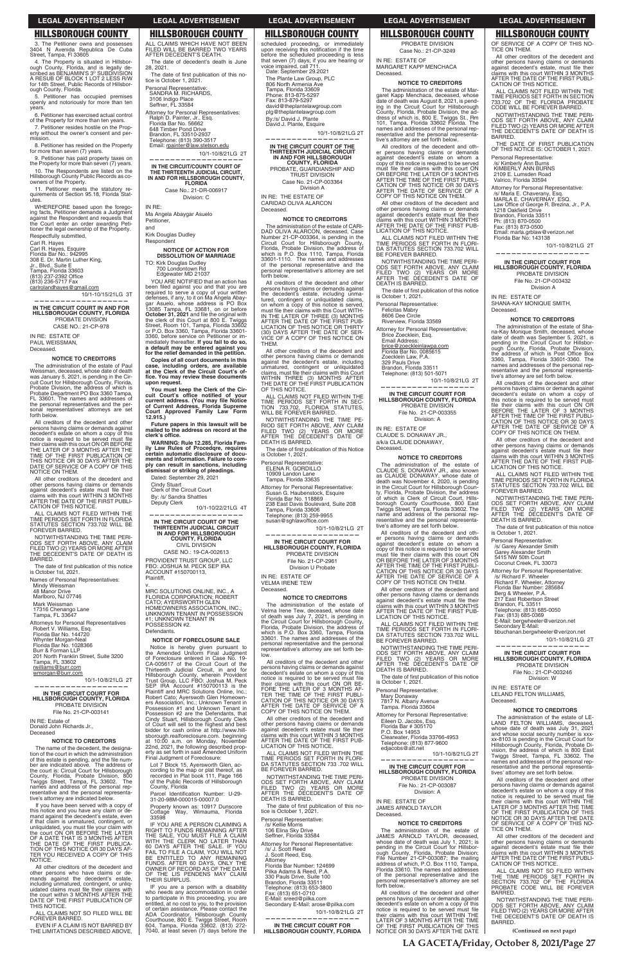## **HILLSBOROUGH COUNTY**

3. The Petitioner owns and possesses<br>3404 N Avenida Republica De Cuba Street, Tampa, FI 33605

4. The Property is situated in Hillsborough County, Florida, and is legally described as BENJAMIN'S 3<sup>0</sup> SUBDIVISION A RESUB OF BLOCK 1 LOT 2 LESS R/W for 14th Street, Public Records of Hillsbor ough County, Florida.

5. Petitioner has occupied premises openly and notoriously for more than ten years

6. Petitioner has exercised actual control of the Property for more than ten years.

7. Petitioner resides hostile on the Property without the owner's consent and permission.

8. Petitioner has resided on the Property<br>for more than seven (7) years.

9. Petitioner has paid property taxes on the Property for more than seven (7) years. 10. The Respondents are listed on the Hillsborough County Public Records as co-<br>owners of the Property.

11. Petitioner meets the statutory requirements of Section 95.18. Florida Statutes.

WHEREFORE based upon the forego-<br>ing facts, Petitioner demands a Judgment against the Respondent and requests that<br>the Court enter an order awarding Peti-<br>tioner the legal ownership of the Property. Respectfully submitted,

Carl R. Hayes Carl R. Hayes, Esquire<br>Florida Bar No.: 942995 1 ionual Bar No.: 342330<br>308 E. Dr. Martin Luther King,<br>Jr., Blvd., Suite E or., Divd., Odite L<br>Tampa, Florida 33603<br>(813) 237-2392 Office (813) 236-5717 Fax

carlrolandhayes@gmail.com 10/1-10/15/21LG 3T

IN THE CIRCUIT COURT IN AND FOR HILLSBOROUGH COUNTY, FLORIDA PROBATE DIVISION CASE NO.: 21-CP-978

IN RE: ESTATE OF PAUL WEISSMAN, Deceased.

#### **NOTICE TO CREDITORS**

The administration of the estate of Paul<br>Weissman, deceased, whose date of death<br>was January 5, 2021, is pending in the Circuit Court for Hillsborough County, Florida, Probate Division, the address of which is<br>Probate Department PO Box 3360 Tampa, which is FL 33601. The names and addresses of the personal representatives and the personal representatives' attorneys are set forth below.

All creditors of the decedent and other Presons having claims or demands against<br>decedent's estate on whom a copy of this<br>notice is required to be served must file<br>their claims with this court ON OR BEFORE<br>THE LATER OF 3 MONTHS AFTER THE TIME OF THE FIRST PUBLICATION OF<br>THIS NOTICE OR 30 DAYS AFTER THE<br>DATE OF SERVICE OF A COPY OF THIS NOTICE ON THEM.

All other creditors of the decedent and other persons having claims or demands<br>against decedent's estate must file their Expansive contractors existe must me their<br>claims with this court WITHIN 3 MONTHS<br>AFTER THE DATE OF THE FIRST PUBLI-CATION OF THIS NOTICE.

ALL CLAIMS NOT FILED WITHIN THE TIME PERIODS SET FORTH IN FLORIDA<br>STATUTES SECTION 733.702 WILL BE<br>FOREVER BARRED.

NOTWITHSTANDING THE TIME PERI-NOT THE RESIDENCE ON SET FORTH ABOVE, ANY CLAIM<br>FILED TWO (2) YEARS OR MORE AFTER<br>THE DECEDENT'S DATE OF DEATH IS BARRED.

The date of first publication of this notice<br>is October 1st, 2021.

Names of Personal Representatives: Mindy Weissman 48 Manor Drive Marlboro, NJ 07746 Mark Weissman<br>17316 Chenango Lane Tampa, FL 33647 Attorneys for Personal Representatives Robert V. Williams, Esq.<br>Florida Bar No. 144720

Profilida Bar No. 144720<br>Whynter Morgan-Neal<br>Florida Bar No. 1028366 Burr & Forman LLP 201 North Franklin Street, Suite 3200<br>Tampa, FL 33602 rwilliams@burr.com wmorgan@burr.com

10/1-10/8/21LG 2T

IN THE CIRCUIT COURT FOR HILLSBOROUGH COUNTY, FLORIDA PROBATE DIVISION

### **LEGAL ADVERTISEMENT**

## **HILLSBOROUGH COUNTY**

ALL CLAIMS WHICH HAVE NOT REEN FILED WILL BE BARRED TWO YEARS AFTER DECEDENT'S DEATH. The date of decedent's death is June

28, 2021. The date of first publication of this notice is October 1, 2021.

Personal Representative SANDRA M. RICHARDS. 3106 Indigo Place

Seffner, FL 33584

Attorney for Personal Representatives:<br>Ralph D. Painter, Jr., Esq.<br>Florida Bar No. 56662 648 Timber Pond Drive<br>Brandon, FL 33510-2937 Telephone: (813) 390-3517 Email: rpainter@law.stetson.edu

10/1-10/8/21LG 2T IN THE CIRCUIT/COUNTY COURT OF THE THIRTEENTH JUDICIAL CIRCUIT,<br>IN AND FOR HILLSBOROUGH COUNTY, **FLORIDA** 

Case No.: 21-DR-006917 Division: C

IN RF: Ma Angela Abaygar Asuelo Petitioner, and

**Kirk Douglas Dudley** Respondent

**NOTICE OF ACTION FOR<br>DISSOLUTION OF MARRIAGE** TO: Kirk Douglas Dudley<br>700 Londontown Rd<br>Edgewater MD 21037

YOU ARE NOTIFIED that an action has FOURNE INDITIED that an action has<br>been filed against you and that you are<br>required to serve a copy of your written<br>defenses, if any, to it on Ma Angela Abay-<br>gar Asuelo, whose address is PO Box 3085 Tampa, FL 33681, on or before<br>**October 31, 2021** and file the original with<br>the clerk of this Court at 800 E. Twiggs Street, Room 101, Tampa, Florida 33602<br>Street, Room 101, Tampa, Florida 33602<br>or P.O. Box 3360, Tampa, Florida 33601-<br>3360, before service on Petitioner or imsoor, below a service on the mediately thereafter. If you fail to do so,<br>a default may be entered against you<br>for the relief demanded in the petition.

Copies of all court documents in this copies of all court documents in this<br>case, including orders, are available<br>at the Clerk of the Circuit Court's office. You may review these documents<br>upon request.

You must keep the Clerk of the Cir-Fourt Approved Facebook of Source Court Court's office notified of your<br>current address. (You may file Notice<br>of Current Address, Florida Supreme<br>Court Approved Family Law Form  $12.915.$ 

Future papers in this lawsuit will be<br>mailed to the address on record at the<br>clerk's office.

WARNING: Rule 12.285, Florida Family Law Rules of Procedgre, requires<br>certain automatic disclosure of documents and information. Failure to comply can result in sanctions, including dismissal or striking of pleadings.

Dated: September 29, 2021

Cindy Stuart<br>Clerk of the Circuit Court By: /s/ Sandra Shattles

Deputy Clerk

10/1-10/22/21LG 4T

IN THE CIRCUIT COURT OF THE<br>THIRTEENTH JUDICIAL CIRCUIT<br>IN AND FOR HILLSBOROUGH **COUNTY, FLORIDA** 

**CIVIL DIVISION** CASE NO.: 19-CA-002613

PROVIDENT TRUST GROUP, LLC<br>FBO: JOSHUA M. PECK SEP IRA ACCOUNT #150700113, Plaintiff

MRC SOLUTIONS ONLINE, INC., A **FLORIDA CORPORATION; ROBERT<br>CATO; AYERSWORTH GLEN<br>HOMEOWNERS ASSOCIATION, INC.; UNKNOWN TENANT IN POSSESSION** ; UNKNOWN TENANT IN POSSESSION #2 Defendants.

NOTICE OF FORECLOSURE SALE Notice is hereby given pursuant to<br>the Amended Uniform Final Judgment are of Foreclosure entered in Case No. 19-<br>CA-005617 of the Circuit Court of the Thirteenth Judicial Circuit, in and for Thillsborough County, wherein Provident<br>Trust Group, LLC FBO: Joshua M. Peck<br>SEP IRA Account #150700113 is the<br>Plaintiff and MRC Solutions Online, Inc.; Robert Cato; Ayerswoth Glen Homeowners Association, Inc.; Unknown Tenant in on #1 Possession #2 are the Defendants, that Cindy Stuart, Hillsborough County Clerk<br>of Court will sell to the highest and best<br>bidder for cash online at http://www.hillsborough.realforeclosure.com. beginning storough: reautorciosure.com. Deginning<br>at 10:00 a.m. on Monday, November<br>22nd, 2021, the following described prop-<br>erty as set forth in said Amended Uniform<br>Final Judgment of Foreclosure: **LEGAL ADVERTISEMENT** 

## **HILLSBOROUGH COUNTY**

scheduled proceeding, or immediately<br>upon receiving this notification if the time before the scheduled proceeding is less that seven (7) days; if you are hearing or<br>voice impaired, call 711. Date: September 29.2021

The Plante Law Group, PLC 806 North Armenia Av boo iyonn Armenia Av<br>Tampa, Florida 33609<br>Phone: 813-875-5297 Fax: 813-879-5297 david@theplantelawgroup.com

plg@theplantelawgroup.com By:/s/ David J. Plante David J. Plante, Esquire

10/1-10/8/21LG 2T

IN THE CIRCUIT COURT OF THE THIRTEENTH JUDICIAL CIRCUIT<br>IN AND FOR HILLSBOROUGH **COUNTY, FLORIDA** PROBATE, GUARDIANSHIP AND TRUST DIVISION Case No. 21-CP-003364

Division A IN RE: THE ESTATE OF CARIDAD OLIVA ALARCON Deceased

### **NOTICE TO CREDITORS**

The administration of the estate of CARI-<br>DAD OLIVA ALARCON, deceased, Case Number 21-CP-003364, is pending in the National Court for Hillsborough County,<br>Florida, Probate Division, the address of<br>which is P.O. Box 1110, Tampa, Florida 33601-1110. The names and addresses of the personal representative and the<br>personal representative's attorney are set forth below.

All creditors of the decedent and other persons having claims or demands against<br>the decedent's estate, including unmathe deceasing sensitive uniquidated claims,<br>on whom a copy of this notice is served,<br>must file their claims with this Court WITH-IN THE LATER OF THREE (3) MONTHS<br>AFTER THE DATE OF THE FIRST PUB-<br>LICATION OF THIS NOTICE OR THIRTY (30) DAYS AFTER THE DATE OF SERVICE OF A COPY OF THIS NOTICE ON **THEM** 

All other creditors of the decedent and other persons having claims or demands<br>against the decedent's estate, including unmatured, contingent or unliquidated<br>claims, must file their claims with this Court<br>WITHIN THREE (3) MONTHS AFTER<br>THE DATE OF THE FIRST PUBLICATION OF THIS NOTICE.

ALL CLAIMS NOT FILED WITHIN THE<br>TIME PERIODS SET FORTH IN SECTION 733.702, FLORIDA STATUTES, WILL BE FOREVER BARRED.

WILL DET VOILAGEMENT MOTHER TIME PE-<br>RIOD SET FORTH ABOVE, ANY CLAIM<br>FILED TWO (2) YEARS OR MORE<br>AFTER THE DECEDENT'S DATE OF<br>DEATH IS BARRED.

The date of first publication of this Notice is October 1, 2021.

Personal Representative:<br>ELENA R. GORDILLO

10909 Landon Lane<br>Tampa, Florida 33635

Attorney for Personal Representative: Susan G. Haubenstock, Esquire<br>Florida Bar No. 118869 238 East Davis Boulevard, Suite 208 Tampa, Florida 33606<br>Telephone: (813) 259-9955 susan@sqhlawoffice.com

10/1-10/8/21LG 2T

IN THE CIRCUIT COURT FOR HILLSBOROUGH COUNTY, FLORIDA PROBATE DIVISION File No. 21-CP-2961 Division U Probate

IN RE: ESTATE OF **VELMA IRENE TEW** Deceased.

#### **NOTICE TO CREDITORS**

The administration of the estate of Velma Irene Tew, deceased, whose date version death was July 7, 2021, is pending in<br>the Circuit Court for Hillsborough County,<br>Florida, Probate Division, the address of which is P.O. Box 3360, Tampa, Florida<br>33601. The names and addresses of the personal representative and the personal representative's attorney are set forth be

All creditors of the decedent and other persons having claims or demands against<br>decedent's estate on whom a copy of this notice is required to be served must file their claims with this court ON OR RF-FORE THE LATER OF 3 MONTHS AFTER THE TIME OF THE FIRST PUBLICATION OF THIS NOTICE OR 30 DAYS AFTER THE DATE OF SERVICE OF A<br>COPY OF THIS NOTICE ON THEM.

### **LEGAL ADVERTISEMENT**

## **HILLSBOROUGH COUNTY**

PROBATE DIVISION Case No.: 21-CP-3249 **LEGAL ADVERTISEMENT** 

**HILLSBOROUGH COUNTY** 

OF SERVICE OF A COPY OF THIS NO-

All other creditors of the decedent and

other persons having claims or demands<br>against decedent's estate, must file their<br>claims with this court WITHIN 3 MONTHS

AFTER THE DATE OF THE FIRST PUBLICATION OF THIS NOTICE.

ALL CLAIMS NOT FILED WITHIN THE<br>TIME PERIODS SET FORTH IN SECTION<br>733.702 OF THE FLORIDA PROBATE<br>CODE WILL BE FOREVER BARRED.

CODE WILL BE TONE THE TIME PERI-<br>ODS SET FORTH ABOVE, ANY CLAIM<br>FILED TWO (2) YEARS OR MORE AFTER<br>THE DECEDENT'S DATE OF DEATH IS

THE DATE OF FIRST PUBLICATION<br>OF THIS NOTICE IS: OCTOBER 1, 2021.

Attorney for Personal Representative:

Law Office of George R. Brezina, Jr., P.A.<br>1218 Oakfield Drive

IN THE CIRCUIT COURT FOR

HILLSBOROUGH COUNTY, FLORIDA

PROBATE DIVISION

File No. 21-CP-003432

Division A

**NOTICE TO CREDITORS** 

na-Kay Monique Smith, deceased, whose

na-Ray wonique Smirn, deceased, whose<br>date of death was September 5, 2021, is<br>pending in the Circuit Court for Hillsbor-<br>ough County, Florida, Probate Division,<br>the address of which is Post Office Box<br>3360, Tampa, Florida

riances and addresses of the personal representa-<br>resentative and the personal representa-<br>tive's attorney are set forth below.

All creditors of the decedent and other

persons having claims or demands against

decedent's estate on whom a copy of<br>this notice is required to be served must

file their claims with this court ON OR

BEFORE THE LATER OF 3 MONTHS<br>AFTER THE TIME OF THE FIRST PUBLI-<br>CATION OF THIS NOTICE OR 30 DAYS

AFTER THE DATE OF SERVICE OF A COPY OF THIS NOTICE ON THEM.

ther persons having claims or demands<br>against decelent's estate must file their<br>claims with this court WITHIN 3 MONTHS<br>AFTER THE DATE OF THE FIRST PUB-

ALL CLAIMS NOT FILED WITHIN THE<br>TIME PERIODS SET FORTH IN FLORIDA<br>STATUTES SECTION 733.702 WILL BE

NOTWITHSTANDING THE TIME PERI-<br>ODS SET FORTH ABOVE, ANY CLAIM<br>FILED TWO (2) YEARS OR MORE<br>AFTER THE DECEDENT'S DATE OF<br>DEATH IS BARRED.

The date of first publication of this notice

LICATION OF THIS NOTICE.

FOREVER BARRED.

is October 1, 2021.

Personal Representative:

/s/ Garey Alexander Smith<br>Garey Alexander Smith<br>5415 NW 50th Court

Coconut Creek, FL 33073

/s/ Richard F. Wheeler<br>Richard F. Wheeler<br>Richard F. Wheeler, Attorney

Florida Bar Number: 285684<br>Berg & Wheeler, P.A.<br>217 East Robertson Street

Brandon, FL 33511<br>Telephone: (813) 685-0050<br>Fax: (813) 685-0369

IN RE: ESTATE OF

Deceased

LELAND FELTON WILLIAMS,

E-Mail: bergwheeler@verizon.net<br>Secondary E-Mail:

bbuchanan.bergwheeler@verizon.net

IN THE CIRCUIT COURT FOR

HILLSBOROUGH COUNTY, FLORIDA

PROBATE DIVISION

File No : 21-CP-003246

Division: W

10/1-10/8/21LG 2T

Attorney for Personal Representative:

All other creditors of the decedent and

The administration of the estate of Sha-

SHANA-KAY MONIQUE SMITH,

10/1-10/8/21LG 2T

Alloney for Fersonal Hepresent<br>/s/ Maria E. Chaverany, Esq.<br>MARLA E. CHAVERNAY, ESQ.

Email: marla.grblaw@verizon.net<br>Florida Bar No: 143138

Personal Representative:

/s/ Kimberly Ann Burns<br>KIMBERLY ANN BURNS

2109 E. Lumsden Road<br>Valrico, Florida 33594

Brandon, Florida 33511

Ph: (813) 870-0500

IN RE: ESTATE OF

Deceased

Fax: (813) 873-0500

TICE ON THEM

**BARRED** 

IN RF: ESTATE OF MARGARET KAPP MENCHACA Deceased.

#### **NOTICE TO CREDITORS**

The administration of the estate of Margaret Kapp Menchaca, deceased, whose gaier Napyl Mentilland, decleased, whose date of death was August 8, 2021, is pending in the Circuit Court for Hillsborough County, Florida, Probate Division, the address of which is, 800 E. Twiggs St., Rm<br>101, Tampa, Florida 33602 Florida. The names and addresses of the personal representative and documents of the personal representative<br>tive's attorney are set forth below.

All creditors of the decedent and other persons having claims or demands<br>against decedent's estate on whom a<br>copy of this notice is required to be served must file their claims with this court ON THE LATER OF 3 MONTHS<br>AFTER THE TIME OF THE FIRST PUBLICATION OF THIS NOTICE OR 30 DAYS AFTER THE DATE OF SERVICE OF A<br>COPY OF THIS NOTICE ON THEM.

All other creditors of the decedent and other persons having claims or demands<br>against decelent's estate must file their<br>claims with this court WITHIN 3 MONTHS<br>AFTER THE DATE OF THE FIRST PUB-LICATION OF THIS NOTICE

ALL CLAIMS NOT FILED WITHIN THE<br>TIME PERIODS SET FORTH IN FLORI-<br>DA STATUTES SECTION 733.702 WILL BE FOREVER BARRED.

DENTIFIESTANDING THE TIME PERI-<br>ODS SET FORTH ABOVE, ANY CLAIM<br>FILED TWO (2) YEARS OR MORE<br>AFTER THE DECEDENT'S DATE OF<br>DEATH IS BARRED.

The date of first publication of this notice is October 1, 2021.

Personal Representative: Felicitas Mabry<br>8606 Dee Circle<br>Riverview, Florida 33569

Attorney for Personal Representative:

Brice Zoecklein, Esq.<br>Email Address:

Linain Address.<br>brice@zoeckleinlawpa.com<br>Florida Bar No. 0085615<br>Zoecklein Law, P.A.

329 Pauls Drive

Brandon, Florida 33511 Telephone: (813) 501-5071

10/1-10/8/21LG 2T

IN THE CIRCUIT COURT FOR<br>HILLSBOROUGH COUNTY, FLORIDA PROBATE DIVISION File No. 21-CP-003355 Division: A

IN RE: ESTATE OF CLAUDE S. DONAWAY JR., a/k/a CLAUDE DONAWAY, Deceased.

### **NOTICE TO CREDITORS**

The administration of the estate of<br>CLAUDE S. DONAWAY JR., also known<br>as CLAUDE DONAWAY, whose date of death was November 4, 2020, is pending<br>in the Circuit Court for Hillsborough Countv. Florida. Probate Division, the address ty, Florida, Probate Division, the address<br>of which is Clerk of Circuit Court, Hills-<br>borough County Courthouse, 800 East<br>Twiggs Street, Tampa, Florida 33602. The<br>mame and address of the personal rep-<br>resentative and the p

All creditors of the decedent and oth-

er persons having claims or demands<br>against decedent's estate on whom a

copy of this notice is required to be served

Figure 1 and the diams with this court ON<br>OR BEFORE THE LATER OF 3 MONTHS<br>AFTER THE TIME OF THE FIRST PUBLI-

CATION OF THIS NOTICE OR 30 DAYS<br>AFTER THE DATE OF SERVICE OF A<br>COPY OF THIS NOTICE ON THEM.

All other creditors of the decedent and

other persons having claims or demands

against decedent's estate must file their<br>claims with this court WITHIN 3 MONTHS

AFTER THE DATE OF THE FIRST PUBLICATION OF THIS NOTICE.

TIME PERIODS SET FORTH IN FLORI-

DA STATUTES SECTION 733.702 WILL<br>BE FOREVER BARRED.

DET ORLOCH DARINDIG THE TIME PERI-<br>ODS SET FORTH ABOVE, ANY CLAIM<br>FILED TWO (2) YEARS OR MORE<br>AFTER THE DECEDENT'S DATE OF<br>DEATH IS BARRED.

The date of first publication of this notice

33604

ALL CLAIMS NOT FILED WITHIN THE

File No. 21-CP-003141

IN RE: Estate of Donald John Richards Jr... Deceased

#### **NOTICE TO CREDITORS**

The name of the decedent, the designa-<br>tion of the court in which the administration from the court in which the doministant of<br>this estate is pending, and the file num-<br>ber are indicated above. The address of<br>the court is: Circuit Court for Hillsborough<br>County, Florida, Probate Division, 800<br>Twiggs Street tive's attorney are indicated below.

If you have been served with a copy of this notice and you have any claim or demand against the decedent's estate, even if that claim is unmatured, contingent, or unliquidated, you must file your claim with<br>the court ON OR BEFORE THE LATER THE DATE THAT IS 3 MONTHS AFTER<br>THE DATE OF THE FIRST PUBLICATION OF THIS NOTICE OR 30 DAYS AFTER TER YOU RECEIVED A COPY OF THIS<br>NOTICE.

All other creditors of the decedent and other persons who have claims or deof mands against the decedent's estate,<br>including unmatured, contingent, or unliquidated claims must file their claims with the court within 3 MONTHS AFTER THE<br>DATE OF THE FIRST PUBLICATION OF THIS NOTICE.

ALL CLAIMS NOT SO FILED WILL BE FOREVER BARRED.

EVEN IF A CLAIM IS NOT BARRED BY<br>THE LIMITATIONS DESCRIBED ABOVE,

Lot 7 Block 15, Ayersworth Glen, according to the map or plat thereof, as<br>recorded in Plat book 111, Page 166 of the Public Records of Hillsborough County, Florida

Identification Number: U-29-Parcel 31-20-98M-000015-00007.0

Property known as: 10917 Dunscore<br>Cottage Way, Wimauma, Florida 33598

IF YOU ARE A PERSON CLAIMING A<br>RIGHT TO FUNDS REMAINING AFTER HIGHI TO FUNDS HEMANING AFTER A CLAIM<br>THE SALE, YOU MUST FILE A CLAIM<br>WITH THE CLERK NO LATER THAN<br>60 DAYS AFTER THE SALE. IF YOU<br>FAIL TO FILE A CLAIM, YOU WILL NOT<br>ELEMENT RECORD AS OF THE DATE<br>OWNER OF RECORD AS OF THE D OWNER OF RECORD AS OF THE DATE<br>OF THE LIS PENDENS MAY CLAIM<br>THEIR SURPLUS.

IF you are a person with a disability<br>who needs any accommodation in order<br>to participate in this proceeding, you are to participate in this processing, you are<br>entitled, at no cost to you, to the provision<br>of certain assistance. Please contact the<br>ADA Coordinator, Hillsborough County<br>Courthouse, 800 E. Twiggs Street, Room<br>604, Tampa, Flo

All other creditors of the decedent and the persons having claims or demands<br>against decelent's estate must file their<br>claims with this court WITHIN 3 MONTHS<br>AFTER THE DATE OF THE FIRST PUB-LICATION OF THIS NOTICE.

ALL CLAIMS NOT FILED WITHIN THE<br>TIME PERIODS SET FORTH IN FLORI-<br>DA STATUTES SECTION 733 .702 WILL BE FOREVER BARRED.

NOTWITHSTANDING THE TIME PERI-<br>ODS SET FORTH ABOVE, ANY CLAIM<br>FILED TWO (2) YEARS OR MORE<br>AFTER THE DECEDENT'S DATE OF<br>DEATH IS BARRED.

The date of first publication of this no-<br>tice is October 1, 2021.

Personal Representative:<br>/s/ Kellie Morris<br>106 Elina Sky Drive Seffner, Florida 33584

Attorney for Personal Representative: /s/ J. Scott Reed J. Scott Reed, Esq. Attorney<br>Florida Bar Number: 124699 Pilka Adams & Reed, P.A.<br>330 Pauls Drive, Suite 100<br>Brandon, Florida 33511 Brandon, Fionda 33311<br>Telephone: (813) 653-3800<br>Fax: (813) 651-0710<br>E-Mail: sreed@pilka.com Secondary E-Mail: arose@pilka.com 10/1-10/8/21LG 2T

IN THE CIRCUIT COURT FOR<br>HILLSBOROUGH COUNTY, FLORIDA

Mary Donaway<br>7817 N. Albany Avenue

Personal Representative:

is October 1, 2021

Tamna Florida

Attorney for Personal Representative: Eileen D. Jacobs, Esq.<br>Florida Bar # 305170 P.O. Box 14953<br>Clearwater, Florida 33766-4953<br>Telephone: (813) 877-9600 edjacobs@att.net 10/1-10/8/21LG 2T

IN THE CIRCUIT COURT FOR HILLSBOROUGH COUNTY, FLORIDA PROBATE DIVISION File No.: 21-CP-003087 Division: A

IN RE: ESTATE OF **JAMES ARNOLD TAYLOR** Deceased.

#### **NOTICE TO CREDITORS**

The administration of the estate of<br>JAMES ARNOLD TAYLOR, deceased, whose date of death was July 1, 2021; is meding in the Circuit Court for Hillsborough County, Florida, Probate Division;<br>File Number 21-CP-003087; the mailing address of which, P.O. Box 1110, Tampa,<br>Florida 33610. The names and addresses of the personal representative and the ersonal representative's attorney are set personance

All creditors of the decedent and other persons having claims or demands against<br>decedent's estate on whom a copy of this<br>notice is required to be served must file their claims with this court WITHIN THE<br>LATER OF 3 MONTHS AFTER THE TIME<br>OF THE FIRST PUBLICATION OF THIS NOTICE OR 30 DAYS AFTER THE DATE

#### **NOTICE TO CREDITORS**

The administration of the estate of LE-LAND FELTON WILLIAMS, deceased, whose date of death was July 31, 2021 and whose social security number is xxx-<br>xx-8103 is pending in the Circuit Court for Hillsborough County, Florida, Probate Division, the address of which is 800 East<br>vision, the address of which is 800 East<br>names Street, Tampa, FL 33602. The<br>names and addresses of the personal representative and the personal representa-<br>tives' attorney are set forth below.

All creditors of the decedent and other persons having claims or demands against<br>decedent's estate on whom a copy of this<br>notice is required to be served must file their claims with this court WITHIN THE<br>LATER OF 3 MONTHS AFTER THE TIME<br>OF THE FIRST PUBLICATION OF THIS<br>NOTICE OR 30 DAYS AFTER THE DATE SERVICE OF A COPY OF THIS NO-TICE ON THEM.

All other creditors of the decedent and other persons having claims or demands<br>against decedent's estate must file their<br>claims with this court WITHIN 3 MONTHS AFTER THE DATE OF THE FIRST PUBLI-<br>CATION OF THIS NOTICE.

CATION OF THIS NOT SO FILED WITHIN<br>THE TIME PERIODS SET FORTH IN<br>SECTION 733.702 OF THE FLORIDA<br>PROBATE CODE WILL BE FOREVER BARRED.

NOTWITHSTANDING THE TIME PERI-ODS SET FORTH ABOVE, ANY CLAIM<br>FILED TWO (2) YEARS OR MORE AFTER<br>THE DECEDENT'S DATE OF DEATH IS BARRED.

(Continued on next page)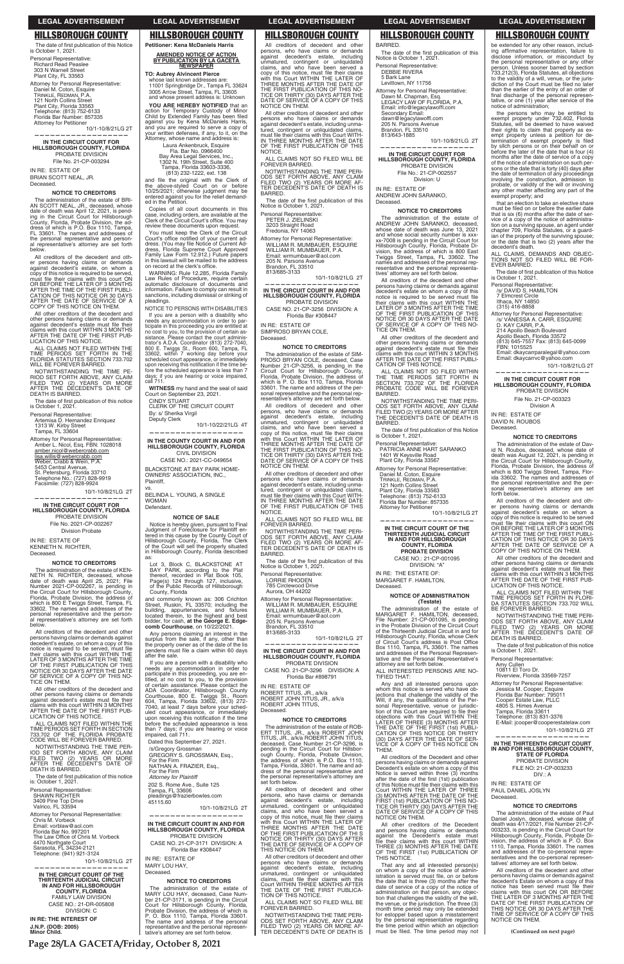## **HILLSBOROUGH COUNTY**

The date of first publication of this Notice is October 1, 2021. Personal Representative:

**Richard Read Peaslee** 303 N Warnell Street Plant City, FL 33563

Attorney for Personal Representative: Daniel M. Coton, Esquire<br>TRINKLE, REDMAN, P.A. 121 North Collins Street<br>Plant City, Florida 33563<br>Telephone: (813) 752-6133 Florida Bar Number: 857335 Attorney for Petitioner

10/1-10/8/21LG 2T

IN THE CIRCUIT COURT FOR HILLSBOROUGH COUNTY, FLORIDA<br>PROBATE DIVISION File No. 21-CP-003294

IN RE: ESTATE OF BRIAN SCOTT NEAL, JR. Deceased.

#### **NOTICE TO CREDITORS**

The administration of the estate of BRI-<br>AN SCOTT NEAL, JR., deceased, whose<br>date of death was April 12, 2021, is pend-<br>ing in the Circuit Court for Hillsborough<br>County, Florida, Probate Division, the ad-<br>gress of which is FL 33601. The names and addresses of<br>the personal representative and personal representative's attorney are set forth below

All creditors of the decedent and other persons having claims or demands<br>against decedent's estate, on whom a explorate to be served,<br>copy of this notice is required to be served,<br>must file their claims with this court ON<br>OR BEFORE THE LATER OF 3 MONTHS STER THE TIME OF THE FIRST PUBLICATION OF THIS NOTICE OR 30 DAYS AFTER THE DATE OF SERVICE OF A COPY OF THIS NOTICE ON THEM.

All other creditors of the decedent and other persons having claims or demands against decedent's estate must file their<br>claims with this court WITHIN 3 MONTHS<br>AFTER THE DATE OF THE FIRST PUB-<br>LICATION OF THIS NOTICE.

ALL CLAIMS NOT FILED WITHIN THE TIME PERIODS SET FORTH IN THE<br>FLORIDA STATUTES SECTION 733.702 WILL BE FOREVER BARRED.

NOTWITHSTANDING THE TIME PE-NOT SET FORTH ABOVE, ANY CLAIM<br>FILED TWO (2) YEARS OR MORE<br>AFTER THE DECEDENT'S DATE OF DEATH IS BARRED.

The date of first publication of this notice is October 1, 2021.

Personal Representative Artemisa D. Hernandez Enriquez<br>1313 W. Kirby Street Tampa, FL 33604

Attorney for Personal Representative Amber L. Nicol. Esg. FBN: 1028018

amber.nicol@webercrabb.com lisa.willis@webercrabb.com<br>Weber, Crabb & Wein, P.A. Weber, Crabb & Welfi, P.A.<br>5453 Central Avenue,<br>5t. Petersburg, Florida 33710<br>Telephone No.: (727) 828-9919<br>Facsimile: (727) 828-9924

10/1-10/8/21LG 2T

IN THE CIRCUIT COURT FOR HILLSBOROUGH COUNTY, FLORIDA PROBATE DIVISION

File No. 2021-CP-002267 **Division Probate** 

IN RE: ESTATE OF **KENNETH N. RICHTER,** Deceased.

#### **NOTICE TO CREDITORS**

The administration of the estate of KEN-THE N. RICHTER, deceased, whose<br>date of death was April 25, 2021; File<br>Number 2021-CP-002267, is pending in National Circuit Court for Hillsborough County,<br>Florida, Probate Division, the address of which is 800 E Twiggs Street, Tampa, FL 33602. The names and addresses of the<br>personal representative and the person-<br>al representative's attorney are set forth below.

All creditors of the decedent and other All creditors of the decedent and other<br>persons having claims or demands against<br>decedent's estate, on whom a copy of this increased, must file<br>their claims with this court WITHIN THE<br>their claims with this court WITHIN THE<br>LATER OF 3 MONTHS AFTER THE TIME DE THE FIRST PUBLICATION OF THE<br>NOTICE OR 30 DAYS AFTER THE DATE<br>OF SERVICE OF A COPY OF THIS NO-TICE ON THEM.

All other creditors of the decedent and<br>other persons having claims or demands<br>against decedent's estate must file their

### **LEGAL ADVERTISEMENT**

## **HILLSBOROUGH COUNTY**

**LEGAL ADVERTISEMENT** 

All creditors of decedent and other

Presons, who have claims or demands<br>against decedent's estate, including<br>unmatured, contingent or unliquidated

claims, and who have been served a<br>copy of this notice, must file their claims<br>with this Court WITHIN THE LATER OF

THREE MONTHS AFTER THE DATE OF<br>THE FIRST PUBLICATION OF THIS NO-<br>TICE OR THIRTY (30) DAYS AFTER THE

DATE OF SERVICE OF A COPY OF THIS<br>NOTICE ON THEM.

All other creditors of decedent and other

persons who have claims or demands

pagainst decedent's estate, including unma-<br>tured, contingent or unliquidated claims,<br>must file their claims with this Court WITH-

... ......... MUNIHS AFTER THE DATE<br>OF THE FIRST PUBLICATION OF THIS<br>NOTICE.

FOREVER BARRED.

Personal Representative:<br>PETER J. ZIELINSKI

3203 Straight Road

Fredonia, NY 14063

205 N. Parsons Avenue<br>Brandon, FL 33510<br>813/685-3133

IN RF: ESTATE OF

Deceased.

**NOTICE** 

BARRED.

FOREVER BARRED.

Notice is October 1, 2021

Personal Representative:

LORRIE RHODEN<br>785 Circlewood Drive<br>Aurora, OH 44202

SIMPROSO BRYAN COLE.

ALL CLAIMS NOT SO FILED WILL BE

NOTWITHSTANDING THE TIME PERI-<br>ODS SET FORTH ABOVE, ANY CLAIM<br>FILED TWO (2) YEARS OR MORE AF-

TER DECEDENT'S DATE OF DEATH IS

The date of the first publication of this<br>Notice is October 1, 2021.

Attorney for Personal Representative:

WILLIAM R. MUMBAUER, ESQUIRE<br>WILLIAM R. MUMBAUER, ESQUIRE<br>WILLIAM R. MUMBAUER, P.A.<br>Email: wrmumbauer@aol.com

IN THE CIRCUIT COURT IN AND FOR<br>HILLSBOROUGH COUNTY, FLORIDA

PROBATE DIVISION

CASE NO. 21-CP-3256 DIVISION: A

Florida Bar #308447

**NOTICE TO CREDITORS** 

The administration of the estate of SIM-<br>PROSO BRYAN COLE, deceased, Case

Number 21-CP-3256, is pending in the<br>Circuit Court for Hillsborough County,

Florida, Probate Division, the address of<br>which is P. O. Box 1110, Tampa, Florida

33601. The name and address of the per-

sonal representative and the personal rep-<br>resentative's attorney are set forth below.

All creditors of decedent and other

persons, who have claims or demands

explanat decedent's estate, including<br>unmatured, contingent or unliquidated<br>claims, and who have been served a

copy of this notice, must file their claims

with this Court WITHIN THE LATER OF

WIT THE COULT WITHIN THE LATER OF<br>THREE MONTHS AFTER THE DATE OF

TICE OR THIRTY (30) DAYS AFTER THE<br>DATE OF SERVICE OF A COPY OF THIS<br>NOTICE ON THEM.

All other creditors of decedent and other

persons who have claims or demands<br>against decedent's estate, including unma-

tured, contingent or uniquidated claims,<br>must file their claims with this Court WITH-<br>IN THREE MONTHS AFTER THE DATE<br>OF THE FIRST PUBLICATION OF THIS

ALL CLAIMS NOT SO FILED WILL BE

NOTWITHSTANDING THE TIME PERI-<br>NOTWITHSTANDING THE TIME PERI-<br>ODS SET FORTH ABOVE, ANY CLAIM<br>FILED TWO (2) YEARS OR MORE AF-<br>TER DECEDENT'S DATE OF DEATH IS

The date of the first publication of this

Attorney for Personal Representative

Email: wrmumbauer@aol.com

205 N. Parsons Avenue

Brandon, FL 33510

813/685-3133

WILLIAM R. MUMBAUER, ESQUIRE<br>WILLIAM R. MUMBAUER, ESQUIRE<br>WILLIAM R. MUMBAUER, P.A.

IN THE CIRCUIT COURT IN AND EOR

HILLSBOROUGH COUNTY, FLORIDA

PROBATE DIVISION

CASE NO. 21-CP-3296 DIVISION: A

Florida Bar #898791

10/1-10/8/21LG 2T

10/1-10/8/21LG 2T

**HILLSBOROUGH COUNTY** Petitioner: Kena McDaniels Harris

**AMENDED NOTICE OF ACTION** BY PUBLICATION BY LA GACETA

**TO: Aubrey Alvincent Pierce** whose last known addresses are:<br>11001 Springbridge Dr., Tampa FL 33624 3005 Arrow Street, Tampa, FL 33605<br>and whose present address is: Unknown

**VOILARE HERERY NOTIFIED that an** action for Temporary Custody of Minor<br>Child by Extended Family has been filed state of the MCDaniels Harris,<br>and you are required to serve a copy of<br>your written defenses, if any, to it, on the Attorney, whose name and address is:

Laura Ankenbruck, Esquire<br>Fla. Bar No. 0966400<br>Bay Area Legal Services, Inc., Day Area Legal Jervices, Inc.,<br>1302 N. 19th Street, Suite 400<br>Tampa, Florida 33603-3336,<br>(813) 232-1222, ext. 138

and file the original with the Clerk of the above-styled Court on or before<br>10/25/2021; otherwise judgment may be<br>entered against you for the relief demanded in the Petition.

Copies of all court documents in this copies of all court documents in this<br>case, including orders, are available at the<br>Clerk of the Circuit Court's office. You may review these documents upon request.

You must keep the Clerk of the Circuit<br>Court's office notified of your current address. (You may file Notice of Current Address, Florida Supreme Court Approved<br>Family Law Form 12.912.) Future papers<br>in this lawsuit will be mailed to the address on record at the clerk's office.

WARNING: Rule 12.285, Florida Family Law Rules of Procedure, require certain<br>automatic disclosure of documents and information. Failure to comply can result in<br>sanctions, including dismissal or striking of pleadings.

NOTICE TO PERSONS WITH DISABILITIES If you are a person with a disability who If you are a person with a disability who<br>needs any accommodation in order to par-<br>ticipate in this proceeding you are entitled at no cost to you, to the provision of certain as-<br>sistance. Please contact the court administrators A.D.A. Coordinator (813) 272-7040,<br>800 E. Twiggs St., Room 600, Tampa, FL<br>33602, within 7 working day before your. scheduled court appearance, or immediately upon receiving this notification if the time be-<br>fore the scheduled apperance is less than 7 days; if you are hearing or voice impaired,<br>call 711.

WITNESS my hand and the seal of said Court on September 23, 2021. CINDY STUART CLERK OF THE CIRCUIT COURT

By: s/ Sherika Virgil Deputy Clerk 10/1-10/22/21LG 4T

#### IN THE COUNTY COURT IN AND FOR HILLSBOROUGH COUNTY, FLORIDA **CIVIL DIVISION**

CASE NO.: 2021-CC-049654 BLACKSTONE AT BAY PARK HOME-

BELINDA L. YOUNG, A SINGLE **WOMAN** Defendant.

OWNERS' ASSOCIATION, INC.,

Plaintiff.

#### **NOTICE OF SALE**

Notice is hereby given, pursuant to Final<br>Judgment of Foreclosure for Plaintiff enbegin this cause by the County Court of<br>Hillsborough County, Florida, The Clerk<br>of the Court will sell the properly situated in Hillsborough County, Florida described as

Consumer School C, BLACKSTONE AT BAY PARK, according to the Plat thereof, recorded in Plat Book 105, Page(s) 124 through 127, inclusive, of the Public Records of Hillsborough County, Florida

and commonly known as: 306 Crichton<br>Street, Ruskin, FL 33570; including the<br>building, appurtenances, and fixtures blocated therein, to the highest and best<br>bidder, for cash, at the George E. Edge-<br>comb Courthouse, on 10/22/2021.

Any persons claiming an interest in the surplus from the sale, if any, other than<br>the property owner as of the date of the lis<br>pendens must file a claim within 60 days after the sale.

If you are a person with a disability who<br>needs any accommodation in order to<br>participate in this proceeding, you are enparticipate in this proceeding, you are en-<br>titled, at no cost to you, to the provision<br>of certain assistance. Please contact the<br>ADA Coordinator, Hillsborough County<br>Courthouse, 800 E. Twiggs St., Room<br>604, Tampa, Florida outed court appearance, or immediately<br>upon receiving this notification if the time<br>before the scheduled appearance is less than 7 days; if you are hearing or voice<br>impaired, call 711.

**HILLSBOROUGH COUNTY** 

BARRED.

The date of the first publication of this Notice is October 1, 2021 Personal Representative:

**LEGAL ADVERTISEMENT** 

DEBBIE RIVERA 5 Bark Lane

Levittown, NY 11756

Attorney for Personal Representative: Dawn M. Chapman, Esq.<br>LEGACY LAW OF FLORIDA, P.A. Email: info@legacylawoffl.com<br>Secondary Email:<br>dawn@legacylawoffl.com 205 N. Parsons Avenue<br>Brandon, FL 33510<br>813/643-1885 10/1-10/8/21LG 2T

IN THE CIRCUIT COURT FOR HILLSBOROUGH COUNTY, FLORIDA PROBATE DIVISION File No.: 21-CP-002557

Division: U

IN RE: ESTATE OF ANDREW JOHN SARANKO, Deceased.

#### **NOTICE TO CREDITORS**

The administration of the estate of<br>ANDREW JOHN SARANKO, deceased, whose date of death was June 13, 2021 and whose social security number is xxx xx-7008 is pending in the Circuit Court for xx-7008 is pending in the Circuit Court for<br>Hillsborough County, Florida, Probate Di-<br>vision, the address of which is 800 East<br>Twiggs Street, Tampa, FL 33602. The<br>names and addresses of the personal representative and the personal representa tives' attorney are set forth below

All creditors of the decedent and other persons having claims or demands against decedent's estate on whom a copy of this neceaents estate on whom a copy of this<br>notice is required to be served must file<br>their claims with this court WITHIN THE<br>LATER OF 3 MONTHS AFTER THE TIME<br>OF THE FIRST PUBLICATION OF THIS<br>NOTICE OR 30 DAYS AFTER THE DATE<br>T TICE ON THEM.

All other creditors of the decedent and other persons having claims or demands<br>against decedent's estate must file their Glaims with this court WITHIN 3 MONTHS<br>AFTER THE DATE OF THE FIRST PUBLI-CATION OF THIS NOTICE.

ALL CLAIMS NOT SO FILED WITHIN THE TIME PERIODS SET FORTH IN<br>SECTION 733.702 OF THE FLORIDA<br>PROBATE CODE WILL BE FOREVER **BARRED** 

NOTWITHSTANDING THE TIME PERI-NOT WITH THROUGH AND CLAIM<br>FILED TWO (2) YEARS OR MORE AFTER<br>THE DECEDENT'S DATE OF DEATH IS BARRED.

The date of first publication of this Notice is October 1, 2021.

Personal Representative:<br>PATRICIA ANNE HART SARANKO 1401 W Keysville Road<br>Plant City, Florida 33567

Attorney for Personal Representative: Daniel M. Coton, Esquire<br>TRINKLE, REDMAN, P.A.

121 North Collins Street Plant City, Florida 33563 Telephone: (813) 752-6133 Florida Bar Number: 857335

Attorney for Petitioner 10/1-10/8/21LG 2T

IN THE CIRCUIT COURT OF THE THIRTEENTH JUDICIAL CIRCUIT<br>IN AND FOR HILLSBOROUGH<br>COUNTY, FLORIDA **PROBATE DIVISION** 

> CASE NO.: 21-CP-001095 DIVISION: "A"

IN RE: THE ESTATE OF: MARGARET F. HAMILTON, Deceased.

#### **NOTICE OF ADMINISTRATION** (Testate)

The administration of the estate of MARGARET F. HAMILTON, deceased,<br>File Number: 21-CP-001095, is pending inc. National Probate Division of the Circuit Court<br>of the Thirteenth Judicial Circuit in and for Hillsborough County, Florida, whose Clerk<br>of Circuit Court's address is Post Office<br>Box 1110, Tampa, FL 33601. The names and addresses of the Personal Representative<br>tative and the Personal Representative's<br>attorney are set forth below.

ALL INTERESTED PERSONS ARE NO-TIFIED THAT:

Any and all interested persons upon Any and an interested persons upon<br>whom this notice is seved who have objections that challenge the validity of the<br>Will, if any, the qualifications of the Per-<br>sonal Representative, venue or jurisdic-<br>tion of this Court a objections with this Court WITHIN THE<br>LATER OF THREE (3) MONTHS AFTER<br>THE DATE OF THE FIRST (1st) PUBLI-<br>CATION OF THIS NOTICE OR THIRTY<br>(30) DAYS AFTER THE DATE OF SER-VICE OF A COPY OF THIS NOTICE ON **THFM** All creditors of the Decedent and other All creditors of the Decedent and other<br>persons having claims or demands against<br>Decedent's estate on whom a copy of this Notice is served within three (3) months Notice in date of the first (1st) publication<br>of this Notice must file their claims with this<br>Court WITHIN THE LATER OF THREE<br>(3) MONTHS AFTER THE DATE OF THE (3) MONTHS AFTER THE DATE ON THE STILE THE NO-<br>FIRST (1st) PUBLICATION OF THIS NO-<br>TICE OR THIRTY (30) DAYS AFTER THE<br>DATE OF SERVICE OF A COPY OF THIS NOTICE ON THEM.

### **LEGAL ADVERTISEMENT**

## **HILLSBOROUGH COUNTY**

be extended for any other reason, including affirmative representation, failure to<br>disclose information, or misconduct by<br>the personal representative or any other the person. Unless sooner barred by section<br>733.212(3), Florida Statutes, all objections<br>to the validity of a will, venue, or the jurisb diction of the Court must be filed no later<br>than the earlier of the entry of an order of<br>final discharge of the personal representative, or one (1) year after service of the<br>notice of administration;

the persons who may be entitled to<br>exempt property under 732.402, Florida Statutes, will be deemed to have waived<br>their rights to claim that property as ex-<br>empt property unless a petition for determination of exempt property is filed<br>by sllch persons or on their behalf on or<br>before the later of the date that is four (4) booth in a date of service of a copy<br>of the notice of administration on such per-<br>sons or the date that is forty (40) days after shows on the date of termination of any proceedings<br>involving the construction, admission to<br>probate, or validity of the will or involving any other matter affecting any part of the<br>exempt property; and

that an election to take an elective share must be filed on or before the earlier date that is six (6) months after the date of service of a copy of the notice of administration on a surviving spouse, an agent under chapter 709, Florida Statutes, or a guardian of the property of the surviving spouse;<br>or the date that is two (2) years after the decedent's death.

ALL CLAIMS, DEMANDS AND OBJEC-<br>TIONS NOT SO FILED WILL BE FOR-<br>EVER BARRED.

The date of first publication of this Notice is October 1, 2021.

Personal Representative:<br>/s/ DAVID S. HAMILTON

7 Elmcrest Circle Ithaca, NY 14850

 $(315)$  416-8858

Attorney for Personal Representative:<br>/s/ VANESSA A. CARR, ESQUIRE D. KAY CARR, P.A.<br>214 Apollo Beach Boulevard

Apollo Beach, Florida 33572

(813) 645-7557 Fax: (813) 645-0099<br>FBN: 1015525

Email: dkaycarrparalegal@yahoo.com<br>Email: dkaycarrvc@yahoo.com

10/1-10/8/21LG 2T

IN THE CIRCUIT COURT FOR HILLSBOROUGH COUNTY, FLORIDA PROBATE DIVISION

File No. 21-CP-003323 Division A

IN RE: ESTATE OF DAVID N. ROUBOS Deceased.

### **NOTICE TO CREDITORS**

The administration of the estate of David N. Roubos, deceased, whose date of<br>death was August 12, 2021, is pending in death was August 12, 2021, is periumly in<br>the Circuit Court for Hillsborough County,<br>Florida, Probate Division, the address of which is 800 Twiggs Street, Tampa, Florida 33602. The names and addresses of the personal representative and the personal representative's attorney are .<br>≀e≏ forth below.

All creditors of the decedent and other persons having claims or demands<br>against decedent's estate on whom a copy of this notice is required to be served must file their claims with this court ON<br>OR BEFORE THE LATER OF 3 MONTHS OF BEFORE THE TIME OF THE FIRST PUBLI-<br>CATION OF THIS NOTICE OR 30 DAYS<br>AFTER THE DATE OF SERVICE OF A COPY OF THIS NOTICE ON THEM. All other creditors of the decedent and

An other cientum of other persons having claims or demands<br>against decedent's estate must file their<br>claims with this court WITHIN 3 MONTHS<br>AFTER THE DATE OF THE FIRST PUB-<br>LICATION OF THIS NOTICE.

ALL CLAIMS NOT FILED WITHIN THE

ALL CLAIMS NOT FILED WITHIN THE<br>TIME PERIODS SET FORTH IN FLORI-<br>DA STATUTES SECTION 733.702 WILL

NOTWITHSTANDING THE TIME PERI-

NOTING SET FORTH ABOVE, ANY CLAIM<br>FILED TWO (2) YEARS OR MORE<br>AFTER THE DECEDENT'S DATE OF

The date of first publication of this notice

BE FOREVER BARRED.

DEATH IS BARRED.

10811 FL Toro Dr.

Personal Representative:

Riverview, Florida 33569-7257

is October 1, 2021.

Amy Cullen

against verbetters a state must be claims with this court WITHIN 3 MONTHS<br>AFTER THE DATE OF THE FIRST PUB-<br>LICATION OF THIS NOTICE.

ALL CLAIMS NOT FILED WITHIN THE TIME PERIODS SET FORTH IN SECTION<br>733.702 OF THE FLORIDA PROBATE<br>CODE WILL BE FOREVER BARRED.

NOTWITHSTANDING THE TIME PER-IOD SET FORTH ABOVE, ANY CLAIM<br>FILED TWO (2) YEARS OR MORE<br>AFTER THE DECEDENT'S DATE OF DEATH IS BARRED.

The date of first publication of this notice<br>is: October 1, 2021.

Personal Representative: SHAWN RICHTER 3409 Pine Top Drive<br>Valrico, FL 33594

Attorney for Personal Representative: Chris M. Vorbeck Email: vorblaw@aol.com Email: vorblaw & adi.com<br>Florida Bar No. 997201<br>The Law Office of Chris M. Vorbeck 4470 Northgate Court<br>Sarasota, FL 34234-2121 Carasota, TE 04204 2121<br>Telephone: (941) 921-3124

10/1-10/8/21LG 2T

IN THE CIRCUIT COURT OF THE THIRTEENTH JUDICIAL CIRCUIT<br>IN AND FOR HILLSBOROUGH<br>COUNTY, FLORIDA FAMILY LAW DIVISION CASE NO.: 21-DR-005808 DIVISION: C

IN RE: THE INTEREST OF J.N.P. (DOB: 2005)

Minor Child.

Dated this September 27, 2021.

/s/Gregory Grossman GREGORY S. GROSSMAN, Esq., For the Firm<br>NATHAN A. FRAZIER, Esq., For the Firm<br>Attorney for Plaintiff

202 S. Rome Ave., Suite 125 Tampa, FL 33606<br>pleadings@frazierbowles.com 45115.60

10/1-10/8/21LG 2T

## IN THE CIRCUIT COURT IN AND FOR<br>HILLSBOROUGH COUNTY, FLORIDA PROBATE DIVISION

CASE NO. 21-CP-3171 DIVISION: A Florida Bar #308447

IN RE: ESTATE OF MARY LOU HAY. Deceased

#### **NOTICE TO CREDITORS**

The administration of the estate of<br>MARY LOU HAY, deceased, Case Num-MART LOU HAT, deceased, Case Num-<br>
21-CP-3171, is pending in the Circuit<br>
Court for Hillsborough County, Florida,<br>
Probate Division, the address of which is<br>
P. O. Box 1110, Tampa, Florida 33601.<br>
The name and address of t representative and the personal representative's attorney are set forth below.

ROBERT JOHN TITUS, Deceased

IN RE: ESTATE OF

#### NOTICE TO CREDITORS

ROBERT TITUS, JR., a/k/a<br>ROBERT TITUS, JR., a/k/a<br>ROBERT JOHN TITUS, JR., a/k/a

The administration of the estate of ROB-ERT TITUS, JR., a/k/a ROBERT JOHN<br>TITUS, JR., a/k/a ROBERT JOHN deceased, Case Number 21-CP-3296, is<br>pending in the Circuit Court for Hillsborough County. Florida. Probate Division the address of which is P.O. Box 1110,<br>Tampa, Florida, 33601. The name and address of the personal representative and<br>the personal representative's attorney are set forth below.

All creditors of decedent and other Persons, who have claims or demands<br>against decedent's estate, including<br>unmatured, contingent or unliquidated<br>claims, and who have been served a copy of this notice, must file their claims Copy of this Court WITHIN THE LATER OF<br>WITH this Court WITHIN THE LATER OF<br>THREE MONTHS AFTER THE DATE<br>OF THE FIRST PUBLICATION OF THI S NOTICE OR THIRTY (30) DAYS AFTER<br>THE DATE OF SERVICE OF A COPY OF THIS NOTICE ON THEM.

All other creditors of decedent and other persons who have claims or demands against decedent's estate including against decedents estate, including<br>claims, must file their claims with this<br>claims, must file their claims with this<br>Court WITHIN THREE MONTHS AFTER<br>THE DATE OF THE FIRST PUBLICA-TION OF THIS NOTICE.

ALL CLAIMS NOT SO FILED WILL BE<br>FOREVER BARRED.

NOTWITHSTANDING THE TIME PERI-NOT SET FORTH ABOVE, ANY CLAIM<br>FILED TWO (2) YEARS OR MORE AFTER DECEDENT'S DATE OF DEATH IS

All other creditors of the Decedent and persons having claims or demands<br>against the Decedent's estate must against the between the scate that<br>file their claims with this court WITHIN<br>THREE (3) MONTHS AFTER THE DATE<br>OF THE FIRST (1st) PUBLICATION OF THIS NOTICE.

That any and all interested person(s) on whom a copy of the notice of admin-<br>istration is served must file, on or before the date that is three (3) months after the date of service of a copy of the notice of administration on that person, any objection that challenges the validity of the will the venue, or the jurisdiction. The three (3) month time period may only be extended for estoppel based upon a misstatement by the personal representative regarding<br>the time period within which an objection<br>must be filed. The time period may not

| Attorney for Personal Representative:<br>Jessica M. Cooper, Esquire<br>Florida Bar Number: 795011<br>Cooper Estate Law, PLLC<br>4805 S. Himes Avenue<br>Tampa, Florida 33611<br>Telephone: (813) 831-3376<br>E-Mail: jcooper@cooperestatelaw.com<br>10/1-10/8/21LG 2T                                                                                                                                                                                                                       |
|---------------------------------------------------------------------------------------------------------------------------------------------------------------------------------------------------------------------------------------------------------------------------------------------------------------------------------------------------------------------------------------------------------------------------------------------------------------------------------------------|
|                                                                                                                                                                                                                                                                                                                                                                                                                                                                                             |
| IN THE THIRTEENTH CIRCUIT COURT<br>IN AND FOR HILLSBOROUGH COUNTY.<br><b>STATE OF FLORIDA</b><br>PROBATE DIVISION<br>FILE NO: 21-CP-003233<br>DIV.: A                                                                                                                                                                                                                                                                                                                                       |
| IN RE: ESTATE OF<br><b>PAUL DANIEL JOSLYN</b><br>Deceased.                                                                                                                                                                                                                                                                                                                                                                                                                                  |
| <b>NOTICE TO CREDITORS</b>                                                                                                                                                                                                                                                                                                                                                                                                                                                                  |
| The administration of the estate of Paul<br>Daniel Joslyn, deceased, whose date of<br>death was 4/17/2021, File Number 21-CP-<br>003233, is pending in the Circuit Court for<br>Hillsborough County, Florida, Probate Di-<br>vision, the address of which is P. O. Box<br>1110, Tampa, Florida 33601. The names<br>and addresses of the co-personal repre-<br>sentatives and the co-personal represen-<br>tatives' attorney are set forth below.<br>All creditors of the decedent and other |
| persons having claims or demands against<br>decedent's Estate on whom a copy of this<br>notice has been served must file their                                                                                                                                                                                                                                                                                                                                                              |

noti Claims with this court ON OR BEFORE<br>THE LATER OF 3 MONTHS AFTER THE<br>DATE OF THE FIRST PUBLICATION OF THIS NOTICE OR 30 DAYS AFTER THE<br>TIME OF SERVICE OF A COPY OF THIS<br>NOTICE ON THEM.

(Continued on next page)

Page 28/LA GACETA/Friday, October 8, 2021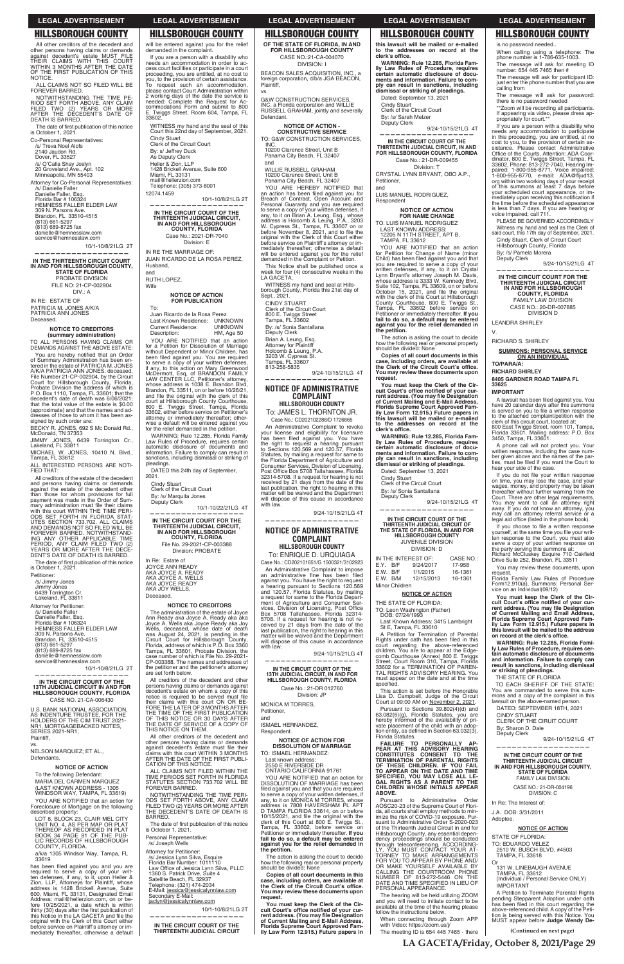## **HILLSBOROUGH COUNTY**

All other creditors of the decedent and other persons having claims or demands<br>against decedent's estate MUST FILE<br>THEIR CLAIMS WITH THIS COURT<br>WITHIN 3 MONTHS AFTER THE DATE OF THE FIRST PUBLICATION OF THIS NOTICE.

ALL CLAIMS NOT SO FILED WILL BE FOREVER BARRED.

NOTWITHSTANDING THE TIME PE-RIOD SET FORTH ABOVE, ANY CLAIM<br>FILED TWO (2) YEARS OR MORE<br>AFTER THE DECEDENT'S DATE OF **DEATH IS BARRED.** 

The date of first publication of this notice<br>is October 1, 2021.

Co-Personal Representatives: s Telecha Treprese<br>/s/ Treva Noel Alofs<br>2140 Jaudon Rd. Dover, FL 33527 /s/ O'Calla Shay Joslyn<br>20 Groveland Ave., Apt. 102<br>Minneapolis, MN 55403

Attorney for Co-Personal Representatives: /s/ Danielle Faller<br>Danielle Faller, Esq.<br>Florida Bar # 106324 HEMNESS FALLER ELDER LAW<br>309 N. Parsons Ave.<br>Brandon, FL 33510-4515 (813) 661-5297<br>(813) 689-8725 fax danielle@hemnesslaw.com

service@hemnesslaw.com 10/1-10/8/21LG 2T

IN THE THIRTEENTH CIRCUIT COURT IN AND FOR HILLSBOROUGH COUNTY,<br>STATE OF FLORIDA PROBATE DIVISION FILE NO: 21-CP-002904  $DIV: A$ 

IN RE: ESTATE OF PATRICIA M. JONES A/K/A PATRICIA ANN JONES Deceased.

#### **NOTICE TO CREDITORS** (summary administration)

TO ALL PERSONS HAVING CLAIMS OR<br>DEMANDS AGAINST THE ABOVE ESTATE:

You are hereby notified that an Order of Summary Administration has been en-<br>tered in the estate of PATRICIA M. JONES<br>AVKA PATRICIA ANN JONES, deceased,<br>Eile Number 21-CP-002904, by the Circuit Court for Hillsborough County, Florida,<br>Probate Division the address of which is<br>P.O. Box 1110, Tampa, FL 33601; that the P.O. Box 1110, Tampa, PL 33601, that the<br>decedent's date of death was 6/06/2021;<br>that the total value of the estate is \$0.00 (approximate) and that the names and addresses of those to whom it has been assigned by such order are

BECKY R. JONES, 692 S Mc Donald Rd.,<br>McDonald, TN 37353

JIMMY JONES, 6439 Torrington Cr.,<br>Lakeland, FL 33811 MICHAEL W. JONES, 10410 N. Blvd.,

Tampa, FL 33612 ALL INTERESTED PERSONS ARE NOTI-

FIED THAT:

All creditors of the estate of the decedent and persons having claims or demands<br>against the estate of the decedent other against the estate of the decedent offer<br>than those for whom provisions for full<br>payment was made in the Order of Sum-<br>mary administration must file their claims.<br>with this court WITHIN THE TIME PERI-<br>UTES SECTION 733.702. AND DEWARDS NOT SOFTED WILL BE<br>FOREVER BARRED. NOTWITHSTAND-<br>ING ANY OTHER APPLICABLE TIME<br>PERIOD, ANY CLAIM FILED TWO (2)<br>YEARS OR MORE AFTER THE DECE-<br>DENT'S DATE OF DEATH IS BARRED.

The date of first publication of this notice is October 1, 2021.

Petitioner:<br>/s/ Jimmy Jones Jimmy Jones

6439 Torrington Cr.<br>Lakeland, FL 33811 Attorney for Petitioner:

/s/ Danielle Faller Danielle Faller, Esq Florida Bar # 106324 HEMNESS FALLER ELDER LAW 309 N. Parsons Ave. Brandon, FL 33510-4515<br>(813) 661-5297  $(813)$  689-8725 fax

danielle@hemnesslaw.com service@hemnesslaw.com 10/1-10/8/21LG 2T

IN THE CIRCUIT COURT OF THE

13TH JUDICIAL CIRCUIT IN AND FOR HILLSBOROUGH COUNTY, FLORIDA CASE NO. 21-CA-006430

## **LEGAL ADVERTISEMENT**

**HILLSBOROUGH COUNTY** 

will be entered against you for the relief

If you are a person with a disability who needs an accommodation in order to access court facilities or participate in a court

proceeding, you are entitled, at no cost to

processing, you are finited, at no cost to<br>you, to the provision of certain assistance.<br>To request such an accommodation,<br>please contact Court Administration within<br>2 working days of the date the service is<br>needed: Complet

commodations Form and submit to 800

Twiggs Street, Room 604, Tampa, FL

WITNESS my hand and the seal of this

Court this 22nd day of September, 2021.

10/1-10/8/21LG 2T

**UNKNOWN** 

HM, Age 50

demanded in the complaint.

Cindy Stuart<br>Clerk of the Circuit Court

1428 Brickell Avenue, Suite 600<br>Miami, FL 33131

IN THE CIRCUIT COURT OF THE THIRTEENTH JUDICIAL CIRCUIT,<br>IN AND FOR HILLSBOROUGH<br>COUNTY, FLORIDA

Case No.: 2021-DR-7040

Division: E

JUAN RICARDO DE LA ROSA PEREZ,

**NOTICE OF ACTION<br>FOR PUBLICATION** 

Last Known Residence: UNKNOWN

YOU ARE NOTIFIED that an action

For a Petition for Dissolution of Marriage<br>without Dependent or Minor Children, has<br>been filed against you. You are required

been line against you. You are required<br>to serve a copy of your written defenses,<br>if any, to this action on Mary Greenwood<br>McDermott, Esq., of BRANDON FAMILY<br>LAW CENTER LLC, Petitioner's attomey,<br>whose address is 1038 E. B

and file the original with the clerk of this<br>court at Hillsborough County Courthouse,<br>800 E. Twiggs Street, Tampa, Florida

33602, either before service on Petitioner's<br>attorney or immediately thereafter; otherwise a default will be entered against you

VARINING. Rule 12.263, Florida Parility<br>Law Rules of Procedure, requires certain<br>automatic disclosure of documents and

information. Failure to comply can result in<br>sanctions, including dismissal or striking of

IN THE CIRCUIT COURT FOR THE

THIRTEENTH JUDICIAL CIRCUIT,<br>THIRTEENTH JUDICIAL CIRCUIT,

**COUNTY, FLORIDA** 

File No. 29-2021-CP-003388

Division: PROBATE

**NOTICE TO CREDITORS** 

The administration of the estate of Joyce Ann Ready aka Joyce A. Ready aka aka<br>Joyce A. Wells aka Joyce Ready aka Joy<br>Wells, deceased, whose date of death

was August 24, 2021, is pending in the<br>Circuit Court for Hillsborough County,<br>Florida, address of which is P.O. Box 3360

Tampa, FL 33601, Probate Division, the<br>case number of which is File No. 29-2021-<br>CP-003388. The names and addresses of

the petitioner and the petitioner's attorney<br>are set forth below.

All creditors of the decedent and other

persons having claims or demands against

10/1-10/22/21LG 4T

DATED this 24th day of September,

Cindy Stuart<br>Clerk of the Circuit Court

By: /s/ Marquita Jones

Deputy Clerk

In Re: Estate of

Deceased.

JOYCE ANN READY

AKA JOYCE A. READY<br>AKA JOYCE A. WELLS<br>AKA JOYCE READY<br>AKA JOY WELLS,

for the relief demanded in the petition. WARNING: Rule 12.285, Florida Family

Juan Ricardo de la Rosa Perez

**Current Residence:** 

Description:

pleadings

2021.

Telephone: (305) 373-8001

IN RF THE MARRIAGE OF

By: s/ Jeffrey Duck

As Deputy Clerk

Heller & Zion, LLP

12074.1459

Husband.

RUTH LOPEZ,

and

Wife

To:

mail@hellerzion.com

33602

## **LEGAL ADVERTISEMENT**

**HILLSBOROUGH COUNTY** OF THE STATE OF FLORIDA, IN AND<br>FOR HILLSBOROUGH COUNTY CASE NO.:21-CA-004070 **DIVISION: I** 

BEACON SALES ACQUISITION, INC., a foreign corporation, d/b/a JGA BÉACON, Plaintiff.

G&W CONSTRUCTION SERVICES,<br>INC. a Florida corporation and WILLIE<br>RUSSELL GRAHAM, jointly and severally Defendant

> **NOTICE OF ACTION -CONSTRUCTIVE SERVICE**

TO: G&W CONSTRUCTION SERVICES, 10200 Clarence Street. Unit B

Panama City Beach, FL 32407 and

WILLIE RUSSELL GRAHAM 10200 Clarence Street, Unit B<br>Panama City Beach, FL 32407 YOU ARE HEREBY NOTIFIED that an action has been filed against you for<br>Breach of Contract, Open Account and Breach of Contract, Open Account and<br>Personal Guaranty and you are required<br>to serve a copy of your written defenses, if<br>any, to it on Brian A. Leung, Esq., whose<br>address is Holcomb & Leung, P.A., 3203<br>M. Cypress St., Tamp before service on Plaintiff's attorney or im-<br>mediately thereafter; otherwise a default will be entered against you for the relief demanded in the Complaint or Petition.

This Notice shall be published once a week for four (4) consecutive weeks in the LA GACETA.

WITNESS my hand and seal at Hillsborough County, Florida this 21st day of<br>Sept., 2021. **CINDY STUART** 

Clerk of the Circuit Court<br>800 E. Twiggs Street<br>Tampa, FL 33602

By: /s/ Sonia Santallana

Deputy Clerk

Brian A. Leung, Esq.<br>Attorney for Plaintiff<br>Holcomb & Leung, P.A.

3203 W. Cypress St.<br>Tampa, FL 33607<br>813-258-5835

9/24-10/15/21LG 4T

### **NOTICE OF ADMINISTRATIVE COMPLAINT** HILLSBOROUGH COUNTY

To: JAMES L. THORNTON JR. Case No.: CD202102288/D 1726865

An Administrative Complaint to revoke<br>your license and eligibility for licensure<br>has been filed against you. You have<br>the right to request a hearing pursuant<br>to Sections 120.569 and 120.57, Florida Statutes, by mailing a request for same to<br>the Florida Department of Agriculture and<br>Consumer Services, Division of Licensing,<br>Post Office Box 5708 Tallahassee, Florida Figure but the contract and a sequent of hearing is not<br>received by 21 days from the date of the<br>last publication, the right to hearing in this matter will be waived and the Department<br>will dispose of this cause in accordance with law.

9/24-10/15/21LG 4T

### **NOTICE OF ADMINISTRATIVE COMPLAINT HILLSBOROUGH COUNTY**

To: ENRIQUE D. URQUIAGA

Case No.: CD202101651/G 1500321/3102923 An Administrative Complaint to impose an administrative fine has been filed

and anti-view the right to request<br>a hearing pursuant to Sections 120.569<br>and 120.57, Florida Statutes, by mailing and 120.57, Fronda Statutes, by mainleg<br>a request for same to the Florida Depart-<br>ment of Agriculture and Consumer Services, Division of Licensing, Post Office<br>Box 5708 Tallahassee, Florida 32314-<br>5708. If a request for he last publication, the right to hearing in this<br>matter will be waived and the Department will dispose of this cause in accordance with law

9/24-10/15/21LG 4T

### IN THE CIRCUIT COURT OF THE<br>13TH JUDICIAL CIRCUIT, IN AND FOR HILLSBOROUGH COUNTY, FLORIDA Case No.: 21-DR 012760 Division: JP

MONICA M TORRES,

### **LEGAL ADVERTISEMENT**

## **HILLSBOROUGH COUNTY**

this lawsuit will be mailed or e-mailed to the addresses on record at the<br>clerk's office.

WARNING: Rule 12 285 Florida Family Law Rules of Procedure, requires certain automatic disclosure of docubecame and information. Failure to com-<br>ply can result in sanctions, including<br>dismissal or striking of pleadings. Dated: September 13, 2021

Cindy Stuart<br>Clerk of the Circuit Court

By: /s/ Sarah Melzer Deputy Clerk

9/24-10/15/21LG 4T

IN THE CIRCUIT COURT OF THE THIRTEENTH JUDICIAL CIRCUIT, IN AND<br>FOR HILLSBOROUGH COUNTY, FLORIDA Case No.: 21-DR-009455 Division: T CRYSTAL LYNN BRYANT, OBO A.P., Petitioner.

and LUIS MANUEL RODRIGUEZ, Respondent

## **NOTICE OF ACTION<br>FOR NAME CHANGE**

TO: LUIS MANUEL RODRIGUEZ LAST KNOWN ADDRESS:<br>12205 N 11TH STREET, APT B, TAMPA, FL 33612

TAMPA, FL 33612<br>YOU ARE NOTIFIED that an action<br>for Petition for Change of Name (minor<br>Child) has been filed against you and that<br>you are required to serve a copy of your<br>written defenses, if any, to it on Crystal<br>Lynn Br Sociologie Tr., zz.c., and the clerk of this Court at Hillsborough<br>County Courthouse, 800 E. Twiggs St., Tampa, FL 33602 before service on Petitioner or immediately thereafter. If you<br>fail to do so, a default may be entered against you for the relief demanded in the petition.

The action is asking the court to decide how the following real or personal property should be divided: None

Copies of all court documents in this copies of all court documents in this<br>case, including orders, are available at<br>the Clerk of the Circuit Court's office. You may review these documents upon<br>request.

You must keep the Clerk of the Cir-Form what we be the contribution of the control of your current Mailing and E-Mail Address,<br>of Current Mailing and E-Mail Address,<br>Florida Supreme Court Approved Family Law Form 12.915.) Future papers in<br>this lawsuit will to the addresses on record at the clerk's office.

WARNING: Rule 12 285 Elorida Fam. ily Law Rules of Procedure, requires certain automatic disclosure of docuextrain additionally disclosure of docu-<br>ments and information. Failure to com-<br>ply can result in sanctions, including dismissal or striking of pleadings.

Dated: September 13, 2021 **Cindy Stuart** Clerk of the Circuit Court

By: /s/ Sonia Santallana Deputy Clerk

9/24-10/15/21LG 4T

IN THE CIRCUIT COURT OF THE THIRTEENTH JUDICIAL CIRCUIT OF<br>THE STATE OF FLORIDA, IN AND FOR<br>HILLSBOROUGH COUNTY **JUVENILE DIVISION** DIVISION: D

| N THE INTEREST OF:<br>CASE NO.:<br>E.Y. B/F<br>9/24/2017<br>17-958<br>E.W. B/F<br>1/1/2015<br>16-1361<br>12/15/2013<br>E.W. B/M<br>16-1361 |                | --------- |  |  |  |  |  |  |  |
|--------------------------------------------------------------------------------------------------------------------------------------------|----------------|-----------|--|--|--|--|--|--|--|
|                                                                                                                                            |                |           |  |  |  |  |  |  |  |
|                                                                                                                                            |                |           |  |  |  |  |  |  |  |
|                                                                                                                                            |                |           |  |  |  |  |  |  |  |
|                                                                                                                                            |                |           |  |  |  |  |  |  |  |
|                                                                                                                                            | Minor Children |           |  |  |  |  |  |  |  |

**NOTICE OF ACTION** 

THE STATE OF FLORIDA: TO: Leon Washington (Father)<br>DOB: 07/24/1993

Last Known Address: 3415 Lambright St E, Tampa, FL 33610

A Petition for Termination of Parental A Petition for Termination of Parental<br>Rights under oath has been field in this<br>court regarding the above-referenced<br>children. You are to appear at the Edge-<br>comb Courthouse (Annex) 800 E. Twiggs<br>Street, Court Room 310, Ta must appear on the date and at the time specified.

This action is set before the Honorable Lisa D. Campbell, Judge of the Circuit<br>Court at 09:00 AM on November 2, 2021.

## **LEGAL ADVERTISEMENT HILLSBOROUGH COUNTY**

# is no password needed.

When calling using a telephone: The<br>phone number is 1-786-635-1003. The message will ask for meeting ID<br>number: 654 445 7465 then #

The message will ask for participant ID:<br>just enter the phone number that you are calling from

The message will ask for password: there is no password needed

\*\* Zoom will be recording all participants If appearing via video, please dress ap-<br>propriately for court.\*\*

If you are a person with a disability who n you are a person with a disability who<br>needs any accommodation to participate<br>in this proceeding, you are entitled, at no cost to you, to the provision of certain assistance. Please contact Administrative<br>Office of the Courts, Attention: ADA Coor-Sinator, 800 E. Twiggs Street, Tampa, FL<br>33602, Phone: 813-272-7040, Hearing Im-<br>23602, Phone: 813-272-7040, Hearing Im-<br>23602-55-8770, e-mail: ADA@fijud13.<br>1-800-955-8770, e-mail: ADA@fijud13.<br>org within two working days your scheduled court appearance, or im-<br>mediately upon receiving this notification if<br>the time before the scheduled appearance is less than 7 days. If you are hearing or<br>voice impaired, call 711.

PLEASE BE GOVERNED ACCORDINGLY Witness my hand and seal as the Clerk of said court, this 17th day of September, 2021. Cindy Stuart, Clerk of Circuit Court Hillsborough County, Florida By: /s/ Pamela Morera

Deputy Clerk 9/24-10/15/21LG 4T

IN THE CIRCUIT COURT FOR THE THIRTEENTH JUDICIAL CIRCUIT<br>IN AND FOR HILLSBOROUGH **COUNTY, FLORIDA** FAMILY LAW DIVISION CASE NO.: 20-DR-007885 **DIVISION D** 

**I FANDRA SHIRLEY** 

 $\vee$ 

**RICHARD S. SHIRLEY** 

## SUMMONS: PERSONAL SERVICE<br>ON AN INDIVIDUAL

TO/PARA/A: **RICHARD SHIRLEY** 8405 GARDNER ROAD TAMPA FL 33625

#### **IMPORTANT**

request.

A lawsuit has been filed against you. You have 20 calendar days after this summons is served on you to file a written response to the attached complaint/petition with the clerk of this circuit court. located at: Selection and client Country in Solo East Twiggs Street, room 101, Tampa,<br>Florida 33601. Mailing address: P.O. Box<br>3450, Tampa, FL 33601. A phone call will not protect you. Your<br>written response, including the case num-

ber given above and the names of the parties, must be filed if you want the Court to<br>hear your side of the case.

If you do not file your written response

on time, you may lose the case, and your

wages, money, and property may be taken

thereafter without further warning from the

Court. There are other legal requirements.<br>You may want to call an attorney right away. If you do not know an attorney, you

may call an attorney referral service or a<br>legal aid office (listed in the phone book).

If you choose to file a written response

yourself, at the same time you file your written response to the Court, you must also<br>serve a copy of your written response on

the party serving this summons at:<br>Richard McCluskey Esquire 710 Oakfield<br>Drive Suite 252, Brandon, FL 33511

You may review these documents, upon

Florida Family Law Rules of Procedure<br>Form12.910(a), Summons: Personal Service on an Individual(09/12)

You must keep the Clerk of the Cir-<br>wit Court's office notified of your cur-

Figure is the counter of the Designation<br>of Current Mailing and Email Address,<br>Florida Supreme Court Approved Fam-<br>illy Law Form 12.915.) Future papers in<br>this lawsuit will be mailed to the address<br>on record at the clerk's

WARNING: Rule 12.285, Florida Fami-

ly Law Rules of Procedure, requires cer-<br>tain automatic disclosure of documents<br>and information. Failure to comply can

result in sanctions, including dismissal

TO EACH SHERIFF OF THE STATE:

You are commanded to serve this sum-

mons and a copy of the complaint in this lawsuit on the above-named person.

or striking of pleadings. THE STATE OF FLORIDA

U.S. BANK NATIONAL ASSOCIATION AS INDENTURE TRUSTEE, FOR THE<br>HOLDERS OF THE CIM TRUST 2021-NR1, MORTGAGEBACKED NOTES, SERIES 2021-NR1, Plaintiff,

VS.

NELSON MARQUEZ; ET AL., Defendants

#### **NOTICE OF ACTION**

To the following Defendant: MARIA DEL CARMEN MARQUEZ (LAST KNOWN ADDRESS - 1305) WINDSOR WAY, TAMPA, FL 33619)

YOU ARE NOTIFIED that an action for Foreclosure of Mortgage on the following described property:

COUNTRY PROCK 23, CLAIR MEL CITY<br>UNIT NO. 4, AS PER MAP OR PLAT<br>THEREOF AS RECORDED IN PLAT<br>BOOK 34 PAGE 81 OF THE PUBLIC RECORDED IN PLAT COUNTY, FLORIDA.

a/k/a 1305 Windsor Way, Tampa, FL 33619

has been filed against you and you are<br>required to serve a copy of your writ-<br>ten defenses, if any, to it, upon Heller &<br>Zion, LLP, Altomeys for Plaintiff, whose<br>address is 1428 Brickell Avenue, Suite 600, Miami, FL 33131, Designated Email Address: mail@hellerzion.com, on or be-<br>fore 10/25/2021, a date which is within thirty (30) days after the first publication of<br>this Notice in the LA GACETA and file the<br>original with the Clerk of this Court either before service on Plaintiff's attorney or immediately thereafter, otherwise a default present is estate on whom a copy of this<br>notice is required to be served must file<br>their claims with this court ON OR BE-<br>FORE THE LATER OF 3 MONTHS AFTER FURE THE LATER OF THE FIRST PUBLICATION<br>THE TIME OF THE FIRST PUBLICATION<br>OF THIS NOTICE OR 30 DAYS AFTER<br>THE DATE OF SERVICE OF A COPY OF<br>THIS NOTICE ON THEM.

All other creditors of the decedent and other persons having claims or demands against decedent's estate must file their<br>claims with this court WITHIN 3 MONTHS<br>AFTER THE DATE OF THE FIRST PUBLI-CATION OF THIS NOTICE.

ALL CLAIMS NOT FILED WITHIN THE<br>TIME PERIODS SET FORTH IN FLORIDA<br>STATUTES SECTION 733.702 WILL BE FOREVER BARRED.

NOTWITHSTANDING THE TIME PERI-<br>ODS SET FORTH ABOVE, ANY CLAIM<br>FILED TWO (2) YEARS OR MORE AFTER THE DECEDENT'S DATE OF DEATH IS **BARRED.** 

The date of first publication of this notice<br>is October 1, 2021.

Personal Representative:<br>/s/ Joseph Wells

**Attorney for Petitioner:** /s/ Jessica Lynn Silva, Esquire<br>Florida Bar Number: 1011110 Law Office of Jessica Lynn Silva, PLLC<br>1360 S. Patrick Drive, Suite 4<br>Satellite Beach, FL 32937

Telephone: (321) 474-2034<br>E-Mail: jessica@jessicalynnlaw.com<br>Secondary E-Mail: jaclyn@jessicalynnlaw.com

10/1-10/8/21LG 2T

IN THE CIRCUIT COURT OF THE<br>THIRTEENTH JUDICIAL CIRCUIT

Petitioner, and ISMAEL HERNANDEZ, Respondent. **NOTICE OF ACTION FOR DISSOLUTION OF MARRIAGE** TO: ISMAEL HERNANDEZ: Last known address:<br>2550 E RIVERSIDE DR<br>ONTARIO CALIFORNIA 91761 YOU ARE NOTIFIED that an action fo DISSOLUTION OF MARRIAGE has bee DISSOLUTION OF MAHHIAGE has been<br>filed against you and that you are require<br>to serve a copy of your written defenses,<br>any, to it on MONICA M TORRES, whose<br>p TAMPA FLORIDA 33614, on or befor<br>D TAMPA FLORIDA 33614, on or bef 10/15/2021, and file the original with the<br>clerk of this Court at 800 E. Twiggs St.<br>Tampa, FL 33602, before service of Petitioner or immediately thereafter. If you<br>fail to do so, a default may be entered<br>against you for the relief demanded in the petition.

The action is asking the court to decid<br>how the following real or personal propert should be divided: None

Copies of all court documents in thi case, including orders, are available a<br>the Clerk of the Circuit Court's office You may review these documents upo request.

You must keep the Clerk of the Circuit Court's office notified of your current address. (You may file Designation<br>of Current Mailing and E-Mail Address,<br>Florida Supreme Court Approved Fam-<br>ily Law Form 12.915.) Future pape

| ١r<br>n<br>d                                                                     | Pursuant to Sections 39.802(4)(d) and<br>$63.082(6)(g)$ , Florida Statutes, you are<br>hereby informed of the availability of pri-<br>vate placement of the child with an adop-<br>tion entity, as defined in Section 63.032(3),<br>Florida Statutes.<br><b>FAILURE TO</b><br><b>PERSONALLY</b><br>AP-<br>PEAR AT THIS ADVISORY HEARING<br><b>CONSTITUTES CONSENT TO</b><br><b>THE</b><br><b>TERMINATION OF PARENTAL RIGHTS</b><br>OF THESE CHILDREN. IF YOU FAIL<br>TO APPEAR ON THE DATE AND TIME<br>SPECIFIED, YOU MAY LOSE ALL LE-<br>GAL RIGHTS AS A PARENT TO THE<br>CHILDREN WHOSE INITIALS APPEAR                                                                             | DATED: SEPTEMBER 18TH, 2021<br><b>CINDY STUART</b><br>CLERK OF THE CIRUIT COURT<br>By: Sharon D. Dale<br>Deputy Clerk<br>9/24-10/15/21LG 4T<br>IN THE CIRCUIT COURT OF THE<br><b>THIRTEENTH JUDICIAL CIRCUIT</b><br>IN AND FOR HILLSBOROUGH COUNTY.<br><b>STATE OF FLORIDA</b><br><b>FAMILY LAW DIVISION</b><br>CASE NO.: 21-DR-004196 |
|----------------------------------------------------------------------------------|---------------------------------------------------------------------------------------------------------------------------------------------------------------------------------------------------------------------------------------------------------------------------------------------------------------------------------------------------------------------------------------------------------------------------------------------------------------------------------------------------------------------------------------------------------------------------------------------------------------------------------------------------------------------------------------|----------------------------------------------------------------------------------------------------------------------------------------------------------------------------------------------------------------------------------------------------------------------------------------------------------------------------------------|
| if<br>е<br>T<br>е<br>e<br>٠,<br>n<br>u<br>d<br>n<br>е<br>y<br>s<br>ıt<br>e.<br>n | ABOVE.<br>Administrative<br>Pursuant to<br>Order<br>AOSC20-23 of the Supreme Court of Flori-<br>da, all courts shall employ methods to min-<br>imize the risk of COVID-19 exposure. Pur-<br>suant to Administrative Order S-2020-023<br>of the Thirteenth Judicial Circuit in and for<br>Hillsborough County, any essential depen-<br>dency proceedings should be conducted<br>through teleconferencing. ACCORDING-<br>LY, YOU MUST CONTACT YOUR AT-<br>TORNEY TO MAKE ARRANGEMENTS<br>FOR YOU TO APPEAR BY PHONE AND/<br>OR MAKE YOURSELF AVAILABLE BY<br>CALLING THE COURTROOM PHONE<br>NUMBER OF 813-272-5446 ON THE<br>DATE AND TIME SPECIFIED IN LIEU OF<br>PERSONAL APPEARANCE. | DIVISION: C<br>In Re: The Interest of:<br>J.A. DOB: 3/31/2011<br>Adoptee.<br><b>NOTICE OF ACTION</b><br><b>STATE OF FLORIDA:</b><br>TO: EDUARDO VELEZ<br>2510 W. BUSCH BLVD, #4503<br>TAMPA, FL 33618<br>Or<br>131 W. LINEBAUGH AVENUE<br>TAMPA, FL 33612<br>(Individual / Personal Service ONLY)<br><b>IMPORTANT</b>                  |
| r-                                                                               | The hearing will be held utilizing ZOOM<br>and you will need to initiate contact to be<br>available at the time of the hearing please                                                                                                                                                                                                                                                                                                                                                                                                                                                                                                                                                 | A Petition to Terminate Parental Rights<br>pending Stepparent Adoption under oath<br>has been filed in this court regarding the<br>chaus referenced child A conuct the Deti                                                                                                                                                            |

follow the instructions below. When connecting through Zoom APP<br>with Video: https://zoom.us/j/

The meeting ID is  $6544457465$  - there

Parental Rights ion under oath has been filed in this court regarding the<br>above-referenced child. A copy of the Petition is being served with this Notice. You<br>MUST appear before Judge Wendy De-(Continued on next page)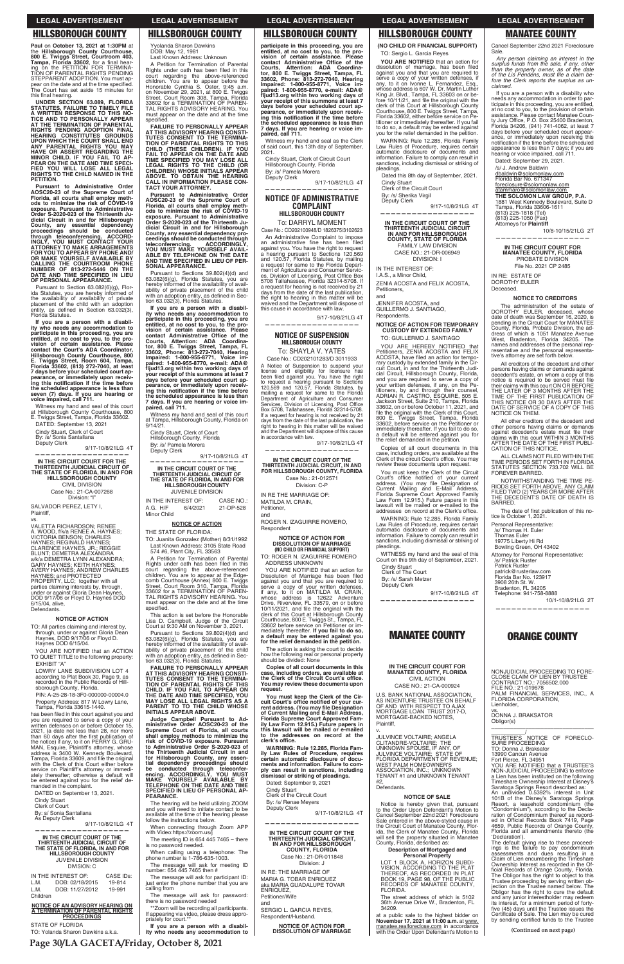**Page 30/LA GACETA/Friday, October 8, 2021**

**Paul** on **October 13, 2021 at 1:30PM** at the Hillsborough County Courthouse,<br>800 E. Twiggs Street, Courtroom 403,<br>Tampa, Florida 33602, for a final hear-<br>ing on the PETITION FOR TERMINA-<br>TION OF PARENTAL RIGHTS PENDING<br>STEPPARENT ADOPTION. You must ap-<br>pear on th on the date and at the time specified. The Court has set aside 15 minutes for this final hearing.

**UNDER SECTION 63.089, FLORIDA STATUTES, FAILURE TO TIMELY FILE A WRITTEN RESPONSE TO THIS NO-TICE AND TO PERSONALLY APPEAR AT THE TERMINATION OF PARENTAL RIGHTS PENDING ADOPTION FINAL HEARING CONSTITUTES GROUNDS**  UPON WHICH THE COURT SHALL END<br>ANY PARENTAL RIGHTS YOU MAY<br>HAVE OR ASSERT REGARDING THE<br>MINOR CHILD. IF YOU FAIL TO AP-<br>PEAR ON THE DATE AND TIME SPECI-<br>FIED YOU WILL LOSE ALL LEGAL **RIGHTS TO THE CHILD NAMED IN THE PETITION.**

Pursuant to Section  $63.082(6)(g)$ , Pursuant to Section 63.082(6)(g), Flor-<br>ida Statutes, you are hereby informed of<br>the availability of availability of private<br>placement of the child with an adoption entity, as defined in Section 63.032(3), Florida Statutes.

If you are a person with a disabil-<br>ity who needs any accommodation to<br>participate in this proceeding, you are<br>entitled, at no cost to you, to the pro-<br>vision of certain assistance. Please<br>contact the Court's ADA Coordinat **Hillsborough County Courthouse, 800 E. Twiggs Street, Room 604, Tampa, Florida 33602, (813) 272-7040, at least 7 days before your scheduled court ap-**<br>pearance, or immediately upon receiv-<br>ing this notification if the time before **the scheduled appearance is less than seven (7) days. If you are hearing or voice impaired, call 711.**

Witness my hand and seal of this court at Hillsborough County Courthouse, 800<br>E. Twiggs Street, Tampa, Florida 33602.

**Pursuant to Administrative Order AOSC20-23 of the Supreme Court of Florida, all courts shall employ meth-ods to minimize the risk of COVID-19 exposure. Pursuant to Administrative**  Order S-2020-023 of the Thirteenth Ju-<br>dicial Circuit in and for Hillsborough<br>County, any essential dependency<br>proceedings should be conducted<br>through teleconferencing. ACCORD-<br>NGLY, YOU MUST CONTACT YOUR<br>ATTORNEY TO MAKE **FOR YOU TO APPEAR BY PHONE AND/ OR MAKE YOURSELF AVAILABLE BY CALLING THE COURTROOM PHONE NUMBER OF 813-272-5446 ON THE DATE AND TIME SPECIFIED IN LIEU OF PERSONAL APPEARANCE.**

DATED: September 13, 2021 Cindy Stuart, Clerk of Court By: /s/ Sonia Santallana

Deputy Clerk 9/17-10/8/21LG 4T

**—————————————————— IN THE CIRCUIT COURT FOR THE THIRTEENTH JUDICIAL CIRCUIT OF THE STATE OF FLORIDA, IN AND FOR HILLSBOROUGH COUNTY** CIVIL DIVISION Case No.: 21-CA-007268 Division: "I"

SALVADOR PEREZ, LETY I, Plaintiff,

TO: All parties claiming and interest by, through, under or against Gloria Dean Haynes, DOD 9/17/06 or Floyd D. Haynes DOD 6/15/04.

YOU ARE NOTIFIED that an ACTION TO QUIET TITLE to the following property: EXHIBIT "A"

LOWRY LANE SUBDIVISION LOT 4 according to Plat Book 30, Page 9, as<br>recorded in the Public Records of Hill-<br>sborough County, Florida. County, Florida.

PIN: A-25-28-18-3F0-000000-00004.0 Property Address: 817 W Lowry Lane, Tampa, Florida 33615-1440.

You

Cindy Stuart Clerk of Court By: s/ Sonia Santallana As Deputy Clerk

## **IN THE CIRCUIT COURT OF THE THIRTEENTH JUDICIAL CIRCUIT OF THE STATE OF FLORIDA, IN AND FOR HILLSBOROUGH COUNTY** JUVENILE DIVISION DIVISION: C

STATE OF FLORIDA TO: Yolanda Sharon Dawkins a.k.a. TION OF PARENTAL RIGHTS OF THIS<br>CHILD. IF YOU FAIL TO APPEAR ON<br>THE DATE AND TIME SPECIFIED, YOU<br>MAY LOSE ALL LEGAL RIGHTS AS A<br>PARENT TO TO THE CHILD WHOSE<br>INITIALS APPEAR ABOVE.

Yyolanda Sharon Dawkins DOB: May 12, 1981

Last Known Address: Unknown A Petition for Termination of Parental Rights under oath has been filed in this<br>court regarding the above-referenced children. You are to appear before the<br>Honorable Cynthia S. Oster, 9:45 a.m. on November 29, 2021, at 800 E. Twiggs Street, Court Room 308, Tampa, Florida<br>33602 for a TERMINATION OF PAREN-TAL RIGHTS ADVISORY HEARING. You<br>must appear on the date and at the time<br>specified.

vs. VALETTA RICHARDSON; RENEE A. WOOD, f/k/a RENEE A. HAYNES;<br>VICTORIA BENSON; CHARLES HAYNES; REGINALD HAYNES; CLARENCE HAYNES, JR.; REGGIE<br>BLUNT; DEMETRA ALEXANDRA a/k/a DEMETRA LYNN ALEXANDRA;<br>GARY HAYNES; KEITH HAYNES;<br>AVERY HAYNES; ANDREW CHARLES<br>HAYNES; and PROTECTED<br>PROPERTY, LLC; together with all parties claiming interests by, through,<br>under or against Gloria Dean Haynes,<br>DOD 9/17/06 or Floyd D. Haynes DOD 6/15/04, alive, Defendants.

#### **NOTICE OF ACTION**

**your receipt of this summons at least 7 days before your scheduled court ap-pearance, or immediately upon receiv**ing this notification if the time before **the scheduled appearance is less than 7 days. If you are hearing or voice im-paired, call 711.** Witness my hand and seal of this court<br>at Tampa, Hillsborough County, Florida on

IN THE INTEREST OF: CASE NO.:<br>A.G. H/F 6/4/2021 21-DP-528 A.G. H/F 6/4/2021 21-DP-528 Minor Child

This action is set before the Honorable Lisa D. Campbell, Judge of the Circuit<br>Court at 9:30 AM on November 3, 2021. Pursuant to Sections 39.802(4)(d) and 63.082(6)(g), Florida Statutes, you are<br>hereby informed of the availability of availability of private placement of the child with an adoption entity, as defined in Sec-<br>tion 63.032(3), Florida Statutes. **FAILURE TO PERSONALLY APPEAR AT THIS ADVISORY HEARING CONSTI-TUTES CONSENT TO THE TERMINA-**

has been filed in this court against you and you are required to serve a copy of your<br>written defenses on or before October 15, 2021 (a date not less than 28, nor more than 60 days after the first publication of the notice) if any, to it on PERRY G. GRU-<br>MAN, Esquire, Plaintiff's attorney, whose<br>address is 3400 W. Kennedy Boulevard, Tampa, Florida 33609, and file the original with the Clerk of this Court either before service on Plaintiff's attorney or immediately thereafter; otherwise a default will be entered against you for the relief de-<br>manded in the complaint.

DATED on September 13, 2021.

9/17-10/8/21LG 4T **——————————————————**

IN THE INTEREST OF: CASE IDs: L.M. DOB: 02/18/2015 19-814 L.M. DOB: 11/27/2012 19-991 Children

## **NOTICE OF AN ADVISORY HEARING ON A TERMINATION OF PARENTAL RIGHTS PROCEEDINGS**

The meeting ID is  $654$  445 7465  $-$  there is no password needed.

When calling using a telephone: The phone number is 1-786-635-1003.

The message will ask for meeting ID<br>number: 654 445 7465 then #

The message will ask for participant ID: just enter the phone number that you are calling from

The message will ask for password: there is no password needed

\*\*Zoom will be recording all participants. If appearing via video, please dress appro-<br>priately for court.\*\*

participate in this proceeding, you are<br>entitled, at no cost to you, to the pro-<br>vision of certain assistance. Please<br>contact Administrative Office of the<br>Courts, Attention: ADA Coordina-<br>tor, 800 E. Twiggs Street, Tampa, Impaired:  $1-800-955-8771$ , Voice im-<br>paired:  $1-800-955-8770$ , e-mail: ADA@<br>fljud13.org within two working days of<br>your receipt of this summons at least 7<br>days before your scheduled court ap-<br>pearance, or immediately upo **the scheduled appearance is less than 7 days. If you are hearing or voice im-paired, call 711.**

**FAILURE TO PERSONALLY APPEAR AT THIS ADVISORY HEARING CONSTI-TUTES CONSENT TO THE TERMINA-**

TION OF PARENTAL RIGHTS TO THIS<br>CHILD (THESE CHILDREN). IF YOU<br>FAIL TO APPEAR ON THE DATE AND<br>TIME SPECIFIED YOU MAY LOSE ALL<br>LEGAL RIGHTS TO THE CHILD (OR<br>CHILDREN) WHOSE INITIALS APPEAR<br>ABOVE. TO OBTAIN THE HEARING<br>TACT

Witness my hand and seal as the Clerk of said court, this 13th day of September, 2021.

Cindy Stuart, Clerk of Circuit Court Hillsborough County, Florida By: /s/ Pamela Morera Deputy Clerk

**Pursuant to Administrative Order AOSC20-23 of the Supreme Court of Florida, all courts shall employ meth-ods to minimize the risk of COVID-19** 

To: SHAYLA V. YATES Case No.: CD202101283/D 3011933

A Notice of Suspension to suspend your license and eligibility for licensure has<br>been filed against you You have the right to request a hearing pursuant to Sections<br>120.569 and 120.57, Florida Statutes, by<br>mailing a request for same to the Florida<br>Department of Agriculture and Consumer Services, Division of Licensing, Post Office Box 5708, Tallahassee, Florida 32314-5708. If a request for hearing is not received by 21<br>days from the date of the last publication, the right to hearing in this matter will be waived<br>and the Department will dispose of this cause in accordance with law.

**exposure. Pursuant to Administrative Order S-2020-023 of the Thirteenth Ju-dicial Circuit in and for Hillsborough County, any essential dependency pro-ceedings should be conducted through teleconferencing. ACCORDINGLY, YOU MUST MAKE YOURSELF AVAIL-ABLE BY TELEPHONE ON THE DATE AND TIME SPECIFIED IN LIEU OF PER-**

Pursuant to Sections 39.802(4)(d) and 63.082(6)(g), Florida Statutes, you are<br>hereby informed of the availability of availhereby informed of the availability of avail-<br>ability of private placement of the child with an adoption entity, as defined in Sec-<br>tion 63.032(3), Florida Statutes.

If you are a person with a disabil-<br>ity who needs any accommodation to<br>participate in this proceeding, you are<br>entitled, at no cost to you, to the pro-<br>vision of certain assistance. Please<br>contact Administrative Office of

**SONAL APPEARANCE.**

Cindy Stuart, Clerk of Court Hillsborough County, Florida By: /s/ Pamela Morera 9/17-10/8/21LG 4T **—————————————————— IN THE CIRCUIT COURT OF THE THIRTEENTH JUDICIAL CIRCUIT OF THE STATE OF FLORIDA, IN AND FOR HILLSBOROUGH COUNTY** JUVENILE DIVISION **——————————————————**

> YOU ARE NOTIFIED that an action for Dissolution of Marriage has been filed<br>against you and that you are required to serve a copy of your written defenses,<br>if any, to it on MATILDA M. CRAIN,<br>whose address is 12622 Adventure<br>Drive, Riverview, FL 33579, on or before 10/11/2021, and file the original with the<br>clerk of this Court at Hillsborough County Courthouse, 800 E. Twiggs St., Tampa, FL<br>33602 before service on Petitioner or im-<br>mediately thereafter. If you fail to do so, **a default may be entered against you for the relief demanded in the petition.**

> The action is asking the court to decide how the following real or personal property should be divided: None

You must keep the Clerk of the Cir-<br>cuit Court's office notified of your current address. (You may file Designation<br>of Current Mailing and E-Mail Address,<br>Florida Supreme Court Approved Fam**address. (You may file ily Law Form 12.915.) Future papers in this lawsuit will be mailed or e-mailed to the addresses on record at the**  clerk's office. **WARNING: Rule 12.285, Florida Family Law Rules of Procedure, requires certain automatic disclosure of documents and information. Failure to com-ply can result in sanctions, including dismissal or striking of pleadings.**

9/14/21.

Deputy Clerk

TO: Juanita Gonzalez (Mother) 8/31/1992 Last Known Address: 3105 State Road 574 #6, Plant City, FL 33563

A Petition for Termination of Parental Rights under oath has been filed in this court regarding the above-referenced<br>children. You are to appear at the Edgechildren. You are to appear at the Edge-<br>comb Courthouse (Annex) 800 E. Twiggs<br>Street, Court Room 310, Tampa, Florida<br>33602 for a TERMINATION OF PAREN-<br>TAL RIGHTS ADVISORY HEARING. You RIGHTS ADVISORY HEARING. You must appear on the date and at the time specified.

> SERGIO L. GARCIA REYES, Respondent/Husband.

**(NO CHILD OR FINANCIAL SUPPORT)** TO: Sergio L. Garcia Reyes

**YOU ARE NOTIFIED** that an action for dissolution of marriage, has been filed<br>against you and that you are required to serve a copy of your written defenses, if<br>any, to it on Ivonne L. Fernandez, Esq., whose address is 607 W. Dr. Martin Luther<br>King Jr. Blvd., Tampa, FL 33603 on or be-<br>fore 10/11/21, and file the original with the clerk of this Court at Hillsborough County<br>Courthouse, 800 E. Twiggs Street, Tampa,<br>Florida 33602, either before service on Petitioner or immediately thereafter. If you fail to do so, a default may be entered against you for the relief demanded in the petition.

#### **NOTICE OF ACTION**

THE STATE OF FLORIDA:

WARNING: Rule 12.285, Florida Family Law Rules of Procedure, requires certain<br>automatic disclosure of documents and information. Failure to comply can result in sanctions, including dismissal or striking of pleadings.

Dated this 8th day of September, 2021. Cindy Stuart

Clerk of the Circuit Court By: /s/ Sherika Virgil Deputy Clerk

WARNING: Rule 12.285, Florida Family Law Rules of Procedure, requires certain<br>automatic disclosure of documents and information. Failure to comply can result in<br>sanctions, including dismissal or striking of pleadings.

WITNESS my hand and the seal of this<br>Court on this 9th day of September, 2021.

Cindy Stuart<br>Clerk of The Court By: /s/ Sarah Metzer

Deputy Clerk 9/17-10/8/21LG 4T

U.S. BANK NATIONAL ASSOCIATION, AS INDENTURE TRUSTEE ON BEHALF<br>OF AND WITH RESPECT TO AJAX<br>MORTGAGE LOAN TRUST 2017-D,

**Judge Campbell Pursuant to Administrative Order AOSC20-23 of the Supreme Court of Florida, all courts shall employ methods to minimize the risk of COVID-19 exposure. Pursuant to Administrative Order S-2020-023 of the Thirteenth Judicial Circuit in and**  for Hillsborough County, any essen-<br>tial dependency proceedings should<br>be conducted through teleconfer-<br>encing. ACCORDINGLY, YOU MUST<br>MAKE YOURSELF AVAILABLE BY<br>TELEPHONE ON THE DATE AND TIME **SPECIFIED IN LIEU OF PERSONAL AP-PEARANCE.**

The hearing will be held utilizing ZOOM and you will need to initiate contact to be available at the time of the hearing please follow the instructions below.

When connecting through Zoom APP with Video:https://zoom.us/j

> LOT 1 BLOCK A, HORIZON SUBDI-<br>VISION, ACCORDING TO THE PLAT THEREOF, AS RECORDED IN PLAT BOOK 19, PAGE 98, OF THE PUBLIC RECORDS OF MANATEE COUNTY, FLORIDA.

> The street address of which is 5102 36th Avenue Drive W., Bradenton, FL 34209.

at a public sale to the highest bidder on<br>**November 17, 2021 at 11:00 a.m.** at <u>www.</u> manatee.realforeclose.com in accordance<br>with the Order Upon Defendant's Motion to Cancel September 22nd 2021 Foreclosure Sale.

Any person claiming an interest in the<br> *surplus funds from the sale, if any, other*<br> *than the property owner, as of the date*<br> *of the Lis Pendens, must file a claim before the Clerk reports the surplus as unclaimed.*

If you are a person with a disability who needs any accommodation in order to par-<br>ticipate in this proceeding, you are entitled, at no cost to you, to the provision of certain<br>assistance. Please contact Manatee Coun-<br>ty Jury Office, P.O. Box 25400 Bradenton,<br>Florida 34206, (941) 741-4062, at least 7<br>days before your scheduled court appear-<br>ance, or notification if the time before the scheduled appearance is less than 7 days; if you are<br>hearing or voice impaired, call 711.

**If you are a person with a disabil-ity who needs any accommodation to** 

Dated: September 9, 2021 Cindy Stuart Clerk of the Circuit Court By: /s/ Renae Meyers Deputy Clerk

Dated: September 29, 2021. /s/ J. Andrew Baldwin

<u>dbaldwin@solomonlaw.com</u><br>Florida Bar No. 671347

foreclosure@solomonlaw.com atammaro@solomonlaw.com **THE SOLOMON LAW GROUP, P.A.** 1881 West Kennedy Boulevard, Suite D<br>Tampa, Florida 33606-1611<br>(813) 225-1818 (Tel)<br>(813) 225-1050 (Fax) Attorneys for **Plaintiff**

**IN THE CIRCUIT COURT FOR MANATEE COUNTY, FLORIDA** PROBATE DIVISION

DOROTHY EULER Deceased.

All other creditors of the decedent and other persons having claims or demands<br>against decedent's estate must file their<br>claims with this court WITHIN 3 MONTHS AFTER THE DATE OF THE FIRST PUBLI-CATION OF THIS NOTICE.

ALL CLAIMS NOT FILED WITHIN THE TIME PERIODS SET FORTH IN FLORIDA<br>STATUTES SECTION 733.702 WILL BE<br>FOREVER BARRED.

 9/17-10/8/21LG 4T **——————————————————**

> NOTWITHSTANDING THE TIME PE-RIODS SET FORTH ABOVE, ANY CLAIM<br>FILED TWO (2) YEARS OR MORE AFTER THE DECEDENT'S DATE OF DEATH IS BARRED.

The date of first publication of this notice is October 1, 2021.

### **NOTICE OF ADMINISTRATIVE COMPLAINT HILLSBOROUGH COUNTY**

To: DARRYL MOMENT Case No.: CD202100948/D 1826375/3102623

An Administrative Complaint to impose an administrative fine has been filed<br>against you. You have the right to request a hearing pursuant to Sections 120.569<br>and 120.57, Florida Statutes, by mailing a request for same to the Florida Department of Agriculture and Consumer Servic-<br>es, Division of Licensing, Post Office Box<br>5708 Tallahassee, Florida 32314-5708. If a request for hearing is not received by 21<br>days from the date of the last publication, the right to hearing in this matter will be waived and the Department will dispose of this cause in accordance with law.

- Personal Representative:
- /s/ Thomas H. Euler Thomas Euler 19775 Liberty Hi Rd
- Bowling Green, OH 43402

Attorney for Personal Representative:<br>/s/ Patrick Ruster

Patrick Ruster patrick@rusterlaw.com<br>Florida Bar No. 123917 3908 26th St. W.<br>Bradenton, FL 34205<br>Telephone: 941-758-8888

vs. DONNA J. BRAKSATOR Obligor(s) \_\_\_\_\_\_\_\_\_\_\_\_\_\_\_\_\_\_\_\_\_\_\_\_\_\_\_\_\_\_\_\_\_ \_\_\_\_\_\_\_\_\_\_\_\_\_/<br>TRUSTEE'S NOTICE OF FORECLO-SURE PROCEEDING<br>TO: Donna J. Braksator<br>13990 Cancun Avenue Fort Pierce, FL 34951<br>YOU ARE NOTIFIED that a TRUSTEE'S<br>NON-JUDICIAL PROCEEDING to enforce a Lien has been instituted on the following<br>Timeshare Ownership Interest at Disney's Saratoga Springs Resort described as: An undivided 0.5392% interest in Unit 101B of the Disney's Saratoga Springs<br>Resort, a leasehold condominium (the "Condominium"), according to the Decla-<br>ration of Condominium thereof as record-<br>ed in Official Records Book 7419, Page 4659, Public Records of Orange County,<br>Florida and all amendments thereto (the 'Declaration'). The default giving rise to these proceed-<br>ings is the failure to pay condominium<br>assessments and dues resulting in a Claim of Lien encumbering the Timeshare<br>Ownership Interest as recorded in the Of-<br>ficial Records of Orange County, Florida.

The Obligor has the right to object to this<br>Trustee proceeding by serving written ob-<br>jection on the Trustee named below. The Obligor has the right to cure the default<br>and any junior interestholder may redeem<br>its interest, for a minimum period of fortyfive (45) days until the Trustee issues the<br>Certificate of Sale. The Lien may be cured<br>by sending certified funds to the Trustee

9/17-10/8/21LG 4T

**——————————————————**

### **NOTICE OF SUSPENSION HILLSBOROUGH COUNTY**

9/17-10/8/21LG 4T

**IN THE CIRCUIT COURT OF THE THIRTEENTH JUDICIAL CIRCUIT, IN AND FOR HILLSBOROUGH COUNTY, FLORIDA** Case No.: 21-012571 Division: C-P

IN RE THE MARRIAGE OF: MATILDA M. CRAIN,

Petitioner,

and ROGER N. IZAGUIRRE ROMERO, Respondent

#### **NOTICE OF ACTION FOR DISSOLUTION OF MARRIAGE (NO CHILD OR FINANCIAL SUPPORT)**

TO: ROGER N. IZAGUIRRE ROMERO ADDRESS UNKNOWN

**Copies of all court documents in this**   $\overline{\phantom{a}}$  case, including orders, are available at the Clerk of the Circuit Court's office. **You may review these documents upon request.**

9/17-10/8/21LG 4T

**——————————————————**

## **IN THE CIRCUIT COURT OF THE THIRTEENTH JUDICIAL CIRCUIT, IN AND FOR HILLSBOROUGH COUNTY, FLORIDA**

Case No.: 21-DR-011848 Division: J

IN RE: THE MARRIAGE OF MARIA G. TOBAR ENRIQUEZ aka MARIA GUADALUPE TOVAR ENRIQUEZ, Petitioner/Wife

and

**NOTICE OF ACTION FOR DISSOLUTION OF MARRIAGE** 9/17-10/8/21LG 4T

**—————————————————— IN THE CIRCUIT COURT OF THE THIRTEENTH JUDICIAL CIRCUIT IN AND FOR HILLSBOROUGH COUNTY, STATE OF FLORIDA**

FAMILY LAW DIVISION CASE NO.: 21-DR-006949 DIVISION: I

IN THE INTEREST OF: I.A.S., a Minor Child, ZENIA ACOSTA and FELIX ACOSTA, Petitioners,

and

JENNIFER ACOSTA, and GUILLERMO J. SANTIAGO, Respondents.

**NOTICE OF ACTION FOR TEMPORARY CUSTODY BY EXTENDED FAMILY** TO: GUILLERMO J. SANTIAGO

YOU ARE HEREBY NOTIFIED that Petitioners, ZENIA ACOSTA and FELIX<br>ACOSTA, have filed an action for tempo-ACOSTA, have filed an action for tempo-<br>rary custody by extended family in the Cir-<br>cuit Court, in and for the Thirteenth Judi-<br>cial Circuit, Hillsborough County, Florida, and you are required to serve a copy of<br>your written defenses, if any, on the Pe-<br>titioners, by and through their counsel,<br>ADRIAN R. CASTRO, ESQUIRE, 505 E.<br>Jackson Street, Suite 210, Tampa, Florida<br>33602, on or before Oct file the original with the Clerk of this Court,<br>800 E. Twiggs Street, Tampa, Florida<br>33602, before service on the Petitioner or immediately thereafter. If you fail to do so, a default will be entered against<br>the relief demanded in the petition. will be entered against you for

Copies of all court documents in this case, including orders, are available at the<br>Clerk of the circuit Court's office. You may review these documents upon request.

You must keep the Clerk of the Circuit Court's office notified of your current address. (You may file Designation of<br>Current Mailing and E-Mail Address,<br>Florida Supreme Court Approved Family Law Form 12.915.) Future papers in this<br>lawsuit will be mailed or e-mailed to the<br>addresses on record at the Clerk's office.

**——————————————————**

## **MANATEE COUNTY**

**IN THE CIRCUIT COURT FOR MANATEE COUNTY, FLORIDA** CIVIL ACTION CASE NO.: 21-CA-000924

MORTGAGE-BACKED NOTES, Plaintiff,

v.

JULVINCE VOLTAIRE; ANGELA<br>CLITANDRE-VOLTAIRE; THE<br>UNKNOWN SPOUSE, IF ANY, OF JULVINCE VOLTAIRE; STATE OF<br>FLORIDA DEPARTMENT OF REVENUE; WEST PALM HOMEOWNER'S ASSOCIATION, INC.; UNKNOWN<br>TENANT #1 and UNKNOWN TENANT #2

Defendants.

### **NOTICE OF SALE**

Notice is hereby given that, pursuant<br>to the Order Upon Defendant's Motion to Cancel September 22nd 2021 Foreclosure Sale entered in the above-styled cause in the Circuit Court of Manatee County, Florida, the Clerk of Manatee County, Florida<br>will sell the property situated in Manatee<br>County, Florida, described as:

#### **Description of Mortgaged and Personal Property**

**(Continued on next page)**

### **LEGAL ADVERTISEMENT LEGAL ADVERTISEMENT LEGAL ADVERTISEMENT LEGAL ADVERTISEMENT LEGAL ADVERTISEMENT**

## **HILLSBOROUGH COUNTY HILLSBOROUGH COUNTY HILLSBOROUGH COUNTY HILLSBOROUGH COUNTY MANATEE COUNTY**

10/8-10/15/21LG 2T **——————————————————**

File No. 2021 CP 2485 IN RE: ESTATE OF

#### **NOTICE TO CREDITORS**

The administration of the estate of<br>
DOROTHY EULER, deceased, whose<br>
date of death was September 16, 2020, is pending in the Circuit Court for MANATEE<br>County, Florida, Probate Division, the ad-<br>dress of which is 1051 Manatee Avenue West, Bradenton, Florida 34205. The<br>names and addresses of the personal rep-<br>resentative and the personal representative's attorney are set forth below.

All creditors of the decedent and other persons having claims or demands against decedent's estate, on whom a copy of this<br>notice is required to be served must file<br>their claims with this court ON OR BEFORE THE LATER OF 3 MONTHS AFTER THE<br>TIME OF THE FIRST PUBLICATION OF<br>THIS NOTICE OR 30 DAYS AFTER THE DATE OF SERVICE OF A COPY OF THIS<br>NOTICE ON THEM.

10/1-10/8/21LG 2T

**——————————————————**

## **ORANGE COUNTY**

NONJUDICIAL PROCEEDING TO FORE-CLOSE CLAIM OF LIEN BY TRUSTEE CONTRACT NO.: 7056502.000 FILE NO.: 21-019678 PALM FINANCIAL SERVICES, INC., A FLORIDA CORPORATION, Lienholder,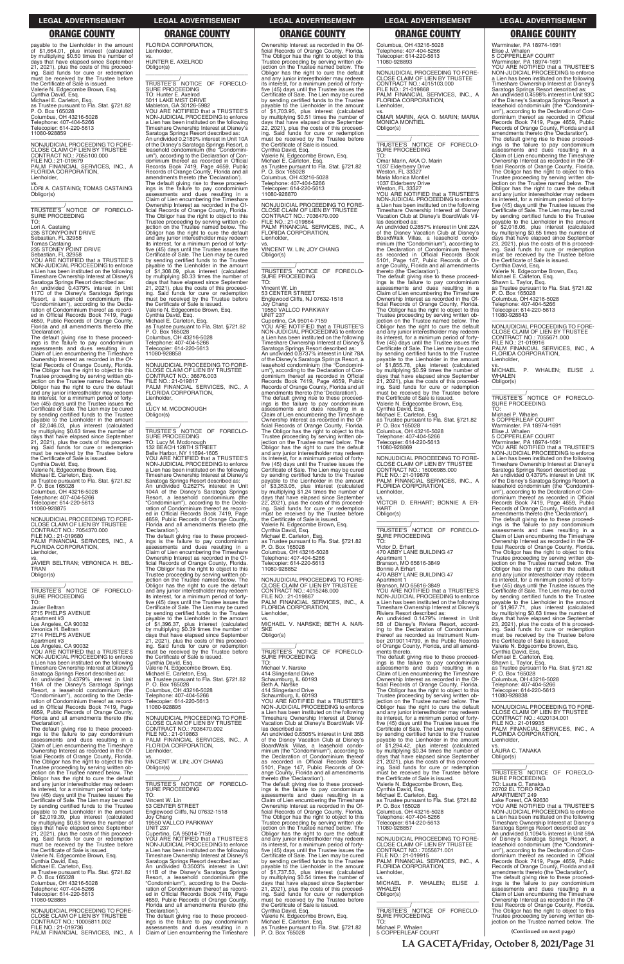payable to the Lienholder in the amount<br>of \$1,664.01, plus interest (calculated by multiplying \$0.50 times the number of<br>days that have elapsed since September 21, 2021), plus the costs of this proceed-<br>ing. Said funds for cure or redemption<br>must be received by the Trustee before<br>the Certificate of Sale is issued. Valerie N. Edgecombe Brown, Esq.<br>Cynthia David, Esq.<br>Michael E. Carleton, Esq. as Trustee pursuant to Fla. Stat. §721.82<br>P. O. Box 165028<br>Columbus, OH 43216-5028 Telephone: 407-404-5266<br>Telecopier: 614-220-5613<br>11080-928859

**LA GACETA/Friday, October 8, 2021/Page 31**

| 4659, Public Records of Orange County,<br>Florida and all amendments thereto (the<br>'Declaration').<br>The default giving rise to these proceed-<br>ings is the failure to pay condominium<br>assessments and dues resulting in a<br>Claim of Lien encumbering the Timeshare<br>Ownership Interest as recorded in the Of-<br>ficial Records of Orange County, Florida.<br>VS.<br>The Obligor has the right to object to this<br>Trustee proceeding by serving written ob-<br>jection on the Trustee named below. The<br>Obligor has the right to cure the default<br>and any junior interestholder may redeem<br>its interest, for a minimum period of forty-<br>five (45) days until the Trustee issues the<br>TO:<br>Certificate of Sale. The Lien may be cured<br>by sending certified funds to the Trustee<br>payable to the Lienholder in the amount<br>of \$2,019.39, plus interest (calculated<br>by multiplying \$0.63 times the number of<br>days that have elapsed since September<br>21, 2021), plus the costs of this proceed-<br>ing. Said funds for cure or redemption<br>must be received by the Trustee before<br>the Certificate of Sale is issued.<br>Valerie N. Edgecombe Brown, Esg.<br>Cynthia David, Esg.<br>Michael E. Carleton, Esq.<br>as Trustee pursuant to Fla. Stat. §721.82<br>P. O. Box 165028<br>Columbus, OH 43216-5028<br>Telephone: 407-404-5266<br>Telecopier: 614-220-5613<br>11080-928865 | NONJUDICIAL PROCEEDING TO FORE-<br>CLOSE CLAIM OF LIEN BY TRUSTEE<br>CONTRACT NO.: 7036470.002<br>FILE NO.: 21-019863<br>PALM FINANCIAL SERVICES, INC., A<br>FLORIDA CORPORATION.<br>Lienholder,<br>VINCENT W. LIN: JOY CHANG<br>Obligor(s)<br>TRUSTEE'S NOTICE OF FORECLO-<br>SURE PROCEEDING<br>Vincent W. Lin<br>53 CENTER STREET<br>Englewood Cliffs, NJ 07632-1518<br>Joy Chang<br>19550 VALLCO PARKWAY<br><b>UNIT 237</b><br>Cupertino, CA 95014-7159<br>YOU ARE NOTIFIED that a TRUSTEE'S<br>NON-JUDICIAL PROCEEDING to enforce<br>a Lien has been instituted on the following<br>Timeshare Ownership Interest at Disney's<br>Saratoga Springs Resort described as:<br>An undivided 0.3503% interest in Unit<br>111B of the Disney's Saratoga Springs<br>Resort, a leasehold condominium (the<br>"Condominium"), according to the Decla-<br>ration of Condominium thereof as record-<br>ed in Official Records Book 7419, Page<br>4659, Public Records of Orange County,<br>Florida and all amendments thereto (the | Timeshare Ownership Interest at Disney<br>Vacation Club at Disney's BoardWalk Vil-<br>las described as:<br>An undivided 0.6505% interest in Unit 35B<br>of the Disney Vacation Club at Disney's<br>BoardWalk Villas, a leasehold condo-<br>minium (the "Condominium"), according to<br>the Declaration of Condominium thereof<br>as recorded in Official Records Book<br>5101, Page 147, Public Records of Or-<br>ange County, Florida and all amendments<br>thereto (the 'Declaration').<br>The default giving rise to these proceed-<br>ings is the failure to pay condominium<br>assessments and dues resulting in a<br>Claim of Lien encumbering the Timeshare<br>Ownership Interest as recorded in the Of-<br>ficial Records of Orange County, Florida.<br>The Obligor has the right to object to this<br>Trustee proceeding by serving written ob-<br>jection on the Trustee named below. The<br>Obligor has the right to cure the default<br>and any junior interestholder may redeem<br>its interest, for a minimum period of forty-<br>five (45) days until the Trustee issues the<br>Certificate of Sale. The Lien may be cured<br>by sending certified funds to the Trustee<br>payable to the Lienholder in the amount<br>of \$1,737.53, plus interest (calculated<br>by multiplying \$0.54 times the number of<br>days that have elapsed since September<br>21, 2021), plus the costs of this proceed-<br>ing. Said funds for cure or redemption<br>must be received by the Trustee before<br>the Certificate of Sale is issued. | its interest, for a minimum period of forty-<br>five (45) days until the Trustee issues the<br>Certificate of Sale. The Lien may be cured<br>by sending certified funds to the Trustee<br>payable to the Lienholder in the amount<br>of \$1,294.42, plus interest (calculated<br>by multiplying \$0.34 times the number of<br>days that have elapsed since September<br>21, 2021), plus the costs of this proceed-<br>ing. Said funds for cure or redemption<br>must be received by the Trustee before<br>the Certificate of Sale is issued.<br>Valerie N. Edgecombe Brown, Esg.<br>Cynthia David, Esq.<br>Michael E. Carleton, Esq.<br>as Trustee pursuant to Fla. Stat. §721.82<br>P. O. Box 165028<br>Columbus, OH 43216-5028<br>Telephone: 407-404-5266<br>Telecopier: 614-220-5613<br>11080-928857<br>NONJUDICIAL PROCEEDING TO FORE-<br>CLOSE CLAIM OF LIEN BY TRUSTEE<br>CONTRACT NO.: 7055671.001<br>FILE NO.: 21-019915<br>PALM FINANCIAL SERVICES. INC., A<br>FLORIDA CORPORATION,<br>Lienholder,<br>VS.<br><b>P.</b><br>WHALEN; ELISE J.<br><b>MICHAEL</b><br><b>WHALEN</b><br>Obligor(s) | CONTRACT NO.: 4020134.001<br>FILE NO.: 21-019935<br>PALM FINANCIAL SERVICES. INC., A<br>FLORIDA CORPORATION,<br>Lienholder.<br>VS.<br>LAURA C. TANAKA<br>Obligor(s)<br>TRUSTEE'S NOTICE OF FORECLO-<br><b>SURE PROCEEDING</b><br>TO: Laura C. Tanaka<br>20702 EL TORO ROAD<br><b>APARTMENT 249</b><br>Lake Forest. CA 92630<br>YOU ARE NOTIFIED that a TRUSTEE'S<br>NON-JUDICIAL PROCEEDING to enforce<br>a Lien has been instituted on the following<br>Timeshare Ownership Interest at Disney's<br>Saratoga Springs Resort described as:<br>An undivided 0.1094% interest in Unit 59A<br>of Disney's Saratoga Springs Resort, a<br>leasehold condominium (the "Condomini-<br>um"), according to the Declaration of Con-<br>dominium thereof as recorded in Official<br>Records Book 7419, Page 4659, Public<br>Records of Orange County, Florida and all<br>amendments thereto (the 'Declaration').<br>The default giving rise to these proceed-<br>ings is the failure to pay condominium<br>assessments and dues resulting in a<br>Claim of Lien encumbering the Timeshare<br>Ownership Interest as recorded in the Of-<br>ficial Records of Orange County, Florida. |
|----------------------------------------------------------------------------------------------------------------------------------------------------------------------------------------------------------------------------------------------------------------------------------------------------------------------------------------------------------------------------------------------------------------------------------------------------------------------------------------------------------------------------------------------------------------------------------------------------------------------------------------------------------------------------------------------------------------------------------------------------------------------------------------------------------------------------------------------------------------------------------------------------------------------------------------------------------------------------------------------------------------------------------------------------------------------------------------------------------------------------------------------------------------------------------------------------------------------------------------------------------------------------------------------------------------------------------------------------------------------------------------------------------------------------------|----------------------------------------------------------------------------------------------------------------------------------------------------------------------------------------------------------------------------------------------------------------------------------------------------------------------------------------------------------------------------------------------------------------------------------------------------------------------------------------------------------------------------------------------------------------------------------------------------------------------------------------------------------------------------------------------------------------------------------------------------------------------------------------------------------------------------------------------------------------------------------------------------------------------------------------------------------------------------------------------------------------------------|----------------------------------------------------------------------------------------------------------------------------------------------------------------------------------------------------------------------------------------------------------------------------------------------------------------------------------------------------------------------------------------------------------------------------------------------------------------------------------------------------------------------------------------------------------------------------------------------------------------------------------------------------------------------------------------------------------------------------------------------------------------------------------------------------------------------------------------------------------------------------------------------------------------------------------------------------------------------------------------------------------------------------------------------------------------------------------------------------------------------------------------------------------------------------------------------------------------------------------------------------------------------------------------------------------------------------------------------------------------------------------------------------------------------------------------------------------------------------------------------------------------------------------------------|------------------------------------------------------------------------------------------------------------------------------------------------------------------------------------------------------------------------------------------------------------------------------------------------------------------------------------------------------------------------------------------------------------------------------------------------------------------------------------------------------------------------------------------------------------------------------------------------------------------------------------------------------------------------------------------------------------------------------------------------------------------------------------------------------------------------------------------------------------------------------------------------------------------------------------------------------------------------------------------------------------------------------------------------------------------------------------------------------|--------------------------------------------------------------------------------------------------------------------------------------------------------------------------------------------------------------------------------------------------------------------------------------------------------------------------------------------------------------------------------------------------------------------------------------------------------------------------------------------------------------------------------------------------------------------------------------------------------------------------------------------------------------------------------------------------------------------------------------------------------------------------------------------------------------------------------------------------------------------------------------------------------------------------------------------------------------------------------------------------------------------------------------------------------------------------------------------------------------------------------------------------------------------------|
| NONJUDICIAL PROCEEDING TO FORE-<br>CLOSE CLAIM OF LIEN BY TRUSTEE<br>CONTRACT NO.: 10005811.002<br>FILE NO.: 21-019736<br>PALM FINANCIAL SERVICES. INC., A                                                                                                                                                                                                                                                                                                                                                                                                                                                                                                                                                                                                                                                                                                                                                                                                                                                                                                                                                                                                                                                                                                                                                                                                                                                                       | 'Declaration').<br>The default giving rise to these proceed-<br>ings is the failure to pay condominium<br>assessments and dues resulting in a<br>Claim of Lien encumbering the Timeshare                                                                                                                                                                                                                                                                                                                                                                                                                                                                                                                                                                                                                                                                                                                                                                                                                                   | Cynthia David, Esg.<br>Valerie N. Edgecombe Brown, Esq.<br>Michael E. Carleton, Esq.<br>as Trustee pursuant to Fla. Stat. §721.82<br>P. O. Box 165028                                                                                                                                                                                                                                                                                                                                                                                                                                                                                                                                                                                                                                                                                                                                                                                                                                                                                                                                                                                                                                                                                                                                                                                                                                                                                                                                                                                        | TRUSTEE'S NOTICE OF FORECLO-<br><b>SURE PROCEEDING</b><br>TO:<br>Michael P. Whalen<br>5 COPPERLEAF COURT                                                                                                                                                                                                                                                                                                                                                                                                                                                                                                                                                                                                                                                                                                                                                                                                                                                                                                                                                                                             | The Obligor has the right to object to this<br>Trustee proceeding by serving written ob-<br>jection on the Trustee named below. The<br>(Continued on next page)                                                                                                                                                                                                                                                                                                                                                                                                                                                                                                                                                                                                                                                                                                                                                                                                                                                                                                                                                                                                          |

vs.<br>LORI A. CASTAING; TOMAS CASTAING Obligor(s) \_\_\_\_\_\_\_\_\_\_\_\_\_\_\_\_\_\_\_\_\_\_\_\_\_\_\_\_\_\_\_\_\_

\_\_\_\_\_\_\_\_\_\_\_\_/<br>TRUSTEE'S NOTICE OF FORECLO-<br>SURE PROCEEDING TO:

Lori A. Castaing<br>235 STONYPOINT DRIVE Sebastian, FL 32958<br>Tomas Castaing<br>235 STONEY POINT DRIVE

Sebastian, FL 32958<br>YOU ARE NOTIFIED that a TRUSTEE'S<br>NON-JUDICIAL PROCEEDING to enforce a Lien has been instituted on the following<br>Timeshare Ownership Interest at Disney's

Saratoga Springs Resort described as:<br>An undivided 0.4379% interest in Unit<br>117C of the Disney's Saratoga Springs<br>Resort, a leasehold condominium (the<br>"Condominium"), according to the Decla-<br>ration of Condominium thereof a in Official Records Book 7419, Page 4659, Public Records of Orange County,<br>Florida and all amendments thereto (the 'Declaration').

The default giving rise to these proceed-<br>ings is the failure to pay condominium<br>assessments and dues resulting in a Claim of Lien encumbering the Timeshare Ownership Interest as recorded in the Of-<br>ficial Records of Orange County, Florida. The Obligor has the right to object to this Trustee proceeding by serving written ob-<br>jection on the Trustee named below. The Obligor has the right to cure the default<br>and any junior interestholder may redeem its interest, for a minimum period of fortyfive (45) days until the Trustee issues the<br>Certificate of Sale. The Lien may be cured<br>by sending certified funds to the Trustee payable to the Lienholder in the amount<br>of \$2,046.03, plus interest (calculated<br>by multiplying \$0.63 times the number of<br>days that have elapsed since September<br>21, 2021), plus the costs of this proceed-<br>ing. Said funds for must be received by the Trustee before<br>the Certificate of Sale is issued.

—————————————————— NONJUDICIAL PROCEEDING TO FORE-CLOSE CLAIM OF LIEN BY TRUSTEE CONTRACT NO.: 7055100.000<br>FILE NO.: 21-019679<br>PALM FINANCIAL SERVICES, INC., A FLORIDA CORPORATION, Lienholder,

Cynthia David, Esq. Valerie N. Edgecombe Brown, Esq.<br>Michael E. Carleton, Esq.<br>as Trustee pursuant to Fla. Stat. §721.82 P. O. Box 165028<br>Columbus, OH 43216-5028<br>Telephone: 407-404-5266 Telecopier: 614-220-5613<br>11080-928875

—————————————————— NONJUDICIAL PROCEEDING TO FORE-CLOSE CLAIM OF LIEN BY TRUSTEE %1064#%6-01- FILE NO.: 21-019680<br>PALM FINANCIAL SERVICES, INC., A<br>FLORIDA CORPORATION, **Lienholder** 

vs.<br>JAVIER BELTRAN; VERONICA H. BEL-TRAN Obligor(s)

\_\_\_\_\_\_\_\_\_\_\_\_\_\_\_\_\_\_\_\_\_\_\_\_\_\_\_\_\_\_\_\_\_ \_\_\_\_\_\_\_\_\_\_\_\_/<br>TRUSTEE'S NOTICE OF FORECLO-<br>SURE PROCEEDING TO: Javier Beltran<br>2715 PHELPS AVENUE

Apartment #3<br>Los Angeles, CA 90032<br>Veronica H. Beltran 2714 PHELPS AVENUE

Apartment #3<br>Los Angeles, CA 90032 YOU ARE NOTIFIED that a TRUSTEE'S<br>NON-JUDICIAL PROCEEDING to enforce a Lien has been instituted on the following Timeshare Ownership Interest at Disney's Saratoga Springs Resort described as:<br>An undivided 0.4379% interest in Unit 116A of the Disney's Saratoga Springs<br>Resort, a leasehold condominium (the "Condominium"), according to the Decla-<br>ration of Condominium thereof as recordration of Condominium thereof as record-<br>ed in Official Records Book 7419, Page

PALM FINANCIAL SERVICES, INC., A<br>FLORIDA CORPORATION, Lienholder,

FLORIDA CORPORATION, Lienholder,

vs.<br>HUNTER E. AXELROD

Obligor(s) \_\_\_\_\_\_\_\_\_\_\_\_\_\_\_\_\_\_\_\_\_\_\_\_\_\_\_\_\_\_\_\_\_ \_\_\_\_\_\_\_\_\_\_\_\_\_/<br>TRUSTEE'S NOTICE OF FORECLO-SURE PROCEEDING<br>TO: Hunter E. Axelrod<br>5011 LAKE MIST DRIVE Mableton, GA 30126-5982<br>YOU ARE NOTIFIED that a TRUSTEE'S<br>NON-JUDICIAL PROCEEDING to enforce a Lien has been instituted on the following Timeshare Ownership Interest at Disney's Saratoga Springs Resort described as:<br>An undivided 0.2189% interest in Unit 10A<br>of the Disney's Saratoga Springs Resort, a<br>leasehold condominium (the "Condominium"), according to the Declaration of um"), according to the Declaration of Con-<br>dominium thereof as recorded in Official<br>Records Book 7419, Page 4659, Public<br>Records of Orange County, Florida and all<br>amendments thereto (the 'Declaration'). The default giving rise to these proceed-<br>ings is the failure to pay condominium<br>assessments and dues resulting in a Claim of Lien encumbering the Timeshare Ownership Interest as recorded in the Official Records of Orange County, Florida.<br>The Obligor has the right to object to this<br>Trustee proceeding by serving written ob-<br>jection on the Trustee named below. The jection on the Trustee named below. The<br>Obligor has the right to cure the default and any junior interestholder may redeem its interest, for a minimum period of fortyfive (45) days until the Trustee issues the Certificate of Sale. The Lien may be cured<br>by sending certified funds to the Trustee payable to the Lienholder in the amount of \$1,308.09, plus interest (calculated<br>by multiplying \$0.33 times the number of<br>days that have elapsed since September 21, 2021), plus the costs of this proceed-<br>ing. Said funds for cure or redemption<br>must be received by the Trustee before<br>the Certificate of Sale is issued.<br>Valerie N. Edgecombe Brown, Esq. Cynthia David, Esq.<br>Michael E. Carleton, Esq.<br>as Trustee pursuant to Fla. Stat. §721.82<br>P. O. Box 165028 Columbus, OH 43216-5028<br>Telephone: 407-404-5266<br>Telecopier: 614-220-5613 11080-928858 —————————————————— NONJUDICIAL PROCEEDING TO FORE-CLOSE CLAIM OF LIEN BY TRUSTEE<br>CONTRACT NO.: 36676.003<br>FILE NO.: 21-019817

Ownership Interest as recorded in the Official Records of Orange County, Florida.<br>The Obligor has the right to object to this Trustee proceeding by serving written ob-<br>jection on the Trustee named below. The Obligor has the right to cure the default<br>and any junior interestholder may redeem its interest, for a minimum period of fortyfive (45) days until the Trustee issues the<br>Certificate of Sale. The Lien may be cured by sending certified funds to the Trustee payable to the Lienholder in the amount<br>of \$1,703.95, plus interest (calculated<br>by multiplying \$0.51 times the number of<br>days that have elapsed since September<br>22, 2021), plus the costs of this proceed-<br>ing. Said funds for must be received by the Trustee before<br>the Certificate of Sale is issued. Cynthia David, Esq. Valerie N. Edgecombe Brown, Esq.<br>Michael E. Carleton, Esq.<br>as Trustee pursuant to Fla. Stat. §721.82 P. O. Box 165028<br>Columbus, OH 43216-5028<br>Telephone: 407-404-5266 Telecopier: 614-220-5613<br>11080-928870 —————————————————— NONJUDICIAL PROCEEDING TO FORE-CLOSE CLAIM OF LIEN BY TRUSTEE %1064#%6-01-

FILE NO.: 21-019864<br>PALM FINANCIAL SERVICES, INC., A<br>FLORIDA CORPORATION, Lienholder,

vs.<br>VINCENT W. LIN; JOY CHANG Obligor(s)  $\overline{\phantom{a}}$  ,  $\overline{\phantom{a}}$  ,  $\overline{\phantom{a}}$  ,  $\overline{\phantom{a}}$  ,  $\overline{\phantom{a}}$  ,  $\overline{\phantom{a}}$  ,  $\overline{\phantom{a}}$  ,  $\overline{\phantom{a}}$  ,  $\overline{\phantom{a}}$  ,  $\overline{\phantom{a}}$  ,  $\overline{\phantom{a}}$  ,  $\overline{\phantom{a}}$  ,  $\overline{\phantom{a}}$  ,  $\overline{\phantom{a}}$  ,  $\overline{\phantom{a}}$  ,  $\overline{\phantom{a}}$ 

TRUSTEE'S <sup>/</sup>NOTICE OF FORECLO-<br>SURE PROCEEDING<br>TO:

Vincent W. Lin<br>53 CENTER STREET<br>Englewood Cliffs, NJ 07632-1518 Joy Chang<br>19550 VALLCO PARKWAY UNIT 237

Cupertino, CA 95014-7159<br>YOU ARE NOTIFIED that a TRUSTEE'S<br>NON-JUDICIAL PROCEEDING to enforce a Lien has been instituted on the following<br>Timeshare Ownership Interest at Disney's Saratoga Springs Resort described as: An undivided 0.8737% interest in Unit 78A of the Disney's Saratoga Springs Resort, a<br>leasehold condominium (the "Condominileasehold condominium (the "Condomini-<br>um"), according to the Declaration of Conum"), according to the Declaration of Con-<br>dominium thereof as recorded in Official<br>Records Book 7419, Page 4659, Public<br>Records of Orange County, Florida and all<br>amendments thereto (the 'Declaration'). The default giving rise to these proceed-<br>ings is the failure to pay condominium<br>assessments and dues resulting in a Claim of Lien encumbering the Timeshare<br>Ownership Interest as recorded in the Of-<br>ficial Records of Orange County, Florida.<br>The Obligor has the right to object to this<br>Trustee proceeding by serving written ob-<br>jection on t its interest, for a minimum period of fortyfive (45) days until the Trustee issues the Certificate of Sale. The Lien may be cured<br>by sending certified funds to the Trustee payable to the Lienholder in the amount of \$3,353.05, plus interest (calculated<br>by multiplying \$1.24 times the number of<br>days that have elapsed since September 22, 2021), plus the costs of this proceed-<br>ing. Said funds for cure or redemption<br>must be received by the Trustee before the Certificate of Sale is issued.<br>Valerie N. Edgecombe Brown, Esq.<br>Cynthia David, Esq. Michael E. Carleton, Esq.<br>as Trustee pursuant to Fla. Stat. §721.82<br>P. O. Box 165028

Columbus, OH 43216-5028<br>Telephone: 407-404-5266<br>Telecopier: 614-220-5613

 $\overline{\phantom{a}}$  ,  $\overline{\phantom{a}}$  ,  $\overline{\phantom{a}}$  ,  $\overline{\phantom{a}}$  ,  $\overline{\phantom{a}}$  ,  $\overline{\phantom{a}}$  ,  $\overline{\phantom{a}}$  ,  $\overline{\phantom{a}}$  ,  $\overline{\phantom{a}}$  ,  $\overline{\phantom{a}}$  ,  $\overline{\phantom{a}}$  ,  $\overline{\phantom{a}}$  ,  $\overline{\phantom{a}}$  ,  $\overline{\phantom{a}}$  ,  $\overline{\phantom{a}}$  ,  $\overline{\phantom{a}}$ \_\_\_\_\_\_\_\_\_\_\_\_/<br>TRUSTEE'S NOTICE OF FORECLO-<br>SURE PROCEEDING TO:

Michael V. Narske 414 Slingerland Drive<br>Schaumburg, IL 60193<br>Beth A. Narske<br>414 Slingerland Drive Schaumburg, IL 60193<br>YOU ARE NOTIFIED that a TRUSTEE'S<br>NON-JUDICIAL PROCEEDING to enforce

vs. LUCY M. MCDONOUGH Obligor(s) \_\_\_\_\_\_\_\_\_\_\_\_\_\_\_\_\_\_\_\_\_\_\_\_\_\_\_\_\_\_\_\_\_

TRUSTEE'S NOTICE OF TRUSTEE'S NOTICE OF FORECLO-<br>SURE PROCEEDING<br>TO: Lucy M. Mcdonough<br>132 BEACH 128TH STREET Belle Harbor, NY 11694-1605<br>YOU ARE NOTIFIED that a TRUSTEE'S<br>NON-JUDICIAL PROCEEDING to enforce a Lien has been instituted on the following<br>Timeshare Ownership Interest at Disney's Saratoga Springs Resort described as: An undivided 0.2627% interest in Unit<br>104A of the Disney's Saratoga Springs<br>Resort, a leasehold condominium (the "Condominium"), according to the Decla-<br>ration of Condominium thereof as record-<br>ed in Official Records Book 7419, Page in Official Records Book 7419, Page 4659, Public Records of Orange County, Florida and all amendments thereto (the 'Declaration'). The default giving rise to these proceed-<br>ings is the failure to pay condominium<br>assessments and dues resulting in a<br>Claim of Lien encumbering the Timeshare Ownership Interest as recorded in the Official Records of Orange County, Florida. The Obligor has the right to object to this Trustee proceeding by serving written objection on the Trustee named below. The Obligor has the right to cure the default<br>and any junior interestholder may redeem its interest, for a minimum period of fortyfive (45) days until the Trustee issues the<br>Certificate of Sale. The Lien may be cured by sending certified funds to the Trustee<br>payable to the Lienholder in the amount<br>of \$1,396.37, plus interest (calculated<br>by multiplying \$0.39 times the number of<br>days that have elapsed since September<br>21, 2021), plus the

must be received by the Trustee before<br>the Certificate of Sale is issued. Cynthia David, Esq. Valerie N. Edgecombe Brown, Esq.<br>Michael E. Carleton, Esq.<br>as Trustee pursuant to Fla. Stat. §721.82 P. O. Box 165028<br>Columbus, OH 43216-5028<br>Telephone: 407-404-5266 Telecopier: 614-220-5613<br>11080-928895

vs.<br>OMAR MARIN, AKA O. MARIN; MARIA MONICA MONTIEL Obligor(s) \_\_\_\_\_\_\_\_\_\_\_\_\_\_\_\_\_\_\_\_\_\_\_\_\_\_\_\_\_\_\_\_\_

\_\_\_\_\_\_\_\_\_\_\_/<br>TRUSTEE'S NOTICE OF FORECLO-<br>SURE PROCEEDING TO:

Omar Marin, AKA O. Marin

1037 Elderberry Drive<br>Weston, FL 33327<br>Maria Monica Montiel

1037 Elderberry Drive

Weston, FL 33327<br>YOU ARE NOTIFIED that a TRUSTEE'S<br>NON-JUDICIAL PROCEEDING to enforce a Lien has been instituted on the following<br>Timeshare Ownership Interest at Disney<br>Vacation Club at Disney's BoardWalk Vil-

las described as:<br>An undivided 0.2857% interest in Unit 22A of the Disney Vacation Club at Disney's<br>BoardWalk Villas, a leasehold condo-<br>minium (the "Condominium"), according to the Declaration of Condominium thereof as recorded in Official Records Book<br>5101, Page 147, Public Records of Orange County, Florida and all amendments

thereto (the 'Declaration').<br>The default giving rise to these proceed-<br>ings is the failure to pay condominium<br>assessments and dues resulting in a<br>Claim of Lien encumbering the Timeshare Ownership Interest as recorded in the Official Records of Orange County, Florida.<br>The Obligor has the right to object to this Trustee proceeding by serving written ob-<br>jection on the Trustee named below. The<br>Obligor has the right to cure the default and any junior interestholder may redeem its interest, for a minimum period of forty-<br>five (45) days until the Trustee issues the<br>Certificate of Sale. The Lien may be cured by sending certified funds to the Trustee<br>payable to the Lienholder in the amount of \$1,855.78, plus interest (calculated<br>by multiplying \$0.59 times the number of<br>days that have elapsed since September 21, 2021), plus the costs of this proceeding. Said funds for cure or redemption<br>must be received by the Trustee before<br>the Certificate of Sale is issued.

Valerie N. Edgecombe Brown, Esq.<br>Cynthia David, Esq.<br>Michael E. Carleton, Esq. as Trustee pursuant to Fla. Stat. §721.82<br>P. O. Box 165028<br>Columbus, OH 43216-5028 Telephone: 407-404-5266<br>Telecopier: 614-220-5613 11080-928869

\_\_\_\_\_\_\_\_\_\_\_\_\_\_\_\_\_\_\_\_\_\_\_\_\_\_\_\_\_\_\_\_\_ \_\_\_\_\_\_\_\_\_\_\_\_\_/<br>TRUSTEE'S NOTICE OF FORECLO-SURE PROCEEDING TO: Victor D. Erhart

470 ABBY LANE BUILDING 47 Apartment 1<br>Branson, MO 65616-3849

Warminster, PA 18974-1691 Elise J. Whalen

5 COPPERLEAF COURT<br>Warminster, PA 18974-1691<br>YOU ARE NOTIFIED that a TRUSTEE'S NON-JUDICIAL PROCEEDING to enforce<br>a Lien has been instituted on the following Timeshare Ownership Interest at Disney's Saratoga Springs Resort described as:<br>An undivided 0.4598% interest in Unit 93C of the Disney's Saratoga Springs Resort, a<br>leasehold condominium (the "Condominium"), according to the Declaration of Con-<br>dominium thereof as recorded in Official thereof as recorded in Official Records Book 7419, Page 4659, Public<br>Records of Orange County, Florida and all<br>amendments thereto (the 'Declaration'). The default giving rise to these proceed-<br>ings is the failure to pay condominium<br>assessments and dues resulting in a Claim of Lien encumbering the Timeshare Ownership Interest as recorded in the Of-<br>ficial Records of Orange County, Florida.<br>The Obligor has the right to object to this Trustee proceeding by serving written ob-<br>jection on the Trustee named below. The Obligor has the right to cure the default<br>and any junior interestholder may redeem its interest, for a minimum period of fortyfive (45) days until the Trustee issues the<br>Certificate of Sale. The Lien may be cured by sending certified funds to the Trustee<br>payable to the Lienholder in the amount<br>of \$2,018.06, plus interest (calculated<br>by multiplying \$0.65 times the number of<br>days that have elapsed since September<br>23, 2021), plus the must be received by the Trustee before<br>the Certificate of Sale is issued. Cynthia David, Esq.

Valerie N. Edgecombe Brown, Esq.<br>Michael E. Carleton, Esq.

Shawn L. Taylor, Esq. as Trustee pursuant to Fla. Stat. §721.82<br>P. O. Box 165028<br>Columbus, OH 43216-5028

Telephone: 407-404-5266<br>Telecopier: 614-220-5613 11080-928843

vs.<br>MICHAEL P. WHALEN; ELISE J.<br>WHALEN Obligor(s) \_\_\_\_\_\_\_\_\_\_\_\_\_\_\_\_\_\_\_\_\_\_\_\_\_\_\_\_\_\_\_\_\_

\_\_\_\_\_\_\_\_\_\_\_\_\_\_/<br>TRUSTEE'S NOTICE OF FORECLO-SURE PROCEEDING TO:<br>Michael P. Whalen 5 COPPERLEAF COURT<br>Warminster, PA 18974-1691<br>Elise J. Whalen 5 COPPERLEAF COURT<br>Warminster, PA 18974-1691<br>YOU ARE NOTIFIED that a TRUSTEE'S NON-JUDICIAL PROCEEDING to enforce<br>a Lien has been instituted on the following Timeshare Ownership Interest at Disney's Saratoga Springs Resort described as:<br>An undivided 0.4379% interest in Unit 1K of the Disney's Saratoga Springs Resort, a<br>leasehold condominium (the "Condomini-<br>um"), according to the Declaration of Condominium thereof as recorded in Official Records Book 7419, Page 4659, Public<br>Records of Orange County, Florida and all<br>amendments thereto (the 'Declaration'). The default giving rise to these proceed-<br>ings is the failure to pay condominium<br>assessments and dues resulting in a Claim of Lien encumbering the Timeshare<br>Ownership Interest as recorded in the Of-<br>ficial Records of Orange County, Florida. The Obligor has the right to object to this Trustee proceeding by serving written ob-<br>jection on the Trustee named below. The Obligor has the right to cure the default<br>and any junior interestholder may redeem its interest, for a minimum period of fortyfive (45) days until the Trustee issues the<br>Certificate of Sale. The Lien may be cured by sending certified funds to the Trustee<br>payable to the Lienholder in the amount<br>of \$1,967.71, plus interest (calculated<br>by multiplying \$0.63 times the number of<br>days that have elapsed since September<br>23, 2021), plus the must be received by the Trustee before<br>the Certificate of Sale is issued. Valerie N. Edgecombe Brown, Esq.

Cynthia David, Esq.<br>Michael E. Carleton, Esq.<br>Shawn L. Taylor, Esq.

as Trustee pursuant to Fla. Stat. §721.82<br>P. O. Box 165028<br>Columbus, OH 43216-5028

Telephone: 407-404-5266<br>Telecopier: 614-220-5613 11080-928838

11080-928852

—————————————————— NONJUDICIAL PROCEEDING TO FORE-CLOSE CLAIM OF LIEN BY TRUSTEE CONTRACT NO.: 4015246.000 FILE NO.: 21-019867 PALM FINANCIAL SERVICES, INC., A<br>FLORIDA CORPORATION, Lienholder,

vs.<br>MICHAEL V. NARSKE; BETH A. NAR-**SKE** Obligor(s)

—————————————————— NONJUDICIAL PROCEEDING TO FORE-CLOSE CLAIM OF LIEN BY TRUSTEE %1064#%6-01- FILE NO.: 21-019868<br>PALM FINANCIAL SERVICES, INC., A<br>FLORIDA CORPORATION, Lienholder,

—————————————————— NONJUDICIAL PROCEEDING TO FORE-CLOSE CLAIM OF LIEN BY TRUSTEE CONTRACT NO.: 16006985.000<br>FILE NO.: 21-019878<br>PALM FINANCIAL SERVICES, INC., A FLORIDA CORPORATION, Lienholder,

vs.<br>VICTOR D. ERHART; BONNIE A ER-HART Obligor(s)

Bonnie A Erhart 470 ABBY LANE BUILDING 47

Apartment 1

Branson, MO 65616-3849<br>YOU ARE NOTIFIED that a TRUSTEE'S<br>NON-JUDICIAL PROCEEDING to enforce

a Lien has been instituted on the following<br>Timeshare Ownership Interest at Disney's Riviera Resort described as:

An undivided 0.1479% interest in Unit<br>5B of Disney's Riviera Resort, accord-<br>ing to the Declaration of Condominium thereof as recorded as Instrument Num-<br>ber 20190114799, in the Public Records of Orange County, Florida, and all amend-<br>ments thereto.

The default giving rise to these proceed-<br>ings is the failure to pay condominium<br>assessments and dues resulting in a<br>Claim of Lien encumbering the Timeshare Ownership Interest as recorded in the Official Records of Orange County, Florida. The Obligor has the right to object to this Trustee proceeding by serving written ob-<br>jection on the Trustee named below. The<br>Obligor has the right to cure the default

—————————————————— NONJUDICIAL PROCEEDING TO FORE-CLOSE CLAIM OF LIEN BY TRUSTEE CONTRACT NO.: 7055671.000<br>FILE NO.: 21-019916<br>PALM FINANCIAL SERVICES, INC., A FLORIDA CORPORATION, Lienholder,

—————————————————— NONJUDICIAL PROCEEDING TO FORE-

### **LEGAL ADVERTISEMENT LEGAL ADVERTISEMENT LEGAL ADVERTISEMENT LEGAL ADVERTISEMENT LEGAL ADVERTISEMENT**

Columbus, OH 43216-5028<br>Telephone: 407-404-5266 Telecopier: 614-220-5613<br>11080-928893

## **ORANGE COUNTY ORANGE COUNTY ORANGE COUNTY ORANGE COUNTY ORANGE COUNTY**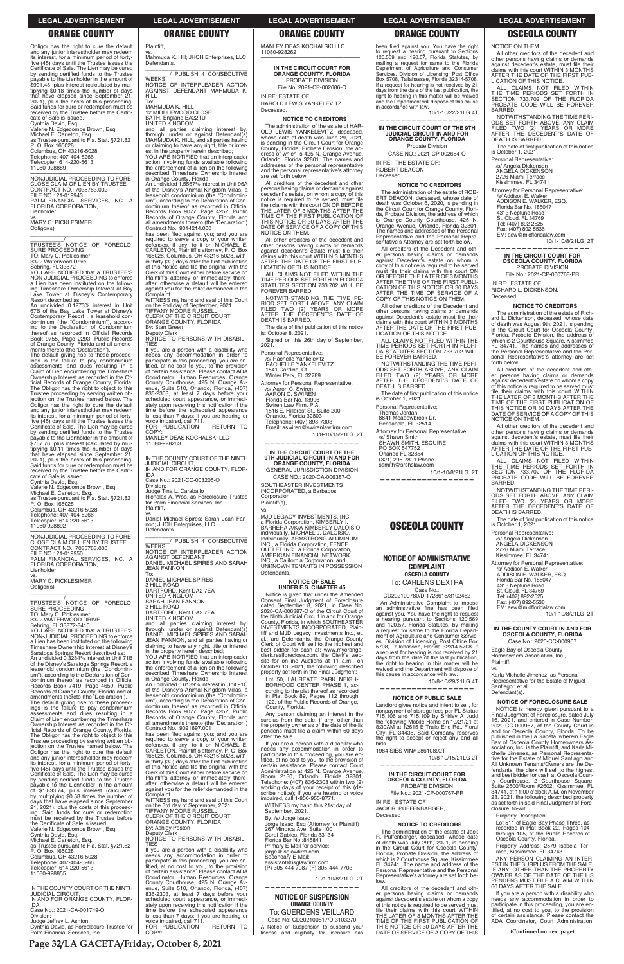**Page 32/LA GACETA/Friday, October 8, 2021**

| ings is the failure to pay condominium<br>assessments and dues resulting in a<br>Claim of Lien encumbering the Timeshare<br>Ownership Interest as recorded in the Of-<br>ficial Records of Orange County, Florida.<br>The Obligor has the right to object to this<br>Trustee proceeding by serving written ob-<br>jection on the Trustee named below. The<br>Obligor has the right to cure the default<br>and any junior interestholder may redeem<br>its interest, for a minimum period of forty-<br>five (45) days until the Trustee issues the<br>Certificate of Sale. The Lien may be cured<br>by sending certified funds to the Trustee<br>payable to the Lienholder in the amount<br>of \$1,833.74, plus interest (calculated<br>by multiplying \$0.58 times the number of<br>days that have elapsed since September<br>21, 2021), plus the costs of this proceed-<br>ing. Said funds for cure or redemption<br>must be received by the Trustee before<br>the Certificate of Sale is issued.<br>Valerie N. Edgecombe Brown, Esg.<br>Cynthia David, Esg.<br>Michael E. Carleton, Esq.<br>as Trustee pursuant to Fla. Stat. §721.82<br>P. O. Box 165028<br>Columbus, OH 43216-5028<br>Telephone: 407-404-5266<br>Telecopier: 614-220-5613<br>11080-928855 | uvillillulli liititul as ituulutu III Villulal<br>Records Book 9077, Page 4252, Public<br>Records of Orange County, Florida and<br>all amendments thereto (the 'Declaration')<br>Contract No.: 9021697.001<br>has been filed against you; and you are<br>required to serve a copy of your written<br>defenses, if any, to it on MICHAEL E.<br>CARLETON, Plaintiff's attorney, P.O. Box<br>165028, Columbus, OH 43216-5028, with-<br>in thirty (30) days after the first publication<br>of this Notice and file the original with the<br>Clerk of this Court either before service on<br>Plaintiff's attorney or immediately there-<br>after; otherwise a default will be entered<br>against you for the relief demanded in the<br>Complaint.<br>WITNESS my hand and seal of this Court<br>on the 3rd day of September, 2021.<br><b>TIFFANY MOORE RUSSELL</b><br>CLERK OF THE CIRCUIT COURT<br>ORANGE COUNTY, FLORIDA<br>By: Ashley Poston<br>Deputy Clerk<br>NOTICE TO PERSONS WITH DISABILI-<br><b>TIES</b><br>If you are a person with a disability who<br>needs any accommodation in order to<br>participate in this proceeding, you are en-<br>titled, at no cost to you, to the provision<br>of certain assistance. Please contact ADA<br>Coordinator, Human Resources, Orange | County, Florida.<br>Any person claiming an interest in the<br>surplus from the sale, if any, other than<br>the property owner as of the date of the lis<br>pendens must file a claim within 60 days<br>after the sale.<br>If you are a person with a disability who<br>needs any accommodation in order to<br>participate in this proceeding, you are en-<br>titled, at no cost to you, to the provision of<br>certain assistance. Please contact Court<br>Administration at 425 N. Orange Avenue,<br>Room 2130, Orlando, Florida 32801,<br>Telephone: (407) 836-2303 within two (2)<br>working days of your receipt of this (de-<br>scribe notice); If you are hearing or voice<br>impaired, call 1-800-955-8771.<br>WITNESS my hand this 21st day of<br>September, 2021.<br>By: /s/ Jorge Isaac<br>Jorge Isaac, Esq (Attorney for Plaintiff)<br>267 Minorca Ave. Suite 100<br>Coral Gables, Florida 33134<br>Florida Bar No.: 845841<br>Primary E-Mail for service:<br>jorge@isglawfirm.com<br>Secondary E-Mail:<br>assistant@isglawfirm.com<br>(P) 305-444-7087 (F) 305-444-7703<br>10/1-10/8/21LG 2T | nonpayment of storage fees per FL Statue<br>715.106 and 715.109 by Shirley A Judd<br>the following Mobile Home on 10/21/21 at<br>8:30AM at 12615 E Trails End Rd., Floral<br>City, FL 34436. Said Company reserves<br>the right to accept or reject any and all<br>bids.<br>1984 SIES VIN# 28610892T<br>10/8-10/15/21LG 2T<br>IN THE CIRCUIT COURT FOR<br><b>OSCEOLA COUNTY, FLORIDA</b><br>PROBATE DIVISION<br>File No.: 2021-CP-000767-PR<br>IN RE: ESTATE OF<br><b>JACK R. PUFFENBARGER.</b><br>Deceased<br><b>NOTICE TO CREDITORS</b><br>The administration of the estate of Jack<br>R. Puffenbarger, deceased, whose date<br>of death was July 29th, 2021, is pending<br>in the Circuit Court for Osceola County,<br>Florida, Probate Division, the address of<br>which is 2 Courthouse Square, Kissimmee<br>FL 34741. The name and address of the<br>Personal Representative and the Personal<br>Representative's attorney are set forth be-<br>low. | NOTICE is hereby given pursuant to a<br>Final Judgment of Foreclosure, dated July<br>16. 2021. and entered in Case Number:<br>2020-CC-000967, of the County Court in<br>and for Osceola County, Florida. To be<br>published in the La Gaceta, wherein Eagle<br>Bay of Osceola County Homeowners As-<br>sociation. Inc. is the Plaintiff, and Karla Mi-<br>chelle Jimenez, as Personal Representa-<br>tive for the Estate of Miguel Santiago and<br>All Unknown Tenants/Owners are the De-<br>fendants, the clerk will sell to the highest<br>and best bidder for cash at Osceola Coun-<br>ty Courthouse, 2 Courthouse Square,<br>Suite 2600/Room #2602. Kissimmee. FL<br>34741, at 11:00 o'clock A.M. on November<br>23, 2021, the following described property<br>as set forth in said Final Judgment of Fore-<br>closure, to-wit:<br><b>Property Description:</b><br>Lot 511 of Eagle Bay Phase Three, as<br>recorded in Plat Book 22, Pages 104<br>through 105, of the Public Records of<br>Osceola County, Florida.<br>Property Address: 2579 Isabela Ter-<br>race, Kissimmee, FL 34743<br>ANY PERSON CLAIMING AN INTER-<br>EST IN THE SURPLUS FROM THE SALE<br>IF ANY. OTHER THAN THE PROPERTY<br>OWNER AS OF THE DATE OF THE LIS<br>PENDENS MUST FILE A CLAIM WITHIN |
|---------------------------------------------------------------------------------------------------------------------------------------------------------------------------------------------------------------------------------------------------------------------------------------------------------------------------------------------------------------------------------------------------------------------------------------------------------------------------------------------------------------------------------------------------------------------------------------------------------------------------------------------------------------------------------------------------------------------------------------------------------------------------------------------------------------------------------------------------------------------------------------------------------------------------------------------------------------------------------------------------------------------------------------------------------------------------------------------------------------------------------------------------------------------------------------------------------------------------------------------------------------|-------------------------------------------------------------------------------------------------------------------------------------------------------------------------------------------------------------------------------------------------------------------------------------------------------------------------------------------------------------------------------------------------------------------------------------------------------------------------------------------------------------------------------------------------------------------------------------------------------------------------------------------------------------------------------------------------------------------------------------------------------------------------------------------------------------------------------------------------------------------------------------------------------------------------------------------------------------------------------------------------------------------------------------------------------------------------------------------------------------------------------------------------------------------------------------------------------------------------------------------------------------------------------------|----------------------------------------------------------------------------------------------------------------------------------------------------------------------------------------------------------------------------------------------------------------------------------------------------------------------------------------------------------------------------------------------------------------------------------------------------------------------------------------------------------------------------------------------------------------------------------------------------------------------------------------------------------------------------------------------------------------------------------------------------------------------------------------------------------------------------------------------------------------------------------------------------------------------------------------------------------------------------------------------------------------------------------------------------------------------------------------------------------|------------------------------------------------------------------------------------------------------------------------------------------------------------------------------------------------------------------------------------------------------------------------------------------------------------------------------------------------------------------------------------------------------------------------------------------------------------------------------------------------------------------------------------------------------------------------------------------------------------------------------------------------------------------------------------------------------------------------------------------------------------------------------------------------------------------------------------------------------------------------------------------------------------------------------------------------------------|----------------------------------------------------------------------------------------------------------------------------------------------------------------------------------------------------------------------------------------------------------------------------------------------------------------------------------------------------------------------------------------------------------------------------------------------------------------------------------------------------------------------------------------------------------------------------------------------------------------------------------------------------------------------------------------------------------------------------------------------------------------------------------------------------------------------------------------------------------------------------------------------------------------------------------------------------------------------------------------------------------------------------------------------------------------------------------------------------------------------------------------------------------------------------------------------------------------------------------------------------------------------------|
| IN THE COUNTY COURT OF THE NINTH<br><b>JUDICIAL CIRCUIT.</b><br>IN AND FOR ORANGE COUNTY, FLOR-<br><b>IDA</b><br>Case No.: 2021-CA-001749-O<br>Division:<br>Judge Jeffrey L. Ashton<br>Cynthia David, as Foreclosure Trustee for                                                                                                                                                                                                                                                                                                                                                                                                                                                                                                                                                                                                                                                                                                                                                                                                                                                                                                                                                                                                                              | County Courthouse, 425 N. Orange Av-<br>enue, Suite 510, Orlando, Florida, (407)<br>836-2303, at least 7 days before your<br>scheduled court appearance, or immedi-<br>ately upon receiving this notification if the<br>time before the scheduled appearance<br>is less than 7 days; if you are hearing or<br>voice impaired, call 711.<br>FOR PUBLICATION - RETURN TO                                                                                                                                                                                                                                                                                                                                                                                                                                                                                                                                                                                                                                                                                                                                                                                                                                                                                                              | <b>NOTICE OF SUSPENSION</b><br><b>ORANGE COUNTY</b><br>To: GUERDENS VEILLARD<br>Case No: CD202100817/D 3103270<br>A Notice of Suspension to suspend your                                                                                                                                                                                                                                                                                                                                                                                                                                                                                                                                                                                                                                                                                                                                                                                                                                                                                                                                                 | All creditors of the decedent and oth-<br>er persons having claims or demands<br>against decedent's estate on whom a copy<br>of this notice is required to be served must<br>file their claims with this court WITHIN<br>THE LATER OF 3 MONTHS AFTER THE<br>TIME OF THE FIRST PUBLICATION OF<br>THIS NOTICE OR 30 DAYS AFTER THE                                                                                                                                                                                                                                                                                                                                                                                                                                                                                                                                                                                                                           | 60 DAYS AFTER THE SALE.<br>If you are a person with a disability who<br>needs any accommodation in order to<br>participate in this proceeding, you are en-<br>titled, at no cost to you, to the provision<br>of certain assistance. Please contact the<br>ADA Coordinator, Court Administration,                                                                                                                                                                                                                                                                                                                                                                                                                                                                                                                                                                                                                                                                                                                                                                                                                                                                                                                                                                           |
| Palm Financial Services, Inc.                                                                                                                                                                                                                                                                                                                                                                                                                                                                                                                                                                                                                                                                                                                                                                                                                                                                                                                                                                                                                                                                                                                                                                                                                                 | COPY:                                                                                                                                                                                                                                                                                                                                                                                                                                                                                                                                                                                                                                                                                                                                                                                                                                                                                                                                                                                                                                                                                                                                                                                                                                                                               | license and eligibility for licensure has                                                                                                                                                                                                                                                                                                                                                                                                                                                                                                                                                                                                                                                                                                                                                                                                                                                                                                                                                                                                                                                                | DATE OF SERVICE OF A COPY OF THIS                                                                                                                                                                                                                                                                                                                                                                                                                                                                                                                                                                                                                                                                                                                                                                                                                                                                                                                          | (Continued on next page)                                                                                                                                                                                                                                                                                                                                                                                                                                                                                                                                                                                                                                                                                                                                                                                                                                                                                                                                                                                                                                                                                                                                                                                                                                                   |

Obligor has the right to cure the default<br>and any junior interestholder may redeem its interest, for a minimum period of fortyfive (45) days until the Trustee issues the<br>Certificate of Sale. The Lien may be cured by sending certified funds to the Trustee payable to the Lienholder in the amount of<br>\$901.48, plus interest (calculated by multiplying \$0.18 times the number of days<br>that have elapsed since September 21,<br>2021), plus the costs of this proceeding. Said funds for cure or redemption must be received by the Trustee before the Certifi-<br>cate of Sale is issued. Cynthia David, Esq.<br>Valerie N. Edgecombe Brown, Esq.<br>Michael E. Carleton, Esq.<br>as Trustee pursuant to Fla. Stat. §721.82<br>P. O. Box 165028 Columbus, OH 43216-5028<br>Telephone: 407-404-5266 Telecopier: 614-220-5613<br>11080-928889 —————————————————— NONJUDICIAL PROCEEDING TO FORE-

CLOSE CLAIM OF LIEN BY TRUSTEE<br>CONTRACT NO.: 7035763.002 FILE NO.: 21-019943 PALM FINANCIAL SERVICES, INC., A FLORIDA CORPORATION, **Lienholder** vs. MARY C. PICKLESIMER Obligor(s)

\_\_\_\_\_\_\_\_\_\_\_\_\_\_\_\_\_\_\_\_\_\_\_\_\_\_\_\_\_\_\_\_\_ \_\_\_\_\_\_\_\_\_\_\_\_\_\_/<br>TRUSTEE'S NOTICE OF FORECLO-SURE PROCEEDING TO: Mary C. Picklesimer 3322 Waterwood Drive<br>Sebring, FL 33872<br>YOU ARE NOTIFIED that a TRUSTEE'S

NON-JUDICIAL PROCEEDING to enforce<br>a Lien has been instituted on the following Timeshare Ownership Interest at Bay<br>Lake Tower at Disney's Contemporary<br>Resort described as:<br>An undivided 0.1273% interest in Unit

67B of the Bay Lake Tower at Disney's<br>Contemporary Resort, a leasehold condominium (the "Condominium"), accord-<br>ing to the Declaration of Condominium<br>thereof as recorded in Official Records Book 9755, Page 2293, Public Records<br>of Orange County, Florida and all amend-<br>ments thereto (the 'Declaration').

The default giving rise to these proceed-<br>ings is the failure to pay condominium<br>assessments and dues resulting in a Claim of Lien encumbering the Timeshare Ownership Interest as recorded in the Of-<br>ficial Records of Orange County, Florida. The Obligor has the right to object to this<br>Trustee proceeding by serving written ob-<br>jection on the Trustee named below. The Obligor has the right to cure the default and any junior interestholder may redeem<br>its interest, for a minimum period of fortyfive (45) days until the Trustee issues the<br>Certificate of Sale. The Lien may be cured<br>by sending certified funds to the Trustee payable to the Lienholder in the amount of \$757.76, plus interest (calculated by mul-<br>tiplying \$0.11 times the number of days that have elapsed since September 21, 2021), plus the costs of this proceeding.<br>Said funds for cure or redemption must be received by the Trustee before the Certifi-

cate of Sale is issued.<br>Cynthia David, Esq.<br>Valerie N. Edgecombe Brown, Esq.<br>Michael E. Carleton, Esq.<br>as Trustee pursuant to Fla. Stat. §721.82 P. O. Box 165028 Columbus, OH 43216-5028<br>Telephone: 407-404-5266

Telecopier: 614-220-5613 11080-928892

vs. MARY C. PICKLESIMER Obligor(s)  $\overline{\phantom{a}}$  , and the set of the set of the set of the set of the set of the set of the set of the set of the set of the set of the set of the set of the set of the set of the set of the set of the set of the set of the s

TRUSTEE'S NOTICE OF TRUSTEE'S NOTICE OF FORECLO-<br>SURE PROCEEDING<br>TO: Mary C. Picklesimer<br>3322 WATERWOOD DRIVE

Sebring, FL 33872-8410<br>YOU ARE NOTIFIED that a TRUSTEE'S<br>NON-JUDICIAL PROCEEDING to enforce a Lien has been instituted on the following<br>Timeshare Ownership Interest at Disney's Saratoga Springs Resort described as:<br>An undivided 0.3284% interest in Unit 71B<br>of the Disney's Saratoga Springs Resort, a leasehold condominium (the leasehold condominium (the "Condomini-<br>um"), according to the Declaration of Con-<br>dominium thereof as recorded in Official Records Book 7419, Page 4659, Public Records of Orange County, Florida and all<br>amendments thereto (the 'Declaration').

The default giving rise to these proceed-<br>ings is the failure to pay condominium

vs.<br>Mahmuda K. Hill; JHCH Enterprises, LLC **Defendants** \_\_\_\_\_\_\_\_\_\_\_\_\_\_\_\_\_\_\_\_\_\_\_\_\_\_\_\_\_\_\_ 27\$.+5\*- - %105'%76+8'- $\overline{\mathsf{WEEKS}}'$ 

—————————————————— NONJUDICIAL PROCEEDING TO FORE-CLOSE CLAIM OF LIEN BY TRUSTEE<br>CONTRACT NO.: 7035763.000 FILE NO.: 21-019950 PALM FINANCIAL SERVICES, INC., A<br>FLORIDA CORPORATION, Lienholder,

mnlaint WITNESS my hand and seal of this Court on the 2nd day of September, 2021.<br>TIFFANY MOORE RUSSELL CLERK OF THE CIRCUIT COURT ORANGE COUNTY, FLORIDA

By: Stan Green<br>Deputy Clerk

Deputy Clerk<br>Deputy Clerk<br>NOTICE TO PERSONS WITH DISABILI-TIES

If you are a person with a disability who meeds any accommodation in order to<br>participate in this proceeding, you are en-<br>titled, at no cost to you, to the provision of certain assistance. Please contact ADA Coordinator, Human Resources, Orange<br>County Courthouse, 425 N. Orange Avenue, Suite 510, Orlando, Florida, (407) 836-2303, at least 7 days before your<br>scheduled court appearance, or immediately upon receiving this notification if the<br>time before the scheduled appearance<br>is less than 7 days; if you are hearing or<br>voice impaired, call 711.<br>FOR PUBLICATION – RETURN TO

COPY MANLEY DEAS KOCHALSKI LLC 11080-928263

vs.<br>Daniel Michael Spires; Sarah Jean Fan-<br>non; JHCH Enterprises, LLC Defendants.

JEAN FANNON To: DANIEL MICHAEL SPIRES 3 HILL ROAD<br>DARTFORD, Kent DA2 7EA<br>UNITED KINGDOM

SARAH JEAN FANNON<br>3 HILL ROAD

IN RE: ESTATE OF HAROLD LEWIS YANKELEVITZ

Deceased. **NOTICE TO CREDITORS**

The administration of the estate of HAR-OLD LEWIS YANKELEVITZ, deceased,<br>whose date of death was June 29, 2021, is pending in the Circuit Court for Orange<br>County, Florida, Probate Division, the ad-<br>dress of which is 425 N. Orange Avenue, Orlando, Florida 32801. The names and addresses of the personal representative and the personal representative's attorney are set forth below.

Plaintiff,

and all parties claiming interest by,<br>through, under or against Defendant(s)<br>MAHMUDA K. HILL, and all parties having or claiming to have any right, title or inter-<br>est in the property herein described;<br>YOU ARE NOTIFIED that an interpleader

action involving funds available following<br>the enforcement of a lien on the following described Timeshare Ownership Interest

in Orange County, Florida:<br>An undivided 1.5557% interest in Unit 96A of the Disney's Animal Kingdom Villas, a<br>leasehold condominium (the "Condomini-<br>um"), according to the Declaration of Condominium thereof as recorded in Official<br>Records Book 9077, Page 4252, Public<br>Records of Orange County, Florida and all amendments thereto (the 'Declaration') Contract No.: 9014214.000

has been filed against you; and you are required to serve a copy of your written<br>defenses, if any, to it on MICHAEL E.<br>CARLETON, Plaintiffs attorney, P. O. Box<br>165028, Columbus, OH 43216-5028, within thirty (30) days after the first publication<br>of this Notice and file the original with the Clerk of this Court either before service on Plaintiff's attorney or immediately there-<br>after; otherwise a default will be entered against you for the relief demanded in the

NOTICE OF INTERPLEADER ACTION AGAINST DEFENDANT MAHMUDA K. HILL

To: MAHMUDA K. HILL 12 MIDDLEWOOD CLOSE BATH, England BA22TU UNITED KINGDOM

All creditors of the decedent and other persons having claims or demands against<br>decedent's estate, on whom a copy of this notice is required to be served, must file<br>theirclaims with this court ON OR BEFORE<br>THE LATER OF 3 MONTHS AFTER THE TIME OF THE FIRST PUBLICATION OF<br>THIS NOTICE OR 30 DAYS AFTER THE<br>DATE OF SERVICE OF A COPY OF THIS NOTICE ON THEM.

All other creditors of the decedent and<br>other persons having claims or demands<br>against decedent's estate must file their claims with this court WITHIN 3 MONTHS<br>AFTER THE DATE OF THE FIRST PUB-<br>LICATION OF THIS NOTICE.

ALL CLAIMS NOT FILED WITHIN THE TIME PERIODS SET FORTH IN FLORIDA<br>STATUTES SECTION 733.702 WILL BE<br>FOREVER BARRED.

Attorney for Personal Representative: /s/ Aaron C. Swiren<br>AARON C. SWIREN<br>Florida Bar No. 13996 Swiren Law Firm, P.A.<br>1516 E. Hillcrest St., Suite 200<br>Orlando, Florida 32803

Telephone: (407) 898-7303<br>Email: aswiren@swirenlawfirm.com

GENERAL JURISDICTION DIVISION CASE NO.: 2020-CA-006387-O SOUTHEASTER INVESTMENTS INCORPORATED, a Barbados Corporation

MJD LEGACY INVESTMENTS, INC. a Florida Corporation, KIMBERLY I. BARRERA A/K/A KIMBERLY DALOISIO, individually, MICHAEL J. DALOISIO,<br>Individually, ARMSTRONG ALUMINUM<br>INC., a Florida Corporation, FENCE<br>OUTLET INC., a Florida Corporation,<br>AMERICAN FINANCIAL NETWORK INC., a California Corporation, and UNKNOWN TENANTS IN POSSESSION Defendants.

Lot 50, LAUREATE PARK NEIGH-BORHOOD CENTER PHASE 1, according to the plat thereof as recorded<br>in Plat Book 89, Pages 112 through 122, of the Public Records of Orange, County, Florida.

been filed against you. You have the right<br>to request a hearing pursuant to Sections<br>120.569 and 120.57, Florida Statutes, by<br>mailing a request for same to the Florida<br>Department of Agriculture and Consumer Services, Division of Licensing, Post Office Box 5708, Tallahassee, Florida 32314-5708.<br>If a request for hearing is not received by 21 days from the date of the last publication, the right to hearing in this matter will be waived<br>and the Department will dispose of this cause in accordance with law.

.<br>10/1-10/22/21LG 4T **——————————————————**

—————————————————— IN THE COUNTY COURT OF THE NINTH JUDICIAL CIRCUIT, IN AND FOR ORANGE COUNTY, FLOR-IDA Case No.: 2021-CC-003205-O Division:

Judge Tina L. Caraballo Nicholas A. Woo, as Foreclosure Trustee<br>for Palm Financial Services, Inc.<br>Plaintiff,

Probate Division CASE NO.: 2021-CP-002654-O

ROBERT DEACON Deceased

\_\_\_\_\_\_\_\_\_\_\_\_\_\_\_\_\_\_\_\_\_\_\_\_\_\_\_\_\_\_\_ AAAAAAAA- 27\$.+5\*- - %105'%76+8'- **WEEKS** NOTICE OF INTERPLEADER ACTION AGAINST DEFENDANT DANIEL MICHAEL SPIRES AND SARAH

DARTFORD, Kent DA2 7EA

UNITED KINGDOM<br>and all parties claiming interest by, through, under or against Defendant(s) DANIEL MICHAEL SPIRES AND SARAH JEAN FANNON, and all parties having or claiming to have any right, title or interest<br>in the property herein described;<br>YOU ARE NOTIFIED that an interpleader

action involving funds available following<br>the enforcement of a lien on the following<br>described Timeshare Ownership Interest

in Orange County, Florida:<br>An undivided 0.6139% interest in Unit 91C of the Disney's Animal Kingdom Villas, a leasehold condominium (the "Condominium"), according to the Declaration of Con-<br>dominium thereof as recorded in Official

All other creditors of the Decedent and other persons having claims or demands<br>against Decedent's estate must file their<br>claims with this court WITHIN 3 MONTHS AFTER THE DATE OF THE FIRST PUB-LICATION OF THIS NOTICE.

ALL CLAIMS NOT FILED WITHIN THE TIME PERIODS SET FORTH IN FLORI- DA STATUTES SECTION 733.702 WILL<br>BE FOREVER BARRED.

NOTWITHSTANDING THE TIME PERI-<br>ODS SET FORTH ABOVE, ANY CLAIM<br>FILED TWO (2) YEARS OR MORE<br>AFTER THE DECEDENT'S DATE OF DEATH IS BARRED.

The date of first publication of this notice is October 1, 2021.

Personal Representative: Thomas Jordan<br>8641 Meadowbrook Dr.

Pensacola, FL 32514

Attorney for Personal Representative: /s/ Shawn Smith<br>SHAWN SMITH, ESQUIRE

PO BOX 547752<br>Orlando FL 32854<br>(321) 295-7801 Phone

ssmith@srshslaw.com

#### **NOTICE OF PUBLIC SALE**  Landlord gives notice and intent to sell, for

All other creditors of the decedent and<br>other persons having claims or demands against decedent's estate, must file their<br>claims with this court WITHIN 3 MONTHS<br>AFTER THE DATE OF THE FIRST PUB-LICATION OF THIS NOTICE.

ALL CLAIMS NOT FILED WITHIN<br>THE TIME PERIODS SET FORTH IN<br>SECTION 733.702 OF THE FLORIDA<br>PROBATE CODE WILL BE FOREVER BARRED.

NOTWITHSTANDING THE TIME PERI-ODS SET FORTH ABOVE, ANY CLAIM<br>FILED TWO (2) YEARS OR MORE<br>AFTER THE DECEDENT'S DATE OF DEATH IS BARRED.

The date of first publication of this notice is October 1, 2021.

Personal Representative: /s/ Angela Dickenson<br>ANGELA DICKENSON

2726 Miami Terrace<br>Kissimmee, FL 34741

Attorney for Personal Representative: /s/ Addison E. Walker<br>ADDISON E. WALKER, ESQ. Florida Bar No. 185047 4313 Neptune Road St. Cloud, FL 34769 Tel: (407) 892-2525<br>Fax: (407) 892-5536 EM: aew@midfloridalaw.com

**NOTICE TO CREDITORS** The administration of the estate of The administration of the estate of Rich-<br>ard L. Dickenson, deceased, whose date<br>of death was August 9th, 2021, is pending<br>in the Circuit Court for Osceola County, Florida, Probate Division, the address of which is 2 Courthouse Square, Kissimmee FL 34741. The names and addresses of the Personal Representative and the Per-<br>sonal Representative's attorney are set

All creditors of the decedent and All creditors of the decedent and other persons having claims or demands<br>against decedent's estate on whom a copy of this notice is required to be served must file their claims with this court WITHIN<br>THE LATER OF 3 MONTHS AFTER THE<br>TIME OF THE FIRST PUBLICATION OF THIS NOTICE OR 30 DAYS AFTER THE<br>DATE OF SERVICE OF A COPY OF THIS

All other creditors of the decedent and other persons having claims or demands against decedent's estate, must file their<br>claims with this court WITHIN 3 MONTHS AFTER THE DATE OF THE FIRST PUB-LICATION OF THIS NOTICE. ALL CLAIMS NOT FILED WITHIN THE TIME PERIODS SET FORTH IN SECTION 733.702 OF THE FLORIDA<br>PROBATE CODE WILL BE FOREVER

MANLEY DEAS KOCHALSKI LLC 11080-928262 ——————————————————

**IN THE CIRCUIT COURT FOR ORANGE COUNTY, FLORIDA** PROBATE DIVISION File No. 2021-CP-002686-O

> NOTWITHSTANDING THE TIME PERI-ODS SET FORTH ABOVE, ANY CLAIM<br>FILED TWO (2) YEARS OR MORE<br>AFTER THE DECEDENT'S DATE OF

The date of first publication of this notice

Attorney for Personal Representative: /s/ Addison E. Walker<br>ADDISON E. WALKER, ESQ. Florida Bar No. 185047 4313 Neptune Road<br>St. Cloud, FL 34769<br>Tel: (407) 892-2525

Fax: (407) 892-5536<br>EM: aew@midfloridalaw.com

Eagle Bay of Osceola County Homeowners Association, Inc.,

Karla Michelle Jimenez, as Personal Representative for the Estate of Miguel

Santiago.; et al. Defendant(s).

NOTWITHSTANDING THE TIME PE-RIOD SET FORTH ABOVE, ANY CLAIM<br>FILED TWO (2) YEARS OR MORE<br>AFTER THE DECEDENT'S DATE OF DEATH IS BARRED.

The date of first publication of this notice<br>is: October 8, 2021.

Signed on this 26th day of September,<br>2021.

Personal Representative:<br>S/ Rachelle Yankelevitz/<br>RACHELLE YANKELEVITZ 1541 Cardinal Ct.<br>Winter Park, FL 32789

10/8-10/15/21LG 2T **——————————————————**

**IN THE CIRCUIT COURT OF THE 9TH JUDICIAL CIRCUIT IN AND FOR ORANGE COUNTY, FLORIDA**

Plaintiff(s),

vs.

#### **NOTICE OF SALE UNDER F.S. CHAPTER 45**

Notice is given that under the Amended Consent Final Judgment of Foreclosure dated September 8, 2021, in Case No.<br>2020-CA-006387-O of the Circuit Court of<br>the Ninth Judicial Circuit in and for Orange<br>County, Florida, in which SOUTHEASTER<br>INVESTMENTS INCORPORATED, Plaintiff and MJD Legacy Investments Inc., et.<br>al., are Defendants, the Orange County<br>Clerk of Court will sell to the highest and best bidder for cash at: www.myorangeclerk.realforeclose.com, the Clerk's website for on-line Auctions at 11 a.m., on<br>October 13, 2021, the following described<br>property set forth in the Final Judgment:

## **IN THE CIRCUIT COURT OF THE 9TH JUDICIAL CIRCUIT IN AND FOR ORANGE COUNTY, FLORIDA**

IN RE: THE ESTATE OF:

## **NOTICE TO CREDITORS**

The administration of the estate of ROB-ERT DEACON, deceased, whose date of<br>death was October 6, 2020, is pending in<br>the Circuit Court for Orange County, Florida, Probate Division, the address of which<br>is Orange County Courthouse, 425 N.<br>Orange Avenue, Orlando, Florida 32801. The names and addresses of the Personal<br>Representative and the Personal Representative's Attorney are set forth below.

All creditors of the Decedent and other persons having claims or demands<br>against Decedent's estate on whom a against copy of this notice is required to be served must file their claims with this court ON<br>OR BEFORE THE LATER OF 3 MONTHS<br>AFTER THE TIME OF THE FIRST PUBLI-CATION OF THIS NOTICE OR 30 DAYS<br>AFTER THE TIME OF SERVICE OF A<br>COPY OF THIS NOTICE ON THEM.

 10/1-10/8/21LG 2T **——————————————————**

## **OSCEOLA COUNTY**

## **NOTICE OF ADMINISTRATIVE COMPLAINT OSCEOLA COUNTY**

To: CARLENS DEXTRA Case No.:<br>CD202100780/D 1728616/3102462

An Administrative Complaint to impose an administrative fine has been helit<sup>.</sup> against you. You have the right to request<br>a hearing pursuant to Sections 120.569<br>and 120.57, Florida Statutes, by mailing a request for same to the Florida Depart-<br>ment of Agriculture and Consumer Services, Division of Licensing, Post Office Box<br>5708, Tallahassee, Florida 32314-5708. If a request for hearing is not received by 21<br>days from the date of the last publication, the right to hearing in this matter will be<br>waived and the Department will dispose of this cause in accordance with law.

 10/8-10/29/21LG 4T **——————————————————**

NOTICE ON THEM.

10/1-10/8/21LG 2T

**—————————————————— IN THE CIRCUIT COURT FOR OSCEOLA COUNTY, FLORIDA** PROBATE DIVISION File No.: 2021-CP-000768-PR

IN RE: ESTATE OF RICHARD L. DICKENSON,

Deceased

forth below.

NOTICE ON THEM.

BARRED.

DEATH IS BARRED.

is October 1, 2021. Personal Representative: /s/ Angela Dickenson<br>ANGELA DICKENSON 2726 Miami Terrace<br>Kissimmee, FL 34741

10/1-10/8/21LG 2T

**—————————————————— IN THE COUNTY COURT IN AND FOR OSCEOLA COUNTY, FLORIDA** Case No.: 2020-CC-000967

Plaintiff, vs.

**NOTICE OF FORECLOSURE SALE**

## **LEGAL ADVERTISEMENT LEGAL ADVERTISEMENT LEGAL ADVERTISEMENT LEGAL ADVERTISEMENT LEGAL ADVERTISEMENT**

## **ORANGE COUNTY ORANGE COUNTY ORANGE COUNTY ORANGE COUNTY OSCEOLA COUNTY**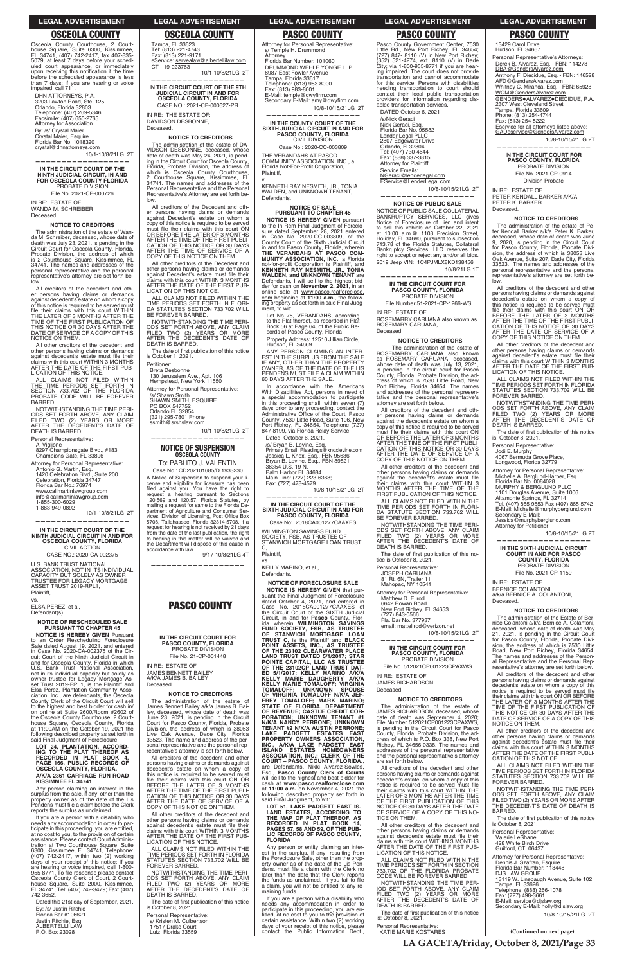**LA GACETA/Friday, October 8, 2021/Page 33**

DHN ATTORNEYS, P.A. 3203 Lawton Road, Ste. 125 Orlando, Florida 32803 Telephone: (407) 269-5346<br>Facsimile: (407) 650-2765 Attorney for Association By: /s/ Crystal Maier vstal Maier, Esquire Florida Bar No. 1018320 crystal@dhnattorneys.com

PROBATE DIVISION File No. 2021-CP-000726 IN RE: ESTATE OF WANDA M. SCHREIBER

Deceased.

The administration of the estate of Wanda M. Schreiber, deceased, whose date of<br>death was July 23, 2021, is pending in the<br>Circuit Court for Osceola County, Florida, Probate Division, the address of which<br>is 2 Courthouse Square, Kissimmee, FL<br>34741. The names and addresses of the personal representative and the personal<br>representative's attorney are set forth below.

All creditors of the decedent and All creditors of the decedent and other<br>er persons having claims or demands<br>against decedent's estate on whom a copy<br>of this notice is required to be served must file their claims with this court WITHIN<br>THE LATER OF 3 MONTHS AFTER THE<br>TIME OF THE FIRST PUBLICATION OF THIS NOTICE OR 30 DAYS AFTER THE<br>DATE OF SERVICE OF A COPY OF THIS<br>NOTICE ON THEM.

10/1-10/8/21LG 2T **—————————————————— IN THE CIRCUIT COURT OF THE NINTH JUDICIAL CIRCUIT, IN AND FOR OSCEOLA COUNTY FLORIDA**

#### **NOTICE TO CREDITORS**

All other creditors of the decedent and other persons having claims or demands<br>against decedent's estate must file their<br>claims with this court WITHIN 3 MONTHS AFTER THE DATE OF THE FIRST PUB-LICATION OF THIS NOTICE.

ALL CLAIMS NOT FILED WITHIN<br>THE TIME PERIODS SET FORTH IN<br>SECTION 733.702 OF THE FLORIDA<br>PROBATE CODE WILL BE FOREVER BARRED.

**IN THE CIRCUIT COURT OF THE NINTH JUDICIAL CIRCUIT IN AND FOR OSCEOLA COUNTY, FLORIDA** CIVIL ACTION

U.S. BANK TRUST NATIONAL<br>ASSOCIATION, NOT IN ITS INDIVIDUAL CAPACITY BUT SOLELY AS OWNER TRUSTEE FOR LEGACY MORTGAGE ASSET TRUST 2019-RPL1, Plaintiff,

**NOTICE IS HEREBY GIVEN** Pursuant to an Order Rescheduling Foreclosure<br>Sale dated August 19, 2021, and entered<br>in Case No. 2020-CA-002375 of the Circuit Court of the Ninth Judicial Circuit in and for Osceola County, Florida in which<br>U.S. Bank Trust National Association,<br>not in its individual capacity but solely as owner trustee for Legacy Mortgage As-<br>set Trust 2019-RPL1, is the Plaintiff and<br>Elsa Perez, Plantation Community Association, Inc., are defendants, the Osceola County Clerk of the Circuit Court will sell to the highest and best bidder for cash in/

## Tampa, FL 33623<br>Tel: (813) 221-4743<br>Fax: (813) 221-9171 eService: servealaw@albertellilaw.com

NOTWITHSTANDING THE TIME PERI-ODS SET FORTH ABOVE, ANY CLAIM<br>FILED TWO (2) YEARS OR MORE<br>AFTER THE DECEDENT'S DATE OF DEATH IS BARRED.

Personal Representative:

Al Viglione 8297 Championsgate Blvd., #183<br>Champions Gate, FL 33896

Attorney for Personal Representative:

Antonio G. Martin, Esq.<br>1420 Celebration Blvd., Suite 200<br>Celebration, Florida 34747 Florida Bar No.: 76974 www.callmartinlawgroup.com info@callmartinlawgroup.com

1-855-300-6029<br>1-863-949-0892

10/1-10/8/21LG 2T

**——————————————————**

CASE NO.: 2020-CA-002375

CT - 19-023763 10/1-10/8/21LG 2T **——————————————————**

IN RE: THE ESTATE OF: DAVIDSON DESBONNE, Deceased.

vs. ELSA PEREZ, et al, Defendant(s).

The administration of the estate of DA-VIDSON DESBONNE, deceased, whose<br>date of death was May 24, 2021, is pend-<br>ing in the Circuit Court for Osceola County, Florida, Probate Division, the address of<br>which is Osceola County Courthouse,<br>2 Courthouse Square, Kissimmee, FL 34741. The names and addresses of the<br>Personal Representative and the Personal<br>Representative's Attorney are set forth below.

#### **NOTICE OF RESCHEDULED SALE PURSUANT TO CHAPTER 45**

All creditors of the Decedent and other persons having claims or demands<br>against Decedent's estate on whom a recopy of this notice is required to be served<br>must file their claims with this court ON<br>OR BEFORE THE LATER OF 3 MONTHS AFTER THE TIME OF THE FIRST PUBLI-<br>CATION OF THIS NOTICE OR 30 DAYS<br>AFTER THE TIME OF SERVICE OF A COPY OF THIS NOTICE ON THEM.

All other creditors of the Decedent and<br>other persons having claims or demands<br>against Decedent's estate must file their claims with this court WITHIN 3 MONTHS<br>AFTER THE DATE OF THE FIRST PUB-<br>LICATION OF THIS NOTICE.

ALL CLAIMS NOT FILED WITHIN THE TIME PERIODS SET FORTH IN FLORI-<br>DA STATUTES SECTION 733.702 WILL<br>BE FOREVER BARRED.

The date of first publication of this notice<br>is October 1, 2021. Petitioner:

Breta Desbonne

130 Jerusalem Ave., Apt. 106 Hempstead, New York 11550 Attorney for Personal Representative: /s/ Shawn Smith SHAWN SMITH, ESQUIRE PO BOX 547752<br>Orlando FL 32854 (321) 295-7801 Phone

ssmith@srshslaw.com 10/1-10/8/21LG 2T

To: PABLITO J. VALENTIN Case No.: CD202101685/D 1933230

A Notice of Suspension to suspend your license and eligibility for licensure has been<br>filed against you. You have the right to<br>request a hearing pursuant to Sections<br>120.569 and 120.57, Florida Statutes, by<br>mailing a request for same to the Florida De-<br>partment o vices, Division of Licensing, Post Office Box<br>5708, Tallahassee, Florida 32314-5708. If a<br>request for hearing is not received by 21 days from the date of the last publication, the right<br>to hearing in this matter will be waived and<br>the Department will dispose of this cause in accordance with law. 9/17-10/8/21LG 4T

# **LOT 24, PLANTATION, ACCORD-ING TO THE PLAT THEREOF AS RECORDED IN PLAT BOOK 4, PAGE 166, PUBLIC RECORDS OF OSCEOLA COUNTY, FLORIDA. A/K/A 2361 CARRIAGE RUN ROAD KISSIMMEE FL 34741**

Any person claiming an interest in the surplus from the sale, if any, other than the<br>property owner as of the date of the Lis<br>Pendens must file a claim before the Clerk reports the surplus as unclaimed.

If you are a person with a disability who needs any accommodation in order to participate in this proceeding, you are entitled, Expression of certain<br>at no cost to you, to the provision of certain<br>assistance. Please contact Court Administration at Two Courthouse Square, Suite 6300, Kissimmee, FL 34741, Telephone:<br>(407) 742-2417, within two (2) working days of your receipt of this notice; If you are hearing or voice impaired, call 1-800-<br>955-8771. To file response please contact<br>Osceola County Clerk of Court, 2 Court-<br>house Square, Suite 2000, Kissimmee,<br>FL 34741, Tel: (407) 742-3479; Fax: (407)<br>742-3652.

Dated this 21st day of September, 2021.

By: /s/ Justin Ritchie Florida Bar #106621 Justin Ritchie, Esq. ALBERTELLI LAW<br>P.O. Box 23028

James Bennett Bailey a/k/a James B. James Bennett Bailey a/k/a James B. Bai-<br>ley, deceased, whose date of death was June 23, 2021, is pending in the Circuit<br>Court for Pasco County, Florida, Probate Division, the address of which is 38053 Live Oak Avenue, Dade City, Florida<br>33523. The name and address of the per-<br>sonal representative and the personal representative's attorney is set forth below.

**NOTICE TO CREDITORS** The administration of the estate of

All creditors of the decedent and other persons having claims or demands against decedent's estate on whom a copy of this notice is required to be served must file their claims with this court ON OR<br>BEFORE THE LATER OF 3 MONTHS AFTER THE TIME OF THE FIRST PUBLI-<br>CATION OF THIS NOTICE OR 30 DAYS<br>AFTER THE DATE OF SERVICE OF A COPY OF THIS NOTICE ON THEM.

All other creditors of the decedent and other persons having claims or demands against decedent's estate must file their claims with this court WITHIN 3 MONTHS AFTER THE DATE OF THE FIRST PUB-LICATION OF THIS NOTICE.

ALL CLAIMS NOT FILED WITHIN THE TIME PERIODS SET FORTH IN FLORIDA<br>STATUTES SECTION 733.702 WILL BE FOREVER BARRED.

**—————————————————— IN THE COUNTY COURT OF THE SIXTH JUDICIAL CIRCUIT IN AND FOR<br>PASCO COUNTY, FLORIDA<br>CIVIL DIVISION** 

Case No.: 2020-CC-003809 THE VERANDAHS AT PASCO<br>COMMUNITY ASSOCIATION, INC., a

Florida Not-For-Profit Corporation, Plaintiff, v.

**NOTICE IS HEREBY GIVEN** pursuant to the In Rem Final Judgment of Foreclo-<br>sure dated September 28, 2021 entered<br>in Case No. 2020-CC-003809, of the County Court of the Sixth Judicial Circuit<br>in and for Pasco County, Florida, wherein<br>**THE VERANDAHS AT PASCO COM-MUNITY ASSOCIATION, INC., a Florida**<br>not-for-profit Corporation is Plaintiff, and<br>KENNETH RAY NESMITH, JR., TONIA **WALDEN, and UNKNOWN TENANT** are<br>Defendants, I will sell to the highest bid-<br>der for cash on **November 2, 2021**, in an online sale at www.pasco.realforeclose.<br>com beginning at **11:00 a.m.**, the follow-<br>ing property as set forth in said Final Judgment, to wit:

Lot No 75, VERANDAHS, according<br>to the Plat thereof, as recorded in Plat<br>Book 56 at Page 64, of the Public Re-<br>cords of Pasco County, Florida of Pasco County, Florida

Property Address: 12510 Jillian Circle,<br>Hudson, FL 34669

**IN THE CIRCUIT COURT OF THE 9TH JUDICIAL CIRCUIT IN AND FOR OSCEOLA COUNTY, FLORIDA** CASE NO.: 2021-CP-000627-PR

### **NOTICE TO CREDITORS**

Fax: (727) 478-4579 10/8-10/15/21LG 2T

Case No: 2018CA001277CAAXES WILMINGTON SAVINGS FUND<br>SOCIETY, FSB, AS TRUSTEE OF STANWICH MORTGAGE LOAN TRUST

**NOTICE OF FORECLOSURE SALE NOTICE IS HEREBY GIVEN** that pursuant the Final Judgment of Foreclosure dated October 4, 2021, and entered in<br>Case No. 2018CA001277CAAXES of<br>the Circuit Court of the SIXTH Judicial Circuit, in and for Pasco County, Florida<br>
ida wherein WILMINGTON SAVINGS<br>
FUND SOCIETY, FSB, AS TRUSTEE<br>
OF STANWICH MORTGAGE LOAN<br>
TRUST C, is the Plaintiff and BLACK<br>
POINT ASSETS, INC., AS TRUSTEE **OF THE 23102 CLEARWATER PLACE<br>LAND TRUST DATED 5/1/2017; STAR<br>POINTE CAPITAL, LLC AS TRUSTEE<br>OF THE 23102CP LAND TRUST DAT-<br>ED 5/1/2017; KELLY MARINO A/K/A<br>KELLY MARIE DAUGHERTY** *AI***K/A KELLY MARIE TOMALOFF; VIRGINIA TOMALOFF; UNKNOWN SPOUSE OF VIRGINIA TOMALOFF N/K/A JEF-FREY TOMALOFF; MARK MARINO; STATE OF FLORIDA, DEPARTMENT OF REVENUE; CASTLE CREDIT COR-PORATION; UNKNOWN TENANT #1 N/K/A NANCY PERRONE; UNKNOWN TENANT #2 N/K/A AUSTIN PERRONE; LAKE PADGETT ESTATES EAST PROPERTY OWNERS ASSOCIATION, INC., A/K/A LAKE PADGETT EAST ISLAND ESTATES HOMEOWNERS ASSOCIATION, INC.; CLERK OF THE COURT – PASCO COUNTY, FLORIDA.,<br>are Defendants, Nikki Alvarez-Sowles,<br>Esq., <b>Pasco County Clerk of Courts**<br>Will sell to the highest and best bidder for cash at www.pasco.realforeclose.com at 11:00 a.m. on November 4, 2021 the<br>following described property set forth in said Final Judgment, to wit: **LOT 51, LAKE PADGETT EAST IS-LAND ESTATES, ACCORDING TO THE MAP OF PLAT THEREOF, AS RECORDED IN PLAT BOOK 14, PAGES 57, 58 AND 59, OF THE PUB-LIC RECORDS OF PASCO COUNTY, FLORIDA** Any person or entity claiming an inter-<br>est in the surplus, if any, resulting from<br>the Foreclosure Sale, other than the propthe Foreclosure Sale, other than the prop-<br>erty owner as of the date of the Lis Pen-<br>dens, must file a claim with the Clerk no<br>later than the date that the Clerk reports the funds as unclaimed. If you fail to file<br>a claim, you will not be entitled to any re-<br>maining funds. If you are a person with a disability who needs any accommodation in order to<br>participate in this proceeding, you are en-<br>titled, at no cost to you to the provision of certain assistance. Within two (2) working<br>days of your receipt of this notice, please<br>contact the Public Information Dept.,

NOTWITHSTANDING THE TIME PERI-ODS SET FORTH ABOVE, ANY CLAIM<br>FILED TWO (2) YEARS OR MORE<br>AFTER THE DECEDENT'S DATE OF DEATH IS BARRED.

### **—————————————————— NOTICE OF SUSPENSION OSCEOLA COUNTY**

Attorney for Plaintiff Service Emails:

<u>NGeraci@lenderlegal.com</u><br><u>EService@LenderLegal.com</u> 10/8-10/15/21LG 2T

**——————————————————**

**PASCO COUNTY**

**IN THE CIRCUIT COURT FOR PASCO COUNTY, FLORIDA** PROBATE DIVISION File No. 21-CP-001448

**—————————————————— IN THE CIRCUIT COURT FOR PASCO COUNTY, FLORIDA** PROBATE DIVISION

IN RE: ESTATE OF JAMES BENNETT BAILEY A/K/A JAMES B. BAILEY

Decessed

File Number 51-2021-CP-1266-WS IN RE: ESTATE OF

ROSEMARRY CARUANA also known as ROSEMARY CARUANA, Deceased

All creditors of the decedent and oth-<br>er persons having claims or demands<br>against the decedent's estate on whom a copy of this notice is required to be served<br>must file their claims with this court ON<br>OR BEFORE THE LATER OF 3 MONTHS AFTER THE TIME OF THE FIRST PUBLI-<br>CATION OF THIS NOTICE OR 30 DAYS<br>AFTER THE DATE OF SERVICE OF A COPY OF THIS NOTICE ON THEM.

All other creditors of the decedent and<br>other persons having claims or demands<br>against the decedent's estate must file their claims with this court WITHIN 3<br>MONTHS AFTER THE TIME OF THE<br>FIRST PUBLICATION OF THIS NOTICE.

ODS SET FORTH ABOVE, ANY CLAIM<br>FILED TWO (2) YEARS OR MORE<br>AFTER THE DECEDENT'S DATE OF DEATH IS BARRED.

The date of first publication of this no-<br>tice is October 8, 2021.

81 Rt. 6N, Trailer 11 Mahopac, NY 10541

Attorney for Personal Representative: Matthew D. Ellrod

6642 Rowan Road<br>New Port Richey, FL 34653<br>(727) 843-0566

Fla. Bar No. 377937<br>email: mattellrod@verizon.net 10/8-10/15/21LG 2T

IN RE: ESTATE OF JAMES RICHARDSON Deceased.

NOTWITHSTANDING THE TIME PERI-ODS SET FORTH ABOVE, ANY CLAIM<br>FILED TWO (2) YEARS OR MORE<br>AFTER THE DECEDENT'S DATE OF DEATH IS BARRED.

The date of first publication of this notice is October 8, 2021.

Personal Representative:

s/ Kristen M. Culbertson<br>17517 Drake Court Lutz, Florida 33559

The administration of the estate of<br>JAMES RICHARDSON, deceased, whose date of death was September 4, 2020;<br>File Number 512021CP001223CPAXWS,<br>is pending in the Circuit Court for Pasco County, Florida, Probate Division, the ad-<br>dress of which is P.O. Box 338, New Port<br>Richey, FL 34656-0338. The names and addresses of the personal representative<br>and the personal representative's attorney are set forth below.

All creditors of the decedent and other persons having claims or demands against<br>decedent's estate, on whom a copy of this<br>notice is required to be served must file their claims with this court WITHIN THE<br>LATER OF 3 MONTHS AFTER THE TIME<br>OF THE FIRST PUBLICATION OF THIS NOTICE OR 30 DAYS AFTER THE DATE<br>OF SERVICE OF A COPY OF THIS NO-<br>TICE ON THEM.

All other creditors of the decedent and other persons having claims or demands<br>against decedent's estate must file their<br>claims with this court WITHIN 3 MONTHS AFTER THE DATE OF THE FIRST PUB-LICATION OF THIS NOTICE.

ALL CLAIMS NOT FILED WITHIN THE TIME PERIODS SET FORTH IN SECTION 733.702 OF THE FLORIDA PROBATE<br>CODE WILL BE FOREVER BARRED.

NOTWITHSTANDING THE TIME PER-<br>IOD SET FORTH ABOVE, ANY CLAIM<br>FILED TWO (2) YEARS OR MORE<br>AFTER THE DECEDENT'S DATE OF<br>DEATH IS BARRED.

The date of first publication of this notice is: October 8, 2021.

Attorney for Personal Representative: s/ Temple H. Drummond Attorney<br>Florida Bar Number: 101060 DRUMMOND WEHLE YONGE LLP 6987 East Fowler Avenue<br>Tampa, Florida 33617 Telephone: (813) 983-8000 Fax: (813) 983-8001<br>E-Mail: temple@dwyfirm.com (813) 983-8001 Secondary E-Mail: amy@dwyfirm.com 10/8-10/15/21LG 2T

13429 Carol Drive<br>Hudson, FL 34667 Personal Representative's Attorneys: Derek B. Alvarez, Esq. - FBN: 114278 DBA@GendersAlvarez.com Anthony F. Diecidue, Esq. - FBN: 146528 AFD@GendersAlvarez.com Whitney C. Miranda, Esq. - FBN: 65928 WCM@GendersAlvarez.com GENDERS♦ALVAREZ♦DIECIDUE, P.A.<br>2307 West Cleveland Street Tampa, Florida 33609 Phone: (813) 254-4744<br>Fax: (813) 254-5222 Eservice for all attorneys listed above:<br>GADeservice@GendersAlvarez.com 10/8-10/15/21LG 2T **——————————————————**

**IN THE CIRCUIT COURT FOR PASCO COUNTY, FLORIDA** PROBATE DIVISION File No. 2021-CP-0914 Division Probate

IN RE: ESTATE OF PETER KENDALL BARKER A/K/A PETER K. BARKER Deceased.

KENNETH RAY NESMITH, JR., TONIA WALDEN, and UNKNOWN TENANT, Defendants.

## **NOTICE OF SALE PURSUANT TO CHAPTER 45**

All other creditors of the decedent and other persons having claims or demands against decedent's estate must file their<br>claims with this court WITHIN 3 MONTHS<br>AFTER THE DATE OF THE FIRST PUB-LICATION OF THIS NOTICE.

ALL CLAIMS NOT FILED WITHIN THE TIME PERIODS SET FORTH IN FLORIDA<br>STATUTES SECTION 733.702 WILL BE FOREVER BARRED.

NOTWITHSTANDING THE TIME PERI-<br>ODS SET FORTH ABOVE, ANY CLAIM<br>FILED TWO (2) YEARS OR MORE<br>AFTER THE DECEDENT'S DATE OF DEATH IS BARRED.

The date of first publication of this notice<br>is: October 8, 2021. Personal Representative:

1101 Douglas Avenue, Suite 1006<br>Altamonte Springs, FL 32714<br>Tel. (407) 865-9553 Fax (407) 865-5742 E-Mail: Michelle@murphyberglund.com

Jessica@murphyberglund.com Attorney for Petitioner

Jodi E. Murphy<br>4067 Bermuda Grove Place, Longwood, Florida 32779 Attorney for Personal Representative: Michelle A. Berglund-Harper, Esq.<br>Florida Bar No. 0084028<br>MURPHY & BERGLUND PLLC

Secondary E-Mail:

IN RE: ESTATE OF BERNICE COLANTONI a/k/a BERNICE A. COLANTONI,

Deceased.

on online at Suite 2600/Room #2602 of the Osceola County Courthouse, 2 Courthouse Square, Osceola County, Florida<br>at 11:00AM on the October 19, 2021 the following described property as set forth in<br>said Final Judgment of Foreclosure:

**NOTICE TO CREDITORS** The administration of the Estate of The administration of the Estate of Ber-<br>nice Colantoni a/k/a Bernice A. Colantoni,<br>deceased, whose date of death was May

21, 2021, is pending in the Circuit Court<br>for Pasco County, Florida, Probate Divi-<br>sion, the address of which is 7530 Little<br>Road, New Port Richey, Florida 34654.<br>The names and addresses of the Person-<br>al Representative an

resentative's attorney are set forth below. All creditors of the decedent and other persons having claims or demands against decedent's estate on whom a copy of this

ANY PERSON CLAIMING AN INTER-EST IN THE SURPLUS FROM THE SALE IF ANY, OTHER THAN THE PROPERTY OWNER, AS OF THE DATE OF THE LIS PENDENS MUST FILE A CLAIM WITHIN 60 DAYS AFTER THE SALE.

In accordance with the Americans<br>With Disabilities Act, persons in need of<br>a special accommodation to participate in this proceeding shall, within seven (7)<br>days prior to any proceeding, contact the<br>Administrative Office of the Court, Pasco County, 7530 Little Road, Suite 106, New<br>Port Richey, FL 34654, Telephone (727)<br>847-8199, via Florida Relay Service. Dated: October 6, 2021.

> notice is required to be served must file<br>their claims with this court ON OR BEFORE<br>THE LATER OF 3 MONTHS AFTER THE<br>TIME OF THE FIRST PUBLICATION OF THIS NOTICE OR 30 DAYS AFTER THE DATE OF SERVICE OF A COPY OF THIS NOTICE ON THEM.

All other creditors of the decedent and other persons having claims or demands against decedent's estate must file their claims with this court WITHIN 3 MONTHS<br>AFTER THE DATE OF THE FIRST PUBLI-CATION OF THIS NOTICE.

ALL CLAIMS NOT FILED WITHIN THE TIME PERIODS SET FORTH IN FLORIDA<br>STATUTES SECTION 733.702 WILL BE FOREVER BARRED.

/s/ Bryan B. Levine, Esq.

Primary Email: Pleadings@knoxlevine.com<br>Jessica L. Knox, Esq., FBN 95636<br>Bryan B. Levine, Esq., FBN 89821 36354 U.S. 19 N.<br>Palm Harbor FL 34684<br>Main Line: (727) 223-6368;

> Personal Representative: Valerie LeShane<br>428 White Birch Drive<br>Guilford, CT 06437

Attorney for Personal Representative: Dennis J. Szafran, Esquire<br>Florida Bar Number: 118448 DJS LAW GROUP 13119 W. Linebaugh Avenue, Suite 102 Tampa, FL 33626 Telephone: (888) 266-1078 Fax: (727) 498-3661 E-Mail: service@djslaw.org<br>Secondary E-Mail: holly@djslaw.org

**—————————————————— IN THE CIRCUIT COURT OF THE SIXTH JUDICIAL CIRCUIT IN AND FOR PASCO COUNTY, FLORIDA**

C, Plaintiff, vs.

> KELLY MARINO, et al., Defendants.

**——————————————————**

**NOTICE OF PUBLIC SALE**  NOTICE OF PUBLIC SALE COLLATERAL BANKRUPTCY SERVICES, LLC gives<br>Notice of Foreclosure of Lien and intent to sell this vehicle on October 22, 2021 at 10:00 a.m.@ 1103 Precision Street,<br>Holiday, FL 34690, pursuant to subsection 713.78 of the Florida Statutes, Collateral Bankruptcy Services, LLC reserves the right to accept or reject any and/or all bids. 2019 Jeep VIN: 1C4PJMLX8KD138456 10/8/21LG 1T

#### **NOTICE TO CREDITORS**

The administration of the estate of<br>ROSEMARRY CARUANA also known<br>as ROSEMARY CARUANA, deceased,<br>whose date of death was July 13, 2021, The administration of the estate of is pending in the circuit court for Pasco<br>County, Florida, Probate Division, the ad-<br>dress of which is 7530 Little Road, New Port Richey, Florida 34654. The names<br>and addresses of the personal represen-<br>tative and the personal representative's attorney are set forth below.

ALL CLAIMS NOT FILED WITHIN THE TIME PERIODS SET FORTH IN FLORI-<br>DA STATUTE SECTION 733.702 WILL<br>BE FOREVER BARRED. NOTWITHSTANDING THE TIME PERI-

Personal Representative: JOSEPH CARUANA

**—————————————————— IN THE CIRCUIT COURT FOR PASCO COUNTY, FLORIDA**

PROBATE DIVISION File No. 512021CP001223CPAXWS

**NOTICE TO CREDITORS**

Personal Representative: KATIE MARIE KOSTARES

#### **NOTICE TO CREDITORS**

The administration of the estate of Pe-<br>ter Kendall Barker a/k/a Peter K. Barker,<br>deceased, whose date of death was June 9, 2020, is pending in the Circuit Court<br>for Pasco County, Florida, Probate Divi-<br>sion, the address of which is 38053 Live Oak Avenue, Suite 207, Dade City, Florida<br>33523. The names and addresses of the personal representative and the personal representative's attorney are set forth be-<br>low.

All creditors of the decedent and other persons having claims or demands against decedent's estate on whom a copy of<br>this notice is required to be served must<br>file their claims with this court ON OR BEFORE THE LATER OF 3 MONTHS<br>AFTER THE TIME OF THE FIRST PUBLI-<br>CATION OF THIS NOTICE OR 30 DAYS AFTER THE DATE OF SERVICE OF A<br>COPY OF THIS NOTICE ON THEM.

10/8-10/15/21LG 2T

**—————————————————— IN THE SIXTH JUDICIAL CIRCUIT COURT IN AND FOR PASCO COUNTY, FLORIDA** PROBATE DIVISION File No. 2021-CP-1159

NOTWITHSTANDING THE TIME PERI-ODS SET FORTH ABOVE, ANY CLAIM<br>FILED TWO (2) YEARS OR MORE AFTER<br>THE DECEDENT'S DATE OF DEATH IS BARRED.

The date of first publication of this notice is October 8, 2021.

10/8-10/15/21LG 2T

### **LEGAL ADVERTISEMENT LEGAL ADVERTISEMENT LEGAL ADVERTISEMENT LEGAL ADVERTISEMENT LEGAL ADVERTISEMENT**

Pasco County Government Center, 7530<br>Little Rd., New Port Richey, FL 34654;<br>(727) 847- 8110 (V) in New Port Richey;<br>(352) 521-4274, ext. 8110 (V) in Dade<br>City; via 1-800-955-8771 if you are hearing impaired. The court does not provide transportation and cannot accommodate<br>for this service. Persons with disabilities needing transportation to court should contact their local public transportation<br>providers for information regarding disabled transportation services. DATED October 6, 2021 /s/Nick Geraci Nick Geraci, Esq.<br>Florida Bar No. 95582 Lender Legal PLLC<br>2807 Edgewater Drive<br>Orlando, Fl 32804<br>Tel: (407) 730-4644<br>Fax: (888) 337-3815

## **OSCEOLA COUNTY OSCEOLA COUNTY PASCO COUNTY PASCO COUNTY PASCO COUNTY**

Osceola County Courthouse, 2 Court-<br>house Square, Suite 6300, Kissimmee,<br>FL 34741, (407) 742-2417, fax 407-835-<br>5079, at least 7 days before your scheduled court appearance, or immediately<br>upon receiving this notification if the time<br>before the scheduled appearance is less than 7 days; if you are hearing or voice<br>impaired, call 711.

**(Continued on next page)**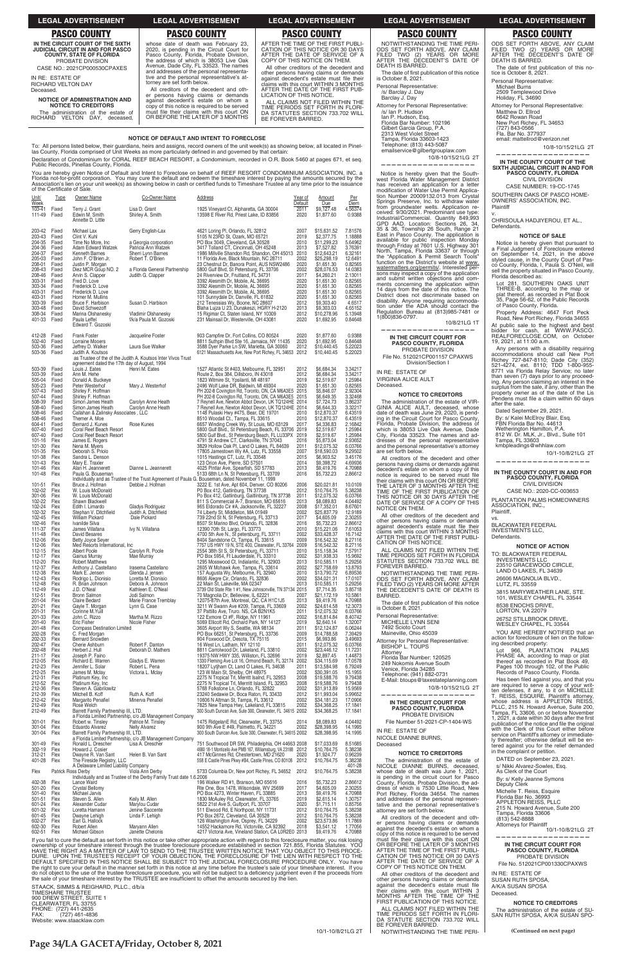| <b>LEGAL ADVERTISEMENT</b>                                                                                                                                                                                                                                                                                                                                                      | <b>LEGAL ADVERTISEMENT</b>                                                                                                                                                                                                                                                                                                                                                                                                                                                                                                                                                                          | <b>LEGAL ADVERTISEMENT</b>                                                                                                                                                                                                                                                                                                                                                                                                                                                                                            | <b>LEGAL ADVERTISEMENT</b>                                                                                                                                                                                                                                                                                                                                                                                        | <b>LEGAL ADVERTISEMENT</b>                                                                                                                                                                                                                                                                                                                                                                          |
|---------------------------------------------------------------------------------------------------------------------------------------------------------------------------------------------------------------------------------------------------------------------------------------------------------------------------------------------------------------------------------|-----------------------------------------------------------------------------------------------------------------------------------------------------------------------------------------------------------------------------------------------------------------------------------------------------------------------------------------------------------------------------------------------------------------------------------------------------------------------------------------------------------------------------------------------------------------------------------------------------|-----------------------------------------------------------------------------------------------------------------------------------------------------------------------------------------------------------------------------------------------------------------------------------------------------------------------------------------------------------------------------------------------------------------------------------------------------------------------------------------------------------------------|-------------------------------------------------------------------------------------------------------------------------------------------------------------------------------------------------------------------------------------------------------------------------------------------------------------------------------------------------------------------------------------------------------------------|-----------------------------------------------------------------------------------------------------------------------------------------------------------------------------------------------------------------------------------------------------------------------------------------------------------------------------------------------------------------------------------------------------|
| <b>PASCO COUNTY</b>                                                                                                                                                                                                                                                                                                                                                             | <b>PASCO COUNTY</b>                                                                                                                                                                                                                                                                                                                                                                                                                                                                                                                                                                                 | <b>PASCO COUNTY</b>                                                                                                                                                                                                                                                                                                                                                                                                                                                                                                   | <b>PASCO COUNTY</b>                                                                                                                                                                                                                                                                                                                                                                                               | <b>PASCO COUNTY</b>                                                                                                                                                                                                                                                                                                                                                                                 |
| IN THE CIRCUIT COURT OF THE SIXTH<br><b>JUDICIAL CIRCUIT IN AND FOR PASCO</b><br><b>COUNTY, STATE OF FLORIDA</b><br>PROBATE DIVISION<br>CASE NO.: 2021CP000530CPAXES<br>IN RE: ESTATE OF<br><b>RICHARD VELTON DAY</b><br>Deceased.<br><b>NOTICE OF ADMINISTRATION AND</b><br><b>NOTICE TO CREDITORS</b><br>The administration of the estate of<br>RICHARD VELTON DAY, deceased, | whose date of death was February 23,<br>2020, is pending in the Circuit Court for<br>Pasco County, Florida, Probate Division,<br>the address of which is 38053 Live Oak<br>Avenue, Dade City, FL 33523. The names<br>and addresses of the personal representa-<br>tive and the personal representative's at-<br>torney are set forth below.<br>All creditors of the decedent and oth-<br>er persons having claims or demands<br>against decedent's estate on whom a<br>copy of this notice is required to be served<br>must file their claims with this court ON<br>OR BEFORE THE LATER OF 3 MONTHS | AFTER THE TIME OF THE FIRST PUBLI-<br>CATION OF THIS NOTICE OR 30 DAYS<br>AFTER THE DATE OF SERVICE OF A<br>COPY OF THIS NOTICE ON THEM.<br>All other creditors of the decedent and<br>other persons having claims or demands<br>against decedent's estate must file their<br>claims with this court WITHIN 3 MONTHS<br>AFTER THE DATE OF THE FIRST PUB-<br>LICATION OF THIS NOTICE.<br>ALL CLAIMS NOT FILED WITHIN THE<br>TIME PERIODS SET FORTH IN FLORI-<br>DA STATUTES SECTION 733.702 WILL<br>BE FOREVER BARRED. | NOTWITHSTANDING THE TIME PERI-<br>ODS SET FORTH ABOVE, ANY CLAIM<br>FILED TWO (2) YEARS OR MORE<br>AFTER THE DECEDENT'S DATE OF<br>DEATH IS BARRED.<br>The date of first publication of this notice<br>is October 8, 2021.<br>Personal Representative:<br>/s/ Barclay J. Day<br>Barclay J. Day<br>Attorney for Personal Representative:<br>/s/ Ian P. Hudson<br>Ian P. Hudson, Esq.<br>Florida Bar Number: 102196 | ODS SET FORTH ABOVE, ANY CLAIM<br>FILED TWO (2) YEARS OR MORE<br>AFTER THE DECEDENT'S DATE OF<br>DEATH IS BARRED.<br>The date of first publication of this no-<br>tice is October 8, 2021.<br>Personal Representative:<br>Michael Burns<br>2509 Templewood Drive<br>Holiday, FL 34690<br>Attorney for Personal Representative:<br>Matthew D. Ellrod<br>6642 Rowan Road<br>New Port Richey, FL 34653 |
|                                                                                                                                                                                                                                                                                                                                                                                 | NOTICE OF DEFAULT AND INTENT TO FORECLOSE<br>To: All persons listed below, their guardians, heirs and assigns, record owners of the unit week(s) as showing below, all located in Pinel-<br>las County, Florida comprised of Unit Weeks as more particularly defined in and governed by that certain:                                                                                                                                                                                                                                                                                               | Gilbert Garcia Group, P.A.<br>2313 West Violet Street<br>Tampa, Florida 33603-1423<br>Telephone: (813) 443-5087<br>emailservice@gilbertgrouplaw.com                                                                                                                                                                                                                                                                                                                                                                   | (727) 843-0566<br>Fla. Bar No. 377937<br>email: mattellrod@verizon.net<br>10/8-10/15/21LG 2T                                                                                                                                                                                                                                                                                                                      |                                                                                                                                                                                                                                                                                                                                                                                                     |

To: All persons listed below, their guardians, heirs and assigns, record owners of the unit week(s) as showing below, all located in Pinellas County, Florida comprised of Unit Weeks as more particularly defined in and gove Declaration of Condominium for CORAL REEF BEACH RESORT, a Condominium, recorded in O.R. Book 5460 at pages 671, et seq. Public Records, Pinellas County, Florida.

The Technology Price of Default and Intent to Foreclose on behalf of REEF RESORT CONDOMINIUM ASSOCIATION, INC. a<br>You are hereby given Notice of Default and Intent to Foreclose on behalf of REEF RESORT CONDOMINIUM ASSOCIATI

| $103 - 41$<br>\$9,127.48<br>4.56374<br>Lisa D. Grant<br>1925 Vineyard Ct, Alpharetta, GA 30004<br>2011<br>Fixed<br>Terry J. Grant<br>ceived: 9/30/2021. Predominant use type:<br>v.<br>Fixed<br>Edwin M. Smith<br>13598 E River Rd, Priest Lake, ID 83856<br>2020<br>0.9388<br>111-49<br>Shirley A. Smith<br>\$1,877.60<br>Industrial/Commercial. Quantity 849,993<br>Annette D. Little<br>CHRISOULA HADJIYEROU, ET AL.,<br>GPD AAD. Location: Sections 26, 34,<br>Defendants.<br>35 & 36, Township 26 South, Range 21<br>203-42<br>4621 Loring PI, Orlando, FL 32812<br>\$15,631.52<br>7.81576<br>Fixed<br>Michael Lax<br>Gerry English-Lax<br>2007<br>East in Pasco County. The application is<br>203-43<br>5105 N 23RD St, Ozark, MO 65721<br>2019<br>\$2,377.75<br>1.18888<br><b>NOTICE OF SALE</b><br>Fixed<br>Clint V. Kuhl<br>available for public inspection Monday<br>204-35<br>PO Box 3049, Cleveland, GA 30528<br>\$11,299.23<br>5.64962<br>Fixed<br>Time No More, Inc<br>a Georgia corporation<br>2010<br>Notice is hereby given that pursuant to<br>through Friday at 7601 U.S. Highway 301<br>204-36<br>3417 Tolland CT, Cincinnati, OH 45248<br>2013<br>\$7,527.82<br>3.76391<br>Fixed<br><b>Adam Edward Watzek</b><br>Patricia Ann Watzek<br>a Final Judgment of Foreclosure entered<br>North, Tampa, Florida 33637 or through<br>204-37<br>1986 Millville Shandon Rd, Shandon, OH 45013 2010<br>\$12,643.21<br>6.32161<br>Fixed<br>Kenneth Barnes<br>Sherri Lynn Barnes<br>on September 14, 2021, in the above<br>the "Application & Permit Search Tools"<br>205-03<br>Robert T. O'Brien<br>11 Florida Ave, Black Mountain, NC 28711<br>2002<br>\$25,298.19<br>12.6491<br>Fixed<br>John F. O'Brien Jr.<br>styled cause, in the County Court of Pas-<br>function on the District's website at www.<br>208-01<br>23 Chestnut Dr, Banora Point, AUS NSW2486<br>2020<br>\$1,651.30<br>0.82565<br>Fixed<br>Justin P. Morgan<br>co County, Florida, I, Paula S. O'Neil, will<br>watermatters.org/permits/. Interested per-<br>208-43<br>Diez MCR Goup NO. 2<br>5800 Gulf Blvd, St Petersburg, FL 33706<br>2002<br>Fixed<br>a Florida General Partnership<br>\$28,076.53<br>14.0383<br>sell the property situated in Pasco County,<br>sons may inspect a copy of the application<br>208-46<br>24 Riverview Dr, Fruitland, FL 34731<br>2017<br>\$4,260.21<br>2.13011<br>Fixed<br>Arvin S. Clapper<br>Judith G. Clapper<br>Florida described as:<br>and submit written objections and com-<br>303-31<br>Fixed<br>2020<br>\$1,651.30<br>0.82565<br>Fred D. Love<br>3392 Alesmith Dr, Mobile, AL 36695<br>Lot 281, SOUTHERN OAKS UNIT<br>ments concerning the application within<br>303-34<br>3392 Alesmith Dr, Mobile, AL 36695<br>2020<br>\$1,651.30<br>0.82565<br>Fixed<br>Frederick D. Love<br>THREE-B, according to the map or<br>14 days from the date of this notice. The<br>403-31<br>3392 Alesmith Dr, Mobile, AL 36695<br>2020<br>\$1,651.30<br>0.82565<br>Fixed<br>Frederick D. Love<br>plat thereof, as recorded in Plat Book<br>District does not discriminate based on<br>0.82565<br>403-31<br>2020<br>\$1,651.30<br>Fixed<br>Homer M. Mullins<br>101 Sunnydale Dr, Danville, FL 61832<br>35, Page 56-62, of the Public Records<br>disability. Anyone requiring accommoda-<br>303-39<br>Bruce F. Harbison<br>\$9,303.40<br>Fixed<br>Susan D. Harbison<br>212 Tenessias Wy, Boone, NC 28607<br>2012<br>4.6517<br>of Pasco County, Florida.<br>tion under the ADA should contact the<br>303-48<br>\$9,303.03<br>4.65152<br>Fixed<br>David Schwezoff<br>Blaha Lujza U 23, Dunakeszi, HGRY H-2120<br>2013<br>Regulation Bureau at (813)985-7481 or<br>Property Address: 4647 Fort Peck<br>308-34<br>2012<br>5.13948<br>Fixed<br>Marina Olshanesky<br>Vladimir Olshanesky<br>15 Rigimar Ct, Staten Island, NY 10309<br>\$10,278.96<br>1(800)836-0797.<br>Road, New Port Richey, Florida 34655<br>401-33<br>231 Mainsail Dr, Westerville, OH 43081<br>\$1,692.95<br>0.84648<br>Fixed<br>Paula Leffel<br>f/k/a Paula M. Gozoski<br>2020<br>10/8/21LG 1T<br>Edward T. Gozoski<br>At public sale to the highest and best<br>------------------<br>bidder for cash, at WWW.PASCO.<br>412-28<br>\$1,877.60<br>REALFORECLOSE.COM, on October<br>Fixed<br><b>Frank Foster</b><br>Jacqueline Foster<br>903 Campfire Dr, Fort Collins, CO 80524<br>2020<br>0.9388<br>IN THE CIRCUIT COURT FOR<br>502-40<br>2020<br>\$1,692.95<br>Fixed<br>Lorraine Mooers<br>8811 Suthpin Blvd Ste 16, Jamaica, NY 11435<br>0.84648<br>19, 2021, at 11:00 a.m.<br><b>PASCO COUNTY, FLORIDA</b><br>2012<br>503-36<br>Fixed<br>Jeffrey D. Walker<br>Laura Sue Walker<br>3588 Dyer Parke Ln SW, Marietta, GA 30060<br>\$10,440.45<br>5.22023<br>Any persons with a disability requiring<br>PROBATE DIVISION<br>503-36<br>6121 Massachusetts Ave, New Port Richey, FL 34653 2012<br>\$10,440.45<br>Fixed<br>Judith A. Koutsos<br>5.22023<br>accommodations should call New Port<br>File No. 512021CP001157 CPAXWS<br>as Trustee of the of the Judith A. Koutsos Inter Vivos Trust<br>Richey 727-847-8110; Dade City (352)<br>Division/Section I<br>agreement dated the 17th day of August, 1994<br>521-4274, ext. 8110; TDD 1-800-955-<br>503-39<br>Fixed<br>Henri M. Eates<br>Louis J. Eates<br>1527 Atlantic St #403, Melbourne, FL 32951<br>2012<br>\$6,684.34<br>3.34217<br>8771 via Florida Relay Service; no later<br>IN RE: ESTATE OF<br>503-39<br>Route 2, Box 384, Dillsboro, IN 43018<br>2012<br>Fixed<br>Ann M. Hehe<br>\$6,684.34<br>3.34217<br>than seven (7) days prior to any proceed-<br><b>VIRGINIA ALICE AULT</b><br>505-04<br>1823 Witmire St, Ypsilanti, MI 48197<br>2019<br>\$2,519.67<br>1.25984<br>Fixed<br>Donald A. Buckeye<br>ing. Any person claiming an interest in the<br>2496 Wolf Lake DR, Baldwin, MI 49304<br>\$1,651.30<br>505-23<br>Fixed<br>Peter Westerhof<br>Mary J. Westerhof<br>2020<br>0.82565<br>Deceased.<br>surplus from the sale, if any, other than the<br>507-43<br>\$5,846.07<br>2.92304<br>Fixed<br>Shirley F. Hoffman<br>PH 202-8 Covington Rd, Toronto, ON, CA M6A3E5 2015<br>property owner as of the date of the Lis<br><b>NOTICE TO CREDITORS</b><br>507-44<br>\$6,649.35<br>3.32468<br>Fixed<br>Shirley F. Hoffman<br>PH 202-8 Covington Rd, Toronto, ON, CA M6A3E5 2015<br>Pendens must file a claim within 60 days<br>508-39<br>7 Reynell Ave, Newton Abbot Devon, UK TQ124HE 2014<br>\$7,724.73<br>The administration of the estate of VIR-<br>Fixed<br>Simon James Heath<br>Carolyn Anne Heath<br>3.86237<br>after the sale.<br>508-40<br>7 Reynell Ave, Newton Abbot Devon, UK TQ124HE 2014<br>\$6,644.33<br>3.32217<br>GINIA ALICE AULT, deceased, whose<br>Fixed<br>Simon James Heath<br>Carolyn Anne Heath<br>Dated September 29, 2021.<br>508-46<br>1148 Pulaski Hwy #475, Bear, DE 19701<br>2010<br>\$12,870.37<br>6.43519<br>date of death was June 29, 2020, is pend-<br>Fixed<br>Callahan & Zalinsky Associates, LLC<br>508-46<br>8510 Woodall Ct., Tampa, FL 33615<br>\$12,870.37<br>ing in the Circuit Court for Pasco County,<br>By: s/ Kalei McElroy Blair, Esq.<br>Fixed<br>Themer A. Moe<br>2010<br>6.43519<br>FBN Florida Bar No. 44613<br>604-41<br>6657 Winding Creek Wy, St Louis, MO 63129<br>2017<br>\$4,336.83<br>2.16842<br>Florida, Probate Division, the address of<br>Fixed<br>Bernard J. Kunes<br>Rose Kunes<br>5800 Gulf Blvd., St Petersburg Beach, FL 33706 2019<br>which is 38053 Live Oak Avenue, Dade<br>Wetherington Hamilton, P.A.<br>607-40<br>Coral Reef Beach Resort<br>\$2,519.67<br>1.25984<br>Fixed<br>607-40<br>Coral Reef Beach Resort<br>5800 Gulf Blvd., St Petersburg Beach, FL LU33PX 2019<br>\$2,519.67<br>1.25984<br>City, Florida 33523. The names and ad-<br>812 W. Dr. MLK, Jr., Blvd., Suite 101<br>Fixed<br>Tampa, FL 33603<br>\$5,873.04<br>2.93652<br>101-16<br>Flex<br>James E. Rogers<br>4791 St Andrew CT, Clarksville, TN 37043<br>2016<br>dresses of the personal representative<br>kmbpleadings@whhlaw.com<br>101-30<br>Flex<br>2011<br>\$12,075.32<br>6.03766<br>and the personal representative's attorney<br>Nena M. Myers<br>3829 Hollow Oak PI, Land O Lakes, FL 84639<br>Deborah S. Priolo<br>17805 Jamestown Wy #A, Lutz, FL 33558<br>2007<br>\$18,590.03<br>are set forth below.<br>101-35<br>Flex<br>9.29502<br>10/1-10/8/21LG 2T<br>1015 Hastings CT, Lutz, FL 33548<br>101-38<br>Flex<br>2015<br>\$6,903.52<br>Sandra L. Denson<br>3.45176<br>All creditors of the decedent and other<br>-------------<br>101-43<br>Flex<br>Mary E. Traxler<br>2014<br>\$9,398.72<br>123 Orion Ave, Pierre, SD 57501<br>4.69936<br>persons having claims or demands against<br>101-46<br>Dianne L. Jeannerett<br>Flex<br>Alan H. Jeannerett<br>4025 Pintlar Ave, Spearfish, SD 57783<br>2013<br>\$9,419.76<br>4.70988<br>decedent's estate on whom a copy of this<br>IN THE COUNTY COURT IN AND FOR<br>101-48<br>Flex<br>5133 68th Ln N, St Petersburg, FL 33709<br>\$5,732.23<br>Paula G. Bouseman<br>2016<br>2.86612<br>notice is required to be served must file<br><b>PASCO COUNTY, FLORIDA</b><br>Individually and as Trustee of the Trust Agreement of Paula G. Bouseman, dated November 11, 1999<br>their claims with this court ON OR BEFORE<br>Flex<br>Bruce J. Hofman<br>10.0109<br>CIVIL DIVISION<br>101-51<br>Debbie J. Hofman<br>3222 E. 1st Ave, Apt 604, Denver, CO 80206<br>2006<br>\$20,021.81<br>THE LATER OF 3 MONTHS AFTER THE<br>W. Louis McDonald<br>P0 Box 412, Gatlinburg, TN 37738<br>2012<br>5.38238<br>102-02<br>Flex<br>\$10,764.75<br>CASE NO.: 2020-CC-003653<br>TIME OF THE FIRST PUBLICATION OF<br>301-06<br>Flex<br>W. Louis McDonald<br>Po Box 412, Gatlinburg, Gaitlinburg, TN 37738<br>2011<br>\$12,075.32<br>6.03766<br>THIS NOTICE OR 30 DAYS AFTER THE<br>PLANTATION PALMS HOMEOWNERS<br>102-22<br>811 S Commercial A-7, Branson, MO 65616<br>\$8,089.83<br>Flex<br>Shawn Blackwell<br>2013<br>4.04492<br>DATE OF SERVICE OF A COPY OF THIS<br>ASSOCIATION, INC.,<br>102-24<br>965 Eldorado Cir #A, Jacksonville, FL 32227<br>2008<br>\$17,352.01<br>8.67601<br>Flex<br>Edith I. Limardo<br>Gladys Rodriguez<br>NOTICE ON THEM.<br>Plaintiff,<br>Flex<br>Judith A. Ditchfield<br>2002<br>102-32<br>Stephan V. Ditchfield<br>74 Liberty St, Middleton, MA 01949<br>\$25,837.79<br>12.9189<br>All other creditors of the decedent and<br>739 22nd St N, St Petersburg, FL 33713<br>\$4,605.09<br>102-45<br>Flex<br><b>William Pickard</b><br>Dale Pickard<br>2017<br>2.30255<br>VS.<br>other persons having claims or demands<br>102-46<br>8507 St Marino Blvd, Orlando, FL 32836<br>\$5,732.23<br>2.86612<br>Flex<br>Ivanilde Silva<br>2016<br><b>BLACKWATER FEDERAL</b><br>against decedent's estate must file their<br>Flex<br>Ivy N. Villafana<br>2010<br>\$15,221.06<br>111-37<br>James Villafana<br>12390 70th St, Largo, FL 33773<br>7.61053<br><b>INVESTMENTS LLC.</b><br>claims with this court WITHIN 3 MONTHS<br>111-48<br>4700 5th Ave N., St petersburg, FL 33711<br>2002<br>\$33,428.37<br>16.7142<br>Flex<br>David Besares<br>Defendants.<br>AFTER THE DATE OF THE FIRST PUBLI-<br>2009<br>112-06<br>Flex<br>Betty Joyce Seyer<br>8404 Sandstone Ct, Tampa, FL 33615<br>\$16,542.32<br>8.27116<br>CATION OF THIS NOTICE.<br>7757 US HWY 19 N, STE 400, Clearwater, FL 33764 2009<br>\$16,542,32<br>Med Resorts International, Inc.<br>112-06<br>Flex<br>8.27116<br><b>NOTICE OF ACTION</b><br>ALL CLAIMS NOT FILED WITHIN THE<br>Flex<br>Carolyn R. Poole<br>7.57917<br>112-15<br>Albert Poole<br>2554 38th St S, St Petersburg, FL 33711<br>2010<br>\$15,158.34<br>TO: BLACKWATER FEDERAL<br>TIME PERIODS SET FORTH IN FLORIDA<br>112-17<br>Flex<br>PO Box 5954, Ft Lauderdale, FL 33310<br>2002<br>\$31,938.33<br>15.9692<br>Gainus Murray<br>Mae Murray<br><b>INVESTMENTS LLC</b><br>STATUTES SECTION 733.702 WILL BE<br>1295 Mosswood Ct, Indialantic, FL 32903<br>112-20<br>Flex<br><b>Robert Matthews</b><br>2013<br>\$10,585.11<br>5.29256<br>23510 GRACEWOOD CIRCLE,<br>FOREVER BARRED.<br>112-37<br>Flex<br>Anthony J. Castellano<br>Irasema Castellano<br>2605 W Mohawk Ave, Tampa, FL 33614<br>\$27,758.69<br>13.8793<br>2002<br>LAND O LAKES, FL 34639<br>112-38<br>Flex<br>Mark E. Jensen<br>157 Augusta Wy, Melbourne, FL 32940<br>2010<br>\$13,790.72<br>6.89536<br>Glenda J. jensen<br>NOTWITHSTANDING THE TIME PERI-<br>\$34,021.31<br>17.0107<br>112-43<br>Flex<br>Rodrigo L. Dionisio<br>Loretta M. Dionisio<br>8606 Alegre Cir, Orlando, FL 32836<br>2002<br>26606 MAGNOLIA BLVD.,<br>ODS SET FORTH ABOVE, ANY CLAIM<br>112-48<br>Flex<br>R. Brian Johnson<br>Debora A. Johnson<br>22 Main St, Lakeville, MA 02347<br>\$10,585.11<br>5.29256<br>2013<br>LUTZ, FL 33559<br>FILED TWO (2) YEARS OR MORE AFTER<br>\$7,714.35<br>112-49<br>Flex<br>Kathleen E. O'Neal<br>3739 Old State Rte 1 #1, New Johnsonville, TN 37134 2015<br>3.85718<br>J.D. O'Neal<br>THE DECEDENT'S DATE OF DEATH IS<br>3815 MARYWEATHER LANE, STE.<br>\$21,172.19<br>112-51<br>Flex<br>Bronn Salmon<br>70 Magnolia Dr, Belleview, IL 62221<br>2007<br>10.5861<br>Jodi Salmon<br>BARRED.<br>101, WESLEY CHAPEL, FL 33544<br>201-04<br>Claire Bedard<br>Marie France Tremblay<br>12075-87th Ave, Montreal, QC, CA H1C1J5<br>\$9,419.76<br>4.70988<br>Flex<br>2013<br>The date of first publication of this notice<br>8538 ENOCHS DRIVE,<br>201-21<br>Flex<br>Gayle T. Morgan<br>3211 W Swann Ave #209, Tampa, FL 33609<br>2002<br>\$24,614.58<br>12.3073<br>Lynn G. Case<br>is October 8, 2021.<br>LORTON, VA 22079<br>2011<br>201-31<br>Flex<br>37 Pattillo Ave, Truro. NS, CA B2N1K5<br>\$12,075.32<br>6.03766<br>Corinne M.Yuill<br>Personal Representative:<br>201-33<br>Flex<br>John C. Rizzo<br>Martha M. Rizzo<br>122 Exmore Ct #F, Ridge, NY 11961<br>2002<br>\$16,814.84<br>8.40742<br>26752 STILLBROOK DRIVE,<br>MICHELLE LYNN SENI<br>5069 Ellicott Rd, Orchard Park, NY 14127<br>201-40<br>Flex<br>Eric Fisher<br>Nicole Fisher<br>\$2,640.14<br>1.32007<br>2019<br>WESLEY CHAPEL, FL 33544<br>7492 Scioto Court<br>201-48<br>Flex<br><b>Compass Destination Limited</b><br>3605 Airport Wy S, Seattle, WA 98134<br>2011<br>\$12,124.87<br>6.06244<br>YOU ARE HEREBY NOTIFIED that an<br>202-28<br>Flex<br>C. Fred Morgan<br>PO Box 66251, St Petersburg, FL 33736<br>2009<br>\$14,788.58<br>7.39429<br>Maineville, Ohio 45039<br>action for foreclosure of lien on the follow-<br>202-33<br>Flex<br><b>Bernard Snowden</b><br>904 Foxwood Dr, Desota, TX 75115<br>2015<br>\$6,993.86<br>3.49693<br>Attorney for Personal Representative:<br>ing described property:<br>202-47<br>Flex<br>Robert F. Danton<br>16 West Ln, Latham, NY 12110<br>2011<br>\$12,075.32<br>6.03766<br>Cherie Ashburn<br><b>BISHOP L. TOUPS</b><br>202-48<br>Flex<br>Herbert J. Hull<br>Deborah D. Mathers<br>8811 Carrolwood Dr, Lakeland, FL 33810<br>2002<br>\$23,446.12<br>11.7231<br>Lot 966, PLANTATION PALMS<br>Attorney<br>\$2,897.45<br>211-17<br>Flex<br>Joseph P. Faino<br>19375 NW HWY 335, Williston, FL 32696<br>2019<br>1.44873<br>PHASE 4A, according to map or plat<br>Florida Bar Number: 120525<br>17.0578<br>212-05<br>Flex<br>Richard E. Warren<br>Gladys E. Warren<br>1330 Fleming Ave Lot 16, Ormond Beach, FL 32174 2002<br>\$34,115.69<br>thereof as recorded in Plat Book 49,<br>249 Nokomis Avenue South<br>212-23<br>Flex<br>Jennifer L. Solar<br>Robert L. Pena<br>18207 Lytjham Ct, Land O Lakes, FL 34638<br>\$13,584.98<br>6.79249<br>2011<br>Pages 100 through 102, of the Public<br>Venice, Florida 34285<br>212-25<br>Flex<br>James M. Mclay<br>Victoria L. Mclay<br>123 W Main St, Shelby, OH 48975<br>2002<br>\$30,391.05<br>15.1955<br>Records of Pasco County, Florida.<br>Telephone: (941) 882-0731<br>212-31<br>Flex<br>2275 N Tropical Trl, Merritt Isalnd, FL 32953<br>2008<br>\$19,588.76<br>9.79438<br>Platinum Key, Inc<br>Has been filed against you, and that you<br>E-Mail: btoups@taxestateplanning.com<br>212-52<br>2275 N Tropical Trl, Merrritt Island, FL 32953<br>2008<br>\$19,588.76<br>9.79438<br>Flex<br>Platinum Key, Inc.<br>are required to serve a copy of your writ-<br>10/8-10/15/21LG 2T<br>212-36<br>Flex<br>Steven A. Gabrilowitz<br>5768 Folkstone Ln, Orlando, FL 32822<br>2002<br>\$31,913.89<br>15.9569<br>ten defenses, if any, to it on MICHELLE<br>23240 Sedawie Dr, Boca Raton, FL 33433<br>\$11,993.04<br>5.99652<br>212-39<br>Flex<br>Mitchell B. Koff<br>2012<br>Ruth A. Koff<br>--------------<br>T. REISS, ESQUIRE, Plaintiff's attorney,<br>212-42<br>Flex<br>Margarito Penafiel<br>Minerva Penafiel<br>10606 N Altman St, Tampa, FL 33612<br>\$34,181.23<br>17.0906<br>2002<br>whose address is APPLETON REISS<br>IN THE CIRCUIT COURT FOR<br>212-49<br>2002<br>Flex<br>Rose Welch<br>7825 New Tampa Hwy, Lakeland, FL 33815<br>\$34,368.25<br>17.1841<br>PLLC, 215 N. Howard Avenue, Suite 200,<br><b>PASCO COUNTY, FLORIDA</b><br>212-49<br>Flex<br>300 South Duncan Ave, Sute 300, Clearwater, FL 34615 2002<br>\$34,368.25<br>17.1841<br>Barrett Family Partnership III, LTD.<br>Tampa, FL 33606, on or before November<br>PROBATE DIVISION<br>a Florida Limited Partnership, c/o JB Management Company<br>1, 2021, a date within 30 days after the first<br>Flex<br>Patrice M. Tinsley<br>1475 RidgelanE Rd, Clearwater, FL 33755<br>\$8,089.83<br>4.04492<br>File Number 51-2021-CP-1404-WS<br>301-01<br>Robert w. Tinsley<br>2014<br>publication of the notice and file the original<br>301-04<br>Flex<br>Eduardo Alvarez<br>900 9th Ave E #49, Palmetto, FL 34221<br>2002<br>\$28,398.95<br>14.1995<br><b>Nelly Alvarez</b><br>with the Clerk of this Court either before<br>IN RE: ESTATE OF<br>301-04<br>Flex<br>Barrett Family Partnership III, LTD.<br>300 South Duncan Ave, Sute 300, Clearwater, FL 34615 2002<br>\$28,398.95<br>14.1995<br>service on Plaintiff's attorney or immediate-<br>NICOLE DIANNE BURNS.<br>a Florida Limited Partnership, c/o JB Management Company<br>ly thereafter; otherwise default will be en-<br>301-49<br>Flex<br>Ronald L. Drescher<br>751 Southwood DR SW, Philadelphia, OH 44663 2008<br>\$17,033.69<br>8.51685<br>Lisa A. Drescher<br>Deceased<br>tered against you for the relief demanded<br>302-19<br>Howard J. Cosier<br>\$10,764.75<br>5.38238<br>Flex<br>4680 18-1 Monticello Ave PMB 167, Williamsburg, VA 23188 2012<br>in the complaint or petition.<br><b>NOTICE TO CREDITORS</b><br>\$1,924.77<br>312-21<br>Flex<br>Dwayne R. Van Sant<br>Helen B. Van Sant<br>417 McGinnes Rd, Chestertown, MD 21620<br>2020<br>0.96239<br>DATED on September 23, 2021.<br>The Fireside Registry, LLC<br>558 E Castle Pines Pkwy #B4, Castle Pines, CO 80108 2012<br>401-28<br>Flex<br>\$10,764.75<br>5.38238<br>The administration of the estate of<br>A Delaware Limited Liability Company<br>401-28<br>NICOLE DIANNE BURNS, deceased,<br>s/ Nikki Alvarez-Sowles, Esg.<br>Viola Ann Derby<br>5733 Columbia Dr, New port Richey, FL 34652 2012<br>\$10,764.75<br>5.38238<br>Flex<br>Patrick Ross Derby<br>whose date of death was June 1, 2021,<br>As Clerk of the Court<br>Individually and as Trustee of the Derby Family Trust date 1.6.2006<br>is pending in the circuit court for Pasco<br>By: s/ Kelly Jeanne Symons<br>Flex<br>402-38<br>Lance Ward<br>196 Walker RD #1, Branson, MO 65616<br>\$5,732.23<br>2.86612<br>County, Florida, Probate Division, the ad-<br>2016<br>Deputy Clerk<br>Crystal Bellomy<br>2.30255<br>Rte One, Box 1478, Wilsondale, WV 25699<br>\$4,605.09<br>501-20<br>Flex<br>2017<br>dress of which is 7530 Little Road, New<br>Michelle T. Reiss, Esquire<br>Michael Jarvis<br>4.70988<br>501-40<br>Flex<br>PO Box 4273, Winter Haven, FL 33885<br>2013<br>\$9,419.76<br>Port Richey, Florida 34654. The names<br>Florida Bar No. 36993<br>501-51<br>Steven S. Allen<br>1830 McAuley Rd, Clearwater, FL 33765<br>2019<br>\$2,615.14<br>1.30757<br>and addresses of the personal represen-<br>Flex<br>Keily M. Allen<br>APPLETON REISS, PLLC<br>5822 21st Ave S, Gulfport, FL 33707<br>601-24<br>Flex<br>Alexander Cudar<br>Marylou Cudar<br>2020<br>\$1,715.11<br>0.85756<br>tative and the personal representative's<br>215 N. Howard Avenue, Suite 200<br>601-32<br>Flex<br>Loretta Hamann<br>511 Elwood Rd, E Northpost, NY 11731<br>2012<br>\$10,764.75<br>5.38238<br>Jenine Saccente<br>attorney are set forth below.<br>Tampa, Florida 33606<br>PO Box 2672, Cleveland, GA 30528<br>\$10,764.75<br>601-45<br>Flex<br>Dwayne Lehigh<br>Linda F. Lehigh<br>2012<br>5.38238<br>All creditors of the decedent and oth-<br>(813) 542-8888<br>602-27<br>Flex<br>Earl G. Hallock<br>2002<br>\$23,573.86<br>11.7869<br>126 Washington Ave, Osprey, FL 34229<br>er persons having claims or demands<br><b>Attorneys for Plaintiff</b><br>602-30<br>Flex<br>14552 Hackamore Rd, Victorville, CA 92392<br>2018<br>\$3,541.12<br>1.77056<br>Robert Allen<br>Maryann Allen<br>against the decedent's estate on whom a<br>10/1-10/8/21LG 2T<br>Flex<br>Michael Gibson<br>Janette Chelonis<br>4217 Victoria Ave, Vineland Station, CA L0R2E0 2013<br>\$9,419.76<br>4.70988<br>602-51<br>copy of this notice is required to be served<br>. _ _ _ _ _ _ _ _ _ _<br>must file their claims with this court ON<br>If you fail to cure the default as set forth in this notice or take other appropriate action with regard to this foreclosure matter, you risk losing<br>OR BEFORE THE LATER OF 3 MONTHS<br>IN THE CIRCUIT COURT FOR<br>ownership of your timeshare interest through the trustee foreclosure procedure established in section 721.855, Florida Statutes. YOU<br>HAVE THE RIGHT AS A MATTER OF LAW TO SEND TO THE TRUSTEE WRITTEN NOTICE THAT YOU OBJECT T<br><b>PASCO COUNTY, FLORIDA</b><br>AFTER THE TIME OF THE FIRST PUBLI-<br>DURE. UPON THE TRUSTEE'S RECEIPT OF YOUR OBJECTION, THE FORECLOSURE OF THE LIEN WITH RESPECT TO THE<br>CATION OF THIS NOTICE OR 30 DAYS<br>PROBATE DIVISION<br>AFTER THE DATE OF SERVICE OF A<br>DEFAULT SPECIFIED IN THIS NOTICE SHALL BE SUBJECT TO THE JUDICIAL FORECLOSURE PROCEDURE ONLY. You have<br>File No. 512021CP001330CPAXWS<br>COPY OF THIS NOTICE ON THEM.<br>the right to cure your default in the manner set forth in this notice at any time before the trustee's sale of your timeshare interest. If you<br>do not object to the use of the trustee foreclosure procedure, you will not be subject to a deficiency judgment even if the proceeds from<br>IN RE: ESTATE OF<br>All other creditors of the decedent and<br>the sale of your timeshare interest by the TRUSTEE are insufficient to offset the amounts secured by the lien.<br>other persons having claims or demands<br>SUSAN RUTH SPOSA,<br>against the decedent's estate must file<br>A/K/A SUSAN SPOSA<br>STAACK, SIMMS & REIGHARD, PLLC., d/b/a<br>their claims with this court WITHIN 3<br><b>TIMESHARE TRUSTEE</b><br>Deceased.<br>MONTHS AFTER THE TIME OF THE<br>900 DREW STREET, SUITE 1<br>FIRST PUBLICATION OF THIS NOTICE.<br><b>NOTICE TO CREDITORS</b><br>CLEARWATER, FL 33755<br>ALL CLAIMS NOT FILED WITHIN THE<br>PHONE: (727) 441-2635<br>The administration of the estate of SU-<br>TIME PERIODS SET FORTH IN FLORI-<br>(727) 461-4836<br>FAX:<br>SAN RUTH SPOSA, A/K/A SUSAN SPO-<br>DA STATUTE SECTION 733.702 WILL<br>Website: www.staacklaw.com<br>BE FOREVER BARRED.<br>(Continued on next page)<br>10/1-10/8/21LG 2T<br>NOTWITHSTANDING THE TIME PERI- | Unit/<br>Week | <b>Type</b> | <b>Owner Name</b> | Co-Owner Name | <b>Address</b> | Year of<br>Default | <b>Amount</b><br>Due | <u>Per</u><br>Diem | tion Number 20009132.013 from Crystal<br>Springs Preserve, Inc. to withdraw water | SOUTHERN OAKS OF PASCO HOME-<br>OWNERS' ASSOCIATION, INC. |
|-----------------------------------------------------------------------------------------------------------------------------------------------------------------------------------------------------------------------------------------------------------------------------------------------------------------------------------------------------------------------------------------------------------------------------------------------------------------------------------------------------------------------------------------------------------------------------------------------------------------------------------------------------------------------------------------------------------------------------------------------------------------------------------------------------------------------------------------------------------------------------------------------------------------------------------------------------------------------------------------------------------------------------------------------------------------------------------------------------------------------------------------------------------------------------------------------------------------------------------------------------------------------------------------------------------------------------------------------------------------------------------------------------------------------------------------------------------------------------------------------------------------------------------------------------------------------------------------------------------------------------------------------------------------------------------------------------------------------------------------------------------------------------------------------------------------------------------------------------------------------------------------------------------------------------------------------------------------------------------------------------------------------------------------------------------------------------------------------------------------------------------------------------------------------------------------------------------------------------------------------------------------------------------------------------------------------------------------------------------------------------------------------------------------------------------------------------------------------------------------------------------------------------------------------------------------------------------------------------------------------------------------------------------------------------------------------------------------------------------------------------------------------------------------------------------------------------------------------------------------------------------------------------------------------------------------------------------------------------------------------------------------------------------------------------------------------------------------------------------------------------------------------------------------------------------------------------------------------------------------------------------------------------------------------------------------------------------------------------------------------------------------------------------------------------------------------------------------------------------------------------------------------------------------------------------------------------------------------------------------------------------------------------------------------------------------------------------------------------------------------------------------------------------------------------------------------------------------------------------------------------------------------------------------------------------------------------------------------------------------------------------------------------------------------------------------------------------------------------------------------------------------------------------------------------------------------------------------------------------------------------------------------------------------------------------------------------------------------------------------------------------------------------------------------------------------------------------------------------------------------------------------------------------------------------------------------------------------------------------------------------------------------------------------------------------------------------------------------------------------------------------------------------------------------------------------------------------------------------------------------------------------------------------------------------------------------------------------------------------------------------------------------------------------------------------------------------------------------------------------------------------------------------------------------------------------------------------------------------------------------------------------------------------------------------------------------------------------------------------------------------------------------------------------------------------------------------------------------------------------------------------------------------------------------------------------------------------------------------------------------------------------------------------------------------------------------------------------------------------------------------------------------------------------------------------------------------------------------------------------------------------------------------------------------------------------------------------------------------------------------------------------------------------------------------------------------------------------------------------------------------------------------------------------------------------------------------------------------------------------------------------------------------------------------------------------------------------------------------------------------------------------------------------------------------------------------------------------------------------------------------------------------------------------------------------------------------------------------------------------------------------------------------------------------------------------------------------------------------------------------------------------------------------------------------------------------------------------------------------------------------------------------------------------------------------------------------------------------------------------------------------------------------------------------------------------------------------------------------------------------------------------------------------------------------------------------------------------------------------------------------------------------------------------------------------------------------------------------------------------------------------------------------------------------------------------------------------------------------------------------------------------------------------------------------------------------------------------------------------------------------------------------------------------------------------------------------------------------------------------------------------------------------------------------------------------------------------------------------------------------------------------------------------------------------------------------------------------------------------------------------------------------------------------------------------------------------------------------------------------------------------------------------------------------------------------------------------------------------------------------------------------------------------------------------------------------------------------------------------------------------------------------------------------------------------------------------------------------------------------------------------------------------------------------------------------------------------------------------------------------------------------------------------------------------------------------------------------------------------------------------------------------------------------------------------------------------------------------------------------------------------------------------------------------------------------------------------------------------------------------------------------------------------------------------------------------------------------------------------------------------------------------------------------------------------------------------------------------------------------------------------------------------------------------------------------------------------------------------------------------------------------------------------------------------------------------------------------------------------------------------------------------------------------------------------------------------------------------------------------------------------------------------------------------------------------------------------------------------------------------------------------------------------------------------------------------------------------------------------------------------------------------------------------------------------------------------------------------------------------------------------------------------------------------------------------------------------------------------------------------------------------------------------------------------------------------------------------------------------------------------------------------------------------------------------------------------------------------------------------------------------------------------------------------------------------------------------------------------------------------------------------------------------------------------------------------------------------------------------------------------------------------------------------------------------------------------------------------------------------------------------------------------------------------------------------------------------------------------------------------------------------------------------------------------------------------------------------------------------------------------------------------------------------------------------------------------------------------------------------------------------------------------------------------------------------------------------------------------------------------------------------------------------------------------------------------------------------------------------------------------------------------------------------------------------------------------------------------------------------------------------------------------------------------------------------------------------------------------------------------------------------------------------------------------------------------------------------------------------------------------------------------------------------------------------------------------------------------------------------------------------------------------------------------------------------------------------------------------------------------------------------------------------------------------------------------------------------------------------------------------------------------------------------------------------------------------------------------------------------------------------------------------------------------------------------------------------------------------------------------------------------------------------------------------------------------------------------------------------------------------------------------------------------------------------------------------------------------------------------------------------------------------------------------------------------------------------------------------------------------------------------------------------------------------------------------------------------------------------------------------------------------------------------------------------------------------------------------------------------------------------------------------------------------------------------------------------------------------------------------------------------------------------------------------------------------------------------------------------------------------------------------------------------------------------------------------------------------------------------------------------------------------------------------------------------------------------------------------------------------------------------------------------------------------------------------------------------------------------------------------------------------------------------------------------------------------------------------------------------------------------------------------------------------------------------------------------------------------------------------------------------------------------------------------------------------------------------------------------------------------------------------------------------------------------------------------------------------------------------------------------------------------------------------------------------------------------------------------------------------------------------------------------------------------------------------------------------------------------------------------------------------------------------------------------------------------------------------------------------------------------------------------------------------------------------------------------------------------------------------------------------------------------------------------------------------------------------------------------------------------------------------------------------------------------------------------------------------------------------------------------------------------------------------------------------------------------------------------------------------------------------------------------------------------------------------------------------------------------------------------------------------------------------------------------------------------------------------------------------------------------------------------------------------------------------------------------------------------------------------------------------------------------------------------------------------------------------------------------------------------------------------------------------------------------------------------------------------------------------------------------------------------------------------------------------------------------------------------------------------------------------------------------------------------------------------------------------------------------------------------------------------------------------------------------------------------------------------------------------------------------------------------------------------------------------------------------------------------------------------------------------------------------------------------------------------------------------------------------------------------------------------------------------------------------------------------------------------------------------------------------------------------------------------------------------------------------------------------------------------------------------------------------------------------------------------------------------------------------------------------------------------------------------------------------------------------------------------------------------------------------------------------------------------------------------------------------------------------------------------------------------------------------------------------------------------------------------------------------------------------------------------------------------------------------------------------------------------------------------------------------------------------------------------------------------------------------------------------------------------------------------------------------------------------------------------------------------------------------------------------------------------------------------------------------------------------------------------------------------------------------------------------------------------------------------------------------------------------------------------------------------------------------------------------------------------------------------------------------------------------------------------------------------------------------------------------------------------------------------------------------------------------------------------------------------------------------------------------------------------------------------------------------------------------------------------------------------------------------------------------------------------------------------------------------------------------------------------------------------------------------------------------------------------------------------------------------------------------------------------------------------------------------------------------------------------------------------------------------------------------------------------------------------------------------------------------------------------------------------------------------------------------------------------------------------------------------------------------------------------------------------------------------------------------------------------------------------------------------------------------------------------------------------------------------------------------------------------------------------------------------------------------------------------------------------------------------------------------------------------------------------------------------------------------------------------------------------------------------------------------------------------------------------------------------------------------------------------------------------------------------------------------------------------------------------------------------------------------------------------------------------------------------------------------------------------------------------------------------------------------------------------------------------------------------------------------------------------------------------------------------------------------------------------------------------------------------------------------------------------------------------------------------------------------------------------------------------------------------------------------------------------------------------------------------------------------------------------------------------------------------------------------------------------------------------------------------------------------------------------------------------------------------------------------------------------------------------------------------------------------------------------------------------------------------------------------------------------------------------------------------------------------------------------------------------------------------------------------------------------------------------------------------------------------------------------------------------------------------------------------------------------------------------------------------------------------------------------------------------------------------------------------------------------------------------------------------------------------------------------------------------------------------------------------------------------------------------------------------------------------------------------------------------------------------------------------------------------------------------------------------------------------------------------------------------------------------------------------------------------------------------------------------------------------------------------------------------------------------------------------------------------------------------------------------------------------------------------------------------------------------------------------------------------------------------------------------------------------------------------------------------------------------------------------------------------------------------------------------------------------------------------------------------------------------------------------------------------------------------------------------------------------------------------------------------------------------------------------------------------------------------------------------------------------------------------------------------------------------------------------------------------------------------------------------------------------------------------------------------------------------------------------------------------------------------------------------------------------------------------------------------------------------------------------------------------------------------------------------------------------------------------------------------------------------------------------------------------------------------------------------------------------------------------------------------------------------------------------------------------------------------------------------------------------------------------------------------------------------------------------------------------------------------------------------------------------------------------------------------------------------------------------------------------------------------------------------------------------------------------------------------------------------------------------------------------------------------------------------------------------------------------------------------------------------------------------------------------------------------------------------------|---------------|-------------|-------------------|---------------|----------------|--------------------|----------------------|--------------------|-----------------------------------------------------------------------------------|-----------------------------------------------------------|
|                                                                                                                                                                                                                                                                                                                                                                                                                                                                                                                                                                                                                                                                                                                                                                                                                                                                                                                                                                                                                                                                                                                                                                                                                                                                                                                                                                                                                                                                                                                                                                                                                                                                                                                                                                                                                                                                                                                                                                                                                                                                                                                                                                                                                                                                                                                                                                                                                                                                                                                                                                                                                                                                                                                                                                                                                                                                                                                                                                                                                                                                                                                                                                                                                                                                                                                                                                                                                                                                                                                                                                                                                                                                                                                                                                                                                                                                                                                                                                                                                                                                                                                                                                                                                                                                                                                                                                                                                                                                                                                                                                                                                                                                                                                                                                                                                                                                                                                                                                                                                                                                                                                                                                                                                                                                                                                                                                                                                                                                                                                                                                                                                                                                                                                                                                                                                                                                                                                                                                                                                                                                                                                                                                                                                                                                                                                                                                                                                                                                                                                                                                                                                                                                                                                                                                                                                                                                                                                                                                                                                                                                                                                                                                                                                                                                                                                                                                                                                                                                                                                                                                                                                                                                                                                                                                                                                                                                                                                                                                                                                                                                                                                                                                                                                                                                                                                                                                                                                                                                                                                                                                                                                                                                                                                                                                                                                                                                                                                                                                                                                                                                                                                                                                                                                                                                                                                                                                                                                                                                                                                                                                                                                                                                                                                                                                                                                                                                                                                                                                                                                                                                                                                                                                                                                                                                                                                                                                                                                                                                                                                                                                                                                                                                                                                                                                                                                                                                                                                                                                                                                                                                                                                                                                                                                                                                                                                                                                                                                                                                                                                                                                                                                                                                                                                                                                                                                                                                                                                                                                                                                                                                                                                                                                                                                                                                                                                                                                                                                                                                                                                                                                                                                                                                                                                                                                                                                                                                                                                                                                                                                                                                                                                                                                                                                                                                                                                                                                                                                                                                                                                                                                                                                                                                                                                                                                                                                                                                                                                                                                                                                                                                                                                                                                                                                                                                                                                                                                                                                                                                                                                                                                                                                                                                                                                                                                                                                                                                                                                                                                                                                                                                                                                                                                                                                                                                                                                                                                                                                                                                                                                                                                                                                                                                                                                                                                                                                                                                                                                                                                                                                                                                                                                                                                                                                                                                                                                                                                                                                                                                                                                                                                                                                                                                                                                                                                                                                                                                                                                                                                                                                                                                                                                                                                                                                                                                                                                                                                                                                                                                                                                                                                                                                                                                                                                                                                                                                                                                                                                                                                                                                                                                                                                                                                                                                                                                                                                                                                                                                                                                                                                                                                                                                                                                                                                                                                                                                                                                                                                                                                                                                                                                                                                                                                                                                                                                                                                                                                                                                                                                                                                                                                                                                                                                                                                                                                                                                                                                                                                                                                                                                                                                                                                                                                                                                                                                                                                                                                                                                                                                                                                                                                                                                                                                                                                                                                                                                                                                                                                                                                                                                                                                                                                                                                                                                                                                                                                                                                                                                                                                                                                                                                                                                                                                                                                                                                                                                                                                                                                                                                                                                                                                                                                                                                                                                                                                                                                                                                                                                                                                                                                                                                                                                                                                                                                                                                                                                                                                                                                                                                                                                                                                                                                                                                                                                                                                                                                                                                                                                                                                                                                 |               |             |                   |               |                |                    |                      |                    | from groundwater wells. Application re-                                           | Plaintiff                                                 |
|                                                                                                                                                                                                                                                                                                                                                                                                                                                                                                                                                                                                                                                                                                                                                                                                                                                                                                                                                                                                                                                                                                                                                                                                                                                                                                                                                                                                                                                                                                                                                                                                                                                                                                                                                                                                                                                                                                                                                                                                                                                                                                                                                                                                                                                                                                                                                                                                                                                                                                                                                                                                                                                                                                                                                                                                                                                                                                                                                                                                                                                                                                                                                                                                                                                                                                                                                                                                                                                                                                                                                                                                                                                                                                                                                                                                                                                                                                                                                                                                                                                                                                                                                                                                                                                                                                                                                                                                                                                                                                                                                                                                                                                                                                                                                                                                                                                                                                                                                                                                                                                                                                                                                                                                                                                                                                                                                                                                                                                                                                                                                                                                                                                                                                                                                                                                                                                                                                                                                                                                                                                                                                                                                                                                                                                                                                                                                                                                                                                                                                                                                                                                                                                                                                                                                                                                                                                                                                                                                                                                                                                                                                                                                                                                                                                                                                                                                                                                                                                                                                                                                                                                                                                                                                                                                                                                                                                                                                                                                                                                                                                                                                                                                                                                                                                                                                                                                                                                                                                                                                                                                                                                                                                                                                                                                                                                                                                                                                                                                                                                                                                                                                                                                                                                                                                                                                                                                                                                                                                                                                                                                                                                                                                                                                                                                                                                                                                                                                                                                                                                                                                                                                                                                                                                                                                                                                                                                                                                                                                                                                                                                                                                                                                                                                                                                                                                                                                                                                                                                                                                                                                                                                                                                                                                                                                                                                                                                                                                                                                                                                                                                                                                                                                                                                                                                                                                                                                                                                                                                                                                                                                                                                                                                                                                                                                                                                                                                                                                                                                                                                                                                                                                                                                                                                                                                                                                                                                                                                                                                                                                                                                                                                                                                                                                                                                                                                                                                                                                                                                                                                                                                                                                                                                                                                                                                                                                                                                                                                                                                                                                                                                                                                                                                                                                                                                                                                                                                                                                                                                                                                                                                                                                                                                                                                                                                                                                                                                                                                                                                                                                                                                                                                                                                                                                                                                                                                                                                                                                                                                                                                                                                                                                                                                                                                                                                                                                                                                                                                                                                                                                                                                                                                                                                                                                                                                                                                                                                                                                                                                                                                                                                                                                                                                                                                                                                                                                                                                                                                                                                                                                                                                                                                                                                                                                                                                                                                                                                                                                                                                                                                                                                                                                                                                                                                                                                                                                                                                                                                                                                                                                                                                                                                                                                                                                                                                                                                                                                                                                                                                                                                                                                                                                                                                                                                                                                                                                                                                                                                                                                                                                                                                                                                                                                                                                                                                                                                                                                                                                                                                                                                                                                                                                                                                                                                                                                                                                                                                                                                                                                                                                                                                                                                                                                                                                                                                                                                                                                                                                                                                                                                                                                                                                                                                                                                                                                                                                                                                                                                                                                                                                                                                                                                                                                                                                                                                                                                                                                                                                                                                                                                                                                                                                                                                                                                                                                                                                                                                                                                                                                                                                                                                                                                                                                                                                                                                                                                                                                                                                                                                                                                                                                                                                                                                                                                                                                                                                                                                                                                                                                                                                                                                                                                                                                                                                                                                                                                                                                                                                                                                                                                                 |               |             |                   |               |                |                    |                      |                    |                                                                                   |                                                           |
|                                                                                                                                                                                                                                                                                                                                                                                                                                                                                                                                                                                                                                                                                                                                                                                                                                                                                                                                                                                                                                                                                                                                                                                                                                                                                                                                                                                                                                                                                                                                                                                                                                                                                                                                                                                                                                                                                                                                                                                                                                                                                                                                                                                                                                                                                                                                                                                                                                                                                                                                                                                                                                                                                                                                                                                                                                                                                                                                                                                                                                                                                                                                                                                                                                                                                                                                                                                                                                                                                                                                                                                                                                                                                                                                                                                                                                                                                                                                                                                                                                                                                                                                                                                                                                                                                                                                                                                                                                                                                                                                                                                                                                                                                                                                                                                                                                                                                                                                                                                                                                                                                                                                                                                                                                                                                                                                                                                                                                                                                                                                                                                                                                                                                                                                                                                                                                                                                                                                                                                                                                                                                                                                                                                                                                                                                                                                                                                                                                                                                                                                                                                                                                                                                                                                                                                                                                                                                                                                                                                                                                                                                                                                                                                                                                                                                                                                                                                                                                                                                                                                                                                                                                                                                                                                                                                                                                                                                                                                                                                                                                                                                                                                                                                                                                                                                                                                                                                                                                                                                                                                                                                                                                                                                                                                                                                                                                                                                                                                                                                                                                                                                                                                                                                                                                                                                                                                                                                                                                                                                                                                                                                                                                                                                                                                                                                                                                                                                                                                                                                                                                                                                                                                                                                                                                                                                                                                                                                                                                                                                                                                                                                                                                                                                                                                                                                                                                                                                                                                                                                                                                                                                                                                                                                                                                                                                                                                                                                                                                                                                                                                                                                                                                                                                                                                                                                                                                                                                                                                                                                                                                                                                                                                                                                                                                                                                                                                                                                                                                                                                                                                                                                                                                                                                                                                                                                                                                                                                                                                                                                                                                                                                                                                                                                                                                                                                                                                                                                                                                                                                                                                                                                                                                                                                                                                                                                                                                                                                                                                                                                                                                                                                                                                                                                                                                                                                                                                                                                                                                                                                                                                                                                                                                                                                                                                                                                                                                                                                                                                                                                                                                                                                                                                                                                                                                                                                                                                                                                                                                                                                                                                                                                                                                                                                                                                                                                                                                                                                                                                                                                                                                                                                                                                                                                                                                                                                                                                                                                                                                                                                                                                                                                                                                                                                                                                                                                                                                                                                                                                                                                                                                                                                                                                                                                                                                                                                                                                                                                                                                                                                                                                                                                                                                                                                                                                                                                                                                                                                                                                                                                                                                                                                                                                                                                                                                                                                                                                                                                                                                                                                                                                                                                                                                                                                                                                                                                                                                                                                                                                                                                                                                                                                                                                                                                                                                                                                                                                                                                                                                                                                                                                                                                                                                                                                                                                                                                                                                                                                                                                                                                                                                                                                                                                                                                                                                                                                                                                                                                                                                                                                                                                                                                                                                                                                                                                                                                                                                                                                                                                                                                                                                                                                                                                                                                                                                                                                                                                                                                                                                                                                                                                                                                                                                                                                                                                                                                                                                                                                                                                                                                                                                                                                                                                                                                                                                                                                                                                                                                                                                                                                                                                                                                                                                                                                                                                                                                                                                                                                                                                                                                                                                                                                                                                                                                                                                                                                                                                                                                                                                                                                                                 |               |             |                   |               |                |                    |                      |                    |                                                                                   |                                                           |
|                                                                                                                                                                                                                                                                                                                                                                                                                                                                                                                                                                                                                                                                                                                                                                                                                                                                                                                                                                                                                                                                                                                                                                                                                                                                                                                                                                                                                                                                                                                                                                                                                                                                                                                                                                                                                                                                                                                                                                                                                                                                                                                                                                                                                                                                                                                                                                                                                                                                                                                                                                                                                                                                                                                                                                                                                                                                                                                                                                                                                                                                                                                                                                                                                                                                                                                                                                                                                                                                                                                                                                                                                                                                                                                                                                                                                                                                                                                                                                                                                                                                                                                                                                                                                                                                                                                                                                                                                                                                                                                                                                                                                                                                                                                                                                                                                                                                                                                                                                                                                                                                                                                                                                                                                                                                                                                                                                                                                                                                                                                                                                                                                                                                                                                                                                                                                                                                                                                                                                                                                                                                                                                                                                                                                                                                                                                                                                                                                                                                                                                                                                                                                                                                                                                                                                                                                                                                                                                                                                                                                                                                                                                                                                                                                                                                                                                                                                                                                                                                                                                                                                                                                                                                                                                                                                                                                                                                                                                                                                                                                                                                                                                                                                                                                                                                                                                                                                                                                                                                                                                                                                                                                                                                                                                                                                                                                                                                                                                                                                                                                                                                                                                                                                                                                                                                                                                                                                                                                                                                                                                                                                                                                                                                                                                                                                                                                                                                                                                                                                                                                                                                                                                                                                                                                                                                                                                                                                                                                                                                                                                                                                                                                                                                                                                                                                                                                                                                                                                                                                                                                                                                                                                                                                                                                                                                                                                                                                                                                                                                                                                                                                                                                                                                                                                                                                                                                                                                                                                                                                                                                                                                                                                                                                                                                                                                                                                                                                                                                                                                                                                                                                                                                                                                                                                                                                                                                                                                                                                                                                                                                                                                                                                                                                                                                                                                                                                                                                                                                                                                                                                                                                                                                                                                                                                                                                                                                                                                                                                                                                                                                                                                                                                                                                                                                                                                                                                                                                                                                                                                                                                                                                                                                                                                                                                                                                                                                                                                                                                                                                                                                                                                                                                                                                                                                                                                                                                                                                                                                                                                                                                                                                                                                                                                                                                                                                                                                                                                                                                                                                                                                                                                                                                                                                                                                                                                                                                                                                                                                                                                                                                                                                                                                                                                                                                                                                                                                                                                                                                                                                                                                                                                                                                                                                                                                                                                                                                                                                                                                                                                                                                                                                                                                                                                                                                                                                                                                                                                                                                                                                                                                                                                                                                                                                                                                                                                                                                                                                                                                                                                                                                                                                                                                                                                                                                                                                                                                                                                                                                                                                                                                                                                                                                                                                                                                                                                                                                                                                                                                                                                                                                                                                                                                                                                                                                                                                                                                                                                                                                                                                                                                                                                                                                                                                                                                                                                                                                                                                                                                                                                                                                                                                                                                                                                                                                                                                                                                                                                                                                                                                                                                                                                                                                                                                                                                                                                                                                                                                                                                                                                                                                                                                                                                                                                                                                                                                                                                                                                                                                                                                                                                                                                                                                                                                                                                                                                                                                                                                                                                                                                                                                                                                                                                                                                                                                                                                                                                                                                                                                                                                                                                                                                                                                                                                                                                                                                                                                                                                                                                                                                                                                 |               |             |                   |               |                |                    |                      |                    |                                                                                   |                                                           |
|                                                                                                                                                                                                                                                                                                                                                                                                                                                                                                                                                                                                                                                                                                                                                                                                                                                                                                                                                                                                                                                                                                                                                                                                                                                                                                                                                                                                                                                                                                                                                                                                                                                                                                                                                                                                                                                                                                                                                                                                                                                                                                                                                                                                                                                                                                                                                                                                                                                                                                                                                                                                                                                                                                                                                                                                                                                                                                                                                                                                                                                                                                                                                                                                                                                                                                                                                                                                                                                                                                                                                                                                                                                                                                                                                                                                                                                                                                                                                                                                                                                                                                                                                                                                                                                                                                                                                                                                                                                                                                                                                                                                                                                                                                                                                                                                                                                                                                                                                                                                                                                                                                                                                                                                                                                                                                                                                                                                                                                                                                                                                                                                                                                                                                                                                                                                                                                                                                                                                                                                                                                                                                                                                                                                                                                                                                                                                                                                                                                                                                                                                                                                                                                                                                                                                                                                                                                                                                                                                                                                                                                                                                                                                                                                                                                                                                                                                                                                                                                                                                                                                                                                                                                                                                                                                                                                                                                                                                                                                                                                                                                                                                                                                                                                                                                                                                                                                                                                                                                                                                                                                                                                                                                                                                                                                                                                                                                                                                                                                                                                                                                                                                                                                                                                                                                                                                                                                                                                                                                                                                                                                                                                                                                                                                                                                                                                                                                                                                                                                                                                                                                                                                                                                                                                                                                                                                                                                                                                                                                                                                                                                                                                                                                                                                                                                                                                                                                                                                                                                                                                                                                                                                                                                                                                                                                                                                                                                                                                                                                                                                                                                                                                                                                                                                                                                                                                                                                                                                                                                                                                                                                                                                                                                                                                                                                                                                                                                                                                                                                                                                                                                                                                                                                                                                                                                                                                                                                                                                                                                                                                                                                                                                                                                                                                                                                                                                                                                                                                                                                                                                                                                                                                                                                                                                                                                                                                                                                                                                                                                                                                                                                                                                                                                                                                                                                                                                                                                                                                                                                                                                                                                                                                                                                                                                                                                                                                                                                                                                                                                                                                                                                                                                                                                                                                                                                                                                                                                                                                                                                                                                                                                                                                                                                                                                                                                                                                                                                                                                                                                                                                                                                                                                                                                                                                                                                                                                                                                                                                                                                                                                                                                                                                                                                                                                                                                                                                                                                                                                                                                                                                                                                                                                                                                                                                                                                                                                                                                                                                                                                                                                                                                                                                                                                                                                                                                                                                                                                                                                                                                                                                                                                                                                                                                                                                                                                                                                                                                                                                                                                                                                                                                                                                                                                                                                                                                                                                                                                                                                                                                                                                                                                                                                                                                                                                                                                                                                                                                                                                                                                                                                                                                                                                                                                                                                                                                                                                                                                                                                                                                                                                                                                                                                                                                                                                                                                                                                                                                                                                                                                                                                                                                                                                                                                                                                                                                                                                                                                                                                                                                                                                                                                                                                                                                                                                                                                                                                                                                                                                                                                                                                                                                                                                                                                                                                                                                                                                                                                                                                                                                                                                                                                                                                                                                                                                                                                                                                                                                                                                                                                                                                                                                                                                                                                                                                                                                                                                                                                                                                                                                                                                                                                                                                                                                                                                                                                                                                                                                                                                                                                                                                                 |               |             |                   |               |                |                    |                      |                    |                                                                                   |                                                           |
|                                                                                                                                                                                                                                                                                                                                                                                                                                                                                                                                                                                                                                                                                                                                                                                                                                                                                                                                                                                                                                                                                                                                                                                                                                                                                                                                                                                                                                                                                                                                                                                                                                                                                                                                                                                                                                                                                                                                                                                                                                                                                                                                                                                                                                                                                                                                                                                                                                                                                                                                                                                                                                                                                                                                                                                                                                                                                                                                                                                                                                                                                                                                                                                                                                                                                                                                                                                                                                                                                                                                                                                                                                                                                                                                                                                                                                                                                                                                                                                                                                                                                                                                                                                                                                                                                                                                                                                                                                                                                                                                                                                                                                                                                                                                                                                                                                                                                                                                                                                                                                                                                                                                                                                                                                                                                                                                                                                                                                                                                                                                                                                                                                                                                                                                                                                                                                                                                                                                                                                                                                                                                                                                                                                                                                                                                                                                                                                                                                                                                                                                                                                                                                                                                                                                                                                                                                                                                                                                                                                                                                                                                                                                                                                                                                                                                                                                                                                                                                                                                                                                                                                                                                                                                                                                                                                                                                                                                                                                                                                                                                                                                                                                                                                                                                                                                                                                                                                                                                                                                                                                                                                                                                                                                                                                                                                                                                                                                                                                                                                                                                                                                                                                                                                                                                                                                                                                                                                                                                                                                                                                                                                                                                                                                                                                                                                                                                                                                                                                                                                                                                                                                                                                                                                                                                                                                                                                                                                                                                                                                                                                                                                                                                                                                                                                                                                                                                                                                                                                                                                                                                                                                                                                                                                                                                                                                                                                                                                                                                                                                                                                                                                                                                                                                                                                                                                                                                                                                                                                                                                                                                                                                                                                                                                                                                                                                                                                                                                                                                                                                                                                                                                                                                                                                                                                                                                                                                                                                                                                                                                                                                                                                                                                                                                                                                                                                                                                                                                                                                                                                                                                                                                                                                                                                                                                                                                                                                                                                                                                                                                                                                                                                                                                                                                                                                                                                                                                                                                                                                                                                                                                                                                                                                                                                                                                                                                                                                                                                                                                                                                                                                                                                                                                                                                                                                                                                                                                                                                                                                                                                                                                                                                                                                                                                                                                                                                                                                                                                                                                                                                                                                                                                                                                                                                                                                                                                                                                                                                                                                                                                                                                                                                                                                                                                                                                                                                                                                                                                                                                                                                                                                                                                                                                                                                                                                                                                                                                                                                                                                                                                                                                                                                                                                                                                                                                                                                                                                                                                                                                                                                                                                                                                                                                                                                                                                                                                                                                                                                                                                                                                                                                                                                                                                                                                                                                                                                                                                                                                                                                                                                                                                                                                                                                                                                                                                                                                                                                                                                                                                                                                                                                                                                                                                                                                                                                                                                                                                                                                                                                                                                                                                                                                                                                                                                                                                                                                                                                                                                                                                                                                                                                                                                                                                                                                                                                                                                                                                                                                                                                                                                                                                                                                                                                                                                                                                                                                                                                                                                                                                                                                                                                                                                                                                                                                                                                                                                                                                                                                                                                                                                                                                                                                                                                                                                                                                                                                                                                                                                                                                                                                                                                                                                                                                                                                                                                                                                                                                                                                                                                                                                                                                                                                                                                                                                                                                                                                                                                                                                                                                                                                                                 |               |             |                   |               |                |                    |                      |                    |                                                                                   |                                                           |
|                                                                                                                                                                                                                                                                                                                                                                                                                                                                                                                                                                                                                                                                                                                                                                                                                                                                                                                                                                                                                                                                                                                                                                                                                                                                                                                                                                                                                                                                                                                                                                                                                                                                                                                                                                                                                                                                                                                                                                                                                                                                                                                                                                                                                                                                                                                                                                                                                                                                                                                                                                                                                                                                                                                                                                                                                                                                                                                                                                                                                                                                                                                                                                                                                                                                                                                                                                                                                                                                                                                                                                                                                                                                                                                                                                                                                                                                                                                                                                                                                                                                                                                                                                                                                                                                                                                                                                                                                                                                                                                                                                                                                                                                                                                                                                                                                                                                                                                                                                                                                                                                                                                                                                                                                                                                                                                                                                                                                                                                                                                                                                                                                                                                                                                                                                                                                                                                                                                                                                                                                                                                                                                                                                                                                                                                                                                                                                                                                                                                                                                                                                                                                                                                                                                                                                                                                                                                                                                                                                                                                                                                                                                                                                                                                                                                                                                                                                                                                                                                                                                                                                                                                                                                                                                                                                                                                                                                                                                                                                                                                                                                                                                                                                                                                                                                                                                                                                                                                                                                                                                                                                                                                                                                                                                                                                                                                                                                                                                                                                                                                                                                                                                                                                                                                                                                                                                                                                                                                                                                                                                                                                                                                                                                                                                                                                                                                                                                                                                                                                                                                                                                                                                                                                                                                                                                                                                                                                                                                                                                                                                                                                                                                                                                                                                                                                                                                                                                                                                                                                                                                                                                                                                                                                                                                                                                                                                                                                                                                                                                                                                                                                                                                                                                                                                                                                                                                                                                                                                                                                                                                                                                                                                                                                                                                                                                                                                                                                                                                                                                                                                                                                                                                                                                                                                                                                                                                                                                                                                                                                                                                                                                                                                                                                                                                                                                                                                                                                                                                                                                                                                                                                                                                                                                                                                                                                                                                                                                                                                                                                                                                                                                                                                                                                                                                                                                                                                                                                                                                                                                                                                                                                                                                                                                                                                                                                                                                                                                                                                                                                                                                                                                                                                                                                                                                                                                                                                                                                                                                                                                                                                                                                                                                                                                                                                                                                                                                                                                                                                                                                                                                                                                                                                                                                                                                                                                                                                                                                                                                                                                                                                                                                                                                                                                                                                                                                                                                                                                                                                                                                                                                                                                                                                                                                                                                                                                                                                                                                                                                                                                                                                                                                                                                                                                                                                                                                                                                                                                                                                                                                                                                                                                                                                                                                                                                                                                                                                                                                                                                                                                                                                                                                                                                                                                                                                                                                                                                                                                                                                                                                                                                                                                                                                                                                                                                                                                                                                                                                                                                                                                                                                                                                                                                                                                                                                                                                                                                                                                                                                                                                                                                                                                                                                                                                                                                                                                                                                                                                                                                                                                                                                                                                                                                                                                                                                                                                                                                                                                                                                                                                                                                                                                                                                                                                                                                                                                                                                                                                                                                                                                                                                                                                                                                                                                                                                                                                                                                                                                                                                                                                                                                                                                                                                                                                                                                                                                                                                                                                                                                                                                                                                                                                                                                                                                                                                                                                                                                                                                                                                                                                                                                                                                                                                                                                                                                                                                                                                                                                                                                                                                                                                 |               |             |                   |               |                |                    |                      |                    |                                                                                   |                                                           |
|                                                                                                                                                                                                                                                                                                                                                                                                                                                                                                                                                                                                                                                                                                                                                                                                                                                                                                                                                                                                                                                                                                                                                                                                                                                                                                                                                                                                                                                                                                                                                                                                                                                                                                                                                                                                                                                                                                                                                                                                                                                                                                                                                                                                                                                                                                                                                                                                                                                                                                                                                                                                                                                                                                                                                                                                                                                                                                                                                                                                                                                                                                                                                                                                                                                                                                                                                                                                                                                                                                                                                                                                                                                                                                                                                                                                                                                                                                                                                                                                                                                                                                                                                                                                                                                                                                                                                                                                                                                                                                                                                                                                                                                                                                                                                                                                                                                                                                                                                                                                                                                                                                                                                                                                                                                                                                                                                                                                                                                                                                                                                                                                                                                                                                                                                                                                                                                                                                                                                                                                                                                                                                                                                                                                                                                                                                                                                                                                                                                                                                                                                                                                                                                                                                                                                                                                                                                                                                                                                                                                                                                                                                                                                                                                                                                                                                                                                                                                                                                                                                                                                                                                                                                                                                                                                                                                                                                                                                                                                                                                                                                                                                                                                                                                                                                                                                                                                                                                                                                                                                                                                                                                                                                                                                                                                                                                                                                                                                                                                                                                                                                                                                                                                                                                                                                                                                                                                                                                                                                                                                                                                                                                                                                                                                                                                                                                                                                                                                                                                                                                                                                                                                                                                                                                                                                                                                                                                                                                                                                                                                                                                                                                                                                                                                                                                                                                                                                                                                                                                                                                                                                                                                                                                                                                                                                                                                                                                                                                                                                                                                                                                                                                                                                                                                                                                                                                                                                                                                                                                                                                                                                                                                                                                                                                                                                                                                                                                                                                                                                                                                                                                                                                                                                                                                                                                                                                                                                                                                                                                                                                                                                                                                                                                                                                                                                                                                                                                                                                                                                                                                                                                                                                                                                                                                                                                                                                                                                                                                                                                                                                                                                                                                                                                                                                                                                                                                                                                                                                                                                                                                                                                                                                                                                                                                                                                                                                                                                                                                                                                                                                                                                                                                                                                                                                                                                                                                                                                                                                                                                                                                                                                                                                                                                                                                                                                                                                                                                                                                                                                                                                                                                                                                                                                                                                                                                                                                                                                                                                                                                                                                                                                                                                                                                                                                                                                                                                                                                                                                                                                                                                                                                                                                                                                                                                                                                                                                                                                                                                                                                                                                                                                                                                                                                                                                                                                                                                                                                                                                                                                                                                                                                                                                                                                                                                                                                                                                                                                                                                                                                                                                                                                                                                                                                                                                                                                                                                                                                                                                                                                                                                                                                                                                                                                                                                                                                                                                                                                                                                                                                                                                                                                                                                                                                                                                                                                                                                                                                                                                                                                                                                                                                                                                                                                                                                                                                                                                                                                                                                                                                                                                                                                                                                                                                                                                                                                                                                                                                                                                                                                                                                                                                                                                                                                                                                                                                                                                                                                                                                                                                                                                                                                                                                                                                                                                                                                                                                                                                                                                                                                                                                                                                                                                                                                                                                                                                                                                                                                                                                                                                                                                                                                                                                                                                                                                                                                                                                                                                                                                                                                                                                                                                                                                                                                                                                                                                                                                                                                                                                                                                                                                                 |               |             |                   |               |                |                    |                      |                    |                                                                                   |                                                           |
|                                                                                                                                                                                                                                                                                                                                                                                                                                                                                                                                                                                                                                                                                                                                                                                                                                                                                                                                                                                                                                                                                                                                                                                                                                                                                                                                                                                                                                                                                                                                                                                                                                                                                                                                                                                                                                                                                                                                                                                                                                                                                                                                                                                                                                                                                                                                                                                                                                                                                                                                                                                                                                                                                                                                                                                                                                                                                                                                                                                                                                                                                                                                                                                                                                                                                                                                                                                                                                                                                                                                                                                                                                                                                                                                                                                                                                                                                                                                                                                                                                                                                                                                                                                                                                                                                                                                                                                                                                                                                                                                                                                                                                                                                                                                                                                                                                                                                                                                                                                                                                                                                                                                                                                                                                                                                                                                                                                                                                                                                                                                                                                                                                                                                                                                                                                                                                                                                                                                                                                                                                                                                                                                                                                                                                                                                                                                                                                                                                                                                                                                                                                                                                                                                                                                                                                                                                                                                                                                                                                                                                                                                                                                                                                                                                                                                                                                                                                                                                                                                                                                                                                                                                                                                                                                                                                                                                                                                                                                                                                                                                                                                                                                                                                                                                                                                                                                                                                                                                                                                                                                                                                                                                                                                                                                                                                                                                                                                                                                                                                                                                                                                                                                                                                                                                                                                                                                                                                                                                                                                                                                                                                                                                                                                                                                                                                                                                                                                                                                                                                                                                                                                                                                                                                                                                                                                                                                                                                                                                                                                                                                                                                                                                                                                                                                                                                                                                                                                                                                                                                                                                                                                                                                                                                                                                                                                                                                                                                                                                                                                                                                                                                                                                                                                                                                                                                                                                                                                                                                                                                                                                                                                                                                                                                                                                                                                                                                                                                                                                                                                                                                                                                                                                                                                                                                                                                                                                                                                                                                                                                                                                                                                                                                                                                                                                                                                                                                                                                                                                                                                                                                                                                                                                                                                                                                                                                                                                                                                                                                                                                                                                                                                                                                                                                                                                                                                                                                                                                                                                                                                                                                                                                                                                                                                                                                                                                                                                                                                                                                                                                                                                                                                                                                                                                                                                                                                                                                                                                                                                                                                                                                                                                                                                                                                                                                                                                                                                                                                                                                                                                                                                                                                                                                                                                                                                                                                                                                                                                                                                                                                                                                                                                                                                                                                                                                                                                                                                                                                                                                                                                                                                                                                                                                                                                                                                                                                                                                                                                                                                                                                                                                                                                                                                                                                                                                                                                                                                                                                                                                                                                                                                                                                                                                                                                                                                                                                                                                                                                                                                                                                                                                                                                                                                                                                                                                                                                                                                                                                                                                                                                                                                                                                                                                                                                                                                                                                                                                                                                                                                                                                                                                                                                                                                                                                                                                                                                                                                                                                                                                                                                                                                                                                                                                                                                                                                                                                                                                                                                                                                                                                                                                                                                                                                                                                                                                                                                                                                                                                                                                                                                                                                                                                                                                                                                                                                                                                                                                                                                                                                                                                                                                                                                                                                                                                                                                                                                                                                                                                                                                                                                                                                                                                                                                                                                                                                                                                                                                                                                                                                                                                                                                                                                                                                                                                                                                                                                                                                                                                                                                                                                                                                                                                                                                                                                                                                                                                                                                                                                                                                                                                                                 |               |             |                   |               |                |                    |                      |                    |                                                                                   |                                                           |
|                                                                                                                                                                                                                                                                                                                                                                                                                                                                                                                                                                                                                                                                                                                                                                                                                                                                                                                                                                                                                                                                                                                                                                                                                                                                                                                                                                                                                                                                                                                                                                                                                                                                                                                                                                                                                                                                                                                                                                                                                                                                                                                                                                                                                                                                                                                                                                                                                                                                                                                                                                                                                                                                                                                                                                                                                                                                                                                                                                                                                                                                                                                                                                                                                                                                                                                                                                                                                                                                                                                                                                                                                                                                                                                                                                                                                                                                                                                                                                                                                                                                                                                                                                                                                                                                                                                                                                                                                                                                                                                                                                                                                                                                                                                                                                                                                                                                                                                                                                                                                                                                                                                                                                                                                                                                                                                                                                                                                                                                                                                                                                                                                                                                                                                                                                                                                                                                                                                                                                                                                                                                                                                                                                                                                                                                                                                                                                                                                                                                                                                                                                                                                                                                                                                                                                                                                                                                                                                                                                                                                                                                                                                                                                                                                                                                                                                                                                                                                                                                                                                                                                                                                                                                                                                                                                                                                                                                                                                                                                                                                                                                                                                                                                                                                                                                                                                                                                                                                                                                                                                                                                                                                                                                                                                                                                                                                                                                                                                                                                                                                                                                                                                                                                                                                                                                                                                                                                                                                                                                                                                                                                                                                                                                                                                                                                                                                                                                                                                                                                                                                                                                                                                                                                                                                                                                                                                                                                                                                                                                                                                                                                                                                                                                                                                                                                                                                                                                                                                                                                                                                                                                                                                                                                                                                                                                                                                                                                                                                                                                                                                                                                                                                                                                                                                                                                                                                                                                                                                                                                                                                                                                                                                                                                                                                                                                                                                                                                                                                                                                                                                                                                                                                                                                                                                                                                                                                                                                                                                                                                                                                                                                                                                                                                                                                                                                                                                                                                                                                                                                                                                                                                                                                                                                                                                                                                                                                                                                                                                                                                                                                                                                                                                                                                                                                                                                                                                                                                                                                                                                                                                                                                                                                                                                                                                                                                                                                                                                                                                                                                                                                                                                                                                                                                                                                                                                                                                                                                                                                                                                                                                                                                                                                                                                                                                                                                                                                                                                                                                                                                                                                                                                                                                                                                                                                                                                                                                                                                                                                                                                                                                                                                                                                                                                                                                                                                                                                                                                                                                                                                                                                                                                                                                                                                                                                                                                                                                                                                                                                                                                                                                                                                                                                                                                                                                                                                                                                                                                                                                                                                                                                                                                                                                                                                                                                                                                                                                                                                                                                                                                                                                                                                                                                                                                                                                                                                                                                                                                                                                                                                                                                                                                                                                                                                                                                                                                                                                                                                                                                                                                                                                                                                                                                                                                                                                                                                                                                                                                                                                                                                                                                                                                                                                                                                                                                                                                                                                                                                                                                                                                                                                                                                                                                                                                                                                                                                                                                                                                                                                                                                                                                                                                                                                                                                                                                                                                                                                                                                                                                                                                                                                                                                                                                                                                                                                                                                                                                                                                                                                                                                                                                                                                                                                                                                                                                                                                                                                                                                                                                                                                                                                                                                                                                                                                                                                                                                                                                                                                                                                                                                                                                                                                                                                                                                                                                                                                                                                                                                                                                                                                                                                 |               |             |                   |               |                |                    |                      |                    |                                                                                   |                                                           |
|                                                                                                                                                                                                                                                                                                                                                                                                                                                                                                                                                                                                                                                                                                                                                                                                                                                                                                                                                                                                                                                                                                                                                                                                                                                                                                                                                                                                                                                                                                                                                                                                                                                                                                                                                                                                                                                                                                                                                                                                                                                                                                                                                                                                                                                                                                                                                                                                                                                                                                                                                                                                                                                                                                                                                                                                                                                                                                                                                                                                                                                                                                                                                                                                                                                                                                                                                                                                                                                                                                                                                                                                                                                                                                                                                                                                                                                                                                                                                                                                                                                                                                                                                                                                                                                                                                                                                                                                                                                                                                                                                                                                                                                                                                                                                                                                                                                                                                                                                                                                                                                                                                                                                                                                                                                                                                                                                                                                                                                                                                                                                                                                                                                                                                                                                                                                                                                                                                                                                                                                                                                                                                                                                                                                                                                                                                                                                                                                                                                                                                                                                                                                                                                                                                                                                                                                                                                                                                                                                                                                                                                                                                                                                                                                                                                                                                                                                                                                                                                                                                                                                                                                                                                                                                                                                                                                                                                                                                                                                                                                                                                                                                                                                                                                                                                                                                                                                                                                                                                                                                                                                                                                                                                                                                                                                                                                                                                                                                                                                                                                                                                                                                                                                                                                                                                                                                                                                                                                                                                                                                                                                                                                                                                                                                                                                                                                                                                                                                                                                                                                                                                                                                                                                                                                                                                                                                                                                                                                                                                                                                                                                                                                                                                                                                                                                                                                                                                                                                                                                                                                                                                                                                                                                                                                                                                                                                                                                                                                                                                                                                                                                                                                                                                                                                                                                                                                                                                                                                                                                                                                                                                                                                                                                                                                                                                                                                                                                                                                                                                                                                                                                                                                                                                                                                                                                                                                                                                                                                                                                                                                                                                                                                                                                                                                                                                                                                                                                                                                                                                                                                                                                                                                                                                                                                                                                                                                                                                                                                                                                                                                                                                                                                                                                                                                                                                                                                                                                                                                                                                                                                                                                                                                                                                                                                                                                                                                                                                                                                                                                                                                                                                                                                                                                                                                                                                                                                                                                                                                                                                                                                                                                                                                                                                                                                                                                                                                                                                                                                                                                                                                                                                                                                                                                                                                                                                                                                                                                                                                                                                                                                                                                                                                                                                                                                                                                                                                                                                                                                                                                                                                                                                                                                                                                                                                                                                                                                                                                                                                                                                                                                                                                                                                                                                                                                                                                                                                                                                                                                                                                                                                                                                                                                                                                                                                                                                                                                                                                                                                                                                                                                                                                                                                                                                                                                                                                                                                                                                                                                                                                                                                                                                                                                                                                                                                                                                                                                                                                                                                                                                                                                                                                                                                                                                                                                                                                                                                                                                                                                                                                                                                                                                                                                                                                                                                                                                                                                                                                                                                                                                                                                                                                                                                                                                                                                                                                                                                                                                                                                                                                                                                                                                                                                                                                                                                                                                                                                                                                                                                                                                                                                                                                                                                                                                                                                                                                                                                                                                                                                                                                                                                                                                                                                                                                                                                                                                                                                                                                                                                                                                                                                                                                                                                                                                                                                                                                                                                                                                                                                                                                                                                                                                                                                                                                                                                                                                                                                                                                                                                                                                                                                                 |               |             |                   |               |                |                    |                      |                    |                                                                                   |                                                           |
|                                                                                                                                                                                                                                                                                                                                                                                                                                                                                                                                                                                                                                                                                                                                                                                                                                                                                                                                                                                                                                                                                                                                                                                                                                                                                                                                                                                                                                                                                                                                                                                                                                                                                                                                                                                                                                                                                                                                                                                                                                                                                                                                                                                                                                                                                                                                                                                                                                                                                                                                                                                                                                                                                                                                                                                                                                                                                                                                                                                                                                                                                                                                                                                                                                                                                                                                                                                                                                                                                                                                                                                                                                                                                                                                                                                                                                                                                                                                                                                                                                                                                                                                                                                                                                                                                                                                                                                                                                                                                                                                                                                                                                                                                                                                                                                                                                                                                                                                                                                                                                                                                                                                                                                                                                                                                                                                                                                                                                                                                                                                                                                                                                                                                                                                                                                                                                                                                                                                                                                                                                                                                                                                                                                                                                                                                                                                                                                                                                                                                                                                                                                                                                                                                                                                                                                                                                                                                                                                                                                                                                                                                                                                                                                                                                                                                                                                                                                                                                                                                                                                                                                                                                                                                                                                                                                                                                                                                                                                                                                                                                                                                                                                                                                                                                                                                                                                                                                                                                                                                                                                                                                                                                                                                                                                                                                                                                                                                                                                                                                                                                                                                                                                                                                                                                                                                                                                                                                                                                                                                                                                                                                                                                                                                                                                                                                                                                                                                                                                                                                                                                                                                                                                                                                                                                                                                                                                                                                                                                                                                                                                                                                                                                                                                                                                                                                                                                                                                                                                                                                                                                                                                                                                                                                                                                                                                                                                                                                                                                                                                                                                                                                                                                                                                                                                                                                                                                                                                                                                                                                                                                                                                                                                                                                                                                                                                                                                                                                                                                                                                                                                                                                                                                                                                                                                                                                                                                                                                                                                                                                                                                                                                                                                                                                                                                                                                                                                                                                                                                                                                                                                                                                                                                                                                                                                                                                                                                                                                                                                                                                                                                                                                                                                                                                                                                                                                                                                                                                                                                                                                                                                                                                                                                                                                                                                                                                                                                                                                                                                                                                                                                                                                                                                                                                                                                                                                                                                                                                                                                                                                                                                                                                                                                                                                                                                                                                                                                                                                                                                                                                                                                                                                                                                                                                                                                                                                                                                                                                                                                                                                                                                                                                                                                                                                                                                                                                                                                                                                                                                                                                                                                                                                                                                                                                                                                                                                                                                                                                                                                                                                                                                                                                                                                                                                                                                                                                                                                                                                                                                                                                                                                                                                                                                                                                                                                                                                                                                                                                                                                                                                                                                                                                                                                                                                                                                                                                                                                                                                                                                                                                                                                                                                                                                                                                                                                                                                                                                                                                                                                                                                                                                                                                                                                                                                                                                                                                                                                                                                                                                                                                                                                                                                                                                                                                                                                                                                                                                                                                                                                                                                                                                                                                                                                                                                                                                                                                                                                                                                                                                                                                                                                                                                                                                                                                                                                                                                                                                                                                                                                                                                                                                                                                                                                                                                                                                                                                                                                                                                                                                                                                                                                                                                                                                                                                                                                                                                                                                                                                                                                                                                                                                                                                                                                                                                                                                                                                                                                                                                                                                                                                                                                                                                                                                                                                                                                                                                                                                                                                                                                                                                                                 |               |             |                   |               |                |                    |                      |                    |                                                                                   |                                                           |
|                                                                                                                                                                                                                                                                                                                                                                                                                                                                                                                                                                                                                                                                                                                                                                                                                                                                                                                                                                                                                                                                                                                                                                                                                                                                                                                                                                                                                                                                                                                                                                                                                                                                                                                                                                                                                                                                                                                                                                                                                                                                                                                                                                                                                                                                                                                                                                                                                                                                                                                                                                                                                                                                                                                                                                                                                                                                                                                                                                                                                                                                                                                                                                                                                                                                                                                                                                                                                                                                                                                                                                                                                                                                                                                                                                                                                                                                                                                                                                                                                                                                                                                                                                                                                                                                                                                                                                                                                                                                                                                                                                                                                                                                                                                                                                                                                                                                                                                                                                                                                                                                                                                                                                                                                                                                                                                                                                                                                                                                                                                                                                                                                                                                                                                                                                                                                                                                                                                                                                                                                                                                                                                                                                                                                                                                                                                                                                                                                                                                                                                                                                                                                                                                                                                                                                                                                                                                                                                                                                                                                                                                                                                                                                                                                                                                                                                                                                                                                                                                                                                                                                                                                                                                                                                                                                                                                                                                                                                                                                                                                                                                                                                                                                                                                                                                                                                                                                                                                                                                                                                                                                                                                                                                                                                                                                                                                                                                                                                                                                                                                                                                                                                                                                                                                                                                                                                                                                                                                                                                                                                                                                                                                                                                                                                                                                                                                                                                                                                                                                                                                                                                                                                                                                                                                                                                                                                                                                                                                                                                                                                                                                                                                                                                                                                                                                                                                                                                                                                                                                                                                                                                                                                                                                                                                                                                                                                                                                                                                                                                                                                                                                                                                                                                                                                                                                                                                                                                                                                                                                                                                                                                                                                                                                                                                                                                                                                                                                                                                                                                                                                                                                                                                                                                                                                                                                                                                                                                                                                                                                                                                                                                                                                                                                                                                                                                                                                                                                                                                                                                                                                                                                                                                                                                                                                                                                                                                                                                                                                                                                                                                                                                                                                                                                                                                                                                                                                                                                                                                                                                                                                                                                                                                                                                                                                                                                                                                                                                                                                                                                                                                                                                                                                                                                                                                                                                                                                                                                                                                                                                                                                                                                                                                                                                                                                                                                                                                                                                                                                                                                                                                                                                                                                                                                                                                                                                                                                                                                                                                                                                                                                                                                                                                                                                                                                                                                                                                                                                                                                                                                                                                                                                                                                                                                                                                                                                                                                                                                                                                                                                                                                                                                                                                                                                                                                                                                                                                                                                                                                                                                                                                                                                                                                                                                                                                                                                                                                                                                                                                                                                                                                                                                                                                                                                                                                                                                                                                                                                                                                                                                                                                                                                                                                                                                                                                                                                                                                                                                                                                                                                                                                                                                                                                                                                                                                                                                                                                                                                                                                                                                                                                                                                                                                                                                                                                                                                                                                                                                                                                                                                                                                                                                                                                                                                                                                                                                                                                                                                                                                                                                                                                                                                                                                                                                                                                                                                                                                                                                                                                                                                                                                                                                                                                                                                                                                                                                                                                                                                                                                                                                                                                                                                                                                                                                                                                                                                                                                                                                                                                                                                                                                                                                                                                                                                                                                                                                                                                                                                                                                                                                                                                                                                                                                                                                                                                                                                                                                                                                                                                                                                                                                 |               |             |                   |               |                |                    |                      |                    |                                                                                   |                                                           |
|                                                                                                                                                                                                                                                                                                                                                                                                                                                                                                                                                                                                                                                                                                                                                                                                                                                                                                                                                                                                                                                                                                                                                                                                                                                                                                                                                                                                                                                                                                                                                                                                                                                                                                                                                                                                                                                                                                                                                                                                                                                                                                                                                                                                                                                                                                                                                                                                                                                                                                                                                                                                                                                                                                                                                                                                                                                                                                                                                                                                                                                                                                                                                                                                                                                                                                                                                                                                                                                                                                                                                                                                                                                                                                                                                                                                                                                                                                                                                                                                                                                                                                                                                                                                                                                                                                                                                                                                                                                                                                                                                                                                                                                                                                                                                                                                                                                                                                                                                                                                                                                                                                                                                                                                                                                                                                                                                                                                                                                                                                                                                                                                                                                                                                                                                                                                                                                                                                                                                                                                                                                                                                                                                                                                                                                                                                                                                                                                                                                                                                                                                                                                                                                                                                                                                                                                                                                                                                                                                                                                                                                                                                                                                                                                                                                                                                                                                                                                                                                                                                                                                                                                                                                                                                                                                                                                                                                                                                                                                                                                                                                                                                                                                                                                                                                                                                                                                                                                                                                                                                                                                                                                                                                                                                                                                                                                                                                                                                                                                                                                                                                                                                                                                                                                                                                                                                                                                                                                                                                                                                                                                                                                                                                                                                                                                                                                                                                                                                                                                                                                                                                                                                                                                                                                                                                                                                                                                                                                                                                                                                                                                                                                                                                                                                                                                                                                                                                                                                                                                                                                                                                                                                                                                                                                                                                                                                                                                                                                                                                                                                                                                                                                                                                                                                                                                                                                                                                                                                                                                                                                                                                                                                                                                                                                                                                                                                                                                                                                                                                                                                                                                                                                                                                                                                                                                                                                                                                                                                                                                                                                                                                                                                                                                                                                                                                                                                                                                                                                                                                                                                                                                                                                                                                                                                                                                                                                                                                                                                                                                                                                                                                                                                                                                                                                                                                                                                                                                                                                                                                                                                                                                                                                                                                                                                                                                                                                                                                                                                                                                                                                                                                                                                                                                                                                                                                                                                                                                                                                                                                                                                                                                                                                                                                                                                                                                                                                                                                                                                                                                                                                                                                                                                                                                                                                                                                                                                                                                                                                                                                                                                                                                                                                                                                                                                                                                                                                                                                                                                                                                                                                                                                                                                                                                                                                                                                                                                                                                                                                                                                                                                                                                                                                                                                                                                                                                                                                                                                                                                                                                                                                                                                                                                                                                                                                                                                                                                                                                                                                                                                                                                                                                                                                                                                                                                                                                                                                                                                                                                                                                                                                                                                                                                                                                                                                                                                                                                                                                                                                                                                                                                                                                                                                                                                                                                                                                                                                                                                                                                                                                                                                                                                                                                                                                                                                                                                                                                                                                                                                                                                                                                                                                                                                                                                                                                                                                                                                                                                                                                                                                                                                                                                                                                                                                                                                                                                                                                                                                                                                                                                                                                                                                                                                                                                                                                                                                                                                                                                                                                                                                                                                                                                                                                                                                                                                                                                                                                                                                                                                                                                                                                                                                                                                                                                                                                                                                                                                                                                                                                                                                                                                                                                                                                                                                                                                                                                                                                                                                                                                                                                                                                                 |               |             |                   |               |                |                    |                      |                    |                                                                                   |                                                           |
|                                                                                                                                                                                                                                                                                                                                                                                                                                                                                                                                                                                                                                                                                                                                                                                                                                                                                                                                                                                                                                                                                                                                                                                                                                                                                                                                                                                                                                                                                                                                                                                                                                                                                                                                                                                                                                                                                                                                                                                                                                                                                                                                                                                                                                                                                                                                                                                                                                                                                                                                                                                                                                                                                                                                                                                                                                                                                                                                                                                                                                                                                                                                                                                                                                                                                                                                                                                                                                                                                                                                                                                                                                                                                                                                                                                                                                                                                                                                                                                                                                                                                                                                                                                                                                                                                                                                                                                                                                                                                                                                                                                                                                                                                                                                                                                                                                                                                                                                                                                                                                                                                                                                                                                                                                                                                                                                                                                                                                                                                                                                                                                                                                                                                                                                                                                                                                                                                                                                                                                                                                                                                                                                                                                                                                                                                                                                                                                                                                                                                                                                                                                                                                                                                                                                                                                                                                                                                                                                                                                                                                                                                                                                                                                                                                                                                                                                                                                                                                                                                                                                                                                                                                                                                                                                                                                                                                                                                                                                                                                                                                                                                                                                                                                                                                                                                                                                                                                                                                                                                                                                                                                                                                                                                                                                                                                                                                                                                                                                                                                                                                                                                                                                                                                                                                                                                                                                                                                                                                                                                                                                                                                                                                                                                                                                                                                                                                                                                                                                                                                                                                                                                                                                                                                                                                                                                                                                                                                                                                                                                                                                                                                                                                                                                                                                                                                                                                                                                                                                                                                                                                                                                                                                                                                                                                                                                                                                                                                                                                                                                                                                                                                                                                                                                                                                                                                                                                                                                                                                                                                                                                                                                                                                                                                                                                                                                                                                                                                                                                                                                                                                                                                                                                                                                                                                                                                                                                                                                                                                                                                                                                                                                                                                                                                                                                                                                                                                                                                                                                                                                                                                                                                                                                                                                                                                                                                                                                                                                                                                                                                                                                                                                                                                                                                                                                                                                                                                                                                                                                                                                                                                                                                                                                                                                                                                                                                                                                                                                                                                                                                                                                                                                                                                                                                                                                                                                                                                                                                                                                                                                                                                                                                                                                                                                                                                                                                                                                                                                                                                                                                                                                                                                                                                                                                                                                                                                                                                                                                                                                                                                                                                                                                                                                                                                                                                                                                                                                                                                                                                                                                                                                                                                                                                                                                                                                                                                                                                                                                                                                                                                                                                                                                                                                                                                                                                                                                                                                                                                                                                                                                                                                                                                                                                                                                                                                                                                                                                                                                                                                                                                                                                                                                                                                                                                                                                                                                                                                                                                                                                                                                                                                                                                                                                                                                                                                                                                                                                                                                                                                                                                                                                                                                                                                                                                                                                                                                                                                                                                                                                                                                                                                                                                                                                                                                                                                                                                                                                                                                                                                                                                                                                                                                                                                                                                                                                                                                                                                                                                                                                                                                                                                                                                                                                                                                                                                                                                                                                                                                                                                                                                                                                                                                                                                                                                                                                                                                                                                                                                                                                                                                                                                                                                                                                                                                                                                                                                                                                                                                                                                                                                                                                                                                                                                                                                                                                                                                                                                                                                                                                                                                                                                                                                                                                                                                                                                                                                                                                                                                                                                                                                                                 |               |             |                   |               |                |                    |                      |                    |                                                                                   |                                                           |
|                                                                                                                                                                                                                                                                                                                                                                                                                                                                                                                                                                                                                                                                                                                                                                                                                                                                                                                                                                                                                                                                                                                                                                                                                                                                                                                                                                                                                                                                                                                                                                                                                                                                                                                                                                                                                                                                                                                                                                                                                                                                                                                                                                                                                                                                                                                                                                                                                                                                                                                                                                                                                                                                                                                                                                                                                                                                                                                                                                                                                                                                                                                                                                                                                                                                                                                                                                                                                                                                                                                                                                                                                                                                                                                                                                                                                                                                                                                                                                                                                                                                                                                                                                                                                                                                                                                                                                                                                                                                                                                                                                                                                                                                                                                                                                                                                                                                                                                                                                                                                                                                                                                                                                                                                                                                                                                                                                                                                                                                                                                                                                                                                                                                                                                                                                                                                                                                                                                                                                                                                                                                                                                                                                                                                                                                                                                                                                                                                                                                                                                                                                                                                                                                                                                                                                                                                                                                                                                                                                                                                                                                                                                                                                                                                                                                                                                                                                                                                                                                                                                                                                                                                                                                                                                                                                                                                                                                                                                                                                                                                                                                                                                                                                                                                                                                                                                                                                                                                                                                                                                                                                                                                                                                                                                                                                                                                                                                                                                                                                                                                                                                                                                                                                                                                                                                                                                                                                                                                                                                                                                                                                                                                                                                                                                                                                                                                                                                                                                                                                                                                                                                                                                                                                                                                                                                                                                                                                                                                                                                                                                                                                                                                                                                                                                                                                                                                                                                                                                                                                                                                                                                                                                                                                                                                                                                                                                                                                                                                                                                                                                                                                                                                                                                                                                                                                                                                                                                                                                                                                                                                                                                                                                                                                                                                                                                                                                                                                                                                                                                                                                                                                                                                                                                                                                                                                                                                                                                                                                                                                                                                                                                                                                                                                                                                                                                                                                                                                                                                                                                                                                                                                                                                                                                                                                                                                                                                                                                                                                                                                                                                                                                                                                                                                                                                                                                                                                                                                                                                                                                                                                                                                                                                                                                                                                                                                                                                                                                                                                                                                                                                                                                                                                                                                                                                                                                                                                                                                                                                                                                                                                                                                                                                                                                                                                                                                                                                                                                                                                                                                                                                                                                                                                                                                                                                                                                                                                                                                                                                                                                                                                                                                                                                                                                                                                                                                                                                                                                                                                                                                                                                                                                                                                                                                                                                                                                                                                                                                                                                                                                                                                                                                                                                                                                                                                                                                                                                                                                                                                                                                                                                                                                                                                                                                                                                                                                                                                                                                                                                                                                                                                                                                                                                                                                                                                                                                                                                                                                                                                                                                                                                                                                                                                                                                                                                                                                                                                                                                                                                                                                                                                                                                                                                                                                                                                                                                                                                                                                                                                                                                                                                                                                                                                                                                                                                                                                                                                                                                                                                                                                                                                                                                                                                                                                                                                                                                                                                                                                                                                                                                                                                                                                                                                                                                                                                                                                                                                                                                                                                                                                                                                                                                                                                                                                                                                                                                                                                                                                                                                                                                                                                                                                                                                                                                                                                                                                                                                                                                                                                                                                                                                                                                                                                                                                                                                                                                                                                                                                                                                                                                                                                                                                                                                                                                                                                                                                                                                                                                                                                                                                                                                 |               |             |                   |               |                |                    |                      |                    |                                                                                   |                                                           |
|                                                                                                                                                                                                                                                                                                                                                                                                                                                                                                                                                                                                                                                                                                                                                                                                                                                                                                                                                                                                                                                                                                                                                                                                                                                                                                                                                                                                                                                                                                                                                                                                                                                                                                                                                                                                                                                                                                                                                                                                                                                                                                                                                                                                                                                                                                                                                                                                                                                                                                                                                                                                                                                                                                                                                                                                                                                                                                                                                                                                                                                                                                                                                                                                                                                                                                                                                                                                                                                                                                                                                                                                                                                                                                                                                                                                                                                                                                                                                                                                                                                                                                                                                                                                                                                                                                                                                                                                                                                                                                                                                                                                                                                                                                                                                                                                                                                                                                                                                                                                                                                                                                                                                                                                                                                                                                                                                                                                                                                                                                                                                                                                                                                                                                                                                                                                                                                                                                                                                                                                                                                                                                                                                                                                                                                                                                                                                                                                                                                                                                                                                                                                                                                                                                                                                                                                                                                                                                                                                                                                                                                                                                                                                                                                                                                                                                                                                                                                                                                                                                                                                                                                                                                                                                                                                                                                                                                                                                                                                                                                                                                                                                                                                                                                                                                                                                                                                                                                                                                                                                                                                                                                                                                                                                                                                                                                                                                                                                                                                                                                                                                                                                                                                                                                                                                                                                                                                                                                                                                                                                                                                                                                                                                                                                                                                                                                                                                                                                                                                                                                                                                                                                                                                                                                                                                                                                                                                                                                                                                                                                                                                                                                                                                                                                                                                                                                                                                                                                                                                                                                                                                                                                                                                                                                                                                                                                                                                                                                                                                                                                                                                                                                                                                                                                                                                                                                                                                                                                                                                                                                                                                                                                                                                                                                                                                                                                                                                                                                                                                                                                                                                                                                                                                                                                                                                                                                                                                                                                                                                                                                                                                                                                                                                                                                                                                                                                                                                                                                                                                                                                                                                                                                                                                                                                                                                                                                                                                                                                                                                                                                                                                                                                                                                                                                                                                                                                                                                                                                                                                                                                                                                                                                                                                                                                                                                                                                                                                                                                                                                                                                                                                                                                                                                                                                                                                                                                                                                                                                                                                                                                                                                                                                                                                                                                                                                                                                                                                                                                                                                                                                                                                                                                                                                                                                                                                                                                                                                                                                                                                                                                                                                                                                                                                                                                                                                                                                                                                                                                                                                                                                                                                                                                                                                                                                                                                                                                                                                                                                                                                                                                                                                                                                                                                                                                                                                                                                                                                                                                                                                                                                                                                                                                                                                                                                                                                                                                                                                                                                                                                                                                                                                                                                                                                                                                                                                                                                                                                                                                                                                                                                                                                                                                                                                                                                                                                                                                                                                                                                                                                                                                                                                                                                                                                                                                                                                                                                                                                                                                                                                                                                                                                                                                                                                                                                                                                                                                                                                                                                                                                                                                                                                                                                                                                                                                                                                                                                                                                                                                                                                                                                                                                                                                                                                                                                                                                                                                                                                                                                                                                                                                                                                                                                                                                                                                                                                                                                                                                                                                                                                                                                                                                                                                                                                                                                                                                                                                                                                                                                                                                                                                                                                                                                                                                                                                                                                                                                                                                                                                                                                                                                                                                                                                                                                                                                                                                                                                                                                                                                                                                                                                                 |               |             |                   |               |                |                    |                      |                    |                                                                                   |                                                           |
|                                                                                                                                                                                                                                                                                                                                                                                                                                                                                                                                                                                                                                                                                                                                                                                                                                                                                                                                                                                                                                                                                                                                                                                                                                                                                                                                                                                                                                                                                                                                                                                                                                                                                                                                                                                                                                                                                                                                                                                                                                                                                                                                                                                                                                                                                                                                                                                                                                                                                                                                                                                                                                                                                                                                                                                                                                                                                                                                                                                                                                                                                                                                                                                                                                                                                                                                                                                                                                                                                                                                                                                                                                                                                                                                                                                                                                                                                                                                                                                                                                                                                                                                                                                                                                                                                                                                                                                                                                                                                                                                                                                                                                                                                                                                                                                                                                                                                                                                                                                                                                                                                                                                                                                                                                                                                                                                                                                                                                                                                                                                                                                                                                                                                                                                                                                                                                                                                                                                                                                                                                                                                                                                                                                                                                                                                                                                                                                                                                                                                                                                                                                                                                                                                                                                                                                                                                                                                                                                                                                                                                                                                                                                                                                                                                                                                                                                                                                                                                                                                                                                                                                                                                                                                                                                                                                                                                                                                                                                                                                                                                                                                                                                                                                                                                                                                                                                                                                                                                                                                                                                                                                                                                                                                                                                                                                                                                                                                                                                                                                                                                                                                                                                                                                                                                                                                                                                                                                                                                                                                                                                                                                                                                                                                                                                                                                                                                                                                                                                                                                                                                                                                                                                                                                                                                                                                                                                                                                                                                                                                                                                                                                                                                                                                                                                                                                                                                                                                                                                                                                                                                                                                                                                                                                                                                                                                                                                                                                                                                                                                                                                                                                                                                                                                                                                                                                                                                                                                                                                                                                                                                                                                                                                                                                                                                                                                                                                                                                                                                                                                                                                                                                                                                                                                                                                                                                                                                                                                                                                                                                                                                                                                                                                                                                                                                                                                                                                                                                                                                                                                                                                                                                                                                                                                                                                                                                                                                                                                                                                                                                                                                                                                                                                                                                                                                                                                                                                                                                                                                                                                                                                                                                                                                                                                                                                                                                                                                                                                                                                                                                                                                                                                                                                                                                                                                                                                                                                                                                                                                                                                                                                                                                                                                                                                                                                                                                                                                                                                                                                                                                                                                                                                                                                                                                                                                                                                                                                                                                                                                                                                                                                                                                                                                                                                                                                                                                                                                                                                                                                                                                                                                                                                                                                                                                                                                                                                                                                                                                                                                                                                                                                                                                                                                                                                                                                                                                                                                                                                                                                                                                                                                                                                                                                                                                                                                                                                                                                                                                                                                                                                                                                                                                                                                                                                                                                                                                                                                                                                                                                                                                                                                                                                                                                                                                                                                                                                                                                                                                                                                                                                                                                                                                                                                                                                                                                                                                                                                                                                                                                                                                                                                                                                                                                                                                                                                                                                                                                                                                                                                                                                                                                                                                                                                                                                                                                                                                                                                                                                                                                                                                                                                                                                                                                                                                                                                                                                                                                                                                                                                                                                                                                                                                                                                                                                                                                                                                                                                                                                                                                                                                                                                                                                                                                                                                                                                                                                                                                                                                                                                                                                                                                                                                                                                                                                                                                                                                                                                                                                                                                                                                                                                                                                                                                                                                                                                                                                                                                                                                                                                                                                                                 |               |             |                   |               |                |                    |                      |                    |                                                                                   |                                                           |
|                                                                                                                                                                                                                                                                                                                                                                                                                                                                                                                                                                                                                                                                                                                                                                                                                                                                                                                                                                                                                                                                                                                                                                                                                                                                                                                                                                                                                                                                                                                                                                                                                                                                                                                                                                                                                                                                                                                                                                                                                                                                                                                                                                                                                                                                                                                                                                                                                                                                                                                                                                                                                                                                                                                                                                                                                                                                                                                                                                                                                                                                                                                                                                                                                                                                                                                                                                                                                                                                                                                                                                                                                                                                                                                                                                                                                                                                                                                                                                                                                                                                                                                                                                                                                                                                                                                                                                                                                                                                                                                                                                                                                                                                                                                                                                                                                                                                                                                                                                                                                                                                                                                                                                                                                                                                                                                                                                                                                                                                                                                                                                                                                                                                                                                                                                                                                                                                                                                                                                                                                                                                                                                                                                                                                                                                                                                                                                                                                                                                                                                                                                                                                                                                                                                                                                                                                                                                                                                                                                                                                                                                                                                                                                                                                                                                                                                                                                                                                                                                                                                                                                                                                                                                                                                                                                                                                                                                                                                                                                                                                                                                                                                                                                                                                                                                                                                                                                                                                                                                                                                                                                                                                                                                                                                                                                                                                                                                                                                                                                                                                                                                                                                                                                                                                                                                                                                                                                                                                                                                                                                                                                                                                                                                                                                                                                                                                                                                                                                                                                                                                                                                                                                                                                                                                                                                                                                                                                                                                                                                                                                                                                                                                                                                                                                                                                                                                                                                                                                                                                                                                                                                                                                                                                                                                                                                                                                                                                                                                                                                                                                                                                                                                                                                                                                                                                                                                                                                                                                                                                                                                                                                                                                                                                                                                                                                                                                                                                                                                                                                                                                                                                                                                                                                                                                                                                                                                                                                                                                                                                                                                                                                                                                                                                                                                                                                                                                                                                                                                                                                                                                                                                                                                                                                                                                                                                                                                                                                                                                                                                                                                                                                                                                                                                                                                                                                                                                                                                                                                                                                                                                                                                                                                                                                                                                                                                                                                                                                                                                                                                                                                                                                                                                                                                                                                                                                                                                                                                                                                                                                                                                                                                                                                                                                                                                                                                                                                                                                                                                                                                                                                                                                                                                                                                                                                                                                                                                                                                                                                                                                                                                                                                                                                                                                                                                                                                                                                                                                                                                                                                                                                                                                                                                                                                                                                                                                                                                                                                                                                                                                                                                                                                                                                                                                                                                                                                                                                                                                                                                                                                                                                                                                                                                                                                                                                                                                                                                                                                                                                                                                                                                                                                                                                                                                                                                                                                                                                                                                                                                                                                                                                                                                                                                                                                                                                                                                                                                                                                                                                                                                                                                                                                                                                                                                                                                                                                                                                                                                                                                                                                                                                                                                                                                                                                                                                                                                                                                                                                                                                                                                                                                                                                                                                                                                                                                                                                                                                                                                                                                                                                                                                                                                                                                                                                                                                                                                                                                                                                                                                                                                                                                                                                                                                                                                                                                                                                                                                                                                                                                                                                                                                                                                                                                                                                                                                                                                                                                                                                                                                                                                                                                                                                                                                                                                                                                                                                                                                                                                                                                                                                                                                                                                                                                                                                                                                                                                                                                                                                                                                                                                                                                 |               |             |                   |               |                |                    |                      |                    |                                                                                   |                                                           |
|                                                                                                                                                                                                                                                                                                                                                                                                                                                                                                                                                                                                                                                                                                                                                                                                                                                                                                                                                                                                                                                                                                                                                                                                                                                                                                                                                                                                                                                                                                                                                                                                                                                                                                                                                                                                                                                                                                                                                                                                                                                                                                                                                                                                                                                                                                                                                                                                                                                                                                                                                                                                                                                                                                                                                                                                                                                                                                                                                                                                                                                                                                                                                                                                                                                                                                                                                                                                                                                                                                                                                                                                                                                                                                                                                                                                                                                                                                                                                                                                                                                                                                                                                                                                                                                                                                                                                                                                                                                                                                                                                                                                                                                                                                                                                                                                                                                                                                                                                                                                                                                                                                                                                                                                                                                                                                                                                                                                                                                                                                                                                                                                                                                                                                                                                                                                                                                                                                                                                                                                                                                                                                                                                                                                                                                                                                                                                                                                                                                                                                                                                                                                                                                                                                                                                                                                                                                                                                                                                                                                                                                                                                                                                                                                                                                                                                                                                                                                                                                                                                                                                                                                                                                                                                                                                                                                                                                                                                                                                                                                                                                                                                                                                                                                                                                                                                                                                                                                                                                                                                                                                                                                                                                                                                                                                                                                                                                                                                                                                                                                                                                                                                                                                                                                                                                                                                                                                                                                                                                                                                                                                                                                                                                                                                                                                                                                                                                                                                                                                                                                                                                                                                                                                                                                                                                                                                                                                                                                                                                                                                                                                                                                                                                                                                                                                                                                                                                                                                                                                                                                                                                                                                                                                                                                                                                                                                                                                                                                                                                                                                                                                                                                                                                                                                                                                                                                                                                                                                                                                                                                                                                                                                                                                                                                                                                                                                                                                                                                                                                                                                                                                                                                                                                                                                                                                                                                                                                                                                                                                                                                                                                                                                                                                                                                                                                                                                                                                                                                                                                                                                                                                                                                                                                                                                                                                                                                                                                                                                                                                                                                                                                                                                                                                                                                                                                                                                                                                                                                                                                                                                                                                                                                                                                                                                                                                                                                                                                                                                                                                                                                                                                                                                                                                                                                                                                                                                                                                                                                                                                                                                                                                                                                                                                                                                                                                                                                                                                                                                                                                                                                                                                                                                                                                                                                                                                                                                                                                                                                                                                                                                                                                                                                                                                                                                                                                                                                                                                                                                                                                                                                                                                                                                                                                                                                                                                                                                                                                                                                                                                                                                                                                                                                                                                                                                                                                                                                                                                                                                                                                                                                                                                                                                                                                                                                                                                                                                                                                                                                                                                                                                                                                                                                                                                                                                                                                                                                                                                                                                                                                                                                                                                                                                                                                                                                                                                                                                                                                                                                                                                                                                                                                                                                                                                                                                                                                                                                                                                                                                                                                                                                                                                                                                                                                                                                                                                                                                                                                                                                                                                                                                                                                                                                                                                                                                                                                                                                                                                                                                                                                                                                                                                                                                                                                                                                                                                                                                                                                                                                                                                                                                                                                                                                                                                                                                                                                                                                                                                                                                                                                                                                                                                                                                                                                                                                                                                                                                                                                                                                                                                                                                                                                                                                                                                                                                                                                                                                                                                                                                                                                                                                                                                                                                                                                                                                                                                                                                                                                                                                                                                                                                                 |               |             |                   |               |                |                    |                      |                    |                                                                                   |                                                           |
|                                                                                                                                                                                                                                                                                                                                                                                                                                                                                                                                                                                                                                                                                                                                                                                                                                                                                                                                                                                                                                                                                                                                                                                                                                                                                                                                                                                                                                                                                                                                                                                                                                                                                                                                                                                                                                                                                                                                                                                                                                                                                                                                                                                                                                                                                                                                                                                                                                                                                                                                                                                                                                                                                                                                                                                                                                                                                                                                                                                                                                                                                                                                                                                                                                                                                                                                                                                                                                                                                                                                                                                                                                                                                                                                                                                                                                                                                                                                                                                                                                                                                                                                                                                                                                                                                                                                                                                                                                                                                                                                                                                                                                                                                                                                                                                                                                                                                                                                                                                                                                                                                                                                                                                                                                                                                                                                                                                                                                                                                                                                                                                                                                                                                                                                                                                                                                                                                                                                                                                                                                                                                                                                                                                                                                                                                                                                                                                                                                                                                                                                                                                                                                                                                                                                                                                                                                                                                                                                                                                                                                                                                                                                                                                                                                                                                                                                                                                                                                                                                                                                                                                                                                                                                                                                                                                                                                                                                                                                                                                                                                                                                                                                                                                                                                                                                                                                                                                                                                                                                                                                                                                                                                                                                                                                                                                                                                                                                                                                                                                                                                                                                                                                                                                                                                                                                                                                                                                                                                                                                                                                                                                                                                                                                                                                                                                                                                                                                                                                                                                                                                                                                                                                                                                                                                                                                                                                                                                                                                                                                                                                                                                                                                                                                                                                                                                                                                                                                                                                                                                                                                                                                                                                                                                                                                                                                                                                                                                                                                                                                                                                                                                                                                                                                                                                                                                                                                                                                                                                                                                                                                                                                                                                                                                                                                                                                                                                                                                                                                                                                                                                                                                                                                                                                                                                                                                                                                                                                                                                                                                                                                                                                                                                                                                                                                                                                                                                                                                                                                                                                                                                                                                                                                                                                                                                                                                                                                                                                                                                                                                                                                                                                                                                                                                                                                                                                                                                                                                                                                                                                                                                                                                                                                                                                                                                                                                                                                                                                                                                                                                                                                                                                                                                                                                                                                                                                                                                                                                                                                                                                                                                                                                                                                                                                                                                                                                                                                                                                                                                                                                                                                                                                                                                                                                                                                                                                                                                                                                                                                                                                                                                                                                                                                                                                                                                                                                                                                                                                                                                                                                                                                                                                                                                                                                                                                                                                                                                                                                                                                                                                                                                                                                                                                                                                                                                                                                                                                                                                                                                                                                                                                                                                                                                                                                                                                                                                                                                                                                                                                                                                                                                                                                                                                                                                                                                                                                                                                                                                                                                                                                                                                                                                                                                                                                                                                                                                                                                                                                                                                                                                                                                                                                                                                                                                                                                                                                                                                                                                                                                                                                                                                                                                                                                                                                                                                                                                                                                                                                                                                                                                                                                                                                                                                                                                                                                                                                                                                                                                                                                                                                                                                                                                                                                                                                                                                                                                                                                                                                                                                                                                                                                                                                                                                                                                                                                                                                                                                                                                                                                                                                                                                                                                                                                                                                                                                                                                                                                                                                                                                                                                                                                                                                                                                                                                                                                                                                                                                                                                                                                                                                                                                                                                                                                                                                                                                                                                                                                                                                                                                                                                                                 |               |             |                   |               |                |                    |                      |                    |                                                                                   |                                                           |
|                                                                                                                                                                                                                                                                                                                                                                                                                                                                                                                                                                                                                                                                                                                                                                                                                                                                                                                                                                                                                                                                                                                                                                                                                                                                                                                                                                                                                                                                                                                                                                                                                                                                                                                                                                                                                                                                                                                                                                                                                                                                                                                                                                                                                                                                                                                                                                                                                                                                                                                                                                                                                                                                                                                                                                                                                                                                                                                                                                                                                                                                                                                                                                                                                                                                                                                                                                                                                                                                                                                                                                                                                                                                                                                                                                                                                                                                                                                                                                                                                                                                                                                                                                                                                                                                                                                                                                                                                                                                                                                                                                                                                                                                                                                                                                                                                                                                                                                                                                                                                                                                                                                                                                                                                                                                                                                                                                                                                                                                                                                                                                                                                                                                                                                                                                                                                                                                                                                                                                                                                                                                                                                                                                                                                                                                                                                                                                                                                                                                                                                                                                                                                                                                                                                                                                                                                                                                                                                                                                                                                                                                                                                                                                                                                                                                                                                                                                                                                                                                                                                                                                                                                                                                                                                                                                                                                                                                                                                                                                                                                                                                                                                                                                                                                                                                                                                                                                                                                                                                                                                                                                                                                                                                                                                                                                                                                                                                                                                                                                                                                                                                                                                                                                                                                                                                                                                                                                                                                                                                                                                                                                                                                                                                                                                                                                                                                                                                                                                                                                                                                                                                                                                                                                                                                                                                                                                                                                                                                                                                                                                                                                                                                                                                                                                                                                                                                                                                                                                                                                                                                                                                                                                                                                                                                                                                                                                                                                                                                                                                                                                                                                                                                                                                                                                                                                                                                                                                                                                                                                                                                                                                                                                                                                                                                                                                                                                                                                                                                                                                                                                                                                                                                                                                                                                                                                                                                                                                                                                                                                                                                                                                                                                                                                                                                                                                                                                                                                                                                                                                                                                                                                                                                                                                                                                                                                                                                                                                                                                                                                                                                                                                                                                                                                                                                                                                                                                                                                                                                                                                                                                                                                                                                                                                                                                                                                                                                                                                                                                                                                                                                                                                                                                                                                                                                                                                                                                                                                                                                                                                                                                                                                                                                                                                                                                                                                                                                                                                                                                                                                                                                                                                                                                                                                                                                                                                                                                                                                                                                                                                                                                                                                                                                                                                                                                                                                                                                                                                                                                                                                                                                                                                                                                                                                                                                                                                                                                                                                                                                                                                                                                                                                                                                                                                                                                                                                                                                                                                                                                                                                                                                                                                                                                                                                                                                                                                                                                                                                                                                                                                                                                                                                                                                                                                                                                                                                                                                                                                                                                                                                                                                                                                                                                                                                                                                                                                                                                                                                                                                                                                                                                                                                                                                                                                                                                                                                                                                                                                                                                                                                                                                                                                                                                                                                                                                                                                                                                                                                                                                                                                                                                                                                                                                                                                                                                                                                                                                                                                                                                                                                                                                                                                                                                                                                                                                                                                                                                                                                                                                                                                                                                                                                                                                                                                                                                                                                                                                                                                                                                                                                                                                                                                                                                                                                                                                                                                                                                                                                                                                                                                                                                                                                                                                                                                                                                                                                                                                                                                                                                                                                                                                                                                                                                                                                                                                                                                                                                                                                                                                                                                                                                 |               |             |                   |               |                |                    |                      |                    |                                                                                   |                                                           |
|                                                                                                                                                                                                                                                                                                                                                                                                                                                                                                                                                                                                                                                                                                                                                                                                                                                                                                                                                                                                                                                                                                                                                                                                                                                                                                                                                                                                                                                                                                                                                                                                                                                                                                                                                                                                                                                                                                                                                                                                                                                                                                                                                                                                                                                                                                                                                                                                                                                                                                                                                                                                                                                                                                                                                                                                                                                                                                                                                                                                                                                                                                                                                                                                                                                                                                                                                                                                                                                                                                                                                                                                                                                                                                                                                                                                                                                                                                                                                                                                                                                                                                                                                                                                                                                                                                                                                                                                                                                                                                                                                                                                                                                                                                                                                                                                                                                                                                                                                                                                                                                                                                                                                                                                                                                                                                                                                                                                                                                                                                                                                                                                                                                                                                                                                                                                                                                                                                                                                                                                                                                                                                                                                                                                                                                                                                                                                                                                                                                                                                                                                                                                                                                                                                                                                                                                                                                                                                                                                                                                                                                                                                                                                                                                                                                                                                                                                                                                                                                                                                                                                                                                                                                                                                                                                                                                                                                                                                                                                                                                                                                                                                                                                                                                                                                                                                                                                                                                                                                                                                                                                                                                                                                                                                                                                                                                                                                                                                                                                                                                                                                                                                                                                                                                                                                                                                                                                                                                                                                                                                                                                                                                                                                                                                                                                                                                                                                                                                                                                                                                                                                                                                                                                                                                                                                                                                                                                                                                                                                                                                                                                                                                                                                                                                                                                                                                                                                                                                                                                                                                                                                                                                                                                                                                                                                                                                                                                                                                                                                                                                                                                                                                                                                                                                                                                                                                                                                                                                                                                                                                                                                                                                                                                                                                                                                                                                                                                                                                                                                                                                                                                                                                                                                                                                                                                                                                                                                                                                                                                                                                                                                                                                                                                                                                                                                                                                                                                                                                                                                                                                                                                                                                                                                                                                                                                                                                                                                                                                                                                                                                                                                                                                                                                                                                                                                                                                                                                                                                                                                                                                                                                                                                                                                                                                                                                                                                                                                                                                                                                                                                                                                                                                                                                                                                                                                                                                                                                                                                                                                                                                                                                                                                                                                                                                                                                                                                                                                                                                                                                                                                                                                                                                                                                                                                                                                                                                                                                                                                                                                                                                                                                                                                                                                                                                                                                                                                                                                                                                                                                                                                                                                                                                                                                                                                                                                                                                                                                                                                                                                                                                                                                                                                                                                                                                                                                                                                                                                                                                                                                                                                                                                                                                                                                                                                                                                                                                                                                                                                                                                                                                                                                                                                                                                                                                                                                                                                                                                                                                                                                                                                                                                                                                                                                                                                                                                                                                                                                                                                                                                                                                                                                                                                                                                                                                                                                                                                                                                                                                                                                                                                                                                                                                                                                                                                                                                                                                                                                                                                                                                                                                                                                                                                                                                                                                                                                                                                                                                                                                                                                                                                                                                                                                                                                                                                                                                                                                                                                                                                                                                                                                                                                                                                                                                                                                                                                                                                                                                                                                                                                                                                                                                                                                                                                                                                                                                                                                                                                                                                                                                                                                                                                                                                                                                                                                                                                                                                                                                                                                                                                                                                                                                                                                                                                                                                                                                                                                                                                                                                                                                                                                                 |               |             |                   |               |                |                    |                      |                    |                                                                                   |                                                           |
|                                                                                                                                                                                                                                                                                                                                                                                                                                                                                                                                                                                                                                                                                                                                                                                                                                                                                                                                                                                                                                                                                                                                                                                                                                                                                                                                                                                                                                                                                                                                                                                                                                                                                                                                                                                                                                                                                                                                                                                                                                                                                                                                                                                                                                                                                                                                                                                                                                                                                                                                                                                                                                                                                                                                                                                                                                                                                                                                                                                                                                                                                                                                                                                                                                                                                                                                                                                                                                                                                                                                                                                                                                                                                                                                                                                                                                                                                                                                                                                                                                                                                                                                                                                                                                                                                                                                                                                                                                                                                                                                                                                                                                                                                                                                                                                                                                                                                                                                                                                                                                                                                                                                                                                                                                                                                                                                                                                                                                                                                                                                                                                                                                                                                                                                                                                                                                                                                                                                                                                                                                                                                                                                                                                                                                                                                                                                                                                                                                                                                                                                                                                                                                                                                                                                                                                                                                                                                                                                                                                                                                                                                                                                                                                                                                                                                                                                                                                                                                                                                                                                                                                                                                                                                                                                                                                                                                                                                                                                                                                                                                                                                                                                                                                                                                                                                                                                                                                                                                                                                                                                                                                                                                                                                                                                                                                                                                                                                                                                                                                                                                                                                                                                                                                                                                                                                                                                                                                                                                                                                                                                                                                                                                                                                                                                                                                                                                                                                                                                                                                                                                                                                                                                                                                                                                                                                                                                                                                                                                                                                                                                                                                                                                                                                                                                                                                                                                                                                                                                                                                                                                                                                                                                                                                                                                                                                                                                                                                                                                                                                                                                                                                                                                                                                                                                                                                                                                                                                                                                                                                                                                                                                                                                                                                                                                                                                                                                                                                                                                                                                                                                                                                                                                                                                                                                                                                                                                                                                                                                                                                                                                                                                                                                                                                                                                                                                                                                                                                                                                                                                                                                                                                                                                                                                                                                                                                                                                                                                                                                                                                                                                                                                                                                                                                                                                                                                                                                                                                                                                                                                                                                                                                                                                                                                                                                                                                                                                                                                                                                                                                                                                                                                                                                                                                                                                                                                                                                                                                                                                                                                                                                                                                                                                                                                                                                                                                                                                                                                                                                                                                                                                                                                                                                                                                                                                                                                                                                                                                                                                                                                                                                                                                                                                                                                                                                                                                                                                                                                                                                                                                                                                                                                                                                                                                                                                                                                                                                                                                                                                                                                                                                                                                                                                                                                                                                                                                                                                                                                                                                                                                                                                                                                                                                                                                                                                                                                                                                                                                                                                                                                                                                                                                                                                                                                                                                                                                                                                                                                                                                                                                                                                                                                                                                                                                                                                                                                                                                                                                                                                                                                                                                                                                                                                                                                                                                                                                                                                                                                                                                                                                                                                                                                                                                                                                                                                                                                                                                                                                                                                                                                                                                                                                                                                                                                                                                                                                                                                                                                                                                                                                                                                                                                                                                                                                                                                                                                                                                                                                                                                                                                                                                                                                                                                                                                                                                                                                                                                                                                                                                                                                                                                                                                                                                                                                                                                                                                                                                                                                                                                                                                                                                                                                                                                                                                                                                                                                                                                                                                                                                                                                                                                                                                                                                                                                                                                                                                                                                                                                                                                                                                                                 |               |             |                   |               |                |                    |                      |                    |                                                                                   |                                                           |
|                                                                                                                                                                                                                                                                                                                                                                                                                                                                                                                                                                                                                                                                                                                                                                                                                                                                                                                                                                                                                                                                                                                                                                                                                                                                                                                                                                                                                                                                                                                                                                                                                                                                                                                                                                                                                                                                                                                                                                                                                                                                                                                                                                                                                                                                                                                                                                                                                                                                                                                                                                                                                                                                                                                                                                                                                                                                                                                                                                                                                                                                                                                                                                                                                                                                                                                                                                                                                                                                                                                                                                                                                                                                                                                                                                                                                                                                                                                                                                                                                                                                                                                                                                                                                                                                                                                                                                                                                                                                                                                                                                                                                                                                                                                                                                                                                                                                                                                                                                                                                                                                                                                                                                                                                                                                                                                                                                                                                                                                                                                                                                                                                                                                                                                                                                                                                                                                                                                                                                                                                                                                                                                                                                                                                                                                                                                                                                                                                                                                                                                                                                                                                                                                                                                                                                                                                                                                                                                                                                                                                                                                                                                                                                                                                                                                                                                                                                                                                                                                                                                                                                                                                                                                                                                                                                                                                                                                                                                                                                                                                                                                                                                                                                                                                                                                                                                                                                                                                                                                                                                                                                                                                                                                                                                                                                                                                                                                                                                                                                                                                                                                                                                                                                                                                                                                                                                                                                                                                                                                                                                                                                                                                                                                                                                                                                                                                                                                                                                                                                                                                                                                                                                                                                                                                                                                                                                                                                                                                                                                                                                                                                                                                                                                                                                                                                                                                                                                                                                                                                                                                                                                                                                                                                                                                                                                                                                                                                                                                                                                                                                                                                                                                                                                                                                                                                                                                                                                                                                                                                                                                                                                                                                                                                                                                                                                                                                                                                                                                                                                                                                                                                                                                                                                                                                                                                                                                                                                                                                                                                                                                                                                                                                                                                                                                                                                                                                                                                                                                                                                                                                                                                                                                                                                                                                                                                                                                                                                                                                                                                                                                                                                                                                                                                                                                                                                                                                                                                                                                                                                                                                                                                                                                                                                                                                                                                                                                                                                                                                                                                                                                                                                                                                                                                                                                                                                                                                                                                                                                                                                                                                                                                                                                                                                                                                                                                                                                                                                                                                                                                                                                                                                                                                                                                                                                                                                                                                                                                                                                                                                                                                                                                                                                                                                                                                                                                                                                                                                                                                                                                                                                                                                                                                                                                                                                                                                                                                                                                                                                                                                                                                                                                                                                                                                                                                                                                                                                                                                                                                                                                                                                                                                                                                                                                                                                                                                                                                                                                                                                                                                                                                                                                                                                                                                                                                                                                                                                                                                                                                                                                                                                                                                                                                                                                                                                                                                                                                                                                                                                                                                                                                                                                                                                                                                                                                                                                                                                                                                                                                                                                                                                                                                                                                                                                                                                                                                                                                                                                                                                                                                                                                                                                                                                                                                                                                                                                                                                                                                                                                                                                                                                                                                                                                                                                                                                                                                                                                                                                                                                                                                                                                                                                                                                                                                                                                                                                                                                                                                                                                                                                                                                                                                                                                                                                                                                                                                                                                                                                                                                                                                                                                                                                                                                                                                                                                                                                                                                                                                                                                                                                                                                                                                                                                                                                                                                                                                                                                                                                                                                                                                                                                 |               |             |                   |               |                |                    |                      |                    |                                                                                   |                                                           |
|                                                                                                                                                                                                                                                                                                                                                                                                                                                                                                                                                                                                                                                                                                                                                                                                                                                                                                                                                                                                                                                                                                                                                                                                                                                                                                                                                                                                                                                                                                                                                                                                                                                                                                                                                                                                                                                                                                                                                                                                                                                                                                                                                                                                                                                                                                                                                                                                                                                                                                                                                                                                                                                                                                                                                                                                                                                                                                                                                                                                                                                                                                                                                                                                                                                                                                                                                                                                                                                                                                                                                                                                                                                                                                                                                                                                                                                                                                                                                                                                                                                                                                                                                                                                                                                                                                                                                                                                                                                                                                                                                                                                                                                                                                                                                                                                                                                                                                                                                                                                                                                                                                                                                                                                                                                                                                                                                                                                                                                                                                                                                                                                                                                                                                                                                                                                                                                                                                                                                                                                                                                                                                                                                                                                                                                                                                                                                                                                                                                                                                                                                                                                                                                                                                                                                                                                                                                                                                                                                                                                                                                                                                                                                                                                                                                                                                                                                                                                                                                                                                                                                                                                                                                                                                                                                                                                                                                                                                                                                                                                                                                                                                                                                                                                                                                                                                                                                                                                                                                                                                                                                                                                                                                                                                                                                                                                                                                                                                                                                                                                                                                                                                                                                                                                                                                                                                                                                                                                                                                                                                                                                                                                                                                                                                                                                                                                                                                                                                                                                                                                                                                                                                                                                                                                                                                                                                                                                                                                                                                                                                                                                                                                                                                                                                                                                                                                                                                                                                                                                                                                                                                                                                                                                                                                                                                                                                                                                                                                                                                                                                                                                                                                                                                                                                                                                                                                                                                                                                                                                                                                                                                                                                                                                                                                                                                                                                                                                                                                                                                                                                                                                                                                                                                                                                                                                                                                                                                                                                                                                                                                                                                                                                                                                                                                                                                                                                                                                                                                                                                                                                                                                                                                                                                                                                                                                                                                                                                                                                                                                                                                                                                                                                                                                                                                                                                                                                                                                                                                                                                                                                                                                                                                                                                                                                                                                                                                                                                                                                                                                                                                                                                                                                                                                                                                                                                                                                                                                                                                                                                                                                                                                                                                                                                                                                                                                                                                                                                                                                                                                                                                                                                                                                                                                                                                                                                                                                                                                                                                                                                                                                                                                                                                                                                                                                                                                                                                                                                                                                                                                                                                                                                                                                                                                                                                                                                                                                                                                                                                                                                                                                                                                                                                                                                                                                                                                                                                                                                                                                                                                                                                                                                                                                                                                                                                                                                                                                                                                                                                                                                                                                                                                                                                                                                                                                                                                                                                                                                                                                                                                                                                                                                                                                                                                                                                                                                                                                                                                                                                                                                                                                                                                                                                                                                                                                                                                                                                                                                                                                                                                                                                                                                                                                                                                                                                                                                                                                                                                                                                                                                                                                                                                                                                                                                                                                                                                                                                                                                                                                                                                                                                                                                                                                                                                                                                                                                                                                                                                                                                                                                                                                                                                                                                                                                                                                                                                                                                                                                                                                                                                                                                                                                                                                                                                                                                                                                                                                                                                                                                                                                                                                                                                                                                                                                                                                                                                                                                                                                                                                                                                                                                                                                                                                                                                                                                                                                                                                                                                                                                                                                                                                                 |               |             |                   |               |                |                    |                      |                    |                                                                                   |                                                           |
|                                                                                                                                                                                                                                                                                                                                                                                                                                                                                                                                                                                                                                                                                                                                                                                                                                                                                                                                                                                                                                                                                                                                                                                                                                                                                                                                                                                                                                                                                                                                                                                                                                                                                                                                                                                                                                                                                                                                                                                                                                                                                                                                                                                                                                                                                                                                                                                                                                                                                                                                                                                                                                                                                                                                                                                                                                                                                                                                                                                                                                                                                                                                                                                                                                                                                                                                                                                                                                                                                                                                                                                                                                                                                                                                                                                                                                                                                                                                                                                                                                                                                                                                                                                                                                                                                                                                                                                                                                                                                                                                                                                                                                                                                                                                                                                                                                                                                                                                                                                                                                                                                                                                                                                                                                                                                                                                                                                                                                                                                                                                                                                                                                                                                                                                                                                                                                                                                                                                                                                                                                                                                                                                                                                                                                                                                                                                                                                                                                                                                                                                                                                                                                                                                                                                                                                                                                                                                                                                                                                                                                                                                                                                                                                                                                                                                                                                                                                                                                                                                                                                                                                                                                                                                                                                                                                                                                                                                                                                                                                                                                                                                                                                                                                                                                                                                                                                                                                                                                                                                                                                                                                                                                                                                                                                                                                                                                                                                                                                                                                                                                                                                                                                                                                                                                                                                                                                                                                                                                                                                                                                                                                                                                                                                                                                                                                                                                                                                                                                                                                                                                                                                                                                                                                                                                                                                                                                                                                                                                                                                                                                                                                                                                                                                                                                                                                                                                                                                                                                                                                                                                                                                                                                                                                                                                                                                                                                                                                                                                                                                                                                                                                                                                                                                                                                                                                                                                                                                                                                                                                                                                                                                                                                                                                                                                                                                                                                                                                                                                                                                                                                                                                                                                                                                                                                                                                                                                                                                                                                                                                                                                                                                                                                                                                                                                                                                                                                                                                                                                                                                                                                                                                                                                                                                                                                                                                                                                                                                                                                                                                                                                                                                                                                                                                                                                                                                                                                                                                                                                                                                                                                                                                                                                                                                                                                                                                                                                                                                                                                                                                                                                                                                                                                                                                                                                                                                                                                                                                                                                                                                                                                                                                                                                                                                                                                                                                                                                                                                                                                                                                                                                                                                                                                                                                                                                                                                                                                                                                                                                                                                                                                                                                                                                                                                                                                                                                                                                                                                                                                                                                                                                                                                                                                                                                                                                                                                                                                                                                                                                                                                                                                                                                                                                                                                                                                                                                                                                                                                                                                                                                                                                                                                                                                                                                                                                                                                                                                                                                                                                                                                                                                                                                                                                                                                                                                                                                                                                                                                                                                                                                                                                                                                                                                                                                                                                                                                                                                                                                                                                                                                                                                                                                                                                                                                                                                                                                                                                                                                                                                                                                                                                                                                                                                                                                                                                                                                                                                                                                                                                                                                                                                                                                                                                                                                                                                                                                                                                                                                                                                                                                                                                                                                                                                                                                                                                                                                                                                                                                                                                                                                                                                                                                                                                                                                                                                                                                                                                                                                                                                                                                                                                                                                                                                                                                                                                                                                                                                                                                                                                                                                                                                                                                                                                                                                                                                                                                                                                                                                                                                                                                                                                                                                                                                                                                                                                                                                                                                                                                                                                                                                                                 |               |             |                   |               |                |                    |                      |                    |                                                                                   |                                                           |
|                                                                                                                                                                                                                                                                                                                                                                                                                                                                                                                                                                                                                                                                                                                                                                                                                                                                                                                                                                                                                                                                                                                                                                                                                                                                                                                                                                                                                                                                                                                                                                                                                                                                                                                                                                                                                                                                                                                                                                                                                                                                                                                                                                                                                                                                                                                                                                                                                                                                                                                                                                                                                                                                                                                                                                                                                                                                                                                                                                                                                                                                                                                                                                                                                                                                                                                                                                                                                                                                                                                                                                                                                                                                                                                                                                                                                                                                                                                                                                                                                                                                                                                                                                                                                                                                                                                                                                                                                                                                                                                                                                                                                                                                                                                                                                                                                                                                                                                                                                                                                                                                                                                                                                                                                                                                                                                                                                                                                                                                                                                                                                                                                                                                                                                                                                                                                                                                                                                                                                                                                                                                                                                                                                                                                                                                                                                                                                                                                                                                                                                                                                                                                                                                                                                                                                                                                                                                                                                                                                                                                                                                                                                                                                                                                                                                                                                                                                                                                                                                                                                                                                                                                                                                                                                                                                                                                                                                                                                                                                                                                                                                                                                                                                                                                                                                                                                                                                                                                                                                                                                                                                                                                                                                                                                                                                                                                                                                                                                                                                                                                                                                                                                                                                                                                                                                                                                                                                                                                                                                                                                                                                                                                                                                                                                                                                                                                                                                                                                                                                                                                                                                                                                                                                                                                                                                                                                                                                                                                                                                                                                                                                                                                                                                                                                                                                                                                                                                                                                                                                                                                                                                                                                                                                                                                                                                                                                                                                                                                                                                                                                                                                                                                                                                                                                                                                                                                                                                                                                                                                                                                                                                                                                                                                                                                                                                                                                                                                                                                                                                                                                                                                                                                                                                                                                                                                                                                                                                                                                                                                                                                                                                                                                                                                                                                                                                                                                                                                                                                                                                                                                                                                                                                                                                                                                                                                                                                                                                                                                                                                                                                                                                                                                                                                                                                                                                                                                                                                                                                                                                                                                                                                                                                                                                                                                                                                                                                                                                                                                                                                                                                                                                                                                                                                                                                                                                                                                                                                                                                                                                                                                                                                                                                                                                                                                                                                                                                                                                                                                                                                                                                                                                                                                                                                                                                                                                                                                                                                                                                                                                                                                                                                                                                                                                                                                                                                                                                                                                                                                                                                                                                                                                                                                                                                                                                                                                                                                                                                                                                                                                                                                                                                                                                                                                                                                                                                                                                                                                                                                                                                                                                                                                                                                                                                                                                                                                                                                                                                                                                                                                                                                                                                                                                                                                                                                                                                                                                                                                                                                                                                                                                                                                                                                                                                                                                                                                                                                                                                                                                                                                                                                                                                                                                                                                                                                                                                                                                                                                                                                                                                                                                                                                                                                                                                                                                                                                                                                                                                                                                                                                                                                                                                                                                                                                                                                                                                                                                                                                                                                                                                                                                                                                                                                                                                                                                                                                                                                                                                                                                                                                                                                                                                                                                                                                                                                                                                                                                                                                                                                                                                                                                                                                                                                                                                                                                                                                                                                                                                                                                                                                                                                                                                                                                                                                                                                                                                                                                                                                                                                                                                                                                                                                                                                                                                                                                                                                                                                                                                                                                                                                                                                 |               |             |                   |               |                |                    |                      |                    |                                                                                   |                                                           |
|                                                                                                                                                                                                                                                                                                                                                                                                                                                                                                                                                                                                                                                                                                                                                                                                                                                                                                                                                                                                                                                                                                                                                                                                                                                                                                                                                                                                                                                                                                                                                                                                                                                                                                                                                                                                                                                                                                                                                                                                                                                                                                                                                                                                                                                                                                                                                                                                                                                                                                                                                                                                                                                                                                                                                                                                                                                                                                                                                                                                                                                                                                                                                                                                                                                                                                                                                                                                                                                                                                                                                                                                                                                                                                                                                                                                                                                                                                                                                                                                                                                                                                                                                                                                                                                                                                                                                                                                                                                                                                                                                                                                                                                                                                                                                                                                                                                                                                                                                                                                                                                                                                                                                                                                                                                                                                                                                                                                                                                                                                                                                                                                                                                                                                                                                                                                                                                                                                                                                                                                                                                                                                                                                                                                                                                                                                                                                                                                                                                                                                                                                                                                                                                                                                                                                                                                                                                                                                                                                                                                                                                                                                                                                                                                                                                                                                                                                                                                                                                                                                                                                                                                                                                                                                                                                                                                                                                                                                                                                                                                                                                                                                                                                                                                                                                                                                                                                                                                                                                                                                                                                                                                                                                                                                                                                                                                                                                                                                                                                                                                                                                                                                                                                                                                                                                                                                                                                                                                                                                                                                                                                                                                                                                                                                                                                                                                                                                                                                                                                                                                                                                                                                                                                                                                                                                                                                                                                                                                                                                                                                                                                                                                                                                                                                                                                                                                                                                                                                                                                                                                                                                                                                                                                                                                                                                                                                                                                                                                                                                                                                                                                                                                                                                                                                                                                                                                                                                                                                                                                                                                                                                                                                                                                                                                                                                                                                                                                                                                                                                                                                                                                                                                                                                                                                                                                                                                                                                                                                                                                                                                                                                                                                                                                                                                                                                                                                                                                                                                                                                                                                                                                                                                                                                                                                                                                                                                                                                                                                                                                                                                                                                                                                                                                                                                                                                                                                                                                                                                                                                                                                                                                                                                                                                                                                                                                                                                                                                                                                                                                                                                                                                                                                                                                                                                                                                                                                                                                                                                                                                                                                                                                                                                                                                                                                                                                                                                                                                                                                                                                                                                                                                                                                                                                                                                                                                                                                                                                                                                                                                                                                                                                                                                                                                                                                                                                                                                                                                                                                                                                                                                                                                                                                                                                                                                                                                                                                                                                                                                                                                                                                                                                                                                                                                                                                                                                                                                                                                                                                                                                                                                                                                                                                                                                                                                                                                                                                                                                                                                                                                                                                                                                                                                                                                                                                                                                                                                                                                                                                                                                                                                                                                                                                                                                                                                                                                                                                                                                                                                                                                                                                                                                                                                                                                                                                                                                                                                                                                                                                                                                                                                                                                                                                                                                                                                                                                                                                                                                                                                                                                                                                                                                                                                                                                                                                                                                                                                                                                                                                                                                                                                                                                                                                                                                                                                                                                                                                                                                                                                                                                                                                                                                                                                                                                                                                                                                                                                                                                                                                                                                                                                                                                                                                                                                                                                                                                                                                                                                                                                                                                                                                                                                                                                                                                                                                                                                                                                                                                                                                                                                                                                                                                                                                                                                                                                                                                                                                                                                                                                                                                                                                                 |               |             |                   |               |                |                    |                      |                    |                                                                                   |                                                           |
|                                                                                                                                                                                                                                                                                                                                                                                                                                                                                                                                                                                                                                                                                                                                                                                                                                                                                                                                                                                                                                                                                                                                                                                                                                                                                                                                                                                                                                                                                                                                                                                                                                                                                                                                                                                                                                                                                                                                                                                                                                                                                                                                                                                                                                                                                                                                                                                                                                                                                                                                                                                                                                                                                                                                                                                                                                                                                                                                                                                                                                                                                                                                                                                                                                                                                                                                                                                                                                                                                                                                                                                                                                                                                                                                                                                                                                                                                                                                                                                                                                                                                                                                                                                                                                                                                                                                                                                                                                                                                                                                                                                                                                                                                                                                                                                                                                                                                                                                                                                                                                                                                                                                                                                                                                                                                                                                                                                                                                                                                                                                                                                                                                                                                                                                                                                                                                                                                                                                                                                                                                                                                                                                                                                                                                                                                                                                                                                                                                                                                                                                                                                                                                                                                                                                                                                                                                                                                                                                                                                                                                                                                                                                                                                                                                                                                                                                                                                                                                                                                                                                                                                                                                                                                                                                                                                                                                                                                                                                                                                                                                                                                                                                                                                                                                                                                                                                                                                                                                                                                                                                                                                                                                                                                                                                                                                                                                                                                                                                                                                                                                                                                                                                                                                                                                                                                                                                                                                                                                                                                                                                                                                                                                                                                                                                                                                                                                                                                                                                                                                                                                                                                                                                                                                                                                                                                                                                                                                                                                                                                                                                                                                                                                                                                                                                                                                                                                                                                                                                                                                                                                                                                                                                                                                                                                                                                                                                                                                                                                                                                                                                                                                                                                                                                                                                                                                                                                                                                                                                                                                                                                                                                                                                                                                                                                                                                                                                                                                                                                                                                                                                                                                                                                                                                                                                                                                                                                                                                                                                                                                                                                                                                                                                                                                                                                                                                                                                                                                                                                                                                                                                                                                                                                                                                                                                                                                                                                                                                                                                                                                                                                                                                                                                                                                                                                                                                                                                                                                                                                                                                                                                                                                                                                                                                                                                                                                                                                                                                                                                                                                                                                                                                                                                                                                                                                                                                                                                                                                                                                                                                                                                                                                                                                                                                                                                                                                                                                                                                                                                                                                                                                                                                                                                                                                                                                                                                                                                                                                                                                                                                                                                                                                                                                                                                                                                                                                                                                                                                                                                                                                                                                                                                                                                                                                                                                                                                                                                                                                                                                                                                                                                                                                                                                                                                                                                                                                                                                                                                                                                                                                                                                                                                                                                                                                                                                                                                                                                                                                                                                                                                                                                                                                                                                                                                                                                                                                                                                                                                                                                                                                                                                                                                                                                                                                                                                                                                                                                                                                                                                                                                                                                                                                                                                                                                                                                                                                                                                                                                                                                                                                                                                                                                                                                                                                                                                                                                                                                                                                                                                                                                                                                                                                                                                                                                                                                                                                                                                                                                                                                                                                                                                                                                                                                                                                                                                                                                                                                                                                                                                                                                                                                                                                                                                                                                                                                                                                                                                                                                                                                                                                                                                                                                                                                                                                                                                                                                                                                                                                                                                                                                                                                                                                                                                                                                                                                                                                                                                                                                                                                                                                                                                                                                                                                                                                                                                                                                                                                                                                                                                                                                                                 |               |             |                   |               |                |                    |                      |                    |                                                                                   |                                                           |
|                                                                                                                                                                                                                                                                                                                                                                                                                                                                                                                                                                                                                                                                                                                                                                                                                                                                                                                                                                                                                                                                                                                                                                                                                                                                                                                                                                                                                                                                                                                                                                                                                                                                                                                                                                                                                                                                                                                                                                                                                                                                                                                                                                                                                                                                                                                                                                                                                                                                                                                                                                                                                                                                                                                                                                                                                                                                                                                                                                                                                                                                                                                                                                                                                                                                                                                                                                                                                                                                                                                                                                                                                                                                                                                                                                                                                                                                                                                                                                                                                                                                                                                                                                                                                                                                                                                                                                                                                                                                                                                                                                                                                                                                                                                                                                                                                                                                                                                                                                                                                                                                                                                                                                                                                                                                                                                                                                                                                                                                                                                                                                                                                                                                                                                                                                                                                                                                                                                                                                                                                                                                                                                                                                                                                                                                                                                                                                                                                                                                                                                                                                                                                                                                                                                                                                                                                                                                                                                                                                                                                                                                                                                                                                                                                                                                                                                                                                                                                                                                                                                                                                                                                                                                                                                                                                                                                                                                                                                                                                                                                                                                                                                                                                                                                                                                                                                                                                                                                                                                                                                                                                                                                                                                                                                                                                                                                                                                                                                                                                                                                                                                                                                                                                                                                                                                                                                                                                                                                                                                                                                                                                                                                                                                                                                                                                                                                                                                                                                                                                                                                                                                                                                                                                                                                                                                                                                                                                                                                                                                                                                                                                                                                                                                                                                                                                                                                                                                                                                                                                                                                                                                                                                                                                                                                                                                                                                                                                                                                                                                                                                                                                                                                                                                                                                                                                                                                                                                                                                                                                                                                                                                                                                                                                                                                                                                                                                                                                                                                                                                                                                                                                                                                                                                                                                                                                                                                                                                                                                                                                                                                                                                                                                                                                                                                                                                                                                                                                                                                                                                                                                                                                                                                                                                                                                                                                                                                                                                                                                                                                                                                                                                                                                                                                                                                                                                                                                                                                                                                                                                                                                                                                                                                                                                                                                                                                                                                                                                                                                                                                                                                                                                                                                                                                                                                                                                                                                                                                                                                                                                                                                                                                                                                                                                                                                                                                                                                                                                                                                                                                                                                                                                                                                                                                                                                                                                                                                                                                                                                                                                                                                                                                                                                                                                                                                                                                                                                                                                                                                                                                                                                                                                                                                                                                                                                                                                                                                                                                                                                                                                                                                                                                                                                                                                                                                                                                                                                                                                                                                                                                                                                                                                                                                                                                                                                                                                                                                                                                                                                                                                                                                                                                                                                                                                                                                                                                                                                                                                                                                                                                                                                                                                                                                                                                                                                                                                                                                                                                                                                                                                                                                                                                                                                                                                                                                                                                                                                                                                                                                                                                                                                                                                                                                                                                                                                                                                                                                                                                                                                                                                                                                                                                                                                                                                                                                                                                                                                                                                                                                                                                                                                                                                                                                                                                                                                                                                                                                                                                                                                                                                                                                                                                                                                                                                                                                                                                                                                                                                                                                                                                                                                                                                                                                                                                                                                                                                                                                                                                                                                                                                                                                                                                                                                                                                                                                                                                                                                                                                                                                                                                                                                                                                                                                                                                                                                                                                                                                                                                                                                                                                                                                 |               |             |                   |               |                |                    |                      |                    |                                                                                   |                                                           |
|                                                                                                                                                                                                                                                                                                                                                                                                                                                                                                                                                                                                                                                                                                                                                                                                                                                                                                                                                                                                                                                                                                                                                                                                                                                                                                                                                                                                                                                                                                                                                                                                                                                                                                                                                                                                                                                                                                                                                                                                                                                                                                                                                                                                                                                                                                                                                                                                                                                                                                                                                                                                                                                                                                                                                                                                                                                                                                                                                                                                                                                                                                                                                                                                                                                                                                                                                                                                                                                                                                                                                                                                                                                                                                                                                                                                                                                                                                                                                                                                                                                                                                                                                                                                                                                                                                                                                                                                                                                                                                                                                                                                                                                                                                                                                                                                                                                                                                                                                                                                                                                                                                                                                                                                                                                                                                                                                                                                                                                                                                                                                                                                                                                                                                                                                                                                                                                                                                                                                                                                                                                                                                                                                                                                                                                                                                                                                                                                                                                                                                                                                                                                                                                                                                                                                                                                                                                                                                                                                                                                                                                                                                                                                                                                                                                                                                                                                                                                                                                                                                                                                                                                                                                                                                                                                                                                                                                                                                                                                                                                                                                                                                                                                                                                                                                                                                                                                                                                                                                                                                                                                                                                                                                                                                                                                                                                                                                                                                                                                                                                                                                                                                                                                                                                                                                                                                                                                                                                                                                                                                                                                                                                                                                                                                                                                                                                                                                                                                                                                                                                                                                                                                                                                                                                                                                                                                                                                                                                                                                                                                                                                                                                                                                                                                                                                                                                                                                                                                                                                                                                                                                                                                                                                                                                                                                                                                                                                                                                                                                                                                                                                                                                                                                                                                                                                                                                                                                                                                                                                                                                                                                                                                                                                                                                                                                                                                                                                                                                                                                                                                                                                                                                                                                                                                                                                                                                                                                                                                                                                                                                                                                                                                                                                                                                                                                                                                                                                                                                                                                                                                                                                                                                                                                                                                                                                                                                                                                                                                                                                                                                                                                                                                                                                                                                                                                                                                                                                                                                                                                                                                                                                                                                                                                                                                                                                                                                                                                                                                                                                                                                                                                                                                                                                                                                                                                                                                                                                                                                                                                                                                                                                                                                                                                                                                                                                                                                                                                                                                                                                                                                                                                                                                                                                                                                                                                                                                                                                                                                                                                                                                                                                                                                                                                                                                                                                                                                                                                                                                                                                                                                                                                                                                                                                                                                                                                                                                                                                                                                                                                                                                                                                                                                                                                                                                                                                                                                                                                                                                                                                                                                                                                                                                                                                                                                                                                                                                                                                                                                                                                                                                                                                                                                                                                                                                                                                                                                                                                                                                                                                                                                                                                                                                                                                                                                                                                                                                                                                                                                                                                                                                                                                                                                                                                                                                                                                                                                                                                                                                                                                                                                                                                                                                                                                                                                                                                                                                                                                                                                                                                                                                                                                                                                                                                                                                                                                                                                                                                                                                                                                                                                                                                                                                                                                                                                                                                                                                                                                                                                                                                                                                                                                                                                                                                                                                                                                                                                                                                                                                                                                                                                                                                                                                                                                                                                                                                                                                                                                                                                                                                                                                                                                                                                                                                                                                                                                                                                                                                                                                                                                                                                                                                                                                                                                                                                                                                                                                                                                                                                                                                                                                                 |               |             |                   |               |                |                    |                      |                    |                                                                                   |                                                           |
|                                                                                                                                                                                                                                                                                                                                                                                                                                                                                                                                                                                                                                                                                                                                                                                                                                                                                                                                                                                                                                                                                                                                                                                                                                                                                                                                                                                                                                                                                                                                                                                                                                                                                                                                                                                                                                                                                                                                                                                                                                                                                                                                                                                                                                                                                                                                                                                                                                                                                                                                                                                                                                                                                                                                                                                                                                                                                                                                                                                                                                                                                                                                                                                                                                                                                                                                                                                                                                                                                                                                                                                                                                                                                                                                                                                                                                                                                                                                                                                                                                                                                                                                                                                                                                                                                                                                                                                                                                                                                                                                                                                                                                                                                                                                                                                                                                                                                                                                                                                                                                                                                                                                                                                                                                                                                                                                                                                                                                                                                                                                                                                                                                                                                                                                                                                                                                                                                                                                                                                                                                                                                                                                                                                                                                                                                                                                                                                                                                                                                                                                                                                                                                                                                                                                                                                                                                                                                                                                                                                                                                                                                                                                                                                                                                                                                                                                                                                                                                                                                                                                                                                                                                                                                                                                                                                                                                                                                                                                                                                                                                                                                                                                                                                                                                                                                                                                                                                                                                                                                                                                                                                                                                                                                                                                                                                                                                                                                                                                                                                                                                                                                                                                                                                                                                                                                                                                                                                                                                                                                                                                                                                                                                                                                                                                                                                                                                                                                                                                                                                                                                                                                                                                                                                                                                                                                                                                                                                                                                                                                                                                                                                                                                                                                                                                                                                                                                                                                                                                                                                                                                                                                                                                                                                                                                                                                                                                                                                                                                                                                                                                                                                                                                                                                                                                                                                                                                                                                                                                                                                                                                                                                                                                                                                                                                                                                                                                                                                                                                                                                                                                                                                                                                                                                                                                                                                                                                                                                                                                                                                                                                                                                                                                                                                                                                                                                                                                                                                                                                                                                                                                                                                                                                                                                                                                                                                                                                                                                                                                                                                                                                                                                                                                                                                                                                                                                                                                                                                                                                                                                                                                                                                                                                                                                                                                                                                                                                                                                                                                                                                                                                                                                                                                                                                                                                                                                                                                                                                                                                                                                                                                                                                                                                                                                                                                                                                                                                                                                                                                                                                                                                                                                                                                                                                                                                                                                                                                                                                                                                                                                                                                                                                                                                                                                                                                                                                                                                                                                                                                                                                                                                                                                                                                                                                                                                                                                                                                                                                                                                                                                                                                                                                                                                                                                                                                                                                                                                                                                                                                                                                                                                                                                                                                                                                                                                                                                                                                                                                                                                                                                                                                                                                                                                                                                                                                                                                                                                                                                                                                                                                                                                                                                                                                                                                                                                                                                                                                                                                                                                                                                                                                                                                                                                                                                                                                                                                                                                                                                                                                                                                                                                                                                                                                                                                                                                                                                                                                                                                                                                                                                                                                                                                                                                                                                                                                                                                                                                                                                                                                                                                                                                                                                                                                                                                                                                                                                                                                                                                                                                                                                                                                                                                                                                                                                                                                                                                                                                                                                                                                                                                                                                                                                                                                                                                                                                                                                                                                                                                                                                                                                                                                                                                                                                                                                                                                                                                                                                                                                                                                                                                                                                                                                                                                                                                                                                                                                                                                                                                                                                                                                                                 |               |             |                   |               |                |                    |                      |                    |                                                                                   |                                                           |
|                                                                                                                                                                                                                                                                                                                                                                                                                                                                                                                                                                                                                                                                                                                                                                                                                                                                                                                                                                                                                                                                                                                                                                                                                                                                                                                                                                                                                                                                                                                                                                                                                                                                                                                                                                                                                                                                                                                                                                                                                                                                                                                                                                                                                                                                                                                                                                                                                                                                                                                                                                                                                                                                                                                                                                                                                                                                                                                                                                                                                                                                                                                                                                                                                                                                                                                                                                                                                                                                                                                                                                                                                                                                                                                                                                                                                                                                                                                                                                                                                                                                                                                                                                                                                                                                                                                                                                                                                                                                                                                                                                                                                                                                                                                                                                                                                                                                                                                                                                                                                                                                                                                                                                                                                                                                                                                                                                                                                                                                                                                                                                                                                                                                                                                                                                                                                                                                                                                                                                                                                                                                                                                                                                                                                                                                                                                                                                                                                                                                                                                                                                                                                                                                                                                                                                                                                                                                                                                                                                                                                                                                                                                                                                                                                                                                                                                                                                                                                                                                                                                                                                                                                                                                                                                                                                                                                                                                                                                                                                                                                                                                                                                                                                                                                                                                                                                                                                                                                                                                                                                                                                                                                                                                                                                                                                                                                                                                                                                                                                                                                                                                                                                                                                                                                                                                                                                                                                                                                                                                                                                                                                                                                                                                                                                                                                                                                                                                                                                                                                                                                                                                                                                                                                                                                                                                                                                                                                                                                                                                                                                                                                                                                                                                                                                                                                                                                                                                                                                                                                                                                                                                                                                                                                                                                                                                                                                                                                                                                                                                                                                                                                                                                                                                                                                                                                                                                                                                                                                                                                                                                                                                                                                                                                                                                                                                                                                                                                                                                                                                                                                                                                                                                                                                                                                                                                                                                                                                                                                                                                                                                                                                                                                                                                                                                                                                                                                                                                                                                                                                                                                                                                                                                                                                                                                                                                                                                                                                                                                                                                                                                                                                                                                                                                                                                                                                                                                                                                                                                                                                                                                                                                                                                                                                                                                                                                                                                                                                                                                                                                                                                                                                                                                                                                                                                                                                                                                                                                                                                                                                                                                                                                                                                                                                                                                                                                                                                                                                                                                                                                                                                                                                                                                                                                                                                                                                                                                                                                                                                                                                                                                                                                                                                                                                                                                                                                                                                                                                                                                                                                                                                                                                                                                                                                                                                                                                                                                                                                                                                                                                                                                                                                                                                                                                                                                                                                                                                                                                                                                                                                                                                                                                                                                                                                                                                                                                                                                                                                                                                                                                                                                                                                                                                                                                                                                                                                                                                                                                                                                                                                                                                                                                                                                                                                                                                                                                                                                                                                                                                                                                                                                                                                                                                                                                                                                                                                                                                                                                                                                                                                                                                                                                                                                                                                                                                                                                                                                                                                                                                                                                                                                                                                                                                                                                                                                                                                                                                                                                                                                                                                                                                                                                                                                                                                                                                                                                                                                                                                                                                                                                                                                                                                                                                                                                                                                                                                                                                                                                                                                                                                                                                                                                                                                                                                                                                                                                                                                                                                                                                                                                                                                                                                                                                                                                                                                                                                                                                                                                                                                                                                                                                                                                                                                                                                                                                                                                                                                                                                                                                                                                                                                 |               |             |                   |               |                |                    |                      |                    |                                                                                   |                                                           |
|                                                                                                                                                                                                                                                                                                                                                                                                                                                                                                                                                                                                                                                                                                                                                                                                                                                                                                                                                                                                                                                                                                                                                                                                                                                                                                                                                                                                                                                                                                                                                                                                                                                                                                                                                                                                                                                                                                                                                                                                                                                                                                                                                                                                                                                                                                                                                                                                                                                                                                                                                                                                                                                                                                                                                                                                                                                                                                                                                                                                                                                                                                                                                                                                                                                                                                                                                                                                                                                                                                                                                                                                                                                                                                                                                                                                                                                                                                                                                                                                                                                                                                                                                                                                                                                                                                                                                                                                                                                                                                                                                                                                                                                                                                                                                                                                                                                                                                                                                                                                                                                                                                                                                                                                                                                                                                                                                                                                                                                                                                                                                                                                                                                                                                                                                                                                                                                                                                                                                                                                                                                                                                                                                                                                                                                                                                                                                                                                                                                                                                                                                                                                                                                                                                                                                                                                                                                                                                                                                                                                                                                                                                                                                                                                                                                                                                                                                                                                                                                                                                                                                                                                                                                                                                                                                                                                                                                                                                                                                                                                                                                                                                                                                                                                                                                                                                                                                                                                                                                                                                                                                                                                                                                                                                                                                                                                                                                                                                                                                                                                                                                                                                                                                                                                                                                                                                                                                                                                                                                                                                                                                                                                                                                                                                                                                                                                                                                                                                                                                                                                                                                                                                                                                                                                                                                                                                                                                                                                                                                                                                                                                                                                                                                                                                                                                                                                                                                                                                                                                                                                                                                                                                                                                                                                                                                                                                                                                                                                                                                                                                                                                                                                                                                                                                                                                                                                                                                                                                                                                                                                                                                                                                                                                                                                                                                                                                                                                                                                                                                                                                                                                                                                                                                                                                                                                                                                                                                                                                                                                                                                                                                                                                                                                                                                                                                                                                                                                                                                                                                                                                                                                                                                                                                                                                                                                                                                                                                                                                                                                                                                                                                                                                                                                                                                                                                                                                                                                                                                                                                                                                                                                                                                                                                                                                                                                                                                                                                                                                                                                                                                                                                                                                                                                                                                                                                                                                                                                                                                                                                                                                                                                                                                                                                                                                                                                                                                                                                                                                                                                                                                                                                                                                                                                                                                                                                                                                                                                                                                                                                                                                                                                                                                                                                                                                                                                                                                                                                                                                                                                                                                                                                                                                                                                                                                                                                                                                                                                                                                                                                                                                                                                                                                                                                                                                                                                                                                                                                                                                                                                                                                                                                                                                                                                                                                                                                                                                                                                                                                                                                                                                                                                                                                                                                                                                                                                                                                                                                                                                                                                                                                                                                                                                                                                                                                                                                                                                                                                                                                                                                                                                                                                                                                                                                                                                                                                                                                                                                                                                                                                                                                                                                                                                                                                                                                                                                                                                                                                                                                                                                                                                                                                                                                                                                                                                                                                                                                                                                                                                                                                                                                                                                                                                                                                                                                                                                                                                                                                                                                                                                                                                                                                                                                                                                                                                                                                                                                                                                                                                                                                                                                                                                                                                                                                                                                                                                                                                                                                                                                                                                                                                                                                                                                                                                                                                                                                                                                                                                                                                                                                                                                                                                                                                                                                                                                                                                                                                                                                                                                                                                                                                                 |               |             |                   |               |                |                    |                      |                    |                                                                                   |                                                           |
|                                                                                                                                                                                                                                                                                                                                                                                                                                                                                                                                                                                                                                                                                                                                                                                                                                                                                                                                                                                                                                                                                                                                                                                                                                                                                                                                                                                                                                                                                                                                                                                                                                                                                                                                                                                                                                                                                                                                                                                                                                                                                                                                                                                                                                                                                                                                                                                                                                                                                                                                                                                                                                                                                                                                                                                                                                                                                                                                                                                                                                                                                                                                                                                                                                                                                                                                                                                                                                                                                                                                                                                                                                                                                                                                                                                                                                                                                                                                                                                                                                                                                                                                                                                                                                                                                                                                                                                                                                                                                                                                                                                                                                                                                                                                                                                                                                                                                                                                                                                                                                                                                                                                                                                                                                                                                                                                                                                                                                                                                                                                                                                                                                                                                                                                                                                                                                                                                                                                                                                                                                                                                                                                                                                                                                                                                                                                                                                                                                                                                                                                                                                                                                                                                                                                                                                                                                                                                                                                                                                                                                                                                                                                                                                                                                                                                                                                                                                                                                                                                                                                                                                                                                                                                                                                                                                                                                                                                                                                                                                                                                                                                                                                                                                                                                                                                                                                                                                                                                                                                                                                                                                                                                                                                                                                                                                                                                                                                                                                                                                                                                                                                                                                                                                                                                                                                                                                                                                                                                                                                                                                                                                                                                                                                                                                                                                                                                                                                                                                                                                                                                                                                                                                                                                                                                                                                                                                                                                                                                                                                                                                                                                                                                                                                                                                                                                                                                                                                                                                                                                                                                                                                                                                                                                                                                                                                                                                                                                                                                                                                                                                                                                                                                                                                                                                                                                                                                                                                                                                                                                                                                                                                                                                                                                                                                                                                                                                                                                                                                                                                                                                                                                                                                                                                                                                                                                                                                                                                                                                                                                                                                                                                                                                                                                                                                                                                                                                                                                                                                                                                                                                                                                                                                                                                                                                                                                                                                                                                                                                                                                                                                                                                                                                                                                                                                                                                                                                                                                                                                                                                                                                                                                                                                                                                                                                                                                                                                                                                                                                                                                                                                                                                                                                                                                                                                                                                                                                                                                                                                                                                                                                                                                                                                                                                                                                                                                                                                                                                                                                                                                                                                                                                                                                                                                                                                                                                                                                                                                                                                                                                                                                                                                                                                                                                                                                                                                                                                                                                                                                                                                                                                                                                                                                                                                                                                                                                                                                                                                                                                                                                                                                                                                                                                                                                                                                                                                                                                                                                                                                                                                                                                                                                                                                                                                                                                                                                                                                                                                                                                                                                                                                                                                                                                                                                                                                                                                                                                                                                                                                                                                                                                                                                                                                                                                                                                                                                                                                                                                                                                                                                                                                                                                                                                                                                                                                                                                                                                                                                                                                                                                                                                                                                                                                                                                                                                                                                                                                                                                                                                                                                                                                                                                                                                                                                                                                                                                                                                                                                                                                                                                                                                                                                                                                                                                                                                                                                                                                                                                                                                                                                                                                                                                                                                                                                                                                                                                                                                                                                                                                                                                                                                                                                                                                                                                                                                                                                                                                                                                                                                                                                                                                                                                                                                                                                                                                                                                                                                                                                                                                                                                                                                                                                                                                                                                                                                                                                                                                                                                                                                                                                                                 |               |             |                   |               |                |                    |                      |                    |                                                                                   |                                                           |
|                                                                                                                                                                                                                                                                                                                                                                                                                                                                                                                                                                                                                                                                                                                                                                                                                                                                                                                                                                                                                                                                                                                                                                                                                                                                                                                                                                                                                                                                                                                                                                                                                                                                                                                                                                                                                                                                                                                                                                                                                                                                                                                                                                                                                                                                                                                                                                                                                                                                                                                                                                                                                                                                                                                                                                                                                                                                                                                                                                                                                                                                                                                                                                                                                                                                                                                                                                                                                                                                                                                                                                                                                                                                                                                                                                                                                                                                                                                                                                                                                                                                                                                                                                                                                                                                                                                                                                                                                                                                                                                                                                                                                                                                                                                                                                                                                                                                                                                                                                                                                                                                                                                                                                                                                                                                                                                                                                                                                                                                                                                                                                                                                                                                                                                                                                                                                                                                                                                                                                                                                                                                                                                                                                                                                                                                                                                                                                                                                                                                                                                                                                                                                                                                                                                                                                                                                                                                                                                                                                                                                                                                                                                                                                                                                                                                                                                                                                                                                                                                                                                                                                                                                                                                                                                                                                                                                                                                                                                                                                                                                                                                                                                                                                                                                                                                                                                                                                                                                                                                                                                                                                                                                                                                                                                                                                                                                                                                                                                                                                                                                                                                                                                                                                                                                                                                                                                                                                                                                                                                                                                                                                                                                                                                                                                                                                                                                                                                                                                                                                                                                                                                                                                                                                                                                                                                                                                                                                                                                                                                                                                                                                                                                                                                                                                                                                                                                                                                                                                                                                                                                                                                                                                                                                                                                                                                                                                                                                                                                                                                                                                                                                                                                                                                                                                                                                                                                                                                                                                                                                                                                                                                                                                                                                                                                                                                                                                                                                                                                                                                                                                                                                                                                                                                                                                                                                                                                                                                                                                                                                                                                                                                                                                                                                                                                                                                                                                                                                                                                                                                                                                                                                                                                                                                                                                                                                                                                                                                                                                                                                                                                                                                                                                                                                                                                                                                                                                                                                                                                                                                                                                                                                                                                                                                                                                                                                                                                                                                                                                                                                                                                                                                                                                                                                                                                                                                                                                                                                                                                                                                                                                                                                                                                                                                                                                                                                                                                                                                                                                                                                                                                                                                                                                                                                                                                                                                                                                                                                                                                                                                                                                                                                                                                                                                                                                                                                                                                                                                                                                                                                                                                                                                                                                                                                                                                                                                                                                                                                                                                                                                                                                                                                                                                                                                                                                                                                                                                                                                                                                                                                                                                                                                                                                                                                                                                                                                                                                                                                                                                                                                                                                                                                                                                                                                                                                                                                                                                                                                                                                                                                                                                                                                                                                                                                                                                                                                                                                                                                                                                                                                                                                                                                                                                                                                                                                                                                                                                                                                                                                                                                                                                                                                                                                                                                                                                                                                                                                                                                                                                                                                                                                                                                                                                                                                                                                                                                                                                                                                                                                                                                                                                                                                                                                                                                                                                                                                                                                                                                                                                                                                                                                                                                                                                                                                                                                                                                                                                                                                                                                                                                                                                                                                                                                                                                                                                                                                                                                                                                                                                                                                                                                                                                                                                                                                                                                                                                                                                                                                                                                                                                                                                                                                                                                                                                                                                                                                                                                                                                                                                                                                                                                 |               |             |                   |               |                |                    |                      |                    |                                                                                   |                                                           |
|                                                                                                                                                                                                                                                                                                                                                                                                                                                                                                                                                                                                                                                                                                                                                                                                                                                                                                                                                                                                                                                                                                                                                                                                                                                                                                                                                                                                                                                                                                                                                                                                                                                                                                                                                                                                                                                                                                                                                                                                                                                                                                                                                                                                                                                                                                                                                                                                                                                                                                                                                                                                                                                                                                                                                                                                                                                                                                                                                                                                                                                                                                                                                                                                                                                                                                                                                                                                                                                                                                                                                                                                                                                                                                                                                                                                                                                                                                                                                                                                                                                                                                                                                                                                                                                                                                                                                                                                                                                                                                                                                                                                                                                                                                                                                                                                                                                                                                                                                                                                                                                                                                                                                                                                                                                                                                                                                                                                                                                                                                                                                                                                                                                                                                                                                                                                                                                                                                                                                                                                                                                                                                                                                                                                                                                                                                                                                                                                                                                                                                                                                                                                                                                                                                                                                                                                                                                                                                                                                                                                                                                                                                                                                                                                                                                                                                                                                                                                                                                                                                                                                                                                                                                                                                                                                                                                                                                                                                                                                                                                                                                                                                                                                                                                                                                                                                                                                                                                                                                                                                                                                                                                                                                                                                                                                                                                                                                                                                                                                                                                                                                                                                                                                                                                                                                                                                                                                                                                                                                                                                                                                                                                                                                                                                                                                                                                                                                                                                                                                                                                                                                                                                                                                                                                                                                                                                                                                                                                                                                                                                                                                                                                                                                                                                                                                                                                                                                                                                                                                                                                                                                                                                                                                                                                                                                                                                                                                                                                                                                                                                                                                                                                                                                                                                                                                                                                                                                                                                                                                                                                                                                                                                                                                                                                                                                                                                                                                                                                                                                                                                                                                                                                                                                                                                                                                                                                                                                                                                                                                                                                                                                                                                                                                                                                                                                                                                                                                                                                                                                                                                                                                                                                                                                                                                                                                                                                                                                                                                                                                                                                                                                                                                                                                                                                                                                                                                                                                                                                                                                                                                                                                                                                                                                                                                                                                                                                                                                                                                                                                                                                                                                                                                                                                                                                                                                                                                                                                                                                                                                                                                                                                                                                                                                                                                                                                                                                                                                                                                                                                                                                                                                                                                                                                                                                                                                                                                                                                                                                                                                                                                                                                                                                                                                                                                                                                                                                                                                                                                                                                                                                                                                                                                                                                                                                                                                                                                                                                                                                                                                                                                                                                                                                                                                                                                                                                                                                                                                                                                                                                                                                                                                                                                                                                                                                                                                                                                                                                                                                                                                                                                                                                                                                                                                                                                                                                                                                                                                                                                                                                                                                                                                                                                                                                                                                                                                                                                                                                                                                                                                                                                                                                                                                                                                                                                                                                                                                                                                                                                                                                                                                                                                                                                                                                                                                                                                                                                                                                                                                                                                                                                                                                                                                                                                                                                                                                                                                                                                                                                                                                                                                                                                                                                                                                                                                                                                                                                                                                                                                                                                                                                                                                                                                                                                                                                                                                                                                                                                                                                                                                                                                                                                                                                                                                                                                                                                                                                                                                                                                                                                                                                                                                                                                                                                                                                                                                                                                                                                                                                                                                                                                                                                                                                                                                                                                                                                                                                                                                                                                                                                                                                                 |               |             |                   |               |                |                    |                      |                    |                                                                                   |                                                           |
|                                                                                                                                                                                                                                                                                                                                                                                                                                                                                                                                                                                                                                                                                                                                                                                                                                                                                                                                                                                                                                                                                                                                                                                                                                                                                                                                                                                                                                                                                                                                                                                                                                                                                                                                                                                                                                                                                                                                                                                                                                                                                                                                                                                                                                                                                                                                                                                                                                                                                                                                                                                                                                                                                                                                                                                                                                                                                                                                                                                                                                                                                                                                                                                                                                                                                                                                                                                                                                                                                                                                                                                                                                                                                                                                                                                                                                                                                                                                                                                                                                                                                                                                                                                                                                                                                                                                                                                                                                                                                                                                                                                                                                                                                                                                                                                                                                                                                                                                                                                                                                                                                                                                                                                                                                                                                                                                                                                                                                                                                                                                                                                                                                                                                                                                                                                                                                                                                                                                                                                                                                                                                                                                                                                                                                                                                                                                                                                                                                                                                                                                                                                                                                                                                                                                                                                                                                                                                                                                                                                                                                                                                                                                                                                                                                                                                                                                                                                                                                                                                                                                                                                                                                                                                                                                                                                                                                                                                                                                                                                                                                                                                                                                                                                                                                                                                                                                                                                                                                                                                                                                                                                                                                                                                                                                                                                                                                                                                                                                                                                                                                                                                                                                                                                                                                                                                                                                                                                                                                                                                                                                                                                                                                                                                                                                                                                                                                                                                                                                                                                                                                                                                                                                                                                                                                                                                                                                                                                                                                                                                                                                                                                                                                                                                                                                                                                                                                                                                                                                                                                                                                                                                                                                                                                                                                                                                                                                                                                                                                                                                                                                                                                                                                                                                                                                                                                                                                                                                                                                                                                                                                                                                                                                                                                                                                                                                                                                                                                                                                                                                                                                                                                                                                                                                                                                                                                                                                                                                                                                                                                                                                                                                                                                                                                                                                                                                                                                                                                                                                                                                                                                                                                                                                                                                                                                                                                                                                                                                                                                                                                                                                                                                                                                                                                                                                                                                                                                                                                                                                                                                                                                                                                                                                                                                                                                                                                                                                                                                                                                                                                                                                                                                                                                                                                                                                                                                                                                                                                                                                                                                                                                                                                                                                                                                                                                                                                                                                                                                                                                                                                                                                                                                                                                                                                                                                                                                                                                                                                                                                                                                                                                                                                                                                                                                                                                                                                                                                                                                                                                                                                                                                                                                                                                                                                                                                                                                                                                                                                                                                                                                                                                                                                                                                                                                                                                                                                                                                                                                                                                                                                                                                                                                                                                                                                                                                                                                                                                                                                                                                                                                                                                                                                                                                                                                                                                                                                                                                                                                                                                                                                                                                                                                                                                                                                                                                                                                                                                                                                                                                                                                                                                                                                                                                                                                                                                                                                                                                                                                                                                                                                                                                                                                                                                                                                                                                                                                                                                                                                                                                                                                                                                                                                                                                                                                                                                                                                                                                                                                                                                                                                                                                                                                                                                                                                                                                                                                                                                                                                                                                                                                                                                                                                                                                                                                                                                                                                                                                                                                                                                                                                                                                                                                                                                                                                                                                                                                                                                                                                                                                                                                                                                                                                                                                                                                                                                                                                                                                                                                                                                                                                                                                                                                                                                                                                                                                                                                                                                                                                                                                                                                                                 |               |             |                   |               |                |                    |                      |                    |                                                                                   |                                                           |
|                                                                                                                                                                                                                                                                                                                                                                                                                                                                                                                                                                                                                                                                                                                                                                                                                                                                                                                                                                                                                                                                                                                                                                                                                                                                                                                                                                                                                                                                                                                                                                                                                                                                                                                                                                                                                                                                                                                                                                                                                                                                                                                                                                                                                                                                                                                                                                                                                                                                                                                                                                                                                                                                                                                                                                                                                                                                                                                                                                                                                                                                                                                                                                                                                                                                                                                                                                                                                                                                                                                                                                                                                                                                                                                                                                                                                                                                                                                                                                                                                                                                                                                                                                                                                                                                                                                                                                                                                                                                                                                                                                                                                                                                                                                                                                                                                                                                                                                                                                                                                                                                                                                                                                                                                                                                                                                                                                                                                                                                                                                                                                                                                                                                                                                                                                                                                                                                                                                                                                                                                                                                                                                                                                                                                                                                                                                                                                                                                                                                                                                                                                                                                                                                                                                                                                                                                                                                                                                                                                                                                                                                                                                                                                                                                                                                                                                                                                                                                                                                                                                                                                                                                                                                                                                                                                                                                                                                                                                                                                                                                                                                                                                                                                                                                                                                                                                                                                                                                                                                                                                                                                                                                                                                                                                                                                                                                                                                                                                                                                                                                                                                                                                                                                                                                                                                                                                                                                                                                                                                                                                                                                                                                                                                                                                                                                                                                                                                                                                                                                                                                                                                                                                                                                                                                                                                                                                                                                                                                                                                                                                                                                                                                                                                                                                                                                                                                                                                                                                                                                                                                                                                                                                                                                                                                                                                                                                                                                                                                                                                                                                                                                                                                                                                                                                                                                                                                                                                                                                                                                                                                                                                                                                                                                                                                                                                                                                                                                                                                                                                                                                                                                                                                                                                                                                                                                                                                                                                                                                                                                                                                                                                                                                                                                                                                                                                                                                                                                                                                                                                                                                                                                                                                                                                                                                                                                                                                                                                                                                                                                                                                                                                                                                                                                                                                                                                                                                                                                                                                                                                                                                                                                                                                                                                                                                                                                                                                                                                                                                                                                                                                                                                                                                                                                                                                                                                                                                                                                                                                                                                                                                                                                                                                                                                                                                                                                                                                                                                                                                                                                                                                                                                                                                                                                                                                                                                                                                                                                                                                                                                                                                                                                                                                                                                                                                                                                                                                                                                                                                                                                                                                                                                                                                                                                                                                                                                                                                                                                                                                                                                                                                                                                                                                                                                                                                                                                                                                                                                                                                                                                                                                                                                                                                                                                                                                                                                                                                                                                                                                                                                                                                                                                                                                                                                                                                                                                                                                                                                                                                                                                                                                                                                                                                                                                                                                                                                                                                                                                                                                                                                                                                                                                                                                                                                                                                                                                                                                                                                                                                                                                                                                                                                                                                                                                                                                                                                                                                                                                                                                                                                                                                                                                                                                                                                                                                                                                                                                                                                                                                                                                                                                                                                                                                                                                                                                                                                                                                                                                                                                                                                                                                                                                                                                                                                                                                                                                                                                                                                                                                                                                                                                                                                                                                                                                                                                                                                                                                                                                                                                                                                                                                                                                                                                                                                                                                                                                                                                                                                                                                                                                                                                                                                                                                                                                                                                                                                                                                                                                                                                                                                                                                 |               |             |                   |               |                |                    |                      |                    |                                                                                   |                                                           |
|                                                                                                                                                                                                                                                                                                                                                                                                                                                                                                                                                                                                                                                                                                                                                                                                                                                                                                                                                                                                                                                                                                                                                                                                                                                                                                                                                                                                                                                                                                                                                                                                                                                                                                                                                                                                                                                                                                                                                                                                                                                                                                                                                                                                                                                                                                                                                                                                                                                                                                                                                                                                                                                                                                                                                                                                                                                                                                                                                                                                                                                                                                                                                                                                                                                                                                                                                                                                                                                                                                                                                                                                                                                                                                                                                                                                                                                                                                                                                                                                                                                                                                                                                                                                                                                                                                                                                                                                                                                                                                                                                                                                                                                                                                                                                                                                                                                                                                                                                                                                                                                                                                                                                                                                                                                                                                                                                                                                                                                                                                                                                                                                                                                                                                                                                                                                                                                                                                                                                                                                                                                                                                                                                                                                                                                                                                                                                                                                                                                                                                                                                                                                                                                                                                                                                                                                                                                                                                                                                                                                                                                                                                                                                                                                                                                                                                                                                                                                                                                                                                                                                                                                                                                                                                                                                                                                                                                                                                                                                                                                                                                                                                                                                                                                                                                                                                                                                                                                                                                                                                                                                                                                                                                                                                                                                                                                                                                                                                                                                                                                                                                                                                                                                                                                                                                                                                                                                                                                                                                                                                                                                                                                                                                                                                                                                                                                                                                                                                                                                                                                                                                                                                                                                                                                                                                                                                                                                                                                                                                                                                                                                                                                                                                                                                                                                                                                                                                                                                                                                                                                                                                                                                                                                                                                                                                                                                                                                                                                                                                                                                                                                                                                                                                                                                                                                                                                                                                                                                                                                                                                                                                                                                                                                                                                                                                                                                                                                                                                                                                                                                                                                                                                                                                                                                                                                                                                                                                                                                                                                                                                                                                                                                                                                                                                                                                                                                                                                                                                                                                                                                                                                                                                                                                                                                                                                                                                                                                                                                                                                                                                                                                                                                                                                                                                                                                                                                                                                                                                                                                                                                                                                                                                                                                                                                                                                                                                                                                                                                                                                                                                                                                                                                                                                                                                                                                                                                                                                                                                                                                                                                                                                                                                                                                                                                                                                                                                                                                                                                                                                                                                                                                                                                                                                                                                                                                                                                                                                                                                                                                                                                                                                                                                                                                                                                                                                                                                                                                                                                                                                                                                                                                                                                                                                                                                                                                                                                                                                                                                                                                                                                                                                                                                                                                                                                                                                                                                                                                                                                                                                                                                                                                                                                                                                                                                                                                                                                                                                                                                                                                                                                                                                                                                                                                                                                                                                                                                                                                                                                                                                                                                                                                                                                                                                                                                                                                                                                                                                                                                                                                                                                                                                                                                                                                                                                                                                                                                                                                                                                                                                                                                                                                                                                                                                                                                                                                                                                                                                                                                                                                                                                                                                                                                                                                                                                                                                                                                                                                                                                                                                                                                                                                                                                                                                                                                                                                                                                                                                                                                                                                                                                                                                                                                                                                                                                                                                                                                                                                                                                                                                                                                                                                                                                                                                                                                                                                                                                                                                                                                                                                                                                                                                                                                                                                                                                                                                                                                                                                                                                                                                                                                                                                                                                                                                                                                                                                                                                                                                                                                                                                                                                                 |               |             |                   |               |                |                    |                      |                    |                                                                                   |                                                           |
|                                                                                                                                                                                                                                                                                                                                                                                                                                                                                                                                                                                                                                                                                                                                                                                                                                                                                                                                                                                                                                                                                                                                                                                                                                                                                                                                                                                                                                                                                                                                                                                                                                                                                                                                                                                                                                                                                                                                                                                                                                                                                                                                                                                                                                                                                                                                                                                                                                                                                                                                                                                                                                                                                                                                                                                                                                                                                                                                                                                                                                                                                                                                                                                                                                                                                                                                                                                                                                                                                                                                                                                                                                                                                                                                                                                                                                                                                                                                                                                                                                                                                                                                                                                                                                                                                                                                                                                                                                                                                                                                                                                                                                                                                                                                                                                                                                                                                                                                                                                                                                                                                                                                                                                                                                                                                                                                                                                                                                                                                                                                                                                                                                                                                                                                                                                                                                                                                                                                                                                                                                                                                                                                                                                                                                                                                                                                                                                                                                                                                                                                                                                                                                                                                                                                                                                                                                                                                                                                                                                                                                                                                                                                                                                                                                                                                                                                                                                                                                                                                                                                                                                                                                                                                                                                                                                                                                                                                                                                                                                                                                                                                                                                                                                                                                                                                                                                                                                                                                                                                                                                                                                                                                                                                                                                                                                                                                                                                                                                                                                                                                                                                                                                                                                                                                                                                                                                                                                                                                                                                                                                                                                                                                                                                                                                                                                                                                                                                                                                                                                                                                                                                                                                                                                                                                                                                                                                                                                                                                                                                                                                                                                                                                                                                                                                                                                                                                                                                                                                                                                                                                                                                                                                                                                                                                                                                                                                                                                                                                                                                                                                                                                                                                                                                                                                                                                                                                                                                                                                                                                                                                                                                                                                                                                                                                                                                                                                                                                                                                                                                                                                                                                                                                                                                                                                                                                                                                                                                                                                                                                                                                                                                                                                                                                                                                                                                                                                                                                                                                                                                                                                                                                                                                                                                                                                                                                                                                                                                                                                                                                                                                                                                                                                                                                                                                                                                                                                                                                                                                                                                                                                                                                                                                                                                                                                                                                                                                                                                                                                                                                                                                                                                                                                                                                                                                                                                                                                                                                                                                                                                                                                                                                                                                                                                                                                                                                                                                                                                                                                                                                                                                                                                                                                                                                                                                                                                                                                                                                                                                                                                                                                                                                                                                                                                                                                                                                                                                                                                                                                                                                                                                                                                                                                                                                                                                                                                                                                                                                                                                                                                                                                                                                                                                                                                                                                                                                                                                                                                                                                                                                                                                                                                                                                                                                                                                                                                                                                                                                                                                                                                                                                                                                                                                                                                                                                                                                                                                                                                                                                                                                                                                                                                                                                                                                                                                                                                                                                                                                                                                                                                                                                                                                                                                                                                                                                                                                                                                                                                                                                                                                                                                                                                                                                                                                                                                                                                                                                                                                                                                                                                                                                                                                                                                                                                                                                                                                                                                                                                                                                                                                                                                                                                                                                                                                                                                                                                                                                                                                                                                                                                                                                                                                                                                                                                                                                                                                                                                                                                                                                                                                                                                                                                                                                                                                                                                                                                                                                                                                                                                                                                                                                                                                                                                                                                                                                                                                                                                                                                                                                                                                                                                                                                                                                                                                                                                                                                                                                                                                                                                                                                                                 |               |             |                   |               |                |                    |                      |                    |                                                                                   |                                                           |
|                                                                                                                                                                                                                                                                                                                                                                                                                                                                                                                                                                                                                                                                                                                                                                                                                                                                                                                                                                                                                                                                                                                                                                                                                                                                                                                                                                                                                                                                                                                                                                                                                                                                                                                                                                                                                                                                                                                                                                                                                                                                                                                                                                                                                                                                                                                                                                                                                                                                                                                                                                                                                                                                                                                                                                                                                                                                                                                                                                                                                                                                                                                                                                                                                                                                                                                                                                                                                                                                                                                                                                                                                                                                                                                                                                                                                                                                                                                                                                                                                                                                                                                                                                                                                                                                                                                                                                                                                                                                                                                                                                                                                                                                                                                                                                                                                                                                                                                                                                                                                                                                                                                                                                                                                                                                                                                                                                                                                                                                                                                                                                                                                                                                                                                                                                                                                                                                                                                                                                                                                                                                                                                                                                                                                                                                                                                                                                                                                                                                                                                                                                                                                                                                                                                                                                                                                                                                                                                                                                                                                                                                                                                                                                                                                                                                                                                                                                                                                                                                                                                                                                                                                                                                                                                                                                                                                                                                                                                                                                                                                                                                                                                                                                                                                                                                                                                                                                                                                                                                                                                                                                                                                                                                                                                                                                                                                                                                                                                                                                                                                                                                                                                                                                                                                                                                                                                                                                                                                                                                                                                                                                                                                                                                                                                                                                                                                                                                                                                                                                                                                                                                                                                                                                                                                                                                                                                                                                                                                                                                                                                                                                                                                                                                                                                                                                                                                                                                                                                                                                                                                                                                                                                                                                                                                                                                                                                                                                                                                                                                                                                                                                                                                                                                                                                                                                                                                                                                                                                                                                                                                                                                                                                                                                                                                                                                                                                                                                                                                                                                                                                                                                                                                                                                                                                                                                                                                                                                                                                                                                                                                                                                                                                                                                                                                                                                                                                                                                                                                                                                                                                                                                                                                                                                                                                                                                                                                                                                                                                                                                                                                                                                                                                                                                                                                                                                                                                                                                                                                                                                                                                                                                                                                                                                                                                                                                                                                                                                                                                                                                                                                                                                                                                                                                                                                                                                                                                                                                                                                                                                                                                                                                                                                                                                                                                                                                                                                                                                                                                                                                                                                                                                                                                                                                                                                                                                                                                                                                                                                                                                                                                                                                                                                                                                                                                                                                                                                                                                                                                                                                                                                                                                                                                                                                                                                                                                                                                                                                                                                                                                                                                                                                                                                                                                                                                                                                                                                                                                                                                                                                                                                                                                                                                                                                                                                                                                                                                                                                                                                                                                                                                                                                                                                                                                                                                                                                                                                                                                                                                                                                                                                                                                                                                                                                                                                                                                                                                                                                                                                                                                                                                                                                                                                                                                                                                                                                                                                                                                                                                                                                                                                                                                                                                                                                                                                                                                                                                                                                                                                                                                                                                                                                                                                                                                                                                                                                                                                                                                                                                                                                                                                                                                                                                                                                                                                                                                                                                                                                                                                                                                                                                                                                                                                                                                                                                                                                                                                                                                                                                                                                                                                                                                                                                                                                                                                                                                                                                                                                                                                                                                                                                                                                                                                                                                                                                                                                                                                                                                                                                                                                                                                                                                                                                                                                                                                                                                                                                                                                                                                                                                                                                 |               |             |                   |               |                |                    |                      |                    |                                                                                   |                                                           |
|                                                                                                                                                                                                                                                                                                                                                                                                                                                                                                                                                                                                                                                                                                                                                                                                                                                                                                                                                                                                                                                                                                                                                                                                                                                                                                                                                                                                                                                                                                                                                                                                                                                                                                                                                                                                                                                                                                                                                                                                                                                                                                                                                                                                                                                                                                                                                                                                                                                                                                                                                                                                                                                                                                                                                                                                                                                                                                                                                                                                                                                                                                                                                                                                                                                                                                                                                                                                                                                                                                                                                                                                                                                                                                                                                                                                                                                                                                                                                                                                                                                                                                                                                                                                                                                                                                                                                                                                                                                                                                                                                                                                                                                                                                                                                                                                                                                                                                                                                                                                                                                                                                                                                                                                                                                                                                                                                                                                                                                                                                                                                                                                                                                                                                                                                                                                                                                                                                                                                                                                                                                                                                                                                                                                                                                                                                                                                                                                                                                                                                                                                                                                                                                                                                                                                                                                                                                                                                                                                                                                                                                                                                                                                                                                                                                                                                                                                                                                                                                                                                                                                                                                                                                                                                                                                                                                                                                                                                                                                                                                                                                                                                                                                                                                                                                                                                                                                                                                                                                                                                                                                                                                                                                                                                                                                                                                                                                                                                                                                                                                                                                                                                                                                                                                                                                                                                                                                                                                                                                                                                                                                                                                                                                                                                                                                                                                                                                                                                                                                                                                                                                                                                                                                                                                                                                                                                                                                                                                                                                                                                                                                                                                                                                                                                                                                                                                                                                                                                                                                                                                                                                                                                                                                                                                                                                                                                                                                                                                                                                                                                                                                                                                                                                                                                                                                                                                                                                                                                                                                                                                                                                                                                                                                                                                                                                                                                                                                                                                                                                                                                                                                                                                                                                                                                                                                                                                                                                                                                                                                                                                                                                                                                                                                                                                                                                                                                                                                                                                                                                                                                                                                                                                                                                                                                                                                                                                                                                                                                                                                                                                                                                                                                                                                                                                                                                                                                                                                                                                                                                                                                                                                                                                                                                                                                                                                                                                                                                                                                                                                                                                                                                                                                                                                                                                                                                                                                                                                                                                                                                                                                                                                                                                                                                                                                                                                                                                                                                                                                                                                                                                                                                                                                                                                                                                                                                                                                                                                                                                                                                                                                                                                                                                                                                                                                                                                                                                                                                                                                                                                                                                                                                                                                                                                                                                                                                                                                                                                                                                                                                                                                                                                                                                                                                                                                                                                                                                                                                                                                                                                                                                                                                                                                                                                                                                                                                                                                                                                                                                                                                                                                                                                                                                                                                                                                                                                                                                                                                                                                                                                                                                                                                                                                                                                                                                                                                                                                                                                                                                                                                                                                                                                                                                                                                                                                                                                                                                                                                                                                                                                                                                                                                                                                                                                                                                                                                                                                                                                                                                                                                                                                                                                                                                                                                                                                                                                                                                                                                                                                                                                                                                                                                                                                                                                                                                                                                                                                                                                                                                                                                                                                                                                                                                                                                                                                                                                                                                                                                                                                                                                                                                                                                                                                                                                                                                                                                                                                                                                                                                                                                                                                                                                                                                                                                                                                                                                                                                                                                                                                                                                                                                                                                                                                                                                                                                                                                                                                                                                                                                                                                                                                                 |               |             |                   |               |                |                    |                      |                    |                                                                                   |                                                           |
|                                                                                                                                                                                                                                                                                                                                                                                                                                                                                                                                                                                                                                                                                                                                                                                                                                                                                                                                                                                                                                                                                                                                                                                                                                                                                                                                                                                                                                                                                                                                                                                                                                                                                                                                                                                                                                                                                                                                                                                                                                                                                                                                                                                                                                                                                                                                                                                                                                                                                                                                                                                                                                                                                                                                                                                                                                                                                                                                                                                                                                                                                                                                                                                                                                                                                                                                                                                                                                                                                                                                                                                                                                                                                                                                                                                                                                                                                                                                                                                                                                                                                                                                                                                                                                                                                                                                                                                                                                                                                                                                                                                                                                                                                                                                                                                                                                                                                                                                                                                                                                                                                                                                                                                                                                                                                                                                                                                                                                                                                                                                                                                                                                                                                                                                                                                                                                                                                                                                                                                                                                                                                                                                                                                                                                                                                                                                                                                                                                                                                                                                                                                                                                                                                                                                                                                                                                                                                                                                                                                                                                                                                                                                                                                                                                                                                                                                                                                                                                                                                                                                                                                                                                                                                                                                                                                                                                                                                                                                                                                                                                                                                                                                                                                                                                                                                                                                                                                                                                                                                                                                                                                                                                                                                                                                                                                                                                                                                                                                                                                                                                                                                                                                                                                                                                                                                                                                                                                                                                                                                                                                                                                                                                                                                                                                                                                                                                                                                                                                                                                                                                                                                                                                                                                                                                                                                                                                                                                                                                                                                                                                                                                                                                                                                                                                                                                                                                                                                                                                                                                                                                                                                                                                                                                                                                                                                                                                                                                                                                                                                                                                                                                                                                                                                                                                                                                                                                                                                                                                                                                                                                                                                                                                                                                                                                                                                                                                                                                                                                                                                                                                                                                                                                                                                                                                                                                                                                                                                                                                                                                                                                                                                                                                                                                                                                                                                                                                                                                                                                                                                                                                                                                                                                                                                                                                                                                                                                                                                                                                                                                                                                                                                                                                                                                                                                                                                                                                                                                                                                                                                                                                                                                                                                                                                                                                                                                                                                                                                                                                                                                                                                                                                                                                                                                                                                                                                                                                                                                                                                                                                                                                                                                                                                                                                                                                                                                                                                                                                                                                                                                                                                                                                                                                                                                                                                                                                                                                                                                                                                                                                                                                                                                                                                                                                                                                                                                                                                                                                                                                                                                                                                                                                                                                                                                                                                                                                                                                                                                                                                                                                                                                                                                                                                                                                                                                                                                                                                                                                                                                                                                                                                                                                                                                                                                                                                                                                                                                                                                                                                                                                                                                                                                                                                                                                                                                                                                                                                                                                                                                                                                                                                                                                                                                                                                                                                                                                                                                                                                                                                                                                                                                                                                                                                                                                                                                                                                                                                                                                                                                                                                                                                                                                                                                                                                                                                                                                                                                                                                                                                                                                                                                                                                                                                                                                                                                                                                                                                                                                                                                                                                                                                                                                                                                                                                                                                                                                                                                                                                                                                                                                                                                                                                                                                                                                                                                                                                                                                                                                                                                                                                                                                                                                                                                                                                                                                                                                                                                                                                                                                                                                                                                                                                                                                                                                                                                                                                                                                                                                                                                                                                                                                                                                                                                                                                                                                                                                                                                                                                                                                                                                                                 |               |             |                   |               |                |                    |                      |                    |                                                                                   |                                                           |
|                                                                                                                                                                                                                                                                                                                                                                                                                                                                                                                                                                                                                                                                                                                                                                                                                                                                                                                                                                                                                                                                                                                                                                                                                                                                                                                                                                                                                                                                                                                                                                                                                                                                                                                                                                                                                                                                                                                                                                                                                                                                                                                                                                                                                                                                                                                                                                                                                                                                                                                                                                                                                                                                                                                                                                                                                                                                                                                                                                                                                                                                                                                                                                                                                                                                                                                                                                                                                                                                                                                                                                                                                                                                                                                                                                                                                                                                                                                                                                                                                                                                                                                                                                                                                                                                                                                                                                                                                                                                                                                                                                                                                                                                                                                                                                                                                                                                                                                                                                                                                                                                                                                                                                                                                                                                                                                                                                                                                                                                                                                                                                                                                                                                                                                                                                                                                                                                                                                                                                                                                                                                                                                                                                                                                                                                                                                                                                                                                                                                                                                                                                                                                                                                                                                                                                                                                                                                                                                                                                                                                                                                                                                                                                                                                                                                                                                                                                                                                                                                                                                                                                                                                                                                                                                                                                                                                                                                                                                                                                                                                                                                                                                                                                                                                                                                                                                                                                                                                                                                                                                                                                                                                                                                                                                                                                                                                                                                                                                                                                                                                                                                                                                                                                                                                                                                                                                                                                                                                                                                                                                                                                                                                                                                                                                                                                                                                                                                                                                                                                                                                                                                                                                                                                                                                                                                                                                                                                                                                                                                                                                                                                                                                                                                                                                                                                                                                                                                                                                                                                                                                                                                                                                                                                                                                                                                                                                                                                                                                                                                                                                                                                                                                                                                                                                                                                                                                                                                                                                                                                                                                                                                                                                                                                                                                                                                                                                                                                                                                                                                                                                                                                                                                                                                                                                                                                                                                                                                                                                                                                                                                                                                                                                                                                                                                                                                                                                                                                                                                                                                                                                                                                                                                                                                                                                                                                                                                                                                                                                                                                                                                                                                                                                                                                                                                                                                                                                                                                                                                                                                                                                                                                                                                                                                                                                                                                                                                                                                                                                                                                                                                                                                                                                                                                                                                                                                                                                                                                                                                                                                                                                                                                                                                                                                                                                                                                                                                                                                                                                                                                                                                                                                                                                                                                                                                                                                                                                                                                                                                                                                                                                                                                                                                                                                                                                                                                                                                                                                                                                                                                                                                                                                                                                                                                                                                                                                                                                                                                                                                                                                                                                                                                                                                                                                                                                                                                                                                                                                                                                                                                                                                                                                                                                                                                                                                                                                                                                                                                                                                                                                                                                                                                                                                                                                                                                                                                                                                                                                                                                                                                                                                                                                                                                                                                                                                                                                                                                                                                                                                                                                                                                                                                                                                                                                                                                                                                                                                                                                                                                                                                                                                                                                                                                                                                                                                                                                                                                                                                                                                                                                                                                                                                                                                                                                                                                                                                                                                                                                                                                                                                                                                                                                                                                                                                                                                                                                                                                                                                                                                                                                                                                                                                                                                                                                                                                                                                                                                                                                                                                                                                                                                                                                                                                                                                                                                                                                                                                                                                                                                                                                                                                                                                                                                                                                                                                                                                                                                                                                                                                                                                                                                                                                                                                                                                                                                                                                                                                                                                                                                                                                                                                 |               |             |                   |               |                |                    |                      |                    |                                                                                   |                                                           |
|                                                                                                                                                                                                                                                                                                                                                                                                                                                                                                                                                                                                                                                                                                                                                                                                                                                                                                                                                                                                                                                                                                                                                                                                                                                                                                                                                                                                                                                                                                                                                                                                                                                                                                                                                                                                                                                                                                                                                                                                                                                                                                                                                                                                                                                                                                                                                                                                                                                                                                                                                                                                                                                                                                                                                                                                                                                                                                                                                                                                                                                                                                                                                                                                                                                                                                                                                                                                                                                                                                                                                                                                                                                                                                                                                                                                                                                                                                                                                                                                                                                                                                                                                                                                                                                                                                                                                                                                                                                                                                                                                                                                                                                                                                                                                                                                                                                                                                                                                                                                                                                                                                                                                                                                                                                                                                                                                                                                                                                                                                                                                                                                                                                                                                                                                                                                                                                                                                                                                                                                                                                                                                                                                                                                                                                                                                                                                                                                                                                                                                                                                                                                                                                                                                                                                                                                                                                                                                                                                                                                                                                                                                                                                                                                                                                                                                                                                                                                                                                                                                                                                                                                                                                                                                                                                                                                                                                                                                                                                                                                                                                                                                                                                                                                                                                                                                                                                                                                                                                                                                                                                                                                                                                                                                                                                                                                                                                                                                                                                                                                                                                                                                                                                                                                                                                                                                                                                                                                                                                                                                                                                                                                                                                                                                                                                                                                                                                                                                                                                                                                                                                                                                                                                                                                                                                                                                                                                                                                                                                                                                                                                                                                                                                                                                                                                                                                                                                                                                                                                                                                                                                                                                                                                                                                                                                                                                                                                                                                                                                                                                                                                                                                                                                                                                                                                                                                                                                                                                                                                                                                                                                                                                                                                                                                                                                                                                                                                                                                                                                                                                                                                                                                                                                                                                                                                                                                                                                                                                                                                                                                                                                                                                                                                                                                                                                                                                                                                                                                                                                                                                                                                                                                                                                                                                                                                                                                                                                                                                                                                                                                                                                                                                                                                                                                                                                                                                                                                                                                                                                                                                                                                                                                                                                                                                                                                                                                                                                                                                                                                                                                                                                                                                                                                                                                                                                                                                                                                                                                                                                                                                                                                                                                                                                                                                                                                                                                                                                                                                                                                                                                                                                                                                                                                                                                                                                                                                                                                                                                                                                                                                                                                                                                                                                                                                                                                                                                                                                                                                                                                                                                                                                                                                                                                                                                                                                                                                                                                                                                                                                                                                                                                                                                                                                                                                                                                                                                                                                                                                                                                                                                                                                                                                                                                                                                                                                                                                                                                                                                                                                                                                                                                                                                                                                                                                                                                                                                                                                                                                                                                                                                                                                                                                                                                                                                                                                                                                                                                                                                                                                                                                                                                                                                                                                                                                                                                                                                                                                                                                                                                                                                                                                                                                                                                                                                                                                                                                                                                                                                                                                                                                                                                                                                                                                                                                                                                                                                                                                                                                                                                                                                                                                                                                                                                                                                                                                                                                                                                                                                                                                                                                                                                                                                                                                                                                                                                                                                                                                                                                                                                                                                                                                                                                                                                                                                                                                                                                                                                                                                                                                                                                                                                                                                                                                                                                                                                                                                                                                                                                                                                                                                                                                                                                                                                                                                                                                                                                                                                                                                                                                                                                                 |               |             |                   |               |                |                    |                      |                    |                                                                                   |                                                           |
|                                                                                                                                                                                                                                                                                                                                                                                                                                                                                                                                                                                                                                                                                                                                                                                                                                                                                                                                                                                                                                                                                                                                                                                                                                                                                                                                                                                                                                                                                                                                                                                                                                                                                                                                                                                                                                                                                                                                                                                                                                                                                                                                                                                                                                                                                                                                                                                                                                                                                                                                                                                                                                                                                                                                                                                                                                                                                                                                                                                                                                                                                                                                                                                                                                                                                                                                                                                                                                                                                                                                                                                                                                                                                                                                                                                                                                                                                                                                                                                                                                                                                                                                                                                                                                                                                                                                                                                                                                                                                                                                                                                                                                                                                                                                                                                                                                                                                                                                                                                                                                                                                                                                                                                                                                                                                                                                                                                                                                                                                                                                                                                                                                                                                                                                                                                                                                                                                                                                                                                                                                                                                                                                                                                                                                                                                                                                                                                                                                                                                                                                                                                                                                                                                                                                                                                                                                                                                                                                                                                                                                                                                                                                                                                                                                                                                                                                                                                                                                                                                                                                                                                                                                                                                                                                                                                                                                                                                                                                                                                                                                                                                                                                                                                                                                                                                                                                                                                                                                                                                                                                                                                                                                                                                                                                                                                                                                                                                                                                                                                                                                                                                                                                                                                                                                                                                                                                                                                                                                                                                                                                                                                                                                                                                                                                                                                                                                                                                                                                                                                                                                                                                                                                                                                                                                                                                                                                                                                                                                                                                                                                                                                                                                                                                                                                                                                                                                                                                                                                                                                                                                                                                                                                                                                                                                                                                                                                                                                                                                                                                                                                                                                                                                                                                                                                                                                                                                                                                                                                                                                                                                                                                                                                                                                                                                                                                                                                                                                                                                                                                                                                                                                                                                                                                                                                                                                                                                                                                                                                                                                                                                                                                                                                                                                                                                                                                                                                                                                                                                                                                                                                                                                                                                                                                                                                                                                                                                                                                                                                                                                                                                                                                                                                                                                                                                                                                                                                                                                                                                                                                                                                                                                                                                                                                                                                                                                                                                                                                                                                                                                                                                                                                                                                                                                                                                                                                                                                                                                                                                                                                                                                                                                                                                                                                                                                                                                                                                                                                                                                                                                                                                                                                                                                                                                                                                                                                                                                                                                                                                                                                                                                                                                                                                                                                                                                                                                                                                                                                                                                                                                                                                                                                                                                                                                                                                                                                                                                                                                                                                                                                                                                                                                                                                                                                                                                                                                                                                                                                                                                                                                                                                                                                                                                                                                                                                                                                                                                                                                                                                                                                                                                                                                                                                                                                                                                                                                                                                                                                                                                                                                                                                                                                                                                                                                                                                                                                                                                                                                                                                                                                                                                                                                                                                                                                                                                                                                                                                                                                                                                                                                                                                                                                                                                                                                                                                                                                                                                                                                                                                                                                                                                                                                                                                                                                                                                                                                                                                                                                                                                                                                                                                                                                                                                                                                                                                                                                                                                                                                                                                                                                                                                                                                                                                                                                                                                                                                                                                                                                                                                                                                                                                                                                                                                                                                                                                                                                                                                                                                                                                                                                                                                                                                                                                                                                                                                                                                                                                                                                                                                                                                                                                                                                                                                                                                                                                                                                                                                                                                                                                                                                                                 |               |             |                   |               |                |                    |                      |                    |                                                                                   |                                                           |
|                                                                                                                                                                                                                                                                                                                                                                                                                                                                                                                                                                                                                                                                                                                                                                                                                                                                                                                                                                                                                                                                                                                                                                                                                                                                                                                                                                                                                                                                                                                                                                                                                                                                                                                                                                                                                                                                                                                                                                                                                                                                                                                                                                                                                                                                                                                                                                                                                                                                                                                                                                                                                                                                                                                                                                                                                                                                                                                                                                                                                                                                                                                                                                                                                                                                                                                                                                                                                                                                                                                                                                                                                                                                                                                                                                                                                                                                                                                                                                                                                                                                                                                                                                                                                                                                                                                                                                                                                                                                                                                                                                                                                                                                                                                                                                                                                                                                                                                                                                                                                                                                                                                                                                                                                                                                                                                                                                                                                                                                                                                                                                                                                                                                                                                                                                                                                                                                                                                                                                                                                                                                                                                                                                                                                                                                                                                                                                                                                                                                                                                                                                                                                                                                                                                                                                                                                                                                                                                                                                                                                                                                                                                                                                                                                                                                                                                                                                                                                                                                                                                                                                                                                                                                                                                                                                                                                                                                                                                                                                                                                                                                                                                                                                                                                                                                                                                                                                                                                                                                                                                                                                                                                                                                                                                                                                                                                                                                                                                                                                                                                                                                                                                                                                                                                                                                                                                                                                                                                                                                                                                                                                                                                                                                                                                                                                                                                                                                                                                                                                                                                                                                                                                                                                                                                                                                                                                                                                                                                                                                                                                                                                                                                                                                                                                                                                                                                                                                                                                                                                                                                                                                                                                                                                                                                                                                                                                                                                                                                                                                                                                                                                                                                                                                                                                                                                                                                                                                                                                                                                                                                                                                                                                                                                                                                                                                                                                                                                                                                                                                                                                                                                                                                                                                                                                                                                                                                                                                                                                                                                                                                                                                                                                                                                                                                                                                                                                                                                                                                                                                                                                                                                                                                                                                                                                                                                                                                                                                                                                                                                                                                                                                                                                                                                                                                                                                                                                                                                                                                                                                                                                                                                                                                                                                                                                                                                                                                                                                                                                                                                                                                                                                                                                                                                                                                                                                                                                                                                                                                                                                                                                                                                                                                                                                                                                                                                                                                                                                                                                                                                                                                                                                                                                                                                                                                                                                                                                                                                                                                                                                                                                                                                                                                                                                                                                                                                                                                                                                                                                                                                                                                                                                                                                                                                                                                                                                                                                                                                                                                                                                                                                                                                                                                                                                                                                                                                                                                                                                                                                                                                                                                                                                                                                                                                                                                                                                                                                                                                                                                                                                                                                                                                                                                                                                                                                                                                                                                                                                                                                                                                                                                                                                                                                                                                                                                                                                                                                                                                                                                                                                                                                                                                                                                                                                                                                                                                                                                                                                                                                                                                                                                                                                                                                                                                                                                                                                                                                                                                                                                                                                                                                                                                                                                                                                                                                                                                                                                                                                                                                                                                                                                                                                                                                                                                                                                                                                                                                                                                                                                                                                                                                                                                                                                                                                                                                                                                                                                                                                                                                                                                                                                                                                                                                                                                                                                                                                                                                                                                                                                                                                                                                                                                                                                                                                                                                                                                                                                                                                                                                                                                                                                                                                                                                                                                                                                                                                                                                                                                                                                                                                                                                 |               |             |                   |               |                |                    |                      |                    |                                                                                   |                                                           |
|                                                                                                                                                                                                                                                                                                                                                                                                                                                                                                                                                                                                                                                                                                                                                                                                                                                                                                                                                                                                                                                                                                                                                                                                                                                                                                                                                                                                                                                                                                                                                                                                                                                                                                                                                                                                                                                                                                                                                                                                                                                                                                                                                                                                                                                                                                                                                                                                                                                                                                                                                                                                                                                                                                                                                                                                                                                                                                                                                                                                                                                                                                                                                                                                                                                                                                                                                                                                                                                                                                                                                                                                                                                                                                                                                                                                                                                                                                                                                                                                                                                                                                                                                                                                                                                                                                                                                                                                                                                                                                                                                                                                                                                                                                                                                                                                                                                                                                                                                                                                                                                                                                                                                                                                                                                                                                                                                                                                                                                                                                                                                                                                                                                                                                                                                                                                                                                                                                                                                                                                                                                                                                                                                                                                                                                                                                                                                                                                                                                                                                                                                                                                                                                                                                                                                                                                                                                                                                                                                                                                                                                                                                                                                                                                                                                                                                                                                                                                                                                                                                                                                                                                                                                                                                                                                                                                                                                                                                                                                                                                                                                                                                                                                                                                                                                                                                                                                                                                                                                                                                                                                                                                                                                                                                                                                                                                                                                                                                                                                                                                                                                                                                                                                                                                                                                                                                                                                                                                                                                                                                                                                                                                                                                                                                                                                                                                                                                                                                                                                                                                                                                                                                                                                                                                                                                                                                                                                                                                                                                                                                                                                                                                                                                                                                                                                                                                                                                                                                                                                                                                                                                                                                                                                                                                                                                                                                                                                                                                                                                                                                                                                                                                                                                                                                                                                                                                                                                                                                                                                                                                                                                                                                                                                                                                                                                                                                                                                                                                                                                                                                                                                                                                                                                                                                                                                                                                                                                                                                                                                                                                                                                                                                                                                                                                                                                                                                                                                                                                                                                                                                                                                                                                                                                                                                                                                                                                                                                                                                                                                                                                                                                                                                                                                                                                                                                                                                                                                                                                                                                                                                                                                                                                                                                                                                                                                                                                                                                                                                                                                                                                                                                                                                                                                                                                                                                                                                                                                                                                                                                                                                                                                                                                                                                                                                                                                                                                                                                                                                                                                                                                                                                                                                                                                                                                                                                                                                                                                                                                                                                                                                                                                                                                                                                                                                                                                                                                                                                                                                                                                                                                                                                                                                                                                                                                                                                                                                                                                                                                                                                                                                                                                                                                                                                                                                                                                                                                                                                                                                                                                                                                                                                                                                                                                                                                                                                                                                                                                                                                                                                                                                                                                                                                                                                                                                                                                                                                                                                                                                                                                                                                                                                                                                                                                                                                                                                                                                                                                                                                                                                                                                                                                                                                                                                                                                                                                                                                                                                                                                                                                                                                                                                                                                                                                                                                                                                                                                                                                                                                                                                                                                                                                                                                                                                                                                                                                                                                                                                                                                                                                                                                                                                                                                                                                                                                                                                                                                                                                                                                                                                                                                                                                                                                                                                                                                                                                                                                                                                                                                                                                                                                                                                                                                                                                                                                                                                                                                                                                                                                                                                                                                                                                                                                                                                                                                                                                                                                                                                                                                                                                                                                                                                                                                                                                                                                                                                                                                                                                                                                                                                                                                                 |               |             |                   |               |                |                    |                      |                    |                                                                                   |                                                           |
|                                                                                                                                                                                                                                                                                                                                                                                                                                                                                                                                                                                                                                                                                                                                                                                                                                                                                                                                                                                                                                                                                                                                                                                                                                                                                                                                                                                                                                                                                                                                                                                                                                                                                                                                                                                                                                                                                                                                                                                                                                                                                                                                                                                                                                                                                                                                                                                                                                                                                                                                                                                                                                                                                                                                                                                                                                                                                                                                                                                                                                                                                                                                                                                                                                                                                                                                                                                                                                                                                                                                                                                                                                                                                                                                                                                                                                                                                                                                                                                                                                                                                                                                                                                                                                                                                                                                                                                                                                                                                                                                                                                                                                                                                                                                                                                                                                                                                                                                                                                                                                                                                                                                                                                                                                                                                                                                                                                                                                                                                                                                                                                                                                                                                                                                                                                                                                                                                                                                                                                                                                                                                                                                                                                                                                                                                                                                                                                                                                                                                                                                                                                                                                                                                                                                                                                                                                                                                                                                                                                                                                                                                                                                                                                                                                                                                                                                                                                                                                                                                                                                                                                                                                                                                                                                                                                                                                                                                                                                                                                                                                                                                                                                                                                                                                                                                                                                                                                                                                                                                                                                                                                                                                                                                                                                                                                                                                                                                                                                                                                                                                                                                                                                                                                                                                                                                                                                                                                                                                                                                                                                                                                                                                                                                                                                                                                                                                                                                                                                                                                                                                                                                                                                                                                                                                                                                                                                                                                                                                                                                                                                                                                                                                                                                                                                                                                                                                                                                                                                                                                                                                                                                                                                                                                                                                                                                                                                                                                                                                                                                                                                                                                                                                                                                                                                                                                                                                                                                                                                                                                                                                                                                                                                                                                                                                                                                                                                                                                                                                                                                                                                                                                                                                                                                                                                                                                                                                                                                                                                                                                                                                                                                                                                                                                                                                                                                                                                                                                                                                                                                                                                                                                                                                                                                                                                                                                                                                                                                                                                                                                                                                                                                                                                                                                                                                                                                                                                                                                                                                                                                                                                                                                                                                                                                                                                                                                                                                                                                                                                                                                                                                                                                                                                                                                                                                                                                                                                                                                                                                                                                                                                                                                                                                                                                                                                                                                                                                                                                                                                                                                                                                                                                                                                                                                                                                                                                                                                                                                                                                                                                                                                                                                                                                                                                                                                                                                                                                                                                                                                                                                                                                                                                                                                                                                                                                                                                                                                                                                                                                                                                                                                                                                                                                                                                                                                                                                                                                                                                                                                                                                                                                                                                                                                                                                                                                                                                                                                                                                                                                                                                                                                                                                                                                                                                                                                                                                                                                                                                                                                                                                                                                                                                                                                                                                                                                                                                                                                                                                                                                                                                                                                                                                                                                                                                                                                                                                                                                                                                                                                                                                                                                                                                                                                                                                                                                                                                                                                                                                                                                                                                                                                                                                                                                                                                                                                                                                                                                                                                                                                                                                                                                                                                                                                                                                                                                                                                                                                                                                                                                                                                                                                                                                                                                                                                                                                                                                                                                                                                                                                                                                                                                                                                                                                                                                                                                                                                                                                                                                                                                                                                                                                                                                                                                                                                                                                                                                                                                                                                                                                                                                                                                                                                                                                                                                                                                                                                                                                                                                                                                                                                                                 |               |             |                   |               |                |                    |                      |                    |                                                                                   |                                                           |
|                                                                                                                                                                                                                                                                                                                                                                                                                                                                                                                                                                                                                                                                                                                                                                                                                                                                                                                                                                                                                                                                                                                                                                                                                                                                                                                                                                                                                                                                                                                                                                                                                                                                                                                                                                                                                                                                                                                                                                                                                                                                                                                                                                                                                                                                                                                                                                                                                                                                                                                                                                                                                                                                                                                                                                                                                                                                                                                                                                                                                                                                                                                                                                                                                                                                                                                                                                                                                                                                                                                                                                                                                                                                                                                                                                                                                                                                                                                                                                                                                                                                                                                                                                                                                                                                                                                                                                                                                                                                                                                                                                                                                                                                                                                                                                                                                                                                                                                                                                                                                                                                                                                                                                                                                                                                                                                                                                                                                                                                                                                                                                                                                                                                                                                                                                                                                                                                                                                                                                                                                                                                                                                                                                                                                                                                                                                                                                                                                                                                                                                                                                                                                                                                                                                                                                                                                                                                                                                                                                                                                                                                                                                                                                                                                                                                                                                                                                                                                                                                                                                                                                                                                                                                                                                                                                                                                                                                                                                                                                                                                                                                                                                                                                                                                                                                                                                                                                                                                                                                                                                                                                                                                                                                                                                                                                                                                                                                                                                                                                                                                                                                                                                                                                                                                                                                                                                                                                                                                                                                                                                                                                                                                                                                                                                                                                                                                                                                                                                                                                                                                                                                                                                                                                                                                                                                                                                                                                                                                                                                                                                                                                                                                                                                                                                                                                                                                                                                                                                                                                                                                                                                                                                                                                                                                                                                                                                                                                                                                                                                                                                                                                                                                                                                                                                                                                                                                                                                                                                                                                                                                                                                                                                                                                                                                                                                                                                                                                                                                                                                                                                                                                                                                                                                                                                                                                                                                                                                                                                                                                                                                                                                                                                                                                                                                                                                                                                                                                                                                                                                                                                                                                                                                                                                                                                                                                                                                                                                                                                                                                                                                                                                                                                                                                                                                                                                                                                                                                                                                                                                                                                                                                                                                                                                                                                                                                                                                                                                                                                                                                                                                                                                                                                                                                                                                                                                                                                                                                                                                                                                                                                                                                                                                                                                                                                                                                                                                                                                                                                                                                                                                                                                                                                                                                                                                                                                                                                                                                                                                                                                                                                                                                                                                                                                                                                                                                                                                                                                                                                                                                                                                                                                                                                                                                                                                                                                                                                                                                                                                                                                                                                                                                                                                                                                                                                                                                                                                                                                                                                                                                                                                                                                                                                                                                                                                                                                                                                                                                                                                                                                                                                                                                                                                                                                                                                                                                                                                                                                                                                                                                                                                                                                                                                                                                                                                                                                                                                                                                                                                                                                                                                                                                                                                                                                                                                                                                                                                                                                                                                                                                                                                                                                                                                                                                                                                                                                                                                                                                                                                                                                                                                                                                                                                                                                                                                                                                                                                                                                                                                                                                                                                                                                                                                                                                                                                                                                                                                                                                                                                                                                                                                                                                                                                                                                                                                                                                                                                                                                                                                                                                                                                                                                                                                                                                                                                                                                                                                                                                                                                                                                                                                                                                                                                                                                                                                                                                                                                                                                                                                                                                                                                                                                                                                                                                                                                                                                                                                                                                                                                                                                                                                 |               |             |                   |               |                |                    |                      |                    |                                                                                   |                                                           |
|                                                                                                                                                                                                                                                                                                                                                                                                                                                                                                                                                                                                                                                                                                                                                                                                                                                                                                                                                                                                                                                                                                                                                                                                                                                                                                                                                                                                                                                                                                                                                                                                                                                                                                                                                                                                                                                                                                                                                                                                                                                                                                                                                                                                                                                                                                                                                                                                                                                                                                                                                                                                                                                                                                                                                                                                                                                                                                                                                                                                                                                                                                                                                                                                                                                                                                                                                                                                                                                                                                                                                                                                                                                                                                                                                                                                                                                                                                                                                                                                                                                                                                                                                                                                                                                                                                                                                                                                                                                                                                                                                                                                                                                                                                                                                                                                                                                                                                                                                                                                                                                                                                                                                                                                                                                                                                                                                                                                                                                                                                                                                                                                                                                                                                                                                                                                                                                                                                                                                                                                                                                                                                                                                                                                                                                                                                                                                                                                                                                                                                                                                                                                                                                                                                                                                                                                                                                                                                                                                                                                                                                                                                                                                                                                                                                                                                                                                                                                                                                                                                                                                                                                                                                                                                                                                                                                                                                                                                                                                                                                                                                                                                                                                                                                                                                                                                                                                                                                                                                                                                                                                                                                                                                                                                                                                                                                                                                                                                                                                                                                                                                                                                                                                                                                                                                                                                                                                                                                                                                                                                                                                                                                                                                                                                                                                                                                                                                                                                                                                                                                                                                                                                                                                                                                                                                                                                                                                                                                                                                                                                                                                                                                                                                                                                                                                                                                                                                                                                                                                                                                                                                                                                                                                                                                                                                                                                                                                                                                                                                                                                                                                                                                                                                                                                                                                                                                                                                                                                                                                                                                                                                                                                                                                                                                                                                                                                                                                                                                                                                                                                                                                                                                                                                                                                                                                                                                                                                                                                                                                                                                                                                                                                                                                                                                                                                                                                                                                                                                                                                                                                                                                                                                                                                                                                                                                                                                                                                                                                                                                                                                                                                                                                                                                                                                                                                                                                                                                                                                                                                                                                                                                                                                                                                                                                                                                                                                                                                                                                                                                                                                                                                                                                                                                                                                                                                                                                                                                                                                                                                                                                                                                                                                                                                                                                                                                                                                                                                                                                                                                                                                                                                                                                                                                                                                                                                                                                                                                                                                                                                                                                                                                                                                                                                                                                                                                                                                                                                                                                                                                                                                                                                                                                                                                                                                                                                                                                                                                                                                                                                                                                                                                                                                                                                                                                                                                                                                                                                                                                                                                                                                                                                                                                                                                                                                                                                                                                                                                                                                                                                                                                                                                                                                                                                                                                                                                                                                                                                                                                                                                                                                                                                                                                                                                                                                                                                                                                                                                                                                                                                                                                                                                                                                                                                                                                                                                                                                                                                                                                                                                                                                                                                                                                                                                                                                                                                                                                                                                                                                                                                                                                                                                                                                                                                                                                                                                                                                                                                                                                                                                                                                                                                                                                                                                                                                                                                                                                                                                                                                                                                                                                                                                                                                                                                                                                                                                                                                                                                                                                                                                                                                                                                                                                                                                                                                                                                                                                                                                                                                                                                                                                                                                                                                                                                                                                                                                                                                                                                                                                                                                                                                                                                                                                                                                                                                                                                                                                                                                                                                                                                                                                                 |               |             |                   |               |                |                    |                      |                    |                                                                                   |                                                           |
|                                                                                                                                                                                                                                                                                                                                                                                                                                                                                                                                                                                                                                                                                                                                                                                                                                                                                                                                                                                                                                                                                                                                                                                                                                                                                                                                                                                                                                                                                                                                                                                                                                                                                                                                                                                                                                                                                                                                                                                                                                                                                                                                                                                                                                                                                                                                                                                                                                                                                                                                                                                                                                                                                                                                                                                                                                                                                                                                                                                                                                                                                                                                                                                                                                                                                                                                                                                                                                                                                                                                                                                                                                                                                                                                                                                                                                                                                                                                                                                                                                                                                                                                                                                                                                                                                                                                                                                                                                                                                                                                                                                                                                                                                                                                                                                                                                                                                                                                                                                                                                                                                                                                                                                                                                                                                                                                                                                                                                                                                                                                                                                                                                                                                                                                                                                                                                                                                                                                                                                                                                                                                                                                                                                                                                                                                                                                                                                                                                                                                                                                                                                                                                                                                                                                                                                                                                                                                                                                                                                                                                                                                                                                                                                                                                                                                                                                                                                                                                                                                                                                                                                                                                                                                                                                                                                                                                                                                                                                                                                                                                                                                                                                                                                                                                                                                                                                                                                                                                                                                                                                                                                                                                                                                                                                                                                                                                                                                                                                                                                                                                                                                                                                                                                                                                                                                                                                                                                                                                                                                                                                                                                                                                                                                                                                                                                                                                                                                                                                                                                                                                                                                                                                                                                                                                                                                                                                                                                                                                                                                                                                                                                                                                                                                                                                                                                                                                                                                                                                                                                                                                                                                                                                                                                                                                                                                                                                                                                                                                                                                                                                                                                                                                                                                                                                                                                                                                                                                                                                                                                                                                                                                                                                                                                                                                                                                                                                                                                                                                                                                                                                                                                                                                                                                                                                                                                                                                                                                                                                                                                                                                                                                                                                                                                                                                                                                                                                                                                                                                                                                                                                                                                                                                                                                                                                                                                                                                                                                                                                                                                                                                                                                                                                                                                                                                                                                                                                                                                                                                                                                                                                                                                                                                                                                                                                                                                                                                                                                                                                                                                                                                                                                                                                                                                                                                                                                                                                                                                                                                                                                                                                                                                                                                                                                                                                                                                                                                                                                                                                                                                                                                                                                                                                                                                                                                                                                                                                                                                                                                                                                                                                                                                                                                                                                                                                                                                                                                                                                                                                                                                                                                                                                                                                                                                                                                                                                                                                                                                                                                                                                                                                                                                                                                                                                                                                                                                                                                                                                                                                                                                                                                                                                                                                                                                                                                                                                                                                                                                                                                                                                                                                                                                                                                                                                                                                                                                                                                                                                                                                                                                                                                                                                                                                                                                                                                                                                                                                                                                                                                                                                                                                                                                                                                                                                                                                                                                                                                                                                                                                                                                                                                                                                                                                                                                                                                                                                                                                                                                                                                                                                                                                                                                                                                                                                                                                                                                                                                                                                                                                                                                                                                                                                                                                                                                                                                                                                                                                                                                                                                                                                                                                                                                                                                                                                                                                                                                                                                                                                                                                                                                                                                                                                                                                                                                                                                                                                                                                                                                                                                                                                                                                                                                                                                                                                                                                                                                                                                                                                                                                                                                                                                                                                                                                                                                                                                                                                                                                                                                                                                                                                                                 |               |             |                   |               |                |                    |                      |                    |                                                                                   |                                                           |
|                                                                                                                                                                                                                                                                                                                                                                                                                                                                                                                                                                                                                                                                                                                                                                                                                                                                                                                                                                                                                                                                                                                                                                                                                                                                                                                                                                                                                                                                                                                                                                                                                                                                                                                                                                                                                                                                                                                                                                                                                                                                                                                                                                                                                                                                                                                                                                                                                                                                                                                                                                                                                                                                                                                                                                                                                                                                                                                                                                                                                                                                                                                                                                                                                                                                                                                                                                                                                                                                                                                                                                                                                                                                                                                                                                                                                                                                                                                                                                                                                                                                                                                                                                                                                                                                                                                                                                                                                                                                                                                                                                                                                                                                                                                                                                                                                                                                                                                                                                                                                                                                                                                                                                                                                                                                                                                                                                                                                                                                                                                                                                                                                                                                                                                                                                                                                                                                                                                                                                                                                                                                                                                                                                                                                                                                                                                                                                                                                                                                                                                                                                                                                                                                                                                                                                                                                                                                                                                                                                                                                                                                                                                                                                                                                                                                                                                                                                                                                                                                                                                                                                                                                                                                                                                                                                                                                                                                                                                                                                                                                                                                                                                                                                                                                                                                                                                                                                                                                                                                                                                                                                                                                                                                                                                                                                                                                                                                                                                                                                                                                                                                                                                                                                                                                                                                                                                                                                                                                                                                                                                                                                                                                                                                                                                                                                                                                                                                                                                                                                                                                                                                                                                                                                                                                                                                                                                                                                                                                                                                                                                                                                                                                                                                                                                                                                                                                                                                                                                                                                                                                                                                                                                                                                                                                                                                                                                                                                                                                                                                                                                                                                                                                                                                                                                                                                                                                                                                                                                                                                                                                                                                                                                                                                                                                                                                                                                                                                                                                                                                                                                                                                                                                                                                                                                                                                                                                                                                                                                                                                                                                                                                                                                                                                                                                                                                                                                                                                                                                                                                                                                                                                                                                                                                                                                                                                                                                                                                                                                                                                                                                                                                                                                                                                                                                                                                                                                                                                                                                                                                                                                                                                                                                                                                                                                                                                                                                                                                                                                                                                                                                                                                                                                                                                                                                                                                                                                                                                                                                                                                                                                                                                                                                                                                                                                                                                                                                                                                                                                                                                                                                                                                                                                                                                                                                                                                                                                                                                                                                                                                                                                                                                                                                                                                                                                                                                                                                                                                                                                                                                                                                                                                                                                                                                                                                                                                                                                                                                                                                                                                                                                                                                                                                                                                                                                                                                                                                                                                                                                                                                                                                                                                                                                                                                                                                                                                                                                                                                                                                                                                                                                                                                                                                                                                                                                                                                                                                                                                                                                                                                                                                                                                                                                                                                                                                                                                                                                                                                                                                                                                                                                                                                                                                                                                                                                                                                                                                                                                                                                                                                                                                                                                                                                                                                                                                                                                                                                                                                                                                                                                                                                                                                                                                                                                                                                                                                                                                                                                                                                                                                                                                                                                                                                                                                                                                                                                                                                                                                                                                                                                                                                                                                                                                                                                                                                                                                                                                                                                                                                                                                                                                                                                                                                                                                                                                                                                                                                                                                                                                                                                                                                                                                                                                                                                                                                                                                                                                                                                                                                                                                                                                                                                                                                                                                                                                                                                                                                                                                                                                                                                                                                 |               |             |                   |               |                |                    |                      |                    |                                                                                   |                                                           |
|                                                                                                                                                                                                                                                                                                                                                                                                                                                                                                                                                                                                                                                                                                                                                                                                                                                                                                                                                                                                                                                                                                                                                                                                                                                                                                                                                                                                                                                                                                                                                                                                                                                                                                                                                                                                                                                                                                                                                                                                                                                                                                                                                                                                                                                                                                                                                                                                                                                                                                                                                                                                                                                                                                                                                                                                                                                                                                                                                                                                                                                                                                                                                                                                                                                                                                                                                                                                                                                                                                                                                                                                                                                                                                                                                                                                                                                                                                                                                                                                                                                                                                                                                                                                                                                                                                                                                                                                                                                                                                                                                                                                                                                                                                                                                                                                                                                                                                                                                                                                                                                                                                                                                                                                                                                                                                                                                                                                                                                                                                                                                                                                                                                                                                                                                                                                                                                                                                                                                                                                                                                                                                                                                                                                                                                                                                                                                                                                                                                                                                                                                                                                                                                                                                                                                                                                                                                                                                                                                                                                                                                                                                                                                                                                                                                                                                                                                                                                                                                                                                                                                                                                                                                                                                                                                                                                                                                                                                                                                                                                                                                                                                                                                                                                                                                                                                                                                                                                                                                                                                                                                                                                                                                                                                                                                                                                                                                                                                                                                                                                                                                                                                                                                                                                                                                                                                                                                                                                                                                                                                                                                                                                                                                                                                                                                                                                                                                                                                                                                                                                                                                                                                                                                                                                                                                                                                                                                                                                                                                                                                                                                                                                                                                                                                                                                                                                                                                                                                                                                                                                                                                                                                                                                                                                                                                                                                                                                                                                                                                                                                                                                                                                                                                                                                                                                                                                                                                                                                                                                                                                                                                                                                                                                                                                                                                                                                                                                                                                                                                                                                                                                                                                                                                                                                                                                                                                                                                                                                                                                                                                                                                                                                                                                                                                                                                                                                                                                                                                                                                                                                                                                                                                                                                                                                                                                                                                                                                                                                                                                                                                                                                                                                                                                                                                                                                                                                                                                                                                                                                                                                                                                                                                                                                                                                                                                                                                                                                                                                                                                                                                                                                                                                                                                                                                                                                                                                                                                                                                                                                                                                                                                                                                                                                                                                                                                                                                                                                                                                                                                                                                                                                                                                                                                                                                                                                                                                                                                                                                                                                                                                                                                                                                                                                                                                                                                                                                                                                                                                                                                                                                                                                                                                                                                                                                                                                                                                                                                                                                                                                                                                                                                                                                                                                                                                                                                                                                                                                                                                                                                                                                                                                                                                                                                                                                                                                                                                                                                                                                                                                                                                                                                                                                                                                                                                                                                                                                                                                                                                                                                                                                                                                                                                                                                                                                                                                                                                                                                                                                                                                                                                                                                                                                                                                                                                                                                                                                                                                                                                                                                                                                                                                                                                                                                                                                                                                                                                                                                                                                                                                                                                                                                                                                                                                                                                                                                                                                                                                                                                                                                                                                                                                                                                                                                                                                                                                                                                                                                                                                                                                                                                                                                                                                                                                                                                                                                                                                                                                                                                                                                                                                                                                                                                                                                                                                                                                                                                                                                                                                                                                                                                                                                                                                                                                                                                                                                                                                                                                                                                                                                                                                                                                                                                                                                                                                                                                                                                                                                                                                                                                                                                                 |               |             |                   |               |                |                    |                      |                    |                                                                                   |                                                           |
|                                                                                                                                                                                                                                                                                                                                                                                                                                                                                                                                                                                                                                                                                                                                                                                                                                                                                                                                                                                                                                                                                                                                                                                                                                                                                                                                                                                                                                                                                                                                                                                                                                                                                                                                                                                                                                                                                                                                                                                                                                                                                                                                                                                                                                                                                                                                                                                                                                                                                                                                                                                                                                                                                                                                                                                                                                                                                                                                                                                                                                                                                                                                                                                                                                                                                                                                                                                                                                                                                                                                                                                                                                                                                                                                                                                                                                                                                                                                                                                                                                                                                                                                                                                                                                                                                                                                                                                                                                                                                                                                                                                                                                                                                                                                                                                                                                                                                                                                                                                                                                                                                                                                                                                                                                                                                                                                                                                                                                                                                                                                                                                                                                                                                                                                                                                                                                                                                                                                                                                                                                                                                                                                                                                                                                                                                                                                                                                                                                                                                                                                                                                                                                                                                                                                                                                                                                                                                                                                                                                                                                                                                                                                                                                                                                                                                                                                                                                                                                                                                                                                                                                                                                                                                                                                                                                                                                                                                                                                                                                                                                                                                                                                                                                                                                                                                                                                                                                                                                                                                                                                                                                                                                                                                                                                                                                                                                                                                                                                                                                                                                                                                                                                                                                                                                                                                                                                                                                                                                                                                                                                                                                                                                                                                                                                                                                                                                                                                                                                                                                                                                                                                                                                                                                                                                                                                                                                                                                                                                                                                                                                                                                                                                                                                                                                                                                                                                                                                                                                                                                                                                                                                                                                                                                                                                                                                                                                                                                                                                                                                                                                                                                                                                                                                                                                                                                                                                                                                                                                                                                                                                                                                                                                                                                                                                                                                                                                                                                                                                                                                                                                                                                                                                                                                                                                                                                                                                                                                                                                                                                                                                                                                                                                                                                                                                                                                                                                                                                                                                                                                                                                                                                                                                                                                                                                                                                                                                                                                                                                                                                                                                                                                                                                                                                                                                                                                                                                                                                                                                                                                                                                                                                                                                                                                                                                                                                                                                                                                                                                                                                                                                                                                                                                                                                                                                                                                                                                                                                                                                                                                                                                                                                                                                                                                                                                                                                                                                                                                                                                                                                                                                                                                                                                                                                                                                                                                                                                                                                                                                                                                                                                                                                                                                                                                                                                                                                                                                                                                                                                                                                                                                                                                                                                                                                                                                                                                                                                                                                                                                                                                                                                                                                                                                                                                                                                                                                                                                                                                                                                                                                                                                                                                                                                                                                                                                                                                                                                                                                                                                                                                                                                                                                                                                                                                                                                                                                                                                                                                                                                                                                                                                                                                                                                                                                                                                                                                                                                                                                                                                                                                                                                                                                                                                                                                                                                                                                                                                                                                                                                                                                                                                                                                                                                                                                                                                                                                                                                                                                                                                                                                                                                                                                                                                                                                                                                                                                                                                                                                                                                                                                                                                                                                                                                                                                                                                                                                                                                                                                                                                                                                                                                                                                                                                                                                                                                                                                                                                                                                                                                                                                                                                                                                                                                                                                                                                                                                                                                                                                                                                                                                                                                                                                                                                                                                                                                                                                                                                                                                                                                                                                                                                                                                                                                                                                                                                                                                                                                                                                                                                                                                                                 |               |             |                   |               |                |                    |                      |                    |                                                                                   |                                                           |
|                                                                                                                                                                                                                                                                                                                                                                                                                                                                                                                                                                                                                                                                                                                                                                                                                                                                                                                                                                                                                                                                                                                                                                                                                                                                                                                                                                                                                                                                                                                                                                                                                                                                                                                                                                                                                                                                                                                                                                                                                                                                                                                                                                                                                                                                                                                                                                                                                                                                                                                                                                                                                                                                                                                                                                                                                                                                                                                                                                                                                                                                                                                                                                                                                                                                                                                                                                                                                                                                                                                                                                                                                                                                                                                                                                                                                                                                                                                                                                                                                                                                                                                                                                                                                                                                                                                                                                                                                                                                                                                                                                                                                                                                                                                                                                                                                                                                                                                                                                                                                                                                                                                                                                                                                                                                                                                                                                                                                                                                                                                                                                                                                                                                                                                                                                                                                                                                                                                                                                                                                                                                                                                                                                                                                                                                                                                                                                                                                                                                                                                                                                                                                                                                                                                                                                                                                                                                                                                                                                                                                                                                                                                                                                                                                                                                                                                                                                                                                                                                                                                                                                                                                                                                                                                                                                                                                                                                                                                                                                                                                                                                                                                                                                                                                                                                                                                                                                                                                                                                                                                                                                                                                                                                                                                                                                                                                                                                                                                                                                                                                                                                                                                                                                                                                                                                                                                                                                                                                                                                                                                                                                                                                                                                                                                                                                                                                                                                                                                                                                                                                                                                                                                                                                                                                                                                                                                                                                                                                                                                                                                                                                                                                                                                                                                                                                                                                                                                                                                                                                                                                                                                                                                                                                                                                                                                                                                                                                                                                                                                                                                                                                                                                                                                                                                                                                                                                                                                                                                                                                                                                                                                                                                                                                                                                                                                                                                                                                                                                                                                                                                                                                                                                                                                                                                                                                                                                                                                                                                                                                                                                                                                                                                                                                                                                                                                                                                                                                                                                                                                                                                                                                                                                                                                                                                                                                                                                                                                                                                                                                                                                                                                                                                                                                                                                                                                                                                                                                                                                                                                                                                                                                                                                                                                                                                                                                                                                                                                                                                                                                                                                                                                                                                                                                                                                                                                                                                                                                                                                                                                                                                                                                                                                                                                                                                                                                                                                                                                                                                                                                                                                                                                                                                                                                                                                                                                                                                                                                                                                                                                                                                                                                                                                                                                                                                                                                                                                                                                                                                                                                                                                                                                                                                                                                                                                                                                                                                                                                                                                                                                                                                                                                                                                                                                                                                                                                                                                                                                                                                                                                                                                                                                                                                                                                                                                                                                                                                                                                                                                                                                                                                                                                                                                                                                                                                                                                                                                                                                                                                                                                                                                                                                                                                                                                                                                                                                                                                                                                                                                                                                                                                                                                                                                                                                                                                                                                                                                                                                                                                                                                                                                                                                                                                                                                                                                                                                                                                                                                                                                                                                                                                                                                                                                                                                                                                                                                                                                                                                                                                                                                                                                                                                                                                                                                                                                                                                                                                                                                                                                                                                                                                                                                                                                                                                                                                                                                                                                                                                                                                                                                                                                                                                                                                                                                                                                                                                                                                                                                                                                                                                                                                                                                                                                                                                                                                                                                                                                                                                                                                                                                                                                                                                                                                                                                                                                                                                                                                                                                                                                                                                                                                 |               |             |                   |               |                |                    |                      |                    |                                                                                   |                                                           |
|                                                                                                                                                                                                                                                                                                                                                                                                                                                                                                                                                                                                                                                                                                                                                                                                                                                                                                                                                                                                                                                                                                                                                                                                                                                                                                                                                                                                                                                                                                                                                                                                                                                                                                                                                                                                                                                                                                                                                                                                                                                                                                                                                                                                                                                                                                                                                                                                                                                                                                                                                                                                                                                                                                                                                                                                                                                                                                                                                                                                                                                                                                                                                                                                                                                                                                                                                                                                                                                                                                                                                                                                                                                                                                                                                                                                                                                                                                                                                                                                                                                                                                                                                                                                                                                                                                                                                                                                                                                                                                                                                                                                                                                                                                                                                                                                                                                                                                                                                                                                                                                                                                                                                                                                                                                                                                                                                                                                                                                                                                                                                                                                                                                                                                                                                                                                                                                                                                                                                                                                                                                                                                                                                                                                                                                                                                                                                                                                                                                                                                                                                                                                                                                                                                                                                                                                                                                                                                                                                                                                                                                                                                                                                                                                                                                                                                                                                                                                                                                                                                                                                                                                                                                                                                                                                                                                                                                                                                                                                                                                                                                                                                                                                                                                                                                                                                                                                                                                                                                                                                                                                                                                                                                                                                                                                                                                                                                                                                                                                                                                                                                                                                                                                                                                                                                                                                                                                                                                                                                                                                                                                                                                                                                                                                                                                                                                                                                                                                                                                                                                                                                                                                                                                                                                                                                                                                                                                                                                                                                                                                                                                                                                                                                                                                                                                                                                                                                                                                                                                                                                                                                                                                                                                                                                                                                                                                                                                                                                                                                                                                                                                                                                                                                                                                                                                                                                                                                                                                                                                                                                                                                                                                                                                                                                                                                                                                                                                                                                                                                                                                                                                                                                                                                                                                                                                                                                                                                                                                                                                                                                                                                                                                                                                                                                                                                                                                                                                                                                                                                                                                                                                                                                                                                                                                                                                                                                                                                                                                                                                                                                                                                                                                                                                                                                                                                                                                                                                                                                                                                                                                                                                                                                                                                                                                                                                                                                                                                                                                                                                                                                                                                                                                                                                                                                                                                                                                                                                                                                                                                                                                                                                                                                                                                                                                                                                                                                                                                                                                                                                                                                                                                                                                                                                                                                                                                                                                                                                                                                                                                                                                                                                                                                                                                                                                                                                                                                                                                                                                                                                                                                                                                                                                                                                                                                                                                                                                                                                                                                                                                                                                                                                                                                                                                                                                                                                                                                                                                                                                                                                                                                                                                                                                                                                                                                                                                                                                                                                                                                                                                                                                                                                                                                                                                                                                                                                                                                                                                                                                                                                                                                                                                                                                                                                                                                                                                                                                                                                                                                                                                                                                                                                                                                                                                                                                                                                                                                                                                                                                                                                                                                                                                                                                                                                                                                                                                                                                                                                                                                                                                                                                                                                                                                                                                                                                                                                                                                                                                                                                                                                                                                                                                                                                                                                                                                                                                                                                                                                                                                                                                                                                                                                                                                                                                                                                                                                                                                                                                                                                                                                                                                                                                                                                                                                                                                                                                                                                                                                                                                                                                                                                                                                                                                                                                                                                                                                                                                                                                                                                                                                                                                                                                                                                                                                                                                                                                                                                                                                                                                                                                                                                                 |               |             |                   |               |                |                    |                      |                    |                                                                                   |                                                           |
|                                                                                                                                                                                                                                                                                                                                                                                                                                                                                                                                                                                                                                                                                                                                                                                                                                                                                                                                                                                                                                                                                                                                                                                                                                                                                                                                                                                                                                                                                                                                                                                                                                                                                                                                                                                                                                                                                                                                                                                                                                                                                                                                                                                                                                                                                                                                                                                                                                                                                                                                                                                                                                                                                                                                                                                                                                                                                                                                                                                                                                                                                                                                                                                                                                                                                                                                                                                                                                                                                                                                                                                                                                                                                                                                                                                                                                                                                                                                                                                                                                                                                                                                                                                                                                                                                                                                                                                                                                                                                                                                                                                                                                                                                                                                                                                                                                                                                                                                                                                                                                                                                                                                                                                                                                                                                                                                                                                                                                                                                                                                                                                                                                                                                                                                                                                                                                                                                                                                                                                                                                                                                                                                                                                                                                                                                                                                                                                                                                                                                                                                                                                                                                                                                                                                                                                                                                                                                                                                                                                                                                                                                                                                                                                                                                                                                                                                                                                                                                                                                                                                                                                                                                                                                                                                                                                                                                                                                                                                                                                                                                                                                                                                                                                                                                                                                                                                                                                                                                                                                                                                                                                                                                                                                                                                                                                                                                                                                                                                                                                                                                                                                                                                                                                                                                                                                                                                                                                                                                                                                                                                                                                                                                                                                                                                                                                                                                                                                                                                                                                                                                                                                                                                                                                                                                                                                                                                                                                                                                                                                                                                                                                                                                                                                                                                                                                                                                                                                                                                                                                                                                                                                                                                                                                                                                                                                                                                                                                                                                                                                                                                                                                                                                                                                                                                                                                                                                                                                                                                                                                                                                                                                                                                                                                                                                                                                                                                                                                                                                                                                                                                                                                                                                                                                                                                                                                                                                                                                                                                                                                                                                                                                                                                                                                                                                                                                                                                                                                                                                                                                                                                                                                                                                                                                                                                                                                                                                                                                                                                                                                                                                                                                                                                                                                                                                                                                                                                                                                                                                                                                                                                                                                                                                                                                                                                                                                                                                                                                                                                                                                                                                                                                                                                                                                                                                                                                                                                                                                                                                                                                                                                                                                                                                                                                                                                                                                                                                                                                                                                                                                                                                                                                                                                                                                                                                                                                                                                                                                                                                                                                                                                                                                                                                                                                                                                                                                                                                                                                                                                                                                                                                                                                                                                                                                                                                                                                                                                                                                                                                                                                                                                                                                                                                                                                                                                                                                                                                                                                                                                                                                                                                                                                                                                                                                                                                                                                                                                                                                                                                                                                                                                                                                                                                                                                                                                                                                                                                                                                                                                                                                                                                                                                                                                                                                                                                                                                                                                                                                                                                                                                                                                                                                                                                                                                                                                                                                                                                                                                                                                                                                                                                                                                                                                                                                                                                                                                                                                                                                                                                                                                                                                                                                                                                                                                                                                                                                                                                                                                                                                                                                                                                                                                                                                                                                                                                                                                                                                                                                                                                                                                                                                                                                                                                                                                                                                                                                                                                                                                                                                                                                                                                                                                                                                                                                                                                                                                                                                                                                                                                                                                                                                                                                                                                                                                                                                                                                                                                                                                                                                                                                                                                                                                                                                                                                                                                                                                                                                                                                                                                                                                                                 |               |             |                   |               |                |                    |                      |                    |                                                                                   |                                                           |
|                                                                                                                                                                                                                                                                                                                                                                                                                                                                                                                                                                                                                                                                                                                                                                                                                                                                                                                                                                                                                                                                                                                                                                                                                                                                                                                                                                                                                                                                                                                                                                                                                                                                                                                                                                                                                                                                                                                                                                                                                                                                                                                                                                                                                                                                                                                                                                                                                                                                                                                                                                                                                                                                                                                                                                                                                                                                                                                                                                                                                                                                                                                                                                                                                                                                                                                                                                                                                                                                                                                                                                                                                                                                                                                                                                                                                                                                                                                                                                                                                                                                                                                                                                                                                                                                                                                                                                                                                                                                                                                                                                                                                                                                                                                                                                                                                                                                                                                                                                                                                                                                                                                                                                                                                                                                                                                                                                                                                                                                                                                                                                                                                                                                                                                                                                                                                                                                                                                                                                                                                                                                                                                                                                                                                                                                                                                                                                                                                                                                                                                                                                                                                                                                                                                                                                                                                                                                                                                                                                                                                                                                                                                                                                                                                                                                                                                                                                                                                                                                                                                                                                                                                                                                                                                                                                                                                                                                                                                                                                                                                                                                                                                                                                                                                                                                                                                                                                                                                                                                                                                                                                                                                                                                                                                                                                                                                                                                                                                                                                                                                                                                                                                                                                                                                                                                                                                                                                                                                                                                                                                                                                                                                                                                                                                                                                                                                                                                                                                                                                                                                                                                                                                                                                                                                                                                                                                                                                                                                                                                                                                                                                                                                                                                                                                                                                                                                                                                                                                                                                                                                                                                                                                                                                                                                                                                                                                                                                                                                                                                                                                                                                                                                                                                                                                                                                                                                                                                                                                                                                                                                                                                                                                                                                                                                                                                                                                                                                                                                                                                                                                                                                                                                                                                                                                                                                                                                                                                                                                                                                                                                                                                                                                                                                                                                                                                                                                                                                                                                                                                                                                                                                                                                                                                                                                                                                                                                                                                                                                                                                                                                                                                                                                                                                                                                                                                                                                                                                                                                                                                                                                                                                                                                                                                                                                                                                                                                                                                                                                                                                                                                                                                                                                                                                                                                                                                                                                                                                                                                                                                                                                                                                                                                                                                                                                                                                                                                                                                                                                                                                                                                                                                                                                                                                                                                                                                                                                                                                                                                                                                                                                                                                                                                                                                                                                                                                                                                                                                                                                                                                                                                                                                                                                                                                                                                                                                                                                                                                                                                                                                                                                                                                                                                                                                                                                                                                                                                                                                                                                                                                                                                                                                                                                                                                                                                                                                                                                                                                                                                                                                                                                                                                                                                                                                                                                                                                                                                                                                                                                                                                                                                                                                                                                                                                                                                                                                                                                                                                                                                                                                                                                                                                                                                                                                                                                                                                                                                                                                                                                                                                                                                                                                                                                                                                                                                                                                                                                                                                                                                                                                                                                                                                                                                                                                                                                                                                                                                                                                                                                                                                                                                                                                                                                                                                                                                                                                                                                                                                                                                                                                                                                                                                                                                                                                                                                                                                                                                                                                                                                                                                                                                                                                                                                                                                                                                                                                                                                                                                                                                                                                                                                                                                                                                                                                                                                                                                                                                                                                                                                                                                                                                                                                                                                                                                                                                                                                                                                                                                                                                                                                                                                 |               |             |                   |               |                |                    |                      |                    |                                                                                   |                                                           |
|                                                                                                                                                                                                                                                                                                                                                                                                                                                                                                                                                                                                                                                                                                                                                                                                                                                                                                                                                                                                                                                                                                                                                                                                                                                                                                                                                                                                                                                                                                                                                                                                                                                                                                                                                                                                                                                                                                                                                                                                                                                                                                                                                                                                                                                                                                                                                                                                                                                                                                                                                                                                                                                                                                                                                                                                                                                                                                                                                                                                                                                                                                                                                                                                                                                                                                                                                                                                                                                                                                                                                                                                                                                                                                                                                                                                                                                                                                                                                                                                                                                                                                                                                                                                                                                                                                                                                                                                                                                                                                                                                                                                                                                                                                                                                                                                                                                                                                                                                                                                                                                                                                                                                                                                                                                                                                                                                                                                                                                                                                                                                                                                                                                                                                                                                                                                                                                                                                                                                                                                                                                                                                                                                                                                                                                                                                                                                                                                                                                                                                                                                                                                                                                                                                                                                                                                                                                                                                                                                                                                                                                                                                                                                                                                                                                                                                                                                                                                                                                                                                                                                                                                                                                                                                                                                                                                                                                                                                                                                                                                                                                                                                                                                                                                                                                                                                                                                                                                                                                                                                                                                                                                                                                                                                                                                                                                                                                                                                                                                                                                                                                                                                                                                                                                                                                                                                                                                                                                                                                                                                                                                                                                                                                                                                                                                                                                                                                                                                                                                                                                                                                                                                                                                                                                                                                                                                                                                                                                                                                                                                                                                                                                                                                                                                                                                                                                                                                                                                                                                                                                                                                                                                                                                                                                                                                                                                                                                                                                                                                                                                                                                                                                                                                                                                                                                                                                                                                                                                                                                                                                                                                                                                                                                                                                                                                                                                                                                                                                                                                                                                                                                                                                                                                                                                                                                                                                                                                                                                                                                                                                                                                                                                                                                                                                                                                                                                                                                                                                                                                                                                                                                                                                                                                                                                                                                                                                                                                                                                                                                                                                                                                                                                                                                                                                                                                                                                                                                                                                                                                                                                                                                                                                                                                                                                                                                                                                                                                                                                                                                                                                                                                                                                                                                                                                                                                                                                                                                                                                                                                                                                                                                                                                                                                                                                                                                                                                                                                                                                                                                                                                                                                                                                                                                                                                                                                                                                                                                                                                                                                                                                                                                                                                                                                                                                                                                                                                                                                                                                                                                                                                                                                                                                                                                                                                                                                                                                                                                                                                                                                                                                                                                                                                                                                                                                                                                                                                                                                                                                                                                                                                                                                                                                                                                                                                                                                                                                                                                                                                                                                                                                                                                                                                                                                                                                                                                                                                                                                                                                                                                                                                                                                                                                                                                                                                                                                                                                                                                                                                                                                                                                                                                                                                                                                                                                                                                                                                                                                                                                                                                                                                                                                                                                                                                                                                                                                                                                                                                                                                                                                                                                                                                                                                                                                                                                                                                                                                                                                                                                                                                                                                                                                                                                                                                                                                                                                                                                                                                                                                                                                                                                                                                                                                                                                                                                                                                                                                                                                                                                                                                                                                                                                                                                                                                                                                                                                                                                                                                                                                                                                                                                                                                                                                                                                                                                                                                                                                                                                                                                                                                                                                                                                                                                                                                                                                                                                                                                                                                                                                                                                                                                                 |               |             |                   |               |                |                    |                      |                    |                                                                                   |                                                           |
|                                                                                                                                                                                                                                                                                                                                                                                                                                                                                                                                                                                                                                                                                                                                                                                                                                                                                                                                                                                                                                                                                                                                                                                                                                                                                                                                                                                                                                                                                                                                                                                                                                                                                                                                                                                                                                                                                                                                                                                                                                                                                                                                                                                                                                                                                                                                                                                                                                                                                                                                                                                                                                                                                                                                                                                                                                                                                                                                                                                                                                                                                                                                                                                                                                                                                                                                                                                                                                                                                                                                                                                                                                                                                                                                                                                                                                                                                                                                                                                                                                                                                                                                                                                                                                                                                                                                                                                                                                                                                                                                                                                                                                                                                                                                                                                                                                                                                                                                                                                                                                                                                                                                                                                                                                                                                                                                                                                                                                                                                                                                                                                                                                                                                                                                                                                                                                                                                                                                                                                                                                                                                                                                                                                                                                                                                                                                                                                                                                                                                                                                                                                                                                                                                                                                                                                                                                                                                                                                                                                                                                                                                                                                                                                                                                                                                                                                                                                                                                                                                                                                                                                                                                                                                                                                                                                                                                                                                                                                                                                                                                                                                                                                                                                                                                                                                                                                                                                                                                                                                                                                                                                                                                                                                                                                                                                                                                                                                                                                                                                                                                                                                                                                                                                                                                                                                                                                                                                                                                                                                                                                                                                                                                                                                                                                                                                                                                                                                                                                                                                                                                                                                                                                                                                                                                                                                                                                                                                                                                                                                                                                                                                                                                                                                                                                                                                                                                                                                                                                                                                                                                                                                                                                                                                                                                                                                                                                                                                                                                                                                                                                                                                                                                                                                                                                                                                                                                                                                                                                                                                                                                                                                                                                                                                                                                                                                                                                                                                                                                                                                                                                                                                                                                                                                                                                                                                                                                                                                                                                                                                                                                                                                                                                                                                                                                                                                                                                                                                                                                                                                                                                                                                                                                                                                                                                                                                                                                                                                                                                                                                                                                                                                                                                                                                                                                                                                                                                                                                                                                                                                                                                                                                                                                                                                                                                                                                                                                                                                                                                                                                                                                                                                                                                                                                                                                                                                                                                                                                                                                                                                                                                                                                                                                                                                                                                                                                                                                                                                                                                                                                                                                                                                                                                                                                                                                                                                                                                                                                                                                                                                                                                                                                                                                                                                                                                                                                                                                                                                                                                                                                                                                                                                                                                                                                                                                                                                                                                                                                                                                                                                                                                                                                                                                                                                                                                                                                                                                                                                                                                                                                                                                                                                                                                                                                                                                                                                                                                                                                                                                                                                                                                                                                                                                                                                                                                                                                                                                                                                                                                                                                                                                                                                                                                                                                                                                                                                                                                                                                                                                                                                                                                                                                                                                                                                                                                                                                                                                                                                                                                                                                                                                                                                                                                                                                                                                                                                                                                                                                                                                                                                                                                                                                                                                                                                                                                                                                                                                                                                                                                                                                                                                                                                                                                                                                                                                                                                                                                                                                                                                                                                                                                                                                                                                                                                                                                                                                                                                                                                                                                                                                                                                                                                                                                                                                                                                                                                                                                                                                                                                                                                                                                                                                                                                                                                                                                                                                                                                                                                                                                                                                                                                                                                                                                                                                                                                                                                                                                                                                                                                                                                                                 |               |             |                   |               |                |                    |                      |                    |                                                                                   |                                                           |

Notice is hereby given that the Southwest Florida Water Management District<br>has received an application for a letter<br>modification of Water Use Permit Applica-

10/8-10/15/21LG 2T

\_\_\_\_\_\_\_\_\_\_

IN THE COUNTY COURT OF THE<br>SIXTH JUDICIAL CIRCUIT IN AND FOR<br>PASCO COUNTY, FLORIDA<br>CIVIL DIVISION

CASE NUMBER: 19-CC-1745

Page 34/LA GACETA/Friday, October 8, 2021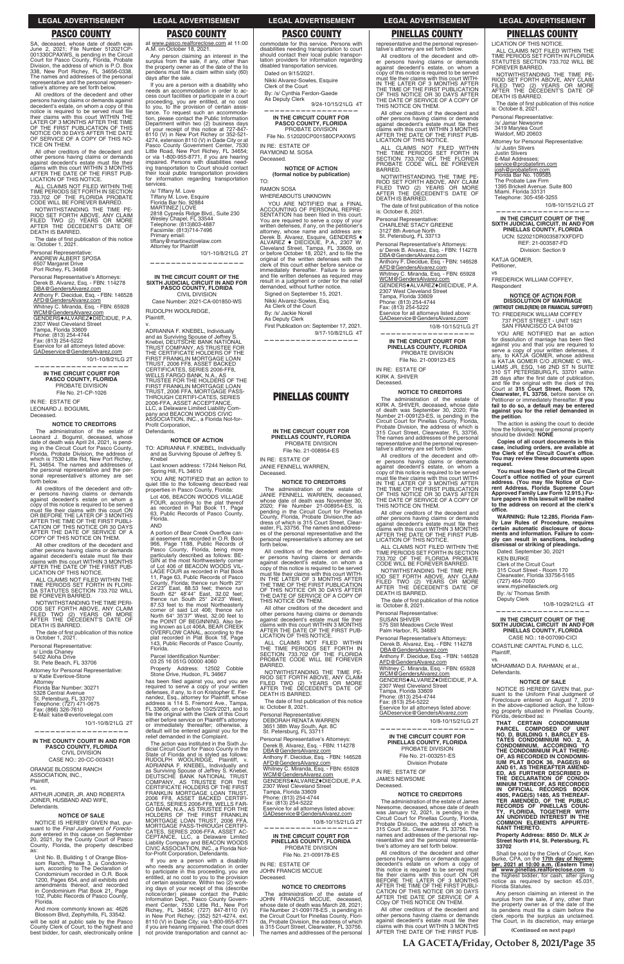## **PASCO COUNTY**

SA, deceased, whose date of death was<br>June 2, 2021; File Number 512021CP-<br>001330CPAXWS, is pending in the Circuit Court for Pasco County, Florida, Probate<br>Division, the address of which is P.O. Box<br>338, New Port Richey, FL 34656-0338. The names and addresses of the personal<br>representative and the personal representative's attorney are set forth below.

All creditors of the decedent and other persons having claims or demands against<br>decedent's estate, on whom a copy of this<br>notice is required to be served must file their claims with this court WITHIN THE<br>LATER OF 3 MONTHS AFTER THE TIME<br>OF THE FIRST PUBLICATION OF THIS NOTICE OR 30 DAYS AFTER THE DATE<br>OF SERVICE OF A COPY OF THIS NOTICE ON THEM.

All other creditors of the decedent and other persons having claims or demands<br>against decedent's estate must file their<br>claims with this court WITHIN 3 MONTHS AFTER THE DATE OF THE FIRST PUB-<br>LICATION OF THIS NOTICE.

ALL CLAIMS NOT FILED WITHIN THE<br>TIME PERIODS SET FORTH IN SECTION<br>733.702 OF THE FLORIDA PROBATE CODE WILL BE FOREVER BARRED.

NOTWITHSTANDING THE TIME PE-<br>RIOD SET FORTH ABOVE, ANY CLAIM<br>FILED TWO (2) YEARS OR MORE<br>AFTER THE DECEDENT'S DATE OF<br>DEATH IS BARRED.

The date of first publication of this notice is: October 1, 2021.

Personal Representative:<br>ANDREW ALBERT SPOSA 6507 Margaret Drive

Port Richey, FL 34668

Personal Representative's Attorneys: Derek B. Alvarez, Esq. - FBN: 114278 DBA@GendersAlvarez.com Anthony F. Diecidue, Esq. - FBN: 146528 AFD@GendersAlvarez.com Whitney C. Miranda, Esq. - FBN: 65928<br>WCM@GendersAlvarez.com

GENDERS+ALVAREZ+DIECIDUE, P.A.<br>2307 West Cleveland Street

Tampa, Florida 33609<br>Phone: (813) 254-4744<br>Fax: (813) 254-5222  $-4744$ 

Eservice for all attorneys listed above:<br>GADeservice@GendersAlvarez.com

10/1-10/8/21LG 2T

IN THE CIRCUIT COURT FOR PASCO COUNTY, FLORIDA<br>PROBATE DIVISION File No. 21-CP-1026

IN RE: ESTATE OF LEONARD J. BOGUMIL Deceased.

#### **NOTICE TO CREDITORS**

The administration of the estate of Leonard J. Bogumil, deceased, whose<br>date of death was April 24, 2021, is penddig in the Circuit Court for Pasco County,<br>Florida, Probate Division, the address of<br>which is 7530 Little Rd, New Port Richey, FL 34654. The names and addresses of the personal representative and the perrepresentative's attorney are set sonal forth below.

All creditors of the decedent and other persons having claims or demands<br>against decedent's estate on whom a expose to this notice is required to be served<br>must file their claims with this court ON<br>OR BEFORE THE LATER OF 3 MONTHS<br>AFTER THE TIME OF THE FIRST PUBLI-ALLER THE THIS NOTICE OR 30 DAYS<br>AFTER THE DATE OF SERVICE OF A<br>COPY OF THIS NOTICE ON THEM.

All other creditors of the decedent and other persons having claims or demands against decedent's estate must file their daims with this court WITHIN 3 MONTHS<br>AFTER THE DATE OF THE FIRST PUB-<br>LICATION OF THIS NOTICE.

ALL CLAIMS NOT FILED WITHIN THE TIME PERIODS SET FORTH IN FLORID<br>DA STATUTES SECTION 733.702 WILL BE FOREVER BARRED.

NOTWITHSTANDING THE TIME PERI-NOTING SET FORTH ABOVE, ANY CLAIM<br>FILED TWO (2) YEARS OR MORE<br>AFTER THE DECEDENT'S DATE OF DEATH IS BARRED.

The date of first publication of this notice is October 1, 2021.

Personal Representative:

s/ Linda Chaney<br>5402 Aloha Drive

St. Pete Beach, FL 33706

Attorney for Personal Representative: s/ Katie Everlove-Stone

Attorney<br>Florida Bar Number: 30271 5328 Central Avenue St. Petersburg, FL 33707 Telephone: (727) 471-0675

## **LEGAL ADVERTISEMENT**

## **PASCO COUNTY** at www.pasco.realforeclose.com at 11:00<br>A.M. on October 18, 2021.

Any person claiming an interest in the surplus from the sale, if any, other than the property owner as of the date of the lis pendens must file a claim within sixty (60)<br>days after the sale.

If you are a person with a disability who needs an accommodation in order to access court facilities or participate in a court<br>proceeding, you are entitled, at no cost to you, to the provision of certain assistance. To request such an accommodation, please contact the Public Information floopterment within two (2) business days<br>of your receipt of this notice at 727-847-8110 (V) in New Port Richey or 352-521-4274, extension 8110 (V) in Dade City or at Pasco County Government Center, 7530<br>Little Road, New Port Richey, FL 34654; 7530 or via 1-800-955-8771, if you are hearing<br>impaired. Persons with disabilities need-<br>ing transportation to Court should contact their local public transportation providers  $for$ information regarding transportation services.

stricture<br>
/s/ Tiffany M. Love<br>
Tiffany M. Love, Esquire<br>
Florida Bar No. 92884 MARTINEZ | LOVE 2818 Cypress Ridge Blvd., Suite 230<br>Wesley Chapel, FL 33544<br>Telephone: (813)803-4887 Facsimile: (813)714-7496 Primary email: tiffany@martinezlovelaw.com **Attorney for Plaintiff** 

10/1-10/8/21LG 2T

# IN THE CIRCUIT COURT OF THE<br>SIXTH JUDICIAL CIRCUIT IN AND FOR<br>PASCO COUNTY, FLORIDA

**CIVIL DIVISION** Case Number: 2021-CA-001850-WS

**RUDOLPH WOOLRIDGE.** Plaintiff.

ADRIANNA F. KNEBEL, Individually For a Survivir Spouse of Jeffrey S.<br>
Rinebel, DEUTSCHE BANK NATIONAL<br>
TRUST COMPANY, AS TRUSTEE FOR<br>
THE CERTIFICATE HOLDERS OF THE FIRST FRANKLIN MORTGAGE LOAN<br>TRUST, 2006 FF8, ASSET BACKED<br>CERTIFICATES, SERIES 2006-FF8, VELLS FARGO BANK, N.A., AS<br>TRUSTEE FOR THE HOLDERS OF THE<br>FIRST FRANKLIN MORTGAGE LOAN TRUST, 2006 FFA, MORTGAGE PASS-<br>THROUGH CERTIFI-CATES, SERIES<br>2006-FFA, ASSET ACCEPTANCE, ELC, a Delaware Limited Liability Company and BEACON WOODS CIVIC<br>ASSOCIATION, INC., a Florida Not-for-Profit Corporation, Defendants.

**NOTICE OF ACTION** 

TO: ADRIANNA F. KNEBEL, Individually and as Surviving Spouse of Jeffrey S Knebel

Last known address: 17244 Nelson Rd, Spring Hill, FL 34610

YOU ARE NOTIFIED that an action to quiet title to the following described real properties in Pasco County, Florida:

Lot 406, BEACON WOODS VILLAGE FOUR, according to the plat thereof<br>as recorded in Plat Book 11, Page 63. Public Records of Pasco County Florida. **AND** 

A portion of Bear Creek Overflow can-<br>al easement as recorded in O.R. Book and Data Public Records of<br>Pasco County, Florida, being more<br>particularly described as follows: BE-GIN at the most Northwesterly corner<br>of Lot 406 of BEACON WOODS VIL-LAGE FOUR as recorded in Plat Book 11, Page 63, Public Records of Pasco 11, Paye os, Public Records of Pasco<br>
24/23" East, 88.53 feet; thence run North 25°<br>
24/23" East, 88.53 feet; thence run<br>
shouth 62° 48/44" East, 32.02 feet;<br>
87.53 feet to the most Northeasterly<br>
87.53 feet to the most No comer of said Lot 406; thence run<br>North 64° 35'37" West, 32.00 feet to<br>the POINT OF BEGINNING. Also being known as Lot 406A, BEAR CREEK<br>OVERFLOW CANAL, according to the<br>plat recorded in Plat Book 18, Page 143. Public Records of Pasco County Florida.

Parcel Identification Number 03 25 16 051G 00000 4060

Property Address: 12502 Cobble Stone Drive, Hudson, FL 34667

has been filed against you, and you are required to serve a copy of your written<br>defenses, if any, to it on Kristopher E. Ferandez, Esq., attorney for Plaintiff, whose<br>address is 114 S. Fremont Ave., Tampa,<br>FL 33606, on or before 10/25/2021, and to file the original with the Clerk of this Court either before service on Plaintiff's attorney<br>or immediately thereafter; otherwise, a default will be entered against you for the<br>relief demanded in the Complaint. The action was instituted in the Sixth Judicial Circuit Court for Pasco County in the State of Florida and is styled as follows:<br>RUDOLPH WOOLRIDGE, Plaintiff, v.<br>ADRIANNA F. KNEBEL, Individually and as Surviving Spouse of Jeffrey S. Knebel,<br>DEUTSCHE BANK NATIONAL TRUST DEUTSCHE BANK NATIONAL TRUST<br>COMPANY, AS TRUSTEE FOR THE<br>CERTIFICATE HOLDERS OF THE FIRST FRANKLIN MORTGAGE LOAN TRUST,<br>2006 FF8, ASSET BACKED CERTIFI-<br>CATES, SERIES 2006-FF8, WELLS FAR-CALES, SERIES 2006-FFB, WELLS FARE<br>HOLDERS OF THE FIRST FRANKLIN<br>MORTGAGE LOAN TRUST, 2006 FFA,<br>MORTGAGE PASS-THROUGH CERTIFICATES, SERIES 2006-FFA, ASSET AC-CEPTANCE, LLC, a Delaware Limited<br>Liability Company and BEACON WOODS<br>CIVIC ASSOCIATION, INC., a Florida Notfor-Profit Corporation, Defendants. If you are a person with a disability who needs any accommodation in order<br>to participate in this proceeding, you are entitled, at no cost to you to the provision<br>of certain assistance. Within two (2) working days of your receipt of this (describe my days or your letelpt or lines (useful or lines and policy information Dept., Pasco County Government Center, 7530 Little Rd., New Port Richey, FL 34654; (727) 847-8110 (V) in New Port Richey; (352) 521-4274, ext. 8110 ( if you are hearing impaired. The court does not provide transportation and cannot ac-

## **LEGAL ADVERTISEMENT**

## **PASCO COUNTY**

commodate for this service. Persons with disabilities needing transportation to court<br>should contact their local public transportation providers for information regarding disabled transportation services.

Dated on 9/15/2021.

Nikki Alvarez-Sowles, Esquire Clerk of the Court

By: /s/ Cynthia Ferdon-Gaede As Deputy Clerk

9/24-10/15/21LG 4T

IN THE CIRCUIT COURT FOR<br>PASCO COUNTY, FLORIDA PROBATE DIVISION

File No. 512020CP001580CPAXWS IN RE: ESTATE OF

RAYMOND M. SOSA Deceased.

> **NOTICE OF ACTION** (formal notice by publication)

**RAMON SOSA** 

TO<sup>-</sup>

WHEREABOUTS UNKNOWN

YOU ARE NOTIFIED that a FINAL ACCOUNTING OF PERSONAL REPRE-SENTATION has been filed in this court. SENTATION Take better line in this count.<br>You are required to serve a copy of your<br>written defenses, if any, on the petitioner's<br>attorney, whose name and address are:<br>Derek B. Alvarez, Esquire, GENDERS  $\blacklozenge$ <br>ALVAREZ  $\black$ or before become not, EOL1, and to the the<br>original of the written defenses with the<br>clerk of this court either before service or immediately thereafter. Failure to serve<br>and file written defenses as required may result in a judgment or order for the relief<br>demanded, without further notice.

Signed on September 15, 2021. Nikki Alvarez-Sowles, Esg. As Clerk of the Court By: /s/ Jackie Norell As Deputy Clerk First Publication on: September 17, 2021. 9/17-10/8/21LG 4T

**PINELLAS COUNTY** 

#### IN THE CIRCUIT COURT FOR PINELLAS COUNTY, FLORIDA PROBATE DIVISION File No. 21-008954-ES

IN RE: ESTATE OF JANIE FENNELL WARREN,

Deceased.

### **NOTICE TO CREDITORS**

The administration of the estate of JANIE FENNELL WARREN, deceased. hose date of death was November 30,<br>200; File Number 21-008954-ES, is wnose<br>2020; is pending in the Circuit Court for Pinellas<br>County, Florida, Probate Division, the address of which is 315 Court Street, Clearwater, FL 33756. The names and address-<br>es of the personal representative and the personal representative's attorney are set forth below.

All creditors of the decedent and other<br>persons having claims or demands<br>against decedent's estate, on whom a export this notice is required to be served<br>must file their claims with this court WITH-<br>IN THE LATER OF 3 MONTHS AFTER THE TIME OF THE FIRST PUBLICATION<br>OF THIS NOTICE OR 30 DAYS AFTER<br>THE DATE OF SERVICE OF A COPY OF THIS NOTICE ON THEM.

All other creditors of the decedent and other persons having claims or demands against decedent's estate must file their diams with this court WITHIN 3 MONTHS<br>AFTER THE DATE OF THE FIRST PUB-<br>LICATION OF THIS NOTICE.

ALL CLAIMS NOT FILED WITHIN THE TIME PERIODS SET FORTH IN<br>SECTION 733.702 OF THE FLORIDA<br>PROBATE CODE WILL BE FOREVER BARRED.

NOTWITHSTANDING THE TIME PE-<br>RIOD SET FORTH ABOVE, ANY CLAIM<br>FILED TWO (2) YEARS OR MORE<br>AFTER THE DECEDENT'S DATE OF

DEATH IS BARRED. The date of first publication of this notice is: October 8, 202

## **PINELLAS COUNTY**

representative and the personal represen-<br>tative's attorney are set forth below.

**LEGAL ADVERTISEMENT** 

**LEGAL ADVERTISEMENT** 

**PINELLAS COUNTY** 

ALL CLAIMS NOT FILED WITHIN THE<br>TIME PERIODS SET FORTH IN FLORIDA<br>STATUTES SECTION 733.702 WILL BE

NOTWITHSTANDING THE TIME PE

NOT SET FORTH ABOVE, ANY CLAIM<br>FILED TWO (2) YEARS OR MORE<br>AFTER THE DECEDENT'S DATE OF

The date of first publication of this notice<br>is: October 8, 2021.

Attorney for Personal Representative:

LICATION OF THIS NOTICE.

FOREVER BARRED.

DEATH IS BARRED.

Personal Representative:

/s/ Jamar Newsome

3419 Marylea Court<br>Waldorf, MD 20603

/s/ Justin Stivers

Justin Stivers<br>Justin Stivers<br>E-Mail Addresses:

KATJA GOMER,

Petitioner,

Respondent

the petition.

request.

office.

Plaintiff.

Defendants.

VS.

**VS** 

service@probatefirm.com<br>josh@probatefirm.com<br>Florida Bar No. 109585

Telephone: 305-456-3255

The Probate Law Firm<br>1395 Brickell Avenue. Suite 800<br>Miami. Florida 33131

IN THE CIRCUIT COURT OF THE<br>SIXTH JUDICIAL CIRCUIT, IN AND FOR<br>PINELLAS COUNTY, FLORIDA

UCN: 522021DR003587XXFDFD

REF: 21-003587-FD

Division: Section 9

**NOTICE OF ACTION FOR** 

**DISSOLUTION OF MARRIAGE** 

(WITHOUT CHILD(REN) OR FINANCIAL SUPPORT)

737 POST STREET - UNIT 1621<br>SAN FRANCISCO CA 94109

for dissolution of marriage has been filed<br>against you and that you are required to

serve a copy of your written defenses, if<br>any, to KATJA GOMER, whose address<br>is KATJA GOMER C/O JEROME C WILL-<br>LAMS JR, ESQ, 146 2ND ST N SUITE<br>310 ST PETERSBURG,FL 33701 within

28 days after the first date of publication,

and file the original with the clerk of this<br>Court at 315 Court Street, Room 170,<br>Clearwater, FL 33756, before service on

Petitioner or immediately thereafter. If you

fail to do so, a default may be entered<br>against you for the relief demanded in

The action is asking the court to decide

Copies of all court documents in this

case, including orders, are available at<br>the Clerk of the Circuit Court's office.

You may review these documents upon

You must keep the Clerk of the Circuit

Fourt's office notified of your current<br>court's office notified of your current<br>address. (You may file Notice of Cur-<br>rent Address, Florida Supreme Court<br>Approved Family Law Form 12.915.) Fu-<br>ture papers in this lawsuit wi

to the address on record at the clerk's

WARNING: Rule 12.285, Florida Family Law Rules of Procedure, requires

certain automatic disclosure of docu-

ments and information. Failure to com-<br>ply can result in sanctions, including

dismissal or striking of pleadings.

Dated: September 30, 2021

Clerk of the Circuit Court<br>315 Court Street - Room 170

By: /s/ Thomas Smith Deputy Clerk

Clearwater, Florida 33756-5165<br>(727) 464-7000<br>www.mypinellasclerk.org

IN THE CIRCUIT COURT OF THE

SIXTH JUDICIAL CIRCUIT IN AND FOR<br>PINELLAS COUNTY, FLORIDA

CASE NO.: 18-007090-CICI

**NOTICE OF SALE** 

NOTICE IS HEREBY GIVEN that, pur-<br>suant to the Uniform Final Judgment of<br>Foreclosure entered on August 7, 2019

COASTLINE CAPITAL FUND 6, LLC,

MOHAMMAD D.A. RAHMAN; et al.,

10/8-10/29/21LG 4T

**KEN BURKE** 

how the following real or personal property<br>should be divided: **NONE** 

YOU ARE NOTIFIED that an action

TO: FREDERICK WILLIAM COFFEY

FREDERICK WILLIAM COFFEY,

10/8-10/15/21LG 2T

All creditors of the decedent and oth er persons having claims or demands against decedent's estate, on whom a<br>copy of this notice is required to be served<br>must file their claims with this court WITH-IN THE LATER OF 3 MONTHS AFTER IN THE LATER OF 3 MONTHS AFTER<br>THE TIME OF THE FIRST PUBLICATION<br>OF THIS NOTICE OR 30 DAYS AFTER<br>THE DATE OF SERVICE OF A COPY OF<br>THIS NOTICE ON THEM.

All other creditors of the decedent and other persons having claims or demands against decedent's estate must file their<br>claims with this court WITHIN 3 MONTHS<br>AFTER THE DATE OF THE FIRST PUB-LICATION OF THIS NOTICE.

ALL CLAIMS NOT FILED WITHIN<br>THE TIME PERIODS SET FORTH IN<br>SECTION 733.702 OF THE FLORIDA PROBATE CODE WILL BE FOREVER BARRED.

DATITIED.<br>NOTWITHSTANDING THE TIME PE-<br>RIOD SET FORTH ABOVE, ANY CLAIM<br>FILED TWO (2) YEARS OR MORE<br>AFTER THE DECEDENT'S DATE OF<br>DEATH IS BARRED.

The date of first publication of this notice is: October 8, 2021.

Personal Representative:<br>CHARLENE STACY GREENE 3127 8th Avenue North<br>St. Petersburg, FL 33713

Personal Representative's Attorneys s/ Derek B. Alvarez, Esq. - FBN: 114278 DBA@GendersAlvarez.com Anthony F. Diecidue, Esq. - FBN: 146528 AFD@GendersAlvarez.com Whitney C. Miranda, Esq. - FBN: 65928<br>WCM@GendersAlvarez.com GENDERS+ALVAREZ+DIECIDUE, P.A 2307 West Cleveland Street Tampa, Florida 33609<br>Phone: (813) 254-4744<br>Fax: (813) 254-5222 Eservice for all attorneys listed above:<br>GADeservice@GendersAlvarez.com

10/8-10/15/21LG 2T

IN THE CIRCUIT COURT FOR PINELLAS COUNTY, FLORIDA PROBATE DIVISION File No. 21-009123-ES

IN RE: ESTATE OF KIRK A. SHIVER Deceased.

**NOTICE TO CREDITORS** 

The administration of the estate of KIRK A. SHIVER, deceased, whose date KIHK A. SHIVEH, deceased, whose date<br>of death was September 30, 2020; File<br>Number 21-009123-ES, is pending in the<br>Circuit Court for Pinellas County, Florida,<br>Probate Division, the address of which is<br>315 Court Street, Clea The names and addresses of the personal representative and the personal representative's attorney are set forth below.

All creditors of the decedent and other persons having claims or demands<br>against decedent's estate, on whom a copy of this notice is required to be served must file their claims with this court WITH-<br>IN THE LATER OF 3 MONTHS AFTER THE TIME OF THE FIRST PUBLICATION<br>OF THIS NOTICE OR 30 DAYS AFTER THE DATE OF SERVICE OF A COPY OF THIS NOTICE ON THEM.

All other creditors of the decedent and For the resons having claims or demands<br>against decedent's estate must file their<br>claims with this court WITHIN 3 MONTHS<br>AFTER THE DATE OF THE FIRST PUB-<br>LICATION OF THIS NOTICE.

ALL CLAIMS NOT FILED WITHIN THE TIME PERIODS SET FORTH IN SECTION<br>733.702 OF THE FLORIDA PROBATE<br>CODE WILL BE FOREVER BARRED.

NOTWITHSTANDING THE TIME PER-NOTIVITION FORTH ABOVE, ANY CLAIM<br>FILED TWO (2) YEARS OR MORE<br>AFTER THE DECEDENT'S DATE OF DEATH IS BARRED.

The date of first publication of this notice is: October 8, 2021.

Personal Representative: SUSAN SHIVER

575 Still Meadows Circle West<br>Palm Harbor, FL 34683

Personal Representative's Attorneys: Derek B. Alvarez, Esq. - FBN: 114278 DBA@GendersAlvarez.com Anthony F. Diecidue, Esq. - FBN: 146528<br>AFD@GendersAlvarez.com Whitney C. Miranda, Esq. - FBN: 65928 WCM@GendersAlvarez.com

GENDERS+ALVAREZ+DIECIDUE, P.A

Tampa, Florida 33609<br>Phone: (813) 254-4744<br>Fax: (813) 254-5222 ice ḟor all attorn

ax: (866) 326-7610 E-Mail: katie@everlovelegal.com

10/1-10/8/21LG 2T

IN THE COUNTY COURT IN AND FOR PASCO COUNTY, FLORIDA **CIVIL DIVISION** CASE NO.: 20-CC-003431

ORANGE BLOSSOM RANCH ASSOCIATION, INC., Plaintiff.

ARTHUR JOINER, JR. AND ROBERTA JOINER, HUSBAND AND WIFE, Defendants.

#### **NOTICE OF SALE**

NOTICE IS HEREBY GIVEN that, pursuant to the Final Judgement of Foreclo-<br>sure entered in this cause on September 20, 2021, by the County Court of Pasco County, Florida, the property described as:

Unit No. B, Building 1 of Orange Blossom Ranch, Phase 3, a Condomin-<br>ium, according to The Declaration of Condominium recorded in O.R. Book 1200, Pages 654, and all exhibits and<br>amendments thereof, and recorded<br>in Condominium Plat Book 21, Page 102. Public Records of Pasco County Florida.

And more commonly known as: 4626 Blossom Blvd, Zephyrhills, FL 33542.

will be sold at public sale by the Pasco<br>County Clerk of Court, to the highest and<br>best bidder, for cash, electronically online

Personal Representative:<br>DEBORAH RENATA WARREN 3651 38th Way South, Apt. 8C<br>St. Petersburg, FL 33711

Personal Representative's Attorneys: Derek B. Alvarez, Esq. - FBN: 114278<br>DBA@GendersAlvarez.com Anthony F. Diecidue, Esq. - FBN: 146528<br>AFD@GendersAlvarez.com Whitney C. Miranda, Esq. - FBN: 65928<br>WCM@GendersAlvarez.com GENDERS+ALVAREZ+DIECIDUE. P.A. 2307 West Cleveland Street<br>Tampa, Florida 33609 Phone: (813) 254-4744 Fribrie: (613) 254-5222<br>Eservice for all attorneys listed above: GADeservice@GendersAlvarez.com

#### 10/8-10/15/21LG 2T

IN THE CIRCUIT COURT FOR<br>PINELLAS COUNTY, FLORIDA PROBATE DIVISION File No. 21-009178-ES

IN RE: ESTATE OF JOHN FRANCIS MCCUF Deceased.

#### **NOTICE TO CREDITORS**

The administration of the estate of JOHN FRANCIS MCCUE, deceased, whose date of death was March 28, 2021;<br>File Number 21-009178-ES, is pending in File Number 21-009176-ES, is pentuing in<br>the Circuit Court for Pinellas County, Flori-<br>da, Probate Division, the address of which<br>is 315 Court Street, Clearwater, FL 33756.<br>The names and addresses of the personal GADeservice@GendersAlvarez.com

#### 10/8-10/15/21LG 2T

listed ah

## IN THE CIRCUIT COURT FOR<br>PINELLAS COUNTY, FLORIDA PROBATE DIVISION File No. 21-003251-ES **Division Probate**

IN RE: ESTATE OF **JAMES NEWSOME** Deceased.

### **NOTICE TO CREDITORS**

The administration of the estate of James In a amministration of the estate of James<br>Newsome, deceased, whose date of death<br>was January 12, 2021, is pending in the<br>Circuit Court for Pinellas County, Florida,<br>Probate Division, the address of which is<br>315 Court St., names and addresses of the personal representative and the personal representative's attorney are set forth below.

All creditors of the decedent and other Persons having claims or demands against<br>decedent's estate on whom a copy of this notice is required to be served must file their claims with this court ON OR<br>BEFORE THE LATER OF 3 MONTHS AFTER THE TIME OF THE FIRST PUBLICATION OF THIS NOTICE OR 30 DAYS AFTER THE DATE OF SERVICE OF A COpy OF THIS NOTICE ON THEM.

All other creditors of the decedent and other persons having claims or demands<br>against decedent's estate must file their against decedent's estate must life their<br>claims with this court WITHIN 3 MONTHS<br>AFTER THE DATE OF THE FIRST PUB- in the above-captioned action, the following property situated in Pinellas County, Florida, described as:

THAT CERTAIN CONDOMINIUM PARCEL COMPOSED OF UNIT<br>NO. D, BUILDING 1, BARCLEY ES-<br>TATES CONDOMINIUM NO. 2, A CONDOMINIUM, ACCORDING TO<br>THE CONDOMINIUM PLAT THERE-<br>OF, AS RECORDED IN CONDOMIN-UM PLAT BOOK 36, PAGE(S) 60<br>AND 61, AS THEREAFTER AMEND-<br>ED, AS FURTHER DESCRIBED IN ED, AS FURTHER DESCRIBED IN<br>THE DECLARATION OF CONDO-<br>MINIUM THEREOF, AS RECORDED<br>IN OFFICIAL RECORDS BOOK<br>4905, PAGE(S) 1485, AS THEREAF-<br>TER AMENDED, OF THE PUBLIC<br>RECORDS OF PINELLAS COUN-<br>TY, FLORIDA, TOGETHER WITH<br>AN **NANT THERETO.** 

Property Address: 8850 Dr. MLK Jr<br>Street North #14, St. Petersburg, FL 33702

Shall be sold by the Clerk of Court, Ken Burke, CPA, on the 17th day of Novem-<br>ber, 2021 at 10:00 a.m. (Eastern Time)<br>at www.pinellas.realforeclose.com to the highest bidder, for cash, after giving<br>notice as required by section 45.031,<br>Florida Statutes.

Any person claiming an interest in the surplus from the sale, if any, other than<br>the property owner as of the date of the<br>lis pendens must file a claim before the clerk reports the surplus as unclaimed.<br>The Court, in its discretion, may enlarge

(Continued on next page)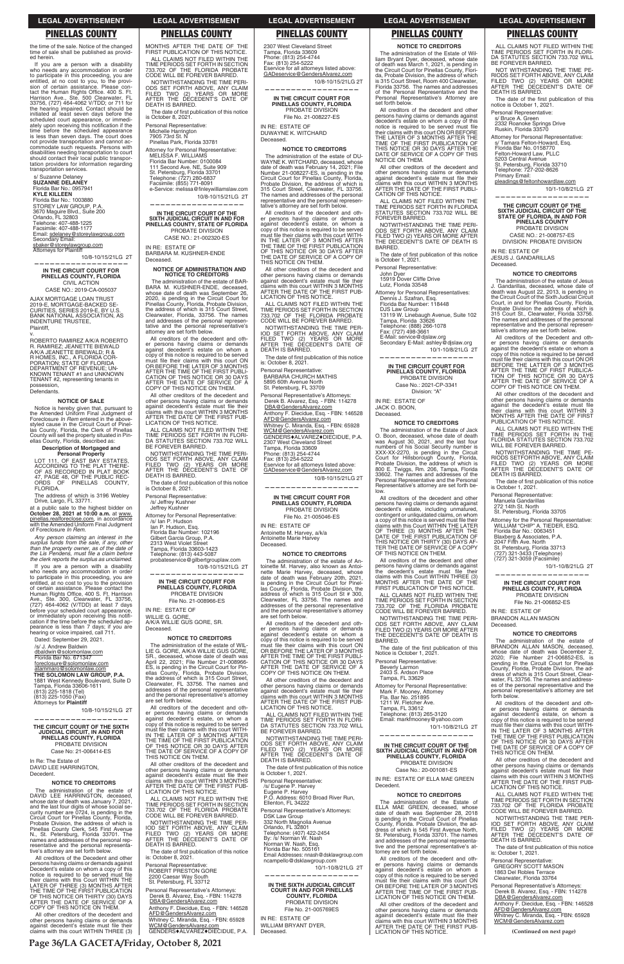## **PINELLAS COUNTY**

the time of the sale. Notice of the changed<br>time of sale shall be published as provided herein.

If you are a person with a disability in you are a person win a dissaming<br>who needs any accommodation in order<br>to participate in this proceeding, you are<br>entitled, at no cost to you, to the provi-<br>scion of certain assistance. Please con-<br>tact the Human Rights Harrison Ave., Ste. 500 Clearwater, FL<br>33756, (727) 464-4062 V/TDD; or 711 for the hearing impaired. Contact should be initiated at least seven days before the scheduled court appearance, or immediscrieduled court appearance, or immediately upon receiving this notification if the<br>time before the scheduled appearance is less than seven days. The court does<br>not provide transportation and cannot accommodate such requests. Persons with disabilities needing transportation to court<br>should contact their local public transportation providers for information regarding transportation services.

s/ Suzanne Delaney<br>SUZANNE DELANEY Florida Bar No.: 0957941 **KYLE KILLEEN KYLE KILLEEN**<br>Florida Bar No.: 1003880<br>STOREY LAW GROUP, P.A 3670 Maguire Blvd., Suite 200<br>Orlando, FL 32803<br>Telehone: 407-488-1225<br>Facsimile: 407-488-1177 Email: sdelaney@storeylawgroup.com Secondary Email: sbaker@storeylawgroup.com

**Attorneys for Plaintiff** 10/8-10/15/21LG 2T

IN THE CIRCUIT COURT FOR PINELLAS COUNTY, FLORIDA **CIVIL ACTION** 

CASE NO.: 2019-CA-005037 AJAX MORTGAGE LOAN TRUST

2019-E, MORTGAGE-BACKED SE-<br>CURITIES, SERIES 2019-E, BY U.S. BANK NATIONAL ASSOCIATION, AS INDENTURE TRUSTEE, Plaintiff.

ROBERTO RAMIREZ A/K/A ROBERTO R. RAMIREZ; JEANETTE BIEWALD<br>A/K/A JEANETTE BREWALD; R & R HOMES, INC., A FLORIDA CORPORATION: STATE OF FLORIDA **PORATION, STATE OF FLORIDA<br>DEPARTMENT OF REVENUE; UN-<br>KNOWN TENANT #1 and UNKNOWN** TENANT #2, representing tenants in possession, Defendants

#### **NOTICE OF SALE**

Notice is hereby given that, pursuant to<br>the Amended Uniform Final Judgment of Foreclosure In Rem entered in the abovestyled cause in the Circuit Court of Pinellas County, Florida, the Clerk of Pinellas County will sell the property situated in Pin-<br>ellas County, Florida, described as:

#### **Description of Mortgaged and** Personal Property

LOT 111, OF EAST BAY ESTATES,<br>ACCORDING TO THE PLAT THERE-<br>OF AS RECORDED IN PLAT BOOK<br>47, PAGE 48, OF THE PUBLIC REC-<br>ORDS OF PINELLAS COUNTY, FI ORIDA.

The address of which is 3196 Webley Drive, Largo, FL 33771.

at a public sale to the highest bidder on<br>October 28, 2021 at 10:00 a.m. at www. pinellas.realforeclose.com, in accordance<br>with the Amended Uniform Final Judgment of Foreclosure In Rem.

Any person claiming an interest in the surplus funds from the sale, if any, other than the property owner, as of the date of the Lis Pendens, must file a claim before the clerk reports the surplus as unclaimed.

If you are a person with a disability If you are a person with a disability<br>the needs any accommodation in order<br>to particle is this proceeding, you are<br>eritited, at no cost to you to the provision<br>of certain assistance. Please contact the<br>Human Rights Office, before your scheduled court appearance,<br>or immediately upon receiving this notifi-<br>cation if the time before the scheduled appearance is less than 7 days; if you are<br>hearing or voice impaired, call 711.

Dated: September 29, 2021. /s/ J. Andrew Baldwin

dbaldwin@solomonlaw.com Florida Bar No. 671347 foreclosure@solomonlaw.com

atammaro@solomonlaw.com THE SOLOMON LAW GROUP, P.A. 1881 West Kennedy Boulevard, Suite D<br>Tampa, Florida 33606-1611<br>(813) 225-1818 (Tel)  $(813)$  225-1050 (Fax) Attorneys for Plaintiff

are set forth below. All creditors of the

IN RE: ESTATE OF

WILLIE G. GORE,

Deceased.

#### **LEGAL ADVERTISEMENT LEGAL ADVERTISEMENT**

**PINELLAS COUNTY** 

MONTHS AFTER THE DATE OF THE FIRST PUBLICATION OF THIS NOTICE.

ALL CLAIMS NOT FILED WITHIN THE<br>TIME PERIODS SET FORTH IN SECTION

733 702 OF THE FLORIDA PROBATE

NOTWITHSTANDING THE TIME PERI-

ODS SET FORTH ABOVE, ANY CLAIM<br>FILED TWO (2) YEARS OR MORE<br>AFTER THE DECEDENT'S DATE OF<br>DEATH IS BARRED.

The date of first publication of this notice

is October 8, 2021

Personal Representative:

Michelle Harrington<br>7905 73rd St. N<br>Pinellas Park, Florida 33781

MELISSA F. WILLIAMS<br>Florida Bar Number: 0100084

Finding Bar Number: 0100044<br>111 Second Ave. NE, Suite 909<br>St. Petersburg, Florida 33701<br>Telephone: (727) 280-6837<br>Facsimile: (855) 771-8091

e-Service: melissa@finleywilliamslaw.com

IN THE CIRCUIT COURT OF THE

SIXTH JUDICIAL CIRCUIT IN AND FOR<br>PINELLAS COUNTY, STATE OF FLORIDA

PROBATE DIVISION

CASE NO.: 21-002320-ES

NOTICE OF ADMINISTRATION AND

The administration of the estate of BAR

**NOTICE TO CREDITORS** 

The administration of the estate of BART<br>A.M. KUSHNER-ENDE, deceased,<br>whose date of death was September 26,<br>2020, is pending in the Circuit Court for<br>Pinellas County, Fiorida, Probate Division,<br>the address of which is 315

Clearwater, Florida, 33756. The names

and addresses of the personal represen-

tative and the personal representative's<br>attorney are set forth below.

All creditors of the decedent and oth-

er persons having claims or demands<br>against decedent's estate on whom a

BARBARA M. KUSHNER-ENDE

IN RE: ESTATE OF

Deceased.

10/8-10/15/21LG 2T

Attorney for Personal Representative:

CODE WILL BE FOREVER BARRED.

## **PINELLAS COUNTY**

2307 West Cleveland Street Tampa, Florida 33609<br>Phone: (813) 254-4744<br>Fax: (813) 254-5222 Eservice for all attorneys listed above: GADeservice@GendersAlvarez.com 10/8-10/15/21LG 2T

IN THE CIRCUIT COURT FOR PINELLAS COUNTY, FLORIDA PROBATE DIVISION File No. 21-008227-ES

IN RE: ESTATE OF

DUWAYNE K. WITCHARD Deceased.

### **NOTICE TO CREDITORS**

The administration of the estate of DU-WAYNE K. WITCHARD, deceased, whose<br>date of death was February 14, 2021; File<br>Number 21-008227-ES, is pending in the Circuit Court for Pinellas County, Florida,<br>Probate Division, the address of which is<br>315 Court Street, Clearwater, FL 33756. The names and addresses of the personal<br>representative and the personal representative's attorney are set forth below.

All creditors of the decedent and other persons having claims or demands<br>against decedent's estate, on whom a<br>copy of this notice is required to be served must file their claims with this court WITH-<br>IN THE LATER OF 3 MONTHS AFTER<br>THE TIME OF THE FIRST PUBLICATION OF THIS NOTICE OR 30 DAYS AFTER<br>THE DATE OF SERVICE OF A COPY OF<br>THIS NOTICE ON THEM.

All other creditors of the decedent and other persons having claims or demands<br>against decedent's estate must file their<br>claims with this court WITHIN 3 MONTHS AFTER THE DATE OF THE FIRST PUB-LICATION OF THIS NOTICE

ALL CLAIMS NOT FILED WITHIN THE<br>TIME PERIODS SET FORTH IN SECTION 733.702 OF THE FLORIDA PROBATE CODE WILL BE FOREVER BARRED.

NOTWITHSTANDING THE TIME PER-<br>IOD SET FORTH ABOVE, ANY CLAIM<br>FILED TWO (2) YEARS OR MORE<br>AFTER THE DECEDENT'S DATE OF<br>DEATH IS BARRED.

The date of first publication of this notice is: October 8, 2021.

Personal Representative:<br>BARBARA CHURCH MATHIS 5895 60th Avenue North<br>St. Petersburg, FL 33709

Personal Representative's Attorneys: Derek B. Alvarez, Esq. - FBN: 114278 DBA@GendersAlvarez.com

AFD@GendersAlvarez.com<br>Whitney C. Miranda, Esq. - FBN: 65928

GENDERS+ALVAREZ+DIECIDUE, P.A.

10/8-10/15/21LG 2T

# PROBATE DIVISION

IN RE: ESTATE OF

The administration of the estate of An-In a amministration of the estate of Anti-<br>toinette M. Harvey, also known as Antoi-<br>nette Marie Harvey, deceased, whose<br>date of death was February 20th, 2021,<br>is pending in the Grcuit Court for Pinel-<br>las County, Florida, address of which is 315 Court St #300,<br>Clearwater, FL 33756. The names and<br>addresses of the personal representative

All other creditors of the decedent and other persons having claims or demands against decedent's estate must file their<br>claims with this court WITHIN 3 MONTHS<br>AFTER THE DATE OF THE FIRST PUB-**JE THIS NOTICI** 

## **LEGAL ADVERTISEMENT PINELLAS COUNTY**

**NOTICE TO CREDITORS** 

The administration of the Estate of William Bryant Dyer, deceased, whose date

of death was March 1, 2021, is pending in

the Circuit Court for Pinellas County, Flori

da, Probate Division, the address of which<br>is 315 Court Street, Room 400 Clearwater,

Florida 33756. The names and addresses

of the Personal Representative and the

Personal Representative's Attorney are

All creditors of the decedent and other

persons having claims or demands against

persons neurogen and the matter and the decedent's estate on whom a copy of this<br>notice is required to be served must file<br>their claims with this court ON OR BEFORE<br>THE LATER OF 3 MONTHS AFTER THE<br>TIME OF THE FIRST PUBLICA

THIS NOTICE OR 30 DAYS AFTER THE DATE OF SERVICE OF A COPY OF THIS

All other creditors of the decedent and

other persons having claims or demands<br>against decedent's estate must file their

Glaims with this court WITHIN 3 MONTHS<br>AFTER THE DATE OF THE FIRST PUBLI-CATION OF THIS NOTICE.

ALL CLAIMS NOT FILED WITHIN THE

TIME PERIODS SET FORTH IN FLORIDA<br>STATUTES SECTION 733.702 WILL BE<br>FOREVER BARRED.

NOTWITHSTANDING THE TIME PERI

ODS SET FORTH ABOVE, ANY CLAIM<br>FILED TWO (2) YEARS OR MORE AFTER<br>THE DECEDENT'S DATE OF DEATH IS

The date of first publication of this notice

Attorney for Personal Representatives:

DJS Law Group<br>13119 W. Linebaugh Avenue, Suite 102

E-Mail: service@djslaw.org<br>E-Mail: service@djslaw.org<br>Secondary E-Mail: ashley@djslaw.org

IN THE CIRCUIT COURT FOR<br>PINELLAS COUNTY, FLORIDA

PROBATE DIVISION

Case No.: 2021-CP-3341

Division: "A"

**NOTICE TO CREDITORS** 

O. Boon, deceased, whose date of death<br>was August 30, 2021, and the last four<br>numbers of his Social Security number is

XXX-XX-2270, is pending in the Circuit<br>Court for Hillsborough County, Florida,<br>Probate Division, the address of which is

800 E. Twiggs, Rm. 206, Tampa, Florida<br>33602. The names and addresses of the<br>Personal Representative and the Personal

Representative's attorney are set forth be-

All creditors of the decedent and othe

persons having claims or demands against

decedent's estate, including unmatured,<br>contingent or unliquidated claims, on whom<br>a copy of this notice is served must file their

claims with this Court WITHIN THE LATER<br>OF THREE (3) MONTHS AFTER THE<br>DATE OF THE FIRST PUBLICATION OF

THIS NOTICE OR THIRTY (30) DAYS AFTER THE DATE OF SERVICE OF A COPY<br>OF THIS NOTICE OF SERVICE OF A COPY<br>OF THIS NOTICE ON THEM.

All creditors of the decedent and other

persons having claims or demands against<br>the decedent's estate must file their<br>claims with this Court WITHIN THREE (3)

MONTHS AFTER THE DATE OF THE<br>FIRST PUBLICATION OF THIS NOTICE.

ALL CLAIMS NOT FILED WITHIN THE<br>TIME PERIODS SET FORTH IN SECTION

733.702 OF THE FLORIDA PROBATE CODE WILL BE FOREVER BARRED.

NOTWITHSTANDING THE TIME PERI-<br>ODS SET FORTH ABOVE, ANY CLAIM

FILED TWO (2) YEARS OR MORE AFTER<br>THE DECEDENT'S DATE OF DEATH IS<br>BARRED.

Notice is October 1, 2021.

Personal Representative:

Beverly Larmon<br>2403 S. Ardson Place<br>Tampa, FL 33629

1211 W. Fletcher Ave

Mark F. Mooney, Attorney<br>Fla. Bar No. 251895

The date of the first publication of this

The administration of the Estate of Jack

10/1-10/8/21LG 2T

set forth below.

NOTICE ON THEM.

**BARRED** 

is October 1, 2021.

Personal Representative:

Lutz, Florida 33548

IN RE: ESTATE OF

JACK O. BOON,

Deceased.

low

John Dyer<br>15919 Dover Cliffe Drive

Dennis J. Szafran, Esq.<br>Florida Bar Number: 118448

Tampa, Florida 33626<br>Telephone: (888) 266-1078<br>Fax: (727) 498-3661

## **PINELLAS COUNTY**

ALL CLAIMS NOT FILED WITHIN THE TIME PERIODS SET FORTH IN FLORI-<br>DA STATUTES SECTION 733.702 WILL BE FOREVER BARRED.

**LEGAL ADVERTISEMENT** 

NOT WITHSTANDING THE TIME PF-RIODS SET FORTH ABOVE, ANY CLAIM<br>FILED TWO (2) YEARS OR MORE<br>AFTER THE DECEDENT'S DATE OF DEATH IS BARRED.

The date of the first publication of this<br>notice is October 1, 2021.

Personal Representative:

s/Bruce A. Green 2332 Roanoke Springs Drive Ruskin, Florida 33570

Attorney for Personal Representative: s/ Tamara Felton-Howard, Esq. Florida Bar No. 0158770

Felton-Howard Law, PLLC 5203 Central Avenue S203 Central Avenue<br>St. Petersburg, Florida 33710<br>Telephone: 727-202-8626

Primary Fmail: pleadings@feltonhowardlaw.com

10/1-10/8/21LG 2T

#### THE CIRCUIT COURT OF THE<br>SIXTH JUDICIAL CIRCUIT OF THE **STATE OF FLORIDA. IN AND FOR** PINELLAS COUNTY PROBATE DIVISION

CASE NO : 21-008757-ES **DIVISION: PROBATE DIVISION** 

IN RE: ESTATE OF **JESUS J. GANDARILLAS** Deceased

#### **NOTICE TO CREDITORS**

The administration of the estate of Jesus J. Gandarillas, deceased, whose date of death was August 22, 2013, is pending in<br>the Circuit Court of the Sixth Judicial Circuit<br>Court, in and for Pinellas County, Florida, Probate Division the address of which is<br>315 Court St., Clearwater, Florida 33756.<br>The names and addresses of the personal rice names and dedicates or the personal<br>representative's attorney are set forth below.

All creditors of the Decedent and other persons having claims or demands equinst the decedent's estate on whom a<br>copy of this notice is required to be served<br>must file their claims with this court ON OR BEFORE THE LATTER OF 3 MONTHS<br>AFTER THE TIME OF FIRST PUBLICA-<br>TION OF THIS NOTICE OR 30 DAYS AFTER THE DATE OF SERVICE OF A COPY OF THIS NOTICE ON THEM.

All other creditors of the decedent and other persons having claims or demands state must file<br>against the decedent's estate must file<br>their claims with this court WITHIN 3<br>MONTHS AFTER THE DATE OF FIRST PUBLICATION OF THIS NOTICE.

ALL CLAIMS NOT FILED WITHIN THE<br>TIME PERIODS SET FORTH IN THE<br>FLORIDA STATUTES SECTION 733.702 WILL BE FOREVER BARRED.

NOTWITHSTANDING THE TIME PE NODS SETFORTH ABOVE, ANY CLAIM<br>FILED TWO (2) YEARS OR MORE<br>AFTER THE DECEDENT'S DATE OF DEATH IS BARRED.

The date of first publication of this notice<br>is October 1, 2021.

Personal Representative: Manuela Gandarillas<br>272 14th St. North

St. Petersburg, Florida 33705

Attorney for the Personal Representative: WILLIAM "CHIP" A. TIEDER, ESQ.<br>Florida Bar No.: 0063451<br>Blaxberg & Associates, P.A.

2047 Fifth Ave. North<br>St. Petersburg, Florida 33713<br>(727) 321-3433 (Telephone)

(727) 321-3059 (Facsimile)

10/1-10/8/21LG 2T

IN THE CIRCUIT COURT FOR<br>PINELLAS COUNTY, FLORIDA

PROBATE DIVISION File No. 21-006852-ES

IN RE: ESTATE OF **BRANDON ALLAN MASON** Deceased

#### **NOTICE TO CREDITORS**

The administration of the estate of BRANDON ALLAN MASON, deceased whose date of death was December 2,<br>2020; File Number 21-006852-ES, is is pending in the Circuit Court for Pinellas<br>County, Florida, Probate Division, the address of which is 315 Court Street, Clearwater, FL 33756. The names and addresses of the personal representative and the personal representative's attorney are set<br>forth below.

All creditors of the decedent and other persons having claims or demands against decedent's estate on whom a explorate is required to be served<br>must file their claims with this court WITH-<br>IN THE LATER OF 3 MONTHS AFTER THE TIME OF THE FIRST PUBLICATION THE THIS NOTICE OR 30 DAYS AFTER<br>THE DATE OF SERVICE OF A COPY OF<br>THIS NOTICE ON THEM.

Anthony F. Diecidue, Esq. - FBN: 146528 WCM@GendersAlvarez.com 2307 West Cleveland Street Tampa, Florida 33609 Tampa, Fruntial 300000<br>Phone: (813) 254-4744<br>Fax: (813) 254-5222<br>Eservice for all attorneys listed above:

GADeservice@GendersAlvarez,com

IN THE CIRCUIT COURT FOR PINELLAS COUNTY, FLORIDA

File No. 21-005046-ES

Antoinette M. Harvey, a/k/a<br>Antoinette Marie Harvey Deceased.

**NOTICE TO CREDITORS** 

and the personal representative's attorney<br>are set forth below.

All creditors of the decedent and oth er persons having claims or demands exponent decedent's estate on whom a<br>copy of this notice is required to be served<br>must file their claims with this court ON OR BEFORE THE LATER OF 3 MONTHS<br>AFTER THE TIME OF THE FIRST PUBLICATION OF THIS NOTICE OR 30 DAYS AFTER THE DATE OF SERVICE OF A COPY OF THIS NOTICE ON THEM.

aganst decedents estate on whom a<br>copy of this notice is required to be served<br>must file their claims with this court ON<br>OR BEFORE THE LATER OF 3 MONTHS<br>AFTER THE TIME OF THE FIRST PUBLI-<br>AFTER THE DATE OF SERVICE OF A<br>COP All other creditors of the decedent and All other presons having claims or demands<br>adainst decedent's estate must file their<br>claims with this court WITHIN 3 MONTHS<br>AFTER THE DATE OF THE FIRST PUB-LICATION OF THIS NOTICE. ALL CLAIMS NOT FILED WITHIN THE<br>TIME PERIODS SET FORTH IN FLORI-<br>DA STATUTES SECTION 733.702 WILL BE FOREVER BARRED.

NOTWITHSTANDING THE TIME PERI-ODS SET FORTH ABOVE, ANY CLAIM<br>FILED TWO (2) YEARS OR MORE<br>AFTER THE DECEDENT'S DATE OF<br>DEATH IS BARRED.

The date of first publication of this notice<br>is October 8, 2021.

Personal Representative: /s/ Jeffrey Kushner<br>Jeffrey Kushner

Attorney for Personal Representative: /s/ Ian P. Hudson<br>Ian P. Hudson<br>Ian P. Hudson, Esq.<br>Florida Bar Number: 102196

probateservice@gilbertgrouplaw.com

IN THE CIRCUIT COURT FOR

PINELLAS COUNTY, FLORIDA

PROBATE DIVISION

File No. 21-008966-ES

**NOTICE TO CREDITORS** 

The administration of the estate of WIL-

LIE G. GORE, A/K/A WILLIE GUS GORE,

LIE G. GORE, A/MA WILLIE GOS GORE,<br>SR., deceased, whose date of death was<br>April 22, 2021; File Number 21-008966-

ES, is pending in the Circuit Court for Pin-<br>ellas County, Florida, Probate Division,<br>the address of which is 315 Court Street,

Clearwater, FL 33756. The names and<br>addresses of the personal representative

and the personal representative's attorney

10/8-10/15/21LG 2T

Gilbert García Group, P.A.<br>2313 West Violet Street<br>Tampa, Florida 33603-1423

Telephone: (813) 443-5087

A/K/A WILLIE GUS GORE, SR.

10/8-10/15/21LG 2T

### THE CIRCUIT COURT OF THE SIXTH JUDICIAL CIRCUIT, IN AND FOR<br>PINELLAS COUNTY, FLORIDA PROBATE DIVISION Case No: 21-006414-ES

In Re: The Estate of DAVID LEE HARRINGTON, Decedent

#### **NOTICE TO CREDITORS**

The administration of the estate of<br>DAVID LEE HARRINGTON, deceased,<br>whose date of death was January 7, 2021, whose state of your and the last four digits of whose social security number are 0724, is pending in the Circuit Court for Pinellas County, Florida, Probate Division, the address of which is<br>Pinellas County Clerk, 545 First Avenue<br>N., St. Petersburg, Florida 33701. The Figure and addresses of the personal representative and addresses of the personal representative's attorney are set forth below.

All creditors of the Decedent and other persons having claims or demands against<br>Decedent's estate on whom a copy of this<br>notice is required to be served must file their claims with this Court WITHIN THE<br>LATER OF THREE (3) MONTHS AFTER<br>THE TIME OF THE FIRST PUBLICATION OF THIS NOTICE OR THIRTY (30) DAYS<br>AFTER THE DATE OF SERVICE OF A<br>COPY OF THIS NOTICE ON THEM.

All other creditors of the decedent and other persons having claims or demands<br>against decedent's estate must file their<br>claims with this court WITHIN THREE (3) All creditors of the decedent and other<br>er persons having claims or demands<br>against decedent's estate, on whom a expose filse notice is required to be served<br>must file their claims with this court WITH-<br>IN THE LATER OF 3 MONTHS AFTER THE TIME OF THE FIRST PUBLICATION<br>OF THIS NOTICE OR 30 DAYS AFTER<br>THE DATE OF SERVICE OF A COPY OF THIS NOTICE ON THEM.

All other creditors of the decedent and All other creditors of the decedent and<br>other persons having claims or demands<br>against decedent's estate must file their daims with this court WITHIN 3 MONTHS<br>AFTER THE DATE OF THE FIRST PUB-<br>LICATION OF THIS NOTICE.

ALL CLAIMS NOT FILED WITHIN THE TIME PERIODS SET FORTH IN SECTION<br>733.702 OF THE FLORIDA PROBATE<br>CODE WILL BE FOREVER BARRED.

NOTWITHSTANDING THE TIME PER-**IOD SET FORTH ABOVE, ANY CLAIM<br>FILED TWO (2) YEARS OR MORE<br>AFTER THE DECEDENT'S DATE OF** DEATH IS BARRED.

The date of first publication of this notice<br>is: October 8, 2021.

Personal Representative: BOBERT PRESTON GORE 2200 Caesar Way South<br>St. Petersburg, FL 33712

Personal Representative's Attorneys:<br>Derek B. Alvarez, Esq. - FBN: 114278 DBA@GendersAlvarez.com Anthony F. Diecidue, Esq. - FBN: 146528 Arithmy T. Dieside, Esq. - 1 D.V. 17002.<br>AFD@GendersAlvarez.com<br>Whitney C. Miranda, Esq. - FBN: 65928 WCM@GendersAlvarez.com<br>GENDERS+ALVAREZ+DIECIDUE, P.A.

ALL CLAIMS NOT FILED WITHIN THE<br>TIME PERIODS SET FORTH IN FLORIDA STATUTES SECTION 733.702 WILL BE FOREVER BARRED.

NOTWITHSTANDING THE TIME PERI-NOTHING THE DECEDENT AND CLAIM<br>FILED TWO (2) YEARS OR MORE<br>AFTER THE DECEDENT'S DATE OF DEATH IS BARRED.

The date of first publication of this notice<br>is October 1, 2021.

Personal Representative:<br>/s/ Eugene P. Harvey<br>Eugene P. Harvey P.O. Address: 6010 Broad River Run,<br>Ellenton, FL 34222

Personal Representative's Attorneys: DSK Law Group<br>332 North Magnolia Avenue<br>Orlando, FL 32801 Telephone: (407) 422-2454<br>By: /s/ Norman W. Nash<br>Norman W. Nash, Esq. Florida Bar No. 505161<br>Email Addresses: nnash@dsklawgroup.com<br>ncampello@dsklawgroup.com 10/1-10/8/21LG 2T

IN THE SIXTH JUDICIAL CIRCUIT COURT IN AND FOR PINELLAS<br>COUNTY, FLORIDA PROBATE DIVISION File No. 21-005769ES

IN RE: ESTATE OF **WILLIAM BRYANT DYER.** Deceased.

Tampa, TE 66612<br>Telephone: (813) 265-3120 Email: markfmooney@yahoo.com 10/1-10/8/21LG 2T

Attorney for Personal Representative:

IN THE CIRCUIT COURT OF THE SIXTH JUDICIAL CIRCUIT IN AND FOR<br>PINELLAS COUNTY, FLORIDA PROBATE DIVISION Case No.: 20-001081-ES

IN RE: ESTATE OF ELLA MAE GREEN Decedent.

#### **NOTICE TO CREDITORS**

The administration of the Estate of<br>ELLA MAE GREEN, deceased, whose<br>date of death was September 28, 2018 sis pending in the Circuit Court of Pinellas<br>County, Florida. Probate Division, the address of which is 545 First Avenue North, St. Petersburg, Florida 33701. The names<br>and addresses of the personal representa-<br>tive and the personal representative's attorney are set forth below.

All creditors of the decedent and other<br>persons having claims or demands<br>against decedent's estate on whom a export this notice is required to be served<br>must file their claims with this court ON<br>OR BEFORE THE LATER OF 3 MONTHS AFTER THE TIME OF THE FIRST PUB-LICATION OF THIS NOTICE ON THEM

All other creditors of the decedent and<br>other persons having claims or demands against decedent's estate must file their<br>claims with this court WITHIN 3 MONTHS<br>AFTER THE DATE OF THE FIRST PUB-LICATION OF THIS NOTICE.

All other creditors of the decedent and other persons having claims or demands state must file their<br>against decedent's estate must file their<br>claims with this court WITHIN 3 MONTHS<br>AFTER THE DATE OF THE FIRST PUB-<br>LICATION OF THIS NOTICE.

ALL CLAIMS NOT FILED WITHIN THE TIME PERIODS SET FORTH IN SECTION<br>733.702 OF THE FLORIDA PROBATE<br>CODE WILL BE FOREVER BARRED.

NOTWITHSTANDING THE TIME PER-TOD SET FORTH ABOVE, ANY CLAIM<br>FILED TWO (2) YEARS OR MORE<br>AFTER THE DECEDENT'S DATE OF **DEATH IS BARRED.** 

The date of first publication of this notice<br>is: October 1, 2021.

Personal Representative: GREGORY SCOTT MASON<br>1863 Del Robles Terrace Clearwater, Florida 33764

Personal Representative's Attorneys Derek B. Alvarez, Esg. - FBN: 114278 DBA@GendersAlvarez.com Anthony F. Diecidue, Esq. - FBN: 146528<br>AFD@GendersAlvarez.com

Whitney C. Miranda, Esq. - FBN: 65928<br>WCM@GendersAlvarez.com

(Continued on next page)

Page 36/LA GACETA/Friday, October 8, 2021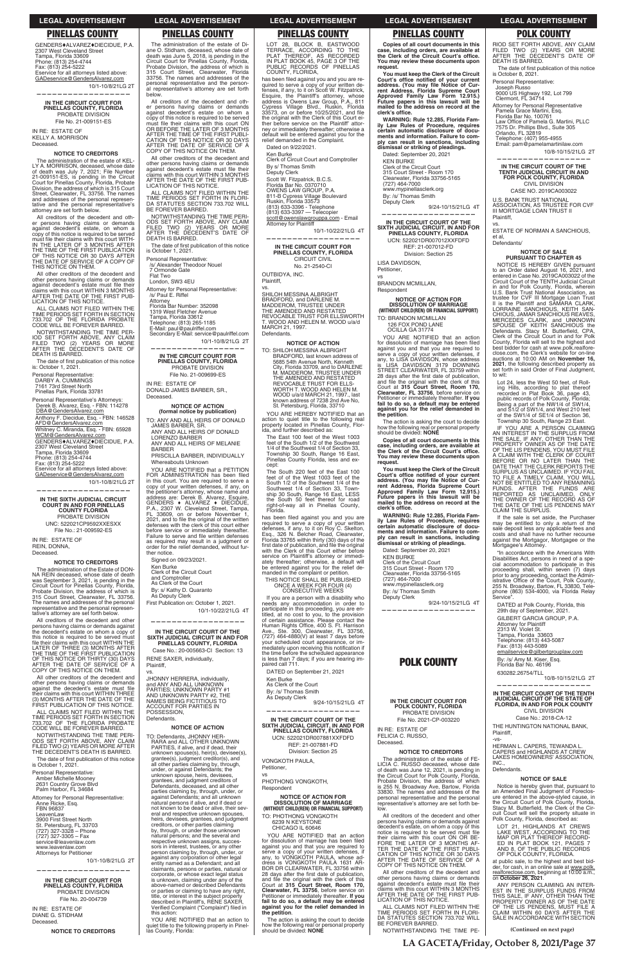GENDERS+ALVAREZ+DIECIDUE, P.A. 2307 West Cleveland Street Tampa, Florida 33609<br>Phone: (813) 254-4744<br>Fax: (813) 254-5222 Eservice for all attorneys listed above: GADeservice@GendersAlvarez.com

**LA GACETA/Friday, October 8, 2021/Page 37**

**(Continued on next page)**

### **LEGAL ADVERTISEMENT LEGAL ADVERTISEMENT LEGAL ADVERTISEMENT LEGAL ADVERTISEMENT LEGAL ADVERTISEMENT**

RIOD SET FORTH ABOVE, ANY CLAIM FILED TWO (2) YEARS OR MORE<br>AFTER THE DECEDENT'S DATE OF

The date of first publication of this notice

## **PINELLAS COUNTY PINELLAS COUNTY PINELLAS COUNTY PINELLAS COUNTY POLK COUNTY**

The administration of the estate of Diane O. Stidham, deceased, whose date of death was June 5, 2018, is pending in the<br>Circuit Court for Pinellas County, Florida, Probate Division, the address of which is 315 Court Street, Clearwater, Florida<br>33756. The names and addresses of the personal representative and the personal representative's attorney are set forth below.

10/1-10/8/21LG 2T **——————————————————**

**IN THE CIRCUIT COURT FOR PINELLAS COUNTY, FLORIDA** PROBATE DIVISION File No. 21-009151-ES IN RE: ESTATE OF KELLY A. MORRISON

Deceased.

#### **NOTICE TO CREDITORS**

The administration of the estate of KEL-<br>LY A. MORRISON, deceased, whose date<br>of death was July 7, 2021; File Number<br>21-009151-ES, is pending in the Circuit<br>Court for Pinellas County, Florida, Probate administration of the estate of Division, the address of which is 315 Court<br>Street, Clearwater, FL 33756. The names and addresses of the personal representative and the personal representative's<br>attorney are set forth below.

All creditors of the decedent and other persons having claims or demands<br>against decedent's estate, on whom a<br>copy of this notice is required to be served must file their claims with this court WITH-<br>IN THE LATER OF 3 MONTHS AFTER<br>THE TIME OF THE FIRST PUBLICATION<br>OF THIS NOTICE OR 30 DAYS AFTER<br>THE DATICE ON THEM.<br>THIS NOTICE ON THEM.

All other creditors of the decedent and other persons having claims or demands<br>against decedent's estate must file their<br>claims with this court WITHIN 3 MONTHS AFTER THE DATE OF THE FIRST PUB-LICATION OF THIS NOTICE

ALL CLAIMS NOT FILED WITHIN THE<br>TIME PERIODS SET FORTH IN SECTION<br>733.702 OF THE FLORIDA PROBATE CODE WILL BE FOREVER BARRED.

NOTWITHSTANDING THE TIME PER-<br>IOD SET FORTH ABOVE, ANY CLAIM<br>FILED TWO (2) YEARS OR MORE<br>AFTER THE DECEDENT'S DATE OF DEATH IS BARRED.

The date of first publication of this notice is: October 1, 2021.

Personal Representative:<br>DARBY A. CUMMINGS<br>7161 73rd Street North Pinellas Park, Florida 33781

Personal Representative's Attorneys: Derek B. Alvarez, Esq. - FBN: 114278<br><u>DBA@GendersAlvarez.com</u>

Anthony F. Diecidue, Esq. - FBN: 146528 AFD@GendersAlvarez.com Whitney C. Miranda, Esq. - FBN: 65928 WCM@GendersAlvarez.com GENDERS♦ALVAREZ♦DIECIDUE, P.A.<br>2307 West Cleveland Street Tampa, Florida 33609 Phone: (813) 254-4744<br>Fax: (813) 254-5222 Eservice for all attorneys listed above: GADeservice@GendersAlvarez.com

### **IN THE SIXTH JUDICIAL CIRCUIT COURT IN AND FOR PINELLAS COUNTY FLORIDA** PROBATE DIVISION

UNC: 522021CP9592XXESXX File No.: 21-009592-ES

IN RE: ESTATE OF REIN, DONNA, Deceased.

All creditors of the decedent and other<br>persons having claims or demands against the decedent's estate on whom a copy of this notice is required to be served must<br>file their claims with this court WITHIN THE LATER OF THREE (3) MONTHS AFTER<br>THE TIME OF THE FIRST PUBLICATION OF THIS NOTICE OR THIRTY (30) DAYS<br>AFTER THE DATE OF SERVICE OF A COPY OF THIS NOTICE ON THEM.

All other creditors of the decedent and<br>other persons having claims or demands against the decedent's estate must file their claims with this court WITHIN THREE<br>(3) MONTHS AFTER THE DATE OF THE FIRST PUBLICATION OF THIS NOTICE.

ALL CLAIMS NOT FILED WITHIN THE TIME PERIODS SET FORTH IN SECTION<br>733.702 OF THE FLORIDA PROBATE<br>CODE WILL BE FOREVER BARRED.

NOTWITHSTANDING THE TIME PERI-ODS SET FORTH ABOVE, ANY CLAIM<br>FILED TWO (2) YEARS OR MORE AFTER<br>THE DECEDENT'S DEATH IS BARRED.

The date of first publication of this notice is October 1, 2021.

Personal Representative: Amber Michelle Mooney 2631 Country Grove Blvd<br>Palm Harbor, FL 34684 Attorney for Personal Representative: Anne Ricke, Esq. FBN 96837 LeavenLaw<br>1900 First Street North St. Petersburg, FL 33703<br>(727) 327-3328 – Phone<br>(727) 327-3305 – Fax service@leavenlaw.com www.leavenlaw.com<br>Attorneys for Petitioner

> **IN THE CIRCUIT COURT FOR PINELLAS COUNTY, FLORIDA** PROBATE DIVISION File No. 20-004739

IN RE: ESTATE OF DIANE G. STIDHAM Deceased.

10/1-10/8/21LG 2T **——————————————————**

All creditors of the decedent and All creditors of the decedent and other<br>er persons having claims or demands<br>against decedent's estate on whom a<br>copy of this notice is required to be served must file their claims with this court ON<br>OR BEFORE THE LATER OF 3 MONTHS<br>AFTER THE TIME OF THE FIRST PUBLI-<br>CATION OF THIS NOTICE OR 30 DAYS<br>AFTER THE DATE OF SERVICE OF A COPY OF THIS NOTICE ON THEM.

#### **NOTICE TO CREDITORS**

The administration of the Estate of DON-<br>NA REIN deceased, whose date of death REIN deceased, whose date of death was September 3, 2021, is pending in the<br>Circuit Court for Pinellas County, Florida, Probate Division, the address of which is 315 Court Street, Clearwater, FL 33756.<br>The names and addresses of the personal representative and the personal representative's attorney are set forth below.

All other creditors of the decedent and other persons having claims or demands<br>against decedent's estate must file their<br>claims with this court WITHIN 3 MONTHS AFTER THE DATE OF THE FIRST PUB-LICATION OF THIS NOTICE.

ALL CLAIMS NOT FILED WITHIN THE TIME PERIODS SET FORTH IN FLORI-<br>DA STATUTES SECTION 733.702 WILL BE FOREVER BARRED.

Secondary E-Mail: service@paulriffel.com 10/1-10/8/21LG 2T

IN RE: ESTATE OF DONALD JAMES BARBER, SR., Deceased.

BARBER PRISCILLA BARBER, INDIVIDUALLY

Whereabouts Unknown YOU ARE NOTIFIED that a PETITION<br>FOR ADMINISTRATION has been filed in this court. You are required to serve a<br>copy of your written defenses, if any, on the petitioner's attorney, whose name and<br>address are: Derek B. Alvarez, Esquire,<br>GENDERS ◆ ALVAREZ ◆ DIECIDUE,<br>P.A., 2307 W. Cleveland Street, Tampa, FL 33609, on or before November 1,<br>2021, and to file the original of the written<br>defenses with the clerk of this court either before service or immediately thereafter.<br>Failure to serve and file written defenses

as required may result in a judgment or order for the relief demanded, without fur-<br>ther notice. ther notice. Signed on 09/23/2021.

Ken Burke<br>Clerk of the Circuit Court

and Comptroller<br>As Clerk of the Court

By: s/ Kathy D. Quaranto<br>As Deputy Clerk

First Publication on: October 1, 2021. 10/1-10/22/21LG 4T

**IN THE CIRCUIT COURT OF THE SIXTH JUDICIAL CIRCUIT IN AND F SIXTH JUDICIAL CIRCUIT IN AND FOR PINELLAS COUNTY, FLORIDA**

Case No.: 20-005663-CI Section: 13 RENE SAXER, individually, Plaintiff,

TO: Defendants, JHONNY HER-RARA and ALL OTHER UNKNOWN PARTIES, if alive, and if dead, their unknown spouse(s), heir(s), devisee(s), grantee(s), judgment creditor(s), and all other parties claiming by, through, under, or against Defendants; the unknown spouse, heirs, devisees, grantees, and judgment creditors of<br>Defendants, deceased, and all other parties claiming by, through, under, or against Defendants; and all unknown natural persons if alive, and if dead or not known to be dead or alive, their several and respective unknown spouses, International continuity of the contract of the contract of creditors, or other parties claiming<br>by, through, or under those unknown natural persons; and the several and respective unknown assigns, successors in interest, trustees, or any other person claiming by, through, under, or against any corporation or other legal entity named as a Defendant; and all claimants, persons or parties, natural or corporate, or whose exact legal status is unknown, claiming under any of the<br>above-named or described Defendants or parties or claiming to have any right, title, or interest in the subject property described in Plaintiff's, RENE SAXER, Verified Complaint ("Complaint") filed in this action:

10/1-10/8/21LG 2T

**——————————————————**

**NOTICE TO CREDITORS**

YOU ARE NOTIFIED that an action to quiet title to the following property in Pinel-las County, Florida:

TERRACE, ACCORDING TO THE<br>PLAT THEREOF, AS RECORDED<br>IN PLAT BOOK 45, PAGE 3 OF THE PUBLIC RECORDS OF PINELLAS COUNTY, FLORIDA,

has been filed against you and you are has been filed against you and you are re-<br>quired to serve a copy of your written de-<br>fenses, if any, to it on Scott W. Fitzpatrick,<br>Esquire, the Plaintiff's attorney, whose<br>address is Owens Law Group, P.A., 811<br>Cypress Vi before service on the Plaintiff' ther before service on the Plaintiff' attor-<br>ney or immediately thereafter; otherwise a<br>default will be entered against you for the relief demanded in the Complaint. Dated on 9/22/2021.

Ken Burke Clerk of Circuit Court and Comptroller By s/ Thomas Smith<br>Deputy Clerk Scott W. Fitzpatrick, B.C.S. Florida Bar No. 0370710<br>OWENS LAW GROUP, P.A.<br>811-B Cypress Village Boulevard<br>Ruskin, Florida 33573

(813) 633-3396 - Telephone<br>(813) 633-3397 — Telecopier <u>scott@owenslawgrouppa.com</u> - Email<br>Attorney for Plaintiff

**—————————————————— IN THE CIRCUIT COURT FOR PINELLAS COUNTY, FLORIDA** CIRCUIT CIVIL

TO: SHILOH MESSINA ALBRIGHT BRADFORD, last known address of<br>5685 54th Avenue North, Kenneth<br>City, Florida 33709, and to DARLENE M. MADDEROM, TRUSTEE UNDER<br>THE AMENDED AND RESTATED<br>REVOCABLE TRUST FOR ELLS-WORTH T. WOOD AND HELEN M. WOOD u/a/d MARCH 21, 1997., last known address of 7238 2nd Ave No, St. Petersburg, Florida, 33710

YOU ARE HEREBY NOTIFIED that an action to quiet title to the following real property located in Pinellas County, Flor-<br>ida, and further described as:

The East 100 feet of the West 1003 feet of the South 1/2 of the Southwest 1/4 of the Southwest 1/4 of Section 33,<br>Township 30 South, Range 16 East, Pinellas County Florida, less and except:

NOTWITHSTANDING THE TIME PERI-ODS SET FORTH ABOVE, ANY CLAIM<br>FILED TWO (2) YEARS OR MORE<br>AFTER THE DECEDENT'S DATE OF DEATH IS BARRED.

The date of first publication of this notice is October 1, 2021.

> The South 220 feet of the East 100<br>feet of of the West 1003 feet of the<br>South 1/2 of the Southwest 1/4 of the Southwest 1/4 of Section 33, Town-<br>ship 30 South, Range 16 East, LESS<br>the South 50 feet thereof for road right-of-way all in Pinellas County, Florida.

has been filed against you and you are required to serve a copy of your written<br>defenses, if any, to it on Roy C. Skelton,<br>Esq., 326 N. Belcher Road, Clearwater, Florida 33765 within thirty (30) days of the<br>first date of publication, and file the original<br>with the Clerk of this Court either before service on Plaintiff's attorney or immediately thereafter; otherwise, a default will<br>be entered against you for the relief de-<br>manded in the complaint or petition.

Personal Representative: /s/ Alexander Theodoor Nouel

7 Ormonde Gate

Flat Two<br>London, SW3 4EU

THIS NOTICE SHALL BE PUBLISHED ONCE A WEEK FOR FOUR (4)<br>CONSECUTIVE WEEKS

 Attorney for Personal Representative: /s/ Paul E. Riffel

> If you are a person with a disability who needs any accommodation in order to participate in this proceeding, you are en-<br>titled, at no cost to you, to the provision<br>of certain assistance. Please contact the Human Rights Office, 400 S. Ft. Harrison<br>Ave., Ste. 300, Clearwater, FL 33756,<br>(727) 464-4880(V) at least 7 days before your scheduled court appearance, or your scheduled court appearance, or im-<br>mediately upon receiving this notification if<br>the time before the scheduled appearance is less than 7 days; if you are hearing im-<br>paired call 711.

Attorney<br>Florida Bar Number: 352098

DATED on September 21, 2021 Ken Burke

1319 West Fletcher Avenue Tampa, Florida 33612

As Clerk of the Court

Telephone: (813) 265-1185<br>E-Mail: paul@paulriffel.com

**—————————————————— IN THE CIRCUIT COURT FOR PINELLAS COUNTY, FLORIDA** PROBATE DIVISION File No. 21-009699-ES

> By: /s/ Thomas Smith<br>As Deputy Clerk 9/24-10/15/21LG 4T

**—————————————————— IN THE CIRCUIT COURT OF THE SIXTH JUDICIAL CIRCUIT, IN AND FOR PINELLAS COUNTY, FLORIDA** UCN: 522021DR007881XXFDFD REF: 21-007881-FD Division: Section 25

#### **NOTICE OF ACTION (formal notice by publication)**

TO: ANY AND ALL HEIRS OF DONALD JAMES BARBER, SR.

> VONGKOTH PAULA, Petitioner,

ANY AND ALL HEIRS OF DONALD LORENZO BARBER ANY AND ALL HEIRS OF MELANIE

> YOU ARE NOTIFIED that an action<br>for dissolution of marriage has been filed<br>against you and that you are required to serve a copy of your written defenses, if<br>any, to VONGKOTH PAULA, whose ad-<br>dress is VONGKOTH PAULA 1631 AR-BOR DR CLEARWATER, FL 33756 within<br>28 days after the first date of publication,<br>and file the original with the clerk of this Court at 315 Court Street, Room 170,<br>Clearwater, FL 33756, before service on<br>Petitioner or immediately thereafter. If you **fail to do so, a default may be entered against you for the relief demanded in the petition**.

The action is asking the court to decide<br>how the following real or personal property<br>should be divided: **NONE** 

**You must keep the Clerk of the Circuit**  Court's office notified of your current<br>address. (You may file Notice of Cur-<br>rent Address, Florida Supreme Court<br>Approved Family Law Form 12.915.)<br>Future papers in this lawsuit will be **mailed to the address on record at the**  clerk's office.

**IN THE CIRCUIT COURT OF THE SIXTH JUDICIAL CIRCUIT, IN AND FOR PINELLAS COUNTY, FLORIDA** UCN: 522021DR007012XXFDFD REF: 21-007012-FD Division: Section 25

LISA DAVIDSON, Petitioner,

### **——————————————————**

TO: BRANDON MCMILLAN 126 FOX POND LANE OCILLA GA 31774

vs.

JHONNY HERRERA, individually, and ANY AND ALL UNKNOWN<br>PARTIES; UNKNOWN PARTY #1<br>AND UNKNOWN PARTY #2, THE NAMES BEING FICTITIOUS TO ACCOUNT FOR PARTIES IN

POSSESSION, Defendants.

### **NOTICE OF ACTION**

YOU ARE NOTIFIED that an action for dissolution of marriage has been filed against you and that you are required to serve a copy of your written defenses, if any, to LISA DAVIDSON, whose address is LISA DAVIDSON 3179 DOWNING<br>STREET CLEARWATER, FL 33759 within 28 days after the first date of publication, and file the original with the clerk of this<br>Court at **315 Court Street, Room 170,**<br>**Clearwater, FL 33756**, before service on Petitioner or immediately thereafter. If you<br>fail to do so, a default may be entered<br>against you for the relief demanded in **the petition**.

The action is asking the court to decide<br>how the following real or personal property<br>should be divided: **NONE** 

**You must keep the Clerk of the Circuit**  Court's office notified of your current<br>address. (You may file Notice of Cur-<br>rent Address, Florida Supreme Court<br>Approved Family Law Form 12.915.)<br>Future papers in this lawsuit will be<br>mailed to the address on record at t clerk's office.

> **IN THE CIRCUIT COURT FOR POLK COUNTY, FLORIDA** PROBATE DIVISION File No. 2021-CP-003220

IN RE: ESTATE OF FELICIA C. RUSSO, Deceased.

The administration of the estate of FE-LICIA C. RUSSO deceased, whose date of death was June 12, 2021, is pending in the Circuit Court for Polk County, Florida, Probate Division, the address of which<br>is 255 N. Broadway Ave, Bartow, Florida 33830. The names and addresses of the personal representative and the personal<br>representative's attorney are set forth below.

All creditors of the decedent and other persons having claims or demands against<br>decedent's estate, on whom a copy of this notice is required to be served must file their claims with this court ON OR BE-<br>FORE THE LATER OF 3 MONTHS AF-<br>TER THE DATE OF THE FIRST PUBLI-CATION OF THIS NOTICE OR 30 DAYS<br>AFTER THE DATE OF SERVICE OF A COPY OF THIS NOTICE ON THEM.

All other creditors of the decedent and other persons having claims or demands<br>against decedent's estate must file their claims with this court WITHIN 3 MONTHS<br>AFTER THE DATE OF THE FIRST PUB-<br>LICATION OF THIS NOTICE.

ALL CLAIMS NOT FILED WITHIN THE TIME PERIODS SET FORTH IN FLORI-<br>DA STATUTES SECTION 733.702 WILL<br>BE FOREVER BARRED.

is October 8, 2021. Personal Representative: Joseph Russo 9000 US Highway 192, Lot 799

Clermont, FL 34714

Orlando, FL 32819

Attorney for Personal Representative<br>Pamela Grace Martini, Esq. Florida Bar No. 100761

Law Office of Pamela G. Martini, PLLC<br>7575 Dr. Phillips Blvd., Suite 305

LOT 28, BLOCK B, EASTWOOD

FUNDS. AFTER THE FUNDS ARE REPORTED AS UNCLAIMED, ONLY THE OWNER OF THE RECORD AS OF THE DATE OF THE LIS PENDENS MAY CLAIM THE SURPLUS. If the sale is set aside, the Purchaser may be entitled to only a return of the sale deposit less any applicable fees and costs and shall have no further recourse<br>costs and shall have no further recourse

"In accordance with the Americans With Disabilities Act, persons in need of a spe-

cial accommodation to participate in this<br>proceeding shall, within seven (7) days<br>prior to any proceeding, contact the Admin-<br>istrative Office of the Court, Polk County,<br>255 N. Broadway, Bartow, FL 33830, Tele-<br>phone (863)

10/1-10/22/21LG 4T

No. 21-2540-CI OUTBIDYA, INC.

Plaintiff, vs.

SHILOH MESSINA ALBRIGHT BRADFORD, and DARLENE M. MADDEROM, TRUSTEE UNDER THE AMENDED AND RESTATED REVOCABLE TRUST FOR ELLSWORTH T. WOOD AND HELEN M. WOOD u/a/d MARCH 21, 1997. Defendants.

#### **NOTICE OF ACTION**

DATED at Polk County, Florida, this 29th day of September, 2021. GILBERT GARCIA GROUP, P.A.

Mortgagee's Attorney.

Attorney for Plaintiff<br>2313 W. Violet St.

Tampa, Florida 33603<br>Telephone: (813) 443-5087<br>Fax: (813) 443-5089 emailservice@gilbertgrouplaw.com By: /s/ Amy M. Kiser, Esq. Florida Bar No. 46196 630282.26754/TLL

Service'

best bidder for cash at

at public sale, to the highest and best bid-<br>der, for cash, in an online sale at www.polk. realforeclose.com, beginning at 10:00 a.m., on **October 26, 2021**.

ANY PERSON CLAIMING AN INTER-<br>EST IN THE SURPLUS FUNDS FROM<br>THE SALE, IF ANY, OTHER THAN THE<br>PROPERTY OWNER AS OF THE DATE<br>OF THE LIS PENDENS, MUST FILE A<br>CLAIM WITHIN 60 DAYS AFTER THE SALE IN ACCORDANCE WITH SECTION

vs

PHOTHONG VONGKOTH, **Respondent** 

#### **NOTICE OF ACTION FOR DISSOLUTION OF MARRIAGE (WITHOUT CHILD(REN) OR FINANCIAL SUPPORT)** TO: PHOTHONG VONGKOTH 6239 N KEYSTONE CHICAGO IL 60646

**Copies of all court documents in this**  case, including orders, are available at<br>the Clerk of the Circuit Court's office.<br>You may review these documents upon **request.**

**WARNING: Rule 12.285, Florida Family Law Rules of Procedure, requires certain automatic disclosure of documents and information. Failure to com-ply can result in sanctions, including dismissal or striking of pleadings.**

Dated: September 20, 2021 KEN BURKE Clerk of the Circuit Court<br>315 Court Street - Room 170<br>Clearwater, Florida 33756-5165 (727) 464-7000 www.mypinellasclerk.org

By: /s/ Thomas Smith Deputy Clerk

9/24-10/15/21LG 4T **——————————————————**

vs BRANDON MCMILLAN, Respondent

## **NOTICE OF ACTION FOR DISSOLUTION OF MARRIAGE (WITHOUT CHILD(REN) OR FINANCIAL SUPPORT)**

**Copies of all court documents in this**   $\overline{\phantom{a}}$  case, including orders, are available at the Clerk of the Circuit Court's office. **You may review these documents upon request.**

**WARNING: Rule 12.285, Florida Family Law Rules of Procedure, requires certain automatic disclosure of docu-ments and information. Failure to comply can result in sanctions, including dismissal or striking of pleadings.**

9/24-10/15/21LG 4T

Dated: September 20, 2021 KEN BURKE<br>Clerk of the Circuit Court<br>315 Court Street - Room 170

Clearwater, Florida 33756-5165<br>(727) 464-7000 www.mypinellasclerk.org

By: /s/ Thomas Smith Deputy Clerk

**——————————————————**

**POLK COUNTY**

#### **NOTICE TO CREDITORS**

NOTWITHSTANDING THE TIME PE-

DEATH IS BARRED.

10/8-10/15/21LG 2T

Telephone: (407) 955-4955<br>Email: pam@pamelamartinilaw.com

**—————————————————— IN THE CIRCUIT COURT OF THE TENTH JUDICIAL CIRCUIT IN AND FOR POLK COUNTY, FLORIDA** CIVIL DIVISION CASE NO. 2019CA003022 U.S. BANK TRUST NATIONAL<br>ASSOCIATION, AS TRUSTEE FOR CVF III MORTGAGE LOAN TRUST II

Plaintiff, vs.

ESTATE OF NORMAN A SANCHIOUS,

et al, Defendants/

**NOTICE OF SALE PURSUANT TO CHAPTER 45**

NOTICE IS HEREBY GIVEN pursuant<br>to an Order dated August 16, 2021, and<br>entered in Case No. 2019CA003022 of the<br>Circuit Court of the TENTH Judicial Circuit

in and for Polk County, Florida, wherein<br>U.S. Bank Trust National Association, as<br>trustee for CVF III Mortgage Loan Trust<br>II is the Plaintiff and SAMARA CLARK,

LORRAINE SANCHIOUS, KEITH SAN-<br>CHIOUS, JAMAR SANCHIOUS REAVES,<br>MERCEDES CLARK, and UNKNOWN<br>SPOUSE OF KEITH SANCHIOUS the<br>Defendants. Stacy M. Butterfield, CPA,<br>Clerk of the Circuit Court in and for Polk

County, Florida will sell to the highest and

best bidder for cash at www.polk.realfore-<br>close.com, the Clerk's website for on-line auctions at 10:00 AM on **November 16,** 2021, the following described property as<br>set forth in said Order of Final Judgment,

to wit:

Lot 24, less the West 50 feet, of Rolling Hills, according to plat thereof<br>recorded in Plat Book 36, page 43, public records of Polk County, Florida;<br>Being a part of the NW1/4 of SW1/4,<br>and S1/2 of SW1/4, and West 210 feet of the SW1/4 of SE1/4 of Section 36, Township 30 South, Range 23 East. IF YOU ARE A PERSON CLAIMING AN INTEREST IN THE SURPLUS FROM

THE SALE, IF ANY, OTHER THAN THE<br>PROPERTY OWNER AS OF THE DATE<br>OF THE LIS PENDENS, YOU MUST FILE<br>A CLAIM WITH THE CLERK OF COURT<br>BEFORE OR NO LATER THE DATE THAT THE<br>DATE THAT THE CLERK REPORTS THE

SURPLUS AS UNCLAIMED. IF YOU FAIL TO FILE A TIMELY CLAIM, YOU WILL NOT BE ENTITLED TO ANY REMAINING

10/8-10/15/21LG 2T

**—————————————————— IN THE CIRCUIT COURT OF THE TENTH** 

### **JUDICIAL CIRCUIT OF THE STATE OF FLORIDA, IN AND FOR POLK COUNTY** CIVIL DIVISION Case No.: 2018-CA-12

THE HUNTINGTON NATIONAL BANK, Plaintiff,

-vs-

HERMAN L. CAPERS, TEWANDA L. CAPERS and HIGHLANDS AT CREW<br>LAKES HOMEOWNERS' ASSOCIATION, INC.,

### **Defendants**

#### **NOTICE OF SALE**

Notice is hereby given that, pursuant to<br>an Amended Final Judgment of Foreclosure entered in the above-styled cause, in<br>the Circuit Court of Polk County, Florida,<br>Stacy M. Butterfield, the Clerk of the Cir-<br>cuit Court will sell the property situate in cuit Court will sell the property situate in<br>Polk County, Florida, described as:

LOT 21, HIGHLANDS AT CREWS LAKE WEST, ACCORDING TO THE<br>MAP OR PLAT THEREOF RECORD-<br>ED IN PLAT BOOK 121, PAGES<br>AND 8, OF THE PUBLIC RECORDS OF POLK COUNTY, FLORIDA.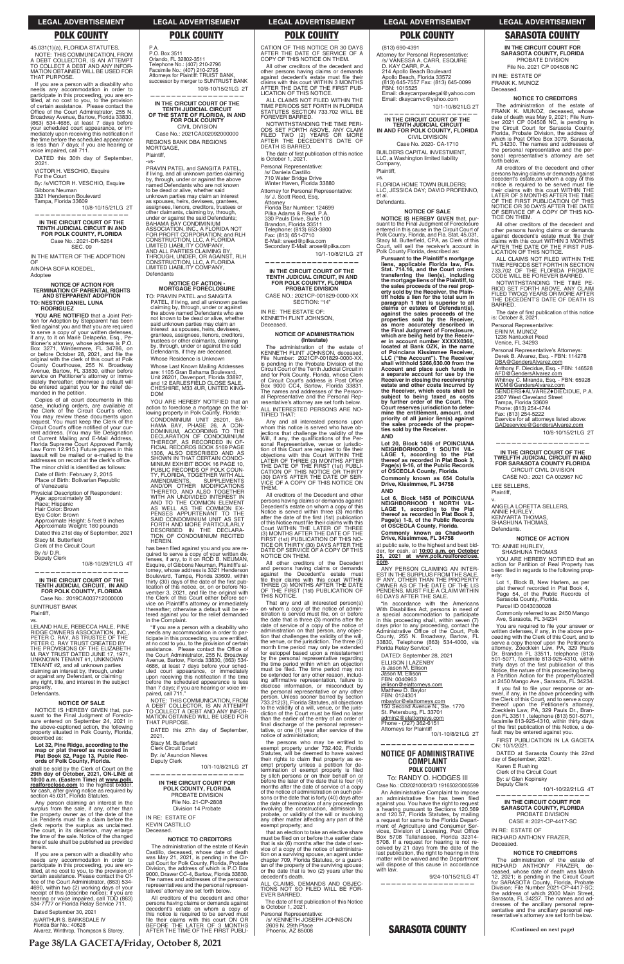**Page 38/LA GACETA/Friday, October 8, 2021**

45.031(1)(a), FLORIDA STATUTES. NOTE: THIS COMMUNICATION, FROM<br>A DEBT COLLECTOR, IS AN ATTEMPT<br>TO COLLECT A DEBT AND ANY INFOR-<br>MATION OBTAINED WILL BE USED FOR THAT PURPOSE.

DATED this 30th day of September, 2021.

VICTOR H. VESCHIO, Esquire For the Court

By: /s/VICTOR H. VESCHIO, Esquire Gibbons Neuman<br>3321 Henderson Boulevard

Tampa, Florida 33609

10/8-10/15/21LG 2T

**——————————————————**

### **IN THE CIRCUIT COURT OF THE TENTH JUDICIAL CIRCUIT IN AND FOR POLK COUNTY, FLORIDA** Case No.: 2021-DR-5264 SEC. 09

IN THE MATTER OF THE ADOPTION OF

AINOHA SOFIA KOEDEL, Adoptee

## **NOTICE OF ACTION FOR TERMINATION OF PARENTAL RIGHTS AND STEPPARENT ADOPTION TO: NESTOR DANIEL LUNA RODRIGUEZ**

**YOU ARE NOTIFIED** that a Joint Petition for Adoption by Stepparent has been filed against you and that you are required to serve a copy of your written defenses, if any, to it on Marie Delapeña, Esq., Petitioner's attorney, whose address is P.O.<br>Box 3271, Windermere, FL 34786, on<br>or before October 28, 2021, and file the original with the clerk of this court at Polk<br>County Courthouse, 255 N. Broadway<br>Avenue, Bartow, FL 33830, either before service on Petitioner's attorney or immediately thereafter; otherwise a default will<br>be entered against you for the relief demanded in the petition.

Copies of all court documents in this case, including orders, are available at<br>the Clerk of the Circuit Court's office. the Clerk of the Circuit Court's office.<br>You may review these documents upon<br>request. You must keep the Clerk of the<br>Circuit Court's office notified of your current address. (You may file Designation<br>of Current Mailing and E-Mail Address,<br>Florida Supreme Court Approved Family Law Form 12.915.) Future papers in this<br>lawsuit will be mailed or e-mailed to the<br>addresses on record at the clerk's office. The minor child is identified as follows:

Date of Birth: February 2, 2015 Place of Birth: Bolivarian Republic of Venezuela

Physicial Description of Respondent:<br>Age: approximately 38 Race: Hispanic Hair Color: Brown Eye Color: Brown Approximate Height: 5 feet 9 inches<br>Approximate Weight: 180 pounds Dated this 21st day of September, 2021 Stacy M. Butterfield<br>Clerk of the Circuit Court By /s/ D.R.

Deputy Clerk

Case No.: 2019CA003712000000 SUNTRUST BANK Plaintiff,

LELAND HALE, REBECCA HALE, PINE RIDGE OWNERS ASSOCIATION, INC.,<br>PETER C. RAY, AS TRUSTEE OF THE<br>PETER C. RAY TRUST CREATED BY<br>THE PROVISIONS OF THE ELIZABETH<br>M. RAY TRUST DATED JUNE 17, 1971, UNKNOWN TENANT #1, UNKNOWN TENANT #2, and all unknown parties<br>claiming an interest by, through, under or against any Defendant, or claiming<br>any right, title, and interest in the subject<br>property, **Defendants** 

Any person claiming an interest in the surplus from the sale, if any, other than<br>the property owner as of the date of the<br>Lis Pendens must file a claim before the clerk reports the surplus as unclaimed.<br>The court, in its discretion, may enlarge<br>the time of the sale. Notice of the changed time of sale shall be published as provided herein.

If you are a person with a disability who<br>needs any accommodation in order to participate in this proceeding, you are en-<br>titled, at no cost to you, to the provision of<br>certain assistance. Please contact the Office of the Court Administrator, (863) 534-4690, within two (2) working days of your<br>receipt of this (describe notice); if you are hearing or voice impaired, call TDD (863)<br>534-7777 or Florida Relay Service 711. MORTGAGE, Plaintiff,  $-1/S -$ 

Telephone No.: (407) 210-2796<br>Facsimile No.: (407) 210-2795<br>Attorneys for Plaintiff: TRUIST BANK, successor by merger to SUNTRUST BANK

10/8-10/29/21LG 4T

**——————————————————**

## **IN THE CIRCUIT COURT OF THE TENTH JUDICIAL CIRCUIT, IN AND FOR POLK COUNTY, FLORIDA**

#### vs.

**NOTICE OF ACTION - MORTGAGE FORECLOSURE** TO: PRAVIN PATEL and SANGITA PATEL, if living, and all unknown parties<br>claiming by, through, under or against<br>the above named Defendants who are not known to be dead or alive, whether said unknown parties may claim an interest as spouses, heirs, devisees, grantees, assignees, lienors, creditors, trustees or other claimants, claiming<br>by, through, under or against the said<br>Defendants, if they are deceased.

**NOTICE OF SALE**

CATION OF THIS NOTICE OR 30 DAYS<br>AFTER THE DATE OF SERVICE OF A<br>COPY OF THIS NOTICE ON THEM.

YOU ARE HEREBY NOTIFIED that an action to foreclose a mortgage on the following property in Polk County, Florida: CONDOMINIUM UNIT 26201, BA-HAMA BAY, PHASE 26, A CON-DOMINIUM, ACCORDING TO THE

SAID CONDOMINIUM UNIT AS SET FORTH AND MORE PARTICULARLY DESCRIBED IN THE DECLARA-TION OF CONDOMINIUM RECITED HEREIN. has been filed against you and you are

has been filed against you and you are re-<br>quired to serve a copy of your written de-<br>fenses, if any, to it on ROD B. NEUMAN,<br>Esquire, of Gibbons Neuman, Plaintiff's at-<br>torney, whose address is 3321 Henderson<br>Boulevard, T

of this notice, or, on or before lication of this notice, or, on or before No-<br>vember 3, 2021, and file the original with<br>the Clerk of this Court either before ser-<br>vice on Plaintiff's attorney or immediately on Plaintiff's attorney or immediately thereafter; otherwise a default will be entered against you for the relief demanded<br>tered against you for the relief demanded<br>in the Complaint. "If you are a person with a disability who needs any accommodation in order to participate in this proceeding, you are entitled, at no cost to you, to the provision of certain<br>assistance. Please contact the Office of<br>the Court Administrator, 255 N. Broadway

**Defendants** 

**Lot 32, Pine Ridge, according to the map or plat thereof as recorded in Plat Book 82, Page 13, Public Records of Polk County, Florida.**

shall be sold by the Clerk of Court on the **29th day of October, 2021, ON-LINE at 10:00 a.m. (Eastern Time) at www.polk.** realforeclose.com to the highest bidder, for cash, after giving notice as required by<br>section 45.031, Florida Statutes.

DATED this 27th day of September, 2021.

Avenue, Bartow, Florida 33830, (863) 534-4686, at least 7 days before your sched-<br>uled court appearance, or immediately<br>upon receiving this notification if the time<br>before the scheduled appearance is less<br>than 7 days; if y

By: /s/ Asuncion Nieves<br>Deputy Clerk 10/1-10/8/21LG 2T

**IN THE CIRCUIT COURT FOR POLK COUNTY, FLORIDA** PROBATE DIVISION File No. 21-CP-2808 Division 14 Probate

IN RE: ESTATE OF KEVIN CASTILLO Deceased

Dated September 30, 2021

/s/ARTHUR S. BARKSDALE IV Florida Bar No.: 40628 Alvarez, Winthrop, Thompson & Storey,

P.A. P.O. Box 3511 Orlando, FL 32802-3511

> All other creditors of the decedent and other persons having claims or demands<br>against decedent's estate must file their<br>claims with this court WITHIN 3 MONTHS AFTER THE DATE OF THE FIRST PUB-LICATION OF THIS NOTICE.

ALL CLAIMS NOT FILED WITHIN THE<br>TIME PERIODS SET FORTH IN FLORIDA<br>STATUTES SECTION 733.702 WILL BE FOREVER BARRED.

NOTWITHSTANDING THE TIME PERI-<br>ODS SET FORTH ABOVE, ANY CLAIM<br>FILED TWO (2) YEARS OR MORE<br>AFTER THE DECEDENT'S DATE OF DEATH IS BARRED.

The date of first publication of this notice is October 1, 2021.

10/8-10/15/21LG 2T

If you are a person with a disability who<br>needs any accommodation in order to participate in this proceeding, you are en-<br>titled, at no cost to you, to the provision<br>of certain assistance. Please contact the<br>Office of the Court Administrator, 255 N. Broadway Avenue, Bartow, Florida 33830,<br>(863) 534-4686, at least 7 days before your scheduled court appearance, or your scheduled court appearance, or im-<br>mediately upon receiving this notification if<br>the time before the scheduled appearance is less than 7 days; if you are hearing or<br>voice impaired, call 711.

**—————————————————— IN THE CIRCUIT COURT OF THE TENTH JUDICIAL CIRCUIT OF THE STATE OF FLORIDA, IN AND FOR POLK COUNTY** CIVIL DIVISION Case No.: 2021CA002092000000 REGIONS BANK DBA REGIONS

> Attorney for Personal Representative: /s/ J. Scott Reed, Esq.

PRAVIN PATEL and SANGITA PATEL, if living, and all unknown parties claiming<br>by, through, under or against the above named Defendants who are not known to be dead or alive, whether said<br>unknown parties may claim an interest

> Attorney<br>Florida Bar Number: 124699 Pilka Adams & Reed, P.A. 330 Pauls Drive, Suite 100<br>Brandon, Florida 33511 Telephone: (813) 653-3800<br>Fax: (813) 651-0710<br>E-Mail: sreed@pilka.com

unknown parties may claim an interest<br>as spouses, heirs, devisees, grantees,<br>assignees, lienors, creditors, trustees or<br>other claimants, claiming by, through,<br>under or against the said Defendants;<br>BAHAMA BAY CONDIMINIUM<br>AS

Secondary E-Mail: arose@pilka.com

CONSTRUCTION, LLC, A FLORIDA<br>LIMITED LIABILITY COMPANY,<br>AND ALL PARTIES CLAIMING BY,<br>THROUGH, UNDER, OR AGAINST, RLH<br>CONSTRUCTION, LLC, A FLORIDA

CASE NO.: 2021CP-001829-0000-XX SECTION: "14" IN RE: THE ESTATE OF:

KENNETH FLINT JOHNSON, Deceased.

The administration of the estate of KENNETH FLINT JOHNSON, deceased,<br>File Number: 2021CP-001829-0000-XX,<br>is pending in the Probate Division of the Circuit Court of the Tenth Judicial Circuit in and for Polk County, Florida, whose Clerk<br>of Circuit Court's address is Post Office<br>Box 9000 CC4, Bartow, Florida 33831. The names and addresses of the Person-<br>al Representative and the Personal Representative's attorney are set forth below. ALL INTERESTED PERSONS ARE NO-TIFIED THAT:

LIMITED LIABILITY COMPANY,

Whose Residence is Unknown Whose Last Known Mailing Addresses are: 1105 Gran Bahama Boulevard, Unit 26201, Davenport, Florida 33897,<br>and 12 EARLESFIELD CLOSE SALE,<br>CHESHIRE, M33 4UR, UNITED KING-

> Any and all interested persons upon whom this notice is served who have obwhom this notice is served who have ob-<br>jections that challenge the validity of the<br>Will, if any, the qualitications of the Per-<br>sonal Representative, venue or jurisdicsonal Representative, venue or jurisdic-<br>tion of this Court are required to file their<br>objections with this Court WITHIN THE<br>LATER OF THREE (3) MONTHS AFTER<br>THE DATE OF THE FIRST (1st) PUBLI-<br>CATION OF THIS NOTICE OR THIRT THEM.

> All creditors of the Decedent and other<br>persons having claims or demands against Decedent's estate on whom a copy of this Notice is served within three (3) months<br>after the date of the first (1st) publication of this Notice must file their claims with this<br>Court WITHIN THE LATER OF THREE<br>(3) MONTHS AFTER THE DATE OF THE<br>FIRST (1st) PUBLICATION OF THIS NO-<br>TICE OR THIRTY (30) DAYS AFTER THE<br>DATE OF SERVICE OF A COPY OF THIS NOTICE ON THEM.

> All other creditors of the Decedent and persons having claims or demands<br>against the Decedent's estate must<br>file their claims with this court WITHIN<br>THREE (3) MONTHS AFTER THE DATE<br>OF THE FIRST (1st) PUBLICATION OF THIS NOTICE.

> That any and all interested person(s) on whom a copy of the notice of admin-<br>istration is served must file, on or before the date that is three (3) months after the date of service of a copy of the notice of<br>administration on that person, any objecadministration on that person, any objec-<br>tion that challenges the validity of the will,<br>the venue, or the jurisdiction. The three (3)<br>month time period may only be extended for estoppel based upon a misstatement by the personal representative regarding<br>the time period within which an objection must be filed. The time period may not<br>be extended for any other reason, includ-<br>ing affirmative representation, failure to disclose information, or misconduct by the personal representative or any other<br>person. Unless sooner barred by section 733.212(3), Florida Statutes, all objections to the validity of a will, venue, or the juris-<br>diction of the Court must be filed no later than the earlier of the entry of an order of<br>final discharge of the personal represen-<br>tative, or one (1) year after service of the notice of administration; the persons who may be entitled to<br>exempt property under 732.402, Florida<br>Statutes, will be deemed to have waived their rights to claim that property as their rights to claim that property as ex-<br>empt property unless a petition for de-<br>termination of exempt property is filed by slich persons or on their behalf on or before the later of the date that is four  $(4)$  months after the date of service of a copy of the notice of administration on such of the notice of administration on such per-<br>sons or the date that is forty (40) days after<br>the date of termination of any proceedings involving the construction, admission to<br>probate, or validity of the will or involving<br>any other matter affecting any part of the exempt property; and that an election to take an elective share must be filed on or before the earlier clate<br>that is six (6) months after the date of service of a copy of the notice of administra-<br>tion on a surviving spouse, an agent under<br>chapter 709, Florida Statutes, or a guardian of the property of the surviving spouse;<br>or the date that is two (2) years after the decedent's death. ALL CLAIMS, DEMANDS AND OBJEC-TIONS NOT SO FILED WILL BE FOR- EVER BARRED.

Attorney for Personal Representative:<br>
S/ VANESSA A. CARR, ESQUIRE<br>
D. KAY CARR, P.A. 214 Apollo Beach Boulevard Apollo Beach, Florida 33572<br>(813) 645-7557 Fax: (813) 645-0099

Email: dkaycarrparalegal@yahoo.com<br>Email: dkaycarrvc@yahoo.com

DOM

DECLARATION OF CONDOMINIUM THEREOF, AS RECORDED IN OF-FICIAL RECORDS BOOK 5169 PAGE

1306, ALSO DESCRIBED AND AS<br>SHOWN IN THAT CERTAIN CONDO-<br>MINIUM EXHIBIT BOOK 16 PAGE 10,

PUBLIC RECORDS OF POLK COUN-TY, FLORIDA, TOGETHER WITH ALL AMENDMENTS, SUPPLEMENTS

AND/OR OTHER MODIFICATIONS<br>THERETO, AND ALSO TOGETHER<br>WITH AN UNDIVIDED INTEREST IN

AND TO THE COMMON ELEMENT<br>AS WELL AS THE COMMON EX-<br>PENSES APPURTENANT TO THE

**—————————————————— IN THE CIRCUIT COURT OF THE TENTH JUDICIAL CIRCUIT IN AND FOR POLK COUNTY, FLORIDA** CIVIL DIVISION Case No. 2020- CA-1710 BUILDERS CAPITAL INVESTMENT, LLC, a Washington limited liability

FLORIDA HOME TOWN BUILDERS;<br>LLC, JESSICA DAY; DAVID PROFENNO,

Company, Plaintiff, vs.

et al. **Defendants** 

**NOTICE OF SALE NOTICE IS HEREBY GIVEN** that, pursuant to the Final Judgment of Foreclosure<br>entered in this cause in the Circuit Court of Polk County, Florida, and Fla. Stat. 45.031, Stacy M. Butterfield, CPA, as Clerk of this Court, will sell the receiver's acd<br>Polk County Florida, described as:

will sell the receiver's account in **Pursuant to the Plaintiff's mortgage liens, applicable Florida law, Fla. Stat. 714.16, and the Court orders** 

NOTE: THIS COMMUNICATION, FROM

Stacy M. Butterfield Clerk Circuit Court

A DEBT COLLECTOR, IS AN ATTEMPT TO COLLECT A DEBT AND ANY INFOR-MATION OBTAINED WILL BE USED FOR THAT PURPOSE.

**AND** Lot 6, Block 1458 of POINCIANA<br>NEIGHBORHOOD 1 NORTH VIL-<br>LAGE 1, according to the Plat<br>thereof as recorded in Plat Book 3,<br>Page(s) 1-8, of the Public Records<br>of OSCEOLA County, Florida.

**——————————————————**

#### **NOTICE TO CREDITORS**

The administration of the estate of Kevin Castillo, deceased, whose date of death<br>was May 21, 2021, is pending in the Circuit Court for Polk County, Florida, Probate<br>Division, the address of which is P.O Box<br>9000, Drawer CC-4, Bartow, Florida 33830. The names and addresses of the personal representatives and the personal represen-<br>tatives' attorney are set forth below.

All creditors of the decedent and other persons having claims or demands against decedent's estate on whom a copy of<br>this notice is required to be served must file their claims with this court ON OR<br>BEFORE THE LATER OF 3 MONTHS<br>AFTER THE TIME OF THE FIRST PUBLI-

The date of first publication of this Notice<br>is October 1, 2021.

Personal Representative:<br>/s/ KENNETH JOSEPH JOHNSON<br>2609 N. 29th Place<br>Phoenix, AZ 85008

St. Petersburg, FL 33701 <u>admin2@elattorneys.com</u><br>Phone - (727) 362-6151<br>Attorneys for Plaintiff **10/1-10/8/21LG 2T** 

ELLISON | LAZENBY <u>/s Jason M. Ellison</u><br>Jason M. Ellison

FBN: 0040963

FBN: 0124301

jellison@elattorneys.com Matthew D. Baylor

mbaylor@elattorneys.com<br>150 Second Avenue N., Ste. 1770

**IN THE CIRCUIT COURT FOR SARASOTA COUNTY, FLORIDA** PROBATE DIVISION

FRANK K. MUNOZ Deceased

All other creditors of the decedent and other persons having claims or demands<br>against decedent's estate must file their<br>claims with this court WITHIN 3 MONTHS<br>AFTER THE DATE OF THE FIRST PUB-LICATION OF THIS NOTICE.

ALL CLAIMS NOT FILED WITHIN THE<br>TIME PERIODS SET FORTH IN SECTION<br>733.702 OF THE FLORIDA PROBATE CODE WILL BE FOREVER BARRED.

NOTWITHSTANDING THE TIME PE-<br>RIOD SET FORTH ABOVE, ANY CLAIM<br>FILED TWO(2) YEARS OR MORE AFTER THE DECEDENT'S DATE OF DEATH IS<br>BARRED.

The date of first publication of this notice is: October 8, 2021.

Personal Representative: /s/ Daniela Castillo

710 Water Bridge Drive<br>Winter Haven, Florida 33880

Personal Representative: ERIN M. MUNOZ 1236 Nantucket Road<br>Venice, FL 34293

Personal Representative's Attorneys:

Derek B. Alvarez, Esq. - FBN: 114278 DBA@GendersAlvarez.com Anthony F. Diecidue, Esq. - FBN: 146528<br><u>AFD@GendersAlvarez.com</u> Whitney C. Miranda, Esq. - FBN: 65928<br><u>WCM@GendersAlvarez.com</u> GENDERS♦ALVAREZ♦DIECIDUE, P.A.<br>2307 West Cleveland Street

Tampa, Florida 33609 Phone: (813) 254-4744<br>Fax: (813) 254-5222

Eservice for all attorneys listed above: GADeservice@GendersAlvarez,com 10/8-10/15/21LG 2T

**TWELFTH JUDICIAL CIRCUIT IN AND FOR SARASOTA COUNTY FLORIDA** CIRCUIT CIVIL DIVISION

10/1-10/8/21LG 2T **——————————————————**

> v. ANGELA LORETTA SELLERS, ANNIE HURLEY, KENYARTA THOMAS, SHASHUNA THOMAS, **Defendants**

## **IN THE CIRCUIT COURT OF THE TENTH JUDICIAL CIRCUIT, IN AND FOR POLK COUNTY, FLORIDA PROBATE DIVISION**

TO: ANNIE HURLEY, SHASHUNA THOMAS

YOU ARE HEREBY NOTIFIED that an action for Partition of Real Property has been filed in regards to the following property:

#### **NOTICE OF ADMINISTRATION (Intestate)**

Lot 1, Block B, New Harlem, as per<br>plat thereof recorded in Plat Book 4, Page 54, of the Public Records of Sarasota County, Florida.

Parcel ID 0043030028

Commonly referred to as: 2450 Mango<br>Ave, Sarasota, FL 34234

You are required to file your answer or written defenses, if any, in the above pro-<br>ceeding with the Clerk of this Court, and to<br>serve a copy thereof upon the Petitioner's<br>attorney, Zoecklein Law, PA, 329 Pauls<br>Dr. Brandon FL 33511, telephone (813)<br>501-5071, fac thirty days of the first publication of this<br>Notice, the nature of this proceeding being<br>a Partition Action for the propertylocated at 2450 Mango Ave., Sarasota, FL 34234.

If you fail to file your response or answer, if any, in the above proceeding with<br>the Clerk of this Court, and to serve a copy thereof upon the Petitioner's attorney,<br>Zoecklein Law, PA, 329 Pauls Dr., Bran-<br>don FL 33511 , telephone (813) 501-5071,<br>facsimile 813-925-4310, within thirty days of the first publication of this Notice, a de-<br>fault may be entered against you.

DATED at Sarasota County this 22nd day of September, 2021.

Karen E Rushing<br>Clerk of the Circuit Court By: s/ Glen Kopinsky Deputy Clerk 10/1-10/22/21LG 4T **——————————————————**

**IN THE CIRCUIT COURT FOR SARASOTA COUNTY, FLORIDA** PROBATE DIVISION CASE #: 2021-CP-4417-SC

IN RE: ESTATE OF RICHARD ANTHONY FRAZER, Deceased

FBN: 1015525

10/1-10/8/21LG 2T

(813) 690-4391

**transferring the lien(s), including the mortgage liens of the Plaintiff, to the sales proceeds of the real prop-erty sold by the Receiver, the Plaintiff holds a lien for the total sum in paragraph 1 that is superior to all claims or estates of Defendant(s),** 

**against the sales proceeds of the properties sold by the Receiver, as more accurately described in the Final Judgment of Foreclosure, which are being held by the Receiver in account number XXXXX0366, located at Bank OZK, in the name of Poinciana Kissimmee Receiver, LLC ("the Account"). The Receiver shall withhold \$266,630.00 from the Account and place such funds in a separate account for use by the Receiver in closing the receivership estate and other costs incurred by the Receiver, which costs shall be subject to being taxed as costs by further order of the Court. The Court reserves jurisdiction to determine the entitlement, amount, and priority of all junior lien(s) against the sales proceeds of the properties sold by the Receiver.**

**AND** Lot 20, Block 1406 of POINCIANA<br>NEIGHBORHOOD 1 SOUTH VIL-<br>LAGE 1, according to the Plat<br>thereof as recorded in Plat Book 3,<br>Page(s) 9-16, of the Public Records<br>of OSCEOLA County, Florida. **Commonly known as 654 Cotulla Drive, Kissimmee, FL 34758**

## **Commonly known as Chadworth**

at public sale, to the highest and best bid-<br>der, for cash, at <u>10:00 a.m. on October</u><br>25, 2021 at www.polk.realforeclose.

"In accordance with the Americans With Disabilities Act, persons in need of a special accommodation to participate in this proceeding shall, within seven (7) days prior to any proceeding, contact the<br>Administrative Office of the Court, Polk<br>County, 255 N. Broadway, Bartow, FL<br>33830, Telephone (863) 534-4000, via

**Drive, Kissimmee, FL 34758**

**com**.

ANY PERSON CLAIMING AN INTER-EST IN THE SURPLUS FROM THE SALE, IF ANY, OTHER THAN THE PROPERTY OWNER AS OF THE DATE OF THE LIS PENDENS, MUST FILE A CLAIM WITHIN 60 DAYS AFTER THE SALE.

Florida Relay Service".

DATED: September 28, 2021

NOTICE IS HEREBY GIVEN that, pur-<br>suant to the Final Judgment of Foreclosure entered on September 24, 2021 in the above-captioned action, the following<br>property situated in Polk County, Florida, described as:

**——————————————————**

**NOTICE OF ADMINISTRATIVE COMPLAINT POLK COUNTY** To: RANDY O. HODGES III Case No.: CD202100013/D 1916502/3005599 An Administrative Complaint to impose an administrative fine has been filed<br>against you. You have the right to request a hearing pursuant to Sections 120.569<br>and 120.57, Florida Statutes, by mailing<br>a request for same to the Florida Departa request for same to the Florida Department of Agriculture and Consumer Services, Division of Licensing, Post Office<br>Box 5708 Tallahassee, Florida 32314-5708. If a request for hearing is not received by 21 days from the d matter will be waived and the Department will dispose of this cause in accordance with law.

9/24-10/15/21LG 4T

**——————————————————**

**SARASOTA COUNTY**

File No. 2021 CP 004508 NC IN RE: ESTATE OF

**NOTICE TO CREDITORS**

The administration of the estate of<br>FRANK K. MUNOZ, deceased, whose date of death was May 9, 2021; File Number 2021 CP 004508 NC, is pending in<br>the Circuit Court for Sarasota County,<br>Florida, Probate Division, the address of which is Post Office Box 3079, Sarasota,<br>FL 34230. The names and addresses of the personal representative and the personal representative's attorney are set forth below.

All creditors of the decedent and other persons having claims or demands against<br>decedent's estate,on whom a copy of this<br>notice is required to be served must file their claims with this court WITHIN THE LATER OF 3 MONTHS AFTER THE TIME<br>OF THE FIRST PUBLICATION OF THIS<br>NOTICE OR 30 DAYS AFTER THE DATE OF SERVICE OF A COPY OF THIS NO-<br>TICE ON THEM.

## **—————————————————— IN THE CIRCUIT COURT OF THE**

CASE NO.: 2021 CA 002967 NC LEE SELLERS, Plaintiff,

**NOTICE OF ACTION**

FIRST PUBLICATION IN LA GACETA ON: 10/1/2021.

#### **NOTICE TO CREDITORS**

The administration of the estate of<br>RICHARD ANTHONY FRAZER, deceased, whose date of death was March<br>12, 2021; is pending in the Circuit Court<br>for SARASOTA County, Florida, Probate<br>Division; File Number 2021-CP-4417-SC;<br>the address of which 2000 Main Street,<br>Sarasota, FL 34237. The na Sarasota, FL 34237. The names and ad-<br>dresses of the ancillary personal repre-<br>sentative and the ancillary personal rep-<br>resentative's attorney are set forth below.

### **LEGAL ADVERTISEMENT LEGAL ADVERTISEMENT LEGAL ADVERTISEMENT LEGAL ADVERTISEMENT LEGAL ADVERTISEMENT**

## **POLK COUNTY POLK COUNTY POLK COUNTY POLK COUNTY SARASOTA COUNTY**

**(Continued on next page)**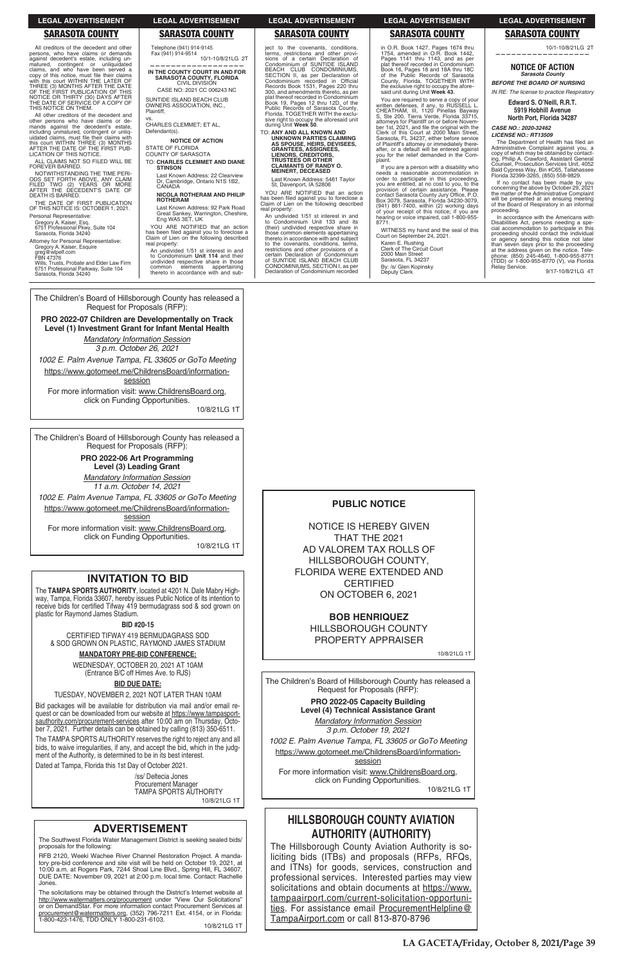## **SARASOTA COUNTY**

All creditors of the decedent and other Figure 1.1 of the persons, who have claims or demands against decedent's estate, including unmatured, contingent or unliquidated claims, and who have been served a<br>copy of this notice, must file their claims<br>with this court WITHIN THE LATER OF THREE (3) MONTHS AFTER THE DATE<br>OF THE FIRST PUBLICATION OF THIS<br>NOTICE OR THIRTY (30) DAYS AFTER THE DATE OF SERVICE OF A COPY OF THIS NOTICE ON THEM.

All other creditors of the decedent and other persons who have claims or demands against the decedent's estate,<br>including unmatured, contingent or unliquidated claims, must file their claims with this court WITHIN THREE (3) MONTHS<br>AFTER THE DATE OF THE FIRST PUB-<br>LICATION OF THIS NOTICE.

ALL CLAIMS NOT SO FILED WILL BE FOREVER BARRED.

NOTWITHSTANDING THE TIME PERI-<br>ODS SET FORTH ABOVE, ANY CLAIM<br>FILED TWO (2) YEARS OR MORE<br>AFTER THE DECEDENT'S DATE OF DEATH IS BARRED.

THE DATE OF FIRST PUBLICATION<br>OF THIS NOTICE IS: OCTOBER 1, 2021. Personal Representative:

Gregory A. Kaiser, Esq.<br>6751 Professional Pkwy, Suite 104<br>Sarasota, Florida 34240 Attorney for Personal Representative:

Gregory A. Kaiser, Esquire<br>greg@wtpelf.com<br>FBN 47376

Wills, Trusts, Probate and Elder Law Firm 6751 Professional Parkway, Suite 104<br>Sarasota, Florida 34240

The Children's Board of Hillsborough County has released a Request for Proposals (RFP):

PRO 2022-07 Children are Developmentally on Track Level (1) Investment Grant for Infant Mental Health

> **Mandatory Information Session** 3 p.m. October 26, 2021

1002 E. Palm Avenue Tampa, FL 33605 or GoTo Meeting

https://www.gotomeet.me/ChildrensBoard/information-

session

For more information visit: www.ChildrensBoard.org, click on Funding Opportunities.

10/8/21LG 1T

**LEGAL ADVERTISEMENT** 

**SARASOTA COUNTY** 

IN THE COUNTY COURT IN AND FOR

SARASOTA COUNTY, FLORIDA<br>CIVIL DIVISION

CASE NO: 2021 CC 006243 NC

**NOTICE OF ACTION** 

TO: CHARLES CLEMMET AND DIANE

Last Known Address: 22 Clearview

NICOLA ROTHERAM AND PHILIP

Last Known Address: 92 Park Road

Great Sankey, Warrington, Cheshire,<br>Eng WA5 3ET, UK

YOU ARE NOTIFIED that an action

has been filed against you to foreclose a<br>Claim of Lien on the following described

An undivided 1/51 st interest in and

to Condominium Unit 114 and their

undivided respective share in those

thereto in accordance with and sub-

elements appertaining

Dr, Cambridge, Ontario N1S 1B2,

SUNTIDE ISLAND BEACH CLUB

OWNERS ASSOCIATION, INC.,

CHARLES CLEMMET; ET AL,

Plaintiff.

Defendant(s)

**STATE OF FLORIDA COUNTY OF SARASOTA** 

**STINSON** 

CANADA

real property:

common

**ROTHERAM** 

10/1-10/8/21LG 2T

Telephone (941) 914-9145

Fax (941) 914-9514

The Children's Board of Hillsborough County has released a Request for Proposals (RFP):

> PRO 2022-06 Art Programming Level (3) Leading Grant **Mandatory Information Session**

11 a.m. October 14, 2021

1002 E. Palm Avenue Tampa, FL 33605 or GoTo Meeting https://www.gotomeet.me/ChildrensBoard/information-

session

For more information visit: www.ChildrensBoard.org, click on Funding Opportunities.

10/8/21LG 1T

## **INVITATION TO BID**

The TAMPA SPORTS AUTHORITY, located at 4201 N. Dale Mabry Highway, Tampa, Florida 33607, hereby issues Public Notice of its intention to receive bids for certified Tifway 419 bermudagrass sod & sod grown on plastic for Raymond James Stadium.

### **BID #20-15**

CERTIFIED TIFWAY 419 BERMUDAGRASS SOD & SOD GROWN ON PLASTIC, RAYMOND JAMES STADIUM

## **MANDATORY PRE-BID CONFERENCE:**

WEDNESDAY, OCTOBER 20, 2021 AT 10AM (Entrance B/C off Himes Ave. to RJS)

## **BID DUE DATE:**

TUESDAY, NOVEMBER 2, 2021 NOT LATER THAN 10AM Bid packages will be available for distribution via mail and/or email re-

### **LEGAL ADVERTISEMENT**

## **SARASOTA COUNTY**

ject to the covenants, conditions, forms, restrictions and other provi-<br>sions of a certain Declaration of<br>Condominium of SUNTIDE ISLAND BEACH CLUB CONDOMINIUMS,<br>SECTION II, as per Declaration of<br>Condominium recorded in Official Becords Book 1531, Pages 220 thru<br>300, and amendments thereto, as per<br>plat thereof recorded in Condominium Book 19, Pages 12 thru 12D, of the<br>Public Records of Sarasota County,<br>Florida. TOGETHER WITH the exclusive right to occupy the aforesaid unit<br>during Unit Week 50.

TO: ANY AND ALL KNOWN AND UNKNOWN PARTIES CLAIMING<br>AS SPOUSE, HEIRS, DEVISEES,<br>GRANTEES, ASSIGNEES, LIENORS, CREDITORS,<br>TRUSTEES OR OTHER<br>CLAIMANTS OF RANDY O. **MEINERT, DECEASED** 

Last Known Address: 5461 Taylor<br>St, Davenport, IA 52806

YOU ARE NOTIFIED that an action<br>has been filed against you to foreclose a<br>Claim of Lien on the following described real property:

An undivided 1/51 st interest in and<br>to Condominium Unit 133 and its<br>(their) undivided respective share in those common elements appertaining<br>thereto in accordance with and subject<br>to the covenants, conditions, terms, extrictions and other provisions of a<br>certain Declaration of Condominium<br>of SUNTIDE ISLAND BEACH CLUB CONDOMINIUMS, SECTION I, as per<br>Declaration of Condominium recorded

**SARASOTA COUNTY** in O.R. Book 1427, Pages 1674 thru 1754, amended in O.R. Book 1442,<br>Pages 1141 thru 1143, and as per<br>plat thereof recorded in Condominium

**LEGAL ADVERTISEMENT** 

Book 16, Pages 18 and 18A thru 18C<br>of the Public Records of Sarasota<br>County, Florida. TOGETHER WITH the exclusive right to occupy the afore-<br>said unit during Unit Week 43.

You are required to serve a copy of your Four are required to serve a copy or your<br>CHEATHAM, III, 1120 Pinellas Bayway<br>S, Ste 200, Tierra Verde, Florida 33715, et actories for Plaintiff on or before Novem-<br>ber 1st, 2021, and file the original with the<br>Clerk of this Court at 2000 Main Street, Sarasota, FL 34237, either before service<br>of Plaintiff's attomey or immediately there-<br>after, or a default will be entered against you for the relief demanded in the Complaint.

If you are a person with a disability who needs a reasonable accommodation in order to participate in this proceeding,<br>you are entitled, at no cost to you, to the<br>provision of certain assistance. Please contact Sarasota County Jury Office, P.O.<br>Box 3079, Sarasota, Florida 34230-3079,<br>(941) 861-7400, within (2) working days of your receipt of this notice; if you are<br>hearing or voice impaired, call 1-800-955-8771.

WITNESS my hand and the seal of this<br>Court on September 24, 2021.

Karen E. Rushing<br>Clerk of The Circuit Court 2000 Main Street Sarasota, FL 34237 By: /s/ Glen Kopinsky<br>Deputy Clerk

# **LEGAL ADVERTISEMENT**

## **SARASOTA COUNTY**

10/1-10/8/21LG 2T

### **NOTICE OF ACTION** Sarasota County

**BEFORE THE BOARD OF NURSING** IN RE: The license to practice Respiratory

### Edward S. O'Neill, R.R.T. 5919 Hobhill Avenue North Port, Florida 34287

CASE NO.: 2020-32462 LICENSE NO.: RT13509

The Department of Health has filed an Administrative Complaint against you, a<br>copy of which may be obtained by contacting, Philip A. Crawford, Assistant General Counsel, Prosecution Services Unit, 4052<br>Bald Cypress Way, Bin #C65, Tallahassee<br>Florida 32399-3265, (850) 558-9829.

If no contact has been made by you no concerning the above by October 29, 2021<br>the matter of the Administrative Complaint<br>will be presented at an ensuing meeting of the Board of Respiratory in an informal<br>proceeding.

In accordance with the Americans with Disabilities Act, persons needing a special accommodation to participate in this<br>proceeding should contact the individual<br>or agency sending this notice not later than seven days prior to the proceeding<br>at the address given on the notice. Tele-<br>phone: (850) 245-4640, 1-800-955-8771 (TDD) or 1-800-955-8770 (V), via Florida<br>Relay Service.

9/17-10/8/21LG 4T

## **PUBLIC NOTICE**

**NOTICE IS HEREBY GIVEN** THAT THE 2021 AD VALOREM TAX ROLLS OF HILLSBOROUGH COUNTY, **FLORIDA WERE EXTENDED AND CERTIFIED** ON OCTOBER 6, 2021

> **BOB HENRIQUEZ HILLSBOROUGH COUNTY PROPERTY APPRAISER**

> > 10/8/21LG 1T

The Children's Board of Hillsborough County has released a Request for Proposals (RFP): PRO 2022-05 Capacity Building

quest or can be downloaded from our website at https://www.tampasportsauthority.com/procurement-services after 10:00 am on Thursday, October 7, 2021. Further details can be obtained by calling (813) 350-6511.

The TAMPA SPORTS AUTHORITY reserves the right to reject any and all bids, to waive irregularities, if any, and accept the bid, which in the judgment of the Authority, is determined to be in its best interest.

Dated at Tampa, Florida this 1st Day of October 2021.

/ss/ Deltecia Jones **Procurement Manager** TAMPA SPORTS AUTHORITY 10/8/21LG 1T

## **ADVERTISEMENT**

The Southwest Florida Water Management District is seeking sealed bids/ proposals for the following:

RFB 2120, Weeki Wachee River Channel Restoration Project. A mandatory pre-bid conference and site visit will be held on October 19, 2021, at 10:00 a.m. at Rogers Park, 7244 Shoal Line Blvd., Spring Hill, FL 34607. DUE DATE: November 09, 2021 at 2:00 p.m. local time. Contact: Rachelle Jones.

The solicitations may be obtained through the District's Internet website at http://www.watermatters.org/procurement under "View Our Solicitations" or on DemandStar. For more information contact Procurement Services at procurement@watermatters.org, (352) 796-7211 Ext. 4154, or in Florida: 1-800-423-1476. TDD ONLY 1-800-231-6103.

10/8/21LG 1T

#### Level (4) Technical Assistance Grant

**Mandatory Information Session** 3 p.m. October 19, 2021 1002 E. Palm Avenue Tampa, FL 33605 or GoTo Meeting

https://www.gotomeet.me/ChildrensBoard/information-

**session** For more information visit: www.ChildrensBoard.org, click on Funding Opportunities.

10/8/21LG 1T

# **HILLSBOROUGH COUNTY AVIATION AUTHORITY (AUTHORITY)**

The Hillsborough County Aviation Authority is soliciting bids (ITBs) and proposals (RFPs, RFQs, and ITNs) for goods, services, construction and professional services. Interested parties may view solicitations and obtain documents at https://www. tampaairport.com/current-solicitation-opportunities. For assistance email ProcurementHelpline@ TampaAirport.com or call 813-870-8796